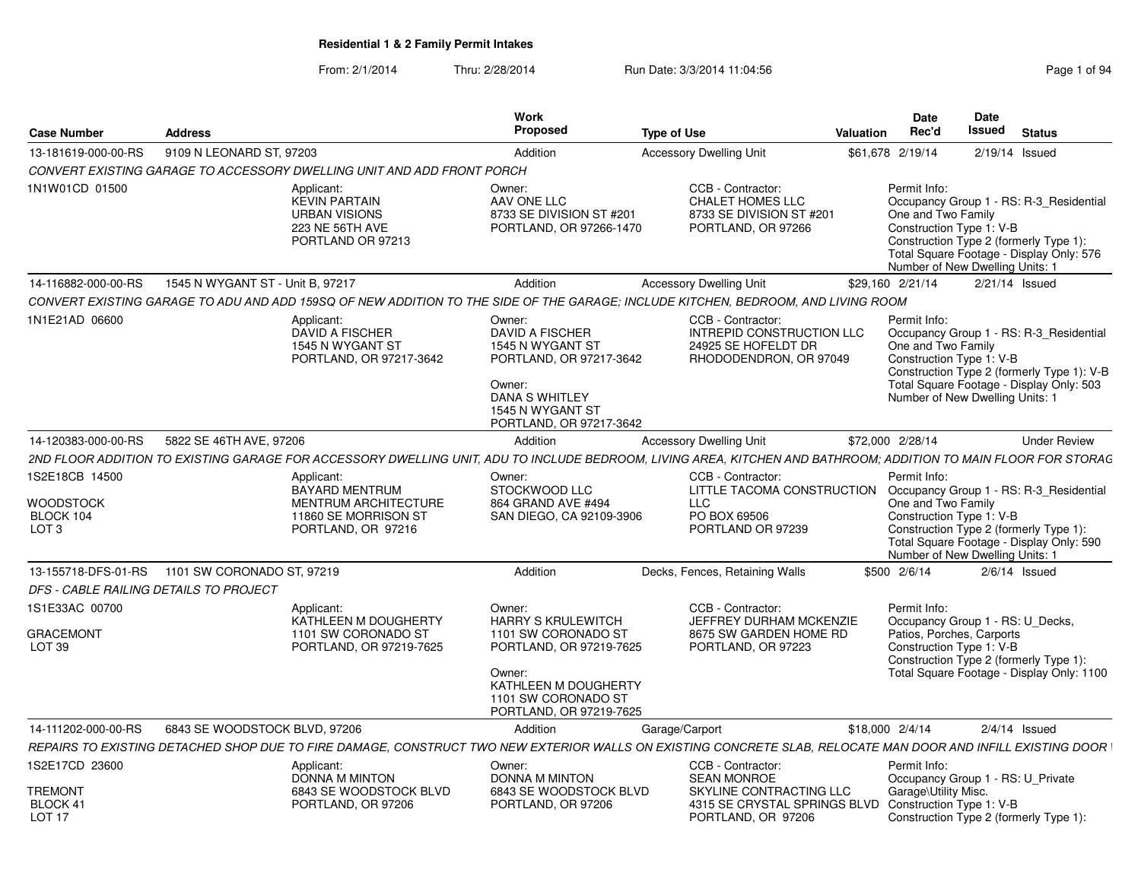From: 2/1/2014Thru: 2/28/2014 Run Date: 3/3/2014 11:04:56 Research 2010 12:56 Page 1 of 94

| <b>Case Number</b>                                                  | <b>Address</b>                   |                                                                                                           | <b>Work</b><br>Proposed                                                                                                                                                   | <b>Type of Use</b>                                                                                                                                              | Valuation | Date<br>Rec'd                                                                                                                                       | Date<br>Issued |                  | <b>Status</b>                                                                                                                     |
|---------------------------------------------------------------------|----------------------------------|-----------------------------------------------------------------------------------------------------------|---------------------------------------------------------------------------------------------------------------------------------------------------------------------------|-----------------------------------------------------------------------------------------------------------------------------------------------------------------|-----------|-----------------------------------------------------------------------------------------------------------------------------------------------------|----------------|------------------|-----------------------------------------------------------------------------------------------------------------------------------|
| 13-181619-000-00-RS                                                 | 9109 N LEONARD ST, 97203         |                                                                                                           | Addition                                                                                                                                                                  | <b>Accessory Dwelling Unit</b>                                                                                                                                  |           | \$61,678 2/19/14                                                                                                                                    |                | $2/19/14$ Issued |                                                                                                                                   |
|                                                                     |                                  | CONVERT EXISTING GARAGE TO ACCESSORY DWELLING UNIT AND ADD FRONT PORCH                                    |                                                                                                                                                                           |                                                                                                                                                                 |           |                                                                                                                                                     |                |                  |                                                                                                                                   |
| 1N1W01CD 01500                                                      |                                  | Applicant:<br><b>KEVIN PARTAIN</b><br><b>URBAN VISIONS</b><br>223 NE 56TH AVE<br>PORTLAND OR 97213        | Owner:<br>AAV ONE LLC<br>8733 SE DIVISION ST #201<br>PORTLAND, OR 97266-1470                                                                                              | CCB - Contractor:<br><b>CHALET HOMES LLC</b><br>8733 SE DIVISION ST #201<br>PORTLAND, OR 97266                                                                  |           | Permit Info:<br>One and Two Family<br>Construction Type 1: V-B<br>Construction Type 2 (formerly Type 1):<br>Number of New Dwelling Units: 1         |                |                  | Occupancy Group 1 - RS: R-3 Residential<br>Total Square Footage - Display Only: 576                                               |
| 14-116882-000-00-RS                                                 | 1545 N WYGANT ST - Unit B, 97217 |                                                                                                           | Addition                                                                                                                                                                  | <b>Accessory Dwelling Unit</b>                                                                                                                                  |           | \$29,160 2/21/14                                                                                                                                    |                | $2/21/14$ Issued |                                                                                                                                   |
|                                                                     |                                  |                                                                                                           |                                                                                                                                                                           | CONVERT EXISTING GARAGE TO ADU AND ADD 159SQ OF NEW ADDITION TO THE SIDE OF THE GARAGE; INCLUDE KITCHEN, BEDROOM, AND LIVING ROOM                               |           |                                                                                                                                                     |                |                  |                                                                                                                                   |
| 1N1E21AD 06600                                                      |                                  | Applicant:<br>DAVID A FISCHER<br>1545 N WYGANT ST<br>PORTLAND, OR 97217-3642                              | Owner:<br><b>DAVID A FISCHER</b><br>1545 N WYGANT ST<br>PORTLAND, OR 97217-3642<br>Owner:<br><b>DANA S WHITLEY</b><br>1545 N WYGANT ST<br>PORTLAND, OR 97217-3642         | CCB - Contractor:<br>INTREPID CONSTRUCTION LLC<br>24925 SE HOFELDT DR<br>RHODODENDRON, OR 97049                                                                 |           | Permit Info:<br>One and Two Family<br>Construction Type 1: V-B<br>Number of New Dwelling Units: 1                                                   |                |                  | Occupancy Group 1 - RS: R-3 Residential<br>Construction Type 2 (formerly Type 1): V-B<br>Total Square Footage - Display Only: 503 |
| 14-120383-000-00-RS                                                 | 5822 SE 46TH AVE, 97206          |                                                                                                           | Addition                                                                                                                                                                  | <b>Accessory Dwelling Unit</b>                                                                                                                                  |           | \$72,000 2/28/14                                                                                                                                    |                |                  | <b>Under Review</b>                                                                                                               |
|                                                                     |                                  |                                                                                                           |                                                                                                                                                                           | 2ND FLOOR ADDITION TO EXISTING GARAGE FOR ACCESSORY DWELLING UNIT, ADU TO INCLUDE BEDROOM, LIVING AREA, KITCHEN AND BATHROOM; ADDITION TO MAIN FLOOR FOR STORAG |           |                                                                                                                                                     |                |                  |                                                                                                                                   |
| 1S2E18CB 14500<br><b>WOODSTOCK</b><br>BLOCK 104<br>LOT <sub>3</sub> |                                  | Applicant:<br>BAYARD MENTRUM<br><b>MENTRUM ARCHITECTURE</b><br>11860 SE MORRISON ST<br>PORTLAND, OR 97216 | Owner:<br>STOCKWOOD LLC<br>864 GRAND AVE #494<br>SAN DIEGO, CA 92109-3906                                                                                                 | CCB - Contractor:<br>LITTLE TACOMA CONSTRUCTION<br><b>LLC</b><br>PO BOX 69506<br>PORTLAND OR 97239                                                              |           | Permit Info:<br>One and Two Family<br>Construction Type 1: V-B<br>Construction Type 2 (formerly Type 1):<br>Number of New Dwelling Units: 1         |                |                  | Occupancy Group 1 - RS: R-3_Residential<br>Total Square Footage - Display Only: 590                                               |
| 13-155718-DFS-01-RS                                                 | 1101 SW CORONADO ST, 97219       |                                                                                                           | Addition                                                                                                                                                                  | Decks, Fences, Retaining Walls                                                                                                                                  |           | \$500 2/6/14                                                                                                                                        |                | $2/6/14$ Issued  |                                                                                                                                   |
| <b>DFS - CABLE RAILING DETAILS TO PROJECT</b>                       |                                  |                                                                                                           |                                                                                                                                                                           |                                                                                                                                                                 |           |                                                                                                                                                     |                |                  |                                                                                                                                   |
| 1S1E33AC 00700<br><b>GRACEMONT</b><br>LOT <sub>39</sub>             |                                  | Applicant:<br>KATHLEEN M DOUGHERTY<br>1101 SW CORONADO ST<br>PORTLAND, OR 97219-7625                      | Owner:<br><b>HARRY S KRULEWITCH</b><br>1101 SW CORONADO ST<br>PORTLAND, OR 97219-7625<br>Owner:<br>KATHLEEN M DOUGHERTY<br>1101 SW CORONADO ST<br>PORTLAND, OR 97219-7625 | CCB - Contractor:<br>JEFFREY DURHAM MCKENZIE<br>8675 SW GARDEN HOME RD<br>PORTLAND, OR 97223                                                                    |           | Permit Info:<br>Occupancy Group 1 - RS: U Decks,<br>Patios, Porches, Carports<br>Construction Type 1: V-B<br>Construction Type 2 (formerly Type 1): |                |                  | Total Square Footage - Display Only: 1100                                                                                         |
| 14-111202-000-00-RS                                                 | 6843 SE WOODSTOCK BLVD, 97206    |                                                                                                           | Addition                                                                                                                                                                  | Garage/Carport                                                                                                                                                  |           | \$18,000 2/4/14                                                                                                                                     |                | $2/4/14$ Issued  |                                                                                                                                   |
|                                                                     |                                  |                                                                                                           |                                                                                                                                                                           | REPAIRS TO EXISTING DETACHED SHOP DUE TO FIRE DAMAGE, CONSTRUCT TWO NEW EXTERIOR WALLS ON EXISTING CONCRETE SLAB, RELOCATE MAN DOOR AND INFILL EXISTING DOOR    |           |                                                                                                                                                     |                |                  |                                                                                                                                   |
| 1S2E17CD 23600                                                      |                                  | Applicant:<br>DONNA M MINTON                                                                              | Owner:<br>DONNA M MINTON                                                                                                                                                  | CCB - Contractor:<br><b>SEAN MONROE</b>                                                                                                                         |           | Permit Info:<br>Occupancy Group 1 - RS: U Private                                                                                                   |                |                  |                                                                                                                                   |
| <b>TREMONT</b><br>BLOCK 41<br>LOT <sub>17</sub>                     |                                  | 6843 SE WOODSTOCK BLVD<br>PORTLAND, OR 97206                                                              | 6843 SE WOODSTOCK BLVD<br>PORTLAND, OR 97206                                                                                                                              | SKYLINE CONTRACTING LLC<br>4315 SE CRYSTAL SPRINGS BLVD Construction Type 1: V-B<br>PORTLAND, OR 97206                                                          |           | Garage\Utility Misc.<br>Construction Type 2 (formerly Type 1):                                                                                      |                |                  |                                                                                                                                   |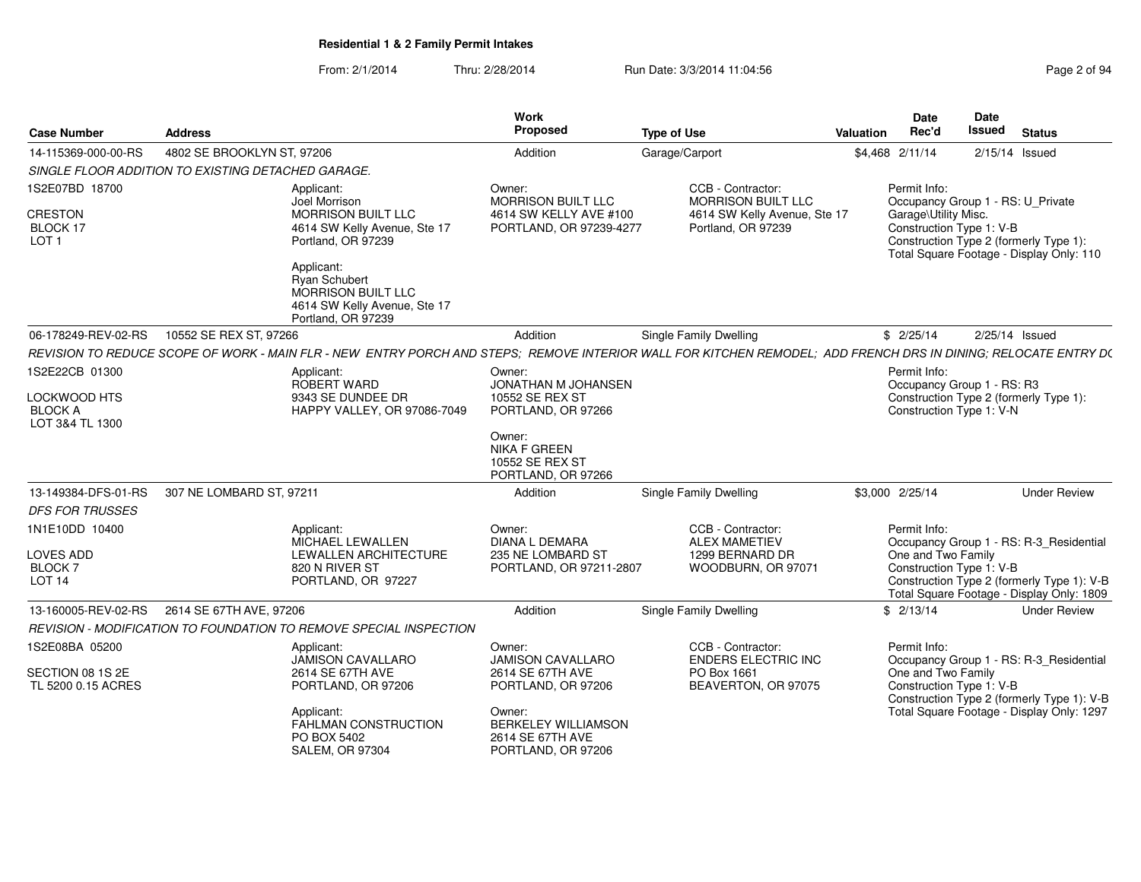From: 2/1/2014Thru: 2/28/2014 Run Date: 3/3/2014 11:04:56 Research 2010 2014 12:04:56

| <b>Case Number</b>                                               | <b>Address</b>                               |                                                                                                                                                                | <b>Work</b><br>Proposed                                                                      | <b>Type of Use</b>                                                                                   | Date<br>Rec'd<br>Valuation           | <b>Date</b><br><b>Issued</b><br><b>Status</b>                                                                                                                  |
|------------------------------------------------------------------|----------------------------------------------|----------------------------------------------------------------------------------------------------------------------------------------------------------------|----------------------------------------------------------------------------------------------|------------------------------------------------------------------------------------------------------|--------------------------------------|----------------------------------------------------------------------------------------------------------------------------------------------------------------|
| 14-115369-000-00-RS                                              | 4802 SE BROOKLYN ST, 97206                   |                                                                                                                                                                | Addition                                                                                     | Garage/Carport                                                                                       | \$4,468 2/11/14                      | 2/15/14 Issued                                                                                                                                                 |
| SINGLE FLOOR ADDITION TO EXISTING DETACHED GARAGE.               |                                              |                                                                                                                                                                |                                                                                              |                                                                                                      |                                      |                                                                                                                                                                |
| 1S2E07BD 18700<br><b>CRESTON</b><br>BLOCK 17<br>LOT <sub>1</sub> |                                              | Applicant:<br>Joel Morrison<br><b>MORRISON BUILT LLC</b><br>4614 SW Kelly Avenue, Ste 17<br>Portland, OR 97239                                                 | Owner:<br><b>MORRISON BUILT LLC</b><br>4614 SW KELLY AVE #100<br>PORTLAND, OR 97239-4277     | CCB - Contractor:<br><b>MORRISON BUILT LLC</b><br>4614 SW Kelly Avenue, Ste 17<br>Portland, OR 97239 | Permit Info:<br>Garage\Utility Misc. | Occupancy Group 1 - RS: U Private<br>Construction Type 1: V-B<br>Construction Type 2 (formerly Type 1):<br>Total Square Footage - Display Only: 110            |
|                                                                  |                                              | Applicant:<br>Ryan Schubert<br>MORRISON BUILT LLC<br>4614 SW Kelly Avenue, Ste 17<br>Portland, OR 97239                                                        |                                                                                              |                                                                                                      |                                      |                                                                                                                                                                |
| 06-178249-REV-02-RS 10552 SE REX ST, 97266                       |                                              |                                                                                                                                                                | Addition                                                                                     | <b>Single Family Dwelling</b>                                                                        | \$2/25/14                            | 2/25/14 Issued                                                                                                                                                 |
|                                                                  |                                              | REVISION TO REDUCE SCOPE OF WORK - MAIN FLR - NEW ENTRY PORCH AND STEPS; REMOVE INTERIOR WALL FOR KITCHEN REMODEL; ADD FRENCH DRS IN DINING; RELOCATE ENTRY D( |                                                                                              |                                                                                                      |                                      |                                                                                                                                                                |
| 1S2E22CB 01300<br><b>LOCKWOOD HTS</b>                            |                                              | Applicant:<br>ROBERT WARD<br>9343 SE DUNDEE DR                                                                                                                 | Owner:<br>JONATHAN M JOHANSEN<br>10552 SE REX ST                                             |                                                                                                      | Permit Info:                         | Occupancy Group 1 - RS: R3<br>Construction Type 2 (formerly Type 1):                                                                                           |
| <b>BLOCK A</b><br>LOT 3&4 TL 1300                                |                                              | HAPPY VALLEY, OR 97086-7049                                                                                                                                    | PORTLAND, OR 97266<br>Owner:<br><b>NIKA F GREEN</b><br>10552 SE REX ST<br>PORTLAND, OR 97266 |                                                                                                      |                                      | Construction Type 1: V-N                                                                                                                                       |
|                                                                  | 13-149384-DFS-01-RS 307 NE LOMBARD ST, 97211 |                                                                                                                                                                | Addition                                                                                     | <b>Single Family Dwelling</b>                                                                        | \$3,000 2/25/14                      | <b>Under Review</b>                                                                                                                                            |
| <b>DFS FOR TRUSSES</b>                                           |                                              |                                                                                                                                                                |                                                                                              |                                                                                                      |                                      |                                                                                                                                                                |
| 1N1E10DD 10400<br>LOVES ADD<br><b>BLOCK7</b><br><b>LOT 14</b>    |                                              | Applicant:<br>MICHAEL LEWALLEN<br>LEWALLEN ARCHITECTURE<br>820 N RIVER ST<br>PORTLAND, OR 97227                                                                | Owner:<br>DIANA L DEMARA<br>235 NE LOMBARD ST<br>PORTLAND, OR 97211-2807                     | CCB - Contractor:<br><b>ALEX MAMETIEV</b><br>1299 BERNARD DR<br>WOODBURN, OR 97071                   | Permit Info:<br>One and Two Family   | Occupancy Group 1 - RS: R-3_Residential<br>Construction Type 1: V-B<br>Construction Type 2 (formerly Type 1): V-B<br>Total Square Footage - Display Only: 1809 |
|                                                                  |                                              |                                                                                                                                                                | Addition                                                                                     | Single Family Dwelling                                                                               | \$2/13/14                            | <b>Under Review</b>                                                                                                                                            |
|                                                                  |                                              | REVISION - MODIFICATION TO FOUNDATION TO REMOVE SPECIAL INSPECTION                                                                                             |                                                                                              |                                                                                                      |                                      |                                                                                                                                                                |
| 1S2E08BA 05200                                                   |                                              | Applicant:<br>JAMISON CAVALLARO                                                                                                                                | Owner:<br><b>JAMISON CAVALLARO</b>                                                           | CCB - Contractor:<br><b>ENDERS ELECTRIC INC</b>                                                      | Permit Info:                         | Occupancy Group 1 - RS: R-3_Residential                                                                                                                        |
| SECTION 08 1S 2E<br>TL 5200 0.15 ACRES                           |                                              | 2614 SE 67TH AVE<br>PORTLAND, OR 97206                                                                                                                         | 2614 SE 67TH AVE<br>PORTLAND, OR 97206                                                       | PO Box 1661<br>BEAVERTON, OR 97075                                                                   | One and Two Family                   | Construction Type 1: V-B<br>Construction Type 2 (formerly Type 1): V-B                                                                                         |
|                                                                  |                                              | Applicant:<br>FAHLMAN CONSTRUCTION<br>PO BOX 5402<br><b>SALEM, OR 97304</b>                                                                                    | Owner:<br><b>BERKELEY WILLIAMSON</b><br>2614 SE 67TH AVE<br>PORTLAND, OR 97206               |                                                                                                      |                                      | Total Square Footage - Display Only: 1297                                                                                                                      |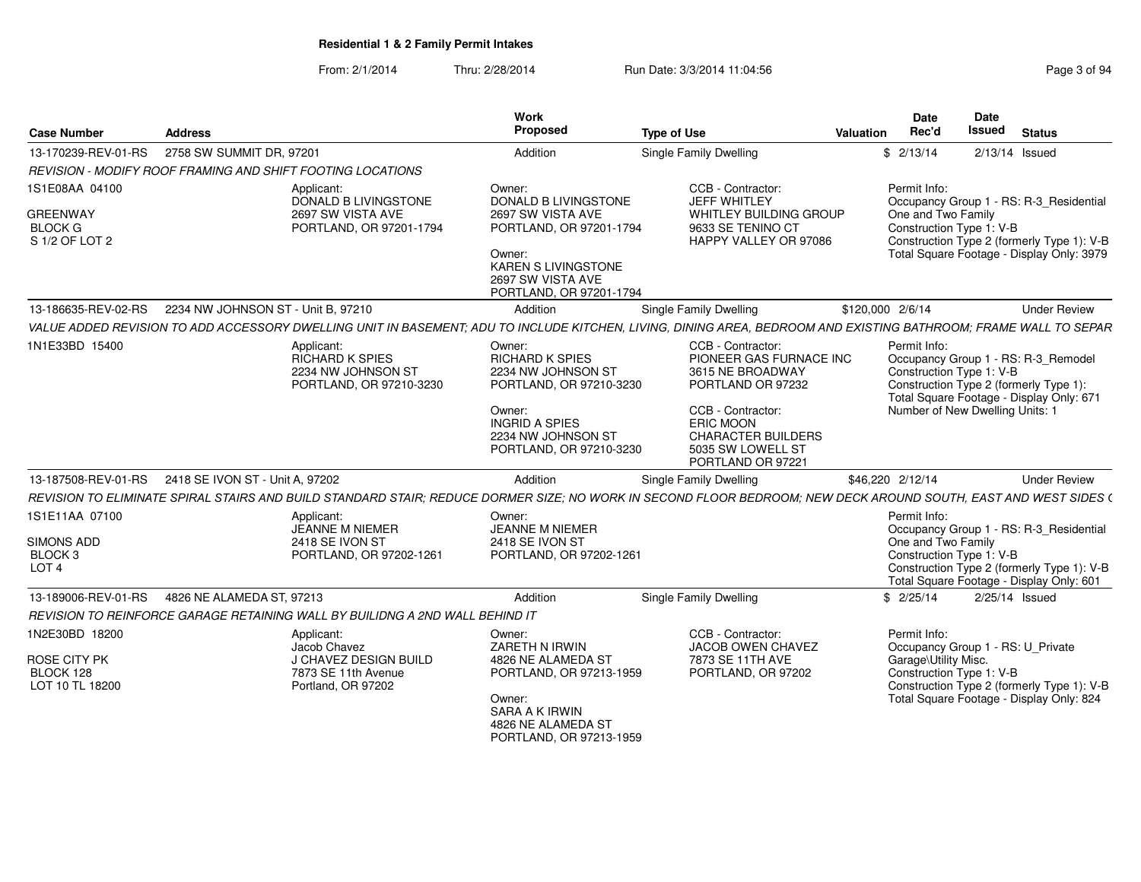From: 2/1/2014Thru: 2/28/2014 Run Date: 3/3/2014 11:04:56 Research 2010 12:56 Page 3 of 94

| <b>Case Number</b>                                                     | <b>Address</b>                                          |                                                                                                  | Work<br>Proposed                                                                                                                                                       | <b>Type of Use</b>                                                                                                                                                                             | Date<br>Rec'd<br>Valuation           | Date<br><b>Issued</b>                                       | <b>Status</b>                                                                                                                      |
|------------------------------------------------------------------------|---------------------------------------------------------|--------------------------------------------------------------------------------------------------|------------------------------------------------------------------------------------------------------------------------------------------------------------------------|------------------------------------------------------------------------------------------------------------------------------------------------------------------------------------------------|--------------------------------------|-------------------------------------------------------------|------------------------------------------------------------------------------------------------------------------------------------|
|                                                                        | 13-170239-REV-01-RS  2758 SW SUMMIT DR, 97201           |                                                                                                  | Addition                                                                                                                                                               | Single Family Dwelling                                                                                                                                                                         | \$2/13/14                            |                                                             | 2/13/14 Issued                                                                                                                     |
|                                                                        |                                                         | REVISION - MODIFY ROOF FRAMING AND SHIFT FOOTING LOCATIONS                                       |                                                                                                                                                                        |                                                                                                                                                                                                |                                      |                                                             |                                                                                                                                    |
| 1S1E08AA 04100<br>GREENWAY<br><b>BLOCK G</b><br>S 1/2 OF LOT 2         |                                                         | Applicant:<br>DONALD B LIVINGSTONE<br>2697 SW VISTA AVE<br>PORTLAND, OR 97201-1794               | Owner:<br>DONALD B LIVINGSTONE<br>2697 SW VISTA AVE<br>PORTLAND, OR 97201-1794<br>Owner:<br><b>KAREN S LIVINGSTONE</b><br>2697 SW VISTA AVE<br>PORTLAND, OR 97201-1794 | CCB - Contractor:<br><b>JEFF WHITLEY</b><br>WHITLEY BUILDING GROUP<br>9633 SE TENINO CT<br>HAPPY VALLEY OR 97086                                                                               | Permit Info:<br>One and Two Family   | Construction Type 1: V-B                                    | Occupancy Group 1 - RS: R-3_Residential<br>Construction Type 2 (formerly Type 1): V-B<br>Total Square Footage - Display Only: 3979 |
|                                                                        | 13-186635-REV-02-RS  2234 NW JOHNSON ST - Unit B, 97210 |                                                                                                  | Addition                                                                                                                                                               | <b>Single Family Dwelling</b>                                                                                                                                                                  | \$120,000 2/6/14                     |                                                             | <b>Under Review</b>                                                                                                                |
|                                                                        |                                                         |                                                                                                  |                                                                                                                                                                        | VALUE ADDED REVISION TO ADD ACCESSORY DWELLING UNIT IN BASEMENT; ADU TO INCLUDE KITCHEN, LIVING, DINING AREA, BEDROOM AND EXISTING BATHROOM; FRAME WALL TO SEPAR                               |                                      |                                                             |                                                                                                                                    |
| 1N1E33BD 15400                                                         |                                                         | Applicant:<br>RICHARD K SPIES<br>2234 NW JOHNSON ST<br>PORTLAND, OR 97210-3230                   | Owner:<br><b>RICHARD K SPIES</b><br>2234 NW JOHNSON ST<br>PORTLAND, OR 97210-3230<br>Owner:<br><b>INGRID A SPIES</b><br>2234 NW JOHNSON ST<br>PORTLAND, OR 97210-3230  | CCB - Contractor:<br>PIONEER GAS FURNACE INC<br>3615 NE BROADWAY<br>PORTLAND OR 97232<br>CCB - Contractor:<br>ERIC MOON<br><b>CHARACTER BUILDERS</b><br>5035 SW LOWELL ST<br>PORTLAND OR 97221 | Permit Info:                         | Construction Type 1: V-B<br>Number of New Dwelling Units: 1 | Occupancy Group 1 - RS: R-3_Remodel<br>Construction Type 2 (formerly Type 1)<br>Total Square Footage - Display Only: 671           |
|                                                                        | 13-187508-REV-01-RS  2418 SE IVON ST - Unit A, 97202    |                                                                                                  | Addition                                                                                                                                                               | Single Family Dwelling                                                                                                                                                                         | \$46,220 2/12/14                     |                                                             | <b>Under Review</b>                                                                                                                |
|                                                                        |                                                         |                                                                                                  |                                                                                                                                                                        | REVISION TO ELIMINATE SPIRAL STAIRS AND BUILD STANDARD STAIR: REDUCE DORMER SIZE: NO WORK IN SECOND FLOOR BEDROOM: NEW DECK AROUND SOUTH, EAST AND WEST SIDES (                                |                                      |                                                             |                                                                                                                                    |
| 1S1E11AA 07100<br>SIMONS ADD<br>BLOCK <sub>3</sub><br>LOT <sub>4</sub> |                                                         | Applicant:<br>JEANNE M NIEMER<br>2418 SE IVON ST<br>PORTLAND, OR 97202-1261                      | Owner:<br><b>JEANNE M NIEMER</b><br>2418 SE IVON ST<br>PORTLAND, OR 97202-1261                                                                                         |                                                                                                                                                                                                | Permit Info:<br>One and Two Family   | Construction Type 1: V-B                                    | Occupancy Group 1 - RS: R-3 Residential<br>Construction Type 2 (formerly Type 1): V-B<br>Total Square Footage - Display Only: 601  |
|                                                                        | 13-189006-REV-01-RS  4826 NE ALAMEDA ST, 97213          |                                                                                                  | Addition                                                                                                                                                               | <b>Single Family Dwelling</b>                                                                                                                                                                  | \$2/25/14                            |                                                             | 2/25/14 Issued                                                                                                                     |
|                                                                        |                                                         | REVISION TO REINFORCE GARAGE RETAINING WALL BY BUILIDNG A 2ND WALL BEHIND IT                     |                                                                                                                                                                        |                                                                                                                                                                                                |                                      |                                                             |                                                                                                                                    |
| 1N2E30BD 18200<br><b>ROSE CITY PK</b><br>BLOCK 128<br>LOT 10 TL 18200  |                                                         | Applicant:<br>Jacob Chavez<br>J CHAVEZ DESIGN BUILD<br>7873 SE 11th Avenue<br>Portland, OR 97202 | Owner:<br>ZARETH N IRWIN<br>4826 NE ALAMEDA ST<br>PORTLAND, OR 97213-1959<br>Owner:<br>SARA A K IRWIN<br>4826 NE ALAMEDA ST<br>PORTLAND, OR 97213-1959                 | CCB - Contractor:<br>JACOB OWEN CHAVEZ<br>7873 SE 11TH AVE<br>PORTLAND, OR 97202                                                                                                               | Permit Info:<br>Garage\Utility Misc. | Construction Type 1: V-B                                    | Occupancy Group 1 - RS: U_Private<br>Construction Type 2 (formerly Type 1): V-B<br>Total Square Footage - Display Only: 824        |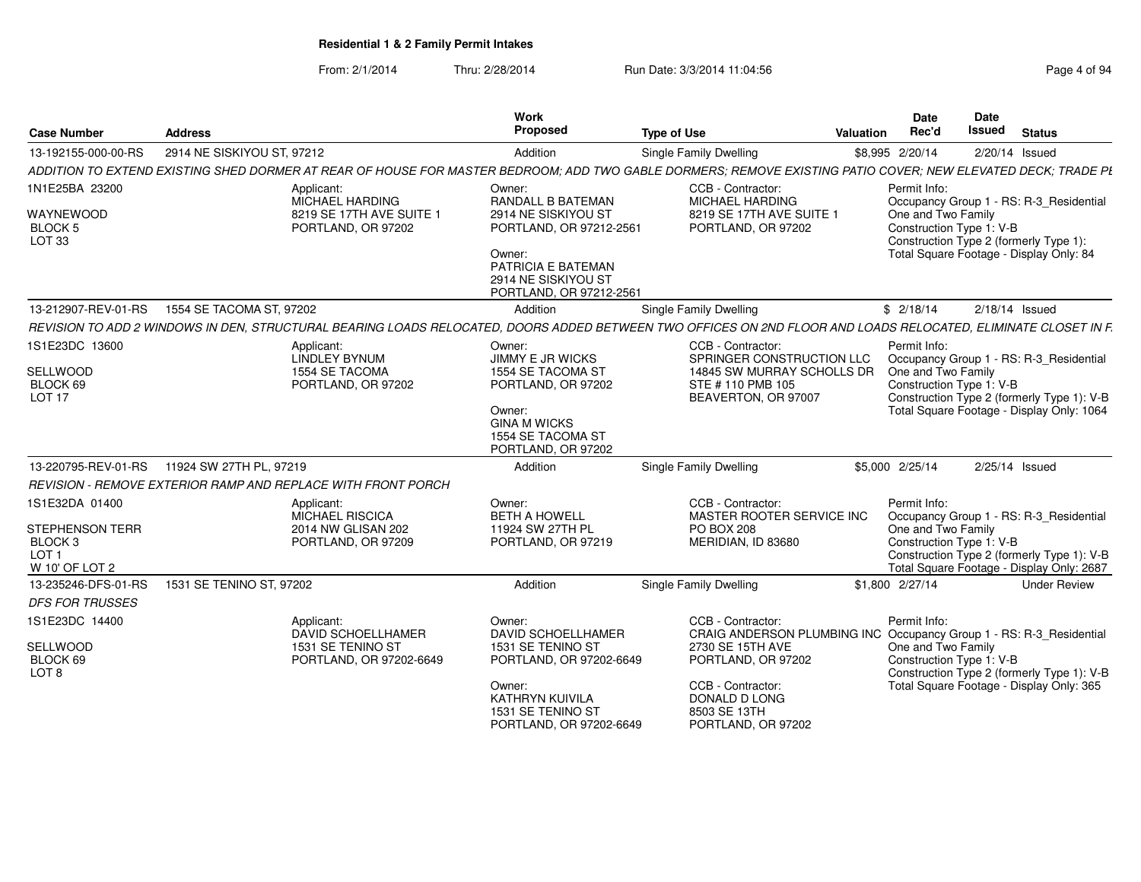From: 2/1/2014Thru: 2/28/2014 Run Date: 3/3/2014 11:04:56 Research 2010 12:04:56

| <b>Case Number</b>                                                                            | <b>Address</b>             |                                                                                                                                                                | Work<br><b>Proposed</b>                                                                                                                                          | <b>Type of Use</b>                                                                                                                                                                                             | Valuation | Date<br>Rec'd                                                                                            | <b>Date</b><br><b>Issued</b> | <b>Status</b>                                                                                                                      |
|-----------------------------------------------------------------------------------------------|----------------------------|----------------------------------------------------------------------------------------------------------------------------------------------------------------|------------------------------------------------------------------------------------------------------------------------------------------------------------------|----------------------------------------------------------------------------------------------------------------------------------------------------------------------------------------------------------------|-----------|----------------------------------------------------------------------------------------------------------|------------------------------|------------------------------------------------------------------------------------------------------------------------------------|
| 13-192155-000-00-RS                                                                           | 2914 NE SISKIYOU ST, 97212 |                                                                                                                                                                | Addition                                                                                                                                                         | Single Family Dwelling                                                                                                                                                                                         |           | \$8,995 2/20/14                                                                                          | 2/20/14 Issued               |                                                                                                                                    |
|                                                                                               |                            | ADDITION TO EXTEND EXISTING SHED DORMER AT REAR OF HOUSE FOR MASTER BEDROOM; ADD TWO GABLE DORMERS; REMOVE EXISTING PATIO COVER; NEW ELEVATED DECK; TRADE PL   |                                                                                                                                                                  |                                                                                                                                                                                                                |           |                                                                                                          |                              |                                                                                                                                    |
| 1N1E25BA 23200<br>WAYNEWOOD<br>BLOCK <sub>5</sub><br>LOT <sub>33</sub>                        |                            | Applicant:<br>MICHAEL HARDING<br>8219 SE 17TH AVE SUITE 1<br>PORTLAND, OR 97202                                                                                | Owner:<br>RANDALL B BATEMAN<br>2914 NE SISKIYOU ST<br>PORTLAND, OR 97212-2561<br>Owner:<br>PATRICIA E BATEMAN<br>2914 NE SISKIYOU ST<br>PORTLAND, OR 97212-2561  | CCB - Contractor:<br>MICHAEL HARDING<br>8219 SE 17TH AVE SUITE 1<br>PORTLAND, OR 97202                                                                                                                         |           | Permit Info:<br>One and Two Family<br>Construction Type 1: V-B<br>Construction Type 2 (formerly Type 1): |                              | Occupancy Group 1 - RS: R-3_Residential<br>Total Square Footage - Display Only: 84                                                 |
| 13-212907-REV-01-RS                                                                           | 1554 SE TACOMA ST, 97202   |                                                                                                                                                                | Addition                                                                                                                                                         | Single Family Dwelling                                                                                                                                                                                         |           | \$2/18/14                                                                                                | $2/18/14$ Issued             |                                                                                                                                    |
|                                                                                               |                            | REVISION TO ADD 2 WINDOWS IN DEN, STRUCTURAL BEARING LOADS RELOCATED, DOORS ADDED BETWEEN TWO OFFICES ON 2ND FLOOR AND LOADS RELOCATED, ELIMINATE CLOSET IN F. |                                                                                                                                                                  |                                                                                                                                                                                                                |           |                                                                                                          |                              |                                                                                                                                    |
| 1S1E23DC 13600<br>SELLWOOD<br>BLOCK 69<br>LOT 17                                              |                            | Applicant:<br>LINDLEY BYNUM<br>1554 SE TACOMA<br>PORTLAND, OR 97202                                                                                            | Owner:<br><b>JIMMY E JR WICKS</b><br>1554 SE TACOMA ST<br>PORTLAND, OR 97202<br>Owner:<br><b>GINA M WICKS</b><br>1554 SE TACOMA ST<br>PORTLAND, OR 97202         | CCB - Contractor:<br>SPRINGER CONSTRUCTION LLC<br>14845 SW MURRAY SCHOLLS DR<br>STE #110 PMB 105<br>BEAVERTON, OR 97007                                                                                        |           | Permit Info:<br>One and Two Family<br>Construction Type 1: V-B                                           |                              | Occupancy Group 1 - RS: R-3_Residential<br>Construction Type 2 (formerly Type 1): V-B<br>Total Square Footage - Display Only: 1064 |
| 13-220795-REV-01-RS                                                                           | 11924 SW 27TH PL, 97219    |                                                                                                                                                                | Addition                                                                                                                                                         | <b>Single Family Dwelling</b>                                                                                                                                                                                  |           | \$5,000 2/25/14                                                                                          | 2/25/14 Issued               |                                                                                                                                    |
|                                                                                               |                            | REVISION - REMOVE EXTERIOR RAMP AND REPLACE WITH FRONT PORCH                                                                                                   |                                                                                                                                                                  |                                                                                                                                                                                                                |           |                                                                                                          |                              |                                                                                                                                    |
| 1S1E32DA 01400<br>STEPHENSON TERR<br>BLOCK <sub>3</sub><br>LOT <sub>1</sub><br>W 10' OF LOT 2 |                            | Applicant:<br><b>MICHAEL RISCICA</b><br>2014 NW GLISAN 202<br>PORTLAND, OR 97209                                                                               | Owner:<br><b>BETH A HOWELL</b><br>11924 SW 27TH PL<br>PORTLAND, OR 97219                                                                                         | CCB - Contractor:<br>MASTER ROOTER SERVICE INC<br><b>PO BOX 208</b><br>MERIDIAN, ID 83680                                                                                                                      |           | Permit Info:<br>One and Two Family<br>Construction Type 1: V-B                                           |                              | Occupancy Group 1 - RS: R-3_Residential<br>Construction Type 2 (formerly Type 1): V-B<br>Total Square Footage - Display Only: 2687 |
| 13-235246-DFS-01-RS                                                                           | 1531 SE TENINO ST, 97202   |                                                                                                                                                                | Addition                                                                                                                                                         | <b>Single Family Dwelling</b>                                                                                                                                                                                  |           | \$1,800 2/27/14                                                                                          |                              | <b>Under Review</b>                                                                                                                |
| <b>DFS FOR TRUSSES</b>                                                                        |                            |                                                                                                                                                                |                                                                                                                                                                  |                                                                                                                                                                                                                |           |                                                                                                          |                              |                                                                                                                                    |
| 1S1E23DC 14400<br>SELLWOOD<br>BLOCK 69<br>LOT <sub>8</sub>                                    |                            | Applicant:<br><b>DAVID SCHOELLHAMER</b><br>1531 SE TENINO ST<br>PORTLAND, OR 97202-6649                                                                        | Owner:<br><b>DAVID SCHOELLHAMER</b><br>1531 SE TENINO ST<br>PORTLAND, OR 97202-6649<br>Owner:<br>KATHRYN KUIVILA<br>1531 SE TENINO ST<br>PORTLAND, OR 97202-6649 | CCB - Contractor:<br>CRAIG ANDERSON PLUMBING INC Occupancy Group 1 - RS: R-3_Residential<br>2730 SE 15TH AVE<br>PORTLAND, OR 97202<br>CCB - Contractor:<br>DONALD D LONG<br>8503 SE 13TH<br>PORTLAND, OR 97202 |           | Permit Info:<br>One and Two Family<br>Construction Type 1: V-B                                           |                              | Construction Type 2 (formerly Type 1): V-B<br>Total Square Footage - Display Only: 365                                             |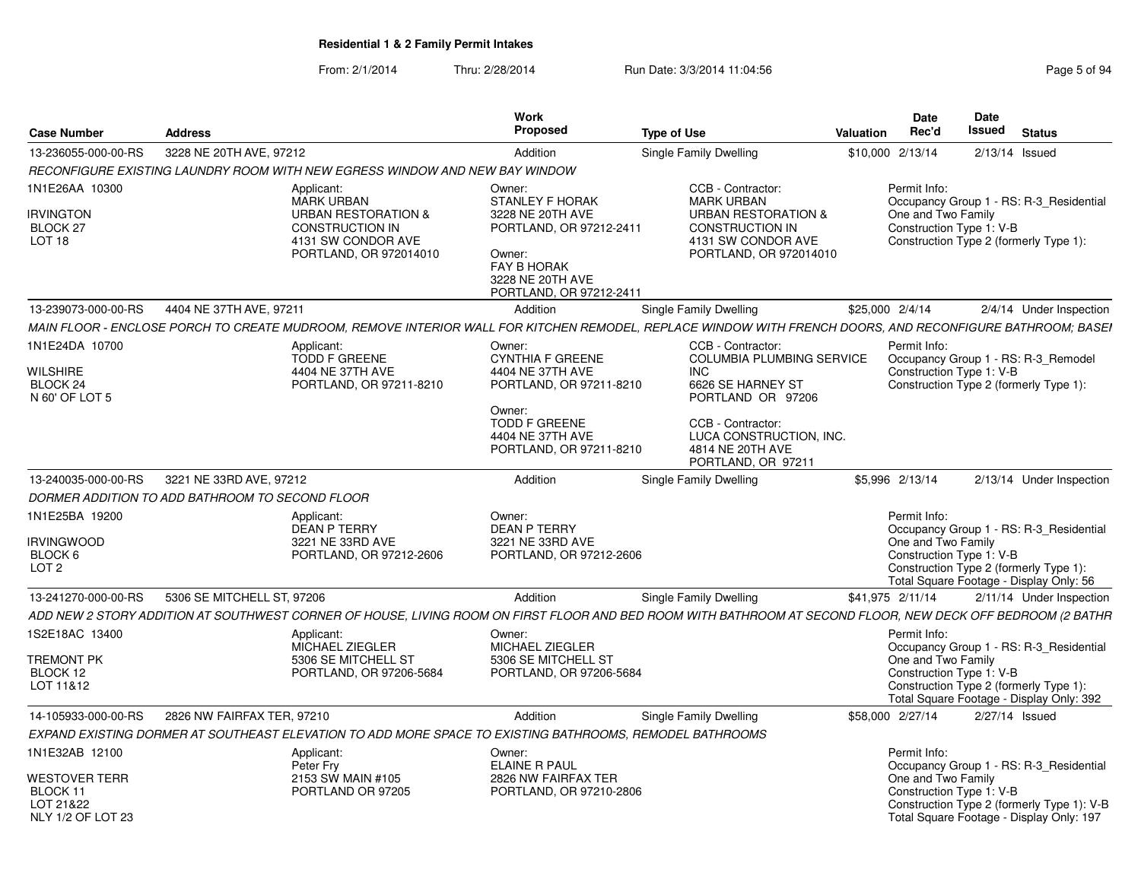From: 2/1/2014Thru: 2/28/2014 Run Date: 3/3/2014 11:04:56 Research 2010 Rage 5 of 94

| <b>Case Number</b>                                                 | <b>Address</b>                                                                                                                                              | Work<br>Proposed                                                                                                                                                  | <b>Type of Use</b>                                                                                                                                                                                | Valuation        | <b>Date</b><br>Rec'd               | <b>Date</b><br>Issued<br><b>Status</b>                                                                                                                    |
|--------------------------------------------------------------------|-------------------------------------------------------------------------------------------------------------------------------------------------------------|-------------------------------------------------------------------------------------------------------------------------------------------------------------------|---------------------------------------------------------------------------------------------------------------------------------------------------------------------------------------------------|------------------|------------------------------------|-----------------------------------------------------------------------------------------------------------------------------------------------------------|
| 13-236055-000-00-RS                                                | 3228 NE 20TH AVE, 97212                                                                                                                                     | Addition                                                                                                                                                          | Single Family Dwelling                                                                                                                                                                            | \$10,000 2/13/14 |                                    | 2/13/14 Issued                                                                                                                                            |
|                                                                    | RECONFIGURE EXISTING LAUNDRY ROOM WITH NEW EGRESS WINDOW AND NEW BAY WINDOW                                                                                 |                                                                                                                                                                   |                                                                                                                                                                                                   |                  |                                    |                                                                                                                                                           |
| 1N1E26AA 10300<br><b>IRVINGTON</b><br>BLOCK 27<br>LOT 18           | Applicant:<br><b>MARK URBAN</b><br><b>URBAN RESTORATION &amp;</b><br><b>CONSTRUCTION IN</b><br>4131 SW CONDOR AVE<br>PORTLAND, OR 972014010                 | Owner:<br><b>STANLEY F HORAK</b><br>3228 NE 20TH AVE<br>PORTLAND, OR 97212-2411<br>Owner:<br><b>FAY B HORAK</b><br>3228 NE 20TH AVE<br>PORTLAND, OR 97212-2411    | CCB - Contractor:<br><b>MARK URBAN</b><br><b>URBAN RESTORATION &amp;</b><br><b>CONSTRUCTION IN</b><br>4131 SW CONDOR AVE<br>PORTLAND, OR 972014010                                                |                  | Permit Info:<br>One and Two Family | Occupancy Group 1 - RS: R-3 Residential<br>Construction Type 1: V-B<br>Construction Type 2 (formerly Type 1):                                             |
| 13-239073-000-00-RS                                                | 4404 NE 37TH AVE, 97211                                                                                                                                     | Addition                                                                                                                                                          | Single Family Dwelling                                                                                                                                                                            | \$25,000 2/4/14  |                                    | 2/4/14 Under Inspection                                                                                                                                   |
|                                                                    | MAIN FLOOR - ENCLOSE PORCH TO CREATE MUDROOM, REMOVE INTERIOR WALL FOR KITCHEN REMODEL, REPLACE WINDOW WITH FRENCH DOORS, AND RECONFIGURE BATHROOM; BASEI   |                                                                                                                                                                   |                                                                                                                                                                                                   |                  |                                    |                                                                                                                                                           |
| 1N1E24DA 10700<br><b>WILSHIRE</b><br>BLOCK 24<br>N 60' OF LOT 5    | Applicant:<br><b>TODD F GREENE</b><br>4404 NE 37TH AVE<br>PORTLAND, OR 97211-8210                                                                           | Owner:<br><b>CYNTHIA F GREENE</b><br>4404 NE 37TH AVE<br>PORTLAND, OR 97211-8210<br>Owner:<br><b>TODD F GREENE</b><br>4404 NE 37TH AVE<br>PORTLAND, OR 97211-8210 | CCB - Contractor:<br><b>COLUMBIA PLUMBING SERVICE</b><br>INC.<br>6626 SE HARNEY ST<br>PORTLAND OR 97206<br>CCB - Contractor:<br>LUCA CONSTRUCTION. INC.<br>4814 NE 20TH AVE<br>PORTLAND, OR 97211 |                  | Permit Info:                       | Occupancy Group 1 - RS: R-3_Remodel<br>Construction Type 1: V-B<br>Construction Type 2 (formerly Type 1):                                                 |
| 13-240035-000-00-RS                                                | 3221 NE 33RD AVE, 97212                                                                                                                                     | Addition                                                                                                                                                          | Single Family Dwelling                                                                                                                                                                            |                  | \$5,996 2/13/14                    | 2/13/14 Under Inspection                                                                                                                                  |
|                                                                    | DORMER ADDITION TO ADD BATHROOM TO SECOND FLOOR                                                                                                             |                                                                                                                                                                   |                                                                                                                                                                                                   |                  |                                    |                                                                                                                                                           |
| 1N1E25BA 19200<br><b>IRVINGWOOD</b><br>BLOCK 6<br>LOT <sub>2</sub> | Applicant:<br><b>DEAN P TERRY</b><br>3221 NE 33RD AVE<br>PORTLAND, OR 97212-2606                                                                            | Owner:<br><b>DEAN P TERRY</b><br>3221 NE 33RD AVE<br>PORTLAND, OR 97212-2606                                                                                      |                                                                                                                                                                                                   |                  | Permit Info:<br>One and Two Family | Occupancy Group 1 - RS: R-3_Residential<br>Construction Type 1: V-B<br>Construction Type 2 (formerly Type 1):<br>Total Square Footage - Display Only: 56  |
| 13-241270-000-00-RS                                                | 5306 SE MITCHELL ST, 97206                                                                                                                                  | Addition                                                                                                                                                          | Single Family Dwelling                                                                                                                                                                            | \$41,975 2/11/14 |                                    | 2/11/14 Under Inspection                                                                                                                                  |
|                                                                    | ADD NEW 2 STORY ADDITION AT SOUTHWEST CORNER OF HOUSE, LIVING ROOM ON FIRST FLOOR AND BED ROOM WITH BATHROOM AT SECOND FLOOR, NEW DECK OFF BEDROOM (2 BATHR |                                                                                                                                                                   |                                                                                                                                                                                                   |                  |                                    |                                                                                                                                                           |
| 1S2E18AC 13400<br><b>TREMONT PK</b><br>BLOCK 12<br>LOT 11&12       | Applicant:<br>MICHAEL ZIEGLER<br>5306 SE MITCHELL ST<br>PORTLAND, OR 97206-5684                                                                             | Owner:<br>MICHAEL ZIEGLER<br>5306 SE MITCHELL ST<br>PORTLAND, OR 97206-5684                                                                                       |                                                                                                                                                                                                   |                  | Permit Info:<br>One and Two Family | Occupancy Group 1 - RS: R-3 Residential<br>Construction Type 1: V-B<br>Construction Type 2 (formerly Type 1):<br>Total Square Footage - Display Only: 392 |
| 14-105933-000-00-RS                                                | 2826 NW FAIRFAX TER, 97210                                                                                                                                  | Addition                                                                                                                                                          | Single Family Dwelling                                                                                                                                                                            | \$58,000 2/27/14 |                                    | 2/27/14 Issued                                                                                                                                            |
|                                                                    | EXPAND EXISTING DORMER AT SOUTHEAST ELEVATION TO ADD MORE SPACE TO EXISTING BATHROOMS, REMODEL BATHROOMS                                                    |                                                                                                                                                                   |                                                                                                                                                                                                   |                  |                                    |                                                                                                                                                           |
| 1N1E32AB 12100<br><b>WESTOVER TERR</b>                             | Applicant:<br>Peter Fry<br>2153 SW MAIN #105                                                                                                                | Owner:<br><b>ELAINE R PAUL</b><br>2826 NW FAIRFAX TER                                                                                                             |                                                                                                                                                                                                   |                  | Permit Info:<br>One and Two Family | Occupancy Group 1 - RS: R-3 Residential                                                                                                                   |
| BLOCK 11<br>LOT 21&22<br>NLY 1/2 OF LOT 23                         | PORTLAND OR 97205                                                                                                                                           | PORTLAND, OR 97210-2806                                                                                                                                           |                                                                                                                                                                                                   |                  |                                    | Construction Type 1: V-B<br>Construction Type 2 (formerly Type 1): V-B<br>Total Square Footage - Display Only: 197                                        |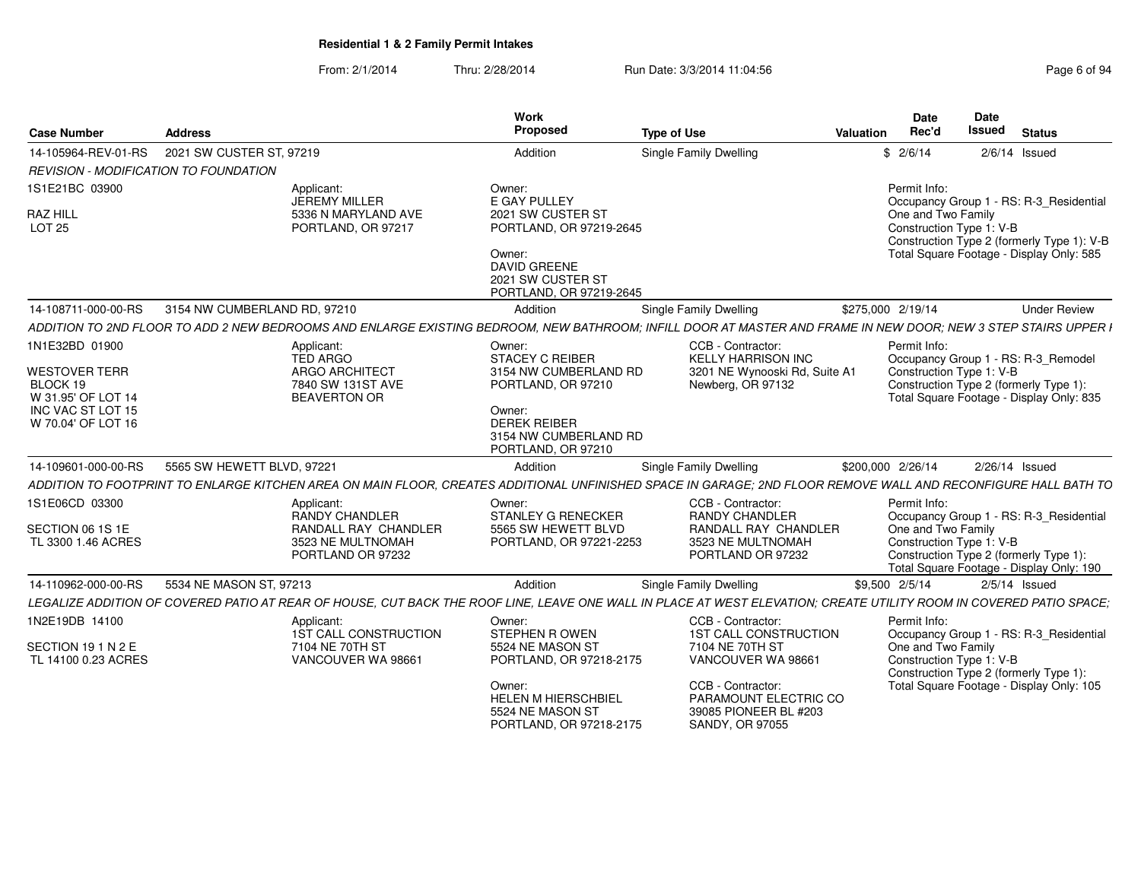#### From: 2/1/2014Thru: 2/28/2014 Run Date: 3/3/2014 11:04:56 Research 2010 12:56 Page 6 of 94

| <b>Case Number</b>                                                                                           | <b>Address</b>                                                                                                                                                      | Work<br>Proposed                                                                                                                                                      | <b>Type of Use</b>                                                                                                                                                                  | Valuation         | <b>Date</b><br>Rec'd                                           | Date<br><b>Issued</b> | <b>Status</b>                                                                                                                                       |
|--------------------------------------------------------------------------------------------------------------|---------------------------------------------------------------------------------------------------------------------------------------------------------------------|-----------------------------------------------------------------------------------------------------------------------------------------------------------------------|-------------------------------------------------------------------------------------------------------------------------------------------------------------------------------------|-------------------|----------------------------------------------------------------|-----------------------|-----------------------------------------------------------------------------------------------------------------------------------------------------|
| 14-105964-REV-01-RS                                                                                          | 2021 SW CUSTER ST, 97219                                                                                                                                            | Addition                                                                                                                                                              | <b>Single Family Dwelling</b>                                                                                                                                                       |                   | \$2/6/14                                                       |                       | $2/6/14$ Issued                                                                                                                                     |
| REVISION - MODIFICATION TO FOUNDATION                                                                        |                                                                                                                                                                     |                                                                                                                                                                       |                                                                                                                                                                                     |                   |                                                                |                       |                                                                                                                                                     |
| 1S1E21BC 03900<br>RAZ HILL<br><b>LOT 25</b>                                                                  | Applicant:<br>JEREMY MILLER<br>5336 N MARYLAND AVE<br>PORTLAND, OR 97217                                                                                            | Owner:<br>E GAY PULLEY<br>2021 SW CUSTER ST<br>PORTLAND, OR 97219-2645<br>Owner:<br><b>DAVID GREENE</b><br>2021 SW CUSTER ST<br>PORTLAND, OR 97219-2645               |                                                                                                                                                                                     |                   | Permit Info:<br>One and Two Family<br>Construction Type 1: V-B |                       | Occupancy Group 1 - RS: R-3_Residential<br>Construction Type 2 (formerly Type 1): V-B<br>Total Square Footage - Display Only: 585                   |
| 14-108711-000-00-RS                                                                                          | 3154 NW CUMBERLAND RD, 97210                                                                                                                                        | Addition                                                                                                                                                              | <b>Single Family Dwelling</b>                                                                                                                                                       | \$275,000 2/19/14 |                                                                |                       | <b>Under Review</b>                                                                                                                                 |
|                                                                                                              | ADDITION TO 2ND FLOOR TO ADD 2 NEW BEDROOMS AND ENLARGE EXISTING BEDROOM. NEW BATHROOM: INFILL DOOR AT MASTER AND FRAME IN NEW DOOR: NEW 3 STEP STAIRS UPPER I      |                                                                                                                                                                       |                                                                                                                                                                                     |                   |                                                                |                       |                                                                                                                                                     |
| 1N1E32BD 01900<br>WESTOVER TERR<br>BLOCK 19<br>W 31.95' OF LOT 14<br>INC VAC ST LOT 15<br>W 70.04' OF LOT 16 | Applicant:<br><b>TED ARGO</b><br><b>ARGO ARCHITECT</b><br>7840 SW 131ST AVE<br><b>BEAVERTON OR</b>                                                                  | Owner:<br><b>STACEY C REIBER</b><br>3154 NW CUMBERLAND RD<br>PORTLAND, OR 97210<br>Owner:<br><b>DEREK REIBER</b><br>3154 NW CUMBERLAND RD<br>PORTLAND, OR 97210       | CCB - Contractor:<br><b>KELLY HARRISON INC</b><br>3201 NE Wynooski Rd, Suite A1<br>Newberg, OR 97132                                                                                |                   | Permit Info:<br>Construction Type 1: V-B                       |                       | Occupancy Group 1 - RS: R-3_Remodel<br>Construction Type 2 (formerly Type 1):<br>Total Square Footage - Display Only: 835                           |
| 14-109601-000-00-RS                                                                                          | 5565 SW HEWETT BLVD, 97221                                                                                                                                          | Addition                                                                                                                                                              | <b>Single Family Dwelling</b>                                                                                                                                                       | \$200,000 2/26/14 |                                                                |                       | 2/26/14 Issued                                                                                                                                      |
|                                                                                                              | ADDITION TO FOOTPRINT TO ENLARGE KITCHEN AREA ON MAIN FLOOR, CREATES ADDITIONAL UNFINISHED SPACE IN GARAGE; 2ND FLOOR REMOVE WALL AND RECONFIGURE HALL BATH TO      |                                                                                                                                                                       |                                                                                                                                                                                     |                   |                                                                |                       |                                                                                                                                                     |
| 1S1E06CD 03300<br>SECTION 06 1S 1E<br>TL 3300 1.46 ACRES                                                     | Applicant:<br>RANDY CHANDLER<br>RANDALL RAY CHANDLER<br>3523 NE MULTNOMAH<br>PORTLAND OR 97232                                                                      | Owner:<br><b>STANLEY G RENECKER</b><br>5565 SW HEWETT BLVD<br>PORTLAND, OR 97221-2253                                                                                 | CCB - Contractor:<br><b>RANDY CHANDLER</b><br>RANDALL RAY CHANDLER<br>3523 NE MULTNOMAH<br>PORTLAND OR 97232                                                                        |                   | Permit Info:<br>One and Two Family<br>Construction Type 1: V-B |                       | Occupancy Group 1 - RS: R-3 Residential<br>Construction Type 2 (formerly Type 1):<br>Total Square Footage - Display Only: 190                       |
| 14-110962-000-00-RS                                                                                          | 5534 NE MASON ST, 97213                                                                                                                                             | Addition                                                                                                                                                              | <b>Single Family Dwelling</b>                                                                                                                                                       | \$9,500 2/5/14    |                                                                |                       | $2/5/14$ Issued                                                                                                                                     |
|                                                                                                              | LEGALIZE ADDITION OF COVERED PATIO AT REAR OF HOUSE. CUT BACK THE ROOF LINE. LEAVE ONE WALL IN PLACE AT WEST ELEVATION: CREATE UTILITY ROOM IN COVERED PATIO SPACE: |                                                                                                                                                                       |                                                                                                                                                                                     |                   |                                                                |                       |                                                                                                                                                     |
| 1N2E19DB 14100<br>SECTION 191N2E<br>TL 14100 0.23 ACRES                                                      | Applicant:<br>1ST CALL CONSTRUCTION<br>7104 NE 70TH ST<br>VANCOUVER WA 98661                                                                                        | Owner:<br><b>STEPHEN R OWEN</b><br>5524 NE MASON ST<br>PORTLAND, OR 97218-2175<br>Owner:<br><b>HELEN M HIERSCHBIEL</b><br>5524 NE MASON ST<br>PORTLAND, OR 97218-2175 | CCB - Contractor<br><b>1ST CALL CONSTRUCTION</b><br>7104 NE 70TH ST<br>VANCOUVER WA 98661<br>CCB - Contractor:<br>PARAMOUNT ELECTRIC CO<br>39085 PIONEER BL #203<br>SANDY, OR 97055 |                   | Permit Info:<br>Construction Type 1: V-B                       |                       | Occupancy Group 1 - RS: R-3_Residential<br>One and Two Family<br>Construction Type 2 (formerly Type 1):<br>Total Square Footage - Display Only: 105 |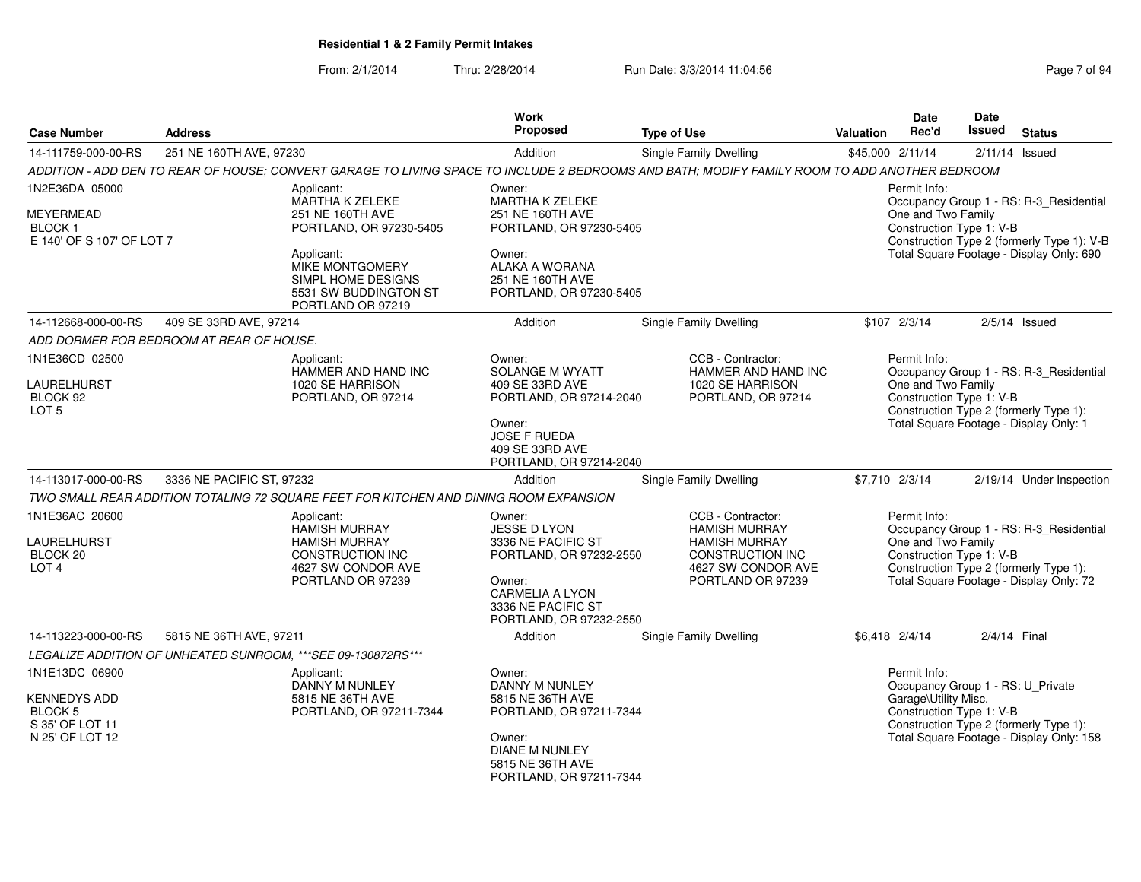#### From: 2/1/2014Thru: 2/28/2014 Run Date: 3/3/2014 11:04:56 Research 2010 12:04:56

| <b>Case Number</b>                                                                            | <b>Address</b>                           |                                                                                                                                  | Work<br><b>Proposed</b>                                                                                                                                             | <b>Type of Use</b>                                                                                                                            | Valuation        | Date<br>Rec'd                                                    | <b>Date</b><br>Issued | <b>Status</b>                                                                                                                |
|-----------------------------------------------------------------------------------------------|------------------------------------------|----------------------------------------------------------------------------------------------------------------------------------|---------------------------------------------------------------------------------------------------------------------------------------------------------------------|-----------------------------------------------------------------------------------------------------------------------------------------------|------------------|------------------------------------------------------------------|-----------------------|------------------------------------------------------------------------------------------------------------------------------|
| 14-111759-000-00-RS                                                                           | 251 NE 160TH AVE, 97230                  |                                                                                                                                  | Addition                                                                                                                                                            | Single Family Dwelling                                                                                                                        | \$45,000 2/11/14 |                                                                  |                       | $2/11/14$ Issued                                                                                                             |
|                                                                                               |                                          |                                                                                                                                  |                                                                                                                                                                     | ADDITION - ADD DEN TO REAR OF HOUSE: CONVERT GARAGE TO LIVING SPACE TO INCLUDE 2 BEDROOMS AND BATH: MODIFY FAMILY ROOM TO ADD ANOTHER BEDROOM |                  |                                                                  |                       |                                                                                                                              |
| 1N2E36DA 05000                                                                                |                                          | Applicant:                                                                                                                       | Owner:                                                                                                                                                              |                                                                                                                                               |                  | Permit Info:                                                     |                       |                                                                                                                              |
| MEYERMEAD<br><b>BLOCK1</b><br>E 140' OF S 107' OF LOT 7                                       |                                          | MARTHA K ZELEKE<br>251 NE 160TH AVE<br>PORTLAND, OR 97230-5405                                                                   | <b>MARTHA K ZELEKE</b><br>251 NE 160TH AVE<br>PORTLAND, OR 97230-5405                                                                                               |                                                                                                                                               |                  | One and Two Family<br>Construction Type 1: V-B                   |                       | Occupancy Group 1 - RS: R-3_Residential<br>Construction Type 2 (formerly Type 1): V-B                                        |
|                                                                                               |                                          | Applicant:<br><b>MIKE MONTGOMERY</b><br>SIMPL HOME DESIGNS<br>5531 SW BUDDINGTON ST<br>PORTLAND OR 97219                         | Owner:<br>ALAKA A WORANA<br>251 NE 160TH AVE<br>PORTLAND, OR 97230-5405                                                                                             |                                                                                                                                               |                  |                                                                  |                       | Total Square Footage - Display Only: 690                                                                                     |
| 14-112668-000-00-RS                                                                           | 409 SE 33RD AVE, 97214                   |                                                                                                                                  | Addition                                                                                                                                                            | <b>Single Family Dwelling</b>                                                                                                                 |                  | \$107 2/3/14                                                     |                       | $2/5/14$ Issued                                                                                                              |
|                                                                                               | ADD DORMER FOR BEDROOM AT REAR OF HOUSE. |                                                                                                                                  |                                                                                                                                                                     |                                                                                                                                               |                  |                                                                  |                       |                                                                                                                              |
| 1N1E36CD 02500                                                                                |                                          | Applicant:<br>HAMMER AND HAND INC                                                                                                | Owner:<br>SOLANGE M WYATT                                                                                                                                           | CCB - Contractor:<br>HAMMER AND HAND INC                                                                                                      |                  | Permit Info:                                                     |                       | Occupancy Group 1 - RS: R-3_Residential                                                                                      |
| LAURELHURST<br>BLOCK 92<br>LOT <sub>5</sub>                                                   |                                          | 1020 SE HARRISON<br>PORTLAND, OR 97214                                                                                           | 409 SE 33RD AVE<br>PORTLAND, OR 97214-2040                                                                                                                          | 1020 SE HARRISON<br>PORTLAND, OR 97214                                                                                                        |                  | One and Two Family<br>Construction Type 1: V-B                   |                       | Construction Type 2 (formerly Type 1):                                                                                       |
|                                                                                               |                                          |                                                                                                                                  | Owner:<br>JOSE F RUEDA<br>409 SE 33RD AVE<br>PORTLAND, OR 97214-2040                                                                                                |                                                                                                                                               |                  |                                                                  |                       | Total Square Footage - Display Only: 1                                                                                       |
| 14-113017-000-00-RS                                                                           | 3336 NE PACIFIC ST, 97232                |                                                                                                                                  | Addition                                                                                                                                                            | <b>Single Family Dwelling</b>                                                                                                                 |                  | \$7,710 2/3/14                                                   |                       | 2/19/14 Under Inspection                                                                                                     |
|                                                                                               |                                          | TWO SMALL REAR ADDITION TOTALING 72 SQUARE FEET FOR KITCHEN AND DINING ROOM EXPANSION                                            |                                                                                                                                                                     |                                                                                                                                               |                  |                                                                  |                       |                                                                                                                              |
| 1N1E36AC 20600<br><b>LAURELHURST</b><br>BLOCK <sub>20</sub><br>LOT <sub>4</sub>               |                                          | Applicant:<br><b>HAMISH MURRAY</b><br><b>HAMISH MURRAY</b><br><b>CONSTRUCTION INC</b><br>4627 SW CONDOR AVE<br>PORTLAND OR 97239 | Owner:<br><b>JESSE D LYON</b><br>3336 NE PACIFIC ST<br>PORTLAND, OR 97232-2550<br>Owner:<br><b>CARMELIA A LYON</b><br>3336 NE PACIFIC ST<br>PORTLAND, OR 97232-2550 | CCB - Contractor:<br><b>HAMISH MURRAY</b><br><b>HAMISH MURRAY</b><br><b>CONSTRUCTION INC</b><br>4627 SW CONDOR AVE<br>PORTLAND OR 97239       |                  | Permit Info:<br>One and Two Family<br>Construction Type 1: V-B   |                       | Occupancy Group 1 - RS: R-3 Residential<br>Construction Type 2 (formerly Type 1):<br>Total Square Footage - Display Only: 72 |
| 14-113223-000-00-RS                                                                           | 5815 NE 36TH AVE, 97211                  |                                                                                                                                  | Addition                                                                                                                                                            | Single Family Dwelling                                                                                                                        |                  | \$6,418 2/4/14                                                   | 2/4/14 Final          |                                                                                                                              |
|                                                                                               |                                          | LEGALIZE ADDITION OF UNHEATED SUNROOM, *** SEE 09-130872RS***                                                                    |                                                                                                                                                                     |                                                                                                                                               |                  |                                                                  |                       |                                                                                                                              |
| 1N1E13DC 06900<br><b>KENNEDYS ADD</b><br><b>BLOCK 5</b><br>S 35' OF LOT 11<br>N 25' OF LOT 12 |                                          | Applicant:<br>DANNY M NUNLEY<br>5815 NE 36TH AVE<br>PORTLAND, OR 97211-7344                                                      | Owner:<br>DANNY M NUNLEY<br>5815 NE 36TH AVE<br>PORTLAND, OR 97211-7344<br>Owner:<br><b>DIANE M NUNLEY</b><br>5815 NE 36TH AVE<br>PORTLAND, OR 97211-7344           |                                                                                                                                               |                  | Permit Info:<br>Garage\Utility Misc.<br>Construction Type 1: V-B |                       | Occupancy Group 1 - RS: U_Private<br>Construction Type 2 (formerly Type 1):<br>Total Square Footage - Display Only: 158      |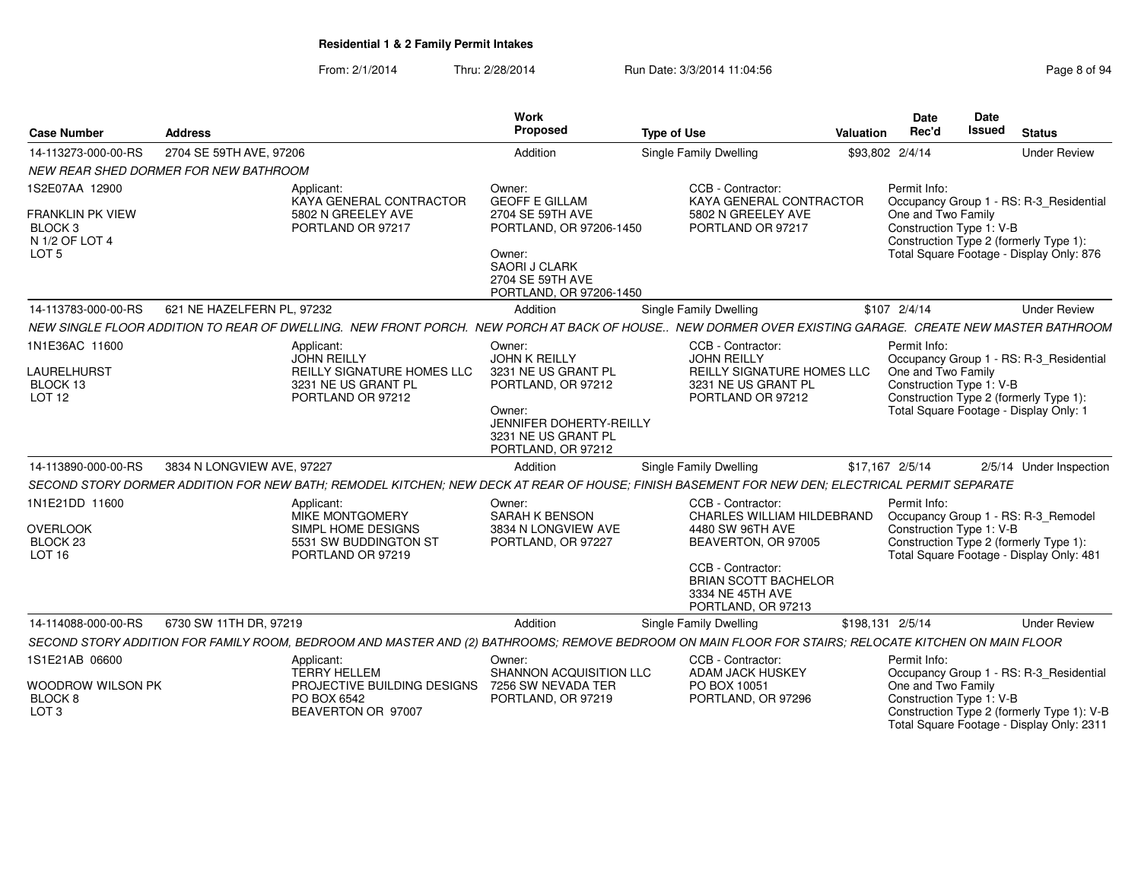From: 2/1/2014Thru: 2/28/2014 Run Date: 3/3/2014 11:04:56 Research 2010 12:56 Page 8 of 94

|                                           |                                                                                                                                                        |                                               | Work<br>Proposed                                                               |                               |                                                                                            |                  | Date                                                               | Date<br><b>Issued</b> |                                                                                         |
|-------------------------------------------|--------------------------------------------------------------------------------------------------------------------------------------------------------|-----------------------------------------------|--------------------------------------------------------------------------------|-------------------------------|--------------------------------------------------------------------------------------------|------------------|--------------------------------------------------------------------|-----------------------|-----------------------------------------------------------------------------------------|
| <b>Case Number</b>                        | <b>Address</b>                                                                                                                                         |                                               |                                                                                | <b>Type of Use</b>            |                                                                                            | Valuation        | Rec'd                                                              |                       | <b>Status</b>                                                                           |
| 14-113273-000-00-RS                       | 2704 SE 59TH AVE, 97206                                                                                                                                |                                               | Addition                                                                       | Single Family Dwelling        |                                                                                            |                  | \$93,802 2/4/14                                                    |                       | <b>Under Review</b>                                                                     |
|                                           | NEW REAR SHED DORMER FOR NEW BATHROOM                                                                                                                  |                                               |                                                                                |                               |                                                                                            |                  |                                                                    |                       |                                                                                         |
| 1S2E07AA 12900<br><b>FRANKLIN PK VIEW</b> | Applicant:                                                                                                                                             | KAYA GENERAL CONTRACTOR<br>5802 N GREELEY AVE | Owner:<br><b>GEOFF E GILLAM</b><br>2704 SE 59TH AVE                            |                               | CCB - Contractor:<br>KAYA GENERAL CONTRACTOR<br>5802 N GREELEY AVE                         |                  | Permit Info:<br>One and Two Family                                 |                       | Occupancy Group 1 - RS: R-3_Residential                                                 |
| BLOCK <sub>3</sub><br>N 1/2 OF LOT 4      |                                                                                                                                                        | PORTLAND OR 97217                             | PORTLAND, OR 97206-1450                                                        |                               | PORTLAND OR 97217                                                                          |                  | Construction Type 1: V-B<br>Construction Type 2 (formerly Type 1): |                       |                                                                                         |
| LOT <sub>5</sub>                          |                                                                                                                                                        |                                               | Owner:<br><b>SAORI J CLARK</b><br>2704 SE 59TH AVE<br>PORTLAND, OR 97206-1450  |                               |                                                                                            |                  |                                                                    |                       | Total Square Footage - Display Only: 876                                                |
| 14-113783-000-00-RS                       | 621 NE HAZELFERN PL. 97232                                                                                                                             |                                               | Addition                                                                       | <b>Single Family Dwelling</b> |                                                                                            |                  | \$107 2/4/14                                                       |                       | <b>Under Review</b>                                                                     |
|                                           | NEW SINGLE FLOOR ADDITION TO REAR OF DWELLING. NEW FRONT PORCH. NEW PORCH AT BACK OF HOUSE NEW DORMER OVER EXISTING GARAGE. CREATE NEW MASTER BATHROOM |                                               |                                                                                |                               |                                                                                            |                  |                                                                    |                       |                                                                                         |
| 1N1E36AC 11600                            | Applicant:<br><b>JOHN REILLY</b>                                                                                                                       |                                               | Owner:<br><b>JOHN K REILLY</b>                                                 |                               | CCB - Contractor:<br><b>JOHN REILLY</b>                                                    |                  | Permit Info:                                                       |                       | Occupancy Group 1 - RS: R-3_Residential                                                 |
| LAURELHURST                               |                                                                                                                                                        | REILLY SIGNATURE HOMES LLC                    | 3231 NE US GRANT PL                                                            |                               | REILLY SIGNATURE HOMES LLC                                                                 |                  | One and Two Family                                                 |                       |                                                                                         |
| BLOCK 13<br>LOT <sub>12</sub>             |                                                                                                                                                        | 3231 NE US GRANT PL<br>PORTLAND OR 97212      | PORTLAND, OR 97212                                                             |                               | 3231 NE US GRANT PL<br>PORTLAND OR 97212                                                   |                  | Construction Type 1: V-B<br>Construction Type 2 (formerly Type 1): |                       |                                                                                         |
|                                           |                                                                                                                                                        |                                               | Owner:<br>JENNIFER DOHERTY-REILLY<br>3231 NE US GRANT PL<br>PORTLAND, OR 97212 |                               |                                                                                            |                  | Total Square Footage - Display Only: 1                             |                       |                                                                                         |
| 14-113890-000-00-RS                       | 3834 N LONGVIEW AVE, 97227                                                                                                                             |                                               | Addition                                                                       | Single Family Dwelling        |                                                                                            |                  | \$17,167 2/5/14                                                    |                       | 2/5/14 Under Inspection                                                                 |
|                                           | SECOND STORY DORMER ADDITION FOR NEW BATH; REMODEL KITCHEN; NEW DECK AT REAR OF HOUSE; FINISH BASEMENT FOR NEW DEN; ELECTRICAL PERMIT SEPARATE         |                                               |                                                                                |                               |                                                                                            |                  |                                                                    |                       |                                                                                         |
| 1N1E21DD 11600                            | Applicant:                                                                                                                                             |                                               | Owner:                                                                         |                               | CCB - Contractor:                                                                          |                  | Permit Info:                                                       |                       |                                                                                         |
| <b>OVERLOOK</b>                           |                                                                                                                                                        | MIKE MONTGOMERY<br>SIMPL HOME DESIGNS         | <b>SARAH K BENSON</b><br>3834 N LONGVIEW AVE                                   |                               | CHARLES WILLIAM HILDEBRAND<br>4480 SW 96TH AVE                                             |                  | Construction Type 1: V-B                                           |                       | Occupancy Group 1 - RS: R-3_Remodel                                                     |
| BLOCK <sub>23</sub>                       |                                                                                                                                                        | 5531 SW BUDDINGTON ST                         | PORTLAND, OR 97227                                                             |                               | BEAVERTON, OR 97005                                                                        |                  | Construction Type 2 (formerly Type 1):                             |                       |                                                                                         |
| LOT <sub>16</sub>                         |                                                                                                                                                        | PORTLAND OR 97219                             |                                                                                |                               | CCB - Contractor:<br><b>BRIAN SCOTT BACHELOR</b><br>3334 NE 45TH AVE<br>PORTLAND, OR 97213 |                  |                                                                    |                       | Total Square Footage - Display Only: 481                                                |
| 14-114088-000-00-RS                       | 6730 SW 11TH DR, 97219                                                                                                                                 |                                               | Addition                                                                       | Single Family Dwelling        |                                                                                            | \$198,131 2/5/14 |                                                                    |                       | <b>Under Review</b>                                                                     |
|                                           | SECOND STORY ADDITION FOR FAMILY ROOM, BEDROOM AND MASTER AND (2) BATHROOMS; REMOVE BEDROOM ON MAIN FLOOR FOR STAIRS; RELOCATE KITCHEN ON MAIN FLOOR   |                                               |                                                                                |                               |                                                                                            |                  |                                                                    |                       |                                                                                         |
| 1S1E21AB 06600                            | Applicant:<br><b>TERRY HELLEM</b>                                                                                                                      |                                               | Owner:<br>SHANNON ACQUISITION LLC                                              |                               | CCB - Contractor:<br>ADAM JACK HUSKEY                                                      |                  | Permit Info:                                                       |                       | Occupancy Group 1 - RS: R-3_Residential                                                 |
| Woodrow Wilson PK<br>BLOCK 8              | PO BOX 6542                                                                                                                                            | PROJECTIVE BUILDING DESIGNS                   | 7256 SW NEVADA TER<br>PORTLAND, OR 97219                                       |                               | PO BOX 10051<br>PORTLAND, OR 97296                                                         |                  | One and Two Family<br>Construction Type 1: V-B                     |                       |                                                                                         |
| LOT <sub>3</sub>                          |                                                                                                                                                        | BEAVERTON OR 97007                            |                                                                                |                               |                                                                                            |                  |                                                                    |                       | Construction Type 2 (formerly Type 1): V-B<br>Total Square Footage - Display Only: 2311 |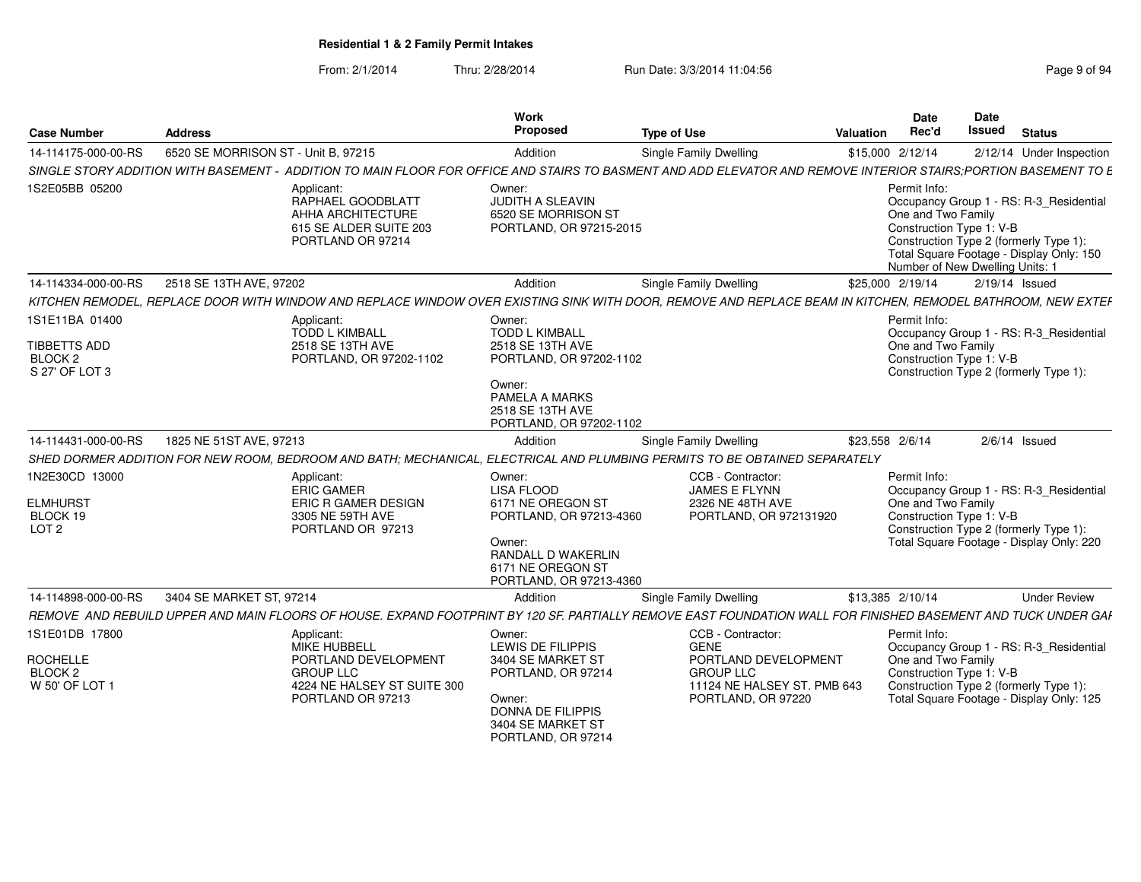#### From: 2/1/2014Thru: 2/28/2014 Run Date: 3/3/2014 11:04:56 Rage 9 of 94ge

| Page 9 of 94 |  |  |
|--------------|--|--|
|              |  |  |

| <b>Case Number</b>                                                        | <b>Address</b>                      |                                                                                                                            | Work<br><b>Proposed</b>                                                                                                                                     | <b>Type of Use</b>                                                                                                                                              | Date<br>Rec'd<br>Valuation                                                                        | Date<br><b>Issued</b> | <b>Status</b>                                                                                                                 |
|---------------------------------------------------------------------------|-------------------------------------|----------------------------------------------------------------------------------------------------------------------------|-------------------------------------------------------------------------------------------------------------------------------------------------------------|-----------------------------------------------------------------------------------------------------------------------------------------------------------------|---------------------------------------------------------------------------------------------------|-----------------------|-------------------------------------------------------------------------------------------------------------------------------|
| 14-114175-000-00-RS                                                       | 6520 SE MORRISON ST - Unit B, 97215 |                                                                                                                            | Addition                                                                                                                                                    | Single Family Dwelling                                                                                                                                          | \$15,000 2/12/14                                                                                  |                       | 2/12/14 Under Inspection                                                                                                      |
|                                                                           |                                     |                                                                                                                            |                                                                                                                                                             | SINGLE STORY ADDITION WITH BASEMENT - ADDITION TO MAIN FLOOR FOR OFFICE AND STAIRS TO BASMENT AND ADD ELEVATOR AND REMOVE INTERIOR STAIRS;PORTION BASEMENT TO E |                                                                                                   |                       |                                                                                                                               |
| 1S2E05BB 05200                                                            |                                     | Applicant:<br>RAPHAEL GOODBLATT<br>AHHA ARCHITECTURE<br>615 SE ALDER SUITE 203<br>PORTLAND OR 97214                        | Owner:<br>JUDITH A SLEAVIN<br>6520 SE MORRISON ST<br>PORTLAND, OR 97215-2015                                                                                |                                                                                                                                                                 | Permit Info:<br>One and Two Family<br>Construction Type 1: V-B<br>Number of New Dwelling Units: 1 |                       | Occupancy Group 1 - RS: R-3_Residential<br>Construction Type 2 (formerly Type 1):<br>Total Square Footage - Display Only: 150 |
| 14-114334-000-00-RS                                                       | 2518 SE 13TH AVE, 97202             |                                                                                                                            | Addition                                                                                                                                                    | Single Family Dwelling                                                                                                                                          | \$25,000 2/19/14                                                                                  |                       | 2/19/14 Issued                                                                                                                |
|                                                                           |                                     |                                                                                                                            |                                                                                                                                                             | KITCHEN REMODEL, REPLACE DOOR WITH WINDOW AND REPLACE WINDOW OVER EXISTING SINK WITH DOOR, REMOVE AND REPLACE BEAM IN KITCHEN, REMODEL BATHROOM, NEW EXTEF      |                                                                                                   |                       |                                                                                                                               |
| 1S1E11BA 01400<br>TIBBETTS ADD<br>BLOCK <sub>2</sub><br>S 27' OF LOT 3    |                                     | Applicant:<br>TODD L KIMBALL<br>2518 SE 13TH AVE<br>PORTLAND, OR 97202-1102                                                | Owner:<br>TODD L KIMBALL<br>2518 SE 13TH AVE<br>PORTLAND, OR 97202-1102<br>Owner:                                                                           |                                                                                                                                                                 | Permit Info:<br>One and Two Family<br>Construction Type 1: V-B                                    |                       | Occupancy Group 1 - RS: R-3_Residential<br>Construction Type 2 (formerly Type 1):                                             |
|                                                                           |                                     |                                                                                                                            | PAMELA A MARKS<br>2518 SE 13TH AVE<br>PORTLAND, OR 97202-1102                                                                                               |                                                                                                                                                                 |                                                                                                   |                       |                                                                                                                               |
| 14-114431-000-00-RS                                                       | 1825 NE 51ST AVE, 97213             |                                                                                                                            | Addition                                                                                                                                                    | <b>Single Family Dwelling</b>                                                                                                                                   | \$23,558 2/6/14                                                                                   |                       | $2/6/14$ Issued                                                                                                               |
|                                                                           |                                     |                                                                                                                            |                                                                                                                                                             | SHED DORMER ADDITION FOR NEW ROOM, BEDROOM AND BATH; MECHANICAL, ELECTRICAL AND PLUMBING PERMITS TO BE OBTAINED SEPARATELY                                      |                                                                                                   |                       |                                                                                                                               |
| 1N2E30CD 13000<br><b>ELMHURST</b><br>BLOCK 19<br>LOT <sub>2</sub>         |                                     | Applicant:<br>ERIC GAMER<br>ERIC R GAMER DESIGN<br>3305 NE 59TH AVE<br>PORTLAND OR 97213                                   | Owner:<br><b>LISA FLOOD</b><br>6171 NE OREGON ST<br>PORTLAND, OR 97213-4360<br>Owner:<br>RANDALL D WAKERLIN<br>6171 NE OREGON ST<br>PORTLAND, OR 97213-4360 | CCB - Contractor:<br>JAMES E FLYNN<br>2326 NE 48TH AVE<br>PORTLAND, OR 972131920                                                                                | Permit Info:<br>One and Two Family<br>Construction Type 1: V-B                                    |                       | Occupancy Group 1 - RS: R-3_Residential<br>Construction Type 2 (formerly Type 1):<br>Total Square Footage - Display Only: 220 |
| 14-114898-000-00-RS                                                       | 3404 SE MARKET ST, 97214            |                                                                                                                            | Addition                                                                                                                                                    | Single Family Dwelling                                                                                                                                          | \$13,385 2/10/14                                                                                  |                       | <b>Under Review</b>                                                                                                           |
|                                                                           |                                     |                                                                                                                            |                                                                                                                                                             | REMOVE AND REBUILD UPPER AND MAIN FLOORS OF HOUSE. EXPAND FOOTPRINT BY 120 SF. PARTIALLY REMOVE EAST FOUNDATION WALL FOR FINISHED BASEMENT AND TUCK UNDER GAF   |                                                                                                   |                       |                                                                                                                               |
| 1S1E01DB 17800<br><b>ROCHELLE</b><br>BLOCK <sub>2</sub><br>W 50' OF LOT · |                                     | Applicant:<br>MIKE HUBBELI<br>PORTLAND DEVELOPMENT<br><b>GROUP LLC</b><br>4224 NE HALSEY ST SUITE 300<br>PORTLAND OR 97213 | Owner:<br><b>LEWIS DE FILIPPIS</b><br>3404 SE MARKET ST<br>PORTLAND, OR 97214<br>Owner:<br>DONNA DE FILIPPIS<br>3404 SE MARKET ST<br>PORTLAND, OR 97214     | CCB - Contractor:<br><b>GENE</b><br>PORTLAND DEVELOPMENT<br><b>GROUP LLC</b><br>11124 NE HALSEY ST. PMB 643<br>PORTLAND, OR 97220                               | Permit Info:<br>One and Two Family<br>Construction Type 1: V-B                                    |                       | Occupancy Group 1 - RS: R-3_Residential<br>Construction Type 2 (formerly Type 1):<br>Total Square Footage - Display Only: 125 |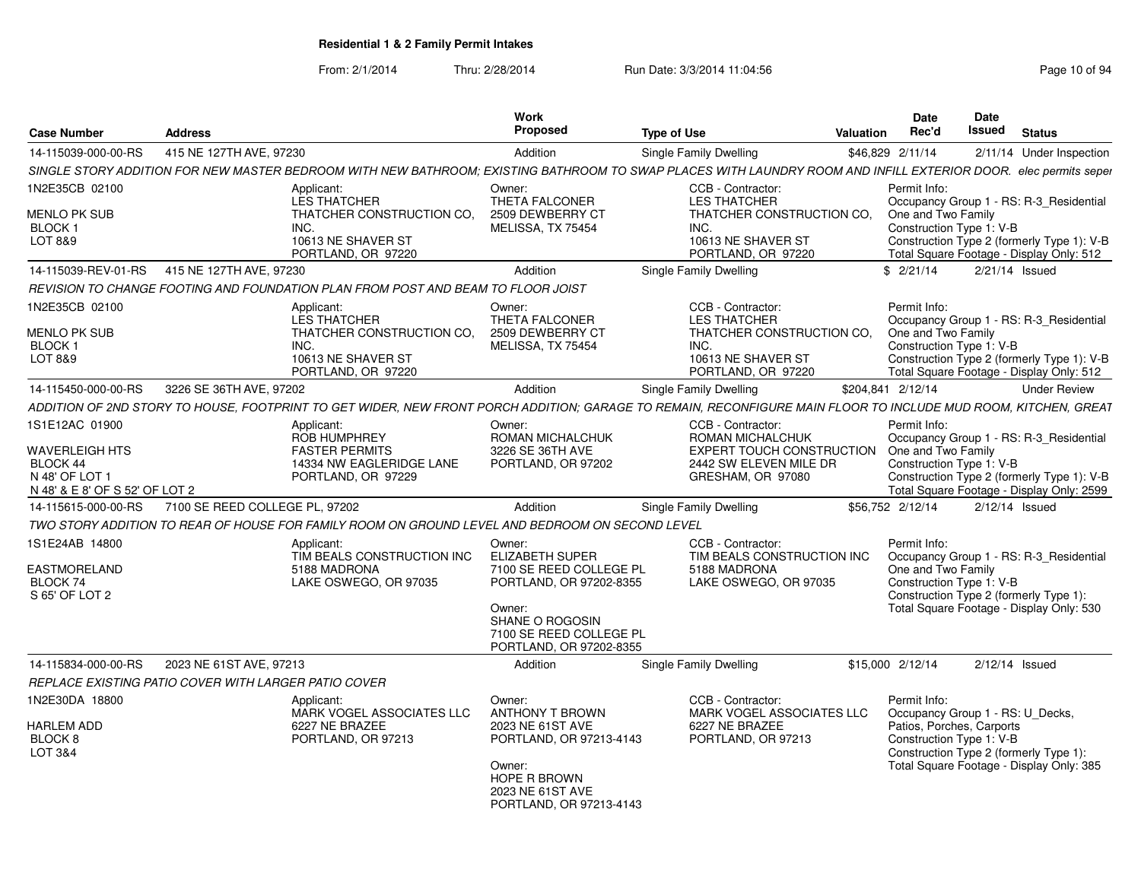From: 2/1/2014Thru: 2/28/2014 Run Date: 3/3/2014 11:04:56 Research 2010 134

|                                                                                |                                                      |                                                                                                 | Work<br>Proposed                                                                       |                                                                                                                                                                 | <b>Date</b><br>Rec'd               | <b>Date</b><br>Issued                                                                                                                       |                          |
|--------------------------------------------------------------------------------|------------------------------------------------------|-------------------------------------------------------------------------------------------------|----------------------------------------------------------------------------------------|-----------------------------------------------------------------------------------------------------------------------------------------------------------------|------------------------------------|---------------------------------------------------------------------------------------------------------------------------------------------|--------------------------|
| Case Number                                                                    | <b>Address</b>                                       |                                                                                                 |                                                                                        | <b>Type of Use</b>                                                                                                                                              | <b>Valuation</b>                   |                                                                                                                                             | <b>Status</b>            |
| 14-115039-000-00-RS                                                            | 415 NE 127TH AVE, 97230                              |                                                                                                 | Addition                                                                               | Single Family Dwelling                                                                                                                                          | \$46,829 2/11/14                   |                                                                                                                                             | 2/11/14 Under Inspection |
|                                                                                |                                                      |                                                                                                 |                                                                                        | SINGLE STORY ADDITION FOR NEW MASTER BEDROOM WITH NEW BATHROOM; EXISTING BATHROOM TO SWAP PLACES WITH LAUNDRY ROOM AND INFILL EXTERIOR DOOR. elec permits seper |                                    |                                                                                                                                             |                          |
| 1N2E35CB 02100<br>MENLO PK SUB                                                 |                                                      | Applicant:<br><b>LES THATCHER</b><br>THATCHER CONSTRUCTION CO,                                  | Owner:<br>THETA FALCONER<br>2509 DEWBERRY CT                                           | CCB - Contractor:<br><b>LES THATCHER</b><br>THATCHER CONSTRUCTION CO.                                                                                           | Permit Info:<br>One and Two Family | Occupancy Group 1 - RS: R-3_Residential                                                                                                     |                          |
| BLOCK ·<br>LOT 8&9                                                             | INC.                                                 | 10613 NE SHAVER ST                                                                              | MELISSA, TX 75454                                                                      | INC.<br>10613 NE SHAVER ST                                                                                                                                      |                                    | Construction Type 1: V-B<br>Construction Type 2 (formerly Type 1): V-B                                                                      |                          |
|                                                                                | 14-115039-REV-01-RS 415 NE 127TH AVE, 97230          | PORTLAND, OR 97220                                                                              | Addition                                                                               | PORTLAND, OR 97220<br><b>Single Family Dwelling</b>                                                                                                             | \$2/21/14                          | Total Square Footage - Display Only: 512<br>2/21/14 Issued                                                                                  |                          |
|                                                                                |                                                      | REVISION TO CHANGE FOOTING AND FOUNDATION PLAN FROM POST AND BEAM TO FLOOR JOIST                |                                                                                        |                                                                                                                                                                 |                                    |                                                                                                                                             |                          |
| N2E35CB 02100                                                                  |                                                      |                                                                                                 | Owner:                                                                                 | CCB - Contractor:                                                                                                                                               | Permit Info                        |                                                                                                                                             |                          |
| MENLO PK SUB<br><b>BLOCK1</b>                                                  | INC.                                                 | Applicant:<br>LES THATCHER<br>THATCHER CONSTRUCTION CO.                                         | THETA FALCONER<br>2509 DEWBERRY CT<br>MELISSA, TX 75454                                | <b>LES THATCHER</b><br>THATCHER CONSTRUCTION CO.<br>INC.                                                                                                        | One and Two Family                 | Occupancy Group 1 - RS: R-3 Residential<br>Construction Type 1: V-B                                                                         |                          |
| LOT 8&9                                                                        |                                                      | 10613 NE SHAVER ST<br>PORTLAND, OR 97220                                                        |                                                                                        | 10613 NE SHAVER ST<br>PORTLAND, OR 97220                                                                                                                        |                                    | Construction Type 2 (formerly Type 1): V-B<br>Total Square Footage - Display Only: 512                                                      |                          |
|                                                                                | 14-115450-000-00-RS 3226 SE 36TH AVE. 97202          |                                                                                                 | Addition                                                                               | <b>Single Family Dwelling</b>                                                                                                                                   | \$204.841 2/12/14                  |                                                                                                                                             | <b>Under Review</b>      |
|                                                                                |                                                      |                                                                                                 |                                                                                        | ADDITION OF 2ND STORY TO HOUSE. FOOTPRINT TO GET WIDER. NEW FRONT PORCH ADDITION: GARAGE TO REMAIN. RECONFIGURE MAIN FLOOR TO INCLUDE MUD ROOM. KITCHEN. GREAT  |                                    |                                                                                                                                             |                          |
| 1S1E12AC 01900                                                                 |                                                      | Applicant:<br><b>ROB HUMPHREY</b>                                                               | Owner:<br>ROMAN MICHALCHUK                                                             | CCB - Contractor:<br>ROMAN MICHALCHUK                                                                                                                           | Permit Info                        | Occupancy Group 1 - RS: R-3 Residential                                                                                                     |                          |
| WAVERLEIGH HTS<br>BLOCK 44<br>N 48' OF LOT 1<br>N 48' & E 8' OF S 52' OF LOT 2 |                                                      | <b>FASTER PERMITS</b><br>14334 NW EAGLERIDGE LANE<br>PORTLAND, OR 97229                         | 3226 SE 36TH AVE<br>PORTLAND, OR 97202                                                 | <b>EXPERT TOUCH CONSTRUCTION</b> One and Two Family<br>2442 SW ELEVEN MILE DR<br>GRESHAM, OR 97080                                                              | Construction Type 1: V-B           | Construction Type 2 (formerly Type 1): V-B<br>Total Square Footage - Display Only: 2599                                                     |                          |
|                                                                                | 14-115615-000-00-RS  7100 SE REED COLLEGE PL, 97202  |                                                                                                 | Addition                                                                               | Single Family Dwelling                                                                                                                                          | \$56,752 2/12/14                   | 2/12/14 Issued                                                                                                                              |                          |
|                                                                                |                                                      | TWO STORY ADDITION TO REAR OF HOUSE FOR FAMILY ROOM ON GROUND LEVEL AND BEDROOM ON SECOND LEVEL |                                                                                        |                                                                                                                                                                 |                                    |                                                                                                                                             |                          |
| 1S1E24AB 14800                                                                 |                                                      | Applicant:                                                                                      | Owner:                                                                                 | CCB - Contractor:                                                                                                                                               | Permit Info                        |                                                                                                                                             |                          |
| EASTMORELAND<br>BLOCK 74<br>S 65' OF LOT 2                                     |                                                      | TIM BEALS CONSTRUCTION INC<br>5188 MADRONA<br>LAKE OSWEGO, OR 97035                             | <b>ELIZABETH SUPER</b><br>7100 SE REED COLLEGE PL<br>PORTLAND, OR 97202-8355           | TIM BEALS CONSTRUCTION INC<br>5188 MADRONA<br>LAKE OSWEGO, OR 97035                                                                                             | One and Two Family                 | Occupancy Group 1 - RS: R-3_Residential<br>Construction Type 1: V-B<br>Construction Type 2 (formerly Type 1):                               |                          |
|                                                                                |                                                      |                                                                                                 | Owner:<br><b>SHANE O ROGOSIN</b><br>7100 SE REED COLLEGE PL<br>PORTLAND. OR 97202-8355 |                                                                                                                                                                 |                                    | Total Square Footage - Display Only: 530                                                                                                    |                          |
|                                                                                | 14-115834-000-00-RS     2023 NE 61ST AVE, 97213      |                                                                                                 | Addition                                                                               | <b>Single Family Dwelling</b>                                                                                                                                   | \$15,000 2/12/14                   | 2/12/14 Issued                                                                                                                              |                          |
|                                                                                | REPLACE EXISTING PATIO COVER WITH LARGER PATIO COVER |                                                                                                 |                                                                                        |                                                                                                                                                                 |                                    |                                                                                                                                             |                          |
| 1N2E30DA 18800                                                                 |                                                      | Applicant:<br>MARK VOGEL ASSOCIATES LLC                                                         | Owner:<br><b>ANTHONY T BROWN</b>                                                       | CCB - Contractor:<br>MARK VOGEL ASSOCIATES LLC                                                                                                                  | Permit Info:                       | Occupancy Group 1 - RS: U_Decks,                                                                                                            |                          |
| <b>HARLEM ADD</b><br>BLOCK <sub>8</sub><br>LOT 3&4                             |                                                      | 6227 NE BRAZEE<br>PORTLAND, OR 97213                                                            | 2023 NE 61ST AVE<br>PORTLAND, OR 97213-4143<br>Owner:<br>HOPE R BROWN                  | 6227 NE BRAZEE<br>PORTLAND, OR 97213                                                                                                                            |                                    | Patios, Porches, Carports<br>Construction Type 1: V-B<br>Construction Type 2 (formerly Type 1):<br>Total Square Footage - Display Only: 385 |                          |
|                                                                                |                                                      |                                                                                                 | 2023 NE 61ST AVE<br>PORTLAND, OR 97213-4143                                            |                                                                                                                                                                 |                                    |                                                                                                                                             |                          |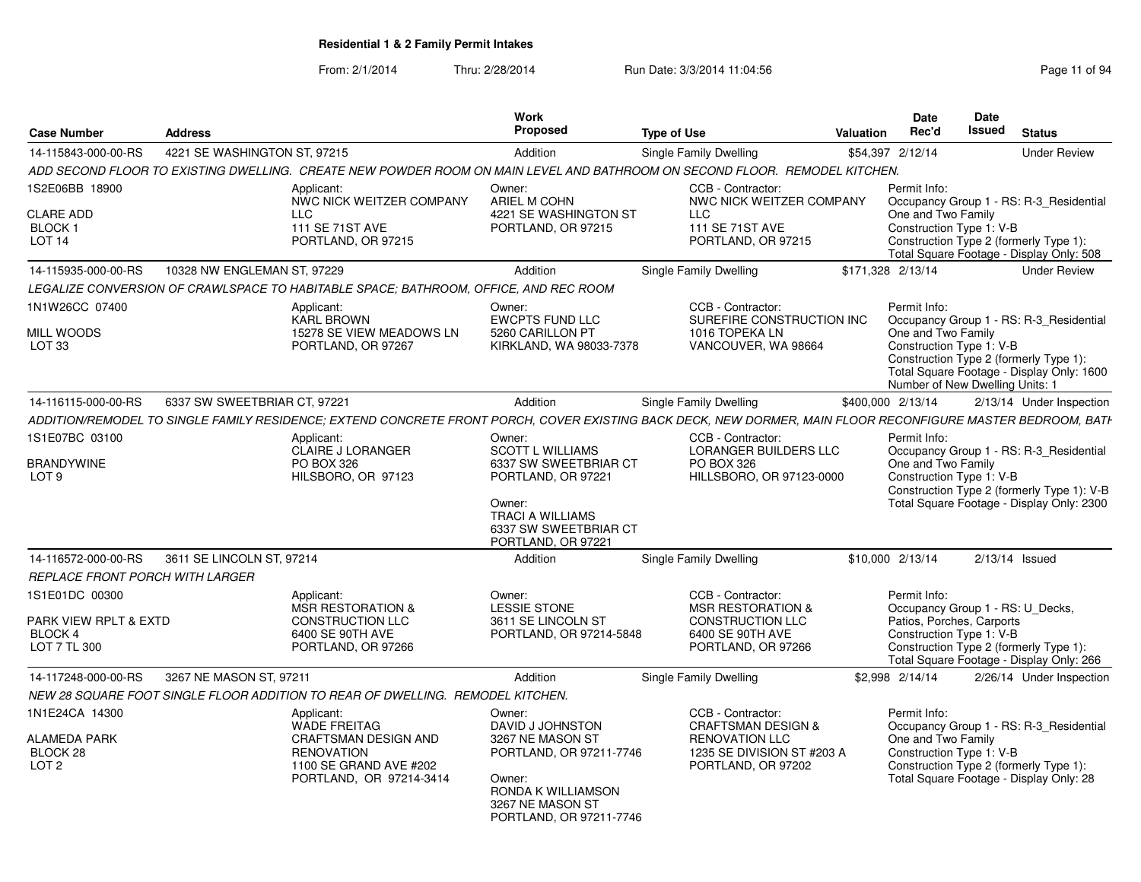From: 2/1/2014Thru: 2/28/2014 Run Date: 3/3/2014 11:04:56 Research 2010 11:04:56

| <b>Case Number</b>                     | <b>Address</b>                                                                                                                                              | Work<br>Proposed                            |                                                     | Date<br>Date<br>Rec'd<br><b>Issued</b> Status<br>Valuation                              |
|----------------------------------------|-------------------------------------------------------------------------------------------------------------------------------------------------------------|---------------------------------------------|-----------------------------------------------------|-----------------------------------------------------------------------------------------|
| 14-115843-000-00-RS                    | 4221 SE WASHINGTON ST, 97215                                                                                                                                | Addition                                    | <b>Type of Use</b>                                  | \$54,397 2/12/14<br><b>Under Review</b>                                                 |
|                                        | ADD SECOND FLOOR TO EXISTING DWELLING. CREATE NEW POWDER ROOM ON MAIN LEVEL AND BATHROOM ON SECOND FLOOR. REMODEL KITCHEN.                                  |                                             | Single Family Dwelling                              |                                                                                         |
| 1S2E06BB 18900                         |                                                                                                                                                             | Owner:                                      | CCB - Contractor:                                   | Permit Info:                                                                            |
|                                        | Applicant:<br>NWC NICK WEITZER COMPANY                                                                                                                      | ARIEL M COHN                                | NWC NICK WEITZER COMPANY                            | Occupancy Group 1 - RS: R-3_Residential                                                 |
| CLARE ADD                              | LLC.                                                                                                                                                        | 4221 SE WASHINGTON ST                       | LLC                                                 | One and Two Family                                                                      |
| <b>BLOCK1</b><br>LOT 14                | 111 SE 71ST AVE<br>PORTLAND, OR 97215                                                                                                                       | PORTLAND, OR 97215                          | 111 SE 71ST AVE<br>PORTLAND, OR 97215               | Construction Type 1: V-B<br>Construction Type 2 (formerly Type 1):                      |
|                                        |                                                                                                                                                             |                                             |                                                     | Total Square Footage - Display Only: 508                                                |
| 14-115935-000-00-RS                    | 10328 NW ENGLEMAN ST. 97229                                                                                                                                 | Addition                                    | Single Family Dwelling                              | \$171,328 2/13/14<br><b>Under Review</b>                                                |
|                                        | LEGALIZE CONVERSION OF CRAWLSPACE TO HABITABLE SPACE; BATHROOM, OFFICE, AND REC ROOM                                                                        |                                             |                                                     |                                                                                         |
| 1N1W26CC 07400                         | Applicant:                                                                                                                                                  | Owner:                                      | CCB - Contractor:                                   | Permit Info:                                                                            |
| MILL WOODS                             | <b>KARL BROWN</b><br>15278 SE VIEW MEADOWS LN                                                                                                               | <b>EWCPTS FUND LLC</b><br>5260 CARILLON PT  | SUREFIRE CONSTRUCTION INC<br>1016 TOPEKA LN         | Occupancy Group 1 - RS: R-3_Residential<br>One and Two Family                           |
| LOT <sub>33</sub>                      | PORTLAND, OR 97267                                                                                                                                          | KIRKLAND, WA 98033-7378                     | VANCOUVER, WA 98664                                 | Construction Type 1: V-B                                                                |
|                                        |                                                                                                                                                             |                                             |                                                     | Construction Type 2 (formerly Type 1):                                                  |
|                                        |                                                                                                                                                             |                                             |                                                     | Total Square Footage - Display Only: 1600                                               |
| 4-116115-000-00-RS                     | 6337 SW SWEETBRIAR CT. 97221                                                                                                                                | Addition                                    | <b>Single Family Dwelling</b>                       | Number of New Dwelling Units: 1<br>\$400,000 2/13/14<br>2/13/14 Under Inspection        |
|                                        | ADDITION/REMODEL TO SINGLE FAMILY RESIDENCE; EXTEND CONCRETE FRONT PORCH, COVER EXISTING BACK DECK, NEW DORMER, MAIN FLOOR RECONFIGURE MASTER BEDROOM, BATH |                                             |                                                     |                                                                                         |
| 1S1E07BC 03100                         |                                                                                                                                                             |                                             | CCB - Contractor:                                   |                                                                                         |
|                                        | Applicant:<br>CLAIRE J LORANGER                                                                                                                             | Owner:<br>SCOTT L WILLIAMS                  | <b>LORANGER BUILDERS LLC</b>                        | Permit Info:<br>Occupancy Group 1 - RS: R-3_Residential                                 |
| <b>BRANDYWINE</b>                      | PO BOX 326                                                                                                                                                  | 6337 SW SWEETBRIAR CT                       | PO BOX 326                                          | One and Two Family                                                                      |
| LOT 9                                  | HILSBORO, OR 97123                                                                                                                                          | PORTLAND, OR 97221                          | HILLSBORO, OR 97123-0000                            | Construction Type 1: V-B                                                                |
|                                        |                                                                                                                                                             | Owner:                                      |                                                     | Construction Type 2 (formerly Type 1): V-B<br>Total Square Footage - Display Only: 2300 |
|                                        |                                                                                                                                                             | <b>TRACI A WILLIAMS</b>                     |                                                     |                                                                                         |
|                                        |                                                                                                                                                             | 6337 SW SWEETBRIAR CT<br>PORTLAND, OR 97221 |                                                     |                                                                                         |
|                                        | 14-116572-000-00-RS 3611 SE LINCOLN ST, 97214                                                                                                               | Addition                                    | <b>Single Family Dwelling</b>                       | 2/13/14 Issued<br>\$10,000 2/13/14                                                      |
| <b>REPLACE FRONT PORCH WITH LARGER</b> |                                                                                                                                                             |                                             |                                                     |                                                                                         |
| 1S1E01DC 00300                         | Applicant:                                                                                                                                                  | Owner:                                      | CCB - Contractor:                                   | Permit Info:                                                                            |
|                                        | <b>MSR RESTORATION &amp;</b>                                                                                                                                | LESSIE STONE                                | <b>MSR RESTORATION &amp;</b>                        | Occupancy Group 1 - RS: U Decks,                                                        |
| PARK VIEW RPLT & EXTD                  | CONSTRUCTION LL                                                                                                                                             | 3611 SE LINCOLN ST                          | <b>CONSTRUCTION LLO</b>                             | Patios, Porches, Carports                                                               |
| BLOCK 4<br>LOT 7 TL 300                | 6400 SE 90TH AVE<br>PORTLAND, OR 97266                                                                                                                      | PORTLAND, OR 97214-5848                     | 6400 SE 90TH AVE<br>PORTLAND, OR 97266              | Construction Type 1: V-B<br>Construction Type 2 (formerly Type 1):                      |
|                                        |                                                                                                                                                             |                                             |                                                     | Total Square Footage - Display Only: 266                                                |
| 4-117248-000-00-RS                     | 3267 NE MASON ST. 97211                                                                                                                                     | Addition                                    | <b>Single Family Dwelling</b>                       | \$2,998 2/14/14<br>2/26/14 Under Inspection                                             |
|                                        | NEW 28 SQUARE FOOT SINGLE FLOOR ADDITION TO REAR OF DWELLING. REMODEL KITCHEN.                                                                              |                                             |                                                     |                                                                                         |
| 1N1E24CA 14300                         | Applicant:                                                                                                                                                  | Owner:                                      | CCB - Contractor:                                   | Permit Info:                                                                            |
|                                        | WADE FREITAG                                                                                                                                                | DAVID J JOHNSTON                            | <b>CRAFTSMAN DESIGN &amp;</b>                       | Occupancy Group 1 - RS: R-3_Residential                                                 |
| <b>ALAMEDA PARK</b><br>BLOCK 28        | CRAFTSMAN DESIGN AND<br><b>RENOVATION</b>                                                                                                                   | 3267 NE MASON ST<br>PORTLAND, OR 97211-7746 | <b>RENOVATION LLC</b><br>1235 SE DIVISION ST #203 A | One and Two Family<br>Construction Type 1: V-B                                          |
| LOT <sub>2</sub>                       | 1100 SE GRAND AVE #202                                                                                                                                      |                                             | PORTLAND, OR 97202                                  | Construction Type 2 (formerly Type 1):                                                  |
|                                        | PORTLAND, OR 97214-3414                                                                                                                                     | Owner:                                      |                                                     | Total Square Footage - Display Only: 28                                                 |
|                                        |                                                                                                                                                             | RONDA K WILLIAMSON<br>3267 NE MASON ST      |                                                     |                                                                                         |
|                                        |                                                                                                                                                             | PORTLAND, OR 97211-7746                     |                                                     |                                                                                         |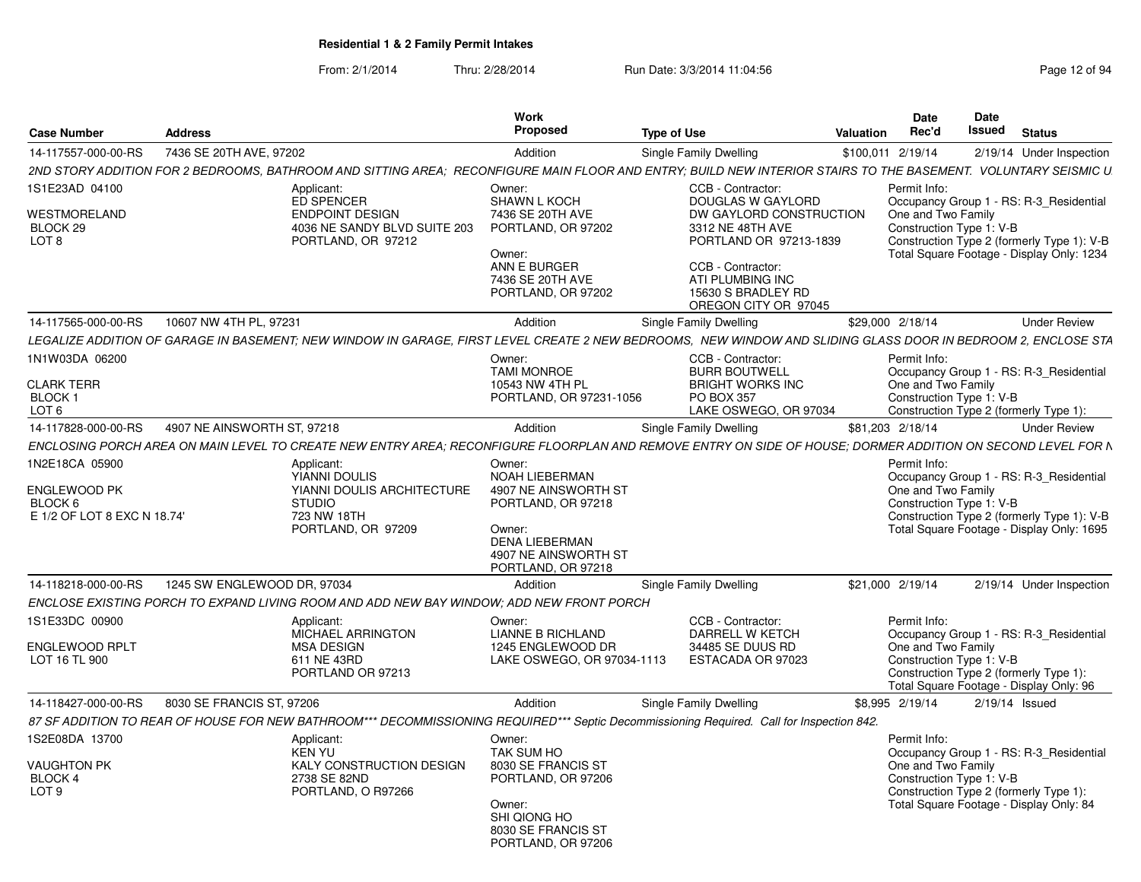| <b>Case Number</b>                                                       | <b>Address</b>              |                                                                                                                                                                | Work<br>Proposed                                                                                                                                        | <b>Type of Use</b>                                                                                                                                               | Valuation         | <b>Date</b><br>Rec'd                                           | Date<br>Issued | <b>Status</b>                                                                                                                      |
|--------------------------------------------------------------------------|-----------------------------|----------------------------------------------------------------------------------------------------------------------------------------------------------------|---------------------------------------------------------------------------------------------------------------------------------------------------------|------------------------------------------------------------------------------------------------------------------------------------------------------------------|-------------------|----------------------------------------------------------------|----------------|------------------------------------------------------------------------------------------------------------------------------------|
| 14-117557-000-00-RS                                                      | 7436 SE 20TH AVE, 97202     |                                                                                                                                                                | Addition                                                                                                                                                | Single Family Dwelling                                                                                                                                           | \$100,011 2/19/14 |                                                                |                | 2/19/14 Under Inspection                                                                                                           |
|                                                                          |                             | 2ND STORY ADDITION FOR 2 BEDROOMS, BATHROOM AND SITTING AREA; RECONFIGURE MAIN FLOOR AND ENTRY; BUILD NEW INTERIOR STAIRS TO THE BASEMENT. VOLUNTARY SEISMIC U |                                                                                                                                                         |                                                                                                                                                                  |                   |                                                                |                |                                                                                                                                    |
| IS1E23AD 04100                                                           |                             | Applicant:                                                                                                                                                     | Owner:                                                                                                                                                  | CCB - Contractor:                                                                                                                                                |                   | Permit Info:                                                   |                |                                                                                                                                    |
| WESTMORELAND<br>BLOCK 29<br>LOT 8                                        |                             | ED SPENCER<br><b>ENDPOINT DESIGN</b><br>4036 NE SANDY BLVD SUITE 203<br>PORTLAND, OR 97212                                                                     | <b>SHAWN L KOCH</b><br>7436 SE 20TH AVE<br>PORTLAND, OR 97202<br>Owner:<br>ANN E BURGER<br>7436 SE 20TH AVE<br>PORTLAND, OR 97202                       | <b>DOUGLAS W GAYLORD</b><br>DW GAYLORD CONSTRUCTION<br>3312 NE 48TH AVE<br>PORTLAND OR 97213-1839<br>CCB - Contractor:<br>ATI PLUMBING INC<br>15630 S BRADLEY RD |                   | One and Two Family<br>Construction Type 1: V-B                 |                | Occupancy Group 1 - RS: R-3_Residential<br>Construction Type 2 (formerly Type 1): V-B<br>Total Square Footage - Display Only: 1234 |
|                                                                          |                             |                                                                                                                                                                |                                                                                                                                                         | OREGON CITY OR 97045                                                                                                                                             |                   |                                                                |                |                                                                                                                                    |
| 14-117565-000-00-RS                                                      | 10607 NW 4TH PL, 97231      |                                                                                                                                                                | Addition                                                                                                                                                | Single Family Dwelling                                                                                                                                           | \$29,000 2/18/14  |                                                                |                | <b>Under Review</b>                                                                                                                |
|                                                                          |                             | LEGALIZE ADDITION OF GARAGE IN BASEMENT; NEW WINDOW IN GARAGE, FIRST LEVEL CREATE 2 NEW BEDROOMS, NEW WINDOW AND SLIDING GLASS DOOR IN BEDROOM 2, ENCLOSE STA  |                                                                                                                                                         |                                                                                                                                                                  |                   |                                                                |                |                                                                                                                                    |
| 1N1W03DA 06200<br><b>CLARK TERR</b>                                      |                             |                                                                                                                                                                | Owner:<br><b>TAMI MONROE</b><br>10543 NW 4TH PL                                                                                                         | CCB - Contractor:<br><b>BURR BOUTWELL</b><br><b>BRIGHT WORKS INC</b>                                                                                             |                   | Permit Info:<br>One and Two Family                             |                | Occupancy Group 1 - RS: R-3_Residential                                                                                            |
| <b>BLOCK1</b>                                                            |                             |                                                                                                                                                                | PORTLAND, OR 97231-1056                                                                                                                                 | <b>PO BOX 357</b>                                                                                                                                                |                   | Construction Type 1: V-B                                       |                |                                                                                                                                    |
| LOT <sub>6</sub>                                                         |                             |                                                                                                                                                                |                                                                                                                                                         | LAKE OSWEGO, OR 97034                                                                                                                                            |                   |                                                                |                | Construction Type 2 (formerly Type 1):                                                                                             |
| 14-117828-000-00-RS                                                      | 4907 NE AINSWORTH ST, 97218 |                                                                                                                                                                | Addition                                                                                                                                                | Single Family Dwelling                                                                                                                                           | \$81,203 2/18/14  |                                                                |                | <b>Under Review</b>                                                                                                                |
|                                                                          |                             | ENCLOSING PORCH AREA ON MAIN LEVEL TO CREATE NEW ENTRY AREA: RECONFIGURE FLOORPLAN AND REMOVE ENTRY ON SIDE OF HOUSE: DORMER ADDITION ON SECOND LEVEL FOR N    |                                                                                                                                                         |                                                                                                                                                                  |                   |                                                                |                |                                                                                                                                    |
| 1N2E18CA 05900<br>ENGLEWOOD PK<br>BLOCK 6<br>E 1/2 OF LOT 8 EXC N 18.74' |                             | Applicant:<br>YIANNI DOULIS<br>YIANNI DOULIS ARCHITECTURE<br><b>STUDIO</b><br>723 NW 18TH<br>PORTLAND, OR 97209                                                | Owner:<br>NOAH LIEBERMAN<br>4907 NE AINSWORTH ST<br>PORTLAND, OR 97218<br>Owner:<br><b>DENA LIEBERMAN</b><br>4907 NE AINSWORTH ST<br>PORTLAND, OR 97218 |                                                                                                                                                                  |                   | Permit Info:<br>One and Two Family<br>Construction Type 1: V-B |                | Occupancy Group 1 - RS: R-3_Residential<br>Construction Type 2 (formerly Type 1): V-B<br>Total Square Footage - Display Only: 1695 |
| 14-118218-000-00-RS                                                      | 1245 SW ENGLEWOOD DR, 97034 |                                                                                                                                                                | Addition                                                                                                                                                | Single Family Dwelling                                                                                                                                           | \$21,000 2/19/14  |                                                                |                | 2/19/14 Under Inspection                                                                                                           |
|                                                                          |                             | ENCLOSE EXISTING PORCH TO EXPAND LIVING ROOM AND ADD NEW BAY WINDOW; ADD NEW FRONT PORCH                                                                       |                                                                                                                                                         |                                                                                                                                                                  |                   |                                                                |                |                                                                                                                                    |
| 1S1E33DC 00900                                                           |                             | Applicant:                                                                                                                                                     | Owner:                                                                                                                                                  | CCB - Contractor:                                                                                                                                                |                   | Permit Info:                                                   |                |                                                                                                                                    |
| ENGLEWOOD RPLT<br>LOT 16 TL 900                                          |                             | MICHAEL ARRINGTON<br><b>MSA DESIGN</b><br>611 NE 43RD<br>PORTLAND OR 97213                                                                                     | LIANNE B RICHLAND<br>1245 ENGLEWOOD DR<br>LAKE OSWEGO, OR 97034-1113                                                                                    | DARRELL W KETCH<br>34485 SE DUUS RD<br>ESTACADA OR 97023                                                                                                         |                   | One and Two Family<br>Construction Type 1: V-B                 |                | Occupancy Group 1 - RS: R-3_Residential<br>Construction Type 2 (formerly Type 1):<br>Total Square Footage - Display Only: 96       |
| 14-118427-000-00-RS                                                      | 8030 SE FRANCIS ST, 97206   |                                                                                                                                                                | Addition                                                                                                                                                | Single Family Dwelling                                                                                                                                           | \$8,995 2/19/14   |                                                                |                | $2/19/14$ Issued                                                                                                                   |
|                                                                          |                             | 87 SF ADDITION TO REAR OF HOUSE FOR NEW BATHROOM*** DECOMMISSIONING REQUIRED*** Septic Decommissioning Required. Call for Inspection 842.                      |                                                                                                                                                         |                                                                                                                                                                  |                   |                                                                |                |                                                                                                                                    |
| 1S2E08DA 13700<br><b>VAUGHTON PK</b><br>BLOCK 4<br>LOT 9                 |                             | Applicant:<br><b>KEN YU</b><br>KALY CONSTRUCTION DESIGN<br>2738 SE 82ND<br>PORTLAND, O R97266                                                                  | Owner:<br><b>TAK SUM HO</b><br>8030 SE FRANCIS ST<br>PORTLAND, OR 97206                                                                                 |                                                                                                                                                                  |                   | Permit Info:<br>One and Two Family<br>Construction Type 1: V-B |                | Occupancy Group 1 - RS: R-3 Residential<br>Construction Type 2 (formerly Type 1):                                                  |
|                                                                          |                             |                                                                                                                                                                | Owner:<br>SHI QIONG HO<br>8030 SE FRANCIS ST<br>PORTLAND, OR 97206                                                                                      |                                                                                                                                                                  |                   |                                                                |                | Total Square Footage - Display Only: 84                                                                                            |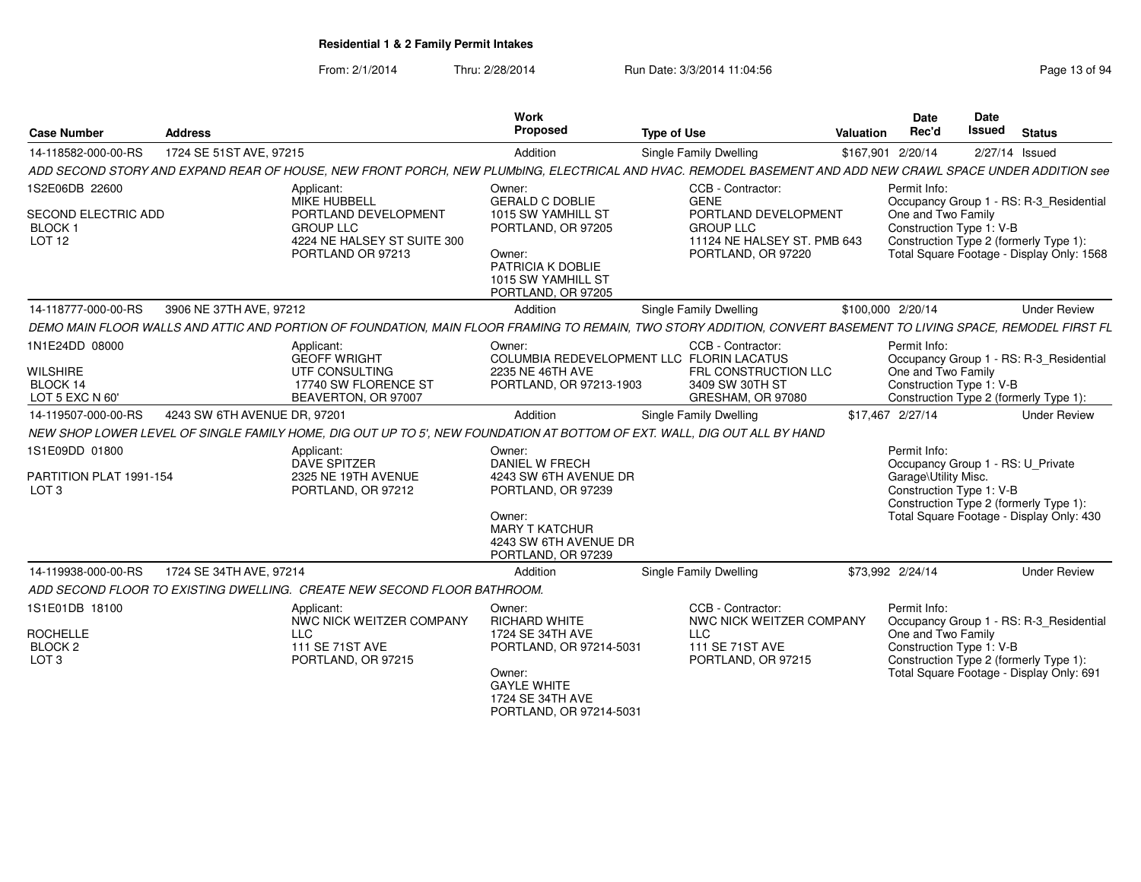| <b>Case Number</b>                                                          | <b>Address</b>               |                                                                                                                                                                 | Work<br><b>Proposed</b>                                                                                                                                          | <b>Type of Use</b>                                   |                                                                           | <b>Valuation</b> | <b>Date</b><br>Rec'd                                                                                  | Date<br><b>Issued</b> | <b>Status</b>                                                                                                                  |
|-----------------------------------------------------------------------------|------------------------------|-----------------------------------------------------------------------------------------------------------------------------------------------------------------|------------------------------------------------------------------------------------------------------------------------------------------------------------------|------------------------------------------------------|---------------------------------------------------------------------------|------------------|-------------------------------------------------------------------------------------------------------|-----------------------|--------------------------------------------------------------------------------------------------------------------------------|
| 14-118582-000-00-RS                                                         | 1724 SE 51ST AVE, 97215      |                                                                                                                                                                 | Addition                                                                                                                                                         | Single Family Dwelling                               |                                                                           |                  | \$167,901 2/20/14                                                                                     |                       | 2/27/14 Issued                                                                                                                 |
|                                                                             |                              | ADD SECOND STORY AND EXPAND REAR OF HOUSE. NEW FRONT PORCH. NEW PLUMbING. ELECTRICAL AND HVAC. REMODEL BASEMENT AND ADD NEW CRAWL SPACE UNDER ADDITION see      |                                                                                                                                                                  |                                                      |                                                                           |                  |                                                                                                       |                       |                                                                                                                                |
| 1S2E06DB 22600<br>SECOND ELECTRIC ADD<br><b>BLOCK1</b><br>LOT 12            |                              | Applicant:<br><b>MIKE HUBBELL</b><br>PORTLAND DEVELOPMENT<br><b>GROUP LLC</b><br>4224 NE HALSEY ST SUITE 300<br>PORTLAND OR 97213                               | Owner:<br><b>GERALD C DOBLIE</b><br>1015 SW YAMHILL ST<br>PORTLAND, OR 97205<br>Owner:<br>PATRICIA K DOBLIE<br>1015 SW YAMHILL ST<br>PORTLAND, OR 97205          | CCB - Contractor:<br><b>GENE</b><br><b>GROUP LLC</b> | PORTLAND DEVELOPMENT<br>11124 NE HALSEY ST. PMB 643<br>PORTLAND, OR 97220 |                  | Permit Info:<br>One and Two Family<br>Construction Type 1: V-B                                        |                       | Occupancy Group 1 - RS: R-3_Residential<br>Construction Type 2 (formerly Type 1):<br>Total Square Footage - Display Only: 1568 |
| 14-118777-000-00-RS                                                         | 3906 NE 37TH AVE, 97212      |                                                                                                                                                                 | Addition                                                                                                                                                         | Single Family Dwelling                               |                                                                           |                  | \$100,000 2/20/14                                                                                     |                       | <b>Under Review</b>                                                                                                            |
|                                                                             |                              | DEMO MAIN FLOOR WALLS AND ATTIC AND PORTION OF FOUNDATION. MAIN FLOOR FRAMING TO REMAIN. TWO STORY ADDITION. CONVERT BASEMENT TO LIVING SPACE. REMODEL FIRST FL |                                                                                                                                                                  |                                                      |                                                                           |                  |                                                                                                       |                       |                                                                                                                                |
| 1N1E24DD 08000<br><b>WILSHIRE</b><br>BLOCK 14<br>LOT 5 EXC N 60'            |                              | Applicant:<br><b>GEOFF WRIGHT</b><br>UTF CONSULTING<br>17740 SW FLORENCE ST<br>BEAVERTON, OR 97007                                                              | Owner:<br>COLUMBIA REDEVELOPMENT LLC FLORIN LACATUS<br>2235 NE 46TH AVE<br>PORTLAND, OR 97213-1903                                                               | CCB - Contractor:<br>3409 SW 30TH ST                 | FRL CONSTRUCTION LLC<br>GRESHAM, OR 97080                                 |                  | Permit Info:<br>One and Two Family<br>Construction Type 1: V-B                                        |                       | Occupancy Group 1 - RS: R-3_Residential<br>Construction Type 2 (formerly Type 1):                                              |
| 14-119507-000-00-RS                                                         | 4243 SW 6TH AVENUE DR, 97201 |                                                                                                                                                                 | Addition                                                                                                                                                         | Single Family Dwelling                               |                                                                           |                  | \$17,467 2/27/14                                                                                      |                       | <b>Under Review</b>                                                                                                            |
|                                                                             |                              | NEW SHOP LOWER LEVEL OF SINGLE FAMILY HOME, DIG OUT UP TO 5', NEW FOUNDATION AT BOTTOM OF EXT. WALL, DIG OUT ALL BY HAND                                        |                                                                                                                                                                  |                                                      |                                                                           |                  |                                                                                                       |                       |                                                                                                                                |
| 1S1E09DD 01800<br>PARTITION PLAT 1991-154<br>LOT <sub>3</sub>               |                              | Applicant:<br><b>DAVE SPITZER</b><br>2325 NE 19TH AVENUE<br>PORTLAND, OR 97212                                                                                  | Owner:<br><b>DANIEL W FRECH</b><br>4243 SW 6TH AVENUE DR<br>PORTLAND, OR 97239<br>Owner:<br><b>MARY T KATCHUR</b><br>4243 SW 6TH AVENUE DR<br>PORTLAND, OR 97239 |                                                      |                                                                           |                  | Permit Info:<br>Occupancy Group 1 - RS: U_Private<br>Garage\Utility Misc.<br>Construction Type 1: V-B |                       | Construction Type 2 (formerly Type 1):<br>Total Square Footage - Display Only: 430                                             |
| 14-119938-000-00-RS                                                         | 1724 SE 34TH AVE, 97214      |                                                                                                                                                                 | Addition                                                                                                                                                         | Single Family Dwelling                               |                                                                           |                  | \$73,992 2/24/14                                                                                      |                       | <b>Under Review</b>                                                                                                            |
|                                                                             |                              | ADD SECOND FLOOR TO EXISTING DWELLING. CREATE NEW SECOND FLOOR BATHROOM.                                                                                        |                                                                                                                                                                  |                                                      |                                                                           |                  |                                                                                                       |                       |                                                                                                                                |
| 1S1E01DB 18100<br><b>ROCHELLE</b><br>BLOCK <sub>2</sub><br>LOT <sub>3</sub> |                              | Applicant:<br>NWC NICK WEITZER COMPANY<br><b>LLC</b><br>111 SE 71ST AVE<br>PORTLAND, OR 97215                                                                   | Owner:<br><b>RICHARD WHITE</b><br>1724 SE 34TH AVE<br>PORTLAND, OR 97214-5031<br>Owner:<br><b>GAYLE WHITE</b><br>1724 SE 34TH AVE<br>PORTLAND, OR 97214-5031     | CCB - Contractor:<br><b>LLC</b><br>111 SE 71ST AVE   | NWC NICK WEITZER COMPANY<br>PORTLAND, OR 97215                            |                  | Permit Info:<br>One and Two Family<br>Construction Type 1: V-B                                        |                       | Occupancy Group 1 - RS: R-3_Residential<br>Construction Type 2 (formerly Type 1):<br>Total Square Footage - Display Only: 691  |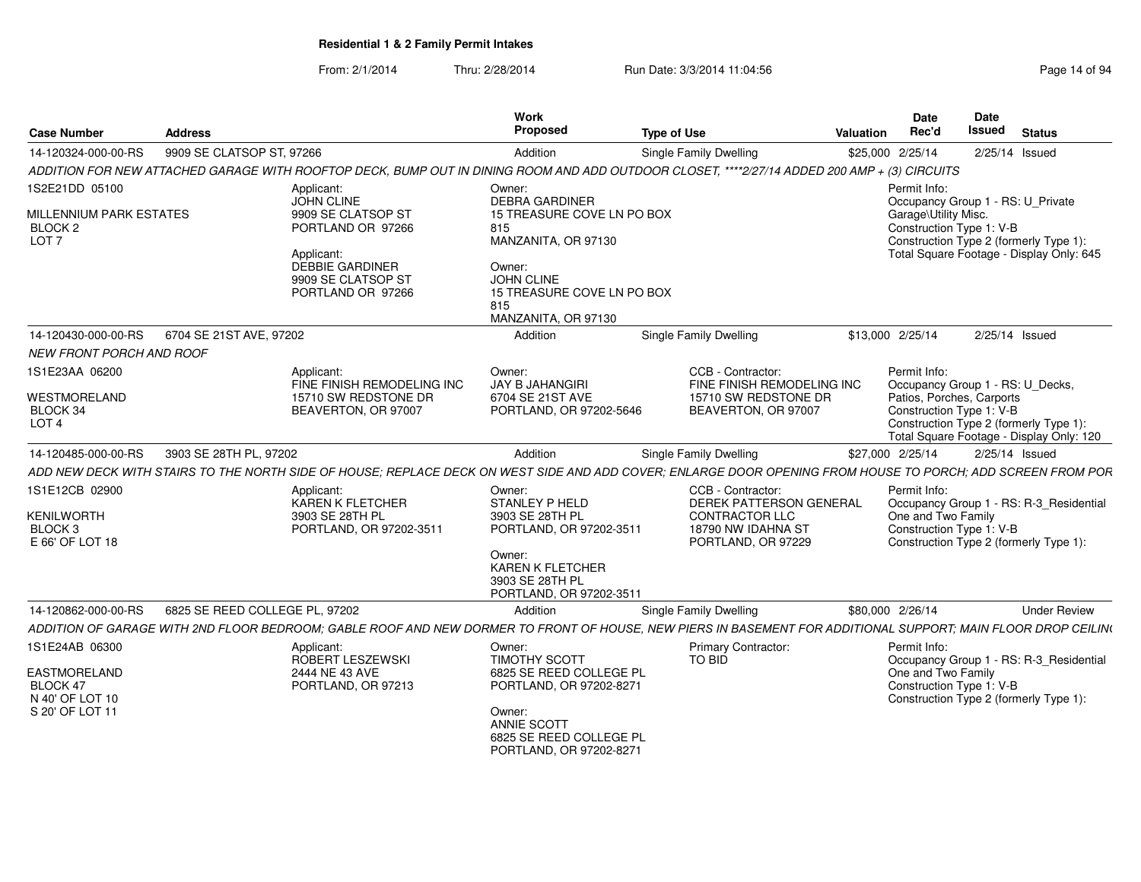| <b>Case Number</b>                                                               | Address                        |                                                                                                                                                 | Work<br>Proposed                                                                                                                                                                | <b>Type of Use</b>                                                                                                                                            | Date<br>Rec'd<br><b>Valuation</b>    | Date<br>Issued<br><b>Status</b>                                                                                                                                                 |
|----------------------------------------------------------------------------------|--------------------------------|-------------------------------------------------------------------------------------------------------------------------------------------------|---------------------------------------------------------------------------------------------------------------------------------------------------------------------------------|---------------------------------------------------------------------------------------------------------------------------------------------------------------|--------------------------------------|---------------------------------------------------------------------------------------------------------------------------------------------------------------------------------|
| 14-120324-000-00-RS                                                              | 9909 SE CLATSOP ST, 97266      |                                                                                                                                                 | Addition                                                                                                                                                                        | <b>Single Family Dwelling</b>                                                                                                                                 | \$25,000 2/25/14                     | 2/25/14 Issued                                                                                                                                                                  |
|                                                                                  |                                |                                                                                                                                                 |                                                                                                                                                                                 | ADDITION FOR NEW ATTACHED GARAGE WITH ROOFTOP DECK, BUMP OUT IN DINING ROOM AND ADD OUTDOOR CLOSET, ****2/27/14 ADDED 200 AMP + (3) CIRCUITS                  |                                      |                                                                                                                                                                                 |
| 1S2E21DD 05100<br>MILLENNIUM PARK ESTATES<br><b>BLOCK 2</b><br>LOT <sub>7</sub>  |                                | Applicant:<br>JOHN CLINE<br>9909 SE CLATSOP ST<br>PORTLAND OR 97266<br>Applicant:<br>DEBBIE GARDINER<br>9909 SE CLATSOP ST<br>PORTLAND OR 97266 | Owner:<br><b>DEBRA GARDINER</b><br>15 TREASURE COVE LN PO BOX<br>815<br>MANZANITA, OR 97130<br>Owner:<br>JOHN CLINE<br>15 TREASURE COVE LN PO BOX<br>815<br>MANZANITA, OR 97130 |                                                                                                                                                               | Permit Info:<br>Garage\Utility Misc. | Occupancy Group 1 - RS: U Private<br>Construction Type 1: V-B<br>Construction Type 2 (formerly Type 1):<br>Total Square Footage - Display Only: 645                             |
| 14-120430-000-00-RS    6704 SE 21ST AVE, 97202<br>NEW FRONT PORCH AND ROOF       |                                |                                                                                                                                                 | Addition                                                                                                                                                                        | <b>Single Family Dwelling</b>                                                                                                                                 | \$13,000 2/25/14                     | 2/25/14 Issued                                                                                                                                                                  |
| 1S1E23AA 06200<br>WESTMORELAND<br>BLOCK 34<br>LOT <sub>4</sub>                   |                                | Applicant:<br>FINE FINISH REMODELING INC<br>15710 SW REDSTONE DR<br>BEAVERTON, OR 97007                                                         | Owner:<br>JAY B JAHANGIRI<br>6704 SE 21ST AVE<br>PORTLAND, OR 97202-5646                                                                                                        | CCB - Contractor:<br>FINE FINISH REMODELING INC<br>15710 SW REDSTONE DR<br>BEAVERTON, OR 97007                                                                | Permit Info:                         | Occupancy Group 1 - RS: U_Decks,<br>Patios, Porches, Carports<br>Construction Type 1: V-B<br>Construction Type 2 (formerly Type 1):<br>Total Square Footage - Display Only: 120 |
| 14-120485-000-00-RS                                                              | 3903 SE 28TH PL. 97202         |                                                                                                                                                 | Addition                                                                                                                                                                        | Single Family Dwelling                                                                                                                                        | \$27,000 2/25/14                     | 2/25/14 Issued                                                                                                                                                                  |
|                                                                                  |                                |                                                                                                                                                 |                                                                                                                                                                                 | ADD NEW DECK WITH STAIRS TO THE NORTH SIDE OF HOUSE; REPLACE DECK ON WEST SIDE AND ADD COVER; ENLARGE DOOR OPENING FROM HOUSE TO PORCH; ADD SCREEN FROM POR   |                                      |                                                                                                                                                                                 |
| 1S1E12CB 02900<br><b>KENILWORTH</b><br>BLOCK <sub>3</sub><br>E 66' OF LOT 18     |                                | Applicant:<br>KAREN K FLETCHER<br>3903 SE 28TH PL<br>PORTLAND, OR 97202-351                                                                     | Owner:<br>STANLEY P HELD<br>3903 SE 28TH PL<br>PORTLAND, OR 97202-3511<br>Owner:<br><b>KAREN K FLETCHER</b><br>3903 SE 28TH PL<br>PORTLAND, OR 97202-3511                       | CCB - Contractor:<br><b>DEREK PATTERSON GENERAL</b><br><b>CONTRACTOR LLC</b><br>18790 NW IDAHNA ST<br>PORTLAND, OR 97229                                      | Permit Info<br>One and Two Family    | Occupancy Group 1 - RS: R-3_Residential<br>Construction Type 1: V-B<br>Construction Type 2 (formerly Type 1):                                                                   |
| 14-120862-000-00-RS                                                              | 6825 SE REED COLLEGE PL, 97202 |                                                                                                                                                 | Addition                                                                                                                                                                        | Single Family Dwelling                                                                                                                                        | \$80,000 2/26/14                     | <b>Under Review</b>                                                                                                                                                             |
|                                                                                  |                                |                                                                                                                                                 |                                                                                                                                                                                 | ADDITION OF GARAGE WITH 2ND FLOOR BEDROOM; GABLE ROOF AND NEW DORMER TO FRONT OF HOUSE, NEW PIERS IN BASEMENT FOR ADDITIONAL SUPPORT; MAIN FLOOR DROP CEILING |                                      |                                                                                                                                                                                 |
| 1S1E24AB 06300<br>EASTMORELAND<br>BLOCK 47<br>N 40' OF LOT 10<br>S 20' OF LOT 11 |                                | Applicant:<br>ROBERT LESZEWSKI<br>2444 NE 43 AVE<br>PORTLAND, OR 97213                                                                          | Owner:<br><b>TIMOTHY SCOTT</b><br>6825 SE REED COLLEGE PL<br>PORTLAND, OR 97202-8271<br>Owner:<br>ANNIE SCOTT<br>6825 SE REED COLLEGE PL<br>PORTLAND, OR 97202-8271             | <b>Primary Contractor:</b><br>TO BID                                                                                                                          | Permit Info<br>One and Two Family    | Occupancy Group 1 - RS: R-3_Residential<br>Construction Type 1: V-B<br>Construction Type 2 (formerly Type 1):                                                                   |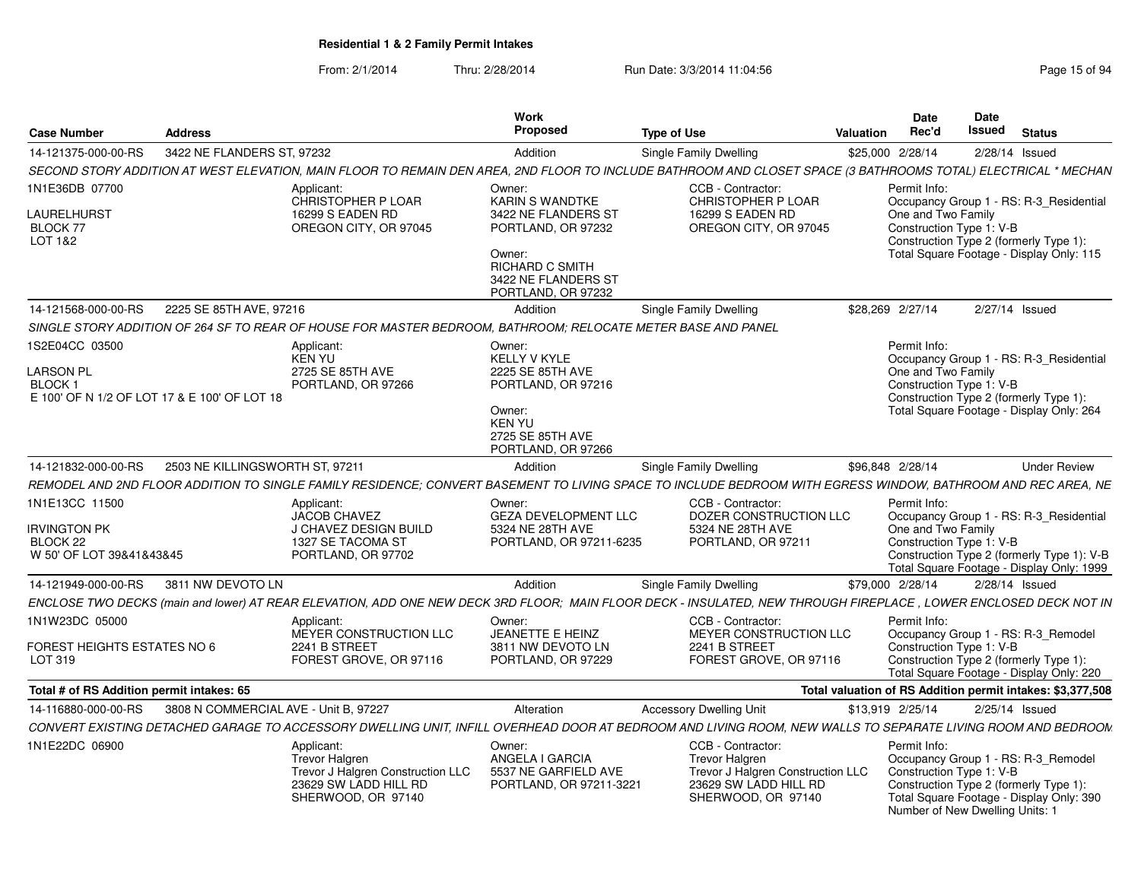| <b>Case Number</b><br><b>Address</b>                                                                                                                             |                                                                                                                         | Work<br>Proposed                                                                                                                      | <b>Type of Use</b>                                                                                                      | Date<br>Rec'd<br>Valuation                      | <b>Date</b><br><b>Issued</b> Status                                                                                                                            |
|------------------------------------------------------------------------------------------------------------------------------------------------------------------|-------------------------------------------------------------------------------------------------------------------------|---------------------------------------------------------------------------------------------------------------------------------------|-------------------------------------------------------------------------------------------------------------------------|-------------------------------------------------|----------------------------------------------------------------------------------------------------------------------------------------------------------------|
| 3422 NE FLANDERS ST, 97232<br>14-121375-000-00-RS                                                                                                                |                                                                                                                         | Addition                                                                                                                              | Single Family Dwelling                                                                                                  | \$25,000 2/28/14                                | 2/28/14 Issued                                                                                                                                                 |
| SECOND STORY ADDITION AT WEST ELEVATION, MAIN FLOOR TO REMAIN DEN AREA, 2ND FLOOR TO INCLUDE BATHROOM AND CLOSET SPACE (3 BATHROOMS TOTAL) ELECTRICAL * MECHAN   |                                                                                                                         |                                                                                                                                       |                                                                                                                         |                                                 |                                                                                                                                                                |
| 1N1E36DB 07700<br>LAURELHURST<br>BLOCK 77<br>LOT 1&2                                                                                                             | Applicant:<br>CHRISTOPHER P LOAR<br>16299 S EADEN RD<br>OREGON CITY, OR 97045                                           | Owner:<br><b>KARIN S WANDTKE</b><br>3422 NE FLANDERS ST<br>PORTLAND, OR 97232<br>Owner:                                               | CCB - Contractor:<br>CHRISTOPHER P LOAR<br>16299 S EADEN RD<br>OREGON CITY, OR 97045                                    | Permit Info:<br>One and Two Family              | Occupancy Group 1 - RS: R-3_Residential<br>Construction Type 1: V-B<br>Construction Type 2 (formerly Type 1):<br>Total Square Footage - Display Only: 115      |
|                                                                                                                                                                  |                                                                                                                         | <b>RICHARD C SMITH</b><br>3422 NE FLANDERS ST<br>PORTLAND, OR 97232                                                                   |                                                                                                                         |                                                 |                                                                                                                                                                |
| 14-121568-000-00-RS<br>2225 SE 85TH AVE. 97216                                                                                                                   |                                                                                                                         | Addition                                                                                                                              | <b>Single Family Dwelling</b>                                                                                           | \$28,269 2/27/14                                | 2/27/14 Issued                                                                                                                                                 |
| SINGLE STORY ADDITION OF 264 SF TO REAR OF HOUSE FOR MASTER BEDROOM, BATHROOM; RELOCATE METER BASE AND PANEL                                                     |                                                                                                                         |                                                                                                                                       |                                                                                                                         |                                                 |                                                                                                                                                                |
| 1S2E04CC 03500<br><b>LARSON PL</b><br>BLOCK <sub>1</sub><br>E 100' OF N 1/2 OF LOT 17 & E 100' OF LOT 18                                                         | Applicant:<br>KEN YU<br>2725 SE 85TH AVE<br>PORTLAND, OR 97266                                                          | Owner:<br>KELLY V KYLE<br>2225 SE 85TH AVE<br>PORTLAND, OR 97216<br>Owner:<br><b>KEN YU</b><br>2725 SE 85TH AVE<br>PORTLAND, OR 97266 |                                                                                                                         | Permit Info:<br>One and Two Family              | Occupancy Group 1 - RS: R-3_Residential<br>Construction Type 1: V-B<br>Construction Type 2 (formerly Type 1):<br>Total Square Footage - Display Only: 264      |
| 2503 NE KILLINGSWORTH ST, 97211<br>14-121832-000-00-RS                                                                                                           |                                                                                                                         | Addition                                                                                                                              | Single Family Dwelling                                                                                                  | \$96,848 2/28/14                                | <b>Under Review</b>                                                                                                                                            |
| REMODEL AND 2ND FLOOR ADDITION TO SINGLE FAMILY RESIDENCE; CONVERT BASEMENT TO LIVING SPACE TO INCLUDE BEDROOM WITH EGRESS WINDOW, BATHROOM AND REC AREA, NE     |                                                                                                                         |                                                                                                                                       |                                                                                                                         |                                                 |                                                                                                                                                                |
| 1N1E13CC 11500<br><b>IRVINGTON PK</b><br>BLOCK 22<br>W 50' OF LOT 39&41&43&45                                                                                    | Applicant:<br>JACOB CHAVEZ<br>J CHAVEZ DESIGN BUILD<br>1327 SE TACOMA ST<br>PORTLAND, OR 97702                          | Owner:<br><b>GEZA DEVELOPMENT LLC</b><br>5324 NE 28TH AVE<br>PORTLAND, OR 97211-6235                                                  | CCB - Contractor:<br>DOZER CONSTRUCTION LLC<br>5324 NE 28TH AVE<br>PORTLAND, OR 97211                                   | Permit Info:<br>One and Two Family              | Occupancy Group 1 - RS: R-3_Residential<br>Construction Type 1: V-B<br>Construction Type 2 (formerly Type 1): V-B<br>Total Square Footage - Display Only: 1999 |
| 14-121949-000-00-RS 3811 NW DEVOTO LN                                                                                                                            |                                                                                                                         | Addition                                                                                                                              | Single Family Dwelling                                                                                                  | \$79,000 2/28/14                                | 2/28/14 Issued                                                                                                                                                 |
| ENCLOSE TWO DECKS (main and lower) AT REAR ELEVATION, ADD ONE NEW DECK 3RD FLOOR; MAIN FLOOR DECK - INSULATED, NEW THROUGH FIREPLACE, LOWER ENCLOSED DECK NOT IN |                                                                                                                         |                                                                                                                                       |                                                                                                                         |                                                 |                                                                                                                                                                |
| 1N1W23DC 05000<br>FOREST HEIGHTS ESTATES NO 6<br>LOT 319                                                                                                         | Applicant:<br>MEYER CONSTRUCTION LLC<br>2241 B STREET<br>FOREST GROVE, OR 97116                                         | Owner:<br>JEANETTE E HEINZ<br>3811 NW DEVOTO LN<br>PORTLAND, OR 97229                                                                 | CCB - Contractor:<br>MEYER CONSTRUCTION LLC<br>2241 B STREET<br>FOREST GROVE, OR 97116                                  | Permit Info:                                    | Occupancy Group 1 - RS: R-3 Remodel<br>Construction Type 1: V-B<br>Construction Type 2 (formerly Type 1):<br>Total Square Footage - Display Only: 220          |
| Total # of RS Addition permit intakes: 65                                                                                                                        |                                                                                                                         |                                                                                                                                       |                                                                                                                         |                                                 | Total valuation of RS Addition permit intakes: \$3,377,508                                                                                                     |
| 14-116880-000-00-RS                                                                                                                                              | 3808 N COMMERCIAL AVE - Unit B, 97227                                                                                   | Alteration                                                                                                                            | <b>Accessory Dwelling Unit</b>                                                                                          | \$13,919 2/25/14                                | 2/25/14 Issued                                                                                                                                                 |
| CONVERT EXISTING DETACHED GARAGE TO ACCESSORY DWELLING UNIT, INFILL OVERHEAD DOOR AT BEDROOM AND LIVING ROOM, NEW WALLS TO SEPARATE LIVING ROOM AND BEDROOM      |                                                                                                                         |                                                                                                                                       |                                                                                                                         |                                                 |                                                                                                                                                                |
| 1N1E22DC 06900                                                                                                                                                   | Applicant:<br><b>Trevor Halgren</b><br>Trevor J Halgren Construction LLC<br>23629 SW LADD HILL RD<br>SHERWOOD, OR 97140 | Owner:<br>ANGELA I GARCIA<br>5537 NE GARFIELD AVE<br>PORTLAND, OR 97211-3221                                                          | CCB - Contractor:<br>Trevor Halgren<br>Trevor J Halgren Construction LLC<br>23629 SW LADD HILL RD<br>SHERWOOD, OR 97140 | Permit Info:<br>Number of New Dwelling Units: 1 | Occupancy Group 1 - RS: R-3 Remodel<br>Construction Type 1: V-B<br>Construction Type 2 (formerly Type 1):<br>Total Square Footage - Display Only: 390          |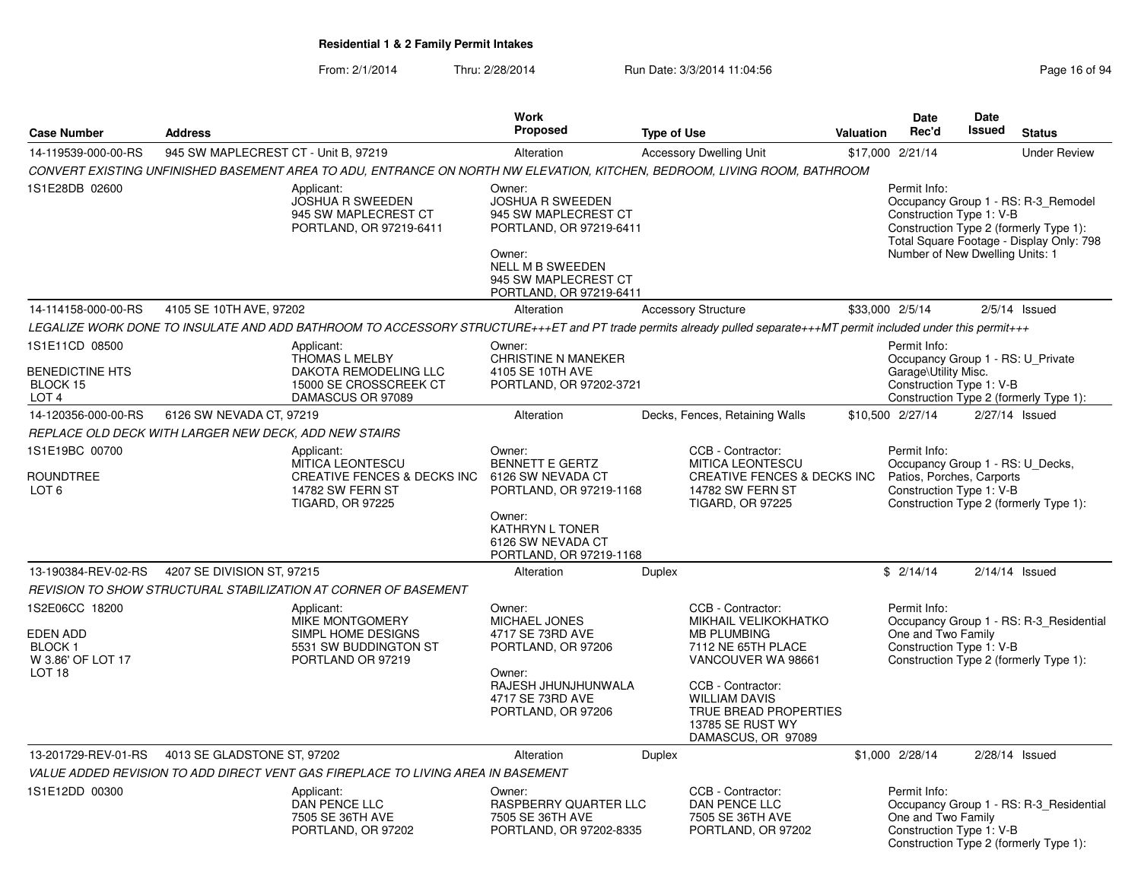|                                                                          |                                                       |                                                                                                                                                                    | Work                                                                                                                                                                         |                                                                                                                                                                                                        |                  | Date                                                                                                      | Date          |                                                                                                                           |
|--------------------------------------------------------------------------|-------------------------------------------------------|--------------------------------------------------------------------------------------------------------------------------------------------------------------------|------------------------------------------------------------------------------------------------------------------------------------------------------------------------------|--------------------------------------------------------------------------------------------------------------------------------------------------------------------------------------------------------|------------------|-----------------------------------------------------------------------------------------------------------|---------------|---------------------------------------------------------------------------------------------------------------------------|
| <b>Case Number</b>                                                       | <b>Address</b>                                        |                                                                                                                                                                    | Proposed                                                                                                                                                                     | <b>Type of Use</b>                                                                                                                                                                                     | <b>Valuation</b> | Rec'd                                                                                                     | <b>Issued</b> | <b>Status</b>                                                                                                             |
| 14-119539-000-00-RS                                                      | 945 SW MAPLECREST CT - Unit B, 97219                  |                                                                                                                                                                    | Alteration                                                                                                                                                                   | <b>Accessory Dwelling Unit</b>                                                                                                                                                                         |                  | \$17,000 2/21/14                                                                                          |               | <b>Under Review</b>                                                                                                       |
|                                                                          |                                                       | CONVERT EXISTING UNFINISHED BASEMENT AREA TO ADU, ENTRANCE ON NORTH NW ELEVATION, KITCHEN, BEDROOM, LIVING ROOM, BATHROOM                                          |                                                                                                                                                                              |                                                                                                                                                                                                        |                  |                                                                                                           |               |                                                                                                                           |
| 1S1E28DB 02600                                                           |                                                       | Applicant:<br><b>JOSHUA R SWEEDEN</b><br>945 SW MAPLECREST CT<br>PORTLAND, OR 97219-6411                                                                           | Owner:<br><b>JOSHUA R SWEEDEN</b><br>945 SW MAPLECREST CT<br>PORTLAND, OR 97219-6411<br>Owner:<br><b>NELL M B SWEEDEN</b><br>945 SW MAPLECREST CT<br>PORTLAND, OR 97219-6411 |                                                                                                                                                                                                        |                  | Permit Info:<br>Construction Type 1: V-B<br>Number of New Dwelling Units: 1                               |               | Occupancy Group 1 - RS: R-3_Remodel<br>Construction Type 2 (formerly Type 1):<br>Total Square Footage - Display Only: 798 |
| 14-114158-000-00-RS                                                      | 4105 SE 10TH AVE, 97202                               |                                                                                                                                                                    | Alteration                                                                                                                                                                   | <b>Accessory Structure</b>                                                                                                                                                                             |                  | \$33,000 2/5/14                                                                                           |               | $2/5/14$ Issued                                                                                                           |
|                                                                          |                                                       | LEGALIZE WORK DONE TO INSULATE AND ADD BATHROOM TO ACCESSORY STRUCTURE+++ET and PT trade permits already pulled separate+++MT permit included under this permit+++ |                                                                                                                                                                              |                                                                                                                                                                                                        |                  |                                                                                                           |               |                                                                                                                           |
| 1S1E11CD 08500<br><b>BENEDICTINE HTS</b><br>BLOCK 15<br>LOT <sub>4</sub> |                                                       | Applicant:<br>THOMAS L MELBY<br>DAKOTA REMODELING LLC<br>15000 SE CROSSCREEK CT<br>DAMASCUS OR 97089                                                               | Owner:<br>CHRISTINE N MANEKER<br>4105 SE 10TH AVE<br>PORTLAND, OR 97202-3721                                                                                                 |                                                                                                                                                                                                        |                  | Permit Info:<br>Occupancy Group 1 - RS: U_Private<br>Garage\Utility Misc.<br>Construction Type 1: V-B     |               | Construction Type 2 (formerly Type 1):                                                                                    |
| 14-120356-000-00-RS                                                      | 6126 SW NEVADA CT, 97219                              |                                                                                                                                                                    | Alteration                                                                                                                                                                   | Decks, Fences, Retaining Walls                                                                                                                                                                         |                  | \$10.500 2/27/14                                                                                          |               | 2/27/14 Issued                                                                                                            |
|                                                                          | REPLACE OLD DECK WITH LARGER NEW DECK, ADD NEW STAIRS |                                                                                                                                                                    |                                                                                                                                                                              |                                                                                                                                                                                                        |                  |                                                                                                           |               |                                                                                                                           |
| 1S1E19BC 00700<br><b>ROUNDTREE</b><br>LOT 6                              |                                                       | Applicant:<br><b>MITICA LEONTESCU</b><br><b>CREATIVE FENCES &amp; DECKS INC</b><br>14782 SW FERN ST<br><b>TIGARD, OR 97225</b>                                     | Owner:<br><b>BENNETT E GERTZ</b><br>6126 SW NEVADA CT<br>PORTLAND, OR 97219-1168<br>Owner:<br><b>KATHRYN L TONER</b><br>6126 SW NEVADA CT<br>PORTLAND, OR 97219-1168         | CCB - Contractor:<br><b>MITICA LEONTESCU</b><br>CREATIVE FENCES & DECKS INC<br><b>14782 SW FERN ST</b><br><b>TIGARD, OR 97225</b>                                                                      |                  | Permit Info:<br>Occupancy Group 1 - RS: U_Decks,<br>Patios, Porches, Carports<br>Construction Type 1: V-B |               | Construction Type 2 (formerly Type 1):                                                                                    |
| 13-190384-REV-02-RS                                                      | 4207 SE DIVISION ST, 97215                            |                                                                                                                                                                    | Alteration                                                                                                                                                                   | <b>Duplex</b>                                                                                                                                                                                          |                  | \$2/14/14                                                                                                 |               | $2/14/14$ Issued                                                                                                          |
| 1S2E06CC 18200                                                           |                                                       | REVISION TO SHOW STRUCTURAL STABILIZATION AT CORNER OF BASEMENT<br>Applicant:                                                                                      | Owner:                                                                                                                                                                       | CCB - Contractor:                                                                                                                                                                                      |                  | Permit Info:                                                                                              |               |                                                                                                                           |
| EDEN ADD<br>BLOCK 1<br>W 3.86' OF LOT 17<br>LOT <sub>18</sub>            |                                                       | MIKE MONTGOMERY<br>SIMPL HOME DESIGNS<br>5531 SW BUDDINGTON ST<br>PORTLAND OR 97219                                                                                | MICHAEL JONES<br>4717 SE 73RD AVE<br>PORTLAND, OR 97206<br>Owner:<br>RAJESH JHUNJHUNWALA<br>4717 SE 73RD AVE<br>PORTLAND, OR 97206                                           | MIKHAIL VELIKOKHATKO<br><b>MB PLUMBING</b><br>7112 NE 65TH PLACE<br>VANCOUVER WA 98661<br>CCB - Contractor:<br><b>WILLIAM DAVIS</b><br>TRUE BREAD PROPERTIES<br>13785 SE RUST WY<br>DAMASCUS, OR 97089 |                  | One and Two Family<br>Construction Type 1: V-B                                                            |               | Occupancy Group 1 - RS: R-3 Residential<br>Construction Type 2 (formerly Type 1):                                         |
| 13-201729-REV-01-RS                                                      | 4013 SE GLADSTONE ST, 97202                           |                                                                                                                                                                    | Alteration                                                                                                                                                                   | Duplex                                                                                                                                                                                                 |                  | \$1,000 2/28/14                                                                                           |               | 2/28/14 Issued                                                                                                            |
|                                                                          |                                                       | VALUE ADDED REVISION TO ADD DIRECT VENT GAS FIREPLACE TO LIVING AREA IN BASEMENT                                                                                   |                                                                                                                                                                              |                                                                                                                                                                                                        |                  |                                                                                                           |               |                                                                                                                           |
| 1S1E12DD 00300                                                           |                                                       | Applicant:<br>DAN PENCE LLC<br>7505 SE 36TH AVE<br>PORTLAND, OR 97202                                                                                              | Owner:<br>RASPBERRY QUARTER LLC<br>7505 SE 36TH AVE<br>PORTLAND, OR 97202-8335                                                                                               | CCB - Contractor:<br>DAN PENCE LLC<br>7505 SE 36TH AVE<br>PORTLAND, OR 97202                                                                                                                           |                  | Permit Info:<br>One and Two Family<br>Construction Type 1: V-B                                            |               | Occupancy Group 1 - RS: R-3_Residential<br>Construction Type 2 (formerly Type 1):                                         |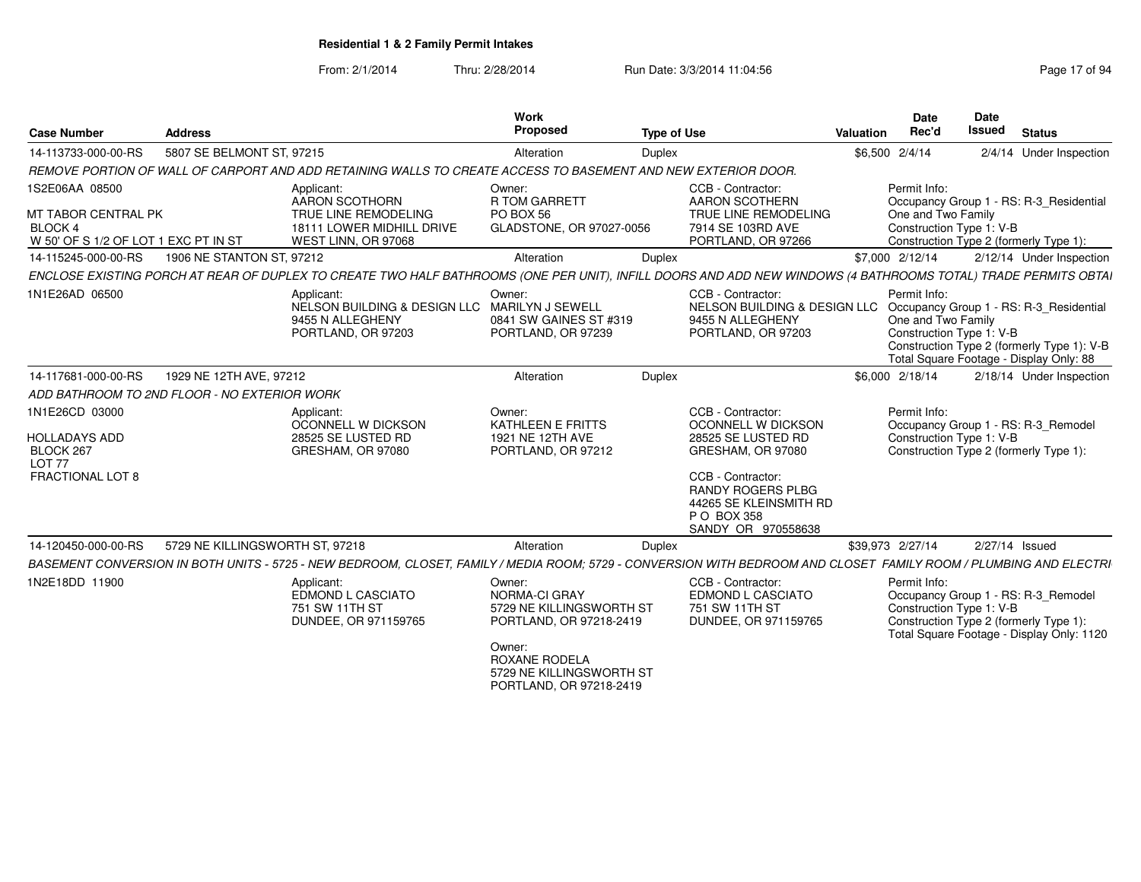From: 2/1/2014

Thru: 2/28/2014 Run Date: 3/3/2014 11:04:56 Research 2010 17 of 94

| <b>Case Number</b>                                                       | <b>Address</b>                               |                                                                                                                                                                   | Work<br>Proposed                                                                         | <b>Type of Use</b> |                                                                                                                                     | Valuation        | Date<br>Rec'd                                                  | <b>Date</b><br><b>Issued</b> | <b>Status</b>                                                                                                              |
|--------------------------------------------------------------------------|----------------------------------------------|-------------------------------------------------------------------------------------------------------------------------------------------------------------------|------------------------------------------------------------------------------------------|--------------------|-------------------------------------------------------------------------------------------------------------------------------------|------------------|----------------------------------------------------------------|------------------------------|----------------------------------------------------------------------------------------------------------------------------|
| 14-113733-000-00-RS                                                      | 5807 SE BELMONT ST, 97215                    |                                                                                                                                                                   | Alteration                                                                               | <b>Duplex</b>      |                                                                                                                                     |                  | \$6,500 2/4/14                                                 |                              | 2/4/14 Under Inspection                                                                                                    |
|                                                                          |                                              | REMOVE PORTION OF WALL OF CARPORT AND ADD RETAINING WALLS TO CREATE ACCESS TO BASEMENT AND NEW EXTERIOR DOOR.                                                     |                                                                                          |                    |                                                                                                                                     |                  |                                                                |                              |                                                                                                                            |
| 1S2E06AA 08500<br>MT TABOR CENTRAL PK<br><b>BLOCK 4</b>                  |                                              | Applicant:<br>AARON SCOTHORN<br>TRUE LINE REMODELING<br>18111 LOWER MIDHILL DRIVE                                                                                 | Owner:<br>R TOM GARRETT<br>PO BOX 56<br>GLADSTONE, OR 97027-0056                         |                    | CCB - Contractor:<br><b>AARON SCOTHERN</b><br>TRUE LINE REMODELING<br>7914 SE 103RD AVE                                             |                  | Permit Info:<br>One and Two Family<br>Construction Type 1: V-B |                              | Occupancy Group 1 - RS: R-3_Residential                                                                                    |
| W 50' OF S 1/2 OF LOT 1 EXC PT IN ST                                     |                                              | WEST LINN, OR 97068                                                                                                                                               |                                                                                          |                    | PORTLAND, OR 97266                                                                                                                  |                  |                                                                |                              | Construction Type 2 (formerly Type 1):                                                                                     |
| 14-115245-000-00-RS                                                      | 1906 NE STANTON ST, 97212                    |                                                                                                                                                                   | Alteration                                                                               | Duplex             |                                                                                                                                     |                  | \$7,000 2/12/14                                                |                              | 2/12/14 Under Inspection                                                                                                   |
|                                                                          |                                              | ENCLOSE EXISTING PORCH AT REAR OF DUPLEX TO CREATE TWO HALF BATHROOMS (ONE PER UNIT), INFILL DOORS AND ADD NEW WINDOWS (4 BATHROOMS TOTAL) TRADE PERMITS OBTAI    |                                                                                          |                    |                                                                                                                                     |                  |                                                                |                              |                                                                                                                            |
| 1N1E26AD 06500                                                           |                                              | Applicant:<br>NELSON BUILDING & DESIGN LLC MARILYN J SEWELL<br>9455 N ALLEGHENY<br>PORTLAND, OR 97203                                                             | Owner:<br>0841 SW GAINES ST #319<br>PORTLAND, OR 97239                                   |                    | CCB - Contractor:<br>NELSON BUILDING & DESIGN LLC Occupancy Group 1 - RS: R-3_Residential<br>9455 N ALLEGHENY<br>PORTLAND, OR 97203 |                  | Permit Info:<br>One and Two Family<br>Construction Type 1: V-B |                              | Construction Type 2 (formerly Type 1): V-B<br>Total Square Footage - Display Only: 88                                      |
| 14-117681-000-00-RS                                                      | 1929 NE 12TH AVE, 97212                      |                                                                                                                                                                   | Alteration                                                                               | Duplex             |                                                                                                                                     |                  | \$6,000 2/18/14                                                |                              | 2/18/14 Under Inspection                                                                                                   |
|                                                                          | ADD BATHROOM TO 2ND FLOOR - NO EXTERIOR WORK |                                                                                                                                                                   |                                                                                          |                    |                                                                                                                                     |                  |                                                                |                              |                                                                                                                            |
| 1N1E26CD 03000<br><b>HOLLADAYS ADD</b><br>BLOCK 267<br>LOT <sub>77</sub> |                                              | Applicant:<br>OCONNELL W DICKSON<br>28525 SE LUSTED RD<br>GRESHAM, OR 97080                                                                                       | Owner:<br>KATHLEEN E FRITTS<br>1921 NE 12TH AVE<br>PORTLAND, OR 97212                    |                    | CCB - Contractor:<br>OCONNELL W DICKSON<br>28525 SE LUSTED RD<br>GRESHAM, OR 97080                                                  |                  | Permit Info:<br>Construction Type 1: V-B                       |                              | Occupancy Group 1 - RS: R-3_Remodel<br>Construction Type 2 (formerly Type 1):                                              |
| <b>FRACTIONAL LOT 8</b>                                                  |                                              |                                                                                                                                                                   |                                                                                          |                    | CCB - Contractor:<br><b>RANDY ROGERS PLBG</b><br>44265 SE KLEINSMITH RD<br>P O BOX 358<br>SANDY OR 970558638                        |                  |                                                                |                              |                                                                                                                            |
| 14-120450-000-00-RS                                                      | 5729 NE KILLINGSWORTH ST, 97218              |                                                                                                                                                                   | Alteration                                                                               | Duplex             |                                                                                                                                     | \$39,973 2/27/14 |                                                                |                              | 2/27/14 Issued                                                                                                             |
|                                                                          |                                              | BASEMENT CONVERSION IN BOTH UNITS - 5725 - NEW BEDROOM, CLOSET, FAMILY / MEDIA ROOM; 5729 - CONVERSION WITH BEDROOM AND CLOSET FAMILY ROOM / PLUMBING AND ELECTRI |                                                                                          |                    |                                                                                                                                     |                  |                                                                |                              |                                                                                                                            |
| 1N2E18DD 11900                                                           |                                              | Applicant:<br>EDMOND L CASCIATO<br>751 SW 11TH ST<br>DUNDEE, OR 971159765                                                                                         | Owner:<br>NORMA-CI GRAY<br>5729 NE KILLINGSWORTH ST<br>PORTLAND, OR 97218-2419<br>Owner: |                    | CCB - Contractor:<br>EDMOND L CASCIATO<br>751 SW 11TH ST<br>DUNDEE, OR 971159765                                                    |                  | Permit Info:<br>Construction Type 1: V-B                       |                              | Occupancy Group 1 - RS: R-3_Remodel<br>Construction Type 2 (formerly Type 1):<br>Total Square Footage - Display Only: 1120 |
|                                                                          |                                              |                                                                                                                                                                   | <b>ROXANE RODELA</b><br>5729 NE KILLINGSWORTH ST<br>PORTLAND, OR 97218-2419              |                    |                                                                                                                                     |                  |                                                                |                              |                                                                                                                            |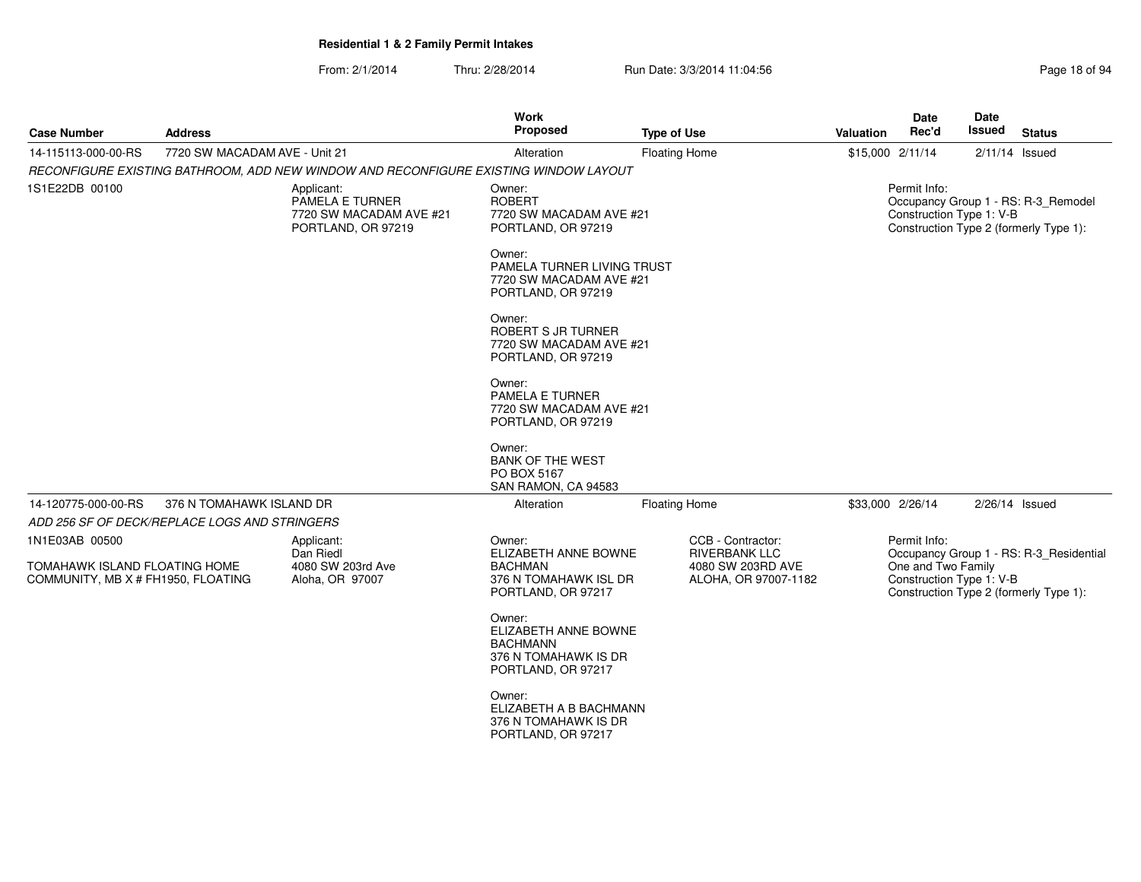| <b>Case Number</b>                                                  | <b>Address</b>                |                                                                                       | Work<br><b>Proposed</b>                                                                         | <b>Type of Use</b>                        | <b>Valuation</b> | <b>Date</b><br>Rec'd                           | Date<br>Issued | <b>Status</b>                                                                     |
|---------------------------------------------------------------------|-------------------------------|---------------------------------------------------------------------------------------|-------------------------------------------------------------------------------------------------|-------------------------------------------|------------------|------------------------------------------------|----------------|-----------------------------------------------------------------------------------|
| 14-115113-000-00-RS                                                 | 7720 SW MACADAM AVE - Unit 21 |                                                                                       | Alteration                                                                                      | <b>Floating Home</b>                      |                  | \$15,000 2/11/14                               |                | $2/11/14$ Issued                                                                  |
|                                                                     |                               | RECONFIGURE EXISTING BATHROOM, ADD NEW WINDOW AND RECONFIGURE EXISTING WINDOW LAYOUT  |                                                                                                 |                                           |                  |                                                |                |                                                                                   |
| 1S1E22DB 00100                                                      |                               | Applicant:<br><b>PAMELA E TURNER</b><br>7720 SW MACADAM AVE #21<br>PORTLAND, OR 97219 | Owner:<br><b>ROBERT</b><br>7720 SW MACADAM AVE #21<br>PORTLAND, OR 97219                        |                                           |                  | Permit Info:<br>Construction Type 1: V-B       |                | Occupancy Group 1 - RS: R-3_Remodel<br>Construction Type 2 (formerly Type 1):     |
|                                                                     |                               |                                                                                       | Owner:<br>PAMELA TURNER LIVING TRUST<br>7720 SW MACADAM AVE #21<br>PORTLAND, OR 97219           |                                           |                  |                                                |                |                                                                                   |
|                                                                     |                               |                                                                                       | Owner:<br>ROBERT S JR TURNER<br>7720 SW MACADAM AVE #21<br>PORTLAND, OR 97219                   |                                           |                  |                                                |                |                                                                                   |
|                                                                     |                               |                                                                                       | Owner:<br>PAMELA E TURNER<br>7720 SW MACADAM AVE #21<br>PORTLAND, OR 97219                      |                                           |                  |                                                |                |                                                                                   |
|                                                                     |                               |                                                                                       | Owner:<br><b>BANK OF THE WEST</b><br>PO BOX 5167<br>SAN RAMON, CA 94583                         |                                           |                  |                                                |                |                                                                                   |
| 14-120775-000-00-RS                                                 | 376 N TOMAHAWK ISLAND DR      |                                                                                       | Alteration                                                                                      | <b>Floating Home</b>                      |                  | \$33,000 2/26/14                               |                | $2/26/14$ Issued                                                                  |
| ADD 256 SF OF DECK/REPLACE LOGS AND STRINGERS                       |                               |                                                                                       |                                                                                                 |                                           |                  |                                                |                |                                                                                   |
| 1N1E03AB 00500                                                      |                               | Applicant:<br>Dan Riedl                                                               | Owner:<br>ELIZABETH ANNE BOWNE                                                                  | CCB - Contractor:<br><b>RIVERBANK LLC</b> |                  | Permit Info:                                   |                |                                                                                   |
| TOMAHAWK ISLAND FLOATING HOME<br>COMMUNITY, MB X # FH1950, FLOATING |                               | 4080 SW 203rd Ave<br>Aloha, OR 97007                                                  | <b>BACHMAN</b><br>376 N TOMAHAWK ISL DR<br>PORTLAND, OR 97217                                   | 4080 SW 203RD AVE<br>ALOHA, OR 97007-1182 |                  | One and Two Family<br>Construction Type 1: V-B |                | Occupancy Group 1 - RS: R-3_Residential<br>Construction Type 2 (formerly Type 1): |
|                                                                     |                               |                                                                                       | Owner:<br>ELIZABETH ANNE BOWNE<br><b>BACHMANN</b><br>376 N TOMAHAWK IS DR<br>PORTLAND, OR 97217 |                                           |                  |                                                |                |                                                                                   |
|                                                                     |                               |                                                                                       | Owner:<br>ELIZABETH A B BACHMANN<br>376 N TOMAHAWK IS DR<br>PORTLAND, OR 97217                  |                                           |                  |                                                |                |                                                                                   |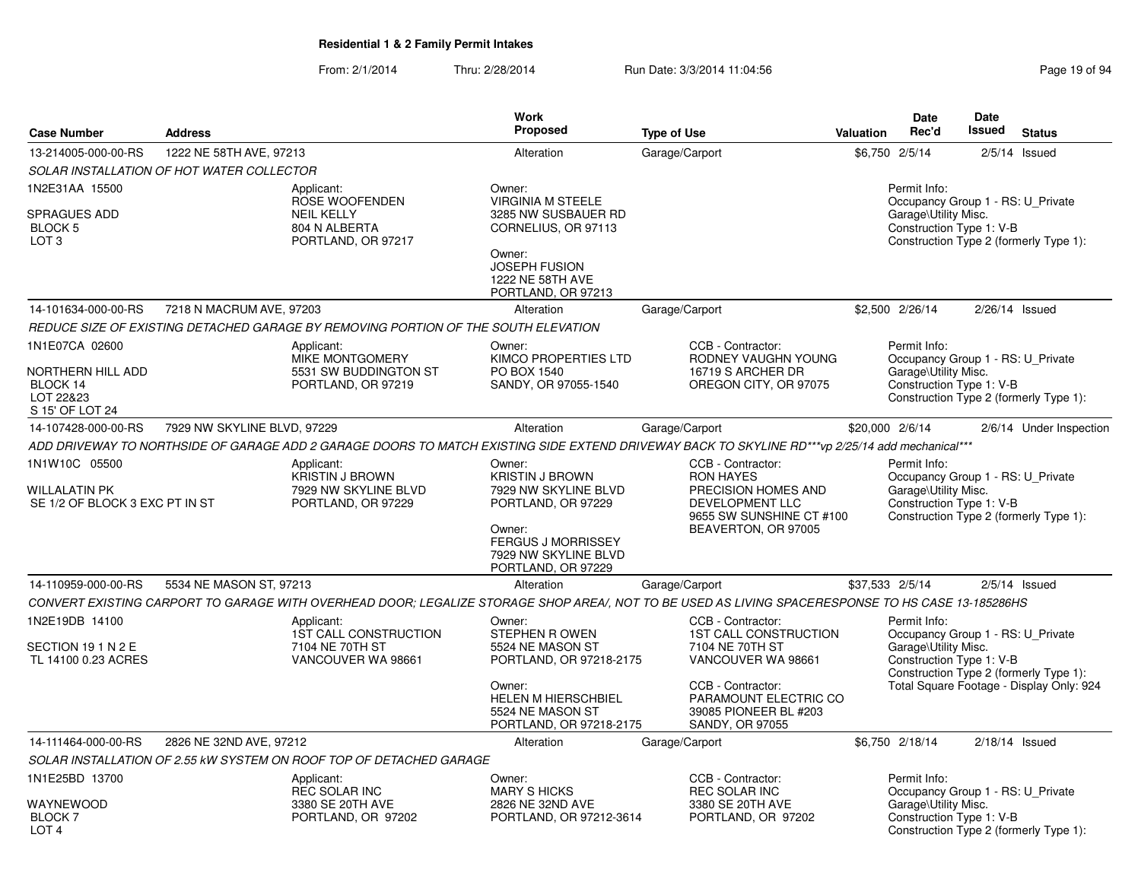|                                                                                 |                                           |                                                                                          | <b>Work</b>                                                                                                                                                         |                                                                                                                                                   |           | Date                                                                                                  | Date                                   |                                          |
|---------------------------------------------------------------------------------|-------------------------------------------|------------------------------------------------------------------------------------------|---------------------------------------------------------------------------------------------------------------------------------------------------------------------|---------------------------------------------------------------------------------------------------------------------------------------------------|-----------|-------------------------------------------------------------------------------------------------------|----------------------------------------|------------------------------------------|
| <b>Case Number</b>                                                              | <b>Address</b>                            |                                                                                          | Proposed                                                                                                                                                            | <b>Type of Use</b>                                                                                                                                | Valuation | Rec'd                                                                                                 | <b>Issued</b>                          | <b>Status</b>                            |
| 13-214005-000-00-RS                                                             | 1222 NE 58TH AVE, 97213                   |                                                                                          | Alteration                                                                                                                                                          | Garage/Carport                                                                                                                                    |           | \$6,750 2/5/14                                                                                        |                                        | $2/5/14$ Issued                          |
|                                                                                 | SOLAR INSTALLATION OF HOT WATER COLLECTOR |                                                                                          |                                                                                                                                                                     |                                                                                                                                                   |           |                                                                                                       |                                        |                                          |
| 1N2E31AA 15500<br><b>SPRAGUES ADD</b><br>BLOCK 5<br>LOT <sub>3</sub>            |                                           | Applicant:<br>ROSE WOOFENDEN<br><b>NEIL KELLY</b><br>804 N ALBERTA<br>PORTLAND, OR 97217 | Owner:<br><b>VIRGINIA M STEELE</b><br>3285 NW SUSBAUER RD<br>CORNELIUS, OR 97113<br>Owner:<br><b>JOSEPH FUSION</b><br>1222 NE 58TH AVE<br>PORTLAND, OR 97213        |                                                                                                                                                   |           | Permit Info:<br>Occupancy Group 1 - RS: U Private<br>Garage\Utility Misc.<br>Construction Type 1: V-B |                                        | Construction Type 2 (formerly Type 1):   |
| 14-101634-000-00-RS                                                             | 7218 N MACRUM AVE, 97203                  |                                                                                          | Alteration                                                                                                                                                          | Garage/Carport                                                                                                                                    |           | \$2,500 2/26/14                                                                                       |                                        | 2/26/14 Issued                           |
|                                                                                 |                                           | REDUCE SIZE OF EXISTING DETACHED GARAGE BY REMOVING PORTION OF THE SOUTH ELEVATION       |                                                                                                                                                                     |                                                                                                                                                   |           |                                                                                                       |                                        |                                          |
| 1N1E07CA 02600<br>NORTHERN HILL ADD<br>BLOCK 14<br>LOT 22&23<br>S 15' OF LOT 24 |                                           | Applicant:<br>MIKE MONTGOMERY<br>5531 SW BUDDINGTON ST<br>PORTLAND, OR 97219             | Owner:<br>KIMCO PROPERTIES LTD<br>PO BOX 1540<br>SANDY, OR 97055-1540                                                                                               | CCB - Contractor:<br>RODNEY VAUGHN YOUNG<br>16719 S ARCHER DR<br>OREGON CITY, OR 97075                                                            |           | Permit Info:<br>Occupancy Group 1 - RS: U Private<br>Garage\Utility Misc.<br>Construction Type 1: V-B |                                        | Construction Type 2 (formerly Type 1):   |
| 14-107428-000-00-RS                                                             | 7929 NW SKYLINE BLVD, 97229               |                                                                                          | Alteration                                                                                                                                                          | Garage/Carport                                                                                                                                    |           | \$20,000 2/6/14                                                                                       |                                        | 2/6/14 Under Inspection                  |
|                                                                                 |                                           |                                                                                          |                                                                                                                                                                     | ADD DRIVEWAY TO NORTHSIDE OF GARAGE ADD 2 GARAGE DOORS TO MATCH EXISTING SIDE EXTEND DRIVEWAY BACK TO SKYLINE RD***vp 2/25/14 add mechanical***   |           |                                                                                                       |                                        |                                          |
| 1N1W10C 05500<br><b>WILLALATIN PK</b><br>SE 1/2 OF BLOCK 3 EXC PT IN ST         |                                           | Applicant:<br><b>KRISTIN J BROWN</b><br>7929 NW SKYLINE BLVD<br>PORTLAND, OR 97229       | Owner:<br><b>KRISTIN J BROWN</b><br>7929 NW SKYLINE BLVD<br>PORTLAND, OR 97229<br>Owner:<br><b>FERGUS J MORRISSEY</b><br>7929 NW SKYLINE BLVD<br>PORTLAND, OR 97229 | CCB - Contractor:<br><b>RON HAYES</b><br>PRECISION HOMES AND<br>DEVELOPMENT LLC<br>9655 SW SUNSHINE CT #100<br>BEAVERTON, OR 97005                |           | Permit Info:<br>Occupancy Group 1 - RS: U_Private<br>Garage\Utility Misc.<br>Construction Type 1: V-B |                                        | Construction Type 2 (formerly Type 1):   |
| 14-110959-000-00-RS                                                             | 5534 NE MASON ST, 97213                   |                                                                                          | Alteration                                                                                                                                                          | Garage/Carport                                                                                                                                    |           | \$37,533 2/5/14                                                                                       |                                        | $2/5/14$ Issued                          |
|                                                                                 |                                           |                                                                                          |                                                                                                                                                                     | CONVERT EXISTING CARPORT TO GARAGE WITH OVERHEAD DOOR; LEGALIZE STORAGE SHOP AREA/, NOT TO BE USED AS LIVING SPACERESPONSE TO HS CASE 13-185286HS |           |                                                                                                       |                                        |                                          |
| 1N2E19DB 14100<br>SECTION 19 1 N 2 E<br>TL 14100 0.23 ACRES                     |                                           | Applicant:<br><b>1ST CALL CONSTRUCTION</b><br>7104 NE 70TH ST<br>VANCOUVER WA 98661      | Owner:<br><b>STEPHEN R OWEN</b><br>5524 NE MASON ST<br>PORTLAND, OR 97218-2175                                                                                      | CCB - Contractor:<br><b>1ST CALL CONSTRUCTION</b><br>7104 NE 70TH ST<br>VANCOUVER WA 98661                                                        |           | Permit Info:<br>Occupancy Group 1 - RS: U_Private<br>Garage\Utility Misc.<br>Construction Type 1: V-B | Construction Type 2 (formerly Type 1): |                                          |
|                                                                                 |                                           |                                                                                          | Owner:<br><b>HELEN M HIERSCHBIEL</b><br>5524 NE MASON ST<br>PORTLAND, OR 97218-2175                                                                                 | CCB - Contractor:<br>PARAMOUNT ELECTRIC CO<br>39085 PIONEER BL #203<br>SANDY, OR 97055                                                            |           |                                                                                                       |                                        | Total Square Footage - Display Only: 924 |
| 14-111464-000-00-RS                                                             | 2826 NE 32ND AVE, 97212                   |                                                                                          | Alteration                                                                                                                                                          | Garage/Carport                                                                                                                                    |           | \$6,750 2/18/14                                                                                       | $2/18/14$ Issued                       |                                          |
|                                                                                 |                                           | SOLAR INSTALLATION OF 2.55 KW SYSTEM ON ROOF TOP OF DETACHED GARAGE                      |                                                                                                                                                                     |                                                                                                                                                   |           |                                                                                                       |                                        |                                          |
| 1N1E25BD 13700<br>WAYNEWOOD                                                     |                                           | Applicant:<br>REC SOLAR INC<br>3380 SE 20TH AVE                                          | Owner:<br><b>MARY S HICKS</b><br>2826 NE 32ND AVE                                                                                                                   | CCB - Contractor:<br>REC SOLAR INC<br>3380 SE 20TH AVE                                                                                            |           | Permit Info:<br>Occupancy Group 1 - RS: U_Private<br>Garage\Utility Misc.                             |                                        |                                          |
| BLOCK <sub>7</sub><br>LOT <sub>4</sub>                                          |                                           | PORTLAND, OR 97202                                                                       | PORTLAND, OR 97212-3614                                                                                                                                             | PORTLAND, OR 97202                                                                                                                                |           | Construction Type 1: V-B                                                                              |                                        | Construction Type 2 (formerly Type 1):   |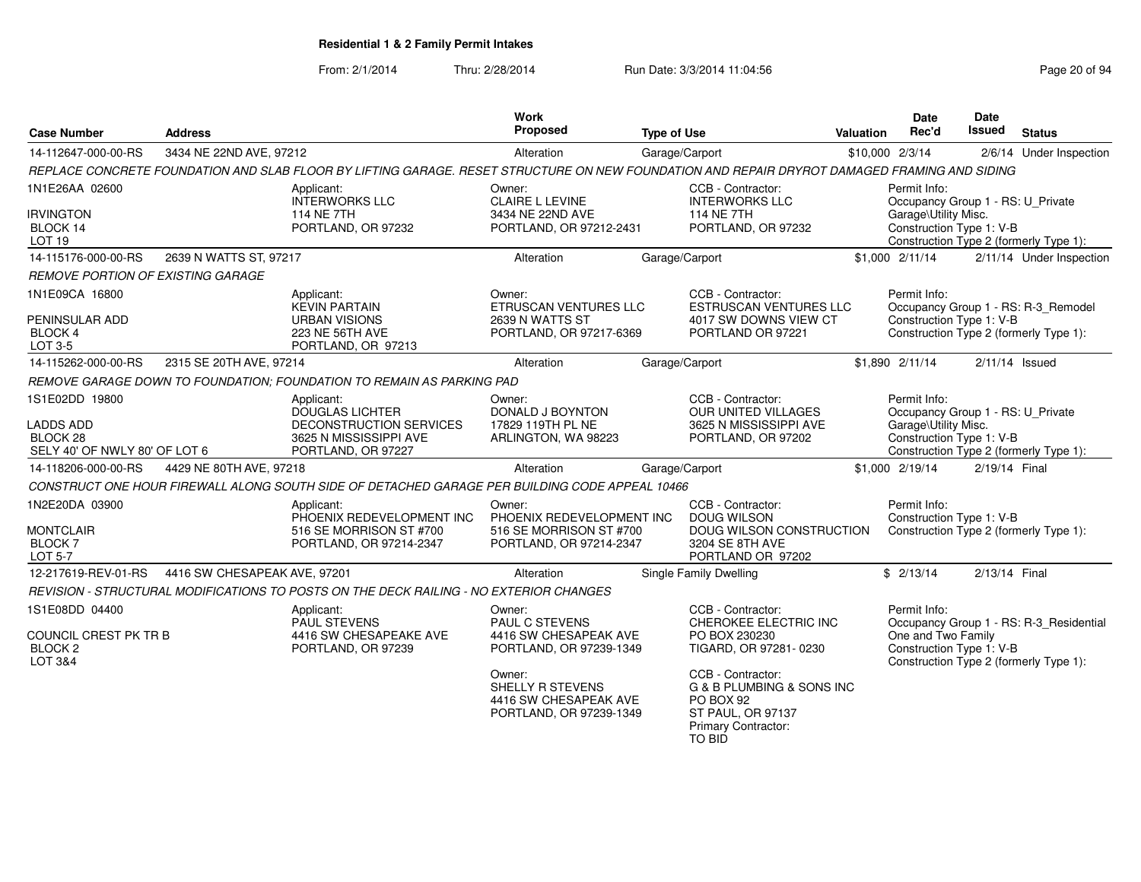| <b>Case Number</b>                                                              | <b>Address</b>               |                                                                                                                                              | <b>Work</b><br>Proposed                                                                   | <b>Type of Use</b> |                                                                                                                   | <b>Valuation</b> | Date<br>Rec'd                                                                                         | Date<br>Issued | <b>Status</b>                                                                     |
|---------------------------------------------------------------------------------|------------------------------|----------------------------------------------------------------------------------------------------------------------------------------------|-------------------------------------------------------------------------------------------|--------------------|-------------------------------------------------------------------------------------------------------------------|------------------|-------------------------------------------------------------------------------------------------------|----------------|-----------------------------------------------------------------------------------|
| 14-112647-000-00-RS                                                             | 3434 NE 22ND AVE, 97212      |                                                                                                                                              | Alteration                                                                                |                    | Garage/Carport                                                                                                    |                  | \$10,000 2/3/14                                                                                       |                | 2/6/14 Under Inspection                                                           |
|                                                                                 |                              | REPLACE CONCRETE FOUNDATION AND SLAB FLOOR BY LIFTING GARAGE. RESET STRUCTURE ON NEW FOUNDATION AND REPAIR DRYROT DAMAGED FRAMING AND SIDING |                                                                                           |                    |                                                                                                                   |                  |                                                                                                       |                |                                                                                   |
| 1N1E26AA 02600<br><b>IRVINGTON</b><br>BLOCK 14                                  |                              | Applicant:<br>INTERWORKS LLC<br>114 NE 7TH<br>PORTLAND, OR 97232                                                                             | Owner:<br><b>CLAIRE L LEVINE</b><br>3434 NE 22ND AVE<br>PORTLAND, OR 97212-2431           |                    | CCB - Contractor:<br><b>INTERWORKS LLC</b><br>114 NE 7TH<br>PORTLAND, OR 97232                                    |                  | Permit Info:<br>Occupancy Group 1 - RS: U_Private<br>Garage\Utility Misc.<br>Construction Type 1: V-B |                |                                                                                   |
| LOT <sub>19</sub>                                                               |                              |                                                                                                                                              |                                                                                           |                    |                                                                                                                   |                  |                                                                                                       |                | Construction Type 2 (formerly Type 1):                                            |
| 14-115176-000-00-RS                                                             | 2639 N WATTS ST, 97217       |                                                                                                                                              | Alteration                                                                                |                    | Garage/Carport                                                                                                    |                  | $$1,000$ $2/11/14$                                                                                    |                | 2/11/14 Under Inspection                                                          |
| <b>REMOVE PORTION OF EXISTING GARAGE</b>                                        |                              |                                                                                                                                              |                                                                                           |                    |                                                                                                                   |                  |                                                                                                       |                |                                                                                   |
| 1N1E09CA 16800<br>PENINSULAR ADD<br><b>BLOCK 4</b><br>LOT 3-5                   |                              | Applicant:<br><b>KEVIN PARTAIN</b><br><b>URBAN VISIONS</b><br>223 NE 56TH AVE<br>PORTLAND, OR 97213                                          | Owner:<br>ETRUSCAN VENTURES LLC<br>2639 N WATTS ST<br>PORTLAND, OR 97217-6369             |                    | CCB - Contractor:<br>ESTRUSCAN VENTURES LLC<br>4017 SW DOWNS VIEW CT<br>PORTLAND OR 97221                         |                  | Permit Info:<br>Construction Type 1: V-B                                                              |                | Occupancy Group 1 - RS: R-3_Remodel<br>Construction Type 2 (formerly Type 1):     |
| 14-115262-000-00-RS                                                             | 2315 SE 20TH AVE, 97214      |                                                                                                                                              | Alteration                                                                                |                    | Garage/Carport                                                                                                    |                  | \$1,890 2/11/14                                                                                       |                | $2/11/14$ Issued                                                                  |
|                                                                                 |                              | REMOVE GARAGE DOWN TO FOUNDATION: FOUNDATION TO REMAIN AS PARKING PAD                                                                        |                                                                                           |                    |                                                                                                                   |                  |                                                                                                       |                |                                                                                   |
| 1S1E02DD 19800<br><b>LADDS ADD</b><br>BLOCK 28<br>SELY 40' OF NWLY 80' OF LOT 6 |                              | Applicant:<br><b>DOUGLAS LICHTER</b><br>DECONSTRUCTION SERVICES<br>3625 N MISSISSIPPI AVE<br>PORTLAND, OR 97227                              | Owner:<br>DONALD J BOYNTON<br>17829 119TH PL NE<br>ARLINGTON, WA 98223                    |                    | CCB - Contractor:<br><b>OUR UNITED VILLAGES</b><br>3625 N MISSISSIPPI AVE<br>PORTLAND, OR 97202                   |                  | Permit Info:<br>Occupancy Group 1 - RS: U_Private<br>Garage\Utility Misc.<br>Construction Type 1: V-B |                | Construction Type 2 (formerly Type 1):                                            |
| 14-118206-000-00-RS                                                             | 4429 NE 80TH AVE, 97218      |                                                                                                                                              | Alteration                                                                                |                    | Garage/Carport                                                                                                    |                  | \$1,000 2/19/14                                                                                       | 2/19/14 Final  |                                                                                   |
|                                                                                 |                              | CONSTRUCT ONE HOUR FIREWALL ALONG SOUTH SIDE OF DETACHED GARAGE PER BUILDING CODE APPEAL 10466                                               |                                                                                           |                    |                                                                                                                   |                  |                                                                                                       |                |                                                                                   |
| 1N2E20DA 03900<br><b>MONTCLAIR</b><br><b>BLOCK7</b><br><b>LOT 5-7</b>           |                              | Applicant:<br>PHOENIX REDEVELOPMENT INC<br>516 SE MORRISON ST #700<br>PORTLAND, OR 97214-2347                                                | Owner:<br>PHOENIX REDEVELOPMENT INC<br>516 SE MORRISON ST #700<br>PORTLAND, OR 97214-2347 |                    | CCB - Contractor:<br><b>DOUG WILSON</b><br>DOUG WILSON CONSTRUCTION<br>3204 SE 8TH AVE<br>PORTLAND OR 97202       |                  | Permit Info:<br>Construction Type 1: V-B                                                              |                | Construction Type 2 (formerly Type 1):                                            |
| 12-217619-REV-01-RS                                                             | 4416 SW CHESAPEAK AVE, 97201 |                                                                                                                                              | Alteration                                                                                |                    | Single Family Dwelling                                                                                            |                  | \$2/13/14                                                                                             | 2/13/14 Final  |                                                                                   |
|                                                                                 |                              | REVISION - STRUCTURAL MODIFICATIONS TO POSTS ON THE DECK RAILING - NO EXTERIOR CHANGES                                                       |                                                                                           |                    |                                                                                                                   |                  |                                                                                                       |                |                                                                                   |
| 1S1E08DD 04400<br>COUNCIL CREST PK TR B<br>BLOCK <sub>2</sub><br>LOT 3&4        |                              | Applicant:<br>PAUL STEVENS<br>4416 SW CHESAPEAKE AVE<br>PORTLAND, OR 97239                                                                   | Owner:<br>PAUL C STEVENS<br>4416 SW CHESAPEAK AVE<br>PORTLAND, OR 97239-1349              |                    | CCB - Contractor:<br>CHEROKEE ELECTRIC INC<br>PO BOX 230230<br>TIGARD, OR 97281-0230                              |                  | Permit Info:<br>One and Two Family<br>Construction Type 1: V-B                                        |                | Occupancy Group 1 - RS: R-3_Residential<br>Construction Type 2 (formerly Type 1): |
|                                                                                 |                              |                                                                                                                                              | Owner:<br>SHELLY R STEVENS<br>4416 SW CHESAPEAK AVE<br>PORTLAND, OR 97239-1349            |                    | CCB - Contractor:<br>G & B PLUMBING & SONS INC<br>PO BOX 92<br>ST PAUL, OR 97137<br>Primary Contractor:<br>TO BID |                  |                                                                                                       |                |                                                                                   |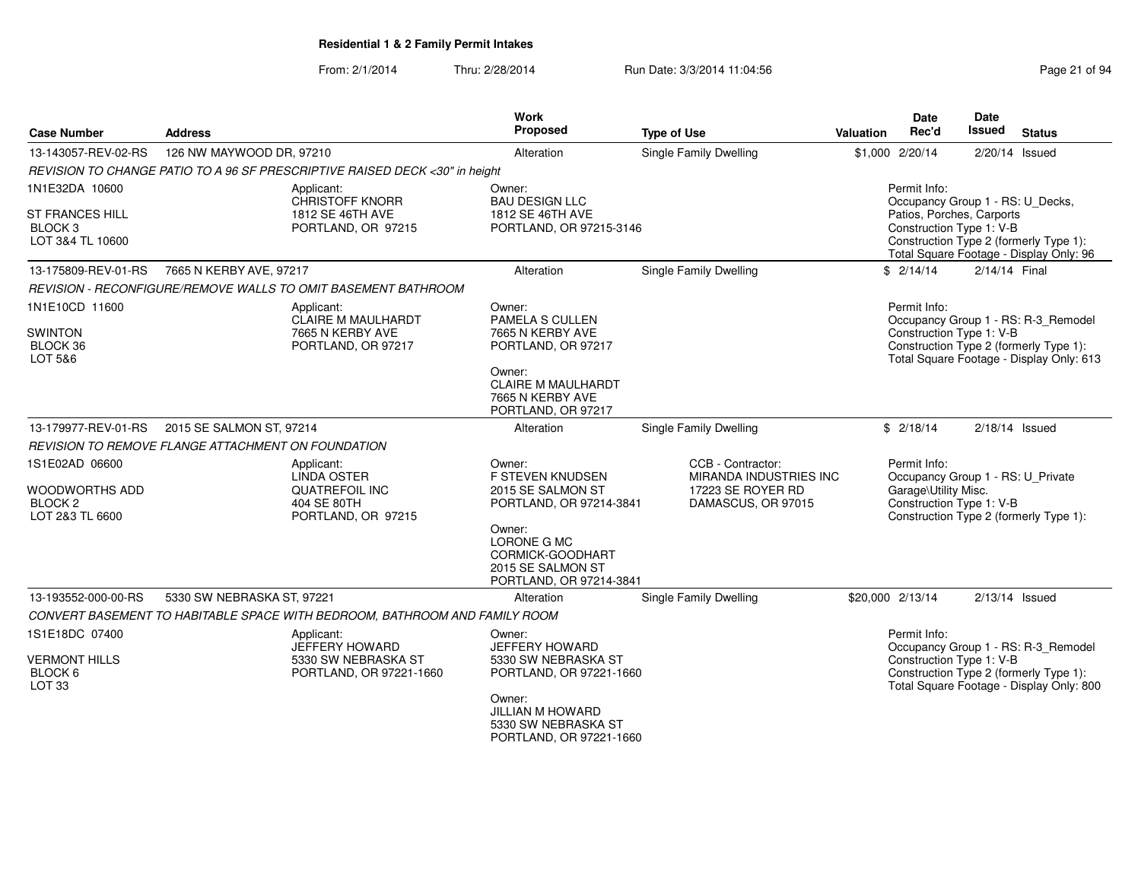#### From: 2/1/2014Thru: 2/28/2014 Run Date: 3/3/2014 11:04:56 Research 2010 12:04:56

| <b>Case Number</b>                                                        | <b>Address</b>                                     |                                                                                                | Work<br>Proposed                                                                          | <b>Type of Use</b>                                                                            | Valuation | <b>Date</b><br>Rec'd                                                                                  | <b>Date</b><br><b>Issued</b> | <b>Status</b>                                                                                                             |
|---------------------------------------------------------------------------|----------------------------------------------------|------------------------------------------------------------------------------------------------|-------------------------------------------------------------------------------------------|-----------------------------------------------------------------------------------------------|-----------|-------------------------------------------------------------------------------------------------------|------------------------------|---------------------------------------------------------------------------------------------------------------------------|
| 13-143057-REV-02-RS                                                       | 126 NW MAYWOOD DR, 97210                           |                                                                                                | Alteration                                                                                | Single Family Dwelling                                                                        |           | \$1,000 2/20/14                                                                                       |                              | 2/20/14 Issued                                                                                                            |
|                                                                           |                                                    | REVISION TO CHANGE PATIO TO A 96 SF PRESCRIPTIVE RAISED DECK <30" in height                    |                                                                                           |                                                                                               |           |                                                                                                       |                              |                                                                                                                           |
| 1N1E32DA 10600                                                            |                                                    | Applicant:<br><b>CHRISTOFF KNORR</b>                                                           | Owner:<br><b>BAU DESIGN LLC</b>                                                           |                                                                                               |           | Permit Info:<br>Occupancy Group 1 - RS: U_Decks,                                                      |                              |                                                                                                                           |
| ST FRANCES HILL<br>BLOCK <sub>3</sub><br>LOT 3&4 TL 10600                 |                                                    | 1812 SE 46TH AVE<br>PORTLAND, OR 97215                                                         | 1812 SE 46TH AVE<br>PORTLAND, OR 97215-3146                                               |                                                                                               |           | Patios, Porches, Carports<br>Construction Type 1: V-B                                                 |                              | Construction Type 2 (formerly Type 1):<br>Total Square Footage - Display Only: 96                                         |
| 13-175809-REV-01-RS                                                       | 7665 N KERBY AVE, 97217                            |                                                                                                | Alteration                                                                                | Single Family Dwelling                                                                        |           | \$2/14/14                                                                                             | 2/14/14 Final                |                                                                                                                           |
|                                                                           |                                                    | REVISION - RECONFIGURE/REMOVE WALLS TO OMIT BASEMENT BATHROOM                                  |                                                                                           |                                                                                               |           |                                                                                                       |                              |                                                                                                                           |
| 1N1E10CD 11600<br><b>SWINTON</b><br>BLOCK 36<br>LOT 5&6                   |                                                    | Applicant:<br>CLAIRE M MAULHARDT<br>7665 N KERBY AVE<br>PORTLAND, OR 97217                     | Owner:<br>PAMELA S CULLEN<br>7665 N KERBY AVE<br>PORTLAND, OR 97217                       |                                                                                               |           | Permit Info:<br>Construction Type 1: V-B                                                              |                              | Occupancy Group 1 - RS: R-3_Remodel<br>Construction Type 2 (formerly Type 1):<br>Total Square Footage - Display Only: 613 |
|                                                                           |                                                    |                                                                                                | Owner:<br><b>CLAIRE M MAULHARDT</b><br>7665 N KERBY AVE<br>PORTLAND, OR 97217             |                                                                                               |           |                                                                                                       |                              |                                                                                                                           |
| 13-179977-REV-01-RS                                                       | 2015 SE SALMON ST, 97214                           |                                                                                                | Alteration                                                                                | <b>Single Family Dwelling</b>                                                                 |           | \$2/18/14                                                                                             |                              | $2/18/14$ Issued                                                                                                          |
|                                                                           | REVISION TO REMOVE FLANGE ATTACHMENT ON FOUNDATION |                                                                                                |                                                                                           |                                                                                               |           |                                                                                                       |                              |                                                                                                                           |
| 1S1E02AD 06600<br>WOODWORTHS ADD<br>BLOCK <sub>2</sub><br>LOT 2&3 TL 6600 |                                                    | Applicant:<br><b>LINDA OSTER</b><br><b>QUATREFOIL INC</b><br>404 SE 80TH<br>PORTLAND, OR 97215 | Owner:<br>F STEVEN KNUDSEN<br>2015 SE SALMON ST<br>PORTLAND, OR 97214-3841                | CCB - Contractor:<br><b>MIRANDA INDUSTRIES INC</b><br>17223 SE ROYER RD<br>DAMASCUS, OR 97015 |           | Permit Info:<br>Occupancy Group 1 - RS: U_Private<br>Garage\Utility Misc.<br>Construction Type 1: V-B |                              | Construction Type 2 (formerly Type 1):                                                                                    |
|                                                                           |                                                    |                                                                                                | Owner:<br>LORONE G MC<br>CORMICK-GOODHART<br>2015 SE SALMON ST<br>PORTLAND, OR 97214-3841 |                                                                                               |           |                                                                                                       |                              |                                                                                                                           |
| 13-193552-000-00-RS                                                       | 5330 SW NEBRASKA ST, 97221                         |                                                                                                | Alteration                                                                                | <b>Single Family Dwelling</b>                                                                 |           | \$20,000 2/13/14                                                                                      |                              | $2/13/14$ Issued                                                                                                          |
|                                                                           |                                                    | CONVERT BASEMENT TO HABITABLE SPACE WITH BEDROOM, BATHROOM AND FAMILY ROOM                     |                                                                                           |                                                                                               |           |                                                                                                       |                              |                                                                                                                           |
| 1S1E18DC 07400                                                            |                                                    | Applicant:<br>JEFFERY HOWARD                                                                   | Owner:<br><b>JEFFERY HOWARD</b>                                                           |                                                                                               |           | Permit Info:                                                                                          |                              | Occupancy Group 1 - RS: R-3_Remodel                                                                                       |
| <b>VERMONT HILLS</b><br>BLOCK <sub>6</sub><br>LOT 33                      |                                                    | 5330 SW NEBRASKA ST<br>PORTLAND, OR 97221-1660                                                 | 5330 SW NEBRASKA ST<br>PORTLAND, OR 97221-1660                                            |                                                                                               |           | Construction Type 1: V-B                                                                              |                              | Construction Type 2 (formerly Type 1):<br>Total Square Footage - Display Only: 800                                        |
|                                                                           |                                                    |                                                                                                | Owner:<br>JILLIAN M HOWARD<br>5330 SW NEBRASKA ST<br>PORTLAND, OR 97221-1660              |                                                                                               |           |                                                                                                       |                              |                                                                                                                           |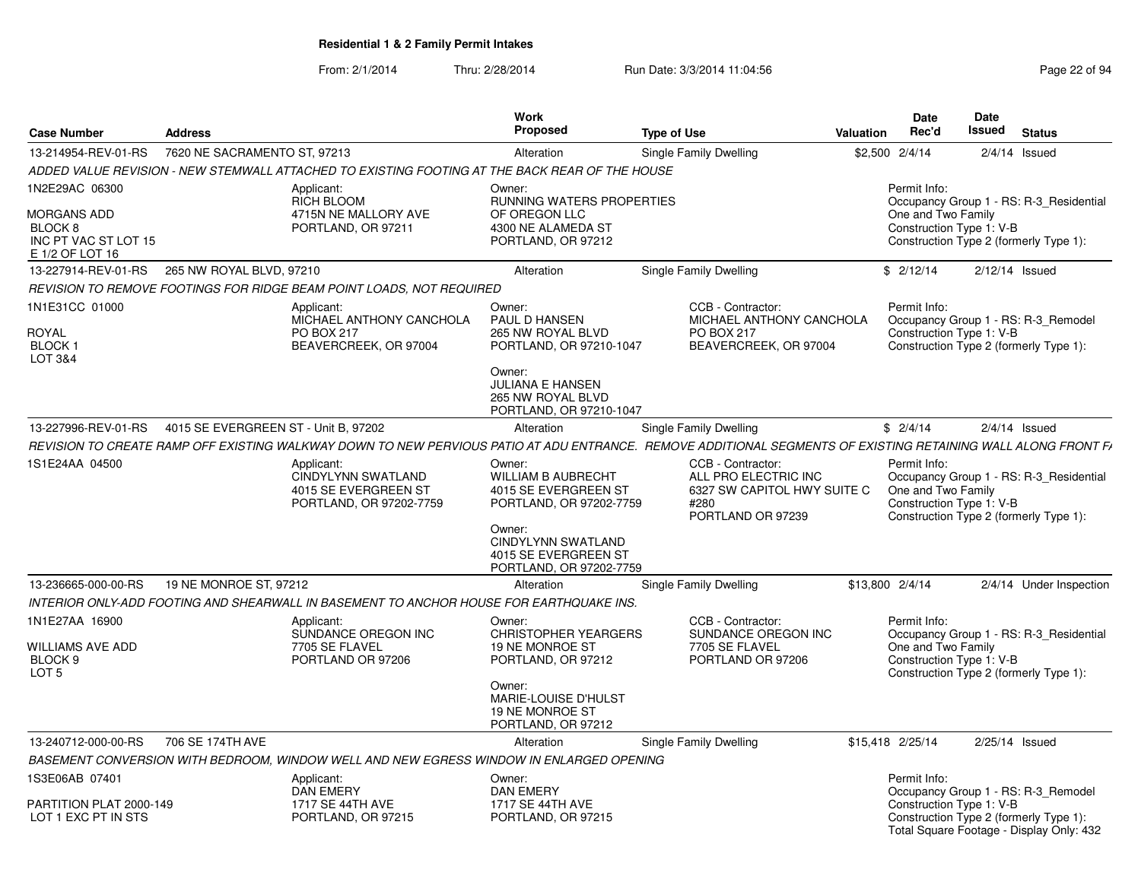| <b>Case Number</b>                                             | <b>Address</b>                       |                                                                                                                                                               | <b>Work</b><br>Proposed                                                                          | <b>Type of Use</b> |                                                                                                       | <b>Valuation</b> | Date<br>Rec'd                                                  | <b>Date</b><br><b>Issued</b> | <b>Status</b>                                                                      |
|----------------------------------------------------------------|--------------------------------------|---------------------------------------------------------------------------------------------------------------------------------------------------------------|--------------------------------------------------------------------------------------------------|--------------------|-------------------------------------------------------------------------------------------------------|------------------|----------------------------------------------------------------|------------------------------|------------------------------------------------------------------------------------|
| 13-214954-REV-01-RS                                            | 7620 NE SACRAMENTO ST, 97213         |                                                                                                                                                               | Alteration                                                                                       |                    | Single Family Dwelling                                                                                | \$2,500 2/4/14   |                                                                |                              | $2/4/14$ Issued                                                                    |
|                                                                |                                      | ADDED VALUE REVISION - NEW STEMWALL ATTACHED TO EXISTING FOOTING AT THE BACK REAR OF THE HOUSE                                                                |                                                                                                  |                    |                                                                                                       |                  |                                                                |                              |                                                                                    |
| 1N2E29AC 06300<br>MORGANS ADD<br>BLOCK 8                       |                                      | Applicant:<br><b>RICH BLOOM</b><br>4715N NE MALLORY AVE<br>PORTLAND, OR 97211                                                                                 | Owner:<br>RUNNING WATERS PROPERTIES<br>OF OREGON LLC<br>4300 NE ALAMEDA ST                       |                    |                                                                                                       |                  | Permit Info:<br>One and Two Family<br>Construction Type 1: V-B |                              | Occupancy Group 1 - RS: R-3 Residential                                            |
| INC PT VAC ST LOT 15<br>E 1/2 OF LOT 16                        |                                      |                                                                                                                                                               | PORTLAND, OR 97212                                                                               |                    |                                                                                                       |                  |                                                                |                              | Construction Type 2 (formerly Type 1):                                             |
| 13-227914-REV-01-RS                                            | 265 NW ROYAL BLVD, 97210             |                                                                                                                                                               | Alteration                                                                                       |                    | Single Family Dwelling                                                                                |                  | \$2/12/14                                                      | $2/12/14$ Issued             |                                                                                    |
|                                                                |                                      | REVISION TO REMOVE FOOTINGS FOR RIDGE BEAM POINT LOADS. NOT REQUIRED                                                                                          |                                                                                                  |                    |                                                                                                       |                  |                                                                |                              |                                                                                    |
| 1N1E31CC 01000<br>ROYAL<br><b>BLOCK1</b><br><b>LOT 3&amp;4</b> |                                      | Applicant:<br>MICHAEL ANTHONY CANCHOLA<br>PO BOX 217<br>BEAVERCREEK, OR 97004                                                                                 | Owner:<br><b>PAUL D HANSEN</b><br>265 NW ROYAL BLVD<br>PORTLAND, OR 97210-1047<br>Owner:         |                    | CCB - Contractor:<br>MICHAEL ANTHONY CANCHOLA<br>PO BOX 217<br>BEAVERCREEK, OR 97004                  |                  | Permit Info:<br>Construction Type 1: V-B                       |                              | Occupancy Group 1 - RS: R-3_Remodel<br>Construction Type 2 (formerly Type 1):      |
|                                                                |                                      |                                                                                                                                                               | <b>JULIANA E HANSEN</b><br>265 NW ROYAL BLVD<br>PORTLAND, OR 97210-1047                          |                    |                                                                                                       |                  |                                                                |                              |                                                                                    |
| 13-227996-REV-01-RS                                            | 4015 SE EVERGREEN ST - Unit B, 97202 |                                                                                                                                                               | Alteration                                                                                       |                    | Single Family Dwelling                                                                                |                  | \$2/4/14                                                       |                              | $2/4/14$ Issued                                                                    |
|                                                                |                                      | REVISION TO CREATE RAMP OFF EXISTING WALKWAY DOWN TO NEW PERVIOUS PATIO AT ADU ENTRANCE. REMOVE ADDITIONAL SEGMENTS OF EXISTING RETAINING WALL ALONG FRONT F/ |                                                                                                  |                    |                                                                                                       |                  |                                                                |                              |                                                                                    |
| 1S1E24AA 04500                                                 |                                      | Applicant:<br><b>CINDYLYNN SWATLAND</b><br>4015 SE EVERGREEN ST<br>PORTLAND, OR 97202-7759                                                                    | Owner:<br><b>WILLIAM B AUBRECHT</b><br>4015 SE EVERGREEN ST<br>PORTLAND, OR 97202-7759<br>Owner: |                    | CCB - Contractor:<br>ALL PRO ELECTRIC INC<br>6327 SW CAPITOL HWY SUITE C<br>#280<br>PORTLAND OR 97239 |                  | Permit Info:<br>One and Two Family<br>Construction Type 1: V-B |                              | Occupancy Group 1 - RS: R-3 Residential<br>Construction Type 2 (formerly Type 1):  |
|                                                                |                                      |                                                                                                                                                               | <b>CINDYLYNN SWATLAND</b><br>4015 SE EVERGREEN ST<br>PORTLAND, OR 97202-7759                     |                    |                                                                                                       |                  |                                                                |                              |                                                                                    |
| 13-236665-000-00-RS                                            | 19 NE MONROE ST, 97212               |                                                                                                                                                               | Alteration                                                                                       |                    | Single Family Dwelling                                                                                | \$13,800 2/4/14  |                                                                |                              | 2/4/14 Under Inspection                                                            |
|                                                                |                                      | INTERIOR ONLY-ADD FOOTING AND SHEARWALL IN BASEMENT TO ANCHOR HOUSE FOR EARTHQUAKE INS.                                                                       |                                                                                                  |                    |                                                                                                       |                  |                                                                |                              |                                                                                    |
| 1N1E27AA 16900                                                 |                                      | Applicant:<br>SUNDANCE OREGON INC                                                                                                                             | Owner:<br><b>CHRISTOPHER YEARGERS</b>                                                            |                    | CCB - Contractor:<br>SUNDANCE OREGON INC                                                              |                  | Permit Info:                                                   |                              | Occupancy Group 1 - RS: R-3_Residential                                            |
| WILLIAMS AVE ADD<br>BLOCK <sub>9</sub><br>LOT <sub>5</sub>     |                                      | 7705 SE FLAVEL<br>PORTLAND OR 97206                                                                                                                           | <b>19 NE MONROE ST</b><br>PORTLAND, OR 97212                                                     |                    | 7705 SE FLAVEL<br>PORTLAND OR 97206                                                                   |                  | One and Two Family<br>Construction Type 1: V-B                 |                              | Construction Type 2 (formerly Type 1):                                             |
|                                                                |                                      |                                                                                                                                                               | Owner:<br><b>MARIE-LOUISE D'HULST</b><br>19 NE MONROE ST<br>PORTLAND, OR 97212                   |                    |                                                                                                       |                  |                                                                |                              |                                                                                    |
| 13-240712-000-00-RS                                            | 706 SE 174TH AVE                     |                                                                                                                                                               | Alteration                                                                                       |                    | Single Family Dwelling                                                                                |                  | \$15,418 2/25/14                                               | 2/25/14 Issued               |                                                                                    |
|                                                                |                                      | BASEMENT CONVERSION WITH BEDROOM, WINDOW WELL AND NEW EGRESS WINDOW IN ENLARGED OPENING                                                                       |                                                                                                  |                    |                                                                                                       |                  |                                                                |                              |                                                                                    |
| 1S3E06AB 07401                                                 |                                      | Applicant:<br><b>DAN EMERY</b>                                                                                                                                | Owner:<br><b>DAN EMERY</b>                                                                       |                    |                                                                                                       |                  | Permit Info:                                                   |                              | Occupancy Group 1 - RS: R-3 Remodel                                                |
| PARTITION PLAT 2000-149<br>LOT 1 EXC PT IN STS                 |                                      | 1717 SE 44TH AVE<br>PORTLAND, OR 97215                                                                                                                        | <b>1717 SE 44TH AVE</b><br>PORTLAND, OR 97215                                                    |                    |                                                                                                       |                  | Construction Type 1: V-B                                       |                              | Construction Type 2 (formerly Type 1):<br>Total Square Footage - Display Only: 432 |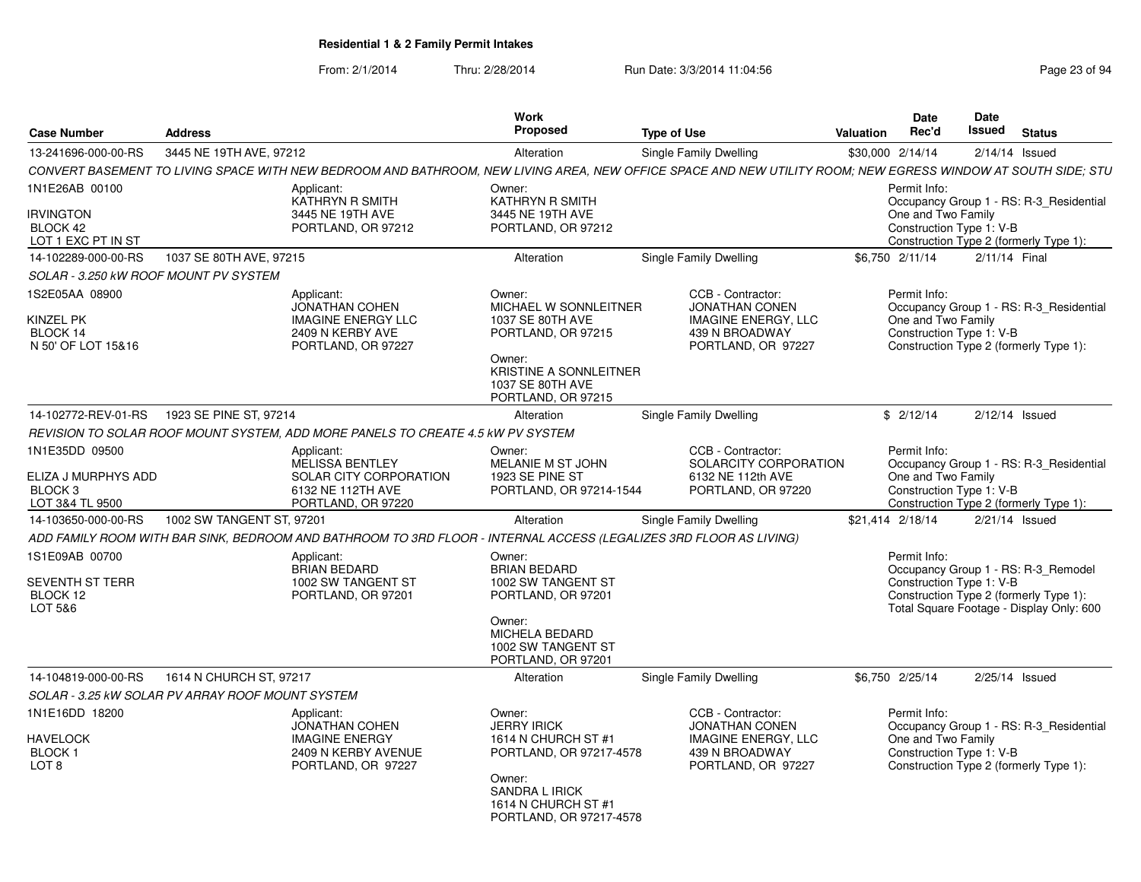| <b>Case Number</b>                                                             | <b>Address</b>                                                                                                     |                                                                                              | <b>Work</b><br><b>Proposed</b>                                                                                              | <b>Type of Use</b>                                                                                                                                           | Valuation | <b>Date</b><br>Rec'd                                           | <b>Date</b><br>Issued | <b>Status</b>                                                                                                             |
|--------------------------------------------------------------------------------|--------------------------------------------------------------------------------------------------------------------|----------------------------------------------------------------------------------------------|-----------------------------------------------------------------------------------------------------------------------------|--------------------------------------------------------------------------------------------------------------------------------------------------------------|-----------|----------------------------------------------------------------|-----------------------|---------------------------------------------------------------------------------------------------------------------------|
| 13-241696-000-00-RS                                                            | 3445 NE 19TH AVE, 97212                                                                                            |                                                                                              | Alteration                                                                                                                  | Single Family Dwelling                                                                                                                                       |           | \$30,000 2/14/14                                               | $2/14/14$ Issued      |                                                                                                                           |
|                                                                                |                                                                                                                    |                                                                                              |                                                                                                                             | CONVERT BASEMENT TO LIVING SPACE WITH NEW BEDROOM AND BATHROOM. NEW LIVING AREA. NEW OFFICE SPACE AND NEW UTILITY ROOM: NEW EGRESS WINDOW AT SOUTH SIDE: STU |           |                                                                |                       |                                                                                                                           |
| 1N1E26AB 00100                                                                 | Applicant:                                                                                                         | KATHRYN R SMITH                                                                              | Owner:<br>KATHRYN R SMITH                                                                                                   |                                                                                                                                                              |           | Permit Info:                                                   |                       | Occupancy Group 1 - RS: R-3 Residential                                                                                   |
| <b>IRVINGTON</b><br>BLOCK 42<br>LOT 1 EXC PT IN ST                             |                                                                                                                    | 3445 NE 19TH AVE<br>PORTLAND, OR 97212                                                       | 3445 NE 19TH AVE<br>PORTLAND, OR 97212                                                                                      |                                                                                                                                                              |           | One and Two Family<br>Construction Type 1: V-B                 |                       | Construction Type 2 (formerly Type 1):                                                                                    |
| 14-102289-000-00-RS                                                            | 1037 SE 80TH AVE, 97215                                                                                            |                                                                                              | Alteration                                                                                                                  | Single Family Dwelling                                                                                                                                       |           | \$6,750 2/11/14                                                | 2/11/14 Final         |                                                                                                                           |
| SOLAR - 3.250 KW ROOF MOUNT PV SYSTEM                                          |                                                                                                                    |                                                                                              |                                                                                                                             |                                                                                                                                                              |           |                                                                |                       |                                                                                                                           |
| 1S2E05AA 08900<br>Kinzel PK<br>BLOCK 14<br>N 50' OF LOT 15&16                  | Applicant:                                                                                                         | <b>JONATHAN COHEN</b><br><b>IMAGINE ENERGY LLC</b><br>2409 N KERBY AVE<br>PORTLAND, OR 97227 | Owner:<br>MICHAEL W SONNLEITNER<br>1037 SE 80TH AVE<br>PORTLAND, OR 97215<br>Owner:<br>KRISTINE A SONNLEITNER               | CCB - Contractor:<br><b>JONATHAN CONEN</b><br><b>IMAGINE ENERGY, LLC</b><br>439 N BROADWAY<br>PORTLAND, OR 97227                                             |           | Permit Info:<br>One and Two Family<br>Construction Type 1: V-B |                       | Occupancy Group 1 - RS: R-3_Residential<br>Construction Type 2 (formerly Type 1):                                         |
|                                                                                |                                                                                                                    |                                                                                              | 1037 SE 80TH AVE<br>PORTLAND, OR 97215                                                                                      |                                                                                                                                                              |           |                                                                |                       |                                                                                                                           |
| 14-102772-REV-01-RS                                                            | 1923 SE PINE ST, 97214                                                                                             |                                                                                              | Alteration                                                                                                                  | Single Family Dwelling                                                                                                                                       |           | \$2/12/14                                                      | $2/12/14$ Issued      |                                                                                                                           |
|                                                                                | REVISION TO SOLAR ROOF MOUNT SYSTEM. ADD MORE PANELS TO CREATE 4.5 KW PV SYSTEM                                    |                                                                                              |                                                                                                                             |                                                                                                                                                              |           |                                                                |                       |                                                                                                                           |
| 1N1E35DD 09500<br>ELIZA J MURPHYS ADD<br>BLOCK <sub>3</sub><br>LOT 3&4 TL 9500 | Applicant:                                                                                                         | MELISSA BENTLEY<br><b>SOLAR CITY CORPORATION</b><br>6132 NE 112TH AVE<br>PORTLAND, OR 97220  | Owner:<br>MELANIE M ST JOHN<br>1923 SE PINE ST<br>PORTLAND, OR 97214-1544                                                   | CCB - Contractor:<br>SOLARCITY CORPORATION<br>6132 NE 112th AVE<br>PORTLAND, OR 97220                                                                        |           | Permit Info:<br>One and Two Family<br>Construction Type 1: V-B |                       | Occupancy Group 1 - RS: R-3 Residential<br>Construction Type 2 (formerly Type 1):                                         |
| 14-103650-000-00-RS                                                            | 1002 SW TANGENT ST, 97201                                                                                          |                                                                                              | Alteration                                                                                                                  | Single Family Dwelling                                                                                                                                       |           | \$21.414 2/18/14                                               | $2/21/14$ Issued      |                                                                                                                           |
|                                                                                | ADD FAMILY ROOM WITH BAR SINK, BEDROOM AND BATHROOM TO 3RD FLOOR - INTERNAL ACCESS (LEGALIZES 3RD FLOOR AS LIVING) |                                                                                              |                                                                                                                             |                                                                                                                                                              |           |                                                                |                       |                                                                                                                           |
| 1S1E09AB 00700<br><b>SEVENTH ST TERR</b><br>BLOCK 12<br>LOT 5&6                | Applicant:                                                                                                         | <b>BRIAN BEDARD</b><br>1002 SW TANGENT ST<br>PORTLAND, OR 97201                              | Owner:<br><b>BRIAN BEDARD</b><br>1002 SW TANGENT ST<br>PORTLAND, OR 97201<br>Owner:<br>MICHELA BEDARD<br>1002 SW TANGENT ST |                                                                                                                                                              |           | Permit Info:<br>Construction Type 1: V-B                       |                       | Occupancy Group 1 - RS: R-3 Remodel<br>Construction Type 2 (formerly Type 1):<br>Total Square Footage - Display Only: 600 |
|                                                                                |                                                                                                                    |                                                                                              | PORTLAND, OR 97201                                                                                                          |                                                                                                                                                              |           |                                                                |                       |                                                                                                                           |
| 14-104819-000-00-RS                                                            | 1614 N CHURCH ST, 97217                                                                                            |                                                                                              | Alteration                                                                                                                  | Single Family Dwelling                                                                                                                                       |           | \$6,750 2/25/14                                                | $2/25/14$ Issued      |                                                                                                                           |
|                                                                                | SOLAR - 3.25 KW SOLAR PV ARRAY ROOF MOUNT SYSTEM                                                                   |                                                                                              |                                                                                                                             |                                                                                                                                                              |           |                                                                |                       |                                                                                                                           |
| 1N1E16DD 18200<br><b>HAVELOCK</b><br><b>BLOCK1</b><br>LOT 8                    | Applicant:                                                                                                         | <b>JONATHAN COHEN</b><br><b>IMAGINE ENERGY</b><br>2409 N KERBY AVENUE<br>PORTLAND, OR 97227  | Owner:<br><b>JERRY IRICK</b><br>1614 N CHURCH ST #1<br>PORTLAND, OR 97217-4578<br>Owner:                                    | CCB - Contractor:<br><b>JONATHAN CONEN</b><br>IMAGINE ENERGY, LLC<br>439 N BROADWAY<br>PORTLAND, OR 97227                                                    |           | Permit Info:<br>One and Two Family<br>Construction Type 1: V-B |                       | Occupancy Group 1 - RS: R-3 Residential<br>Construction Type 2 (formerly Type 1):                                         |
|                                                                                |                                                                                                                    |                                                                                              | <b>SANDRA L IRICK</b><br>1614 N CHURCH ST #1<br>PORTLAND, OR 97217-4578                                                     |                                                                                                                                                              |           |                                                                |                       |                                                                                                                           |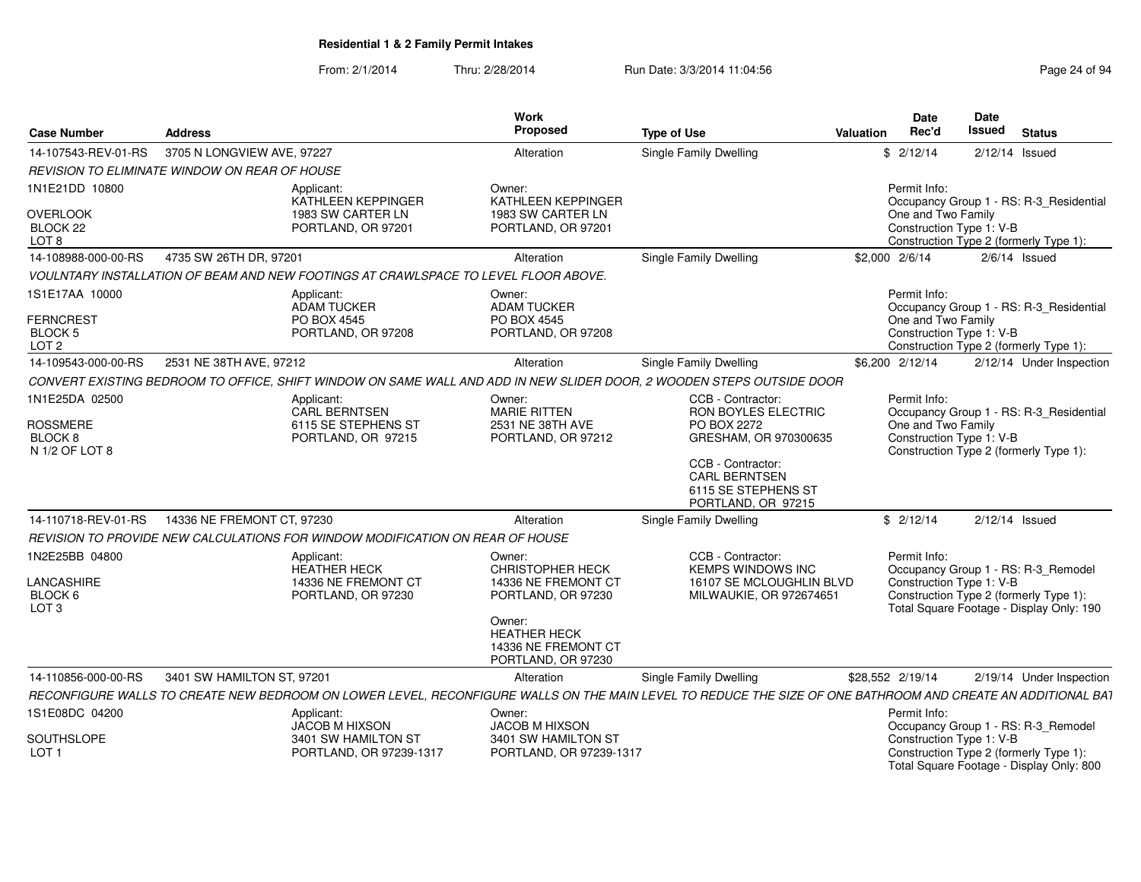| <b>Case Number</b>                                                | <b>Address</b>             |                                                                                     | Work<br>Proposed                                                                                                                                             | <b>Type of Use</b>                                                                                                                                                         | Valuation | <b>Date</b><br>Rec'd                                           | <b>Date</b><br><b>Issued</b><br><b>Status</b>                                                                             |  |
|-------------------------------------------------------------------|----------------------------|-------------------------------------------------------------------------------------|--------------------------------------------------------------------------------------------------------------------------------------------------------------|----------------------------------------------------------------------------------------------------------------------------------------------------------------------------|-----------|----------------------------------------------------------------|---------------------------------------------------------------------------------------------------------------------------|--|
| 14-107543-REV-01-RS                                               | 3705 N LONGVIEW AVE, 97227 |                                                                                     | Alteration                                                                                                                                                   | Single Family Dwelling                                                                                                                                                     |           | \$2/12/14                                                      | $2/12/14$ Issued                                                                                                          |  |
| <b>REVISION TO ELIMINATE WINDOW ON REAR OF HOUSE</b>              |                            |                                                                                     |                                                                                                                                                              |                                                                                                                                                                            |           |                                                                |                                                                                                                           |  |
| 1N1E21DD 10800<br><b>OVERLOOK</b><br>BLOCK 22<br>LOT <sub>8</sub> |                            | Applicant:<br>KATHLEEN KEPPINGER<br>1983 SW CARTER LN<br>PORTLAND, OR 97201         | Owner:<br><b>KATHLEEN KEPPINGER</b><br>1983 SW CARTER LN<br>PORTLAND, OR 97201                                                                               |                                                                                                                                                                            |           | Permit Info:<br>One and Two Family<br>Construction Type 1: V-B | Occupancy Group 1 - RS: R-3_Residential<br>Construction Type 2 (formerly Type 1):                                         |  |
| 14-108988-000-00-RS                                               | 4735 SW 26TH DR, 97201     |                                                                                     | Alteration                                                                                                                                                   | Single Family Dwelling                                                                                                                                                     |           | \$2,000 2/6/14                                                 | $2/6/14$ Issued                                                                                                           |  |
|                                                                   |                            |                                                                                     |                                                                                                                                                              |                                                                                                                                                                            |           |                                                                |                                                                                                                           |  |
|                                                                   |                            | VOULNTARY INSTALLATION OF BEAM AND NEW FOOTINGS AT CRAWLSPACE TO LEVEL FLOOR ABOVE. |                                                                                                                                                              |                                                                                                                                                                            |           |                                                                |                                                                                                                           |  |
| 1S1E17AA 10000<br><b>FERNCREST</b><br>BLOCK 5<br>LOT <sub>2</sub> |                            | Applicant:<br>ADAM TUCKER<br>PO BOX 4545<br>PORTLAND, OR 97208                      | Owner:<br><b>ADAM TUCKER</b><br>PO BOX 4545<br>PORTLAND, OR 97208                                                                                            |                                                                                                                                                                            |           | Permit Info:<br>One and Two Family<br>Construction Type 1: V-B | Occupancy Group 1 - RS: R-3_Residential<br>Construction Type 2 (formerly Type 1):                                         |  |
| 14-109543-000-00-RS                                               | 2531 NE 38TH AVE, 97212    |                                                                                     | Alteration                                                                                                                                                   | Single Family Dwelling                                                                                                                                                     |           | \$6,200 2/12/14                                                | 2/12/14 Under Inspection                                                                                                  |  |
|                                                                   |                            |                                                                                     |                                                                                                                                                              | CONVERT EXISTING BEDROOM TO OFFICE, SHIFT WINDOW ON SAME WALL AND ADD IN NEW SLIDER DOOR, 2 WOODEN STEPS OUTSIDE DOOR                                                      |           |                                                                |                                                                                                                           |  |
| 1N1E25DA 02500<br><b>ROSSMERE</b><br>BLOCK 8<br>N 1/2 OF LOT 8    |                            | Applicant:<br><b>CARL BERNTSEN</b><br>6115 SE STEPHENS ST<br>PORTLAND, OR 97215     | Owner:<br><b>MARIE RITTEN</b><br>2531 NE 38TH AVE<br>PORTLAND, OR 97212                                                                                      | CCB - Contractor:<br>RON BOYLES ELECTRIC<br>PO BOX 2272<br>GRESHAM, OR 970300635<br>CCB - Contractor:<br><b>CARL BERNTSEN</b><br>6115 SE STEPHENS ST<br>PORTLAND, OR 97215 |           | Permit Info:<br>One and Two Family<br>Construction Type 1: V-B | Occupancy Group 1 - RS: R-3_Residential<br>Construction Type 2 (formerly Type 1):                                         |  |
| 14-110718-REV-01-RS                                               | 14336 NE FREMONT CT, 97230 |                                                                                     | Alteration                                                                                                                                                   | Single Family Dwelling                                                                                                                                                     |           | \$2/12/14                                                      | 2/12/14 Issued                                                                                                            |  |
|                                                                   |                            | REVISION TO PROVIDE NEW CALCULATIONS FOR WINDOW MODIFICATION ON REAR OF HOUSE       |                                                                                                                                                              |                                                                                                                                                                            |           |                                                                |                                                                                                                           |  |
| 1N2E25BB 04800<br>LANCASHIRE<br>BLOCK 6<br>LOT <sub>3</sub>       |                            | Applicant:<br><b>HEATHER HECK</b><br>14336 NE FREMONT CT<br>PORTLAND, OR 97230      | Owner:<br><b>CHRISTOPHER HECK</b><br>14336 NE FREMONT CT<br>PORTLAND, OR 97230<br>Owner:<br><b>HEATHER HECK</b><br>14336 NE FREMONT CT<br>PORTLAND, OR 97230 | CCB - Contractor:<br><b>KEMPS WINDOWS INC</b><br>16107 SE MCLOUGHLIN BLVD<br>MILWAUKIE, OR 972674651                                                                       |           | Permit Info:<br>Construction Type 1: V-B                       | Occupancy Group 1 - RS: R-3_Remodel<br>Construction Type 2 (formerly Type 1):<br>Total Square Footage - Display Only: 190 |  |
| 14-110856-000-00-RS                                               | 3401 SW HAMILTON ST, 97201 |                                                                                     | Alteration                                                                                                                                                   | Single Family Dwelling                                                                                                                                                     |           | \$28,552 2/19/14                                               | 2/19/14 Under Inspection                                                                                                  |  |
|                                                                   |                            |                                                                                     |                                                                                                                                                              | RECONFIGURE WALLS TO CREATE NEW BEDROOM ON LOWER LEVEL, RECONFIGURE WALLS ON THE MAIN LEVEL TO REDUCE THE SIZE OF ONE BATHROOM AND CREATE AN ADDITIONAL BAT                |           |                                                                |                                                                                                                           |  |
| 1S1E08DC 04200                                                    |                            | Applicant:                                                                          | Owner:                                                                                                                                                       |                                                                                                                                                                            |           | Permit Info:                                                   |                                                                                                                           |  |
| SOUTHSLOPE<br>LOT <sub>1</sub>                                    |                            | JACOB M HIXSON<br>3401 SW HAMILTON ST<br>PORTLAND, OR 97239-1317                    | JACOB M HIXSON<br>3401 SW HAMILTON ST<br>PORTLAND, OR 97239-1317                                                                                             |                                                                                                                                                                            |           | Construction Type 1: V-B                                       | Occupancy Group 1 - RS: R-3_Remodel<br>Construction Type 2 (formerly Type 1):<br>Total Square Footage - Display Only: 800 |  |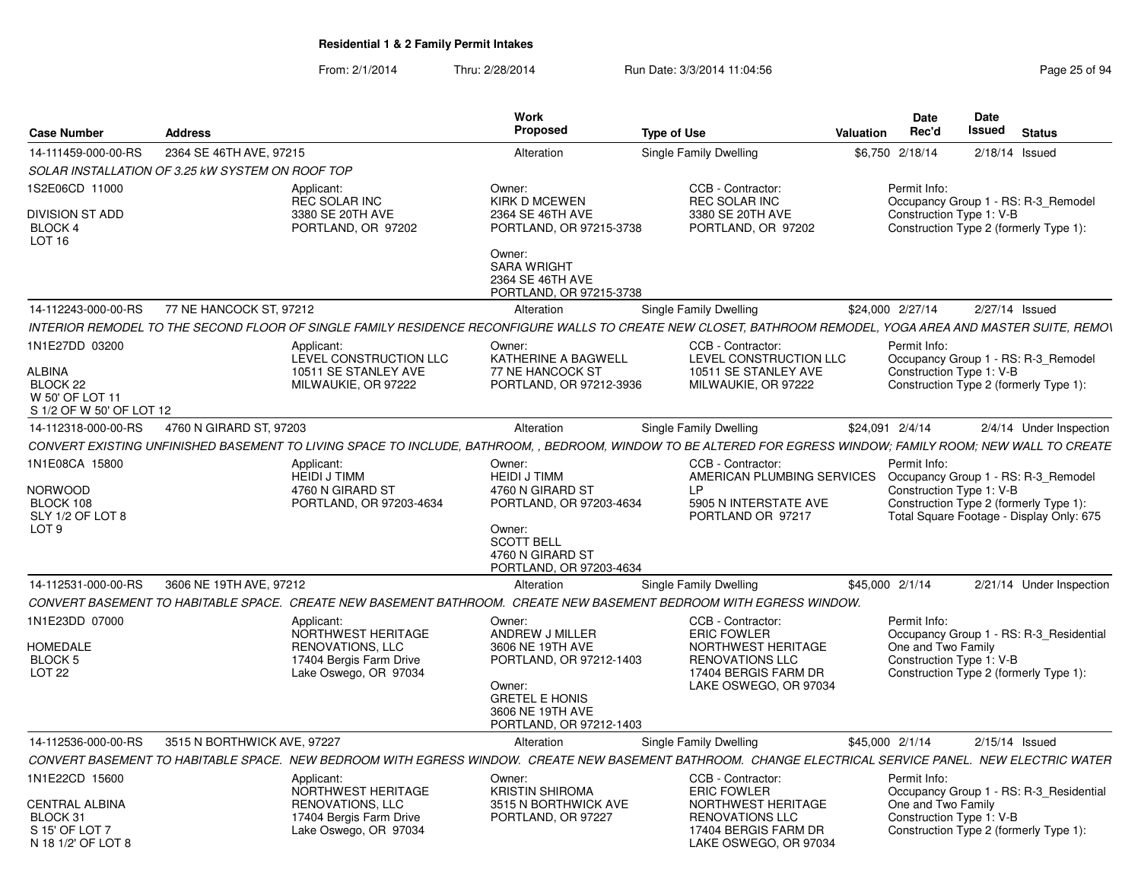| <b>Case Number</b>                                                           | <b>Address</b>                                   |                                                    | <b>Work</b><br>Proposed                                                                                                   | <b>Type of Use</b>                                                                                                                                            | <b>Valuation</b> | Date<br>Rec'd                                  | Date<br>Issued | <b>Status</b>                                                                      |
|------------------------------------------------------------------------------|--------------------------------------------------|----------------------------------------------------|---------------------------------------------------------------------------------------------------------------------------|---------------------------------------------------------------------------------------------------------------------------------------------------------------|------------------|------------------------------------------------|----------------|------------------------------------------------------------------------------------|
| 14-111459-000-00-RS                                                          | 2364 SE 46TH AVE, 97215                          |                                                    | Alteration                                                                                                                | Single Family Dwelling                                                                                                                                        |                  | \$6,750 2/18/14                                |                | $2/18/14$ Issued                                                                   |
|                                                                              | SOLAR INSTALLATION OF 3.25 kW SYSTEM ON ROOF TOP |                                                    |                                                                                                                           |                                                                                                                                                               |                  |                                                |                |                                                                                    |
| 1S2E06CD 11000                                                               |                                                  | Applicant:<br><b>REC SOLAR INC</b>                 | Owner:<br><b>KIRK D MCEWEN</b>                                                                                            | CCB - Contractor:<br><b>REC SOLAR INC</b>                                                                                                                     |                  | Permit Info:                                   |                | Occupancy Group 1 - RS: R-3 Remodel                                                |
| DIVISION ST ADD<br><b>BLOCK 4</b><br><b>LOT 16</b>                           |                                                  | 3380 SE 20TH AVE<br>PORTLAND, OR 97202             | 2364 SE 46TH AVE<br>PORTLAND, OR 97215-3738                                                                               | 3380 SE 20TH AVE<br>PORTLAND, OR 97202                                                                                                                        |                  | Construction Type 1: V-B                       |                | Construction Type 2 (formerly Type 1):                                             |
|                                                                              |                                                  |                                                    | Owner:<br><b>SARA WRIGHT</b><br>2364 SE 46TH AVE<br>PORTLAND, OR 97215-3738                                               |                                                                                                                                                               |                  |                                                |                |                                                                                    |
| 14-112243-000-00-RS                                                          | 77 NE HANCOCK ST, 97212                          |                                                    | Alteration                                                                                                                | Single Family Dwelling                                                                                                                                        |                  | \$24,000 2/27/14                               |                | 2/27/14 Issued                                                                     |
|                                                                              |                                                  |                                                    |                                                                                                                           | INTERIOR REMODEL TO THE SECOND FLOOR OF SINGLE FAMILY RESIDENCE RECONFIGURE WALLS TO CREATE NEW CLOSET, BATHROOM REMODEL, YOGA AREA AND MASTER SUITE, REMON   |                  |                                                |                |                                                                                    |
| 1N1E27DD 03200                                                               |                                                  | Applicant:<br>LEVEL CONSTRUCTION LLC               | Owner:<br>KATHERINE A BAGWELL                                                                                             | CCB - Contractor:<br>LEVEL CONSTRUCTION LLC                                                                                                                   |                  | Permit Info:                                   |                | Occupancy Group 1 - RS: R-3_Remodel                                                |
| ALBINA<br>BLOCK <sub>22</sub><br>W 50' OF LOT 11<br>S 1/2 OF W 50' OF LOT 12 |                                                  | 10511 SE STANLEY AVE<br>MILWAUKIE, OR 97222        | <b>77 NE HANCOCK ST</b><br>PORTLAND, OR 97212-3936                                                                        | 10511 SE STANLEY AVE<br>MILWAUKIE, OR 97222                                                                                                                   |                  | Construction Type 1: V-B                       |                | Construction Type 2 (formerly Type 1):                                             |
| 14-112318-000-00-RS                                                          | 4760 N GIRARD ST, 97203                          |                                                    | Alteration                                                                                                                | Single Family Dwelling                                                                                                                                        |                  | \$24,091 2/4/14                                |                | 2/4/14 Under Inspection                                                            |
|                                                                              |                                                  |                                                    |                                                                                                                           | CONVERT EXISTING UNFINISHED BASEMENT TO LIVING SPACE TO INCLUDE. BATHROOM. . BEDROOM. WINDOW TO BE ALTERED FOR EGRESS WINDOW: FAMILY ROOM: NEW WALL TO CREATE |                  |                                                |                |                                                                                    |
| 1N1E08CA 15800                                                               |                                                  | Applicant:<br><b>HEIDI J TIMM</b>                  | Owner:<br><b>HEIDI J TIMM</b>                                                                                             | CCB - Contractor:<br>AMERICAN PLUMBING SERVICES Occupancy Group 1 - RS: R-3_Remodel                                                                           |                  | Permit Info:                                   |                |                                                                                    |
| NORWOOD<br>BLOCK 108<br>SLY 1/2 OF LOT 8<br>LOT <sub>9</sub>                 |                                                  | 4760 N GIRARD ST<br>PORTLAND, OR 97203-4634        | 4760 N GIRARD ST<br>PORTLAND, OR 97203-4634<br>Owner:<br><b>SCOTT BELL</b><br>4760 N GIRARD ST<br>PORTLAND, OR 97203-4634 | I P<br>5905 N INTERSTATE AVE<br>PORTLAND OR 97217                                                                                                             |                  | Construction Type 1: V-B                       |                | Construction Type 2 (formerly Type 1):<br>Total Square Footage - Display Only: 675 |
| 14-112531-000-00-RS                                                          | 3606 NE 19TH AVE, 97212                          |                                                    | Alteration                                                                                                                | Single Family Dwelling                                                                                                                                        |                  | \$45,000 2/1/14                                |                | 2/21/14 Under Inspection                                                           |
|                                                                              |                                                  |                                                    |                                                                                                                           | CONVERT BASEMENT TO HABITABLE SPACE. CREATE NEW BASEMENT BATHROOM. CREATE NEW BASEMENT BEDROOM WITH EGRESS WINDOW.                                            |                  |                                                |                |                                                                                    |
| 1N1E23DD 07000                                                               |                                                  | Applicant:<br>NORTHWEST HERITAGE                   | Owner:<br>ANDREW J MILLER                                                                                                 | CCB - Contractor:<br><b>ERIC FOWLER</b>                                                                                                                       |                  | Permit Info:                                   |                | Occupancy Group 1 - RS: R-3 Residential                                            |
| <b>HOMEDALE</b><br><b>BLOCK 5</b>                                            |                                                  | <b>RENOVATIONS, LLC</b>                            | 3606 NE 19TH AVE<br>PORTLAND, OR 97212-1403                                                                               | NORTHWEST HERITAGE<br><b>RENOVATIONS LLC</b>                                                                                                                  |                  | One and Two Family<br>Construction Type 1: V-B |                |                                                                                    |
| LOT <sub>22</sub>                                                            |                                                  | 17404 Bergis Farm Drive<br>Lake Oswego, OR 97034   | Owner:<br><b>GRETEL E HONIS</b><br>3606 NE 19TH AVE<br>PORTLAND, OR 97212-1403                                            | 17404 BERGIS FARM DR<br>LAKE OSWEGO, OR 97034                                                                                                                 |                  |                                                |                | Construction Type 2 (formerly Type 1):                                             |
| 14-112536-000-00-RS                                                          | 3515 N BORTHWICK AVE, 97227                      |                                                    | Alteration                                                                                                                | Single Family Dwelling                                                                                                                                        |                  | \$45,000 2/1/14                                |                | $2/15/14$ Issued                                                                   |
|                                                                              |                                                  |                                                    |                                                                                                                           | CONVERT BASEMENT TO HABITABLE SPACE. NEW BEDROOM WITH EGRESS WINDOW. CREATE NEW BASEMENT BATHROOM. CHANGE ELECTRICAL SERVICE PANEL. NEW ELECTRIC WATER        |                  |                                                |                |                                                                                    |
| 1N1E22CD 15600                                                               |                                                  | Applicant:<br>NORTHWEST HERITAGE                   | Owner:<br><b>KRISTIN SHIROMA</b>                                                                                          | CCB - Contractor:<br><b>ERIC FOWLER</b>                                                                                                                       |                  | Permit Info:                                   |                | Occupancy Group 1 - RS: R-3 Residential                                            |
| CENTRAL ALBINA<br>BLOCK 31<br>S 15' OF LOT 7                                 |                                                  | <b>RENOVATIONS, LLC</b><br>17404 Bergis Farm Drive | 3515 N BORTHWICK AVE<br>PORTLAND, OR 97227                                                                                | NORTHWEST HERITAGE<br><b>RENOVATIONS LLC</b><br>17404 BERGIS FARM DR                                                                                          |                  | One and Two Family<br>Construction Type 1: V-B |                | Construction Type 2 (formerly Type 1):                                             |
| N 18 1/2' OF LOT 8                                                           |                                                  | Lake Oswego, OR 97034                              |                                                                                                                           | LAKE OSWEGO, OR 97034                                                                                                                                         |                  |                                                |                |                                                                                    |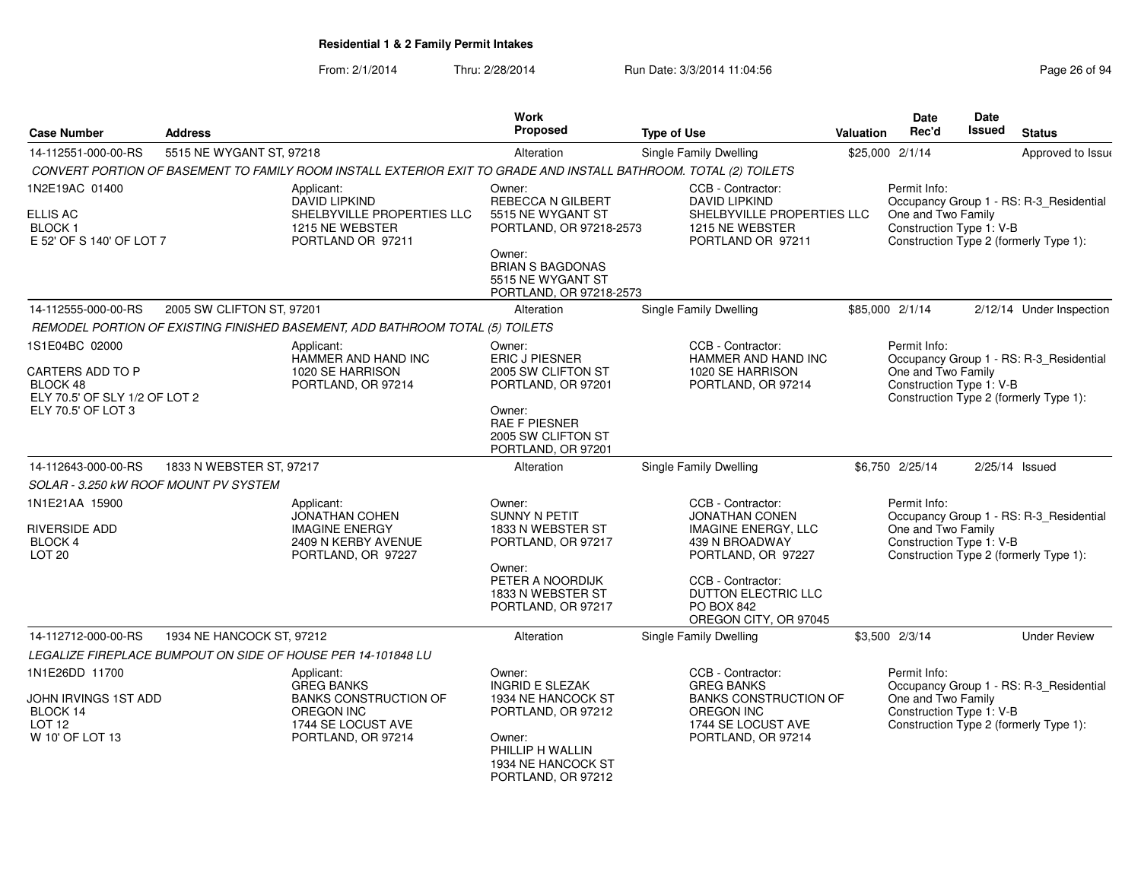| <b>Case Number</b>                                                                                           | <b>Address</b>            |                                                                                                                                  | <b>Work</b><br><b>Proposed</b>                                                                                                                            | <b>Type of Use</b>                                                                                                                                           | <b>Valuation</b> | Date<br>Rec'd                                                  | <b>Date</b><br>Issued | <b>Status</b>                                                                     |
|--------------------------------------------------------------------------------------------------------------|---------------------------|----------------------------------------------------------------------------------------------------------------------------------|-----------------------------------------------------------------------------------------------------------------------------------------------------------|--------------------------------------------------------------------------------------------------------------------------------------------------------------|------------------|----------------------------------------------------------------|-----------------------|-----------------------------------------------------------------------------------|
| 14-112551-000-00-RS                                                                                          | 5515 NE WYGANT ST, 97218  |                                                                                                                                  | Alteration                                                                                                                                                | Single Family Dwelling                                                                                                                                       |                  | \$25,000 2/1/14                                                |                       | Approved to Issue                                                                 |
|                                                                                                              |                           | CONVERT PORTION OF BASEMENT TO FAMILY ROOM INSTALL EXTERIOR EXIT TO GRADE AND INSTALL BATHROOM. TOTAL (2) TOILETS                |                                                                                                                                                           |                                                                                                                                                              |                  |                                                                |                       |                                                                                   |
| 1N2E19AC 01400<br><b>ELLIS AC</b><br><b>BLOCK1</b><br>E 52' OF S 140' OF LOT 7                               |                           | Applicant:<br><b>DAVID LIPKIND</b><br>SHELBYVILLE PROPERTIES LLC<br>1215 NE WEBSTER<br>PORTLAND OR 97211                         | Owner:<br>REBECCA N GILBERT<br>5515 NE WYGANT ST<br>PORTLAND, OR 97218-2573<br>Owner:                                                                     | CCB - Contractor:<br><b>DAVID LIPKIND</b><br>SHELBYVILLE PROPERTIES LLC<br>1215 NE WEBSTER<br>PORTLAND OR 97211                                              |                  | Permit Info:<br>One and Two Family<br>Construction Type 1: V-B |                       | Occupancy Group 1 - RS: R-3_Residential<br>Construction Type 2 (formerly Type 1): |
|                                                                                                              |                           |                                                                                                                                  | <b>BRIAN S BAGDONAS</b><br>5515 NE WYGANT ST<br>PORTLAND, OR 97218-2573                                                                                   |                                                                                                                                                              |                  |                                                                |                       |                                                                                   |
| 14-112555-000-00-RS                                                                                          | 2005 SW CLIFTON ST, 97201 |                                                                                                                                  | Alteration                                                                                                                                                | Single Family Dwelling                                                                                                                                       |                  | \$85,000 2/1/14                                                |                       | 2/12/14 Under Inspection                                                          |
|                                                                                                              |                           | REMODEL PORTION OF EXISTING FINISHED BASEMENT, ADD BATHROOM TOTAL (5) TOILETS                                                    |                                                                                                                                                           |                                                                                                                                                              |                  |                                                                |                       |                                                                                   |
| 1S1E04BC 02000<br><b>CARTERS ADD TO P</b><br>BLOCK 48<br>ELY 70.5' OF SLY 1/2 OF LOT 2<br>ELY 70.5' OF LOT 3 |                           | Applicant:<br>HAMMER AND HAND INC<br>1020 SE HARRISON<br>PORTLAND, OR 97214                                                      | Owner:<br><b>ERIC J PIESNER</b><br>2005 SW CLIFTON ST<br>PORTLAND, OR 97201<br>Owner:<br><b>RAE F PIESNER</b><br>2005 SW CLIFTON ST<br>PORTLAND, OR 97201 | CCB - Contractor:<br>HAMMER AND HAND INC<br>1020 SE HARRISON<br>PORTLAND, OR 97214                                                                           |                  | Permit Info:<br>One and Two Family<br>Construction Type 1: V-B |                       | Occupancy Group 1 - RS: R-3_Residential<br>Construction Type 2 (formerly Type 1): |
| 14-112643-000-00-RS                                                                                          | 1833 N WEBSTER ST, 97217  |                                                                                                                                  | Alteration                                                                                                                                                | <b>Single Family Dwelling</b>                                                                                                                                |                  | \$6,750 2/25/14                                                |                       | $2/25/14$ Issued                                                                  |
| SOLAR - 3.250 kW ROOF MOUNT PV SYSTEM                                                                        |                           |                                                                                                                                  |                                                                                                                                                           |                                                                                                                                                              |                  |                                                                |                       |                                                                                   |
| 1N1E21AA 15900<br><b>RIVERSIDE ADD</b><br>BLOCK 4<br>LOT <sub>20</sub>                                       |                           | Applicant:<br>JONATHAN COHEN<br><b>IMAGINE ENERGY</b><br>2409 N KERBY AVENUE<br>PORTLAND, OR 97227                               | Owner:<br>SUNNY N PETIT<br>1833 N WEBSTER ST<br>PORTLAND, OR 97217<br>Owner:<br>PETER A NOORDIJK<br>1833 N WEBSTER ST                                     | CCB - Contractor:<br><b>JONATHAN CONEN</b><br><b>IMAGINE ENERGY, LLC</b><br>439 N BROADWAY<br>PORTLAND, OR 97227<br>CCB - Contractor:<br>DUTTON ELECTRIC LLC |                  | Permit Info:<br>One and Two Family<br>Construction Type 1: V-B |                       | Occupancy Group 1 - RS: R-3_Residential<br>Construction Type 2 (formerly Type 1): |
|                                                                                                              |                           |                                                                                                                                  | PORTLAND, OR 97217                                                                                                                                        | <b>PO BOX 842</b><br>OREGON CITY, OR 97045                                                                                                                   |                  |                                                                |                       |                                                                                   |
| 14-112712-000-00-RS                                                                                          | 1934 NE HANCOCK ST, 97212 |                                                                                                                                  | Alteration                                                                                                                                                | Single Family Dwelling                                                                                                                                       |                  | \$3,500 2/3/14                                                 |                       | <b>Under Review</b>                                                               |
|                                                                                                              |                           | LEGALIZE FIREPLACE BUMPOUT ON SIDE OF HOUSE PER 14-101848 LU                                                                     |                                                                                                                                                           |                                                                                                                                                              |                  |                                                                |                       |                                                                                   |
| 1N1E26DD 11700<br>JOHN IRVINGS 1ST ADD<br>BLOCK 14<br><b>LOT 12</b><br>W 10' OF LOT 13                       |                           | Applicant:<br><b>GREG BANKS</b><br><b>BANKS CONSTRUCTION OF</b><br><b>OREGON INC</b><br>1744 SE LOCUST AVE<br>PORTLAND, OR 97214 | Owner:<br><b>INGRID E SLEZAK</b><br>1934 NE HANCOCK ST<br>PORTLAND, OR 97212<br>Owner:<br>PHILLIP H WALLIN<br>1934 NE HANCOCK ST<br>PORTLAND, OR 97212    | CCB - Contractor:<br><b>GREG BANKS</b><br><b>BANKS CONSTRUCTION OF</b><br><b>OREGON INC</b><br>1744 SE LOCUST AVE<br>PORTLAND, OR 97214                      |                  | Permit Info:<br>One and Two Family<br>Construction Type 1: V-B |                       | Occupancy Group 1 - RS: R-3_Residential<br>Construction Type 2 (formerly Type 1): |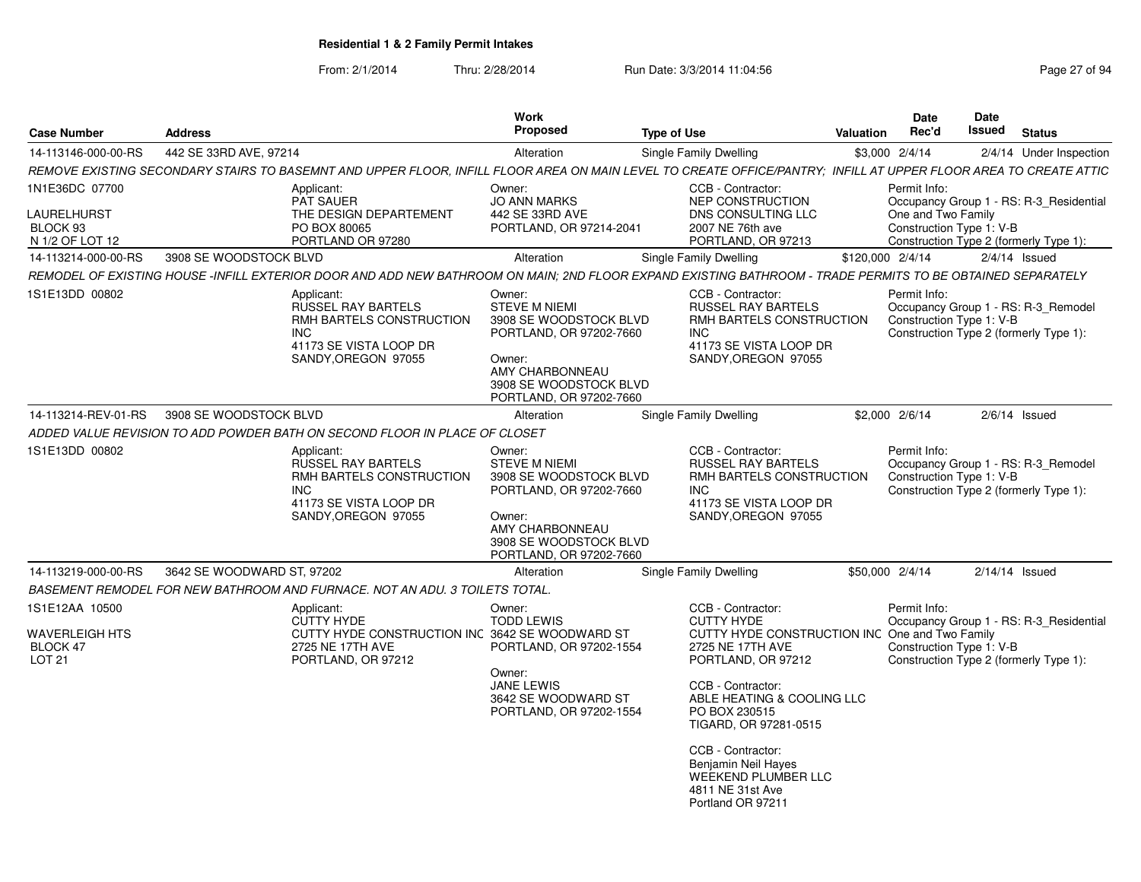| <b>Case Number</b>                                                      | <b>Address</b>             |                                                                                                                                                                  | Work<br>Proposed                                                                                                                                                      | <b>Type of Use</b> |                                                                                                                                                                                                                                                                                                                                                    | Valuation        | <b>Date</b><br>Rec'd                                           | <b>Date</b><br>Issued                                                         | <b>Status</b>                                                                     |
|-------------------------------------------------------------------------|----------------------------|------------------------------------------------------------------------------------------------------------------------------------------------------------------|-----------------------------------------------------------------------------------------------------------------------------------------------------------------------|--------------------|----------------------------------------------------------------------------------------------------------------------------------------------------------------------------------------------------------------------------------------------------------------------------------------------------------------------------------------------------|------------------|----------------------------------------------------------------|-------------------------------------------------------------------------------|-----------------------------------------------------------------------------------|
| 14-113146-000-00-RS                                                     | 442 SE 33RD AVE, 97214     |                                                                                                                                                                  | Alteration                                                                                                                                                            |                    | <b>Single Family Dwelling</b>                                                                                                                                                                                                                                                                                                                      |                  | \$3.000 2/4/14                                                 |                                                                               | 2/4/14 Under Inspection                                                           |
|                                                                         |                            | REMOVE EXISTING SECONDARY STAIRS TO BASEMNT AND UPPER FLOOR, INFILL FLOOR AREA ON MAIN LEVEL TO CREATE OFFICE/PANTRY; INFILL AT UPPER FLOOR AREA TO CREATE ATTIC |                                                                                                                                                                       |                    |                                                                                                                                                                                                                                                                                                                                                    |                  |                                                                |                                                                               |                                                                                   |
| 1N1E36DC 07700<br>LAURELHURST<br>BLOCK <sub>93</sub><br>N 1/2 OF LOT 12 |                            | Applicant:<br><b>PAT SAUER</b><br>THE DESIGN DEPARTEMENT<br>PO BOX 80065<br>PORTLAND OR 97280                                                                    | Owner:<br><b>JO ANN MARKS</b><br>442 SE 33RD AVE<br>PORTLAND, OR 97214-2041                                                                                           |                    | CCB - Contractor:<br>NEP CONSTRUCTION<br>DNS CONSULTING LLC<br>2007 NE 76th ave<br>PORTLAND, OR 97213                                                                                                                                                                                                                                              |                  | Permit Info:<br>One and Two Family<br>Construction Type 1: V-B |                                                                               | Occupancy Group 1 - RS: R-3_Residential<br>Construction Type 2 (formerly Type 1): |
| 14-113214-000-00-RS                                                     | 3908 SE WOODSTOCK BLVD     |                                                                                                                                                                  | Alteration                                                                                                                                                            |                    | <b>Single Family Dwelling</b>                                                                                                                                                                                                                                                                                                                      | \$120,000 2/4/14 |                                                                |                                                                               | $2/4/14$ Issued                                                                   |
|                                                                         |                            | REMODEL OF EXISTING HOUSE -INFILL EXTERIOR DOOR AND ADD NEW BATHROOM ON MAIN; 2ND FLOOR EXPAND EXISTING BATHROOM - TRADE PERMITS TO BE OBTAINED SEPARATELY       |                                                                                                                                                                       |                    |                                                                                                                                                                                                                                                                                                                                                    |                  |                                                                |                                                                               |                                                                                   |
| 1S1E13DD 00802                                                          |                            | Applicant:<br><b>RUSSEL RAY BARTELS</b><br>RMH BARTELS CONSTRUCTION<br><b>INC</b><br>41173 SE VISTA LOOP DR<br>SANDY, OREGON 97055                               | Owner:<br><b>STEVE M NIEMI</b><br>3908 SE WOODSTOCK BLVD<br>PORTLAND, OR 97202-7660<br>Owner:<br>AMY CHARBONNEAU<br>3908 SE WOODSTOCK BLVD<br>PORTLAND, OR 97202-7660 |                    | CCB - Contractor:<br><b>RUSSEL RAY BARTELS</b><br>RMH BARTELS CONSTRUCTION<br><b>INC</b><br>41173 SE VISTA LOOP DR<br>SANDY, OREGON 97055                                                                                                                                                                                                          |                  | Permit Info:<br>Construction Type 1: V-B                       |                                                                               | Occupancy Group 1 - RS: R-3_Remodel<br>Construction Type 2 (formerly Type 1):     |
| 14-113214-REV-01-RS                                                     | 3908 SE WOODSTOCK BLVD     |                                                                                                                                                                  | Alteration                                                                                                                                                            |                    | <b>Single Family Dwelling</b>                                                                                                                                                                                                                                                                                                                      |                  | \$2,000 2/6/14                                                 |                                                                               | $2/6/14$ Issued                                                                   |
|                                                                         |                            | ADDED VALUE REVISION TO ADD POWDER BATH ON SECOND FLOOR IN PLACE OF CLOSET                                                                                       |                                                                                                                                                                       |                    |                                                                                                                                                                                                                                                                                                                                                    |                  |                                                                |                                                                               |                                                                                   |
| 1S1E13DD 00802                                                          |                            | Applicant:<br><b>RUSSEL RAY BARTELS</b><br>RMH BARTELS CONSTRUCTION<br><b>INC</b><br>41173 SE VISTA LOOP DR<br>SANDY, OREGON 97055                               | Owner:<br><b>STEVE M NIEMI</b><br>3908 SE WOODSTOCK BLVD<br>PORTLAND, OR 97202-7660<br>Owner:<br>AMY CHARBONNEAU<br>3908 SE WOODSTOCK BLVD<br>PORTLAND, OR 97202-7660 |                    | CCB - Contractor:<br><b>RUSSEL RAY BARTELS</b><br>RMH BARTELS CONSTRUCTION<br><b>INC</b><br>41173 SE VISTA LOOP DR<br>SANDY, OREGON 97055                                                                                                                                                                                                          |                  | Permit Info:<br>Construction Type 1: V-B                       | Occupancy Group 1 - RS: R-3_Remodel<br>Construction Type 2 (formerly Type 1): |                                                                                   |
| 14-113219-000-00-RS                                                     | 3642 SE WOODWARD ST, 97202 |                                                                                                                                                                  | Alteration                                                                                                                                                            |                    | Single Family Dwelling                                                                                                                                                                                                                                                                                                                             |                  | \$50,000 2/4/14                                                |                                                                               | $2/14/14$ Issued                                                                  |
|                                                                         |                            | BASEMENT REMODEL FOR NEW BATHROOM AND FURNACE. NOT AN ADU. 3 TOILETS TOTAL.                                                                                      |                                                                                                                                                                       |                    |                                                                                                                                                                                                                                                                                                                                                    |                  |                                                                |                                                                               |                                                                                   |
| 1S1E12AA 10500<br>WAVERLEIGH HTS<br>BLOCK 47<br><b>LOT 21</b>           |                            | Applicant:<br><b>CUTTY HYDE</b><br>CUTTY HYDE CONSTRUCTION INC 3642 SE WOODWARD ST<br>2725 NE 17TH AVE<br>PORTLAND, OR 97212                                     | Owner:<br><b>TODD LEWIS</b><br>PORTLAND, OR 97202-1554<br>Owner:<br><b>JANE LEWIS</b><br>3642 SE WOODWARD ST<br>PORTLAND, OR 97202-1554                               |                    | CCB - Contractor:<br><b>CUTTY HYDE</b><br>CUTTY HYDE CONSTRUCTION INC One and Two Family<br>2725 NE 17TH AVE<br>PORTLAND, OR 97212<br>CCB - Contractor:<br>ABLE HEATING & COOLING LLC<br>PO BOX 230515<br>TIGARD, OR 97281-0515<br>CCB - Contractor:<br>Benjamin Neil Hayes<br><b>WEEKEND PLUMBER LLC</b><br>4811 NE 31st Ave<br>Portland OR 97211 |                  | Permit Info:<br>Construction Type 1: V-B                       |                                                                               | Occupancy Group 1 - RS: R-3 Residential<br>Construction Type 2 (formerly Type 1): |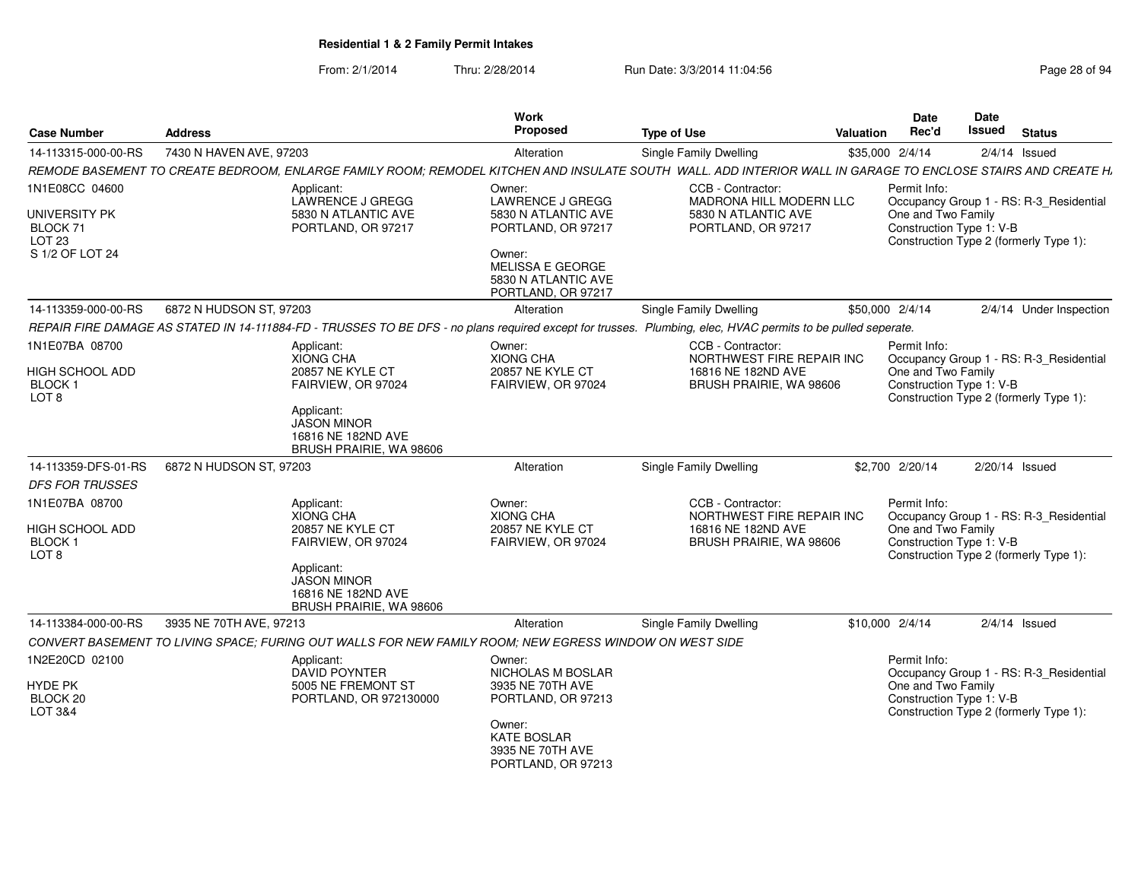| <b>Case Number</b>                                  | <b>Address</b>                                                                                                                                               | Work<br><b>Proposed</b>                                                 | <b>Type of Use</b>                                                                              | <b>Valuation</b> | <b>Date</b><br>Rec'd                                           | Date<br>Issued   | <b>Status</b>                           |
|-----------------------------------------------------|--------------------------------------------------------------------------------------------------------------------------------------------------------------|-------------------------------------------------------------------------|-------------------------------------------------------------------------------------------------|------------------|----------------------------------------------------------------|------------------|-----------------------------------------|
| 14-113315-000-00-RS                                 | 7430 N HAVEN AVE, 97203                                                                                                                                      | Alteration                                                              | Single Family Dwelling                                                                          |                  | \$35,000 2/4/14                                                |                  | $2/4/14$ Issued                         |
|                                                     | REMODE BASEMENT TO CREATE BEDROOM, ENLARGE FAMILY ROOM; REMODEL KITCHEN AND INSULATE SOUTH WALL. ADD INTERIOR WALL IN GARAGE TO ENCLOSE STAIRS AND CREATE H. |                                                                         |                                                                                                 |                  |                                                                |                  |                                         |
| 1N1E08CC 04600                                      | Applicant:<br>LAWRENCE J GREGG                                                                                                                               | Owner:<br>LAWRENCE J GREGG                                              | CCB - Contractor:<br>MADRONA HILL MODERN LLC                                                    |                  | Permit Info:                                                   |                  | Occupancy Group 1 - RS: R-3_Residential |
| UNIVERSITY PK<br>BLOCK 71<br>LOT <sub>23</sub>      | 5830 N ATLANTIC AVE<br>PORTLAND, OR 97217                                                                                                                    | 5830 N ATLANTIC AVE<br>PORTLAND, OR 97217                               | 5830 N ATLANTIC AVE<br>PORTLAND, OR 97217                                                       |                  | One and Two Family<br>Construction Type 1: V-B                 |                  | Construction Type 2 (formerly Type 1):  |
| S 1/2 OF LOT 24                                     |                                                                                                                                                              | Owner:<br>MELISSA E GEORGE<br>5830 N ATLANTIC AVE<br>PORTLAND, OR 97217 |                                                                                                 |                  |                                                                |                  |                                         |
| 14-113359-000-00-RS                                 | 6872 N HUDSON ST, 97203                                                                                                                                      | Alteration                                                              | <b>Single Family Dwelling</b>                                                                   |                  | \$50,000 2/4/14                                                |                  | 2/4/14 Under Inspection                 |
|                                                     | REPAIR FIRE DAMAGE AS STATED IN 14-111884-FD - TRUSSES TO BE DFS - no plans required except for trusses. Plumbing, elec, HVAC permits to be pulled seperate. |                                                                         |                                                                                                 |                  |                                                                |                  |                                         |
| 1N1E07BA 08700                                      | Applicant:<br><b>XIONG CHA</b>                                                                                                                               | Owner:<br><b>XIONG CHA</b>                                              | CCB - Contractor:<br>NORTHWEST FIRE REPAIR INC                                                  |                  | Permit Info:                                                   |                  | Occupancy Group 1 - RS: R-3_Residential |
| HIGH SCHOOL ADD<br>BLOCK 1<br>LOT <sub>8</sub>      | <b>20857 NE KYLE CT</b><br>FAIRVIEW, OR 97024                                                                                                                | <b>20857 NE KYLE CT</b><br>FAIRVIEW, OR 97024                           | 16816 NE 182ND AVE<br>BRUSH PRAIRIE, WA 98606                                                   |                  | One and Two Family<br>Construction Type 1: V-B                 |                  | Construction Type 2 (formerly Type 1):  |
|                                                     | Applicant:<br><b>JASON MINOR</b><br>16816 NE 182ND AVE<br>BRUSH PRAIRIE, WA 98606                                                                            |                                                                         |                                                                                                 |                  |                                                                |                  |                                         |
| 14-113359-DFS-01-RS                                 | 6872 N HUDSON ST, 97203                                                                                                                                      | Alteration                                                              | <b>Single Family Dwelling</b>                                                                   |                  | \$2,700 2/20/14                                                | $2/20/14$ Issued |                                         |
| <b>DFS FOR TRUSSES</b>                              |                                                                                                                                                              |                                                                         |                                                                                                 |                  |                                                                |                  |                                         |
| 1N1E07BA 08700<br><b>HIGH SCHOOL ADD</b><br>BLOCK 1 | Applicant:<br><b>XIONG CHA</b><br>20857 NE KYLE CT<br>FAIRVIEW, OR 97024                                                                                     | Owner:<br><b>XIONG CHA</b><br>20857 NE KYLE CT<br>FAIRVIEW, OR 97024    | CCB - Contractor:<br>NORTHWEST FIRE REPAIR INC<br>16816 NE 182ND AVE<br>BRUSH PRAIRIE, WA 98606 |                  | Permit Info:<br>One and Two Family<br>Construction Type 1: V-B |                  | Occupancy Group 1 - RS: R-3 Residential |
| LOT <sub>8</sub>                                    | Applicant:<br><b>JASON MINOR</b><br>16816 NE 182ND AVE<br><b>BRUSH PRAIRIE, WA 98606</b>                                                                     |                                                                         |                                                                                                 |                  |                                                                |                  | Construction Type 2 (formerly Type 1):  |
| 14-113384-000-00-RS                                 | 3935 NE 70TH AVE, 97213                                                                                                                                      | Alteration                                                              | <b>Single Family Dwelling</b>                                                                   |                  | \$10,000 2/4/14                                                |                  | $2/4/14$ Issued                         |
|                                                     | CONVERT BASEMENT TO LIVING SPACE: FURING OUT WALLS FOR NEW FAMILY ROOM: NEW EGRESS WINDOW ON WEST SIDE                                                       |                                                                         |                                                                                                 |                  |                                                                |                  |                                         |
| 1N2E20CD 02100                                      | Applicant:<br><b>DAVID POYNTER</b>                                                                                                                           | Owner:<br>NICHOLAS M BOSLAR                                             |                                                                                                 |                  | Permit Info:                                                   |                  | Occupancy Group 1 - RS: R-3 Residential |
| HYDE PK<br>BLOCK 20<br>LOT 3&4                      | 5005 NE FREMONT ST<br>PORTLAND, OR 972130000                                                                                                                 | 3935 NE 70TH AVE<br>PORTLAND, OR 97213                                  |                                                                                                 |                  | One and Two Family<br>Construction Type 1: V-B                 |                  | Construction Type 2 (formerly Type 1):  |
|                                                     |                                                                                                                                                              | Owner:<br><b>KATE BOSLAR</b><br>3935 NE 70TH AVE<br>PORTLAND, OR 97213  |                                                                                                 |                  |                                                                |                  |                                         |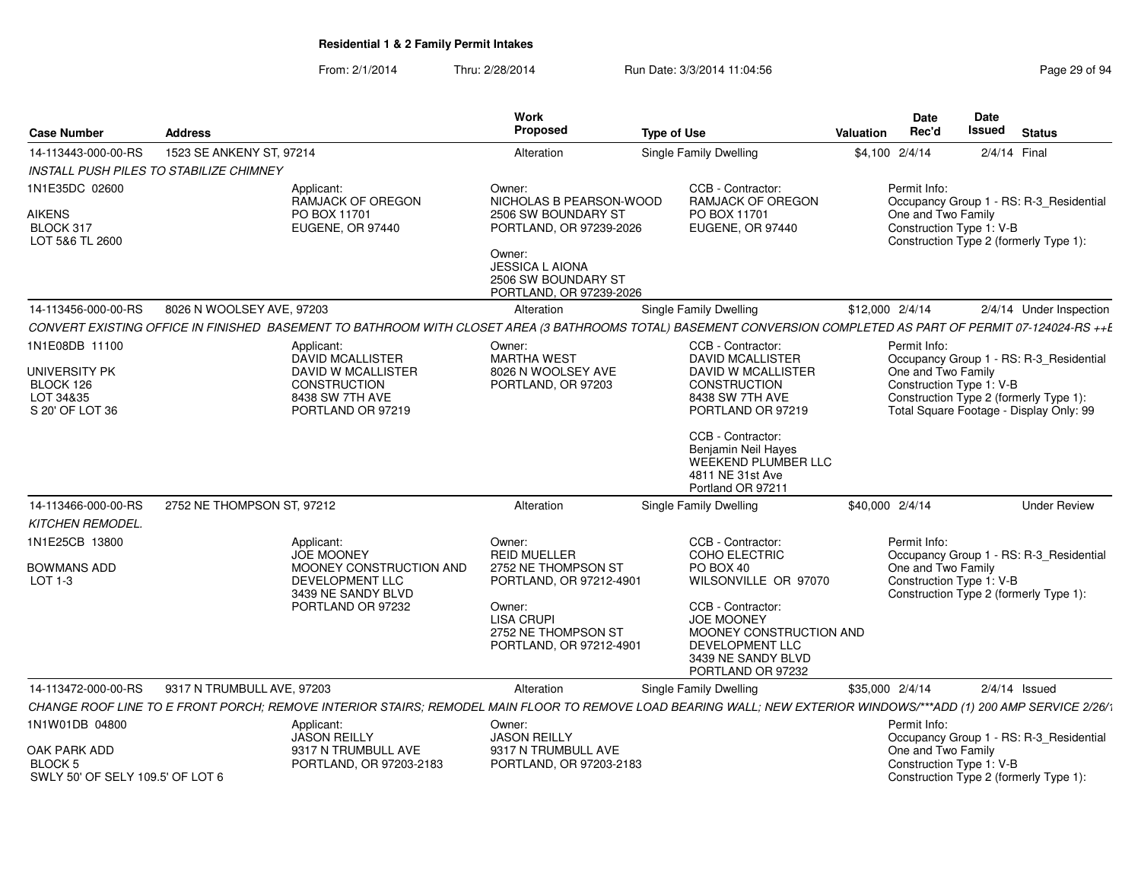| <b>Case Number</b>                                                 | <b>Address</b>                                                                                                                                                    | Work<br>Proposed                                                                                                                     | <b>Type of Use</b>                                                                                                              | Date<br>Rec'd<br>Valuation                     | Date<br><b>Issued</b><br><b>Status</b>                                            |
|--------------------------------------------------------------------|-------------------------------------------------------------------------------------------------------------------------------------------------------------------|--------------------------------------------------------------------------------------------------------------------------------------|---------------------------------------------------------------------------------------------------------------------------------|------------------------------------------------|-----------------------------------------------------------------------------------|
| 14-113443-000-00-RS                                                | 1523 SE ANKENY ST, 97214                                                                                                                                          | Alteration                                                                                                                           | Single Family Dwelling                                                                                                          | \$4,100 2/4/14                                 | 2/4/14 Final                                                                      |
| INSTALL PUSH PILES TO STABILIZE CHIMNEY                            |                                                                                                                                                                   |                                                                                                                                      |                                                                                                                                 |                                                |                                                                                   |
| 1N1E35DC 02600                                                     | Applicant:<br><b>RAMJACK OF OREGON</b>                                                                                                                            | Owner:<br>NICHOLAS B PEARSON-WOOD                                                                                                    | CCB - Contractor:<br><b>RAMJACK OF OREGON</b>                                                                                   | Permit Info:                                   | Occupancy Group 1 - RS: R-3_Residential                                           |
| <b>AIKENS</b><br>BLOCK 317<br>LOT 5&6 TL 2600                      | PO BOX 11701<br>EUGENE, OR 97440                                                                                                                                  | 2506 SW BOUNDARY ST<br>PORTLAND, OR 97239-2026<br>Owner:<br><b>JESSICA L AIONA</b><br>2506 SW BOUNDARY ST<br>PORTLAND, OR 97239-2026 | PO BOX 11701<br>EUGENE, OR 97440                                                                                                | One and Two Family<br>Construction Type 1: V-B | Construction Type 2 (formerly Type 1):                                            |
| 14-113456-000-00-RS                                                | 8026 N WOOLSEY AVE, 97203                                                                                                                                         | Alteration                                                                                                                           | <b>Single Family Dwelling</b>                                                                                                   | \$12,000 2/4/14                                | 2/4/14 Under Inspection                                                           |
|                                                                    | CONVERT EXISTING OFFICE IN FINISHED BASEMENT TO BATHROOM WITH CLOSET AREA (3 BATHROOMS TOTAL) BASEMENT CONVERSION COMPLETED AS PART OF PERMIT 07-124024-RS ++E    |                                                                                                                                      |                                                                                                                                 |                                                |                                                                                   |
| 1N1E08DB 11100                                                     | Applicant:<br><b>DAVID MCALLISTER</b>                                                                                                                             | Owner:<br>MARTHA WEST                                                                                                                | CCB - Contractor:<br><b>DAVID MCALLISTER</b>                                                                                    | Permit Info:                                   | Occupancy Group 1 - RS: R-3_Residential                                           |
| UNIVERSITY PK<br>BLOCK 126<br>LOT 34&35<br>S 20' OF LOT 36         | DAVID W MCALLISTER<br>CONSTRUCTION<br>8438 SW 7TH AVE<br>PORTLAND OR 97219                                                                                        | 8026 N WOOLSEY AVE<br>PORTLAND, OR 97203                                                                                             | DAVID W MCALLISTER<br><b>CONSTRUCTION</b><br>8438 SW 7TH AVE<br>PORTLAND OR 97219                                               | One and Two Family<br>Construction Type 1: V-B | Construction Type 2 (formerly Type 1):<br>Total Square Footage - Display Only: 99 |
|                                                                    |                                                                                                                                                                   |                                                                                                                                      | CCB - Contractor:<br>Benjamin Neil Hayes<br>WEEKEND PLUMBER LLC<br>4811 NE 31st Ave<br>Portland OR 97211                        |                                                |                                                                                   |
| 14-113466-000-00-RS                                                | 2752 NE THOMPSON ST, 97212                                                                                                                                        | Alteration                                                                                                                           | Single Family Dwelling                                                                                                          | \$40,000 2/4/14                                | <b>Under Review</b>                                                               |
| KITCHEN REMODEL.                                                   |                                                                                                                                                                   |                                                                                                                                      |                                                                                                                                 |                                                |                                                                                   |
| 1N1E25CB 13800<br>BOWMANS ADD                                      | Applicant:<br><b>JOE MOONEY</b><br>MOONEY CONSTRUCTION AND                                                                                                        | Owner:<br><b>REID MUELLER</b><br>2752 NE THOMPSON ST                                                                                 | CCB - Contractor:<br><b>COHO ELECTRIC</b><br>PO BOX 40                                                                          | Permit Info:<br>One and Two Family             | Occupancy Group 1 - RS: R-3_Residential                                           |
| $LOT 1-3$                                                          | <b>DEVELOPMENT LLC</b><br>3439 NE SANDY BLVD                                                                                                                      | PORTLAND, OR 97212-4901                                                                                                              | WILSONVILLE OR 97070                                                                                                            | Construction Type 1: V-B                       | Construction Type 2 (formerly Type 1):                                            |
|                                                                    | PORTLAND OR 97232                                                                                                                                                 | Owner:<br><b>LISA CRUPI</b><br>2752 NE THOMPSON ST<br>PORTLAND, OR 97212-4901                                                        | CCB - Contractor:<br><b>JOE MOONEY</b><br>MOONEY CONSTRUCTION AND<br>DEVELOPMENT LLC<br>3439 NE SANDY BLVD<br>PORTLAND OR 97232 |                                                |                                                                                   |
| 14-113472-000-00-RS                                                | 9317 N TRUMBULL AVE, 97203                                                                                                                                        | Alteration                                                                                                                           | Single Family Dwelling                                                                                                          | \$35,000 2/4/14                                | $2/4/14$ Issued                                                                   |
|                                                                    | CHANGE ROOF LINE TO E FRONT PORCH; REMOVE INTERIOR STAIRS; REMODEL MAIN FLOOR TO REMOVE LOAD BEARING WALL; NEW EXTERIOR WINDOWS/***ADD (1) 200 AMP SERVICE 2/26/1 |                                                                                                                                      |                                                                                                                                 |                                                |                                                                                   |
| 1N1W01DB 04800                                                     | Applicant:<br><b>JASON REILLY</b>                                                                                                                                 | Owner:<br><b>JASON REILLY</b>                                                                                                        |                                                                                                                                 | Permit Info:                                   | Occupancy Group 1 - RS: R-3_Residential                                           |
| OAK PARK ADD<br><b>BLOCK 5</b><br>SWLY 50' OF SELY 109.5' OF LOT 6 | 9317 N TRUMBULL AVE<br>PORTLAND, OR 97203-2183                                                                                                                    | 9317 N TRUMBULL AVE<br>PORTLAND, OR 97203-2183                                                                                       |                                                                                                                                 | One and Two Family<br>Construction Type 1: V-B | Construction Type 2 (formerly Type 1):                                            |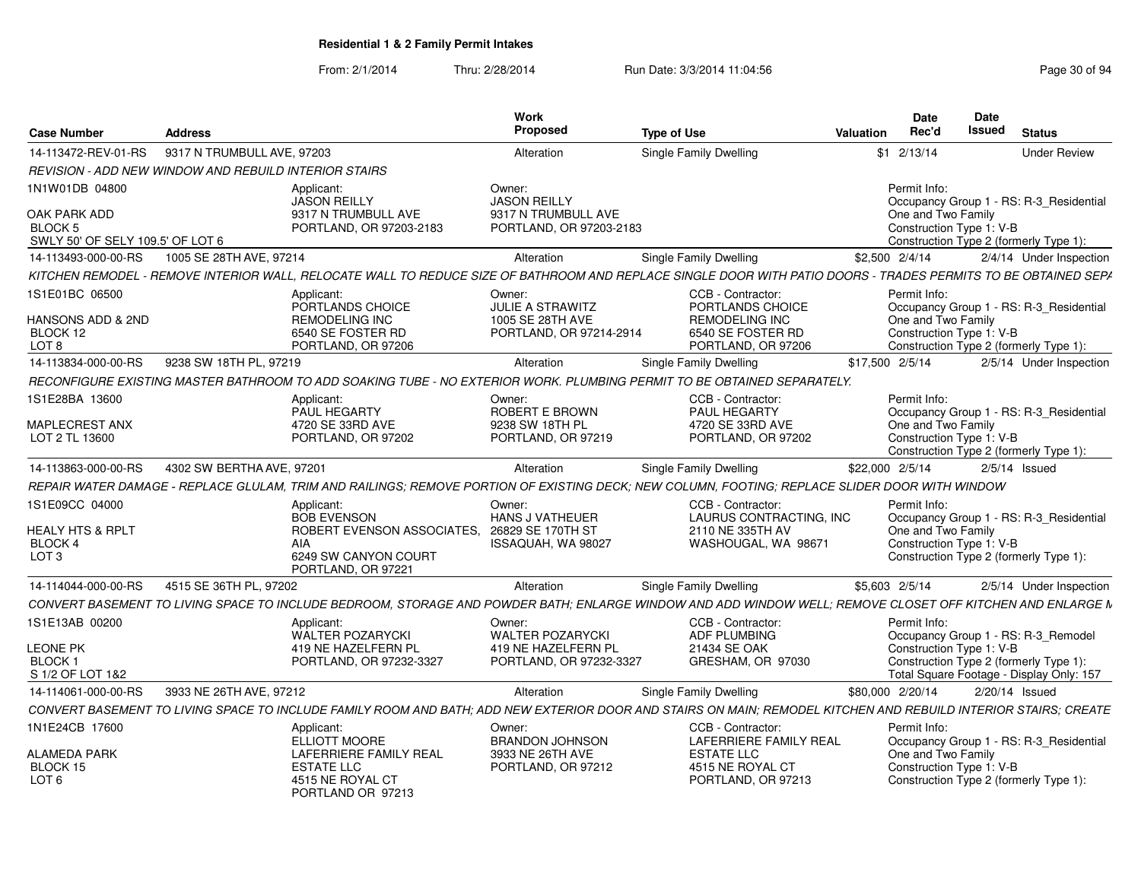From: 2/1/2014Thru: 2/28/2014 Run Date: 3/3/2014 11:04:56 Research 20 of 94

| <b>Case Number</b>                                                          | Address                                                      |                                                                                                       | Work<br>Proposed                                                                   | <b>Type of Use</b>                                                                                                                                              | Valuation        | Date<br>Rec'd  | Date<br><b>Issued</b>                                                                                                                                 | <b>Status</b>           |
|-----------------------------------------------------------------------------|--------------------------------------------------------------|-------------------------------------------------------------------------------------------------------|------------------------------------------------------------------------------------|-----------------------------------------------------------------------------------------------------------------------------------------------------------------|------------------|----------------|-------------------------------------------------------------------------------------------------------------------------------------------------------|-------------------------|
| 14-113472-REV-01-RS                                                         | 9317 N TRUMBULL AVE, 97203                                   |                                                                                                       | Alteration                                                                         | Single Family Dwelling                                                                                                                                          |                  | $$1 \t2/13/14$ |                                                                                                                                                       | <b>Under Review</b>     |
|                                                                             | <b>REVISION - ADD NEW WINDOW AND REBUILD INTERIOR STAIRS</b> |                                                                                                       |                                                                                    |                                                                                                                                                                 |                  |                |                                                                                                                                                       |                         |
| 1N1W01DB 04800                                                              |                                                              | Applicant:                                                                                            | Owner:                                                                             |                                                                                                                                                                 |                  | Permit Info:   |                                                                                                                                                       |                         |
| OAK PARK ADD<br><b>BLOCK 5</b><br>SWLY 50' OF SELY 109.5' OF LOT 6          |                                                              | <b>JASON REILLY</b><br>9317 N TRUMBULL AVE<br>PORTLAND, OR 97203-2183                                 | <b>JASON REILLY</b><br>9317 N TRUMBULL AVE<br>PORTLAND, OR 97203-2183              |                                                                                                                                                                 |                  |                | Occupancy Group 1 - RS: R-3 Residential<br>One and Two Family<br>Construction Type 1: V-B<br>Construction Type 2 (formerly Type 1):                   |                         |
| 14-113493-000-00-RS                                                         | 1005 SE 28TH AVE, 97214                                      |                                                                                                       | Alteration                                                                         | Single Family Dwelling                                                                                                                                          | \$2,500 2/4/14   |                |                                                                                                                                                       | 2/4/14 Under Inspection |
|                                                                             |                                                              |                                                                                                       |                                                                                    | KITCHEN REMODEL - REMOVE INTERIOR WALL, RELOCATE WALL TO REDUCE SIZE OF BATHROOM AND REPLACE SINGLE DOOR WITH PATIO DOORS - TRADES PERMITS TO BE OBTAINED SEPA  |                  |                |                                                                                                                                                       |                         |
| 1S1E01BC 06500                                                              |                                                              | Applicant:                                                                                            | Owner:                                                                             | CCB - Contractor:                                                                                                                                               |                  | Permit Info:   |                                                                                                                                                       |                         |
| HANSONS ADD & 2ND<br>BLOCK 12<br>LOT <sub>8</sub>                           |                                                              | PORTLANDS CHOICE<br><b>REMODELING INC</b><br>6540 SE FOSTER RD<br>PORTLAND, OR 97206                  | <b>JULIE A STRAWITZ</b><br>1005 SE 28TH AVE<br>PORTLAND, OR 97214-2914             | PORTLANDS CHOICE<br>REMODELING INC<br>6540 SE FOSTER RD<br>PORTLAND, OR 97206                                                                                   |                  |                | Occupancy Group 1 - RS: R-3 Residential<br>One and Two Family<br>Construction Type 1: V-B<br>Construction Type 2 (formerly Type 1):                   |                         |
| 14-113834-000-00-RS                                                         | 9238 SW 18TH PL, 97219                                       |                                                                                                       | Alteration                                                                         | <b>Single Family Dwelling</b>                                                                                                                                   | \$17,500 2/5/14  |                |                                                                                                                                                       | 2/5/14 Under Inspection |
|                                                                             |                                                              |                                                                                                       |                                                                                    | RECONFIGURE EXISTING MASTER BATHROOM TO ADD SOAKING TUBE - NO EXTERIOR WORK. PLUMBING PERMIT TO BE OBTAINED SEPARATELY.                                         |                  |                |                                                                                                                                                       |                         |
| 1S1E28BA 13600                                                              |                                                              | Applicant:                                                                                            | Owner:                                                                             | CCB - Contractor:                                                                                                                                               |                  | Permit Info:   |                                                                                                                                                       |                         |
| <b>MAPLECREST ANX</b><br>LOT 2 TL 13600                                     |                                                              | PAUL HEGARTY<br>4720 SE 33RD AVE<br>PORTLAND, OR 97202                                                | ROBERT E BROWN<br>9238 SW 18TH PL<br>PORTLAND, OR 97219                            | PAUL HEGARTY<br>4720 SE 33RD AVE<br>PORTLAND, OR 97202                                                                                                          |                  |                | Occupancy Group 1 - RS: R-3_Residential<br>One and Two Family<br>Construction Type 1: V-B<br>Construction Type 2 (formerly Type 1):                   |                         |
| 14-113863-000-00-RS                                                         | 4302 SW BERTHA AVE, 97201                                    |                                                                                                       | Alteration                                                                         | Single Family Dwelling                                                                                                                                          | \$22,000 2/5/14  |                | $2/5/14$ Issued                                                                                                                                       |                         |
|                                                                             |                                                              |                                                                                                       |                                                                                    | REPAIR WATER DAMAGE - REPLACE GLULAM, TRIM AND RAILINGS; REMOVE PORTION OF EXISTING DECK; NEW COLUMN, FOOTING; REPLACE SLIDER DOOR WITH WINDOW                  |                  |                |                                                                                                                                                       |                         |
| 1S1E09CC 04000                                                              |                                                              | Applicant                                                                                             | Owner:                                                                             | CCB - Contractor:                                                                                                                                               |                  | Permit Info:   |                                                                                                                                                       |                         |
| <b>HEALY HTS &amp; RPLT</b><br>BLOCK 4<br>LOT <sub>3</sub>                  |                                                              | <b>BOB EVENSON</b><br>ROBERT EVENSON ASSOCIATES.<br>AIA<br>6249 SW CANYON COURT<br>PORTLAND, OR 97221 | HANS J VATHEUER<br>26829 SE 170TH ST<br>ISSAQUAH, WA 98027                         | LAURUS CONTRACTING, INC<br>2110 NE 335TH AV<br>WASHOUGAL, WA 98671                                                                                              |                  |                | Occupancy Group 1 - RS: R-3_Residential<br>One and Two Family<br>Construction Type 1: V-B<br>Construction Type 2 (formerly Type 1):                   |                         |
| 14-114044-000-00-RS                                                         | 4515 SE 36TH PL, 97202                                       |                                                                                                       | Alteration                                                                         | Single Family Dwelling                                                                                                                                          | \$5.603 2/5/14   |                |                                                                                                                                                       | 2/5/14 Under Inspection |
|                                                                             |                                                              |                                                                                                       |                                                                                    | CONVERT BASEMENT TO LIVING SPACE TO INCLUDE BEDROOM. STORAGE AND POWDER BATH: ENLARGE WINDOW AND ADD WINDOW WELL: REMOVE CLOSET OFF KITCHEN AND ENLARGE M       |                  |                |                                                                                                                                                       |                         |
|                                                                             |                                                              |                                                                                                       |                                                                                    |                                                                                                                                                                 |                  | Permit Info:   |                                                                                                                                                       |                         |
| 1S1E13AB 00200<br><b>LEONE PK</b><br>BLOCK <sub>1</sub><br>S 1/2 OF LOT 1&2 |                                                              | Applicant:<br><b>WALTER POZARYCKI</b><br>419 NE HAZELFERN PL<br>PORTLAND, OR 97232-3327               | Owner:<br><b>WALTER POZARYCK</b><br>419 NE HAZELFERN PL<br>PORTLAND, OR 97232-3327 | CCB - Contractor:<br><b>ADF PLUMBING</b><br>21434 SE OAK<br>GRESHAM, OR 97030                                                                                   |                  |                | Occupancy Group 1 - RS: R-3_Remodel<br>Construction Type 1: V-B<br>Construction Type 2 (formerly Type 1):<br>Total Square Footage - Display Only: 157 |                         |
| 14-114061-000-00-RS                                                         | 3933 NE 26TH AVE, 97212                                      |                                                                                                       | Alteration                                                                         | Single Family Dwelling                                                                                                                                          | \$80,000 2/20/14 |                | 2/20/14 Issued                                                                                                                                        |                         |
|                                                                             |                                                              |                                                                                                       |                                                                                    | CONVERT BASEMENT TO LIVING SPACE TO INCLUDE FAMILY ROOM AND BATH; ADD NEW EXTERIOR DOOR AND STAIRS ON MAIN; REMODEL KITCHEN AND REBUILD INTERIOR STAIRS; CREATE |                  |                |                                                                                                                                                       |                         |
| 1N1E24CB 17600<br>ALAMEDA PARK                                              |                                                              | Applicant:<br>ELLIOTT MOORE<br><b>LAFERRIERE FAMILY REAL</b>                                          | Owner:<br><b>BRANDON JOHNSON</b><br>3933 NE 26TH AVE                               | CCB - Contractor:<br><b>LAFERRIERE FAMILY REAL</b><br><b>ESTATE LLC</b>                                                                                         |                  | Permit Info:   | Occupancy Group 1 - RS: R-3_Residential<br>One and Two Family                                                                                         |                         |
| BLOCK 15<br>LOT <sub>6</sub>                                                |                                                              | <b>ESTATE LLC</b><br>4515 NE ROYAL CT<br>PORTLAND OR 97213                                            | PORTLAND, OR 97212                                                                 | 4515 NE ROYAL CT<br>PORTLAND, OR 97213                                                                                                                          |                  |                | Construction Type 1: V-B<br>Construction Type 2 (formerly Type 1):                                                                                    |                         |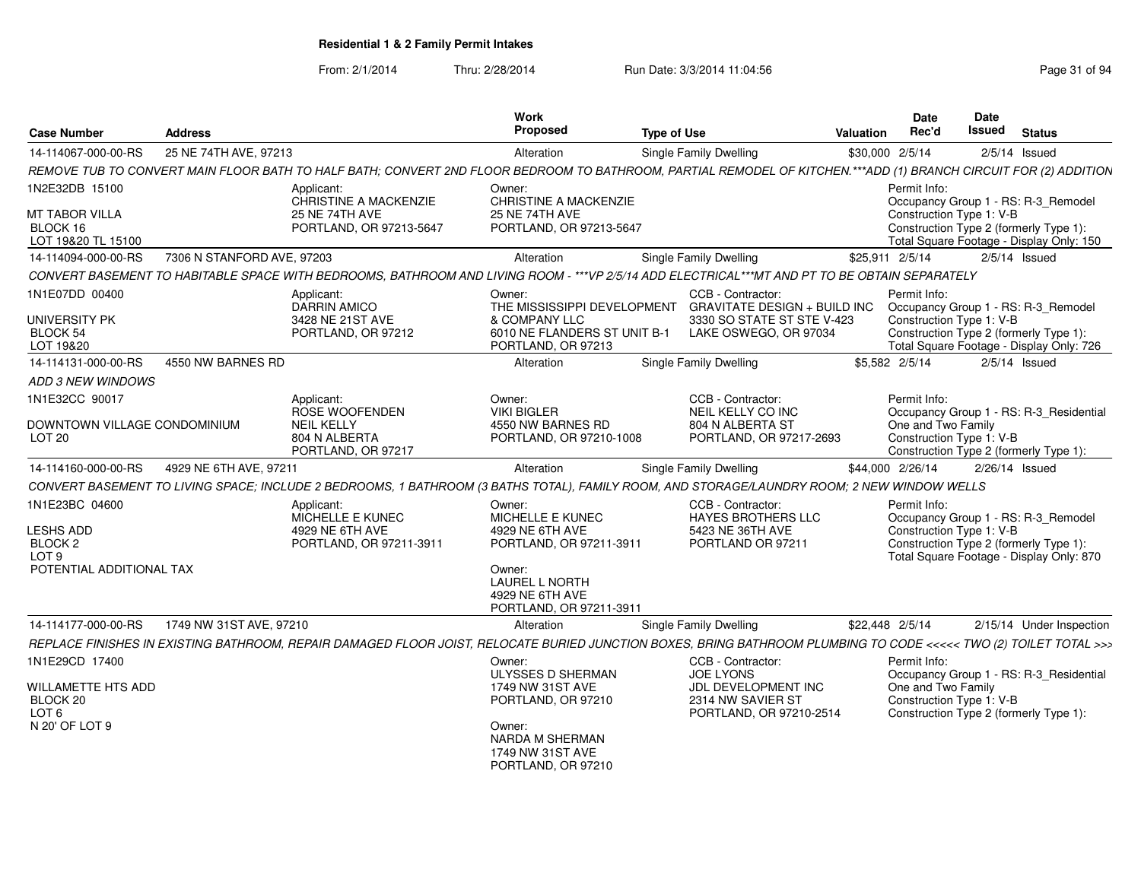| <b>Case Number</b>                                 | <b>Address</b>             |                                                                                                                                                                   | Work<br>Proposed                                                              | <b>Type of Use</b> |                                                                               | Valuation       | <b>Date</b><br>Rec'd                           | <b>Date</b><br>Issued | <b>Status</b>                                                                      |
|----------------------------------------------------|----------------------------|-------------------------------------------------------------------------------------------------------------------------------------------------------------------|-------------------------------------------------------------------------------|--------------------|-------------------------------------------------------------------------------|-----------------|------------------------------------------------|-----------------------|------------------------------------------------------------------------------------|
| 14-114067-000-00-RS                                | 25 NE 74TH AVE, 97213      |                                                                                                                                                                   | Alteration                                                                    |                    | Single Family Dwelling                                                        | \$30,000 2/5/14 |                                                |                       | $2/5/14$ Issued                                                                    |
|                                                    |                            | REMOVE TUB TO CONVERT MAIN FLOOR BATH TO HALF BATH; CONVERT 2ND FLOOR BEDROOM TO BATHROOM, PARTIAL REMODEL OF KITCHEN.***ADD (1) BRANCH CIRCUIT FOR (2) ADDITION  |                                                                               |                    |                                                                               |                 |                                                |                       |                                                                                    |
| 1N2E32DB 15100                                     |                            | Applicant:<br><b>CHRISTINE A MACKENZIE</b>                                                                                                                        | Owner:<br>CHRISTINE A MACKENZIE                                               |                    |                                                                               |                 | Permit Info:                                   |                       | Occupancy Group 1 - RS: R-3_Remodel                                                |
| MT TABOR VILLA                                     |                            | 25 NE 74TH AVE                                                                                                                                                    | 25 NE 74TH AVE                                                                |                    |                                                                               |                 | Construction Type 1: V-B                       |                       |                                                                                    |
| BLOCK 16<br>LOT 19&20 TL 15100                     |                            | PORTLAND, OR 97213-5647                                                                                                                                           | PORTLAND, OR 97213-5647                                                       |                    |                                                                               |                 |                                                |                       | Construction Type 2 (formerly Type 1):<br>Total Square Footage - Display Only: 150 |
| 14-114094-000-00-RS                                | 7306 N STANFORD AVE, 97203 |                                                                                                                                                                   | Alteration                                                                    |                    | <b>Single Family Dwelling</b>                                                 |                 | \$25,911 2/5/14                                |                       | $2/5/14$ Issued                                                                    |
|                                                    |                            | CONVERT BASEMENT TO HABITABLE SPACE WITH BEDROOMS, BATHROOM AND LIVING ROOM - ***VP 2/5/14 ADD ELECTRICAL***MT AND PT TO BE OBTAIN SEPARATELY                     |                                                                               |                    |                                                                               |                 |                                                |                       |                                                                                    |
| 1N1E07DD 00400                                     |                            | Applicant:<br><b>DARRIN AMICO</b>                                                                                                                                 | Owner:                                                                        |                    | CCB - Contractor:<br>THE MISSISSIPPI DEVELOPMENT GRAVITATE DESIGN + BUILD INC |                 | Permit Info:                                   |                       | Occupancy Group 1 - RS: R-3_Remodel                                                |
| UNIVERSITY PK<br><b>BLOCK 54</b><br>LOT 19&20      |                            | 3428 NE 21ST AVE<br>PORTLAND, OR 97212                                                                                                                            | & COMPANY LLC<br>6010 NE FLANDERS ST UNIT B-1<br>PORTLAND, OR 97213           |                    | 3330 SO STATE ST STE V-423<br>LAKE OSWEGO, OR 97034                           |                 | Construction Type 1: V-B                       |                       | Construction Type 2 (formerly Type 1):<br>Total Square Footage - Display Only: 726 |
| 14-114131-000-00-RS                                | 4550 NW BARNES RD          |                                                                                                                                                                   | Alteration                                                                    |                    | <b>Single Family Dwelling</b>                                                 |                 | \$5,582 2/5/14                                 |                       | $2/5/14$ Issued                                                                    |
| <b>ADD 3 NEW WINDOWS</b>                           |                            |                                                                                                                                                                   |                                                                               |                    |                                                                               |                 |                                                |                       |                                                                                    |
| 1N1E32CC 90017                                     |                            | Applicant:<br>ROSE WOOFENDEN                                                                                                                                      | Owner:<br><b>VIKI BIGLER</b>                                                  |                    | CCB - Contractor:<br>NEIL KELLY CO INC                                        |                 | Permit Info:                                   |                       | Occupancy Group 1 - RS: R-3_Residential                                            |
| DOWNTOWN VILLAGE CONDOMINIUM<br>LOT <sub>20</sub>  |                            | <b>NEIL KELLY</b><br>804 N ALBERTA<br>PORTLAND, OR 97217                                                                                                          | 4550 NW BARNES RD<br>PORTLAND, OR 97210-1008                                  |                    | 804 N ALBERTA ST<br>PORTLAND, OR 97217-2693                                   |                 | One and Two Family<br>Construction Type 1: V-B |                       | Construction Type 2 (formerly Type 1):                                             |
| 14-114160-000-00-RS                                | 4929 NE 6TH AVE, 97211     |                                                                                                                                                                   | Alteration                                                                    |                    | Single Family Dwelling                                                        |                 | \$44,000 2/26/14                               | $2/26/14$ Issued      |                                                                                    |
|                                                    |                            | CONVERT BASEMENT TO LIVING SPACE; INCLUDE 2 BEDROOMS, 1 BATHROOM (3 BATHS TOTAL), FAMILY ROOM, AND STORAGE/LAUNDRY ROOM; 2 NEW WINDOW WELLS                       |                                                                               |                    |                                                                               |                 |                                                |                       |                                                                                    |
| 1N1E23BC 04600                                     |                            | Applicant:<br><b>MICHELLE E KUNEC</b>                                                                                                                             | Owner:<br>MICHELLE E KUNEC                                                    |                    | CCB - Contractor:<br>HAYES BROTHERS LLC                                       |                 | Permit Info:                                   |                       | Occupancy Group 1 - RS: R-3_Remodel                                                |
| <b>LESHS ADD</b>                                   |                            | 4929 NE 6TH AVE                                                                                                                                                   | 4929 NE 6TH AVE                                                               |                    | 5423 NE 36TH AVE                                                              |                 | Construction Type 1: V-B                       |                       |                                                                                    |
| BLOCK <sub>2</sub><br>LOT <sub>9</sub>             |                            | PORTLAND, OR 97211-3911                                                                                                                                           | PORTLAND, OR 97211-3911                                                       |                    | PORTLAND OR 97211                                                             |                 |                                                |                       | Construction Type 2 (formerly Type 1):<br>Total Square Footage - Display Only: 870 |
| POTENTIAL ADDITIONAL TAX                           |                            |                                                                                                                                                                   | Owner:<br><b>LAUREL L NORTH</b><br>4929 NE 6TH AVE<br>PORTLAND, OR 97211-3911 |                    |                                                                               |                 |                                                |                       |                                                                                    |
| 14-114177-000-00-RS                                | 1749 NW 31ST AVE, 97210    |                                                                                                                                                                   | Alteration                                                                    |                    | Single Family Dwelling                                                        | \$22,448 2/5/14 |                                                |                       | 2/15/14 Under Inspection                                                           |
|                                                    |                            | REPLACE FINISHES IN EXISTING BATHROOM, REPAIR DAMAGED FLOOR JOIST, RELOCATE BURIED JUNCTION BOXES, BRING BATHROOM PLUMBING TO CODE <<<<< TWO (2) TOILET TOTAL >>> |                                                                               |                    |                                                                               |                 |                                                |                       |                                                                                    |
| 1N1E29CD 17400                                     |                            |                                                                                                                                                                   | Owner:<br>ULYSSES D SHERMAN                                                   |                    | CCB - Contractor:<br><b>JOE LYONS</b>                                         |                 | Permit Info:                                   |                       | Occupancy Group 1 - RS: R-3_Residential                                            |
| WILLAMETTE HTS ADD<br>BLOCK 20<br>LOT <sub>6</sub> |                            |                                                                                                                                                                   | 1749 NW 31ST AVE<br>PORTLAND, OR 97210                                        |                    | JDL DEVELOPMENT INC<br>2314 NW SAVIER ST                                      |                 | One and Two Family<br>Construction Type 1: V-B |                       |                                                                                    |
| N 20' OF LOT 9                                     |                            |                                                                                                                                                                   | Owner:<br>NARDA M SHERMAN<br>1749 NW 31ST AVE<br>PORTLAND, OR 97210           |                    | PORTLAND, OR 97210-2514                                                       |                 |                                                |                       | Construction Type 2 (formerly Type 1):                                             |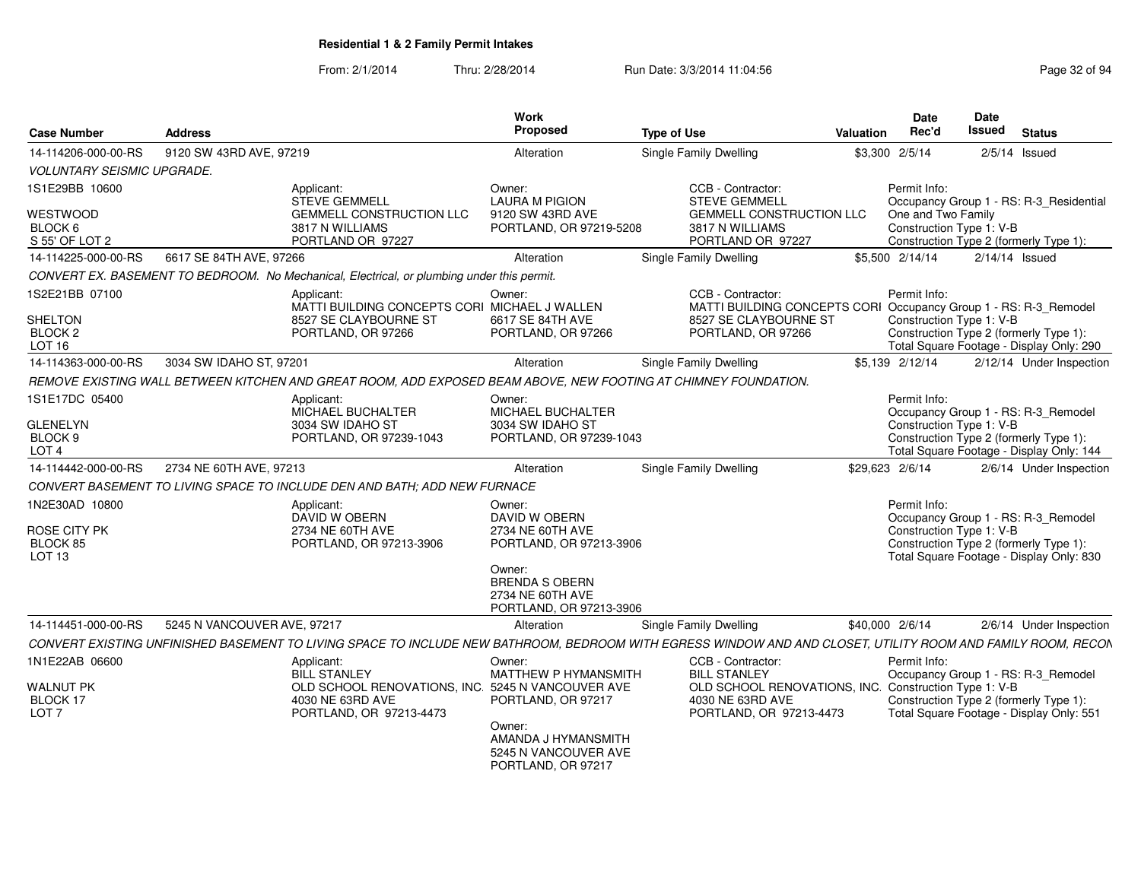| <b>Case Number</b>                      | <b>Address</b>              |                                                                                                                                                              | Work<br>Proposed                                                               | <b>Type of Use</b> |                                                                                       | Valuation       | Date<br>Rec'd            | Date<br>Issued   | <b>Status</b>                                                                      |
|-----------------------------------------|-----------------------------|--------------------------------------------------------------------------------------------------------------------------------------------------------------|--------------------------------------------------------------------------------|--------------------|---------------------------------------------------------------------------------------|-----------------|--------------------------|------------------|------------------------------------------------------------------------------------|
| 14-114206-000-00-RS                     | 9120 SW 43RD AVE, 97219     |                                                                                                                                                              | Alteration                                                                     |                    | Single Family Dwelling                                                                |                 | \$3,300 2/5/14           |                  | $2/5/14$ Issued                                                                    |
| <b>VOLUNTARY SEISMIC UPGRADE.</b>       |                             |                                                                                                                                                              |                                                                                |                    |                                                                                       |                 |                          |                  |                                                                                    |
| 1S1E29BB 10600                          |                             | Applicant:<br><b>STEVE GEMMELL</b>                                                                                                                           | Owner:<br><b>LAURA M PIGION</b>                                                |                    | CCB - Contractor:<br><b>STEVE GEMMELL</b>                                             |                 | Permit Info:             |                  | Occupancy Group 1 - RS: R-3 Residential                                            |
| <b>WESTWOOD</b>                         |                             | <b>GEMMELL CONSTRUCTION LLC</b>                                                                                                                              | 9120 SW 43RD AVE                                                               |                    | <b>GEMMELL CONSTRUCTION LLC</b>                                                       |                 | One and Two Family       |                  |                                                                                    |
| BLOCK 6<br>S 55' OF LOT 2               |                             | 3817 N WILLIAMS<br>PORTLAND OR 97227                                                                                                                         | PORTLAND, OR 97219-5208                                                        |                    | 3817 N WILLIAMS<br>PORTLAND OR 97227                                                  |                 | Construction Type 1: V-B |                  | Construction Type 2 (formerly Type 1):                                             |
| 14-114225-000-00-RS                     | 6617 SE 84TH AVE, 97266     |                                                                                                                                                              | Alteration                                                                     |                    | Single Family Dwelling                                                                |                 | \$5,500 2/14/14          | $2/14/14$ Issued |                                                                                    |
|                                         |                             | CONVERT EX. BASEMENT TO BEDROOM. No Mechanical, Electrical, or plumbing under this permit.                                                                   |                                                                                |                    |                                                                                       |                 |                          |                  |                                                                                    |
| 1S2E21BB 07100                          |                             | Applicant:<br>MATTI BUILDING CONCEPTS CORI MICHAEL J WALLEN                                                                                                  | Owner:                                                                         |                    | CCB - Contractor:<br>MATTI BUILDING CONCEPTS CORI Occupancy Group 1 - RS: R-3_Remodel |                 | Permit Info:             |                  |                                                                                    |
| <b>SHELTON</b>                          |                             | 8527 SE CLAYBOURNE ST                                                                                                                                        | 6617 SE 84TH AVE                                                               |                    | 8527 SE CLAYBOURNE ST                                                                 |                 | Construction Type 1: V-B |                  |                                                                                    |
| BLOCK <sub>2</sub><br>LOT <sub>16</sub> |                             | PORTLAND, OR 97266                                                                                                                                           | PORTLAND, OR 97266                                                             |                    | PORTLAND, OR 97266                                                                    |                 |                          |                  | Construction Type 2 (formerly Type 1):<br>Total Square Footage - Display Only: 290 |
| 14-114363-000-00-RS                     | 3034 SW IDAHO ST, 97201     |                                                                                                                                                              | Alteration                                                                     |                    | Single Family Dwelling                                                                |                 | \$5,139 2/12/14          |                  | 2/12/14 Under Inspection                                                           |
|                                         |                             | REMOVE EXISTING WALL BETWEEN KITCHEN AND GREAT ROOM, ADD EXPOSED BEAM ABOVE, NEW FOOTING AT CHIMNEY FOUNDATION.                                              |                                                                                |                    |                                                                                       |                 |                          |                  |                                                                                    |
| 1S1E17DC 05400                          |                             | Applicant:<br><b>MICHAEL BUCHALTER</b>                                                                                                                       | Owner:<br><b>MICHAEL BUCHALTER</b>                                             |                    |                                                                                       |                 | Permit Info:             |                  | Occupancy Group 1 - RS: R-3_Remodel                                                |
| <b>GLENELYN</b>                         |                             | 3034 SW IDAHO ST                                                                                                                                             | 3034 SW IDAHO ST                                                               |                    |                                                                                       |                 | Construction Type 1: V-B |                  |                                                                                    |
| BLOCK 9                                 |                             | PORTLAND, OR 97239-1043                                                                                                                                      | PORTLAND, OR 97239-1043                                                        |                    |                                                                                       |                 |                          |                  | Construction Type 2 (formerly Type 1):                                             |
| LOT <sub>4</sub>                        |                             |                                                                                                                                                              |                                                                                |                    |                                                                                       |                 |                          |                  | Total Square Footage - Display Only: 144                                           |
| 14-114442-000-00-RS                     | 2734 NE 60TH AVE, 97213     |                                                                                                                                                              | Alteration                                                                     |                    | Single Family Dwelling                                                                | \$29.623 2/6/14 |                          |                  | 2/6/14 Under Inspection                                                            |
|                                         |                             | CONVERT BASEMENT TO LIVING SPACE TO INCLUDE DEN AND BATH; ADD NEW FURNACE                                                                                    |                                                                                |                    |                                                                                       |                 |                          |                  |                                                                                    |
| 1N2E30AD 10800                          |                             | Applicant:<br>DAVID W OBERN                                                                                                                                  | Owner:<br>DAVID W OBERN                                                        |                    |                                                                                       |                 | Permit Info:             |                  | Occupancy Group 1 - RS: R-3_Remodel                                                |
| ROSE CITY PK                            |                             | 2734 NE 60TH AVE                                                                                                                                             | 2734 NE 60TH AVE                                                               |                    |                                                                                       |                 | Construction Type 1: V-B |                  |                                                                                    |
| BLOCK 85                                |                             | PORTLAND, OR 97213-3906                                                                                                                                      | PORTLAND, OR 97213-3906                                                        |                    |                                                                                       |                 |                          |                  | Construction Type 2 (formerly Type 1):                                             |
| LOT <sub>13</sub>                       |                             |                                                                                                                                                              |                                                                                |                    |                                                                                       |                 |                          |                  | Total Square Footage - Display Only: 830                                           |
|                                         |                             |                                                                                                                                                              | Owner:<br><b>BRENDA S OBERN</b><br>2734 NE 60TH AVE<br>PORTLAND, OR 97213-3906 |                    |                                                                                       |                 |                          |                  |                                                                                    |
| 14-114451-000-00-RS                     | 5245 N VANCOUVER AVE, 97217 |                                                                                                                                                              | Alteration                                                                     |                    | <b>Single Family Dwelling</b>                                                         | \$40,000 2/6/14 |                          |                  | 2/6/14 Under Inspection                                                            |
|                                         |                             |                                                                                                                                                              |                                                                                |                    |                                                                                       |                 |                          |                  |                                                                                    |
|                                         |                             | CONVERT EXISTING UNFINISHED BASEMENT TO LIVING SPACE TO INCLUDE NEW BATHROOM, BEDROOM WITH EGRESS WINDOW AND AND CLOSET, UTILITY ROOM AND FAMILY ROOM, RECON |                                                                                |                    |                                                                                       |                 |                          |                  |                                                                                    |
| 1N1E22AB 06600                          |                             | Applicant:<br><b>BILL STANLEY</b>                                                                                                                            | Owner:<br><b>MATTHEW P HYMANSMITH</b>                                          |                    | CCB - Contractor:<br><b>BILL STANLEY</b>                                              |                 | Permit Info:             |                  | Occupancy Group 1 - RS: R-3_Remodel                                                |
| <b>WALNUT PK</b>                        |                             | OLD SCHOOL RENOVATIONS, INC. 5245 N VANCOUVER AVE                                                                                                            |                                                                                |                    | OLD SCHOOL RENOVATIONS, INC. Construction Type 1: V-B                                 |                 |                          |                  |                                                                                    |
| BLOCK 17                                |                             | 4030 NE 63RD AVE                                                                                                                                             | PORTLAND, OR 97217                                                             |                    | 4030 NE 63RD AVE                                                                      |                 |                          |                  | Construction Type 2 (formerly Type 1):                                             |
| LOT <sub>7</sub>                        |                             | PORTLAND, OR 97213-4473                                                                                                                                      | Owner:                                                                         |                    | PORTLAND, OR 97213-4473                                                               |                 |                          |                  | Total Square Footage - Display Only: 551                                           |
|                                         |                             |                                                                                                                                                              | AMANDA J HYMANSMITH<br>5245 N VANCOUVER AVE<br>PORTLAND, OR 97217              |                    |                                                                                       |                 |                          |                  |                                                                                    |
|                                         |                             |                                                                                                                                                              |                                                                                |                    |                                                                                       |                 |                          |                  |                                                                                    |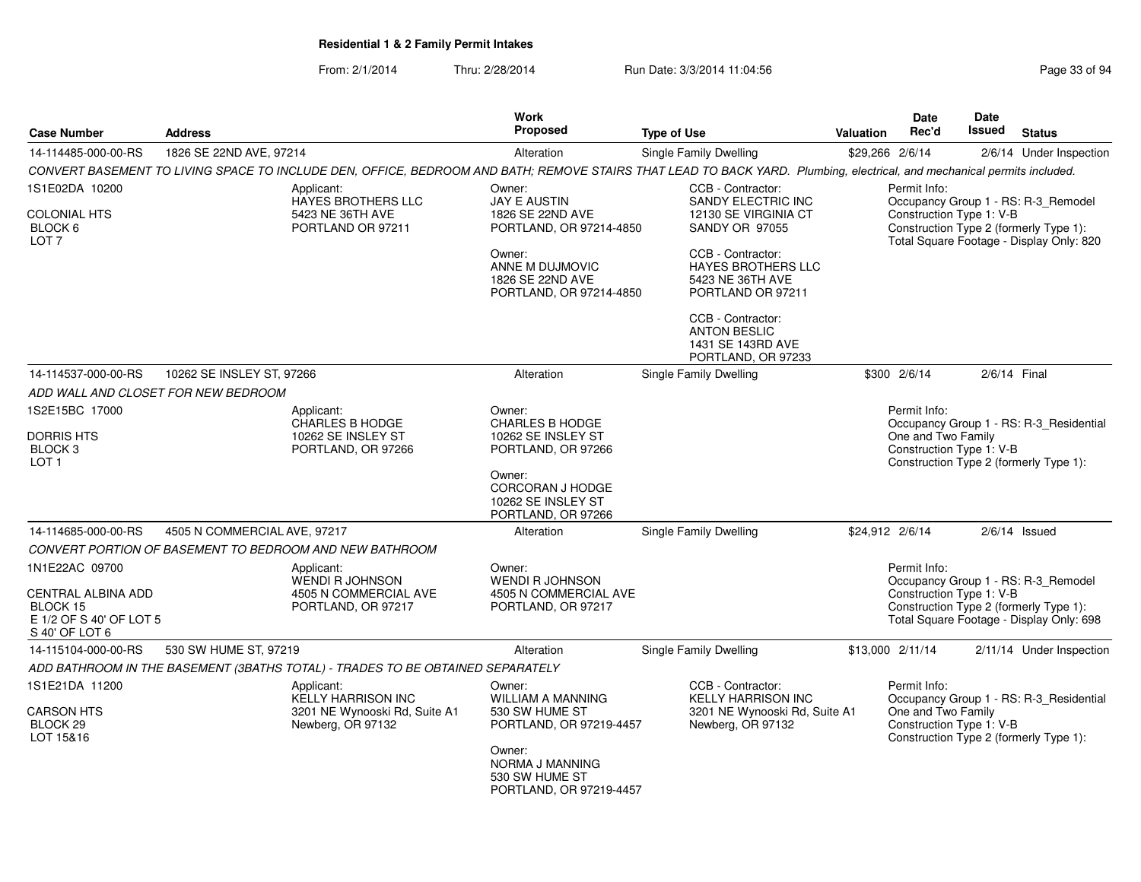| <b>Case Number</b>                                                          | <b>Address</b>               |                                                                                | Work<br><b>Proposed</b>                                                  | <b>Type of Use</b>                                                                                                                                                      | <b>Valuation</b> | Date<br>Rec'd                                  | <b>Date</b><br>Issued | <b>Status</b>                                                                      |
|-----------------------------------------------------------------------------|------------------------------|--------------------------------------------------------------------------------|--------------------------------------------------------------------------|-------------------------------------------------------------------------------------------------------------------------------------------------------------------------|------------------|------------------------------------------------|-----------------------|------------------------------------------------------------------------------------|
| 14-114485-000-00-RS                                                         | 1826 SE 22ND AVE, 97214      |                                                                                | Alteration                                                               | Single Family Dwelling                                                                                                                                                  |                  | \$29,266 2/6/14                                |                       | 2/6/14 Under Inspection                                                            |
|                                                                             |                              |                                                                                |                                                                          | CONVERT BASEMENT TO LIVING SPACE TO INCLUDE DEN, OFFICE, BEDROOM AND BATH; REMOVE STAIRS THAT LEAD TO BACK YARD. Plumbing, electrical, and mechanical permits included. |                  |                                                |                       |                                                                                    |
| 1S1E02DA 10200                                                              |                              | Applicant:<br>HAYES BROTHERS LLC                                               | Owner:<br>JAY E AUSTIN                                                   | CCB - Contractor:<br>SANDY ELECTRIC INC                                                                                                                                 |                  | Permit Info:                                   |                       | Occupancy Group 1 - RS: R-3_Remodel                                                |
| COLONIAL HTS<br>BLOCK 6<br>LOT <sub>7</sub>                                 |                              | 5423 NE 36TH AVE<br>PORTLAND OR 97211                                          | 1826 SE 22ND AVE<br>PORTLAND, OR 97214-4850                              | 12130 SE VIRGINIA CT<br>SANDY OR 97055                                                                                                                                  |                  | Construction Type 1: V-B                       |                       | Construction Type 2 (formerly Type 1):<br>Total Square Footage - Display Only: 820 |
|                                                                             |                              |                                                                                | Owner:<br>ANNE M DUJMOVIC<br>1826 SE 22ND AVE<br>PORTLAND, OR 97214-4850 | CCB - Contractor:<br><b>HAYES BROTHERS LLC</b><br>5423 NE 36TH AVE<br>PORTLAND OR 97211                                                                                 |                  |                                                |                       |                                                                                    |
|                                                                             |                              |                                                                                |                                                                          | CCB - Contractor:<br><b>ANTON BESLIC</b><br>1431 SE 143RD AVE<br>PORTLAND, OR 97233                                                                                     |                  |                                                |                       |                                                                                    |
| 14-114537-000-00-RS                                                         | 10262 SE INSLEY ST, 97266    |                                                                                | Alteration                                                               | <b>Single Family Dwelling</b>                                                                                                                                           |                  | \$300 2/6/14                                   |                       | 2/6/14 Final                                                                       |
| ADD WALL AND CLOSET FOR NEW BEDROOM                                         |                              |                                                                                |                                                                          |                                                                                                                                                                         |                  |                                                |                       |                                                                                    |
| 1S2E15BC 17000                                                              |                              | Applicant:<br>CHARLES B HODGE                                                  | Owner:<br><b>CHARLES B HODGE</b>                                         |                                                                                                                                                                         |                  | Permit Info:                                   |                       | Occupancy Group 1 - RS: R-3_Residential                                            |
| <b>DORRIS HTS</b><br>BLOCK <sub>3</sub><br>LOT <sub>1</sub>                 |                              | 10262 SE INSLEY ST<br>PORTLAND, OR 97266                                       | 10262 SE INSLEY ST<br>PORTLAND, OR 97266                                 |                                                                                                                                                                         |                  | One and Two Family<br>Construction Type 1: V-B |                       | Construction Type 2 (formerly Type 1):                                             |
|                                                                             |                              |                                                                                | Owner:<br>CORCORAN J HODGE<br>10262 SE INSLEY ST<br>PORTLAND, OR 97266   |                                                                                                                                                                         |                  |                                                |                       |                                                                                    |
| 14-114685-000-00-RS                                                         | 4505 N COMMERCIAL AVE, 97217 |                                                                                | Alteration                                                               | Single Family Dwelling                                                                                                                                                  |                  | \$24,912 2/6/14                                |                       | $2/6/14$ Issued                                                                    |
|                                                                             |                              | CONVERT PORTION OF BASEMENT TO BEDROOM AND NEW BATHROOM                        |                                                                          |                                                                                                                                                                         |                  |                                                |                       |                                                                                    |
| 1N1E22AC 09700                                                              |                              | Applicant:<br><b>WENDI R JOHNSON</b>                                           | Owner:<br><b>WENDI R JOHNSON</b>                                         |                                                                                                                                                                         |                  | Permit Info:                                   |                       | Occupancy Group 1 - RS: R-3 Remodel                                                |
| CENTRAL ALBINA ADD<br>BLOCK 15<br>E 1/2 OF S 40' OF LOT 5<br>S 40' OF LOT 6 |                              | 4505 N COMMERCIAL AVE<br>PORTLAND, OR 97217                                    | 4505 N COMMERCIAL AVE<br>PORTLAND, OR 97217                              |                                                                                                                                                                         |                  | Construction Type 1: V-B                       |                       | Construction Type 2 (formerly Type 1):<br>Total Square Footage - Display Only: 698 |
| 14-115104-000-00-RS                                                         | 530 SW HUME ST, 97219        |                                                                                | Alteration                                                               | Single Family Dwelling                                                                                                                                                  |                  | \$13,000 2/11/14                               |                       | 2/11/14 Under Inspection                                                           |
|                                                                             |                              | ADD BATHROOM IN THE BASEMENT (3BATHS TOTAL) - TRADES TO BE OBTAINED SEPARATELY |                                                                          |                                                                                                                                                                         |                  |                                                |                       |                                                                                    |
| 1S1E21DA 11200                                                              |                              | Applicant:<br><b>KELLY HARRISON INC</b>                                        | Owner:<br><b>WILLIAM A MANNING</b>                                       | CCB - Contractor:<br><b>KELLY HARRISON INC</b>                                                                                                                          |                  | Permit Info:                                   |                       | Occupancy Group 1 - RS: R-3_Residential                                            |
| CARSON HTS<br>BLOCK 29<br>LOT 15&16                                         |                              | 3201 NE Wynooski Rd, Suite A1<br>Newberg, OR 97132                             | 530 SW HUME ST<br>PORTLAND, OR 97219-4457                                | 3201 NE Wynooski Rd, Suite A1<br>Newberg, OR 97132                                                                                                                      |                  | One and Two Family<br>Construction Type 1: V-B |                       | Construction Type 2 (formerly Type 1):                                             |
|                                                                             |                              |                                                                                | Owner:<br>NORMA J MANNING<br>530 SW HUME ST<br>PORTLAND, OR 97219-4457   |                                                                                                                                                                         |                  |                                                |                       |                                                                                    |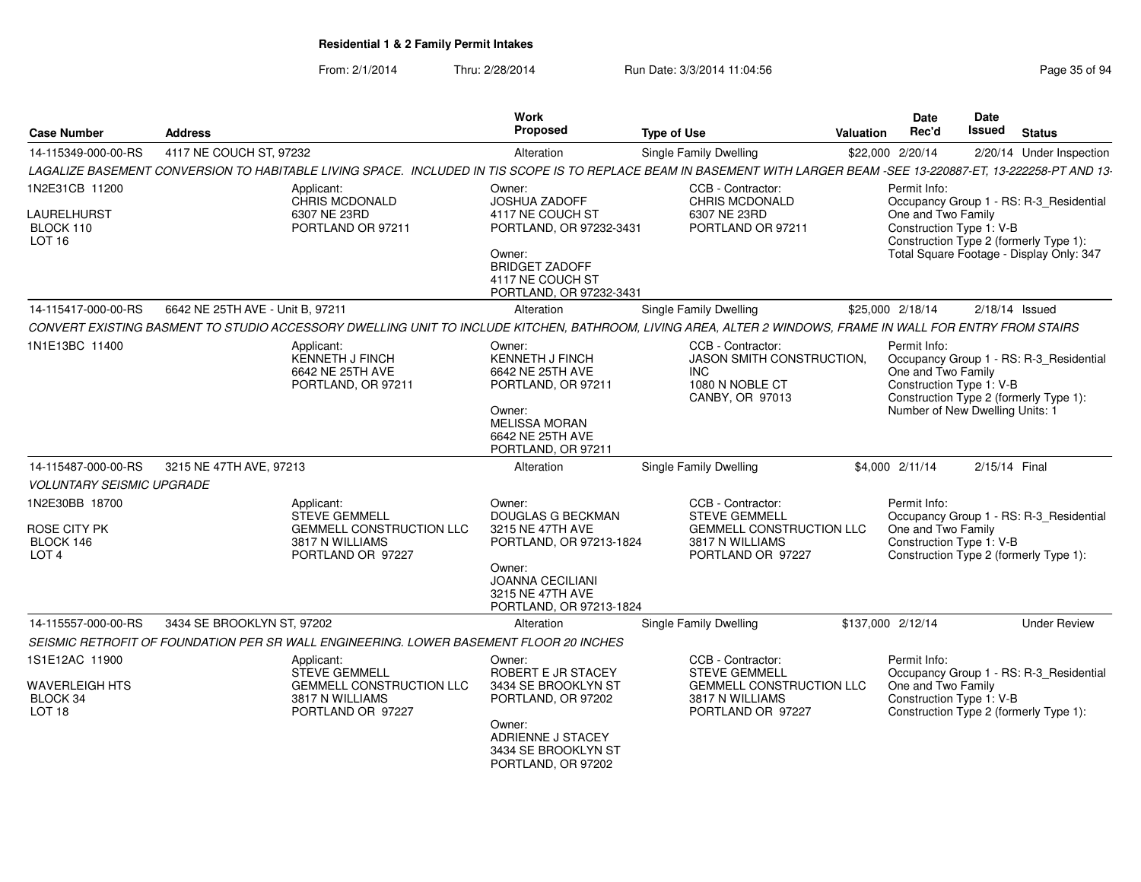| <b>Case Number</b>                                                       | <b>Address</b>                                                                                                | Work<br>Proposed                                                                                                                                           | <b>Type of Use</b>                                                                                                                                                                        | Valuation | Date<br>Rec'd                                                                                                                        | Date<br><b>Issued</b> | <b>Status</b>                                                                     |  |  |  |
|--------------------------------------------------------------------------|---------------------------------------------------------------------------------------------------------------|------------------------------------------------------------------------------------------------------------------------------------------------------------|-------------------------------------------------------------------------------------------------------------------------------------------------------------------------------------------|-----------|--------------------------------------------------------------------------------------------------------------------------------------|-----------------------|-----------------------------------------------------------------------------------|--|--|--|
| 14-115349-000-00-RS                                                      | 4117 NE COUCH ST, 97232                                                                                       | Alteration                                                                                                                                                 | Single Family Dwelling                                                                                                                                                                    |           |                                                                                                                                      |                       | 2/20/14 Under Inspection                                                          |  |  |  |
|                                                                          |                                                                                                               |                                                                                                                                                            | \$22,000 2/20/14<br>LAGALIZE BASEMENT CONVERSION TO HABITABLE LIVING SPACE. INCLUDED IN TIS SCOPE IS TO REPLACE BEAM IN BASEMENT WITH LARGER BEAM -SEE 13-220887-ET, 13-222258-PT AND 13- |           |                                                                                                                                      |                       |                                                                                   |  |  |  |
| 1N2E31CB 11200                                                           | Applicant:                                                                                                    | Owner:                                                                                                                                                     | CCB - Contractor:                                                                                                                                                                         |           | Permit Info:                                                                                                                         |                       |                                                                                   |  |  |  |
| LAURELHURST<br>BLOCK 110<br>LOT <sub>16</sub>                            | CHRIS MCDONALD<br>6307 NE 23RD<br>PORTLAND OR 97211                                                           | JOSHUA ZADOFF<br>4117 NE COUCH ST<br>PORTLAND, OR 97232-3431<br>Owner:<br><b>BRIDGET ZADOFF</b>                                                            | CHRIS MCDONALD<br>6307 NE 23RD<br>PORTLAND OR 97211                                                                                                                                       |           | One and Two Family<br>Construction Type 1: V-B<br>Construction Type 2 (formerly Type 1):<br>Total Square Footage - Display Only: 347 |                       | Occupancy Group 1 - RS: R-3_Residential                                           |  |  |  |
|                                                                          |                                                                                                               | 4117 NE COUCH ST<br>PORTLAND, OR 97232-3431                                                                                                                |                                                                                                                                                                                           |           |                                                                                                                                      |                       |                                                                                   |  |  |  |
| 14-115417-000-00-RS                                                      | 6642 NE 25TH AVE - Unit B, 97211                                                                              | Alteration                                                                                                                                                 | Single Family Dwelling                                                                                                                                                                    |           | \$25,000 2/18/14                                                                                                                     |                       | $2/18/14$ Issued                                                                  |  |  |  |
|                                                                          |                                                                                                               | CONVERT EXISTING BASMENT TO STUDIO ACCESSORY DWELLING UNIT TO INCLUDE KITCHEN, BATHROOM, LIVING AREA, ALTER 2 WINDOWS, FRAME IN WALL FOR ENTRY FROM STAIRS |                                                                                                                                                                                           |           |                                                                                                                                      |                       |                                                                                   |  |  |  |
| 1N1E13BC 11400                                                           | Applicant:<br><b>KENNETH J FINCH</b><br>6642 NE 25TH AVE<br>PORTLAND, OR 97211                                | Owner:<br><b>KENNETH J FINCH</b><br>6642 NE 25TH AVE<br>PORTLAND, OR 97211<br>Owner:<br><b>MELISSA MORAN</b><br>6642 NE 25TH AVE<br>PORTLAND, OR 97211     | CCB - Contractor:<br>JASON SMITH CONSTRUCTION,<br><b>INC</b><br>1080 N NOBLE CT<br>CANBY, OR 97013                                                                                        |           | Permit Info:<br>One and Two Family<br>Construction Type 1: V-B<br>Number of New Dwelling Units: 1                                    |                       | Occupancy Group 1 - RS: R-3_Residential<br>Construction Type 2 (formerly Type 1): |  |  |  |
| 14-115487-000-00-RS                                                      | 3215 NE 47TH AVE, 97213                                                                                       | Alteration                                                                                                                                                 | Single Family Dwelling                                                                                                                                                                    |           | \$4,000 2/11/14                                                                                                                      | 2/15/14 Final         |                                                                                   |  |  |  |
| <b>VOLUNTARY SEISMIC UPGRADE</b>                                         |                                                                                                               |                                                                                                                                                            |                                                                                                                                                                                           |           |                                                                                                                                      |                       |                                                                                   |  |  |  |
| 1N2E30BB 18700                                                           | Applicant:<br><b>STEVE GEMMELL</b>                                                                            | Owner:<br>DOUGLAS G BECKMAN                                                                                                                                | CCB - Contractor:<br><b>STEVE GEMMELL</b>                                                                                                                                                 |           | Permit Info:                                                                                                                         |                       | Occupancy Group 1 - RS: R-3_Residential                                           |  |  |  |
| ROSE CITY PK<br>BLOCK 146<br>LOT <sub>4</sub>                            | <b>GEMMELL CONSTRUCTION LLC</b><br>3817 N WILLIAMS<br>PORTLAND OR 97227                                       | 3215 NE 47TH AVE<br>PORTLAND, OR 97213-1824<br>Owner:<br><b>JOANNA CECILIANI</b><br>3215 NE 47TH AVE<br>PORTLAND, OR 97213-1824                            | <b>GEMMELL CONSTRUCTION LLC</b><br>3817 N WILLIAMS<br>PORTLAND OR 97227                                                                                                                   |           | One and Two Family<br>Construction Type 1: V-B                                                                                       |                       | Construction Type 2 (formerly Type 1):                                            |  |  |  |
| 14-115557-000-00-RS                                                      | 3434 SE BROOKLYN ST, 97202                                                                                    | Alteration                                                                                                                                                 | Single Family Dwelling                                                                                                                                                                    |           | \$137,000 2/12/14                                                                                                                    |                       | <b>Under Review</b>                                                               |  |  |  |
|                                                                          |                                                                                                               | SEISMIC RETROFIT OF FOUNDATION PER SR WALL ENGINEERING. LOWER BASEMENT FLOOR 20 INCHES                                                                     |                                                                                                                                                                                           |           |                                                                                                                                      |                       |                                                                                   |  |  |  |
| 1S1E12AC 11900<br><b>WAVERLEIGH HTS</b><br>BLOCK 34<br>LOT <sub>18</sub> | Applicant:<br><b>STEVE GEMMELL</b><br><b>GEMMELL CONSTRUCTION LLC</b><br>3817 N WILLIAMS<br>PORTLAND OR 97227 | Owner:<br>ROBERT E JR STACEY<br>3434 SE BROOKLYN ST<br>PORTLAND, OR 97202                                                                                  | CCB - Contractor:<br><b>STEVE GEMMELL</b><br>GEMMELL CONSTRUCTION LLC<br>3817 N WILLIAMS<br>PORTLAND OR 97227                                                                             |           | Permit Info:<br>One and Two Family<br>Construction Type 1: V-B                                                                       |                       | Occupancy Group 1 - RS: R-3 Residential<br>Construction Type 2 (formerly Type 1): |  |  |  |
|                                                                          |                                                                                                               | Owner:<br>ADRIENNE J STACEY<br>3434 SE BROOKLYN ST<br>PORTLAND, OR 97202                                                                                   |                                                                                                                                                                                           |           |                                                                                                                                      |                       |                                                                                   |  |  |  |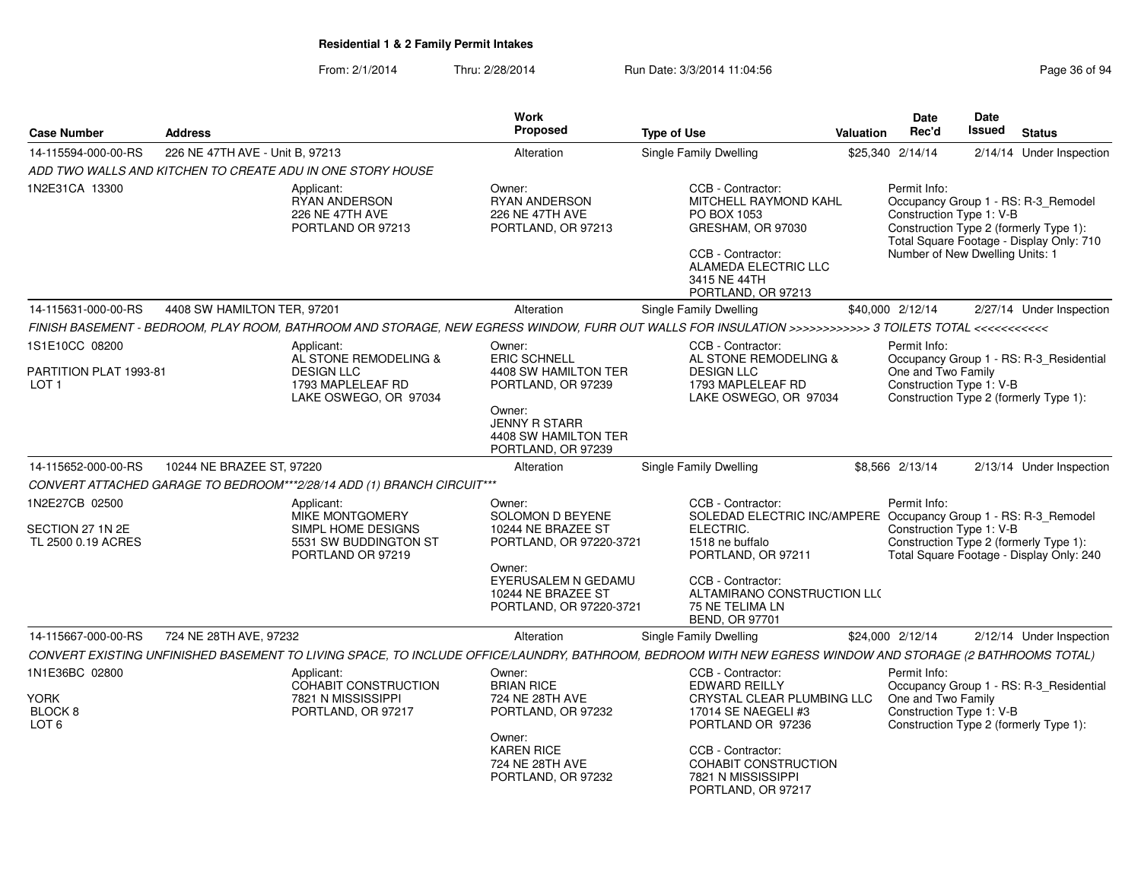| Page 36 of 94 |  |  |
|---------------|--|--|
|               |  |  |

| <b>Case Number</b>                                           | <b>Address</b>                  |                                                                                                                                                           | <b>Work</b><br>Proposed                                                               | <b>Type of Use</b>                                                                                                                                                       | <b>Valuation</b>                                                                                                                                                                                         | <b>Date</b><br>Rec'd                                           | <b>Date</b><br>Issued | <b>Status</b>                                                                      |
|--------------------------------------------------------------|---------------------------------|-----------------------------------------------------------------------------------------------------------------------------------------------------------|---------------------------------------------------------------------------------------|--------------------------------------------------------------------------------------------------------------------------------------------------------------------------|----------------------------------------------------------------------------------------------------------------------------------------------------------------------------------------------------------|----------------------------------------------------------------|-----------------------|------------------------------------------------------------------------------------|
| 14-115594-000-00-RS                                          | 226 NE 47TH AVE - Unit B, 97213 |                                                                                                                                                           | Alteration                                                                            | Single Family Dwelling                                                                                                                                                   |                                                                                                                                                                                                          | \$25,340 2/14/14                                               |                       | 2/14/14 Under Inspection                                                           |
|                                                              |                                 | ADD TWO WALLS AND KITCHEN TO CREATE ADU IN ONE STORY HOUSE                                                                                                |                                                                                       |                                                                                                                                                                          |                                                                                                                                                                                                          |                                                                |                       |                                                                                    |
| 1N2E31CA 13300                                               |                                 | Applicant:<br>RYAN ANDERSON<br><b>226 NE 47TH AVE</b><br>PORTLAND OR 97213                                                                                | Owner:<br><b>RYAN ANDERSON</b><br>226 NE 47TH AVE<br>PORTLAND, OR 97213               | CCB - Contractor:<br>MITCHELL RAYMOND KAHL<br>PO BOX 1053<br>GRESHAM, OR 97030<br>CCB - Contractor:<br><b>ALAMEDA ELECTRIC LLC</b><br>3415 NE 44TH<br>PORTLAND, OR 97213 | Permit Info:<br>Occupancy Group 1 - RS: R-3_Remodel<br>Construction Type 1: V-B<br>Construction Type 2 (formerly Type 1):<br>Total Square Footage - Display Only: 710<br>Number of New Dwelling Units: 1 |                                                                |                       |                                                                                    |
| 14-115631-000-00-RS                                          | 4408 SW HAMILTON TER, 97201     |                                                                                                                                                           | Alteration                                                                            | Single Family Dwelling                                                                                                                                                   |                                                                                                                                                                                                          | \$40,000 2/12/14                                               |                       | 2/27/14 Under Inspection                                                           |
|                                                              |                                 | FINISH BASEMENT - BEDROOM, PLAY ROOM, BATHROOM AND STORAGE, NEW EGRESS WINDOW, FURR OUT WALLS FOR INSULATION >>>>>>>>>>>> 3 TOILETS TOTAL <<<<<<<<<<<<<<  |                                                                                       |                                                                                                                                                                          |                                                                                                                                                                                                          |                                                                |                       |                                                                                    |
| 1S1E10CC 08200<br>PARTITION PLAT 1993-81<br>LOT <sub>1</sub> |                                 | Applicant:<br>AL STONE REMODELING &<br><b>DESIGN LLC</b><br>1793 MAPLELEAF RD                                                                             | Owner:<br><b>ERIC SCHNELL</b><br>4408 SW HAMILTON TER<br>PORTLAND, OR 97239           | CCB - Contractor:<br>AL STONE REMODELING &<br><b>DESIGN LLC</b><br>1793 MAPLELEAF RD                                                                                     |                                                                                                                                                                                                          | Permit Info:<br>One and Two Family<br>Construction Type 1: V-B |                       | Occupancy Group 1 - RS: R-3_Residential                                            |
|                                                              |                                 | LAKE OSWEGO, OR 97034                                                                                                                                     | Owner:<br><b>JENNY R STARR</b><br>4408 SW HAMILTON TER<br>PORTLAND, OR 97239          | LAKE OSWEGO, OR 97034                                                                                                                                                    |                                                                                                                                                                                                          |                                                                |                       | Construction Type 2 (formerly Type 1):                                             |
| 14-115652-000-00-RS                                          | 10244 NE BRAZEE ST, 97220       |                                                                                                                                                           | Alteration                                                                            | Single Family Dwelling                                                                                                                                                   |                                                                                                                                                                                                          | \$8,566 2/13/14                                                |                       | 2/13/14 Under Inspection                                                           |
|                                                              |                                 | CONVERT ATTACHED GARAGE TO BEDROOM***2/28/14 ADD (1) BRANCH CIRCUIT***                                                                                    |                                                                                       |                                                                                                                                                                          |                                                                                                                                                                                                          |                                                                |                       |                                                                                    |
| 1N2E27CB 02500<br>SECTION 27 1N 2E<br>TL 2500 0.19 ACRES     |                                 | Applicant:<br>MIKE MONTGOMERY<br>SIMPL HOME DESIGNS<br>5531 SW BUDDINGTON ST<br>PORTLAND OR 97219                                                         | Owner:<br>SOLOMON D BEYENE<br>10244 NE BRAZEE ST<br>PORTLAND, OR 97220-3721           | CCB - Contractor:<br>SOLEDAD ELECTRIC INC/AMPERE Occupancy Group 1 - RS: R-3_Remodel<br>ELECTRIC.<br>1518 ne buffalo<br>PORTLAND, OR 97211                               |                                                                                                                                                                                                          | Permit Info:<br>Construction Type 1: V-B                       |                       | Construction Type 2 (formerly Type 1):<br>Total Square Footage - Display Only: 240 |
|                                                              |                                 |                                                                                                                                                           | Owner:<br><b>EYERUSALEM N GEDAMU</b><br>10244 NE BRAZEE ST<br>PORTLAND, OR 97220-3721 | CCB - Contractor:<br>ALTAMIRANO CONSTRUCTION LL(<br>75 NE TELIMA LN<br><b>BEND, OR 97701</b>                                                                             |                                                                                                                                                                                                          |                                                                |                       |                                                                                    |
| 14-115667-000-00-RS                                          | 724 NE 28TH AVE, 97232          |                                                                                                                                                           | Alteration                                                                            | Single Family Dwelling                                                                                                                                                   |                                                                                                                                                                                                          | \$24,000 2/12/14                                               |                       | 2/12/14 Under Inspection                                                           |
|                                                              |                                 | CONVERT EXISTING UNFINISHED BASEMENT TO LIVING SPACE, TO INCLUDE OFFICE/LAUNDRY, BATHROOM, BEDROOM WITH NEW EGRESS WINDOW AND STORAGE (2 BATHROOMS TOTAL) |                                                                                       |                                                                                                                                                                          |                                                                                                                                                                                                          |                                                                |                       |                                                                                    |
| 1N1E36BC 02800<br><b>YORK</b><br>BLOCK <sub>8</sub><br>LOT 6 |                                 | Applicant:<br>COHABIT CONSTRUCTION<br>7821 N MISSISSIPPI<br>PORTLAND, OR 97217                                                                            | Owner:<br><b>BRIAN RICE</b><br>724 NE 28TH AVE<br>PORTLAND, OR 97232                  | CCB - Contractor:<br><b>EDWARD REILLY</b><br>CRYSTAL CLEAR PLUMBING LLC<br>17014 SE NAEGELI #3<br>PORTLAND OR 97236                                                      |                                                                                                                                                                                                          | Permit Info:<br>One and Two Family<br>Construction Type 1: V-B |                       | Occupancy Group 1 - RS: R-3 Residential<br>Construction Type 2 (formerly Type 1):  |
|                                                              |                                 |                                                                                                                                                           | Owner:<br><b>KAREN RICE</b><br>724 NE 28TH AVE<br>PORTLAND, OR 97232                  | CCB - Contractor:<br>COHABIT CONSTRUCTION<br>7821 N MISSISSIPPI<br>PORTLAND, OR 97217                                                                                    |                                                                                                                                                                                                          |                                                                |                       |                                                                                    |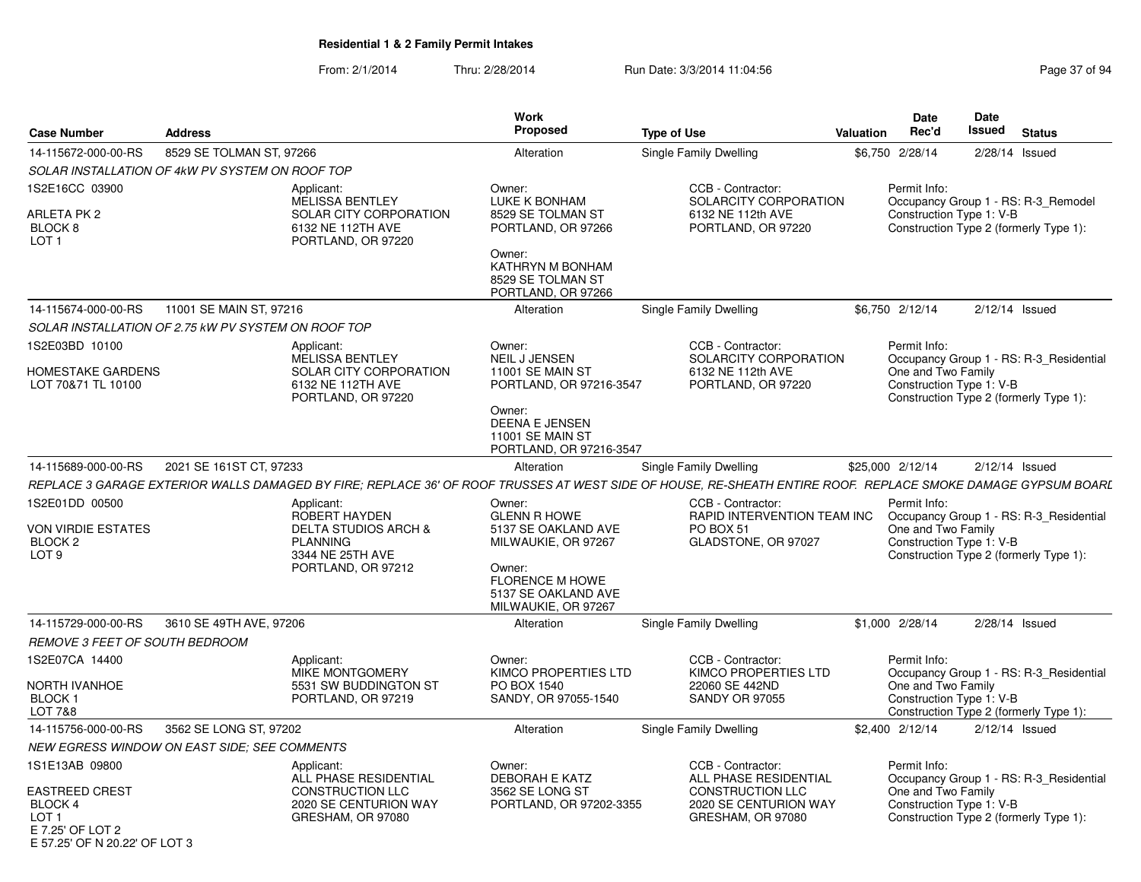|                                                                                |                                                     |                                                                                                                             | Work                                                                                                                                                          |                                                                                                                                                              |                  | <b>Date</b>                                                    | Date   |                                                                                   |
|--------------------------------------------------------------------------------|-----------------------------------------------------|-----------------------------------------------------------------------------------------------------------------------------|---------------------------------------------------------------------------------------------------------------------------------------------------------------|--------------------------------------------------------------------------------------------------------------------------------------------------------------|------------------|----------------------------------------------------------------|--------|-----------------------------------------------------------------------------------|
| <b>Case Number</b>                                                             | <b>Address</b>                                      |                                                                                                                             | Proposed                                                                                                                                                      | <b>Type of Use</b>                                                                                                                                           | <b>Valuation</b> | Rec'd                                                          | Issued | <b>Status</b>                                                                     |
| 14-115672-000-00-RS                                                            | 8529 SE TOLMAN ST, 97266                            |                                                                                                                             | Alteration                                                                                                                                                    | Single Family Dwelling                                                                                                                                       |                  | \$6,750 2/28/14                                                |        | 2/28/14 Issued                                                                    |
|                                                                                | SOLAR INSTALLATION OF 4kW PV SYSTEM ON ROOF TOP     |                                                                                                                             |                                                                                                                                                               |                                                                                                                                                              |                  |                                                                |        |                                                                                   |
| 1S2E16CC 03900<br>ARLETA PK 2<br>BLOCK <sub>8</sub><br>LOT <sub>1</sub>        |                                                     | Applicant:<br><b>MELISSA BENTLEY</b><br>SOLAR CITY CORPORATION<br>6132 NE 112TH AVE<br>PORTLAND, OR 97220                   | Owner:<br>LUKE K BONHAM<br>8529 SE TOLMAN ST<br>PORTLAND, OR 97266                                                                                            | CCB - Contractor:<br>SOLARCITY CORPORATION<br>6132 NE 112th AVE<br>PORTLAND, OR 97220                                                                        |                  | Permit Info:<br>Construction Type 1: V-B                       |        | Occupancy Group 1 - RS: R-3 Remodel<br>Construction Type 2 (formerly Type 1):     |
|                                                                                |                                                     |                                                                                                                             | Owner:<br>KATHRYN M BONHAM<br>8529 SE TOLMAN ST<br>PORTLAND, OR 97266                                                                                         |                                                                                                                                                              |                  |                                                                |        |                                                                                   |
| 14-115674-000-00-RS                                                            | 11001 SE MAIN ST, 97216                             |                                                                                                                             | Alteration                                                                                                                                                    | Single Family Dwelling                                                                                                                                       |                  | \$6,750 2/12/14                                                |        | $2/12/14$ Issued                                                                  |
|                                                                                | SOLAR INSTALLATION OF 2.75 kW PV SYSTEM ON ROOF TOP |                                                                                                                             |                                                                                                                                                               |                                                                                                                                                              |                  |                                                                |        |                                                                                   |
| 1S2E03BD 10100<br>HOMESTAKE GARDENS<br>LOT 70&71 TL 10100                      |                                                     | Applicant:<br>MELISSA BENTLEY<br>SOLAR CITY CORPORATION<br>6132 NE 112TH AVE<br>PORTLAND, OR 97220                          | Owner:<br>NEIL J JENSEN<br>11001 SE MAIN ST<br>PORTLAND, OR 97216-3547<br>Owner:<br>DEENA E JENSEN<br>11001 SE MAIN ST<br>PORTLAND, OR 97216-3547             | CCB - Contractor:<br>SOLARCITY CORPORATION<br>6132 NE 112th AVE<br>PORTLAND, OR 97220                                                                        |                  | Permit Info:<br>One and Two Family<br>Construction Type 1: V-B |        | Occupancy Group 1 - RS: R-3 Residential<br>Construction Type 2 (formerly Type 1): |
| 14-115689-000-00-RS                                                            | 2021 SE 161ST CT, 97233                             |                                                                                                                             | Alteration                                                                                                                                                    | Single Family Dwelling                                                                                                                                       |                  | \$25,000 2/12/14                                               |        | $2/12/14$ Issued                                                                  |
|                                                                                |                                                     |                                                                                                                             |                                                                                                                                                               | REPLACE 3 GARAGE EXTERIOR WALLS DAMAGED BY FIRE; REPLACE 36' OF ROOF TRUSSES AT WEST SIDE OF HOUSE, RE-SHEATH ENTIRE ROOF. REPLACE SMOKE DAMAGE GYPSUM BOARL |                  |                                                                |        |                                                                                   |
| 1S2E01DD 00500<br>VON VIRDIE ESTATES<br>BLOCK <sub>2</sub><br>LOT <sub>9</sub> |                                                     | Applicant:<br>ROBERT HAYDEN<br><b>DELTA STUDIOS ARCH &amp;</b><br><b>PLANNING</b><br>3344 NE 25TH AVE<br>PORTLAND, OR 97212 | Owner:<br><b>GLENN R HOWE</b><br>5137 SE OAKLAND AVE<br>MILWAUKIE, OR 97267<br>Owner:<br><b>FLORENCE M HOWE</b><br>5137 SE OAKLAND AVE<br>MILWAUKIE, OR 97267 | CCB - Contractor:<br>RAPID INTERVENTION TEAM INC<br>PO BOX 51<br>GLADSTONE, OR 97027                                                                         |                  | Permit Info:<br>One and Two Family<br>Construction Type 1: V-B |        | Occupancy Group 1 - RS: R-3 Residential<br>Construction Type 2 (formerly Type 1): |
| 14-115729-000-00-RS                                                            | 3610 SE 49TH AVE, 97206                             |                                                                                                                             | Alteration                                                                                                                                                    | Single Family Dwelling                                                                                                                                       |                  | \$1,000 2/28/14                                                |        | $2/28/14$ Issued                                                                  |
| REMOVE 3 FEET OF SOUTH BEDROOM                                                 |                                                     |                                                                                                                             |                                                                                                                                                               |                                                                                                                                                              |                  |                                                                |        |                                                                                   |
| 1S2E07CA 14400<br>NORTH IVANHOE<br>BLOCK <sub>1</sub><br><b>LOT 7&amp;8</b>    |                                                     | Applicant:<br><b>MIKE MONTGOMERY</b><br>5531 SW BUDDINGTON ST<br>PORTLAND, OR 97219                                         | Owner:<br>KIMCO PROPERTIES LTD<br>PO BOX 1540<br>SANDY, OR 97055-1540                                                                                         | CCB - Contractor:<br>KIMCO PROPERTIES LTD<br>22060 SE 442ND<br><b>SANDY OR 97055</b>                                                                         |                  | Permit Info:<br>One and Two Family<br>Construction Type 1: V-B |        | Occupancy Group 1 - RS: R-3 Residential<br>Construction Type 2 (formerly Type 1): |
| 14-115756-000-00-RS                                                            | 3562 SE LONG ST, 97202                              |                                                                                                                             | Alteration                                                                                                                                                    | Single Family Dwelling                                                                                                                                       |                  | \$2,400 2/12/14                                                |        | $2/12/14$ Issued                                                                  |
|                                                                                | <b>NEW EGRESS WINDOW ON EAST SIDE: SEE COMMENTS</b> |                                                                                                                             |                                                                                                                                                               |                                                                                                                                                              |                  |                                                                |        |                                                                                   |
| 1S1E13AB 09800<br>EASTREED CREST<br><b>BLOCK 4</b><br>LOT <sub>1</sub>         |                                                     | Applicant:<br>ALL PHASE RESIDENTIAL<br><b>CONSTRUCTION LLC</b><br>2020 SE CENTURION WAY<br>GRESHAM, OR 97080                | Owner:<br><b>DEBORAH E KATZ</b><br>3562 SE LONG ST<br>PORTLAND, OR 97202-3355                                                                                 | CCB - Contractor:<br>ALL PHASE RESIDENTIAL<br><b>CONSTRUCTION LLC</b><br>2020 SE CENTURION WAY<br>GRESHAM, OR 97080                                          |                  | Permit Info:<br>One and Two Family<br>Construction Type 1: V-B |        | Occupancy Group 1 - RS: R-3 Residential<br>Construction Type 2 (formerly Type 1): |
| E 7.25' OF LOT 2<br>F 57.25' OF N 20.22' OF LOT 3                              |                                                     |                                                                                                                             |                                                                                                                                                               |                                                                                                                                                              |                  |                                                                |        |                                                                                   |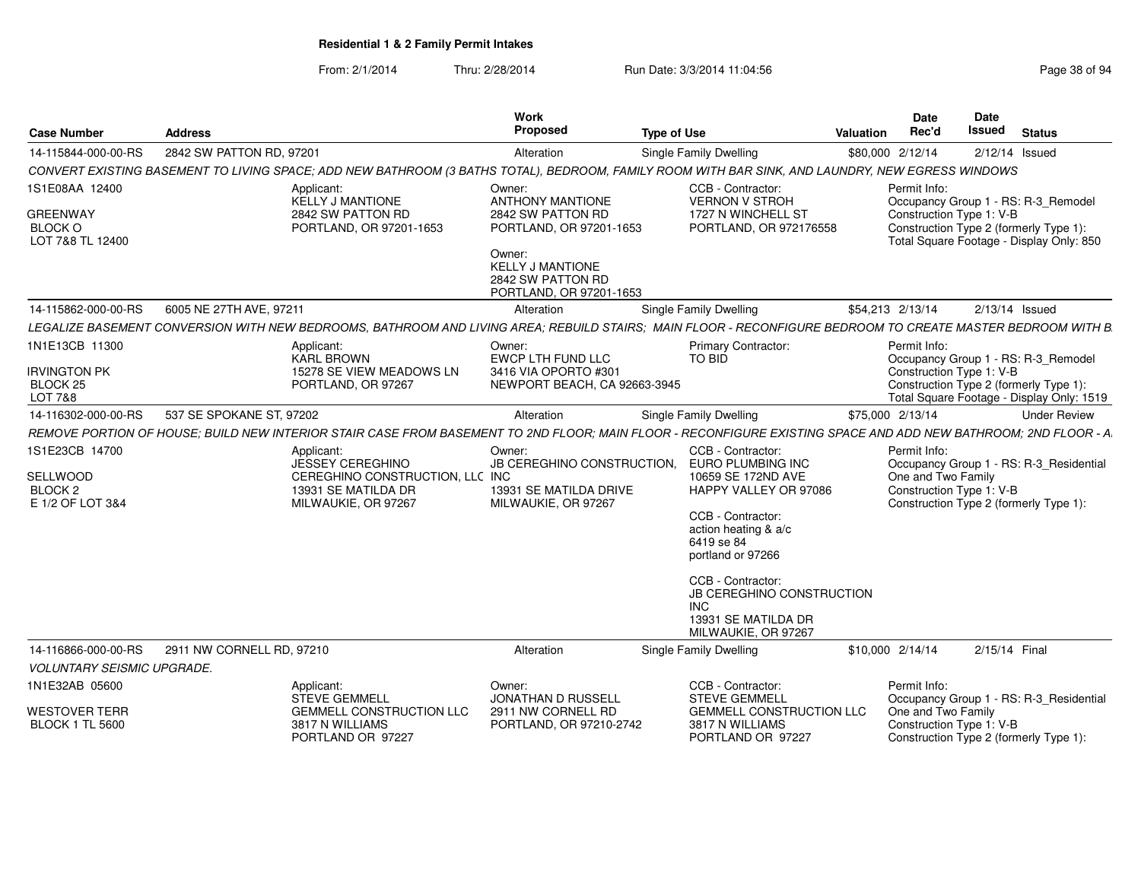| <b>Case Number</b>                                               | <b>Address</b>            |                                                                                                                                                                | <b>Work</b><br><b>Proposed</b>                                                    | <b>Type of Use</b> |                                                                                                                   | Valuation | Date<br>Rec'd                                  | Date<br><b>Issued</b> | <b>Status</b>                                                                       |
|------------------------------------------------------------------|---------------------------|----------------------------------------------------------------------------------------------------------------------------------------------------------------|-----------------------------------------------------------------------------------|--------------------|-------------------------------------------------------------------------------------------------------------------|-----------|------------------------------------------------|-----------------------|-------------------------------------------------------------------------------------|
| 14-115844-000-00-RS                                              | 2842 SW PATTON RD, 97201  |                                                                                                                                                                | Alteration                                                                        |                    | <b>Single Family Dwelling</b>                                                                                     |           | \$80,000 2/12/14                               |                       | $2/12/14$ Issued                                                                    |
|                                                                  |                           | CONVERT EXISTING BASEMENT TO LIVING SPACE; ADD NEW BATHROOM (3 BATHS TOTAL), BEDROOM, FAMILY ROOM WITH BAR SINK, AND LAUNDRY, NEW EGRESS WINDOWS               |                                                                                   |                    |                                                                                                                   |           |                                                |                       |                                                                                     |
| 1S1E08AA 12400<br><b>GREENWAY</b><br><b>BLOCK O</b>              |                           | Applicant:<br><b>KELLY J MANTIONE</b><br>2842 SW PATTON RD<br>PORTLAND, OR 97201-1653                                                                          | Owner:<br><b>ANTHONY MANTIONE</b><br>2842 SW PATTON RD<br>PORTLAND, OR 97201-1653 |                    | CCB - Contractor:<br><b>VERNON V STROH</b><br>1727 N WINCHELL ST<br>PORTLAND, OR 972176558                        |           | Permit Info:<br>Construction Type 1: V-B       |                       | Occupancy Group 1 - RS: R-3 Remodel<br>Construction Type 2 (formerly Type 1):       |
| LOT 7&8 TL 12400                                                 |                           |                                                                                                                                                                | Owner:<br><b>KELLY J MANTIONE</b><br>2842 SW PATTON RD<br>PORTLAND, OR 97201-1653 |                    |                                                                                                                   |           |                                                |                       | Total Square Footage - Display Only: 850                                            |
| 14-115862-000-00-RS                                              | 6005 NE 27TH AVE, 97211   |                                                                                                                                                                | Alteration                                                                        |                    | <b>Single Family Dwelling</b>                                                                                     |           | \$54,213 2/13/14                               |                       | $2/13/14$ Issued                                                                    |
|                                                                  |                           | LEGALIZE BASEMENT CONVERSION WITH NEW BEDROOMS, BATHROOM AND LIVING AREA; REBUILD STAIRS; MAIN FLOOR - RECONFIGURE BEDROOM TO CREATE MASTER BEDROOM WITH B     |                                                                                   |                    |                                                                                                                   |           |                                                |                       |                                                                                     |
| 1N1E13CB 11300                                                   |                           | Applicant:<br><b>KARL BROWN</b>                                                                                                                                | Owner:<br>EWCP LTH FUND LLC                                                       |                    | <b>Primary Contractor:</b><br><b>TO BID</b>                                                                       |           | Permit Info:                                   |                       | Occupancy Group 1 - RS: R-3_Remodel                                                 |
| <b>IRVINGTON PK</b><br>BLOCK <sub>25</sub><br><b>LOT 7&amp;8</b> |                           | 15278 SE VIEW MEADOWS LN<br>PORTLAND, OR 97267                                                                                                                 | 3416 VIA OPORTO #301<br>NEWPORT BEACH, CA 92663-3945                              |                    |                                                                                                                   |           | Construction Type 1: V-B                       |                       | Construction Type 2 (formerly Type 1):<br>Total Square Footage - Display Only: 1519 |
| 14-116302-000-00-RS                                              | 537 SE SPOKANE ST, 97202  |                                                                                                                                                                | Alteration                                                                        |                    | Single Family Dwelling                                                                                            |           | \$75,000 2/13/14                               |                       | <b>Under Review</b>                                                                 |
|                                                                  |                           | REMOVE PORTION OF HOUSE: BUILD NEW INTERIOR STAIR CASE FROM BASEMENT TO 2ND FLOOR: MAIN FLOOR - RECONFIGURE EXISTING SPACE AND ADD NEW BATHROOM: 2ND FLOOR - A |                                                                                   |                    |                                                                                                                   |           |                                                |                       |                                                                                     |
| 1S1E23CB 14700<br>SELLWOOD                                       |                           | Applicant:<br><b>JESSEY CEREGHINO</b><br>CEREGHINO CONSTRUCTION, LLC INC                                                                                       | Owner:<br>JB CEREGHINO CONSTRUCTION, EURO PLUMBING INC                            |                    | CCB - Contractor:<br>10659 SE 172ND AVE                                                                           |           | Permit Info:<br>One and Two Family             |                       | Occupancy Group 1 - RS: R-3 Residential                                             |
| BLOCK <sub>2</sub><br>E 1/2 OF LOT 3&4                           |                           | 13931 SE MATILDA DR<br>MILWAUKIE, OR 97267                                                                                                                     | 13931 SE MATILDA DRIVE<br>MILWAUKIE, OR 97267                                     |                    | HAPPY VALLEY OR 97086<br>CCB - Contractor:<br>action heating & a/c<br>6419 se 84<br>portland or 97266             |           | Construction Type 1: V-B                       |                       | Construction Type 2 (formerly Type 1):                                              |
|                                                                  |                           |                                                                                                                                                                |                                                                                   |                    | CCB - Contractor:<br><b>JB CEREGHINO CONSTRUCTION</b><br><b>INC</b><br>13931 SE MATILDA DR<br>MILWAUKIE, OR 97267 |           |                                                |                       |                                                                                     |
| 14-116866-000-00-RS                                              | 2911 NW CORNELL RD, 97210 |                                                                                                                                                                | Alteration                                                                        |                    | Single Family Dwelling                                                                                            |           | \$10,000 2/14/14                               | 2/15/14 Final         |                                                                                     |
| <b>VOLUNTARY SEISMIC UPGRADE.</b>                                |                           |                                                                                                                                                                |                                                                                   |                    |                                                                                                                   |           |                                                |                       |                                                                                     |
| 1N1E32AB 05600                                                   |                           | Applicant:<br><b>STEVE GEMMELL</b>                                                                                                                             | Owner:<br>JONATHAN D RUSSELL                                                      |                    | CCB - Contractor:<br><b>STEVE GEMMELL</b>                                                                         |           | Permit Info:                                   |                       | Occupancy Group 1 - RS: R-3 Residential                                             |
| <b>WESTOVER TERR</b><br><b>BLOCK 1 TL 5600</b>                   |                           | <b>GEMMELL CONSTRUCTION LLC</b><br>3817 N WILLIAMS<br>PORTLAND OR 97227                                                                                        | 2911 NW CORNELL RD<br>PORTLAND, OR 97210-2742                                     |                    | <b>GEMMELL CONSTRUCTION LLC</b><br>3817 N WILLIAMS<br>PORTLAND OR 97227                                           |           | One and Two Family<br>Construction Type 1: V-B |                       | Construction Type 2 (formerly Type 1):                                              |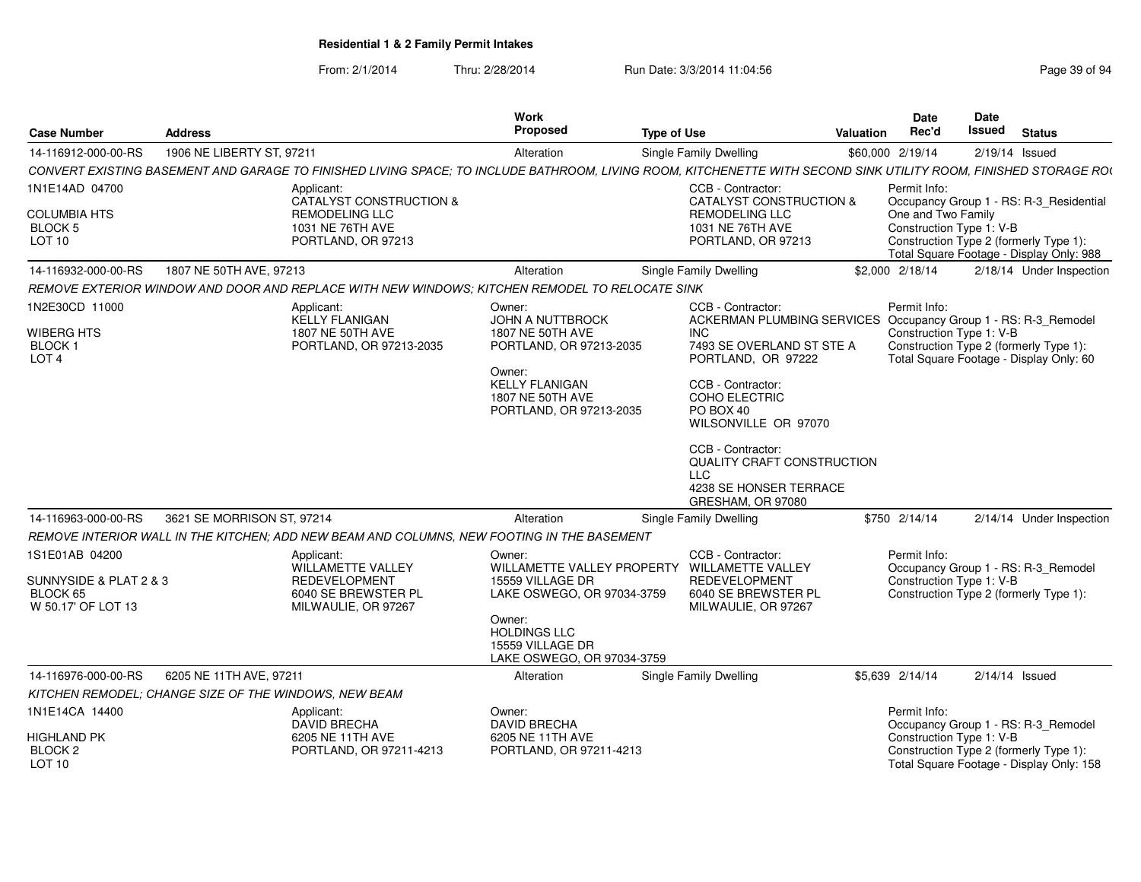| <b>Case Number</b>                                                         | <b>Address</b>                                        |                                                                                                                                                                  | Work<br><b>Proposed</b>                                                                                                                                                                     | <b>Type of Use</b> |                                                                                                                                                                                                                                                      | Valuation | <b>Date</b><br>Rec'd                           | Date<br>Issued | <b>Status</b>                                                                      |
|----------------------------------------------------------------------------|-------------------------------------------------------|------------------------------------------------------------------------------------------------------------------------------------------------------------------|---------------------------------------------------------------------------------------------------------------------------------------------------------------------------------------------|--------------------|------------------------------------------------------------------------------------------------------------------------------------------------------------------------------------------------------------------------------------------------------|-----------|------------------------------------------------|----------------|------------------------------------------------------------------------------------|
| 14-116912-000-00-RS                                                        | 1906 NE LIBERTY ST. 97211                             |                                                                                                                                                                  | Alteration                                                                                                                                                                                  |                    | Single Family Dwelling                                                                                                                                                                                                                               |           | \$60,000 2/19/14                               |                | $2/19/14$ Issued                                                                   |
|                                                                            |                                                       | CONVERT EXISTING BASEMENT AND GARAGE TO FINISHED LIVING SPACE; TO INCLUDE BATHROOM, LIVING ROOM, KITCHENETTE WITH SECOND SINK UTILITY ROOM, FINISHED STORAGE ROO |                                                                                                                                                                                             |                    |                                                                                                                                                                                                                                                      |           |                                                |                |                                                                                    |
| 1N1E14AD 04700                                                             |                                                       | Applicant:<br>CATALYST CONSTRUCTION &                                                                                                                            |                                                                                                                                                                                             |                    | CCB - Contractor:<br>CATALYST CONSTRUCTION &                                                                                                                                                                                                         |           | Permit Info:                                   |                | Occupancy Group 1 - RS: R-3_Residential                                            |
| <b>COLUMBIA HTS</b><br>BLOCK 5<br><b>LOT 10</b>                            |                                                       | <b>REMODELING LLC</b><br>1031 NE 76TH AVE<br>PORTLAND, OR 97213                                                                                                  |                                                                                                                                                                                             |                    | <b>REMODELING LLC</b><br>1031 NE 76TH AVE<br>PORTLAND, OR 97213                                                                                                                                                                                      |           | One and Two Family<br>Construction Type 1: V-B |                | Construction Type 2 (formerly Type 1):<br>Total Square Footage - Display Only: 988 |
| 14-116932-000-00-RS                                                        | 1807 NE 50TH AVE, 97213                               |                                                                                                                                                                  | Alteration                                                                                                                                                                                  |                    | Single Family Dwelling                                                                                                                                                                                                                               |           | \$2,000 2/18/14                                |                | 2/18/14 Under Inspection                                                           |
|                                                                            |                                                       | REMOVE EXTERIOR WINDOW AND DOOR AND REPLACE WITH NEW WINDOWS; KITCHEN REMODEL TO RELOCATE SINK                                                                   |                                                                                                                                                                                             |                    |                                                                                                                                                                                                                                                      |           |                                                |                |                                                                                    |
| 1N2E30CD 11000<br>WIBERG HTS<br>BLOCK 1<br>LOT <sub>4</sub>                |                                                       | Applicant:<br><b>KELLY FLANIGAN</b><br>1807 NE 50TH AVE<br>PORTLAND, OR 97213-2035                                                                               | Owner:<br><b>JOHN A NUTTBROCK</b><br>1807 NE 50TH AVE<br>PORTLAND, OR 97213-2035<br>Owner:<br><b>KELLY FLANIGAN</b><br>1807 NE 50TH AVE<br>PORTLAND, OR 97213-2035                          |                    | CCB - Contractor:<br>ACKERMAN PLUMBING SERVICES Occupancy Group 1 - RS: R-3_Remodel<br><b>INC</b><br>7493 SE OVERLAND ST STE A<br>PORTLAND, OR 97222<br>CCB - Contractor:<br>COHO ELECTRIC<br>PO BOX 40<br>WILSONVILLE OR 97070<br>CCB - Contractor: |           | Permit Info:<br>Construction Type 1: V-B       |                | Construction Type 2 (formerly Type 1):<br>Total Square Footage - Display Only: 60  |
|                                                                            |                                                       |                                                                                                                                                                  |                                                                                                                                                                                             |                    | QUALITY CRAFT CONSTRUCTION<br>LLC<br>4238 SE HONSER TERRACE<br>GRESHAM, OR 97080                                                                                                                                                                     |           |                                                |                |                                                                                    |
| 14-116963-000-00-RS                                                        | 3621 SE MORRISON ST, 97214                            |                                                                                                                                                                  | Alteration                                                                                                                                                                                  |                    | Single Family Dwelling                                                                                                                                                                                                                               |           | \$750 2/14/14                                  |                | 2/14/14 Under Inspection                                                           |
|                                                                            |                                                       | REMOVE INTERIOR WALL IN THE KITCHEN; ADD NEW BEAM AND COLUMNS, NEW FOOTING IN THE BASEMENT                                                                       |                                                                                                                                                                                             |                    |                                                                                                                                                                                                                                                      |           |                                                |                |                                                                                    |
| 1S1E01AB 04200<br>SUNNYSIDE & PLAT 2 & 3<br>BLOCK 65<br>W 50.17' OF LOT 13 |                                                       | Applicant:<br>WILLAMETTE VALLEY<br><b>REDEVELOPMENT</b><br>6040 SE BREWSTER PL<br>MILWAULIE, OR 97267                                                            | Owner:<br>WILLAMETTE VALLEY PROPERTY WILLAMETTE VALLEY<br>15559 VILLAGE DR<br>LAKE OSWEGO, OR 97034-3759<br>Owner:<br><b>HOLDINGS LLC</b><br>15559 VILLAGE DR<br>LAKE OSWEGO, OR 97034-3759 |                    | CCB - Contractor:<br><b>REDEVELOPMENT</b><br>6040 SE BREWSTER PL<br>MILWAULIE, OR 97267                                                                                                                                                              |           | Permit Info:<br>Construction Type 1: V-B       |                | Occupancy Group 1 - RS: R-3_Remodel<br>Construction Type 2 (formerly Type 1):      |
| 14-116976-000-00-RS                                                        | 6205 NE 11TH AVE, 97211                               |                                                                                                                                                                  | Alteration                                                                                                                                                                                  |                    | Single Family Dwelling                                                                                                                                                                                                                               |           | \$5.639 2/14/14                                |                | $2/14/14$ Issued                                                                   |
|                                                                            | KITCHEN REMODEL: CHANGE SIZE OF THE WINDOWS, NEW BEAM |                                                                                                                                                                  |                                                                                                                                                                                             |                    |                                                                                                                                                                                                                                                      |           |                                                |                |                                                                                    |
| 1N1E14CA 14400                                                             |                                                       | Applicant:<br><b>DAVID BRECHA</b>                                                                                                                                | Owner:<br><b>DAVID BRECHA</b>                                                                                                                                                               |                    |                                                                                                                                                                                                                                                      |           | Permit Info:                                   |                | Occupancy Group 1 - RS: R-3_Remodel                                                |
| <b>HIGHLAND PK</b><br>BLOCK 2<br>LOT 10                                    |                                                       | 6205 NE 11TH AVE<br>PORTLAND, OR 97211-4213                                                                                                                      | 6205 NE 11TH AVE<br>PORTLAND, OR 97211-4213                                                                                                                                                 |                    |                                                                                                                                                                                                                                                      |           | Construction Type 1: V-B                       |                | Construction Type 2 (formerly Type 1):<br>Total Square Footage - Display Only: 158 |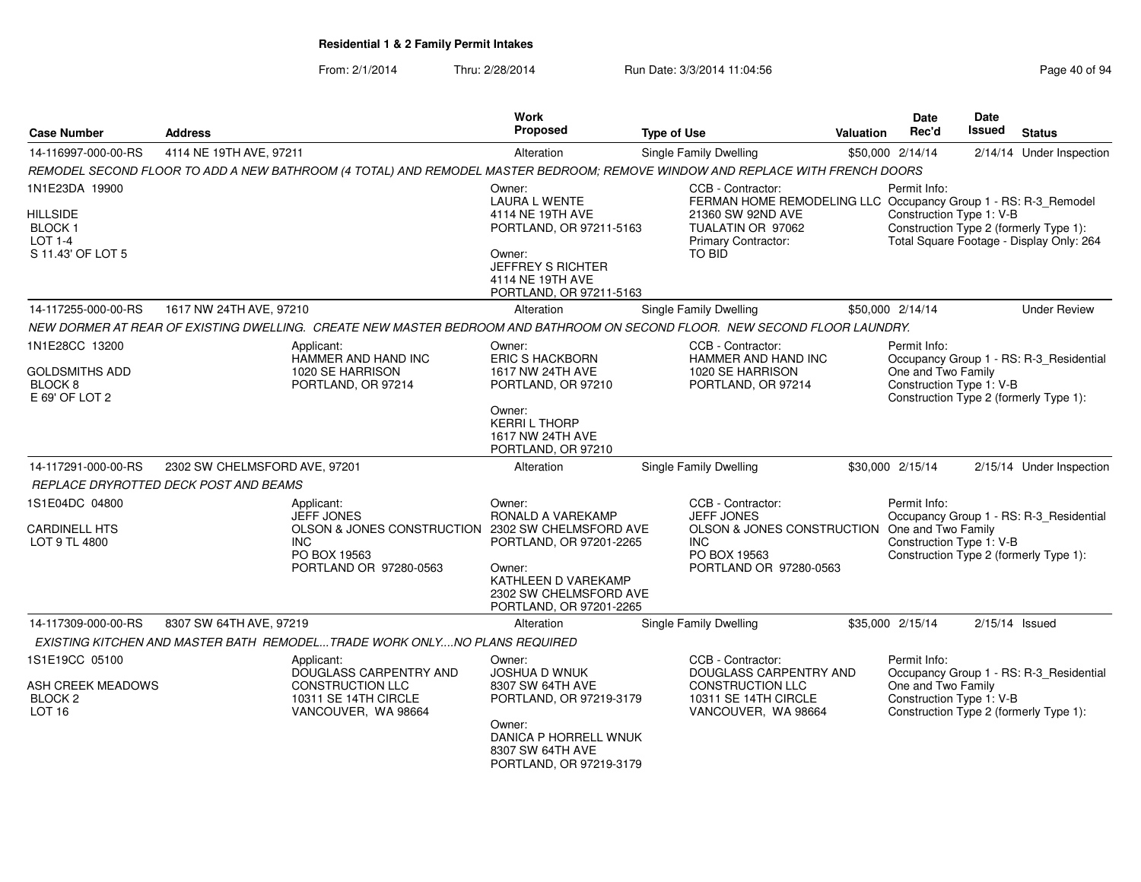| <b>Case Number</b>                                                             | <b>Address</b>                        |                                                                                                                                              | <b>Work</b><br>Proposed                                                                                                                                         | <b>Type of Use</b>                                                                                                                              | Valuation | <b>Date</b><br>Rec'd                                           | <b>Date</b><br>Issued | <b>Status</b>                                                                      |
|--------------------------------------------------------------------------------|---------------------------------------|----------------------------------------------------------------------------------------------------------------------------------------------|-----------------------------------------------------------------------------------------------------------------------------------------------------------------|-------------------------------------------------------------------------------------------------------------------------------------------------|-----------|----------------------------------------------------------------|-----------------------|------------------------------------------------------------------------------------|
| 14-116997-000-00-RS                                                            | 4114 NE 19TH AVE, 97211               |                                                                                                                                              | Alteration                                                                                                                                                      | Single Family Dwelling                                                                                                                          |           | \$50,000 2/14/14                                               |                       | 2/14/14 Under Inspection                                                           |
|                                                                                |                                       | REMODEL SECOND FLOOR TO ADD A NEW BATHROOM (4 TOTAL) AND REMODEL MASTER BEDROOM; REMOVE WINDOW AND REPLACE WITH FRENCH DOORS                 |                                                                                                                                                                 |                                                                                                                                                 |           |                                                                |                       |                                                                                    |
| 1N1E23DA 19900                                                                 |                                       |                                                                                                                                              | Owner:<br><b>LAURA L WENTE</b>                                                                                                                                  | CCB - Contractor:<br>FERMAN HOME REMODELING LLC Occupancy Group 1 - RS: R-3_Remodel                                                             |           | Permit Info:                                                   |                       |                                                                                    |
| <b>HILLSIDE</b><br><b>BLOCK1</b><br>LOT 1-4<br>S 11.43' OF LOT 5               |                                       |                                                                                                                                              | 4114 NE 19TH AVE<br>PORTLAND, OR 97211-5163<br>Owner:<br><b>JEFFREY S RICHTER</b><br>4114 NE 19TH AVE<br>PORTLAND, OR 97211-5163                                | 21360 SW 92ND AVE<br>TUALATIN OR 97062<br><b>Primary Contractor:</b><br>TO BID                                                                  |           | Construction Type 1: V-B                                       |                       | Construction Type 2 (formerly Type 1):<br>Total Square Footage - Display Only: 264 |
| 14-117255-000-00-RS                                                            | 1617 NW 24TH AVE, 97210               |                                                                                                                                              | Alteration                                                                                                                                                      | Single Family Dwelling                                                                                                                          |           | \$50,000 2/14/14                                               |                       | <b>Under Review</b>                                                                |
|                                                                                |                                       | NEW DORMER AT REAR OF EXISTING DWELLING. CREATE NEW MASTER BEDROOM AND BATHROOM ON SECOND FLOOR. NEW SECOND FLOOR LAUNDRY.                   |                                                                                                                                                                 |                                                                                                                                                 |           |                                                                |                       |                                                                                    |
| 1N1E28CC 13200<br>GOLDSMITHS ADD<br>BLOCK 8<br>$E$ 69' OF LOT 2                |                                       | Applicant:<br>HAMMER AND HAND INC<br>1020 SE HARRISON<br>PORTLAND, OR 97214                                                                  | Owner:<br><b>ERIC S HACKBORN</b><br>1617 NW 24TH AVE<br>PORTLAND, OR 97210<br>Owner:                                                                            | CCB - Contractor:<br>HAMMER AND HAND INC<br>1020 SE HARRISON<br>PORTLAND, OR 97214                                                              |           | Permit Info:<br>One and Two Family<br>Construction Type 1: V-B |                       | Occupancy Group 1 - RS: R-3_Residential<br>Construction Type 2 (formerly Type 1):  |
|                                                                                |                                       |                                                                                                                                              | <b>KERRIL THORP</b><br>1617 NW 24TH AVE<br>PORTLAND, OR 97210                                                                                                   |                                                                                                                                                 |           |                                                                |                       |                                                                                    |
| 14-117291-000-00-RS                                                            | 2302 SW CHELMSFORD AVE, 97201         |                                                                                                                                              | Alteration                                                                                                                                                      | Single Family Dwelling                                                                                                                          |           | \$30,000 2/15/14                                               |                       | 2/15/14 Under Inspection                                                           |
|                                                                                | REPLACE DRYROTTED DECK POST AND BEAMS |                                                                                                                                              |                                                                                                                                                                 |                                                                                                                                                 |           |                                                                |                       |                                                                                    |
| 1S1E04DC 04800<br>CARDINELL HTS<br>LOT 9 TL 4800                               |                                       | Applicant:<br><b>JEFF JONES</b><br>OLSON & JONES CONSTRUCTION 2302 SW CHELMSFORD AVE<br><b>INC</b><br>PO BOX 19563<br>PORTLAND OR 97280-0563 | Owner:<br>RONALD A VAREKAMP<br>PORTLAND, OR 97201-2265<br>Owner:<br>KATHLEEN D VAREKAMP<br>2302 SW CHELMSFORD AVE<br>PORTLAND, OR 97201-2265                    | CCB - Contractor:<br><b>JEFF JONES</b><br>OLSON & JONES CONSTRUCTION One and Two Family<br><b>INC</b><br>PO BOX 19563<br>PORTLAND OR 97280-0563 |           | Permit Info:<br>Construction Type 1: V-B                       |                       | Occupancy Group 1 - RS: R-3 Residential<br>Construction Type 2 (formerly Type 1):  |
| 14-117309-000-00-RS                                                            | 8307 SW 64TH AVE, 97219               |                                                                                                                                              | Alteration                                                                                                                                                      | Single Family Dwelling                                                                                                                          |           | \$35,000 2/15/14                                               | $2/15/14$ Issued      |                                                                                    |
|                                                                                |                                       | EXISTING KITCHEN AND MASTER BATH REMODELTRADE WORK ONLYNO PLANS REQUIRED                                                                     |                                                                                                                                                                 |                                                                                                                                                 |           |                                                                |                       |                                                                                    |
| 1S1E19CC 05100<br>ASH CREEK MEADOWS<br>BLOCK <sub>2</sub><br>LOT <sub>16</sub> |                                       | Applicant:<br>DOUGLASS CARPENTRY AND<br>CONSTRUCTION LLC<br>10311 SE 14TH CIRCLE<br>VANCOUVER, WA 98664                                      | Owner:<br><b>JOSHUA D WNUK</b><br>8307 SW 64TH AVE<br>PORTLAND, OR 97219-3179<br>Owner:<br>DANICA P HORRELL WNUK<br>8307 SW 64TH AVE<br>PORTLAND, OR 97219-3179 | CCB - Contractor:<br>DOUGLASS CARPENTRY AND<br><b>CONSTRUCTION LLC</b><br>10311 SE 14TH CIRCLE<br>VANCOUVER, WA 98664                           |           | Permit Info:<br>One and Two Family<br>Construction Type 1: V-B |                       | Occupancy Group 1 - RS: R-3 Residential<br>Construction Type 2 (formerly Type 1):  |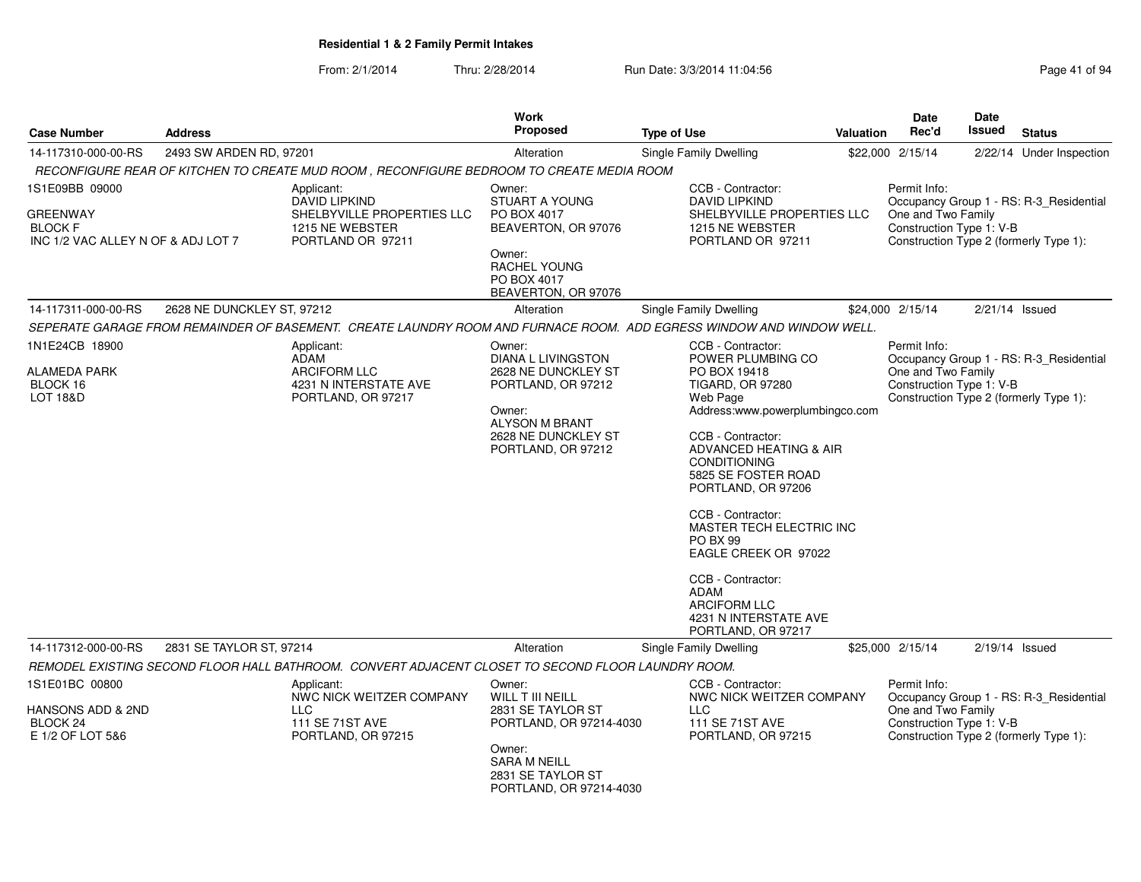| <b>Case Number</b>                                                                         | <b>Address</b>             |                                                                                                                                                                                                                  | <b>Work</b><br><b>Proposed</b>                                                                                                                                            | <b>Type of Use</b>                                                                                                                                                                                                                                                                                                                                                                                                                  | <b>Valuation</b> | Date<br>Rec'd                                                                      | <b>Date</b><br><b>Issued</b> | <b>Status</b>                                                                     |
|--------------------------------------------------------------------------------------------|----------------------------|------------------------------------------------------------------------------------------------------------------------------------------------------------------------------------------------------------------|---------------------------------------------------------------------------------------------------------------------------------------------------------------------------|-------------------------------------------------------------------------------------------------------------------------------------------------------------------------------------------------------------------------------------------------------------------------------------------------------------------------------------------------------------------------------------------------------------------------------------|------------------|------------------------------------------------------------------------------------|------------------------------|-----------------------------------------------------------------------------------|
| 14-117310-000-00-RS                                                                        | 2493 SW ARDEN RD, 97201    |                                                                                                                                                                                                                  | Alteration                                                                                                                                                                | <b>Single Family Dwelling</b>                                                                                                                                                                                                                                                                                                                                                                                                       |                  | \$22,000 2/15/14                                                                   |                              | 2/22/14 Under Inspection                                                          |
|                                                                                            |                            | RECONFIGURE REAR OF KITCHEN TO CREATE MUD ROOM . RECONFIGURE BEDROOM TO CREATE MEDIA ROOM                                                                                                                        |                                                                                                                                                                           |                                                                                                                                                                                                                                                                                                                                                                                                                                     |                  |                                                                                    |                              |                                                                                   |
| 1S1E09BB 09000<br><b>GREENWAY</b><br><b>BLOCK F</b><br>INC 1/2 VAC ALLEY N OF & ADJ LOT 7  |                            | Applicant:<br><b>DAVID LIPKIND</b><br>SHELBYVILLE PROPERTIES LLC<br>1215 NE WEBSTER<br>PORTLAND OR 97211                                                                                                         | Owner:<br><b>STUART A YOUNG</b><br>PO BOX 4017<br>BEAVERTON, OR 97076<br>Owner:<br>RACHEL YOUNG<br>PO BOX 4017<br>BEAVERTON, OR 97076                                     | CCB - Contractor:<br><b>DAVID LIPKIND</b><br>SHELBYVILLE PROPERTIES LLC<br>1215 NE WEBSTER<br>PORTLAND OR 97211                                                                                                                                                                                                                                                                                                                     |                  | Permit Info:<br>One and Two Family<br>Construction Type 1: V-B                     |                              | Occupancy Group 1 - RS: R-3 Residential<br>Construction Type 2 (formerly Type 1): |
| 14-117311-000-00-RS                                                                        | 2628 NE DUNCKLEY ST, 97212 |                                                                                                                                                                                                                  | Alteration                                                                                                                                                                | Single Family Dwelling                                                                                                                                                                                                                                                                                                                                                                                                              |                  | \$24,000 2/15/14                                                                   | $2/21/14$ Issued             |                                                                                   |
| 1N1E24CB 18900<br><b>ALAMEDA PARK</b><br>BLOCK 16<br><b>LOT 18&amp;D</b>                   |                            | SEPERATE GARAGE FROM REMAINDER OF BASEMENT. CREATE LAUNDRY ROOM AND FURNACE ROOM. ADD EGRESS WINDOW AND WINDOW WELL.<br>Applicant:<br>ADAM<br><b>ARCIFORM LLC</b><br>4231 N INTERSTATE AVE<br>PORTLAND, OR 97217 | Owner:<br><b>DIANA L LIVINGSTON</b><br>2628 NE DUNCKLEY ST<br>PORTLAND, OR 97212<br>Owner:<br><b>ALYSON M BRANT</b><br>2628 NE DUNCKLEY ST<br>PORTLAND, OR 97212          | CCB - Contractor:<br>POWER PLUMBING CO<br>PO BOX 19418<br><b>TIGARD, OR 97280</b><br>Web Page<br>Address:www.powerplumbingco.com<br>CCB - Contractor:<br>ADVANCED HEATING & AIR<br><b>CONDITIONING</b><br>5825 SE FOSTER ROAD<br>PORTLAND, OR 97206<br>CCB - Contractor:<br>MASTER TECH ELECTRIC INC<br><b>PO BX 99</b><br>EAGLE CREEK OR 97022<br>CCB - Contractor:<br><b>ADAM</b><br><b>ARCIFORM LLC</b><br>4231 N INTERSTATE AVE |                  | Permit Info:<br>One and Two Family<br>Construction Type 1: V-B                     |                              | Occupancy Group 1 - RS: R-3_Residential<br>Construction Type 2 (formerly Type 1): |
|                                                                                            |                            |                                                                                                                                                                                                                  |                                                                                                                                                                           | PORTLAND, OR 97217                                                                                                                                                                                                                                                                                                                                                                                                                  |                  |                                                                                    |                              |                                                                                   |
| 14-117312-000-00-RS<br>1S1E01BC 00800<br>HANSONS ADD & 2ND<br>BLOCK 24<br>E 1/2 OF LOT 5&6 | 2831 SE TAYLOR ST, 97214   | REMODEL EXISTING SECOND FLOOR HALL BATHROOM. CONVERT ADJACENT CLOSET TO SECOND FLOOR LAUNDRY ROOM.<br>Applicant:<br>NWC NICK WEITZER COMPANY<br><b>LLC</b><br>111 SE 71ST AVE<br>PORTLAND, OR 97215              | Alteration<br>Owner:<br>WILL T III NEILL<br>2831 SE TAYLOR ST<br>PORTLAND, OR 97214-4030<br>Owner:<br><b>SARA M NEILL</b><br>2831 SE TAYLOR ST<br>PORTLAND, OR 97214-4030 | Single Family Dwelling<br>CCB - Contractor:<br>NWC NICK WEITZER COMPANY<br><b>LLC</b><br>111 SE 71ST AVE<br>PORTLAND, OR 97215                                                                                                                                                                                                                                                                                                      |                  | \$25,000 2/15/14<br>Permit Info:<br>One and Two Family<br>Construction Type 1: V-B | $2/19/14$ Issued             | Occupancy Group 1 - RS: R-3 Residential<br>Construction Type 2 (formerly Type 1): |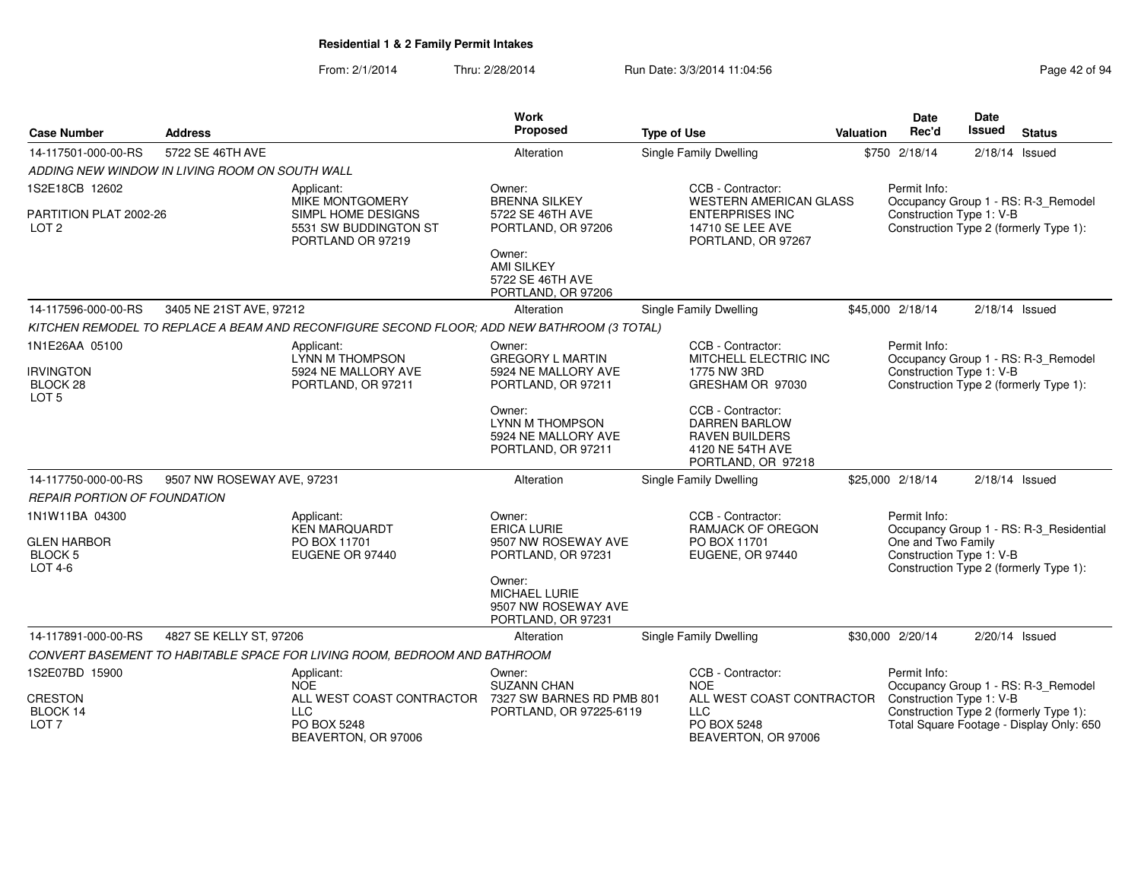| <b>Case Number</b>                               | <b>Address</b>             |                                                                                            | <b>Work</b><br>Proposed                                                       | <b>Type of Use</b>                                                                                           | <b>Valuation</b> | <b>Date</b><br>Rec'd                           | <b>Date</b><br>Issued | <b>Status</b>                                                                      |
|--------------------------------------------------|----------------------------|--------------------------------------------------------------------------------------------|-------------------------------------------------------------------------------|--------------------------------------------------------------------------------------------------------------|------------------|------------------------------------------------|-----------------------|------------------------------------------------------------------------------------|
| 14-117501-000-00-RS                              | 5722 SE 46TH AVE           |                                                                                            | Alteration                                                                    | Single Family Dwelling                                                                                       |                  | \$750 2/18/14                                  | $2/18/14$ Issued      |                                                                                    |
| ADDING NEW WINDOW IN LIVING ROOM ON SOUTH WALL   |                            |                                                                                            |                                                                               |                                                                                                              |                  |                                                |                       |                                                                                    |
| 1S2E18CB 12602                                   |                            | Applicant:<br>MIKE MONTGOMERY                                                              | Owner:<br><b>BRENNA SILKEY</b>                                                | CCB - Contractor:<br><b>WESTERN AMERICAN GLASS</b>                                                           |                  | Permit Info:                                   |                       | Occupancy Group 1 - RS: R-3 Remodel                                                |
| PARTITION PLAT 2002-26<br>LOT <sub>2</sub>       |                            | SIMPL HOME DESIGNS<br>5531 SW BUDDINGTON ST<br>PORTLAND OR 97219                           | 5722 SE 46TH AVE<br>PORTLAND, OR 97206                                        | <b>ENTERPRISES INC</b><br>14710 SE LEE AVE<br>PORTLAND, OR 97267                                             |                  | Construction Type 1: V-B                       |                       | Construction Type 2 (formerly Type 1):                                             |
|                                                  |                            |                                                                                            | Owner:<br><b>AMI SILKEY</b><br>5722 SE 46TH AVE<br>PORTLAND, OR 97206         |                                                                                                              |                  |                                                |                       |                                                                                    |
| 14-117596-000-00-RS                              | 3405 NE 21ST AVE, 97212    |                                                                                            | Alteration                                                                    | <b>Single Family Dwelling</b>                                                                                |                  | \$45,000 2/18/14                               | $2/18/14$ Issued      |                                                                                    |
|                                                  |                            | KITCHEN REMODEL TO REPLACE A BEAM AND RECONFIGURE SECOND FLOOR; ADD NEW BATHROOM (3 TOTAL) |                                                                               |                                                                                                              |                  |                                                |                       |                                                                                    |
| 1N1E26AA 05100                                   |                            | Applicant:<br>LYNN M THOMPSON                                                              | Owner:<br><b>GREGORY L MARTIN</b>                                             | CCB - Contractor:<br>MITCHELL ELECTRIC INC                                                                   |                  | Permit Info:                                   |                       | Occupancy Group 1 - RS: R-3_Remodel                                                |
| <b>IRVINGTON</b><br>BLOCK 28<br>LOT <sub>5</sub> |                            | 5924 NE MALLORY AVE<br>PORTLAND, OR 97211                                                  | 5924 NE MALLORY AVE<br>PORTLAND, OR 97211                                     | 1775 NW 3RD<br>GRESHAM OR 97030                                                                              |                  | Construction Type 1: V-B                       |                       | Construction Type 2 (formerly Type 1):                                             |
|                                                  |                            |                                                                                            | Owner:<br><b>LYNN M THOMPSON</b><br>5924 NE MALLORY AVE<br>PORTLAND, OR 97211 | CCB - Contractor:<br><b>DARREN BARLOW</b><br><b>RAVEN BUILDERS</b><br>4120 NE 54TH AVE<br>PORTLAND, OR 97218 |                  |                                                |                       |                                                                                    |
| 14-117750-000-00-RS                              | 9507 NW ROSEWAY AVE, 97231 |                                                                                            | Alteration                                                                    | Single Family Dwelling                                                                                       |                  | \$25,000 2/18/14                               | 2/18/14 Issued        |                                                                                    |
| REPAIR PORTION OF FOUNDATION                     |                            |                                                                                            |                                                                               |                                                                                                              |                  |                                                |                       |                                                                                    |
| 1N1W11BA 04300                                   |                            | Applicant:<br><b>KEN MARQUARDT</b>                                                         | Owner:<br><b>ERICA LURIE</b>                                                  | CCB - Contractor:<br><b>RAMJACK OF OREGON</b>                                                                |                  | Permit Info:                                   |                       | Occupancy Group 1 - RS: R-3_Residential                                            |
| <b>GLEN HARBOR</b><br><b>BLOCK 5</b><br>LOT 4-6  |                            | PO BOX 11701<br>EUGENE OR 97440                                                            | 9507 NW ROSEWAY AVE<br>PORTLAND, OR 97231                                     | PO BOX 11701<br>EUGENE, OR 97440                                                                             |                  | One and Two Family<br>Construction Type 1: V-B |                       | Construction Type 2 (formerly Type 1):                                             |
|                                                  |                            |                                                                                            | Owner:<br>MICHAEL LURIE<br>9507 NW ROSEWAY AVE<br>PORTLAND, OR 97231          |                                                                                                              |                  |                                                |                       |                                                                                    |
| 14-117891-000-00-RS                              | 4827 SE KELLY ST, 97206    |                                                                                            | Alteration                                                                    | <b>Single Family Dwelling</b>                                                                                |                  | \$30,000 2/20/14                               | 2/20/14 Issued        |                                                                                    |
|                                                  |                            | CONVERT BASEMENT TO HABITABLE SPACE FOR LIVING ROOM, BEDROOM AND BATHROOM                  |                                                                               |                                                                                                              |                  |                                                |                       |                                                                                    |
| 1S2E07BD 15900                                   |                            | Applicant:<br><b>NOE</b>                                                                   | Owner:<br><b>SUZANN CHAN</b>                                                  | CCB - Contractor:<br><b>NOE</b>                                                                              |                  | Permit Info:                                   |                       | Occupancy Group 1 - RS: R-3_Remodel                                                |
| <b>CRESTON</b>                                   |                            | ALL WEST COAST CONTRACTOR                                                                  | 7327 SW BARNES RD PMB 801                                                     | ALL WEST COAST CONTRACTOR                                                                                    |                  | Construction Type 1: V-B                       |                       |                                                                                    |
| BLOCK 14<br>LOT <sub>7</sub>                     |                            | <b>LLC</b><br>PO BOX 5248<br>BEAVERTON, OR 97006                                           | PORTLAND, OR 97225-6119                                                       | <b>LLC</b><br>PO BOX 5248<br>BEAVERTON, OR 97006                                                             |                  |                                                |                       | Construction Type 2 (formerly Type 1):<br>Total Square Footage - Display Only: 650 |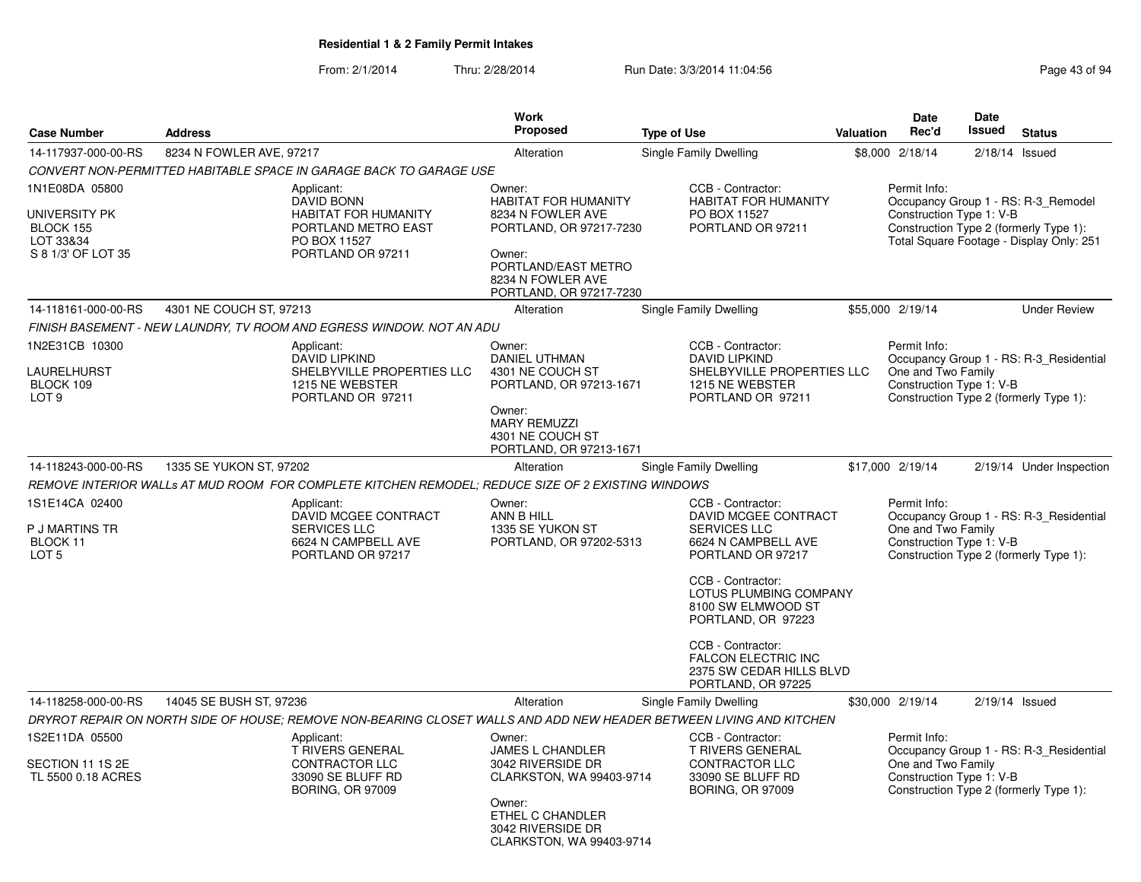|                |                                                                                                                            | Work                                                                                                      |                                                                                                                                                                             |                                                                                                                                                                                                                                                                                                                                                                                   | <b>Date</b>                                                                                                                                                                                                                                                 | Date                                                                                              |                                                                                                                                                                                                                                                                                                                                                                                                                                                                                                                                                                                      |
|----------------|----------------------------------------------------------------------------------------------------------------------------|-----------------------------------------------------------------------------------------------------------|-----------------------------------------------------------------------------------------------------------------------------------------------------------------------------|-----------------------------------------------------------------------------------------------------------------------------------------------------------------------------------------------------------------------------------------------------------------------------------------------------------------------------------------------------------------------------------|-------------------------------------------------------------------------------------------------------------------------------------------------------------------------------------------------------------------------------------------------------------|---------------------------------------------------------------------------------------------------|--------------------------------------------------------------------------------------------------------------------------------------------------------------------------------------------------------------------------------------------------------------------------------------------------------------------------------------------------------------------------------------------------------------------------------------------------------------------------------------------------------------------------------------------------------------------------------------|
| <b>Address</b> |                                                                                                                            |                                                                                                           |                                                                                                                                                                             |                                                                                                                                                                                                                                                                                                                                                                                   |                                                                                                                                                                                                                                                             |                                                                                                   | <b>Status</b>                                                                                                                                                                                                                                                                                                                                                                                                                                                                                                                                                                        |
|                |                                                                                                                            | Alteration                                                                                                | Single Family Dwelling                                                                                                                                                      |                                                                                                                                                                                                                                                                                                                                                                                   |                                                                                                                                                                                                                                                             |                                                                                                   | $2/18/14$ Issued                                                                                                                                                                                                                                                                                                                                                                                                                                                                                                                                                                     |
|                |                                                                                                                            |                                                                                                           |                                                                                                                                                                             |                                                                                                                                                                                                                                                                                                                                                                                   |                                                                                                                                                                                                                                                             |                                                                                                   |                                                                                                                                                                                                                                                                                                                                                                                                                                                                                                                                                                                      |
|                | Applicant:<br><b>DAVID BONN</b><br><b>HABITAT FOR HUMANITY</b><br>PORTLAND METRO EAST<br>PO BOX 11527<br>PORTLAND OR 97211 | Owner:<br>HABITAT FOR HUMANITY<br>8234 N FOWLER AVE<br>Owner:<br>PORTLAND/EAST METRO<br>8234 N FOWLER AVE | CCB - Contractor:<br>PO BOX 11527<br>PORTLAND OR 97211                                                                                                                      |                                                                                                                                                                                                                                                                                                                                                                                   | Permit Info:                                                                                                                                                                                                                                                |                                                                                                   |                                                                                                                                                                                                                                                                                                                                                                                                                                                                                                                                                                                      |
|                |                                                                                                                            | Alteration                                                                                                | Single Family Dwelling                                                                                                                                                      |                                                                                                                                                                                                                                                                                                                                                                                   |                                                                                                                                                                                                                                                             |                                                                                                   | <b>Under Review</b>                                                                                                                                                                                                                                                                                                                                                                                                                                                                                                                                                                  |
|                |                                                                                                                            |                                                                                                           |                                                                                                                                                                             |                                                                                                                                                                                                                                                                                                                                                                                   |                                                                                                                                                                                                                                                             |                                                                                                   |                                                                                                                                                                                                                                                                                                                                                                                                                                                                                                                                                                                      |
|                | Applicant:<br><b>DAVID LIPKIND</b><br>SHELBYVILLE PROPERTIES LLC<br>1215 NE WEBSTER<br>PORTLAND OR 97211                   | Owner:<br>DANIEL UTHMAN<br>4301 NE COUCH ST<br>Owner:<br><b>MARY REMUZZI</b><br>4301 NE COUCH ST          | CCB - Contractor:<br><b>DAVID LIPKIND</b><br>1215 NE WEBSTER<br>PORTLAND OR 97211                                                                                           |                                                                                                                                                                                                                                                                                                                                                                                   | Permit Info:                                                                                                                                                                                                                                                |                                                                                                   |                                                                                                                                                                                                                                                                                                                                                                                                                                                                                                                                                                                      |
|                |                                                                                                                            |                                                                                                           |                                                                                                                                                                             |                                                                                                                                                                                                                                                                                                                                                                                   |                                                                                                                                                                                                                                                             |                                                                                                   | 2/19/14 Under Inspection                                                                                                                                                                                                                                                                                                                                                                                                                                                                                                                                                             |
|                |                                                                                                                            |                                                                                                           |                                                                                                                                                                             |                                                                                                                                                                                                                                                                                                                                                                                   |                                                                                                                                                                                                                                                             |                                                                                                   |                                                                                                                                                                                                                                                                                                                                                                                                                                                                                                                                                                                      |
|                | Applicant:<br>DAVID MCGEE CONTRACT<br><b>SERVICES LLC</b><br>6624 N CAMPBELL AVE<br>PORTLAND OR 97217                      | Owner:<br>ANN B HILL<br>1335 SE YUKON ST                                                                  | CCB - Contractor:<br><b>SERVICES LLC</b><br>6624 N CAMPBELL AVE<br>PORTLAND OR 97217<br>CCB - Contractor:<br>8100 SW ELMWOOD ST                                             |                                                                                                                                                                                                                                                                                                                                                                                   | Permit Info:                                                                                                                                                                                                                                                |                                                                                                   |                                                                                                                                                                                                                                                                                                                                                                                                                                                                                                                                                                                      |
|                |                                                                                                                            |                                                                                                           | CCB - Contractor:<br><b>FALCON ELECTRIC INC</b><br>PORTLAND, OR 97225                                                                                                       |                                                                                                                                                                                                                                                                                                                                                                                   |                                                                                                                                                                                                                                                             |                                                                                                   |                                                                                                                                                                                                                                                                                                                                                                                                                                                                                                                                                                                      |
|                |                                                                                                                            | Alteration                                                                                                | Single Family Dwelling                                                                                                                                                      |                                                                                                                                                                                                                                                                                                                                                                                   |                                                                                                                                                                                                                                                             |                                                                                                   | $2/19/14$ Issued                                                                                                                                                                                                                                                                                                                                                                                                                                                                                                                                                                     |
|                |                                                                                                                            |                                                                                                           |                                                                                                                                                                             |                                                                                                                                                                                                                                                                                                                                                                                   |                                                                                                                                                                                                                                                             |                                                                                                   |                                                                                                                                                                                                                                                                                                                                                                                                                                                                                                                                                                                      |
|                | Applicant:<br><b>T RIVERS GENERAL</b><br><b>CONTRACTOR LLC</b><br>33090 SE BLUFF RD<br><b>BORING, OR 97009</b>             | Owner:<br>JAMES L CHANDLER<br>3042 RIVERSIDE DR<br>Owner:<br>ETHEL C CHANDLER<br>3042 RIVERSIDE DR        | CCB - Contractor:<br><b>T RIVERS GENERAL</b><br><b>CONTRACTOR LLC</b><br>33090 SE BLUFF RD<br><b>BORING, OR 97009</b>                                                       |                                                                                                                                                                                                                                                                                                                                                                                   | Permit Info:                                                                                                                                                                                                                                                |                                                                                                   |                                                                                                                                                                                                                                                                                                                                                                                                                                                                                                                                                                                      |
|                |                                                                                                                            | 8234 N FOWLER AVE, 97217<br>4301 NE COUCH ST, 97213<br>1335 SE YUKON ST, 97202<br>14045 SE BUSH ST, 97236 | <b>Proposed</b><br>CONVERT NON-PERMITTED HABITABLE SPACE IN GARAGE BACK TO GARAGE USE<br>FINISH BASEMENT - NEW LAUNDRY, TV ROOM AND EGRESS WINDOW. NOT AN ADU<br>Alteration | <b>Type of Use</b><br><b>HABITAT FOR HUMANITY</b><br>PORTLAND, OR 97217-7230<br>PORTLAND, OR 97217-7230<br>PORTLAND, OR 97213-1671<br>PORTLAND, OR 97213-1671<br><b>Single Family Dwelling</b><br>REMOVE INTERIOR WALLs AT MUD ROOM  FOR COMPLETE KITCHEN REMODEL; REDUCE SIZE OF 2 EXISTING WINDOWS<br>PORTLAND, OR 97202-5313<br>PORTLAND, OR 97223<br>CLARKSTON, WA 99403-9714 | SHELBYVILLE PROPERTIES LLC<br>DAVID MCGEE CONTRACT<br>LOTUS PLUMBING COMPANY<br>2375 SW CEDAR HILLS BLVD<br>DRYROT REPAIR ON NORTH SIDE OF HOUSE; REMOVE NON-BEARING CLOSET WALLS AND ADD NEW HEADER BETWEEN LIVING AND KITCHEN<br>CLARKSTON, WA 99403-9714 | Rec'd<br>Valuation<br>\$8,000 2/18/14<br>\$55,000 2/19/14<br>\$17,000 2/19/14<br>\$30,000 2/19/14 | Issued<br>Occupancy Group 1 - RS: R-3 Remodel<br>Construction Type 1: V-B<br>Construction Type 2 (formerly Type 1):<br>Total Square Footage - Display Only: 251<br>Occupancy Group 1 - RS: R-3 Residential<br>One and Two Family<br>Construction Type 1: V-B<br>Construction Type 2 (formerly Type 1):<br>Occupancy Group 1 - RS: R-3 Residential<br>One and Two Family<br>Construction Type 1: V-B<br>Construction Type 2 (formerly Type 1):<br>Occupancy Group 1 - RS: R-3_Residential<br>One and Two Family<br>Construction Type 1: V-B<br>Construction Type 2 (formerly Type 1): |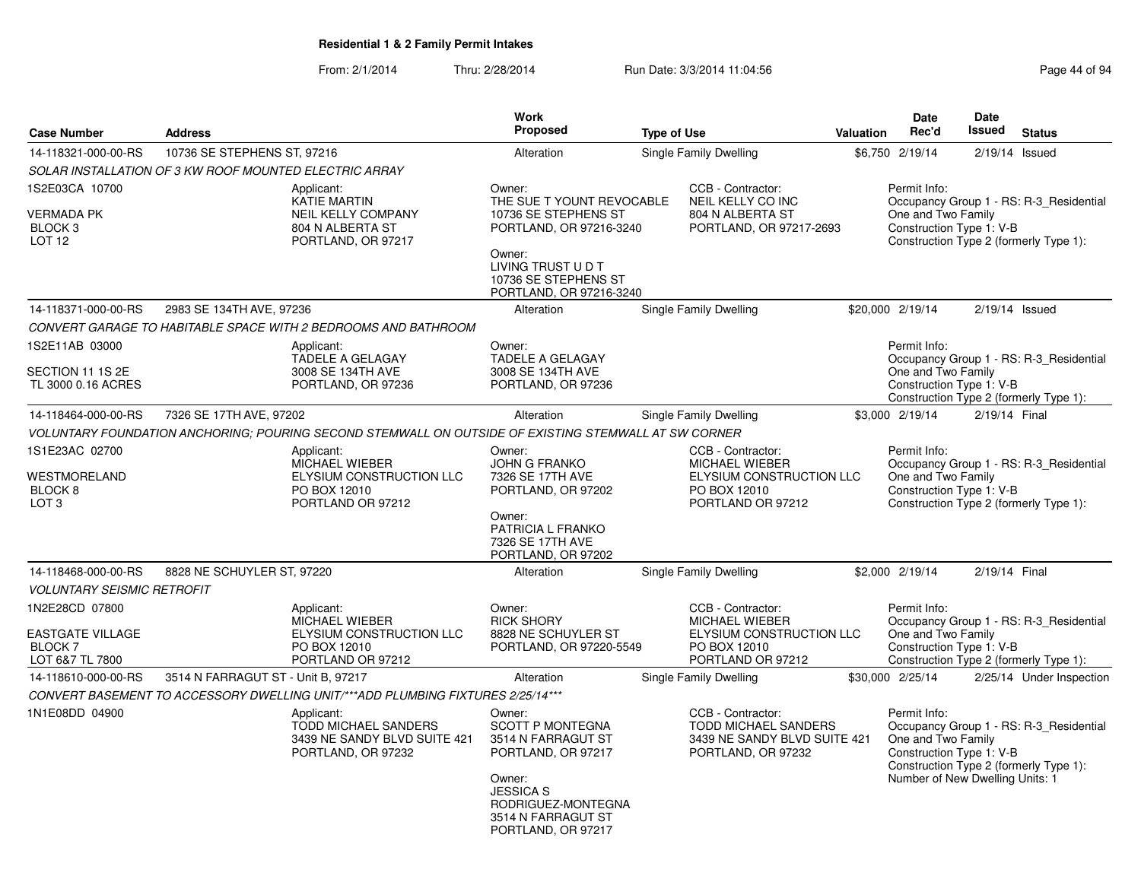|                                                                                    |                                                        |                                                                                                      | Work                                                                                                                              |                    |                                                                                                             |           | Date                                                                                              | Date             |                                                                                   |
|------------------------------------------------------------------------------------|--------------------------------------------------------|------------------------------------------------------------------------------------------------------|-----------------------------------------------------------------------------------------------------------------------------------|--------------------|-------------------------------------------------------------------------------------------------------------|-----------|---------------------------------------------------------------------------------------------------|------------------|-----------------------------------------------------------------------------------|
| <b>Case Number</b>                                                                 | <b>Address</b>                                         |                                                                                                      | <b>Proposed</b>                                                                                                                   | <b>Type of Use</b> |                                                                                                             | Valuation | Rec'd                                                                                             | Issued           | <b>Status</b>                                                                     |
| 14-118321-000-00-RS                                                                | 10736 SE STEPHENS ST, 97216                            |                                                                                                      | Alteration                                                                                                                        |                    | Single Family Dwelling                                                                                      |           | \$6,750 2/19/14                                                                                   | $2/19/14$ Issued |                                                                                   |
|                                                                                    | SOLAR INSTALLATION OF 3 KW ROOF MOUNTED ELECTRIC ARRAY |                                                                                                      |                                                                                                                                   |                    |                                                                                                             |           |                                                                                                   |                  |                                                                                   |
| 1S2E03CA 10700<br><b>VERMADA PK</b><br>BLOCK <sub>3</sub><br>LOT <sub>12</sub>     |                                                        | Applicant:<br><b>KATIE MARTIN</b><br>NEIL KELLY COMPANY<br>804 N ALBERTA ST<br>PORTLAND, OR 97217    | Owner:<br>THE SUE T YOUNT REVOCABLE<br>10736 SE STEPHENS ST<br>PORTLAND, OR 97216-3240<br>Owner:<br>LIVING TRUST U D T            |                    | CCB - Contractor:<br>NEIL KELLY CO INC<br>804 N ALBERTA ST<br>PORTLAND, OR 97217-2693                       |           | Permit Info:<br>One and Two Family<br>Construction Type 1: V-B                                    |                  | Occupancy Group 1 - RS: R-3 Residential<br>Construction Type 2 (formerly Type 1): |
|                                                                                    |                                                        |                                                                                                      | 10736 SE STEPHENS ST<br>PORTLAND, OR 97216-3240                                                                                   |                    |                                                                                                             |           |                                                                                                   |                  |                                                                                   |
| 14-118371-000-00-RS                                                                | 2983 SE 134TH AVE, 97236                               |                                                                                                      | Alteration                                                                                                                        |                    | <b>Single Family Dwelling</b>                                                                               |           | \$20,000 2/19/14                                                                                  | $2/19/14$ Issued |                                                                                   |
|                                                                                    |                                                        | CONVERT GARAGE TO HABITABLE SPACE WITH 2 BEDROOMS AND BATHROOM                                       |                                                                                                                                   |                    |                                                                                                             |           |                                                                                                   |                  |                                                                                   |
| 1S2E11AB 03000<br>SECTION 11 1S 2E<br>TL 3000 0.16 ACRES                           |                                                        | Applicant:<br><b>TADELE A GELAGAY</b><br>3008 SE 134TH AVE<br>PORTLAND, OR 97236                     | Owner:<br>TADELE A GELAGAY<br>3008 SE 134TH AVE<br>PORTLAND, OR 97236                                                             |                    |                                                                                                             |           | Permit Info:<br>One and Two Family<br>Construction Type 1: V-B                                    |                  | Occupancy Group 1 - RS: R-3 Residential                                           |
|                                                                                    |                                                        |                                                                                                      |                                                                                                                                   |                    |                                                                                                             |           |                                                                                                   |                  | Construction Type 2 (formerly Type 1):                                            |
| 14-118464-000-00-RS                                                                | 7326 SE 17TH AVE, 97202                                |                                                                                                      | Alteration                                                                                                                        |                    | <b>Single Family Dwelling</b>                                                                               |           | \$3.000 2/19/14                                                                                   | 2/19/14 Final    |                                                                                   |
|                                                                                    |                                                        | VOLUNTARY FOUNDATION ANCHORING; POURING SECOND STEMWALL ON OUTSIDE OF EXISTING STEMWALL AT SW CORNER |                                                                                                                                   |                    |                                                                                                             |           |                                                                                                   |                  |                                                                                   |
| 1S1E23AC 02700<br>WESTMORELAND<br>BLOCK <sub>8</sub><br>LOT <sub>3</sub>           |                                                        | Applicant:<br>MICHAEL WIEBER<br>ELYSIUM CONSTRUCTION LLC<br>PO BOX 12010<br>PORTLAND OR 97212        | Owner:<br><b>JOHN G FRANKO</b><br>7326 SE 17TH AVE<br>PORTLAND, OR 97202                                                          |                    | CCB - Contractor:<br><b>MICHAEL WIEBER</b><br>ELYSIUM CONSTRUCTION LLC<br>PO BOX 12010<br>PORTLAND OR 97212 |           | Permit Info:<br>One and Two Family<br>Construction Type 1: V-B                                    |                  | Occupancy Group 1 - RS: R-3_Residential<br>Construction Type 2 (formerly Type 1): |
|                                                                                    |                                                        |                                                                                                      | Owner:<br>PATRICIA L FRANKO<br>7326 SE 17TH AVE<br>PORTLAND, OR 97202                                                             |                    |                                                                                                             |           |                                                                                                   |                  |                                                                                   |
| 14-118468-000-00-RS                                                                | 8828 NE SCHUYLER ST, 97220                             |                                                                                                      | Alteration                                                                                                                        |                    | Single Family Dwelling                                                                                      |           | \$2,000 2/19/14                                                                                   | 2/19/14 Final    |                                                                                   |
| <b>VOLUNTARY SEISMIC RETROFIT</b>                                                  |                                                        |                                                                                                      |                                                                                                                                   |                    |                                                                                                             |           |                                                                                                   |                  |                                                                                   |
| 1N2E28CD 07800<br><b>EASTGATE VILLAGE</b><br>BLOCK <sub>7</sub><br>LOT 6&7 TL 7800 |                                                        | Applicant:<br>MICHAEL WIEBER<br><b>ELYSIUM CONSTRUCTION LLC</b><br>PO BOX 12010<br>PORTLAND OR 97212 | Owner:<br><b>RICK SHORY</b><br>8828 NE SCHUYLER ST<br>PORTLAND, OR 97220-5549                                                     |                    | CCB - Contractor:<br>MICHAEL WIEBER<br>ELYSIUM CONSTRUCTION LLC<br>PO BOX 12010<br>PORTLAND OR 97212        |           | Permit Info:<br>One and Two Family<br>Construction Type 1: V-B                                    |                  | Occupancy Group 1 - RS: R-3 Residential<br>Construction Type 2 (formerly Type 1): |
| 14-118610-000-00-RS                                                                | 3514 N FARRAGUT ST - Unit B, 97217                     |                                                                                                      | Alteration                                                                                                                        |                    | <b>Single Family Dwelling</b>                                                                               |           | \$30,000 2/25/14                                                                                  |                  | 2/25/14 Under Inspection                                                          |
|                                                                                    |                                                        | CONVERT BASEMENT TO ACCESSORY DWELLING UNIT/***ADD PLUMBING FIXTURES 2/25/14***                      |                                                                                                                                   |                    |                                                                                                             |           |                                                                                                   |                  |                                                                                   |
| 1N1E08DD 04900                                                                     |                                                        | Applicant:<br><b>TODD MICHAEL SANDERS</b><br>3439 NE SANDY BLVD SUITE 421<br>PORTLAND, OR 97232      | Owner:<br><b>SCOTT P MONTEGNA</b><br>3514 N FARRAGUT ST<br>PORTLAND, OR 97217<br>Owner:<br><b>JESSICA S</b><br>RODRIGUEZ-MONTEGNA |                    | CCB - Contractor:<br>TODD MICHAEL SANDERS<br>3439 NE SANDY BLVD SUITE 421<br>PORTLAND, OR 97232             |           | Permit Info:<br>One and Two Family<br>Construction Type 1: V-B<br>Number of New Dwelling Units: 1 |                  | Occupancy Group 1 - RS: R-3_Residential<br>Construction Type 2 (formerly Type 1): |
|                                                                                    |                                                        |                                                                                                      | 3514 N FARRAGUT ST<br>PORTLAND, OR 97217                                                                                          |                    |                                                                                                             |           |                                                                                                   |                  |                                                                                   |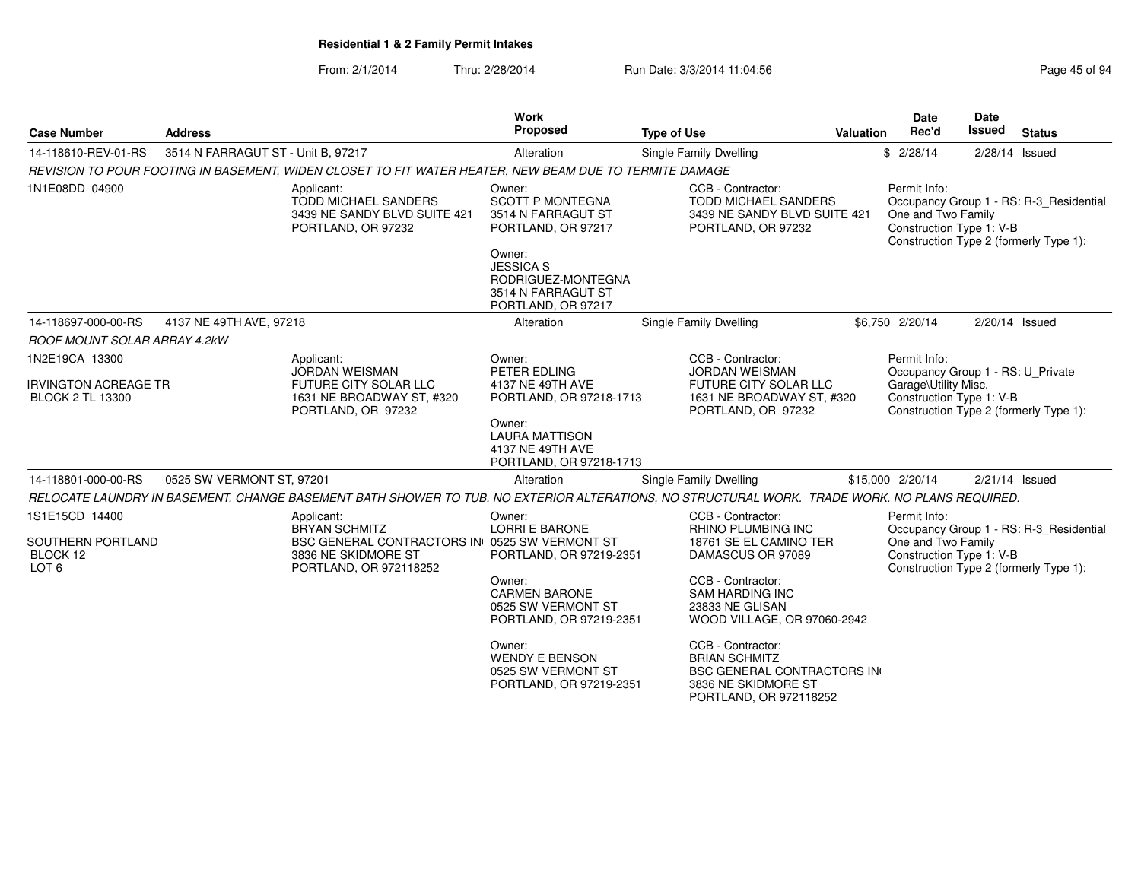| <b>Case Number</b>                                                       | <b>Address</b>                     |                                                                                                                                               | <b>Work</b><br>Proposed                                                                                                                                                                                                           | <b>Type of Use</b>                                                                                                                                                                                                                                                                                                  | Valuation | <b>Date</b><br>Rec'd                                                                                  | <b>Date</b><br><b>Issued</b> | <b>Status</b>                                                                     |
|--------------------------------------------------------------------------|------------------------------------|-----------------------------------------------------------------------------------------------------------------------------------------------|-----------------------------------------------------------------------------------------------------------------------------------------------------------------------------------------------------------------------------------|---------------------------------------------------------------------------------------------------------------------------------------------------------------------------------------------------------------------------------------------------------------------------------------------------------------------|-----------|-------------------------------------------------------------------------------------------------------|------------------------------|-----------------------------------------------------------------------------------|
| 14-118610-REV-01-RS                                                      | 3514 N FARRAGUT ST - Unit B. 97217 |                                                                                                                                               | Alteration                                                                                                                                                                                                                        | Single Family Dwelling                                                                                                                                                                                                                                                                                              |           | \$2/28/14                                                                                             |                              | 2/28/14 Issued                                                                    |
|                                                                          |                                    | REVISION TO POUR FOOTING IN BASEMENT, WIDEN CLOSET TO FIT WATER HEATER, NEW BEAM DUE TO TERMITE DAMAGE                                        |                                                                                                                                                                                                                                   |                                                                                                                                                                                                                                                                                                                     |           |                                                                                                       |                              |                                                                                   |
| 1N1E08DD 04900                                                           |                                    | Applicant:<br>TODD MICHAEL SANDERS<br>3439 NE SANDY BLVD SUITE 421<br>PORTLAND, OR 97232                                                      | Owner:<br><b>SCOTT P MONTEGNA</b><br>3514 N FARRAGUT ST<br>PORTLAND, OR 97217<br>Owner:<br><b>JESSICA S</b><br>RODRIGUEZ-MONTEGNA<br>3514 N FARRAGUT ST                                                                           | CCB - Contractor:<br><b>TODD MICHAEL SANDERS</b><br>3439 NE SANDY BLVD SUITE 421<br>PORTLAND, OR 97232                                                                                                                                                                                                              |           | Permit Info:<br>One and Two Family<br>Construction Type 1: V-B                                        |                              | Occupancy Group 1 - RS: R-3_Residential<br>Construction Type 2 (formerly Type 1): |
|                                                                          |                                    |                                                                                                                                               | PORTLAND, OR 97217                                                                                                                                                                                                                |                                                                                                                                                                                                                                                                                                                     |           |                                                                                                       |                              |                                                                                   |
| 14-118697-000-00-RS                                                      | 4137 NE 49TH AVE, 97218            |                                                                                                                                               | Alteration                                                                                                                                                                                                                        | Single Family Dwelling                                                                                                                                                                                                                                                                                              |           | \$6,750 2/20/14                                                                                       |                              | 2/20/14 Issued                                                                    |
| <b>ROOF MOUNT SOLAR ARRAY 4.2kW</b>                                      |                                    |                                                                                                                                               |                                                                                                                                                                                                                                   |                                                                                                                                                                                                                                                                                                                     |           |                                                                                                       |                              |                                                                                   |
| 1N2E19CA 13300<br><b>IRVINGTON ACREAGE TR</b><br><b>BLOCK 2 TL 13300</b> |                                    | Applicant:<br>JORDAN WEISMAN<br><b>FUTURE CITY SOLAR LLC</b><br>1631 NE BROADWAY ST, #320<br>PORTLAND, OR 97232                               | Owner:<br>PETER EDLING<br>4137 NE 49TH AVE<br>PORTLAND, OR 97218-1713<br>Owner:<br><b>LAURA MATTISON</b><br>4137 NE 49TH AVE                                                                                                      | CCB - Contractor:<br><b>JORDAN WEISMAN</b><br><b>FUTURE CITY SOLAR LLC</b><br>1631 NE BROADWAY ST, #320<br>PORTLAND, OR 97232                                                                                                                                                                                       |           | Permit Info:<br>Occupancy Group 1 - RS: U_Private<br>Garage\Utility Misc.<br>Construction Type 1: V-B |                              | Construction Type 2 (formerly Type 1):                                            |
| 14-118801-000-00-RS                                                      | 0525 SW VERMONT ST, 97201          |                                                                                                                                               | PORTLAND, OR 97218-1713<br>Alteration                                                                                                                                                                                             | Single Family Dwelling                                                                                                                                                                                                                                                                                              |           | \$15,000 2/20/14                                                                                      |                              | $2/21/14$ Issued                                                                  |
|                                                                          |                                    | RELOCATE LAUNDRY IN BASEMENT. CHANGE BASEMENT BATH SHOWER TO TUB. NO EXTERIOR ALTERATIONS, NO STRUCTURAL WORK. TRADE WORK. NO PLANS REQUIRED. |                                                                                                                                                                                                                                   |                                                                                                                                                                                                                                                                                                                     |           |                                                                                                       |                              |                                                                                   |
| 1S1E15CD 14400<br>SOUTHERN PORTLAND<br>BLOCK 12<br>LOT <sub>6</sub>      |                                    | Applicant:<br><b>BRYAN SCHMITZ</b><br><b>BSC GENERAL CONTRACTORS IN 0525 SW VERMONT ST</b><br>3836 NE SKIDMORE ST<br>PORTLAND, OR 972118252   | Owner:<br><b>LORRI E BARONE</b><br>PORTLAND, OR 97219-2351<br>Owner:<br><b>CARMEN BARONE</b><br>0525 SW VERMONT ST<br>PORTLAND, OR 97219-2351<br>Owner:<br><b>WENDY E BENSON</b><br>0525 SW VERMONT ST<br>PORTLAND, OR 97219-2351 | CCB - Contractor:<br>RHINO PLUMBING INC<br>18761 SE EL CAMINO TER<br>DAMASCUS OR 97089<br>CCB - Contractor:<br>SAM HARDING INC<br>23833 NE GLISAN<br>WOOD VILLAGE, OR 97060-2942<br>CCB - Contractor:<br><b>BRIAN SCHMITZ</b><br><b>BSC GENERAL CONTRACTORS IN</b><br>3836 NE SKIDMORE ST<br>PORTLAND, OR 972118252 |           | Permit Info:<br>One and Two Family<br>Construction Type 1: V-B                                        |                              | Occupancy Group 1 - RS: R-3_Residential<br>Construction Type 2 (formerly Type 1): |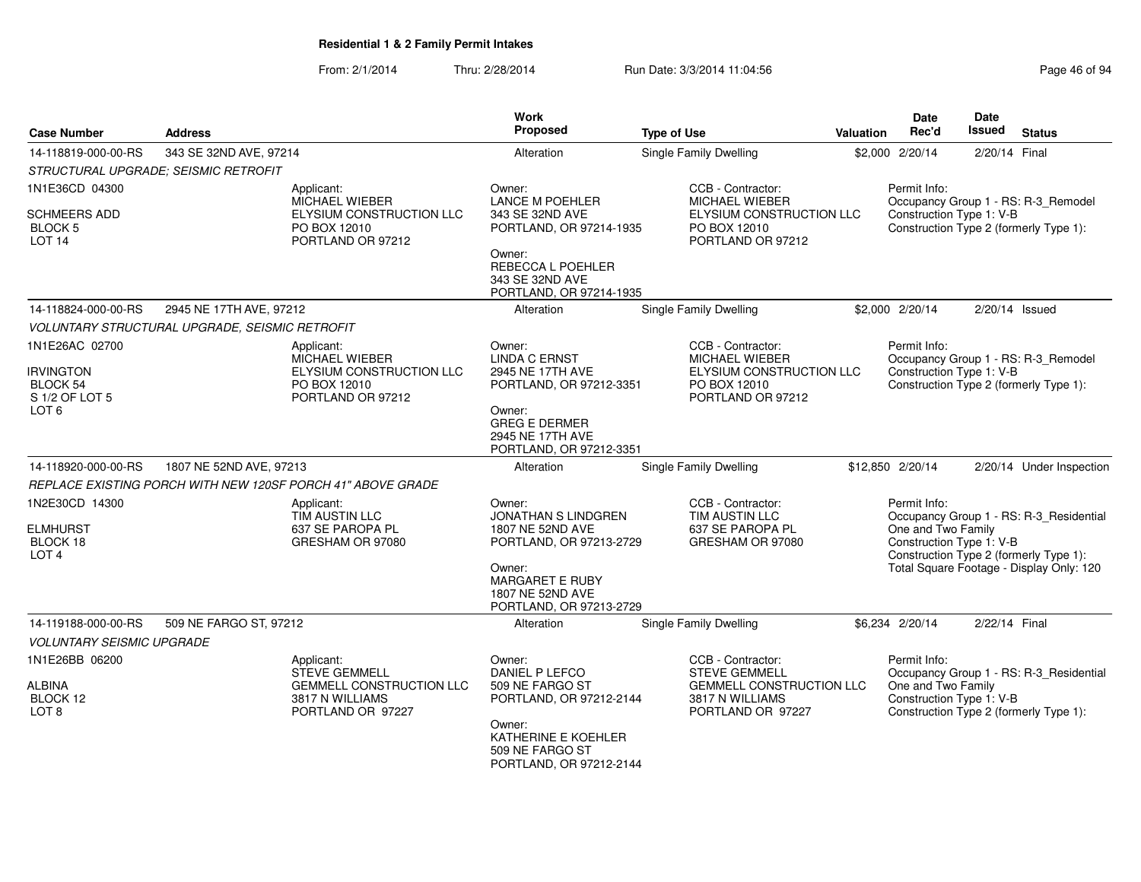| <b>Case Number</b>                                              | <b>Address</b>                                                                                                | <b>Work</b><br>Proposed                                                         | <b>Type of Use</b>                                                                                                   | <b>Valuation</b> | <b>Date</b><br>Rec'd                                           | <b>Date</b><br><b>Issued</b> | <b>Status</b>                                                                     |
|-----------------------------------------------------------------|---------------------------------------------------------------------------------------------------------------|---------------------------------------------------------------------------------|----------------------------------------------------------------------------------------------------------------------|------------------|----------------------------------------------------------------|------------------------------|-----------------------------------------------------------------------------------|
| 14-118819-000-00-RS                                             | 343 SE 32ND AVE, 97214                                                                                        | Alteration                                                                      | Single Family Dwelling                                                                                               |                  | \$2,000 2/20/14                                                | 2/20/14 Final                |                                                                                   |
|                                                                 | STRUCTURAL UPGRADE; SEISMIC RETROFIT                                                                          |                                                                                 |                                                                                                                      |                  |                                                                |                              |                                                                                   |
| 1N1E36CD 04300                                                  | Applicant:<br><b>MICHAEL WIEBER</b>                                                                           | Owner:<br><b>LANCE M POEHLER</b>                                                | CCB - Contractor:<br><b>MICHAEL WIEBER</b>                                                                           |                  | Permit Info:                                                   |                              | Occupancy Group 1 - RS: R-3_Remodel                                               |
| <b>SCHMEERS ADD</b><br><b>BLOCK 5</b><br>LOT <sub>14</sub>      | ELYSIUM CONSTRUCTION LLC<br>PO BOX 12010<br>PORTLAND OR 97212                                                 | 343 SE 32ND AVE<br>PORTLAND, OR 97214-1935                                      | ELYSIUM CONSTRUCTION LLC<br>PO BOX 12010<br>PORTLAND OR 97212                                                        |                  | Construction Type 1: V-B                                       |                              | Construction Type 2 (formerly Type 1):                                            |
|                                                                 |                                                                                                               | Owner:<br>REBECCA L POEHLER<br>343 SE 32ND AVE<br>PORTLAND, OR 97214-1935       |                                                                                                                      |                  |                                                                |                              |                                                                                   |
| 14-118824-000-00-RS                                             | 2945 NE 17TH AVE, 97212                                                                                       | Alteration                                                                      | Single Family Dwelling                                                                                               |                  | \$2,000 2/20/14                                                |                              | 2/20/14 Issued                                                                    |
|                                                                 | VOLUNTARY STRUCTURAL UPGRADE, SEISMIC RETROFIT                                                                |                                                                                 |                                                                                                                      |                  |                                                                |                              |                                                                                   |
| 1N1E26AC 02700                                                  | Applicant:<br><b>MICHAEL WIEBER</b>                                                                           | Owner:<br><b>LINDA C ERNST</b>                                                  | CCB - Contractor:<br><b>MICHAEL WIEBER</b>                                                                           |                  | Permit Info:                                                   |                              | Occupancy Group 1 - RS: R-3_Remodel                                               |
| <b>IRVINGTON</b><br>BLOCK 54<br>S 1/2 OF LOT 5                  | ELYSIUM CONSTRUCTION LLC<br>PO BOX 12010<br>PORTLAND OR 97212                                                 | 2945 NE 17TH AVE<br>PORTLAND, OR 97212-3351                                     | ELYSIUM CONSTRUCTION LLC<br>PO BOX 12010<br>PORTLAND OR 97212                                                        |                  | Construction Type 1: V-B                                       |                              | Construction Type 2 (formerly Type 1):                                            |
| LOT <sub>6</sub>                                                |                                                                                                               | Owner:<br><b>GREG E DERMER</b><br>2945 NE 17TH AVE<br>PORTLAND, OR 97212-3351   |                                                                                                                      |                  |                                                                |                              |                                                                                   |
| 14-118920-000-00-RS                                             | 1807 NE 52ND AVE, 97213                                                                                       | Alteration                                                                      | Single Family Dwelling                                                                                               |                  | \$12,850 2/20/14                                               |                              | 2/20/14 Under Inspection                                                          |
|                                                                 | REPLACE EXISTING PORCH WITH NEW 120SF PORCH 41" ABOVE GRADE                                                   |                                                                                 |                                                                                                                      |                  |                                                                |                              |                                                                                   |
| 1N2E30CD 14300                                                  | Applicant:<br>TIM AUSTIN LLC                                                                                  | Owner:<br>JONATHAN S LINDGREN                                                   | CCB - Contractor:<br>TIM AUSTIN LLC                                                                                  |                  | Permit Info:                                                   |                              | Occupancy Group 1 - RS: R-3_Residential                                           |
| <b>ELMHURST</b><br>BLOCK 18<br>LOT <sub>4</sub>                 | 637 SE PAROPA PL<br>GRESHAM OR 97080                                                                          | 1807 NE 52ND AVE<br>PORTLAND, OR 97213-2729                                     | 637 SE PAROPA PL<br>GRESHAM OR 97080                                                                                 |                  | One and Two Family<br>Construction Type 1: V-B                 |                              | Construction Type 2 (formerly Type 1):                                            |
|                                                                 |                                                                                                               | Owner:<br><b>MARGARET E RUBY</b><br>1807 NE 52ND AVE<br>PORTLAND, OR 97213-2729 |                                                                                                                      |                  |                                                                |                              | Total Square Footage - Display Only: 120                                          |
| 14-119188-000-00-RS                                             | 509 NE FARGO ST, 97212                                                                                        | Alteration                                                                      | Single Family Dwelling                                                                                               |                  | \$6,234 2/20/14                                                | 2/22/14 Final                |                                                                                   |
| <b>VOLUNTARY SEISMIC UPGRADE</b>                                |                                                                                                               |                                                                                 |                                                                                                                      |                  |                                                                |                              |                                                                                   |
| 1N1E26BB 06200<br><b>ALBINA</b><br>BLOCK 12<br>LOT <sub>8</sub> | Applicant:<br><b>STEVE GEMMELL</b><br><b>GEMMELL CONSTRUCTION LLC</b><br>3817 N WILLIAMS<br>PORTLAND OR 97227 | Owner:<br>DANIEL P LEFCO<br>509 NE FARGO ST<br>PORTLAND, OR 97212-2144          | CCB - Contractor:<br><b>STEVE GEMMELL</b><br><b>GEMMELL CONSTRUCTION LLC</b><br>3817 N WILLIAMS<br>PORTLAND OR 97227 |                  | Permit Info:<br>One and Two Family<br>Construction Type 1: V-B |                              | Occupancy Group 1 - RS: R-3_Residential<br>Construction Type 2 (formerly Type 1): |
|                                                                 |                                                                                                               | Owner:<br>KATHERINE E KOEHLER<br>509 NE FARGO ST<br>PORTLAND, OR 97212-2144     |                                                                                                                      |                  |                                                                |                              |                                                                                   |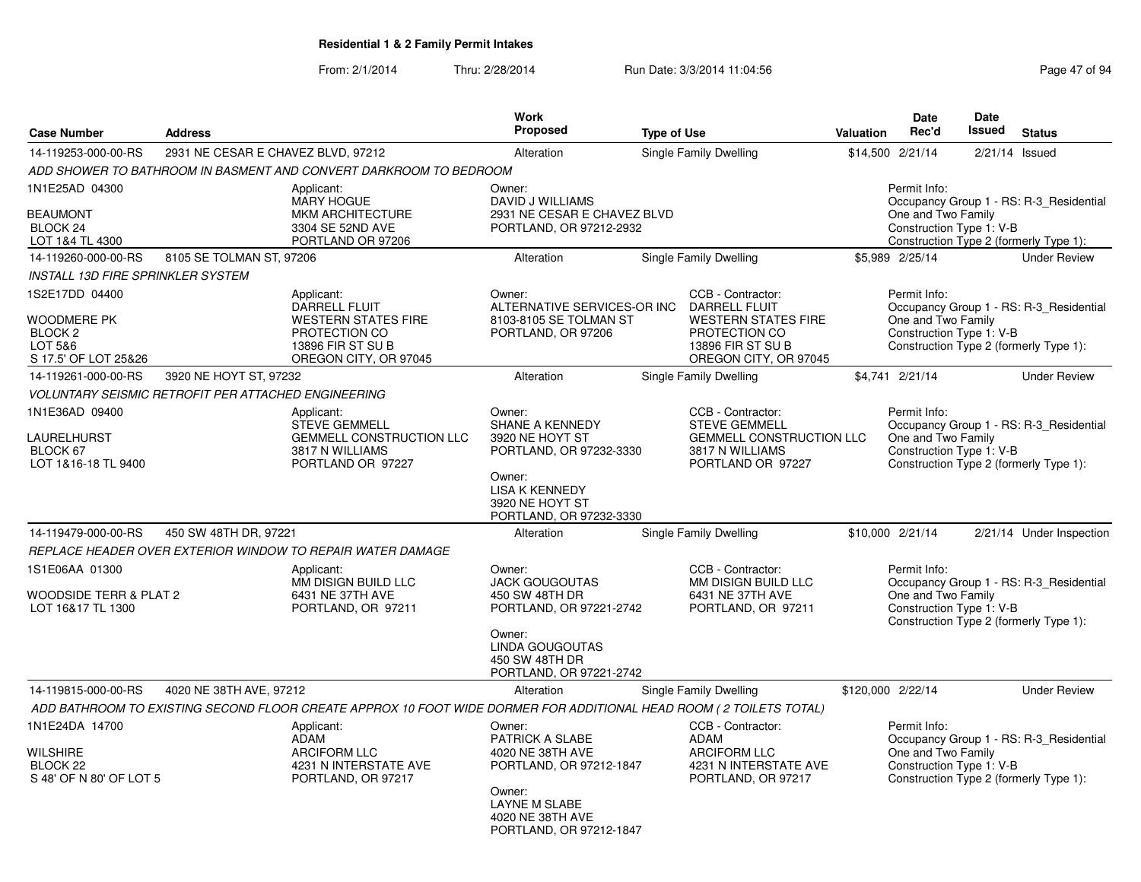| <b>Case Number</b>                                                                     | <b>Address</b>                     |                                                                                                                                                                          | Work<br><b>Proposed</b>                                                                                                                                       | <b>Type of Use</b> |                                                                                                                                        | <b>Valuation</b> | <b>Date</b><br>Rec'd                                           | Date<br>Issued | <b>Status</b>                                                                     |
|----------------------------------------------------------------------------------------|------------------------------------|--------------------------------------------------------------------------------------------------------------------------------------------------------------------------|---------------------------------------------------------------------------------------------------------------------------------------------------------------|--------------------|----------------------------------------------------------------------------------------------------------------------------------------|------------------|----------------------------------------------------------------|----------------|-----------------------------------------------------------------------------------|
| 14-119253-000-00-RS                                                                    |                                    |                                                                                                                                                                          |                                                                                                                                                               |                    |                                                                                                                                        |                  |                                                                |                |                                                                                   |
|                                                                                        | 2931 NE CESAR E CHAVEZ BLVD, 97212 |                                                                                                                                                                          | Alteration                                                                                                                                                    |                    | Single Family Dwelling                                                                                                                 |                  | \$14,500 2/21/14                                               | 2/21/14        | Issued                                                                            |
| 1N1E25AD 04300<br><b>BEAUMONT</b><br>BLOCK <sub>24</sub><br>LOT 1&4 TL 4300            |                                    | ADD SHOWER TO BATHROOM IN BASMENT AND CONVERT DARKROOM TO BEDROOM<br>Applicant:<br><b>MARY HOGUE</b><br><b>MKM ARCHITECTURE</b><br>3304 SE 52ND AVE<br>PORTLAND OR 97206 | Owner:<br>DAVID J WILLIAMS<br>2931 NE CESAR E CHAVEZ BLVD<br>PORTLAND, OR 97212-2932                                                                          |                    |                                                                                                                                        |                  | Permit Info:<br>One and Two Family<br>Construction Type 1: V-B |                | Occupancy Group 1 - RS: R-3 Residential<br>Construction Type 2 (formerly Type 1): |
| 14-119260-000-00-RS                                                                    | 8105 SE TOLMAN ST, 97206           |                                                                                                                                                                          | Alteration                                                                                                                                                    |                    | Single Family Dwelling                                                                                                                 |                  | \$5,989 2/25/14                                                |                | <b>Under Review</b>                                                               |
| <b>INSTALL 13D FIRE SPRINKLER SYSTEM</b>                                               |                                    |                                                                                                                                                                          |                                                                                                                                                               |                    |                                                                                                                                        |                  |                                                                |                |                                                                                   |
| 1S2E17DD 04400<br>WOODMERE PK<br>BLOCK <sub>2</sub><br>LOT 5&6<br>S 17.5' OF LOT 25&26 |                                    | Applicant:<br><b>DARRELL FLUIT</b><br><b>WESTERN STATES FIRE</b><br>PROTECTION CO<br>13896 FIR ST SU B<br>OREGON CITY, OR 97045                                          | Owner:<br>ALTERNATIVE SERVICES-OR INC<br>8103-8105 SE TOLMAN ST<br>PORTLAND, OR 97206                                                                         |                    | CCB - Contractor:<br><b>DARRELL FLUIT</b><br><b>WESTERN STATES FIRE</b><br>PROTECTION CO<br>13896 FIR ST SU B<br>OREGON CITY, OR 97045 |                  | Permit Info:<br>One and Two Family<br>Construction Type 1: V-B |                | Occupancy Group 1 - RS: R-3 Residential<br>Construction Type 2 (formerly Type 1): |
| 14-119261-000-00-RS                                                                    | 3920 NE HOYT ST, 97232             |                                                                                                                                                                          | Alteration                                                                                                                                                    |                    | Single Family Dwelling                                                                                                                 |                  | \$4.741 2/21/14                                                |                | <b>Under Review</b>                                                               |
| <b>VOLUNTARY SEISMIC RETROFIT PER ATTACHED ENGINEERING</b>                             |                                    |                                                                                                                                                                          |                                                                                                                                                               |                    |                                                                                                                                        |                  |                                                                |                |                                                                                   |
| 1N1E36AD 09400<br>LAURELHURST<br>BLOCK 67<br>LOT 1&16-18 TL 9400                       |                                    | Applicant:<br><b>STEVE GEMMELL</b><br><b>GEMMELL CONSTRUCTION LLC</b><br>3817 N WILLIAMS<br>PORTLAND OR 97227                                                            | Owner:<br>SHANE A KENNEDY<br>3920 NE HOYT ST<br>PORTLAND, OR 97232-3330<br>Owner:<br><b>LISA K KENNEDY</b><br>3920 NE HOYT ST<br>PORTLAND, OR 97232-3330      |                    | CCB - Contractor:<br><b>STEVE GEMMELL</b><br><b>GEMMELL CONSTRUCTION LLC</b><br>3817 N WILLIAMS<br>PORTLAND OR 97227                   |                  | Permit Info:<br>One and Two Family<br>Construction Type 1: V-B |                | Occupancy Group 1 - RS: R-3 Residential<br>Construction Type 2 (formerly Type 1): |
| 14-119479-000-00-RS                                                                    | 450 SW 48TH DR, 97221              |                                                                                                                                                                          | Alteration                                                                                                                                                    |                    | Single Family Dwelling                                                                                                                 |                  | \$10,000 2/21/14                                               |                | 2/21/14 Under Inspection                                                          |
|                                                                                        |                                    | REPLACE HEADER OVER EXTERIOR WINDOW TO REPAIR WATER DAMAGE                                                                                                               |                                                                                                                                                               |                    |                                                                                                                                        |                  |                                                                |                |                                                                                   |
| 1S1E06AA 01300<br>WOODSIDE TERR & PLAT 2<br>LOT 16&17 TL 1300                          |                                    | Applicant:<br>MM DISIGN BUILD LLC<br>6431 NE 37TH AVE<br>PORTLAND, OR 97211                                                                                              | Owner:<br><b>JACK GOUGOUTAS</b><br>450 SW 48TH DR<br>PORTLAND, OR 97221-2742<br>Owner:<br><b>LINDA GOUGOUTAS</b><br>450 SW 48TH DR<br>PORTLAND, OR 97221-2742 |                    | CCB - Contractor:<br>MM DISIGN BUILD LLC<br>6431 NE 37TH AVE<br>PORTLAND, OR 97211                                                     |                  | Permit Info:<br>One and Two Family<br>Construction Type 1: V-B |                | Occupancy Group 1 - RS: R-3_Residential<br>Construction Type 2 (formerly Type 1): |
| 14-119815-000-00-RS                                                                    | 4020 NE 38TH AVE, 97212            |                                                                                                                                                                          | Alteration                                                                                                                                                    |                    | Single Family Dwelling                                                                                                                 |                  | \$120,000 2/22/14                                              |                | <b>Under Review</b>                                                               |
|                                                                                        |                                    | ADD BATHROOM TO EXISTING SECOND FLOOR CREATE APPROX 10 FOOT WIDE DORMER FOR ADDITIONAL HEAD ROOM (2 TOILETS TOTAL)                                                       |                                                                                                                                                               |                    |                                                                                                                                        |                  |                                                                |                |                                                                                   |
| 1N1E24DA 14700<br>WILSHIRE<br>BLOCK <sub>22</sub><br>S 48' OF N 80' OF LOT 5           |                                    | Applicant:<br><b>ADAM</b><br><b>ARCIFORM LLC</b><br>4231 N INTERSTATE AVE<br>PORTLAND, OR 97217                                                                          | Owner:<br>PATRICK A SLABE<br>4020 NE 38TH AVE<br>PORTLAND, OR 97212-1847<br>Owner:<br><b>LAYNE M SLABE</b><br>4020 NE 38TH AVE<br>PORTLAND, OR 97212-1847     |                    | CCB - Contractor:<br><b>ADAM</b><br><b>ARCIFORM LLC</b><br>4231 N INTERSTATE AVE<br>PORTLAND, OR 97217                                 |                  | Permit Info:<br>One and Two Family<br>Construction Type 1: V-B |                | Occupancy Group 1 - RS: R-3_Residential<br>Construction Type 2 (formerly Type 1): |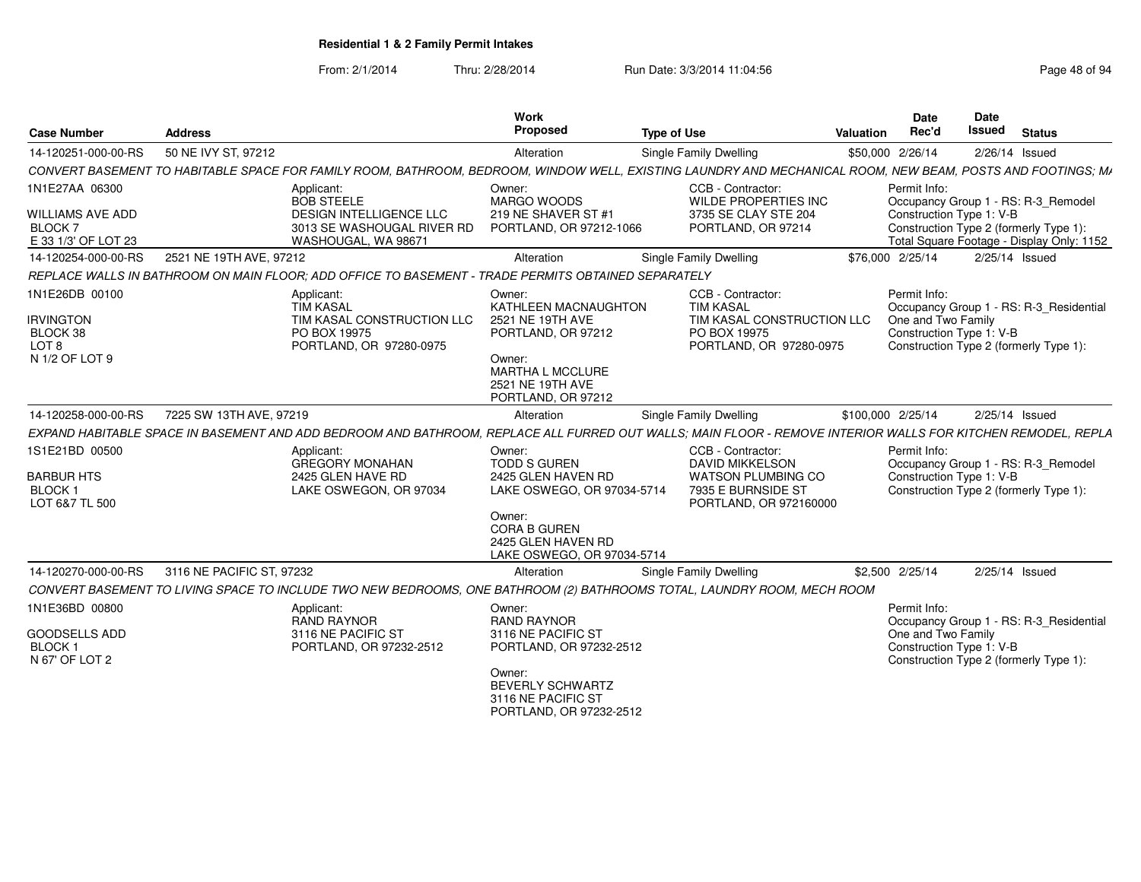| <b>Case Number</b>                                                              | <b>Address</b>            |                                                                                                                                                              | <b>Work</b><br>Proposed                                                                                                                                                | <b>Type of Use</b>                                                                                                | Valuation | Date<br>Rec'd                                                                                            | <b>Date</b><br><b>Issued</b> | <b>Status</b>                                                                    |
|---------------------------------------------------------------------------------|---------------------------|--------------------------------------------------------------------------------------------------------------------------------------------------------------|------------------------------------------------------------------------------------------------------------------------------------------------------------------------|-------------------------------------------------------------------------------------------------------------------|-----------|----------------------------------------------------------------------------------------------------------|------------------------------|----------------------------------------------------------------------------------|
| 14-120251-000-00-RS                                                             | 50 NE IVY ST, 97212       |                                                                                                                                                              | Alteration                                                                                                                                                             | <b>Single Family Dwelling</b>                                                                                     |           | \$50,000 2/26/14                                                                                         | $2/26/14$ Issued             |                                                                                  |
|                                                                                 |                           | CONVERT BASEMENT TO HABITABLE SPACE FOR FAMILY ROOM. BATHROOM. BEDROOM. WINDOW WELL. EXISTING LAUNDRY AND MECHANICAL ROOM. NEW BEAM. POSTS AND FOOTINGS: MA  |                                                                                                                                                                        |                                                                                                                   |           |                                                                                                          |                              |                                                                                  |
| 1N1E27AA 06300<br>WILLIAMS AVE ADD<br>BLOCK <sub>7</sub><br>E 33 1/3' OF LOT 23 |                           | Applicant:<br><b>BOB STEELE</b><br>DESIGN INTELLIGENCE LLC<br>3013 SE WASHOUGAL RIVER RD<br>WASHOUGAL, WA 98671                                              | Owner:<br>MARGO WOODS<br>219 NE SHAVER ST #1<br>PORTLAND, OR 97212-1066                                                                                                | CCB - Contractor:<br>WILDE PROPERTIES INC<br>3735 SE CLAY STE 204<br>PORTLAND, OR 97214                           |           | Permit Info:<br>Construction Type 1: V-B<br>Construction Type 2 (formerly Type 1):                       |                              | Occupancy Group 1 - RS: R-3_Remodel<br>Total Square Footage - Display Only: 1152 |
| 14-120254-000-00-RS                                                             | 2521 NE 19TH AVE, 97212   |                                                                                                                                                              | Alteration                                                                                                                                                             | Single Family Dwelling                                                                                            |           | \$76,000 2/25/14                                                                                         | 2/25/14 Issued               |                                                                                  |
|                                                                                 |                           | REPLACE WALLS IN BATHROOM ON MAIN FLOOR: ADD OFFICE TO BASEMENT - TRADE PERMITS OBTAINED SEPARATELY                                                          |                                                                                                                                                                        |                                                                                                                   |           |                                                                                                          |                              |                                                                                  |
| 1N1E26DB 00100<br><b>IRVINGTON</b><br>BLOCK 38<br>LOT 8<br>N 1/2 OF LOT 9       |                           | Applicant:<br><b>TIM KASAL</b><br>TIM KASAL CONSTRUCTION LLC<br>PO BOX 19975<br>PORTLAND, OR 97280-0975                                                      | Owner:<br>KATHLEEN MACNAUGHTON<br>2521 NE 19TH AVE<br>PORTLAND, OR 97212<br>Owner:<br><b>MARTHA L MCCLURE</b><br>2521 NE 19TH AVE<br>PORTLAND, OR 97212                | CCB - Contractor:<br><b>TIM KASAL</b><br>TIM KASAL CONSTRUCTION LLC<br>PO BOX 19975<br>PORTLAND, OR 97280-0975    |           | Permit Info:<br>One and Two Family<br>Construction Type 1: V-B<br>Construction Type 2 (formerly Type 1): |                              | Occupancy Group 1 - RS: R-3 Residential                                          |
| 14-120258-000-00-RS                                                             | 7225 SW 13TH AVE, 97219   |                                                                                                                                                              | Alteration                                                                                                                                                             | Single Family Dwelling                                                                                            |           | \$100,000 2/25/14                                                                                        | $2/25/14$ Issued             |                                                                                  |
|                                                                                 |                           | EXPAND HABITABLE SPACE IN BASEMENT AND ADD BEDROOM AND BATHROOM, REPLACE ALL FURRED OUT WALLS; MAIN FLOOR - REMOVE INTERIOR WALLS FOR KITCHEN REMODEL, REPLA |                                                                                                                                                                        |                                                                                                                   |           |                                                                                                          |                              |                                                                                  |
| 1S1E21BD 00500<br><b>BARBUR HTS</b><br><b>BLOCK1</b><br>LOT 6&7 TL 500          |                           | Applicant:<br><b>GREGORY MONAHAN</b><br>2425 GLEN HAVE RD<br>LAKE OSWEGON, OR 97034                                                                          | Owner:<br><b>TODD S GUREN</b><br>2425 GLEN HAVEN RD<br>LAKE OSWEGO, OR 97034-5714<br>Owner:<br><b>CORA B GUREN</b><br>2425 GLEN HAVEN RD<br>LAKE OSWEGO, OR 97034-5714 | CCB - Contractor:<br>DAVID MIKKELSON<br><b>WATSON PLUMBING CO</b><br>7935 E BURNSIDE ST<br>PORTLAND, OR 972160000 |           | Permit Info:<br>Construction Type 1: V-B<br>Construction Type 2 (formerly Type 1):                       |                              | Occupancy Group 1 - RS: R-3_Remodel                                              |
| 14-120270-000-00-RS                                                             | 3116 NE PACIFIC ST, 97232 |                                                                                                                                                              | Alteration                                                                                                                                                             | Single Family Dwelling                                                                                            |           | \$2,500 2/25/14                                                                                          | 2/25/14 Issued               |                                                                                  |
|                                                                                 |                           | CONVERT BASEMENT TO LIVING SPACE TO INCLUDE TWO NEW BEDROOMS, ONE BATHROOM (2) BATHROOMS TOTAL, LAUNDRY ROOM, MECH ROOM                                      |                                                                                                                                                                        |                                                                                                                   |           |                                                                                                          |                              |                                                                                  |
| 1N1E36BD 00800<br>GOODSELLS ADD<br>BLOCK <sub>1</sub><br>N 67' OF LOT 2         |                           | Applicant:<br><b>RAND RAYNOR</b><br>3116 NE PACIFIC ST<br>PORTLAND, OR 97232-2512                                                                            | Owner:<br><b>RAND RAYNOR</b><br>3116 NE PACIFIC ST<br>PORTLAND, OR 97232-2512<br>Owner:<br><b>BEVERLY SCHWARTZ</b><br>3116 NE PACIFIC ST<br>PORTLAND, OR 97232-2512    |                                                                                                                   |           | Permit Info:<br>One and Two Family<br>Construction Type 1: V-B<br>Construction Type 2 (formerly Type 1): |                              | Occupancy Group 1 - RS: R-3 Residential                                          |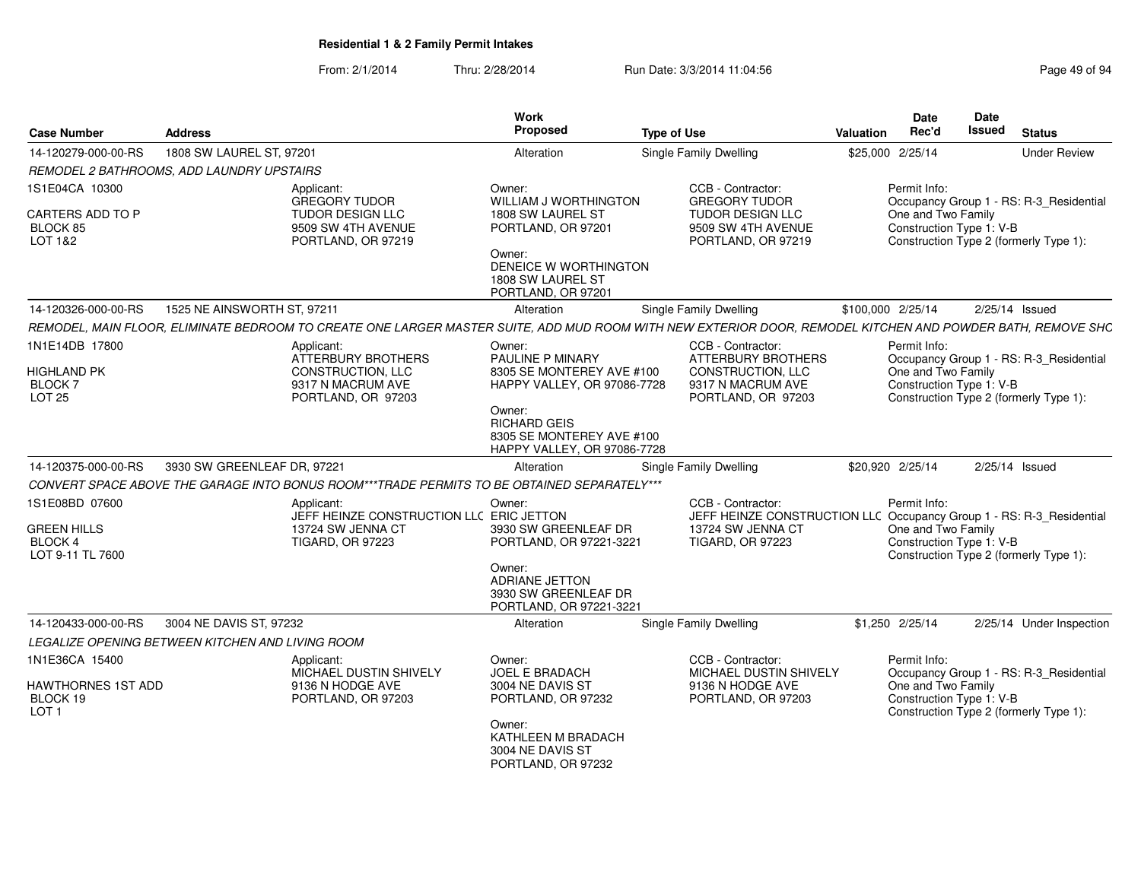| <b>Case Number</b>                                                          | <b>Address</b>                                   |                                                                                                        | Work<br>Proposed                                                                                                                                    | <b>Type of Use</b>                                                                                                                                         | Valuation         | <b>Date</b><br>Rec'd               | Date<br><b>Issued</b>    | <b>Status</b>                                                                     |
|-----------------------------------------------------------------------------|--------------------------------------------------|--------------------------------------------------------------------------------------------------------|-----------------------------------------------------------------------------------------------------------------------------------------------------|------------------------------------------------------------------------------------------------------------------------------------------------------------|-------------------|------------------------------------|--------------------------|-----------------------------------------------------------------------------------|
| 14-120279-000-00-RS                                                         | 1808 SW LAUREL ST, 97201                         |                                                                                                        | Alteration                                                                                                                                          | Single Family Dwelling                                                                                                                                     | \$25,000 2/25/14  |                                    |                          | <b>Under Review</b>                                                               |
|                                                                             | REMODEL 2 BATHROOMS, ADD LAUNDRY UPSTAIRS        |                                                                                                        |                                                                                                                                                     |                                                                                                                                                            |                   |                                    |                          |                                                                                   |
| 1S1E04CA 10300<br>CARTERS ADD TO P<br>BLOCK 85<br>LOT 1&2                   |                                                  | Applicant:<br>GREGORY TUDOR<br><b>TUDOR DESIGN LLC</b><br>9509 SW 4TH AVENUE<br>PORTLAND, OR 97219     | Owner:<br>WILLIAM J WORTHINGTON<br>1808 SW LAUREL ST<br>PORTLAND, OR 97201<br>Owner:                                                                | CCB - Contractor:<br><b>GREGORY TUDOR</b><br><b>TUDOR DESIGN LLC</b><br>9509 SW 4TH AVENUE<br>PORTLAND, OR 97219                                           |                   | Permit Info:<br>One and Two Family | Construction Type 1: V-B | Occupancy Group 1 - RS: R-3_Residential<br>Construction Type 2 (formerly Type 1): |
|                                                                             |                                                  |                                                                                                        | DENEICE W WORTHINGTON<br>1808 SW LAUREL ST<br>PORTLAND, OR 97201                                                                                    |                                                                                                                                                            |                   |                                    |                          |                                                                                   |
| 14-120326-000-00-RS                                                         | 1525 NE AINSWORTH ST. 97211                      |                                                                                                        | Alteration                                                                                                                                          | Single Family Dwelling                                                                                                                                     | \$100.000 2/25/14 |                                    |                          | 2/25/14 Issued                                                                    |
|                                                                             |                                                  |                                                                                                        |                                                                                                                                                     | REMODEL, MAIN FLOOR, ELIMINATE BEDROOM TO CREATE ONE LARGER MASTER SUITE, ADD MUD ROOM WITH NEW EXTERIOR DOOR, REMODEL KITCHEN AND POWDER BATH, REMOVE SHC |                   |                                    |                          |                                                                                   |
| 1N1E14DB 17800<br>HIGHLAND PK<br>BLOCK <sub>7</sub><br><b>LOT 25</b>        |                                                  | Applicant:<br>ATTERBURY BROTHERS<br>CONSTRUCTION, LLC<br>9317 N MACRUM AVE<br>PORTLAND, OR 97203       | Owner:<br><b>PAULINE P MINARY</b><br>8305 SE MONTEREY AVE #100<br>HAPPY VALLEY, OR 97086-7728<br>Owner:                                             | CCB - Contractor:<br><b>ATTERBURY BROTHERS</b><br><b>CONSTRUCTION, LLC</b><br>9317 N MACRUM AVE<br>PORTLAND, OR 97203                                      |                   | Permit Info:<br>One and Two Family | Construction Type 1: V-B | Occupancy Group 1 - RS: R-3_Residential<br>Construction Type 2 (formerly Type 1): |
|                                                                             |                                                  |                                                                                                        | <b>RICHARD GEIS</b><br>8305 SE MONTEREY AVE #100<br>HAPPY VALLEY, OR 97086-7728                                                                     |                                                                                                                                                            |                   |                                    |                          |                                                                                   |
| 14-120375-000-00-RS                                                         | 3930 SW GREENLEAF DR. 97221                      |                                                                                                        | Alteration                                                                                                                                          | Single Family Dwelling                                                                                                                                     | \$20.920 2/25/14  |                                    |                          | 2/25/14 Issued                                                                    |
|                                                                             |                                                  | CONVERT SPACE ABOVE THE GARAGE INTO BONUS ROOM***TRADE PERMITS TO BE OBTAINED SEPARATELY***            |                                                                                                                                                     |                                                                                                                                                            |                   |                                    |                          |                                                                                   |
| 1S1E08BD 07600<br><b>GREEN HILLS</b><br>BLOCK 4<br>LOT 9-11 TL 7600         |                                                  | Applicant:<br>JEFF HEINZE CONSTRUCTION LLC ERIC JETTON<br>13724 SW JENNA CT<br><b>TIGARD, OR 97223</b> | Owner:<br>3930 SW GREENLEAF DR<br>PORTLAND, OR 97221-3221<br>Owner:<br>ADRIANE JETTON<br>3930 SW GREENLEAF DR<br>PORTLAND, OR 97221-3221            | CCB - Contractor:<br>JEFF HEINZE CONSTRUCTION LLC Occupancy Group 1 - RS: R-3_Residential<br>13724 SW JENNA CT<br><b>TIGARD, OR 97223</b>                  |                   | Permit Info:<br>One and Two Family | Construction Type 1: V-B | Construction Type 2 (formerly Type 1):                                            |
| 14-120433-000-00-RS                                                         | 3004 NE DAVIS ST. 97232                          |                                                                                                        | Alteration                                                                                                                                          | Single Family Dwelling                                                                                                                                     | \$1,250 2/25/14   |                                    |                          | 2/25/14 Under Inspection                                                          |
|                                                                             | LEGALIZE OPENING BETWEEN KITCHEN AND LIVING ROOM |                                                                                                        |                                                                                                                                                     |                                                                                                                                                            |                   |                                    |                          |                                                                                   |
| 1N1E36CA 15400<br><b>HAWTHORNES 1ST ADD</b><br>BLOCK 19<br>LOT <sub>1</sub> |                                                  | Applicant:<br>MICHAEL DUSTIN SHIVELY<br>9136 N HODGE AVE<br>PORTLAND, OR 97203                         | Owner:<br><b>JOEL E BRADACH</b><br>3004 NE DAVIS ST<br>PORTLAND, OR 97232<br>Owner:<br>KATHLEEN M BRADACH<br>3004 NE DAVIS ST<br>PORTLAND, OR 97232 | CCB - Contractor:<br>MICHAEL DUSTIN SHIVELY<br>9136 N HODGE AVE<br>PORTLAND, OR 97203                                                                      |                   | Permit Info:<br>One and Two Family | Construction Type 1: V-B | Occupancy Group 1 - RS: R-3_Residential<br>Construction Type 2 (formerly Type 1): |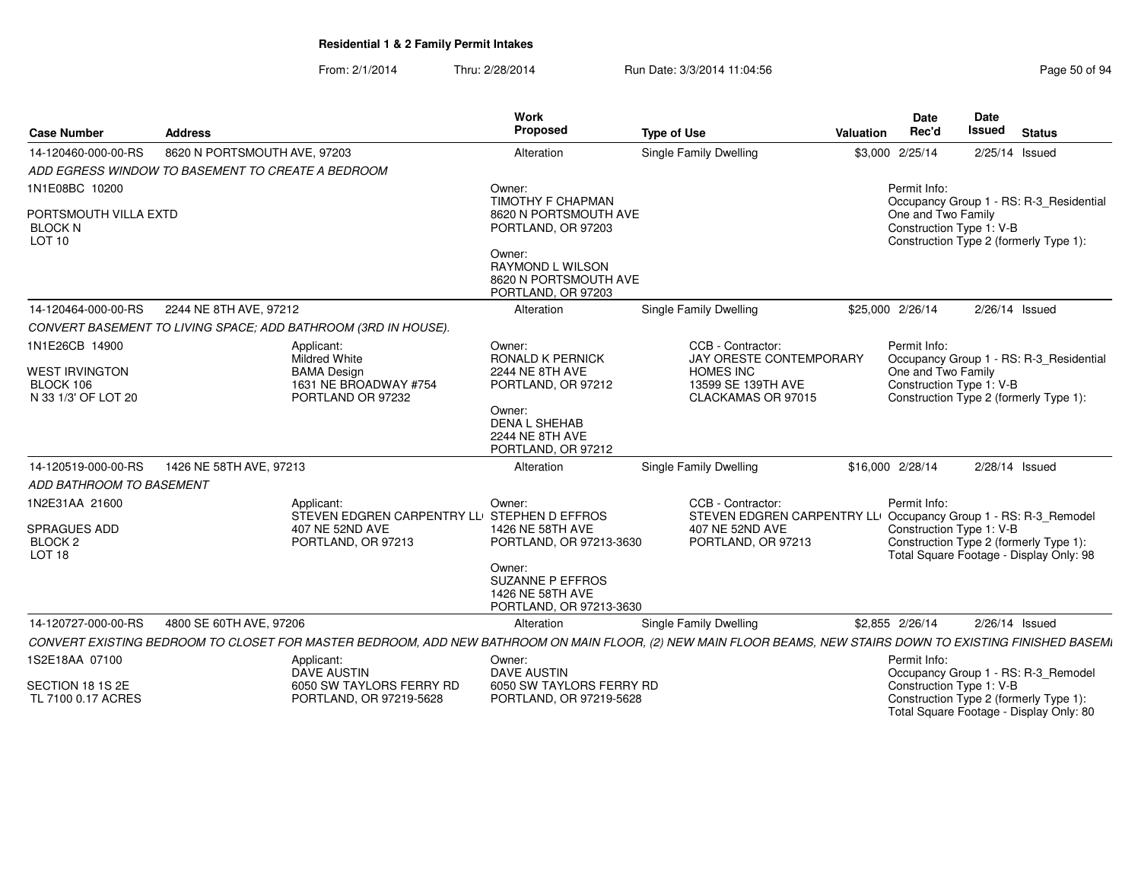| <b>Case Number</b>                                             | Address                                           |                                                                                                                                                              | <b>Work</b><br>Proposed                                                    | <b>Type of Use</b> |                                                                                      | Valuation | <b>Date</b><br>Rec'd                           | Date<br><b>Issued</b> | <b>Status</b>                                                                     |
|----------------------------------------------------------------|---------------------------------------------------|--------------------------------------------------------------------------------------------------------------------------------------------------------------|----------------------------------------------------------------------------|--------------------|--------------------------------------------------------------------------------------|-----------|------------------------------------------------|-----------------------|-----------------------------------------------------------------------------------|
| 14-120460-000-00-RS                                            | 8620 N PORTSMOUTH AVE, 97203                      |                                                                                                                                                              | Alteration                                                                 |                    | Single Family Dwelling                                                               |           | \$3,000 2/25/14                                |                       | 2/25/14 Issued                                                                    |
|                                                                | ADD EGRESS WINDOW TO BASEMENT TO CREATE A BEDROOM |                                                                                                                                                              |                                                                            |                    |                                                                                      |           |                                                |                       |                                                                                   |
| 1N1E08BC 10200                                                 |                                                   |                                                                                                                                                              | Owner:                                                                     |                    |                                                                                      |           | Permit Info:                                   |                       |                                                                                   |
| PORTSMOUTH VILLA EXTD<br><b>BLOCK N</b><br>LOT <sub>10</sub>   |                                                   |                                                                                                                                                              | TIMOTHY F CHAPMAN<br>8620 N PORTSMOUTH AVE<br>PORTLAND, OR 97203<br>Owner: |                    |                                                                                      |           | One and Two Family<br>Construction Type 1: V-B |                       | Occupancy Group 1 - RS: R-3_Residential<br>Construction Type 2 (formerly Type 1): |
|                                                                |                                                   |                                                                                                                                                              | RAYMOND L WILSON<br>8620 N PORTSMOUTH AVE<br>PORTLAND, OR 97203            |                    |                                                                                      |           |                                                |                       |                                                                                   |
| 14-120464-000-00-RS                                            | 2244 NE 8TH AVE, 97212                            |                                                                                                                                                              | Alteration                                                                 |                    | Single Family Dwelling                                                               |           | \$25,000 2/26/14                               |                       | 2/26/14 Issued                                                                    |
|                                                                |                                                   | CONVERT BASEMENT TO LIVING SPACE; ADD BATHROOM (3RD IN HOUSE).                                                                                               |                                                                            |                    |                                                                                      |           |                                                |                       |                                                                                   |
| 1N1E26CB 14900                                                 |                                                   | Applicant:<br><b>Mildred White</b>                                                                                                                           | Owner:<br><b>RONALD K PERNICK</b>                                          |                    | CCB - Contractor:<br><b>JAY ORESTE CONTEMPORARY</b>                                  |           | Permit Info:                                   |                       | Occupancy Group 1 - RS: R-3_Residential                                           |
| <b>WEST IRVINGTON</b><br>BLOCK 106<br>N 33 1/3' OF LOT 20      |                                                   | <b>BAMA Design</b><br>1631 NE BROADWAY #754<br>PORTLAND OR 97232                                                                                             | <b>2244 NE 8TH AVE</b><br>PORTLAND, OR 97212                               |                    | <b>HOMES INC</b><br>13599 SE 139TH AVE<br>CLACKAMAS OR 97015                         |           | One and Two Family<br>Construction Type 1: V-B |                       | Construction Type 2 (formerly Type 1):                                            |
|                                                                |                                                   |                                                                                                                                                              | Owner:<br><b>DENA L SHEHAB</b><br>2244 NE 8TH AVE<br>PORTLAND, OR 97212    |                    |                                                                                      |           |                                                |                       |                                                                                   |
| 14-120519-000-00-RS                                            | 1426 NE 58TH AVE, 97213                           |                                                                                                                                                              | Alteration                                                                 |                    | <b>Single Family Dwelling</b>                                                        |           | \$16,000 2/28/14                               |                       | 2/28/14 Issued                                                                    |
| ADD BATHROOM TO BASEMENT                                       |                                                   |                                                                                                                                                              |                                                                            |                    |                                                                                      |           |                                                |                       |                                                                                   |
| 1N2E31AA 21600                                                 |                                                   | Applicant:<br>STEVEN EDGREN CARPENTRY LLI STEPHEN D EFFROS                                                                                                   | Owner:                                                                     |                    | CCB - Contractor:<br>STEVEN EDGREN CARPENTRY LLI Occupancy Group 1 - RS: R-3_Remodel |           | Permit Info:                                   |                       |                                                                                   |
| <b>SPRAGUES ADD</b><br>BLOCK <sub>2</sub><br>LOT <sub>18</sub> |                                                   | 407 NE 52ND AVE<br>PORTLAND, OR 97213                                                                                                                        | 1426 NE 58TH AVE<br>PORTLAND, OR 97213-3630<br>Owner:                      |                    | 407 NE 52ND AVE<br>PORTLAND, OR 97213                                                |           | Construction Type 1: V-B                       |                       | Construction Type 2 (formerly Type 1):<br>Total Square Footage - Display Only: 98 |
|                                                                |                                                   |                                                                                                                                                              | <b>SUZANNE P EFFROS</b><br>1426 NE 58TH AVE<br>PORTLAND, OR 97213-3630     |                    |                                                                                      |           |                                                |                       |                                                                                   |
| 14-120727-000-00-RS                                            | 4800 SE 60TH AVE, 97206                           |                                                                                                                                                              | Alteration                                                                 |                    | Single Family Dwelling                                                               |           | \$2,855 2/26/14                                |                       | $2/26/14$ Issued                                                                  |
|                                                                |                                                   | CONVERT EXISTING BEDROOM TO CLOSET FOR MASTER BEDROOM, ADD NEW BATHROOM ON MAIN FLOOR, (2) NEW MAIN FLOOR BEAMS, NEW STAIRS DOWN TO EXISTING FINISHED BASEMI |                                                                            |                    |                                                                                      |           |                                                |                       |                                                                                   |
| 1S2E18AA 07100                                                 |                                                   | Applicant:<br><b>DAVE AUSTIN</b>                                                                                                                             | Owner:<br><b>DAVE AUSTIN</b>                                               |                    |                                                                                      |           | Permit Info:                                   |                       | Occupancy Group 1 - RS: R-3_Remodel                                               |
| SECTION 18 1S 2E<br>TL 7100 0.17 ACRES                         |                                                   | 6050 SW TAYLORS FERRY RD<br>PORTLAND, OR 97219-5628                                                                                                          | 6050 SW TAYLORS FERRY RD<br>PORTLAND, OR 97219-5628                        |                    |                                                                                      |           | Construction Type 1: V-B                       |                       | Construction Type 2 (formerly Type 1):<br>Total Square Footage - Display Only: 80 |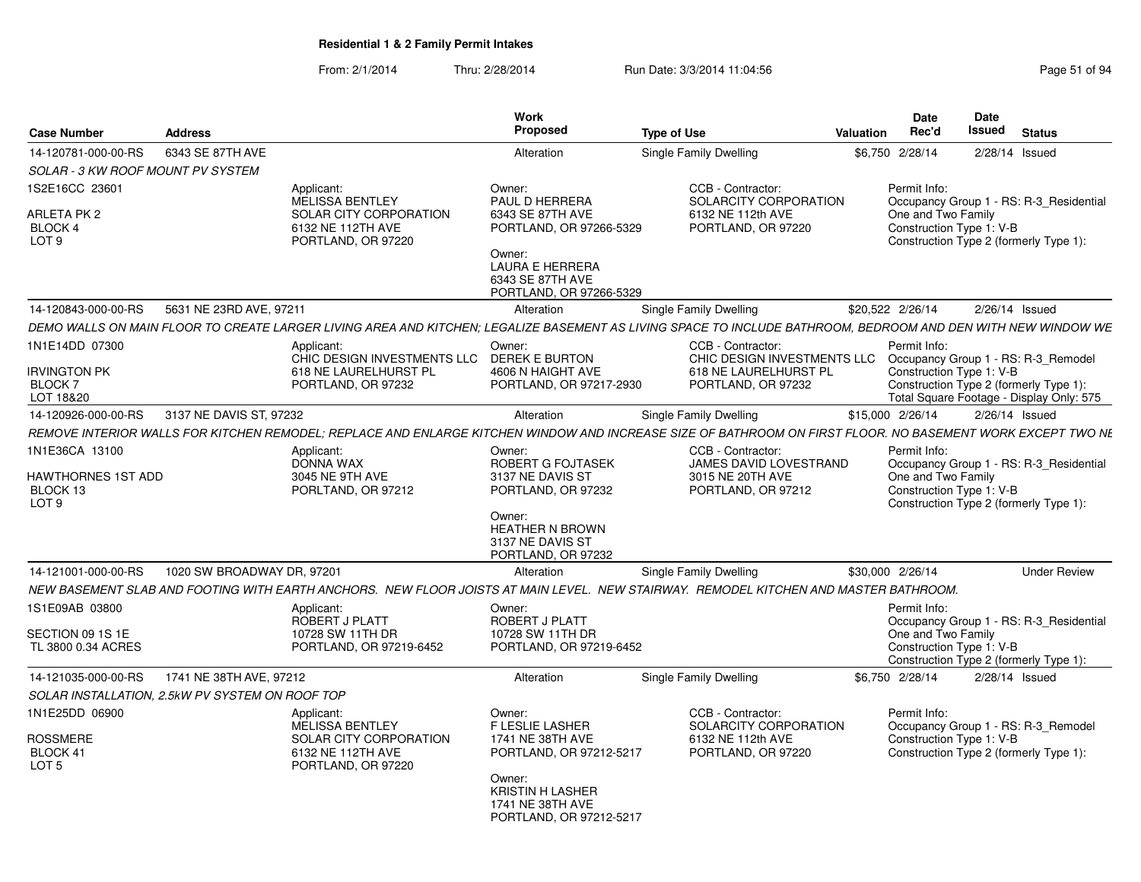|                                                   |                            |                                                                                             | <b>Work</b>                                                                      |                                                                                                                                                              |                  | <b>Date</b>                                                                                                                         | <b>Date</b> |                  |                     |
|---------------------------------------------------|----------------------------|---------------------------------------------------------------------------------------------|----------------------------------------------------------------------------------|--------------------------------------------------------------------------------------------------------------------------------------------------------------|------------------|-------------------------------------------------------------------------------------------------------------------------------------|-------------|------------------|---------------------|
| <b>Case Number</b>                                | <b>Address</b>             |                                                                                             | <b>Proposed</b>                                                                  | <b>Type of Use</b>                                                                                                                                           | <b>Valuation</b> | Rec'd                                                                                                                               | Issued      | <b>Status</b>    |                     |
| 14-120781-000-00-RS                               | 6343 SE 87TH AVE           |                                                                                             | Alteration                                                                       | Single Family Dwelling                                                                                                                                       |                  | \$6,750 2/28/14                                                                                                                     |             | $2/28/14$ Issued |                     |
| <b>SOLAR - 3 KW ROOF MOUNT PV SYSTEM</b>          |                            |                                                                                             |                                                                                  |                                                                                                                                                              |                  |                                                                                                                                     |             |                  |                     |
| 1S2E16CC 23601                                    |                            | Applicant:                                                                                  | Owner:                                                                           | CCB - Contractor:                                                                                                                                            |                  | Permit Info:                                                                                                                        |             |                  |                     |
| ARLETA PK 2<br><b>BLOCK 4</b><br>LOT <sub>9</sub> |                            | <b>MELISSA BENTLEY</b><br>SOLAR CITY CORPORATION<br>6132 NE 112TH AVE<br>PORTLAND, OR 97220 | PAUL D HERRERA<br>6343 SE 87TH AVE<br>PORTLAND, OR 97266-5329                    | SOLARCITY CORPORATION<br>6132 NE 112th AVE<br>PORTLAND, OR 97220                                                                                             |                  | Occupancy Group 1 - RS: R-3_Residential<br>One and Two Family<br>Construction Type 1: V-B<br>Construction Type 2 (formerly Type 1): |             |                  |                     |
|                                                   |                            |                                                                                             | Owner:<br><b>LAURA E HERRERA</b><br>6343 SE 87TH AVE<br>PORTLAND, OR 97266-5329  |                                                                                                                                                              |                  |                                                                                                                                     |             |                  |                     |
| 14-120843-000-00-RS                               | 5631 NE 23RD AVE, 97211    |                                                                                             | Alteration                                                                       | Single Family Dwelling                                                                                                                                       |                  | \$20,522 2/26/14                                                                                                                    |             | $2/26/14$ Issued |                     |
|                                                   |                            |                                                                                             |                                                                                  | DEMO WALLS ON MAIN FLOOR TO CREATE LARGER LIVING AREA AND KITCHEN: LEGALIZE BASEMENT AS LIVING SPACE TO INCLUDE BATHROOM, BEDROOM AND DEN WITH NEW WINDOW WE |                  |                                                                                                                                     |             |                  |                     |
| 1N1E14DD 07300                                    |                            | Applicant:<br>CHIC DESIGN INVESTMENTS LLC                                                   | Owner:<br><b>DEREK E BURTON</b>                                                  | CCB - Contractor:<br>CHIC DESIGN INVESTMENTS LLC                                                                                                             |                  | Permit Info:<br>Occupancy Group 1 - RS: R-3_Remodel                                                                                 |             |                  |                     |
| Irvington PK<br><b>BLOCK7</b>                     |                            | 618 NE LAURELHURST PL<br>PORTLAND, OR 97232                                                 | 4606 N HAIGHT AVE<br>PORTLAND, OR 97217-2930                                     | 618 NE LAURELHURST PL<br>PORTLAND, OR 97232                                                                                                                  |                  | Construction Type 1: V-B<br>Construction Type 2 (formerly Type 1):                                                                  |             |                  |                     |
| LOT 18&20                                         |                            |                                                                                             |                                                                                  |                                                                                                                                                              |                  | Total Square Footage - Display Only: 575                                                                                            |             |                  |                     |
| 14-120926-000-00-RS                               | 3137 NE DAVIS ST, 97232    |                                                                                             | Alteration                                                                       | Single Family Dwelling                                                                                                                                       |                  | \$15,000 2/26/14                                                                                                                    |             | $2/26/14$ Issued |                     |
|                                                   |                            |                                                                                             |                                                                                  | REMOVE INTERIOR WALLS FOR KITCHEN REMODEL: REPLACE AND ENLARGE KITCHEN WINDOW AND INCREASE SIZE OF BATHROOM ON FIRST FLOOR. NO BASEMENT WORK EXCEPT TWO NE   |                  |                                                                                                                                     |             |                  |                     |
| IN1E36CA 13100<br>HAWTHORNES 1ST ADD              |                            | Applicant:<br><b>DONNA WAX</b><br>3045 NE 9TH AVE                                           | Owner:<br>ROBERT G FOJTASEK<br>3137 NE DAVIS ST                                  | CCB - Contractor:<br>JAMES DAVID LOVESTRAND<br>3015 NE 20TH AVE                                                                                              |                  | Permit Info:<br>Occupancy Group 1 - RS: R-3 Residential<br>One and Two Family                                                       |             |                  |                     |
| BLOCK 13<br>LOT <sub>9</sub>                      |                            | PORLTAND, OR 97212                                                                          | PORTLAND, OR 97232                                                               | PORTLAND, OR 97212                                                                                                                                           |                  | Construction Type 1: V-B<br>Construction Type 2 (formerly Type 1):                                                                  |             |                  |                     |
|                                                   |                            |                                                                                             | Owner:<br><b>HEATHER N BROWN</b><br>3137 NE DAVIS ST<br>PORTLAND, OR 97232       |                                                                                                                                                              |                  |                                                                                                                                     |             |                  |                     |
| 14-121001-000-00-RS                               | 1020 SW BROADWAY DR. 97201 |                                                                                             | Alteration                                                                       | Single Family Dwelling                                                                                                                                       |                  | \$30,000 2/26/14                                                                                                                    |             |                  | <b>Under Review</b> |
|                                                   |                            |                                                                                             |                                                                                  | NEW BASEMENT SLAB AND FOOTING WITH EARTH ANCHORS.  NEW FLOOR JOISTS AT MAIN LEVEL.  NEW STAIRWAY.  REMODEL KITCHEN AND MASTER BATHROOM.                      |                  |                                                                                                                                     |             |                  |                     |
| IS1E09AB 03800                                    |                            | Applicant:<br>ROBERT J PLATT                                                                | Owner:<br>ROBERT J PLATT                                                         |                                                                                                                                                              |                  | Permit Info:<br>Occupancy Group 1 - RS: R-3 Residential                                                                             |             |                  |                     |
| SECTION 09 1S 1E<br>TL 3800 0.34 ACRES            |                            | 10728 SW 11TH DR<br>PORTLAND, OR 97219-6452                                                 | 10728 SW 11TH DR<br>PORTLAND, OR 97219-6452                                      |                                                                                                                                                              |                  | One and Two Family<br>Construction Type 1: V-B<br>Construction Type 2 (formerly Type 1):                                            |             |                  |                     |
| 14-121035-000-00-RS                               | 1741 NE 38TH AVE, 97212    |                                                                                             | Alteration                                                                       | Single Family Dwelling                                                                                                                                       |                  | \$6,750 2/28/14                                                                                                                     |             | $2/28/14$ Issued |                     |
| SOLAR INSTALLATION, 2.5kW PV SYSTEM ON ROOF TOP   |                            |                                                                                             |                                                                                  |                                                                                                                                                              |                  |                                                                                                                                     |             |                  |                     |
| IN1E25DD 06900                                    |                            | Applicant:<br><b>MELISSA BENTLEY</b>                                                        | Owner:<br><b>F LESLIE LASHER</b>                                                 | CCB - Contractor:<br>SOLARCITY CORPORATION                                                                                                                   |                  | Permit Info:<br>Occupancy Group 1 - RS: R-3 Remodel                                                                                 |             |                  |                     |
| ROSSMERE<br>BLOCK 41<br>LOT <sub>5</sub>          |                            | SOLAR CITY CORPORATION<br>6132 NE 112TH AVE                                                 | 1741 NE 38TH AVE<br>PORTLAND, OR 97212-5217                                      | 6132 NE 112th AVE<br>PORTLAND, OR 97220                                                                                                                      |                  | Construction Type 1: V-B<br>Construction Type 2 (formerly Type 1):                                                                  |             |                  |                     |
|                                                   |                            | PORTLAND, OR 97220                                                                          | Owner:<br><b>KRISTIN H LASHER</b><br>1741 NE 38TH AVE<br>PORTLAND, OR 97212-5217 |                                                                                                                                                              |                  |                                                                                                                                     |             |                  |                     |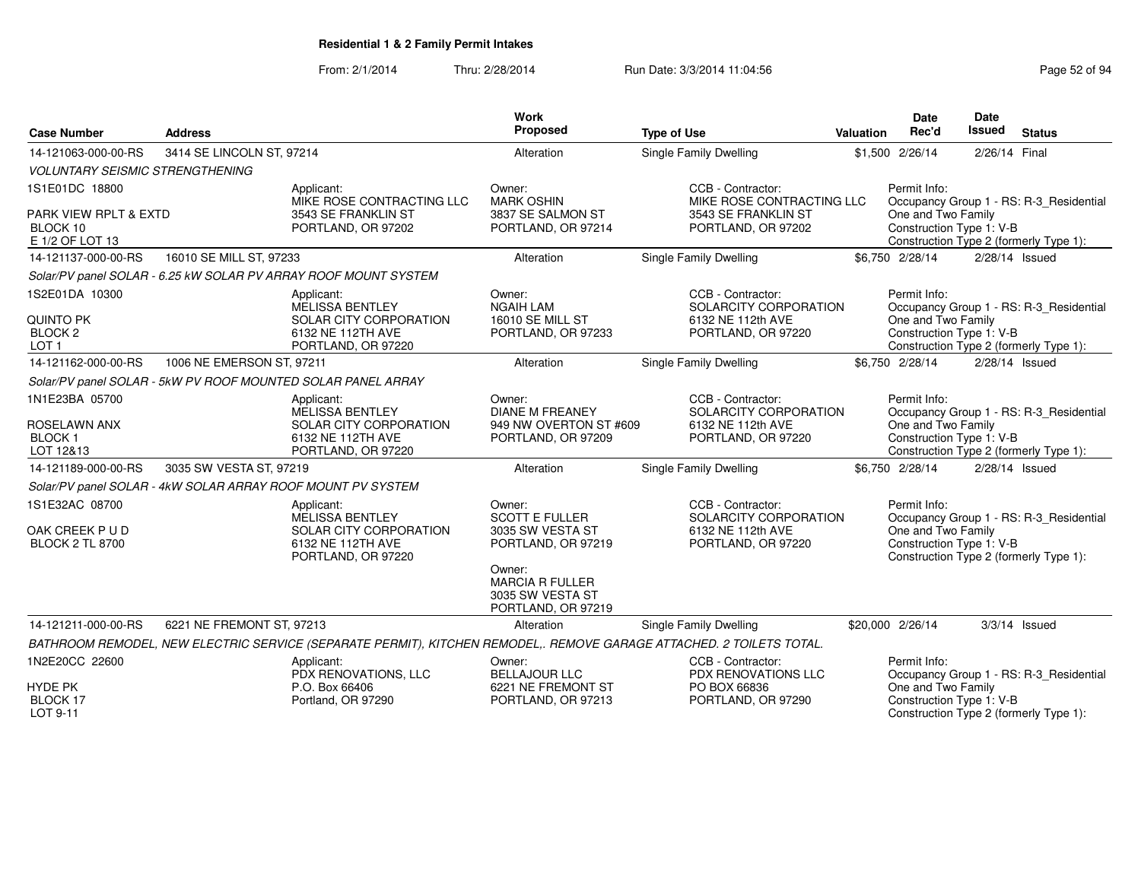| <b>Case Number</b>                                                           | <b>Address</b>            |                                                                                                                      | Work<br>Proposed                                                                                                                                        | <b>Type of Use</b>                                                                    | Valuation | <b>Date</b><br>Rec'd                                           | <b>Date</b><br>Issued | <b>Status</b>                                                                     |
|------------------------------------------------------------------------------|---------------------------|----------------------------------------------------------------------------------------------------------------------|---------------------------------------------------------------------------------------------------------------------------------------------------------|---------------------------------------------------------------------------------------|-----------|----------------------------------------------------------------|-----------------------|-----------------------------------------------------------------------------------|
| 14-121063-000-00-RS                                                          | 3414 SE LINCOLN ST, 97214 |                                                                                                                      | Alteration                                                                                                                                              | <b>Single Family Dwelling</b>                                                         |           | \$1,500 2/26/14                                                | 2/26/14 Final         |                                                                                   |
| <b>VOLUNTARY SEISMIC STRENGTHENING</b>                                       |                           |                                                                                                                      |                                                                                                                                                         |                                                                                       |           |                                                                |                       |                                                                                   |
| 1S1E01DC 18800                                                               |                           | Applicant:<br>MIKE ROSE CONTRACTING LLC                                                                              | Owner:<br><b>MARK OSHIN</b>                                                                                                                             | CCB - Contractor:<br>MIKE ROSE CONTRACTING LLC                                        |           | Permit Info:                                                   |                       | Occupancy Group 1 - RS: R-3_Residential                                           |
| <b>PARK VIEW RPLT &amp; EXTD</b><br>BLOCK 10<br>E 1/2 OF LOT 13              |                           | 3543 SE FRANKLIN ST<br>PORTLAND, OR 97202                                                                            | 3837 SE SALMON ST<br>PORTLAND, OR 97214                                                                                                                 | 3543 SE FRANKLIN ST<br>PORTLAND, OR 97202                                             |           | One and Two Family<br>Construction Type 1: V-B                 |                       | Construction Type 2 (formerly Type 1):                                            |
| 14-121137-000-00-RS                                                          | 16010 SE MILL ST, 97233   |                                                                                                                      | Alteration                                                                                                                                              | Single Family Dwelling                                                                |           | \$6,750 2/28/14                                                | $2/28/14$ Issued      |                                                                                   |
|                                                                              |                           | Solar/PV panel SOLAR - 6.25 kW SOLAR PV ARRAY ROOF MOUNT SYSTEM                                                      |                                                                                                                                                         |                                                                                       |           |                                                                |                       |                                                                                   |
| 1S2E01DA 10300<br><b>QUINTO PK</b><br>BLOCK <sub>2</sub><br>LOT <sub>1</sub> |                           | Applicant:<br><b>MELISSA BENTLEY</b><br>SOLAR CITY CORPORATION<br>6132 NE 112TH AVE<br>PORTLAND, OR 97220            | Owner:<br><b>NGAIH LAM</b><br><b>16010 SE MILL ST</b><br>PORTLAND, OR 97233                                                                             | CCB - Contractor:<br>SOLARCITY CORPORATION<br>6132 NE 112th AVE<br>PORTLAND, OR 97220 |           | Permit Info:<br>One and Two Family<br>Construction Type 1: V-B |                       | Occupancy Group 1 - RS: R-3_Residential<br>Construction Type 2 (formerly Type 1): |
| 14-121162-000-00-RS                                                          | 1006 NE EMERSON ST, 97211 |                                                                                                                      | Alteration                                                                                                                                              | <b>Single Family Dwelling</b>                                                         |           | \$6,750 2/28/14                                                | 2/28/14 Issued        |                                                                                   |
|                                                                              |                           | Solar/PV panel SOLAR - 5kW PV ROOF MOUNTED SOLAR PANEL ARRAY                                                         |                                                                                                                                                         |                                                                                       |           |                                                                |                       |                                                                                   |
| 1N1E23BA 05700<br>ROSELAWN ANX<br><b>BLOCK1</b><br>LOT 12&13                 |                           | Applicant:<br><b>MELISSA BENTLEY</b><br>SOLAR CITY CORPORATION<br>6132 NE 112TH AVE<br>PORTLAND, OR 97220            | Owner:<br><b>DIANE M FREANEY</b><br>949 NW OVERTON ST #609<br>PORTLAND, OR 97209                                                                        | CCB - Contractor:<br>SOLARCITY CORPORATION<br>6132 NE 112th AVE<br>PORTLAND, OR 97220 |           | Permit Info:<br>One and Two Family<br>Construction Type 1: V-B |                       | Occupancy Group 1 - RS: R-3_Residential<br>Construction Type 2 (formerly Type 1): |
| 14-121189-000-00-RS                                                          | 3035 SW VESTA ST, 97219   |                                                                                                                      | Alteration                                                                                                                                              | Single Family Dwelling                                                                |           | \$6,750 2/28/14                                                |                       | 2/28/14 Issued                                                                    |
|                                                                              |                           | Solar/PV panel SOLAR - 4kW SOLAR ARRAY ROOF MOUNT PV SYSTEM                                                          |                                                                                                                                                         |                                                                                       |           |                                                                |                       |                                                                                   |
| 1S1E32AC 08700<br>OAK CREEK P U D<br><b>BLOCK 2 TL 8700</b>                  |                           | Applicant:<br>MELISSA BENTLEY<br>SOLAR CITY CORPORATION<br>6132 NE 112TH AVE<br>PORTLAND, OR 97220                   | Owner:<br><b>SCOTT E FULLER</b><br>3035 SW VESTA ST<br>PORTLAND, OR 97219<br>Owner:<br><b>MARCIA R FULLER</b><br>3035 SW VESTA ST<br>PORTLAND, OR 97219 | CCB - Contractor:<br>SOLARCITY CORPORATION<br>6132 NE 112th AVE<br>PORTLAND, OR 97220 |           | Permit Info:<br>One and Two Family<br>Construction Type 1: V-B |                       | Occupancy Group 1 - RS: R-3_Residential<br>Construction Type 2 (formerly Type 1): |
| 14-121211-000-00-RS                                                          | 6221 NE FREMONT ST, 97213 |                                                                                                                      | Alteration                                                                                                                                              | Single Family Dwelling                                                                |           | \$20,000 2/26/14                                               |                       | $3/3/14$ Issued                                                                   |
|                                                                              |                           | BATHROOM REMODEL, NEW ELECTRIC SERVICE (SEPARATE PERMIT), KITCHEN REMODEL,. REMOVE GARAGE ATTACHED. 2 TOILETS TOTAL. |                                                                                                                                                         |                                                                                       |           |                                                                |                       |                                                                                   |
| 1N2E20CC 22600                                                               |                           | Applicant:<br>PDX RENOVATIONS, LLC                                                                                   | Owner:<br><b>BELLAJOUR LLC</b>                                                                                                                          | CCB - Contractor:<br>PDX RENOVATIONS LLC                                              |           | Permit Info:                                                   |                       | Occupancy Group 1 - RS: R-3_Residential                                           |
| <b>HYDE PK</b><br>BLOCK 17<br>LOT 9-11                                       |                           | P.O. Box 66406<br>Portland, OR 97290                                                                                 | 6221 NE FREMONT ST<br>PORTLAND, OR 97213                                                                                                                | PO BOX 66836<br>PORTLAND, OR 97290                                                    |           | One and Two Family<br>Construction Type 1: V-B                 |                       | Construction Type 2 (formerly Type 1):                                            |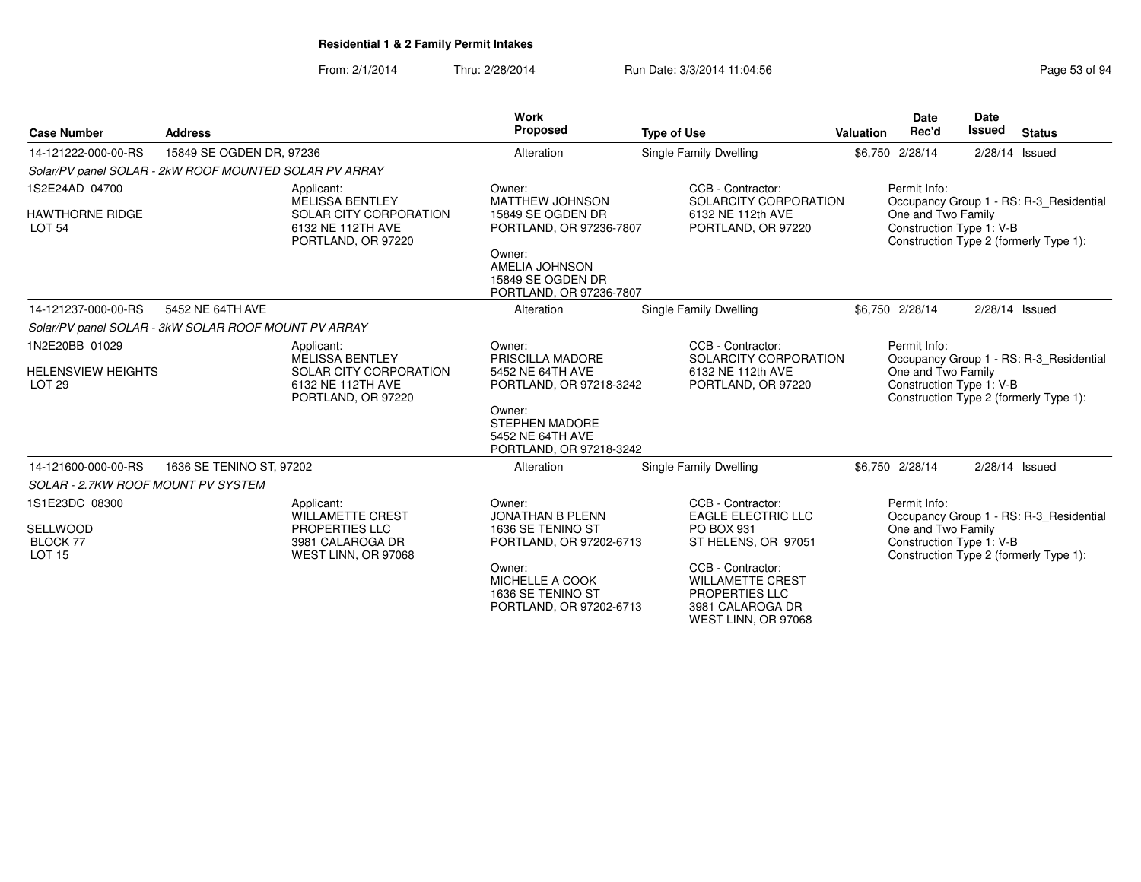From: 2/1/2014Thru: 2/28/2014 Run Date: 3/3/2014 11:04:56 Research 2010 12:04:56

| <b>Case Number</b>                                                    | <b>Address</b>                                         |                                                                                                           | Work<br>Proposed                                                                                                                                               | <b>Type of Use</b>                                                                                                                                                                                      | <b>Valuation</b> | Date<br>Rec'd                                                  | Date<br>Issued   | <b>Status</b>                                                                     |
|-----------------------------------------------------------------------|--------------------------------------------------------|-----------------------------------------------------------------------------------------------------------|----------------------------------------------------------------------------------------------------------------------------------------------------------------|---------------------------------------------------------------------------------------------------------------------------------------------------------------------------------------------------------|------------------|----------------------------------------------------------------|------------------|-----------------------------------------------------------------------------------|
| 14-121222-000-00-RS                                                   | 15849 SE OGDEN DR, 97236                               |                                                                                                           | Alteration                                                                                                                                                     | Single Family Dwelling                                                                                                                                                                                  |                  | \$6,750 2/28/14                                                | $2/28/14$ Issued |                                                                                   |
|                                                                       | Solar/PV panel SOLAR - 2kW ROOF MOUNTED SOLAR PV ARRAY |                                                                                                           |                                                                                                                                                                |                                                                                                                                                                                                         |                  |                                                                |                  |                                                                                   |
| 1S2E24AD 04700<br><b>HAWTHORNE RIDGE</b><br><b>LOT 54</b>             |                                                        | Applicant:<br><b>MELISSA BENTLEY</b><br>SOLAR CITY CORPORATION<br>6132 NE 112TH AVE<br>PORTLAND, OR 97220 | Owner:<br><b>MATTHEW JOHNSON</b><br>15849 SE OGDEN DR<br>PORTLAND, OR 97236-7807<br>Owner:<br>AMELIA JOHNSON<br>15849 SE OGDEN DR                              | CCB - Contractor:<br>SOLARCITY CORPORATION<br>6132 NE 112th AVE<br>PORTLAND, OR 97220                                                                                                                   |                  | Permit Info:<br>One and Two Family<br>Construction Type 1: V-B |                  | Occupancy Group 1 - RS: R-3 Residential<br>Construction Type 2 (formerly Type 1): |
| 14-121237-000-00-RS                                                   | 5452 NE 64TH AVE                                       |                                                                                                           | PORTLAND, OR 97236-7807<br>Alteration                                                                                                                          | Single Family Dwelling                                                                                                                                                                                  |                  | \$6,750 2/28/14                                                | 2/28/14 Issued   |                                                                                   |
|                                                                       |                                                        |                                                                                                           |                                                                                                                                                                |                                                                                                                                                                                                         |                  |                                                                |                  |                                                                                   |
| 1N2E20BB 01029                                                        | Solar/PV panel SOLAR - 3kW SOLAR ROOF MOUNT PV ARRAY   | Applicant:                                                                                                | Owner:                                                                                                                                                         | CCB - Contractor:                                                                                                                                                                                       |                  | Permit Info:                                                   |                  |                                                                                   |
| <b>HELENSVIEW HEIGHTS</b><br><b>LOT 29</b>                            |                                                        | <b>MELISSA BENTLEY</b><br>SOLAR CITY CORPORATION<br>6132 NE 112TH AVE<br>PORTLAND, OR 97220               | PRISCILLA MADORE<br>5452 NE 64TH AVE<br>PORTLAND, OR 97218-3242<br>Owner:<br><b>STEPHEN MADORE</b><br>5452 NE 64TH AVE                                         | SOLARCITY CORPORATION<br>6132 NE 112th AVE<br>PORTLAND, OR 97220                                                                                                                                        |                  | One and Two Family<br>Construction Type 1: V-B                 |                  | Occupancy Group 1 - RS: R-3 Residential<br>Construction Type 2 (formerly Type 1): |
|                                                                       |                                                        |                                                                                                           | PORTLAND, OR 97218-3242                                                                                                                                        |                                                                                                                                                                                                         |                  |                                                                |                  |                                                                                   |
| 14-121600-000-00-RS<br><b>SOLAR - 2.7KW ROOF MOUNT PV SYSTEM</b>      | 1636 SE TENINO ST, 97202                               |                                                                                                           | Alteration                                                                                                                                                     | <b>Single Family Dwelling</b>                                                                                                                                                                           |                  | \$6,750 2/28/14                                                | $2/28/14$ Issued |                                                                                   |
| 1S1E23DC 08300<br><b>SELLWOOD</b><br><b>BLOCK 77</b><br><b>LOT 15</b> |                                                        | Applicant:<br><b>WILLAMETTE CREST</b><br>PROPERTIES LLC<br>3981 CALAROGA DR<br>WEST LINN, OR 97068        | Owner:<br><b>JONATHAN B PLENN</b><br>1636 SE TENINO ST<br>PORTLAND, OR 97202-6713<br>Owner:<br>MICHELLE A COOK<br>1636 SE TENINO ST<br>PORTLAND, OR 97202-6713 | CCB - Contractor:<br><b>EAGLE ELECTRIC LLC</b><br>PO BOX 931<br>ST HELENS, OR 97051<br>CCB - Contractor:<br><b>WILLAMETTE CREST</b><br><b>PROPERTIES LLC</b><br>3981 CALAROGA DR<br>WEST LINN, OR 97068 |                  | Permit Info:<br>One and Two Family<br>Construction Type 1: V-B |                  | Occupancy Group 1 - RS: R-3_Residential<br>Construction Type 2 (formerly Type 1): |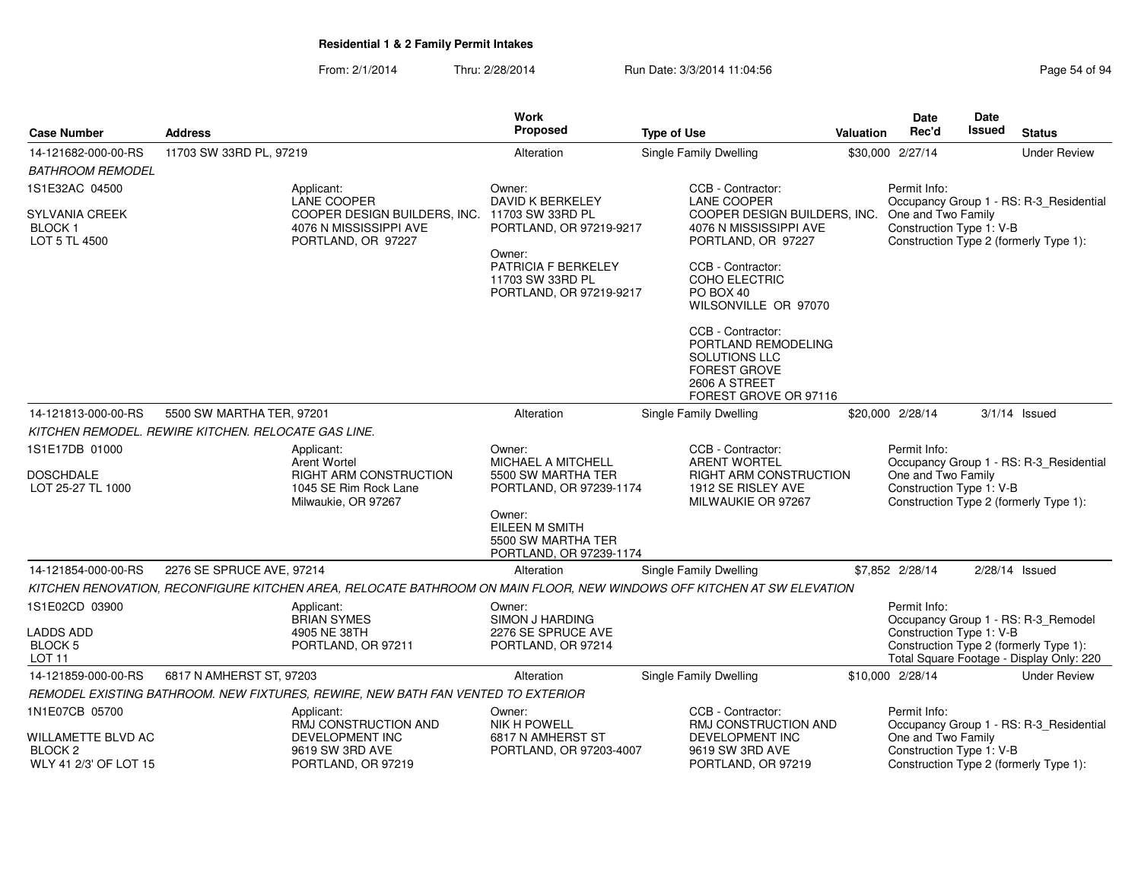|                                                                   |                           |                                                                                                                        | <b>Work</b><br>Proposed                                                                                               |                                                                                                                            |                  | <b>Date</b><br>Rec'd                           | <b>Date</b><br><b>Issued</b> |                                                                                                                           |
|-------------------------------------------------------------------|---------------------------|------------------------------------------------------------------------------------------------------------------------|-----------------------------------------------------------------------------------------------------------------------|----------------------------------------------------------------------------------------------------------------------------|------------------|------------------------------------------------|------------------------------|---------------------------------------------------------------------------------------------------------------------------|
| <b>Case Number</b>                                                | <b>Address</b>            |                                                                                                                        |                                                                                                                       | <b>Type of Use</b>                                                                                                         | <b>Valuation</b> |                                                |                              | <b>Status</b>                                                                                                             |
| 14-121682-000-00-RS                                               | 11703 SW 33RD PL, 97219   |                                                                                                                        | Alteration                                                                                                            | Single Family Dwelling                                                                                                     |                  | \$30,000 2/27/14                               |                              | <b>Under Review</b>                                                                                                       |
| <i>BATHROOM REMODEL</i>                                           |                           |                                                                                                                        |                                                                                                                       |                                                                                                                            |                  |                                                |                              |                                                                                                                           |
| 1S1E32AC 04500                                                    |                           | Applicant:<br>LANE COOPER                                                                                              | Owner:<br>DAVID K BERKELEY                                                                                            | CCB - Contractor:<br><b>LANE COOPER</b>                                                                                    |                  | Permit Info:                                   |                              | Occupancy Group 1 - RS: R-3_Residential                                                                                   |
| <b>SYLVANIA CREEK</b><br><b>BLOCK1</b><br>LOT 5 TL 4500           |                           | COOPER DESIGN BUILDERS, INC.<br>4076 N MISSISSIPPI AVE<br>PORTLAND, OR 97227                                           | 11703 SW 33RD PL<br>PORTLAND, OR 97219-9217                                                                           | COOPER DESIGN BUILDERS, INC.<br>4076 N MISSISSIPPI AVE<br>PORTLAND, OR 97227                                               |                  | One and Two Family<br>Construction Type 1: V-B |                              | Construction Type 2 (formerly Type 1):                                                                                    |
|                                                                   |                           |                                                                                                                        | Owner:<br>PATRICIA F BERKELEY<br>11703 SW 33RD PL<br>PORTLAND, OR 97219-9217                                          | CCB - Contractor:<br>COHO ELECTRIC<br>PO BOX 40<br>WILSONVILLE OR 97070                                                    |                  |                                                |                              |                                                                                                                           |
|                                                                   |                           |                                                                                                                        |                                                                                                                       | CCB - Contractor:<br>PORTLAND REMODELING<br>SOLUTIONS LLC<br><b>FOREST GROVE</b><br>2606 A STREET<br>FOREST GROVE OR 97116 |                  |                                                |                              |                                                                                                                           |
| 14-121813-000-00-RS                                               | 5500 SW MARTHA TER, 97201 |                                                                                                                        | Alteration                                                                                                            | Single Family Dwelling                                                                                                     |                  | \$20,000 2/28/14                               |                              | $3/1/14$ Issued                                                                                                           |
| KITCHEN REMODEL. REWIRE KITCHEN. RELOCATE GAS LINE.               |                           |                                                                                                                        |                                                                                                                       |                                                                                                                            |                  |                                                |                              |                                                                                                                           |
| 1S1E17DB 01000                                                    |                           | Applicant:                                                                                                             | Owner:                                                                                                                | CCB - Contractor:                                                                                                          |                  | Permit Info:                                   |                              |                                                                                                                           |
| <b>DOSCHDALE</b><br>LOT 25-27 TL 1000                             |                           | <b>Arent Wortel</b><br><b>RIGHT ARM CONSTRUCTION</b><br>1045 SE Rim Rock Lane<br>Milwaukie, OR 97267                   | MICHAEL A MITCHELL<br>5500 SW MARTHA TER<br>PORTLAND, OR 97239-1174<br>Owner:<br>EILEEN M SMITH<br>5500 SW MARTHA TER | <b>ARENT WORTEL</b><br>RIGHT ARM CONSTRUCTION<br>1912 SE RISLEY AVE<br>MILWAUKIE OR 97267                                  |                  | One and Two Family<br>Construction Type 1: V-B |                              | Occupancy Group 1 - RS: R-3_Residential<br>Construction Type 2 (formerly Type 1):                                         |
|                                                                   |                           |                                                                                                                        | PORTLAND, OR 97239-1174                                                                                               |                                                                                                                            |                  |                                                |                              |                                                                                                                           |
| 14-121854-000-00-RS                                               | 2276 SE SPRUCE AVE, 97214 |                                                                                                                        | Alteration                                                                                                            | Single Family Dwelling                                                                                                     |                  | \$7.852 2/28/14                                |                              | $2/28/14$ Issued                                                                                                          |
|                                                                   |                           | KITCHEN RENOVATION, RECONFIGURE KITCHEN AREA, RELOCATE BATHROOM ON MAIN FLOOR, NEW WINDOWS OFF KITCHEN AT SW ELEVATION |                                                                                                                       |                                                                                                                            |                  |                                                |                              |                                                                                                                           |
| 1S1E02CD 03900<br>LADDS ADD<br><b>BLOCK 5</b><br>LOT 11           |                           | Applicant:<br><b>BRIAN SYMES</b><br>4905 NE 38TH<br>PORTLAND, OR 97211                                                 | Owner:<br>SIMON J HARDING<br>2276 SE SPRUCE AVE<br>PORTLAND, OR 97214                                                 |                                                                                                                            |                  | Permit Info:<br>Construction Type 1: V-B       |                              | Occupancy Group 1 - RS: R-3_Remodel<br>Construction Type 2 (formerly Type 1):<br>Total Square Footage - Display Only: 220 |
| 14-121859-000-00-RS                                               | 6817 N AMHERST ST, 97203  |                                                                                                                        | Alteration                                                                                                            | Single Family Dwelling                                                                                                     |                  | \$10,000 2/28/14                               |                              | <b>Under Review</b>                                                                                                       |
|                                                                   |                           | REMODEL EXISTING BATHROOM. NEW FIXTURES, REWIRE, NEW BATH FAN VENTED TO EXTERIOR                                       |                                                                                                                       |                                                                                                                            |                  |                                                |                              |                                                                                                                           |
| 1N1E07CB 05700                                                    |                           | Applicant:<br>RMJ CONSTRUCTION AND                                                                                     | Owner:<br><b>NIK H POWELL</b>                                                                                         | CCB - Contractor:<br>RMJ CONSTRUCTION AND                                                                                  |                  | Permit Info:                                   |                              | Occupancy Group 1 - RS: R-3_Residential                                                                                   |
| WILLAMETTE BLVD AC<br>BLOCK <sub>2</sub><br>WLY 41 2/3' OF LOT 15 |                           | DEVELOPMENT INC<br>9619 SW 3RD AVE<br>PORTLAND, OR 97219                                                               | 6817 N AMHERST ST<br>PORTLAND, OR 97203-4007                                                                          | <b>DEVELOPMENT INC</b><br>9619 SW 3RD AVE<br>PORTLAND, OR 97219                                                            |                  | One and Two Family<br>Construction Type 1: V-B |                              | Construction Type 2 (formerly Type 1):                                                                                    |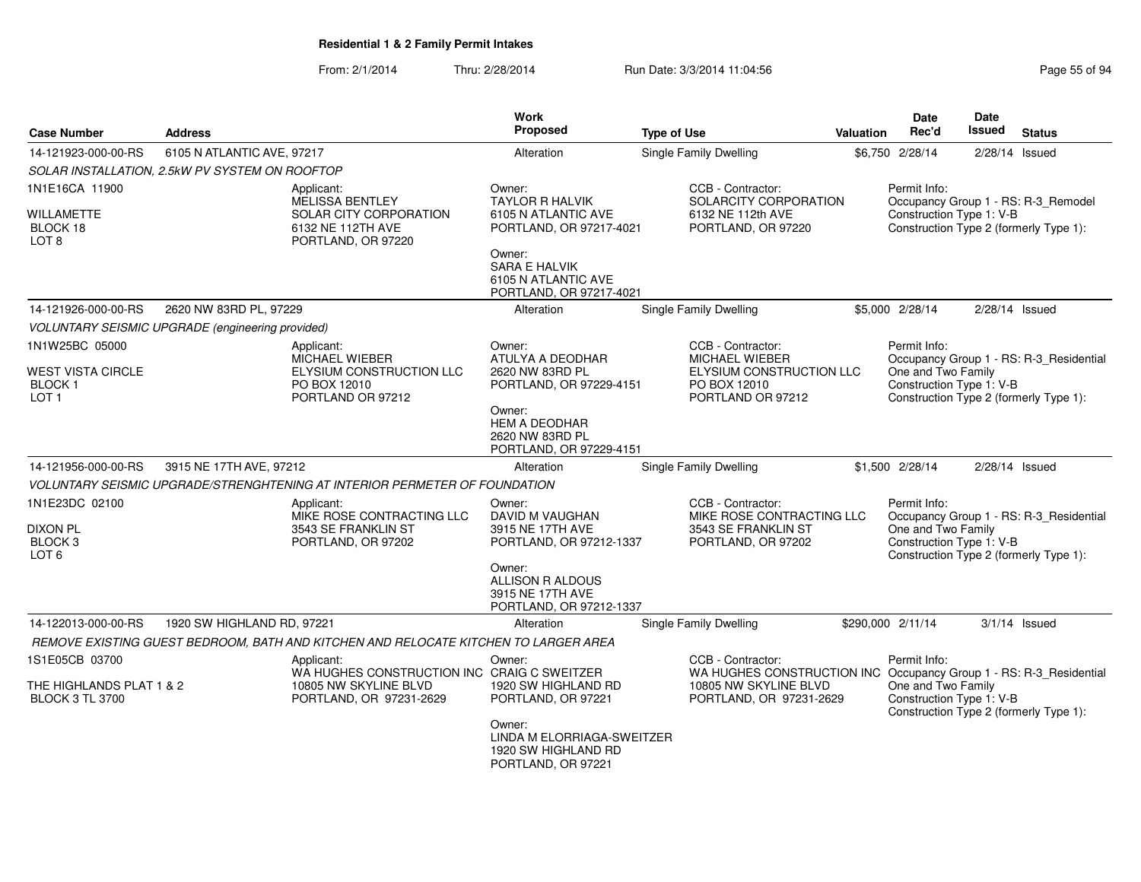From: 2/1/2014Thru: 2/28/2014 Run Date: 3/3/2014 11:04:56 Research 2010 Page 55 of 94

| <b>Case Number</b>                                                          | <b>Address</b>                                                                                            | <b>Work</b><br><b>Proposed</b>                                                     | <b>Type of Use</b>                                                                                          | <b>Valuation</b> | <b>Date</b><br>Rec'd                                                                                     | <b>Date</b><br>Issued | <b>Status</b>                           |
|-----------------------------------------------------------------------------|-----------------------------------------------------------------------------------------------------------|------------------------------------------------------------------------------------|-------------------------------------------------------------------------------------------------------------|------------------|----------------------------------------------------------------------------------------------------------|-----------------------|-----------------------------------------|
| 14-121923-000-00-RS                                                         | 6105 N ATLANTIC AVE, 97217                                                                                | Alteration                                                                         | Single Family Dwelling                                                                                      |                  | \$6.750 2/28/14                                                                                          | $2/28/14$ Issued      |                                         |
|                                                                             | SOLAR INSTALLATION, 2.5kW PV SYSTEM ON ROOFTOP                                                            |                                                                                    |                                                                                                             |                  |                                                                                                          |                       |                                         |
| 1N1E16CA 11900<br>WILLAMETTE<br>BLOCK 18<br>LOT 8                           | Applicant:<br><b>MELISSA BENTLEY</b><br>SOLAR CITY CORPORATION<br>6132 NE 112TH AVE<br>PORTLAND, OR 97220 | Owner:<br><b>TAYLOR R HALVIK</b><br>6105 N ATLANTIC AVE<br>PORTLAND, OR 97217-4021 | CCB - Contractor:<br>SOLARCITY CORPORATION<br>6132 NE 112th AVE<br>PORTLAND, OR 97220                       |                  | Permit Info:<br>Construction Type 1: V-B<br>Construction Type 2 (formerly Type 1):                       |                       | Occupancy Group 1 - RS: R-3_Remodel     |
|                                                                             |                                                                                                           | Owner:<br><b>SARA E HALVIK</b><br>6105 N ATLANTIC AVE<br>PORTLAND, OR 97217-4021   |                                                                                                             |                  |                                                                                                          |                       |                                         |
| 14-121926-000-00-RS                                                         | 2620 NW 83RD PL, 97229                                                                                    | Alteration                                                                         | Single Family Dwelling                                                                                      |                  | \$5,000 2/28/14                                                                                          | 2/28/14 Issued        |                                         |
|                                                                             | <b>VOLUNTARY SEISMIC UPGRADE (engineering provided)</b>                                                   |                                                                                    |                                                                                                             |                  |                                                                                                          |                       |                                         |
| 1N1W25BC 05000<br>WEST VISTA CIRCLE<br>BLOCK 1<br>LOT 1                     | Applicant:<br>MICHAEL WIEBER<br>ELYSIUM CONSTRUCTION LLC<br>PO BOX 12010<br>PORTLAND OR 97212             | Owner:<br>ATULYA A DEODHAR<br>2620 NW 83RD PL<br>PORTLAND, OR 97229-4151           | CCB - Contractor:<br><b>MICHAEL WIEBER</b><br>ELYSIUM CONSTRUCTION LLC<br>PO BOX 12010<br>PORTLAND OR 97212 |                  | Permit Info:<br>One and Two Family<br>Construction Type 1: V-B<br>Construction Type 2 (formerly Type 1): |                       | Occupancy Group 1 - RS: R-3_Residential |
|                                                                             |                                                                                                           | Owner:<br><b>HEM A DEODHAR</b><br>2620 NW 83RD PL<br>PORTLAND, OR 97229-4151       |                                                                                                             |                  |                                                                                                          |                       |                                         |
| 14-121956-000-00-RS                                                         | 3915 NE 17TH AVE, 97212                                                                                   | Alteration                                                                         | Single Family Dwelling                                                                                      |                  | \$1,500 2/28/14                                                                                          | $2/28/14$ Issued      |                                         |
|                                                                             | VOLUNTARY SEISMIC UPGRADE/STRENGHTENING AT INTERIOR PERMETER OF FOUNDATION                                |                                                                                    |                                                                                                             |                  |                                                                                                          |                       |                                         |
| 1N1E23DC 02100<br><b>DIXON PL</b><br>BLOCK <sub>3</sub><br>LOT <sub>6</sub> | Applicant:<br>MIKE ROSE CONTRACTING LLC<br>3543 SE FRANKLIN ST<br>PORTLAND, OR 97202                      | Owner:<br>DAVID M VAUGHAN<br>3915 NE 17TH AVE<br>PORTLAND, OR 97212-1337           | CCB - Contractor:<br>MIKE ROSE CONTRACTING LLC<br>3543 SE FRANKLIN ST<br>PORTLAND, OR 97202                 |                  | Permit Info:<br>One and Two Family<br>Construction Type 1: V-B<br>Construction Type 2 (formerly Type 1): |                       | Occupancy Group 1 - RS: R-3_Residential |
|                                                                             |                                                                                                           | Owner:<br>ALLISON R ALDOUS<br>3915 NE 17TH AVE<br>PORTLAND, OR 97212-1337          |                                                                                                             |                  |                                                                                                          |                       |                                         |
| 14-122013-000-00-RS                                                         | 1920 SW HIGHLAND RD, 97221                                                                                | Alteration                                                                         | <b>Single Family Dwelling</b>                                                                               |                  | \$290,000 2/11/14                                                                                        |                       | $3/1/14$ Issued                         |
|                                                                             | REMOVE EXISTING GUEST BEDROOM, BATH AND KITCHEN AND RELOCATE KITCHEN TO LARGER AREA                       |                                                                                    |                                                                                                             |                  |                                                                                                          |                       |                                         |
| 1S1E05CB 03700                                                              | Applicant:<br>WA HUGHES CONSTRUCTION INC CRAIG C SWEITZER                                                 | Owner:                                                                             | CCB - Contractor:<br>WA HUGHES CONSTRUCTION INC Occupancy Group 1 - RS: R-3_Residential                     |                  | Permit Info:                                                                                             |                       |                                         |
| THE HIGHLANDS PLAT 1 & 2<br><b>BLOCK 3 TL 3700</b>                          | 10805 NW SKYLINE BLVD<br>PORTLAND, OR 97231-2629                                                          | 1920 SW HIGHLAND RD<br>PORTLAND, OR 97221                                          | 10805 NW SKYLINE BLVD<br>PORTLAND, OR 97231-2629                                                            |                  | One and Two Family<br>Construction Type 1: V-B<br>Construction Type 2 (formerly Type 1):                 |                       |                                         |
|                                                                             |                                                                                                           | Owner:<br>LINDA M ELORRIAGA-SWEITZER<br>1920 SW HIGHLAND RD<br>PORTLAND, OR 97221  |                                                                                                             |                  |                                                                                                          |                       |                                         |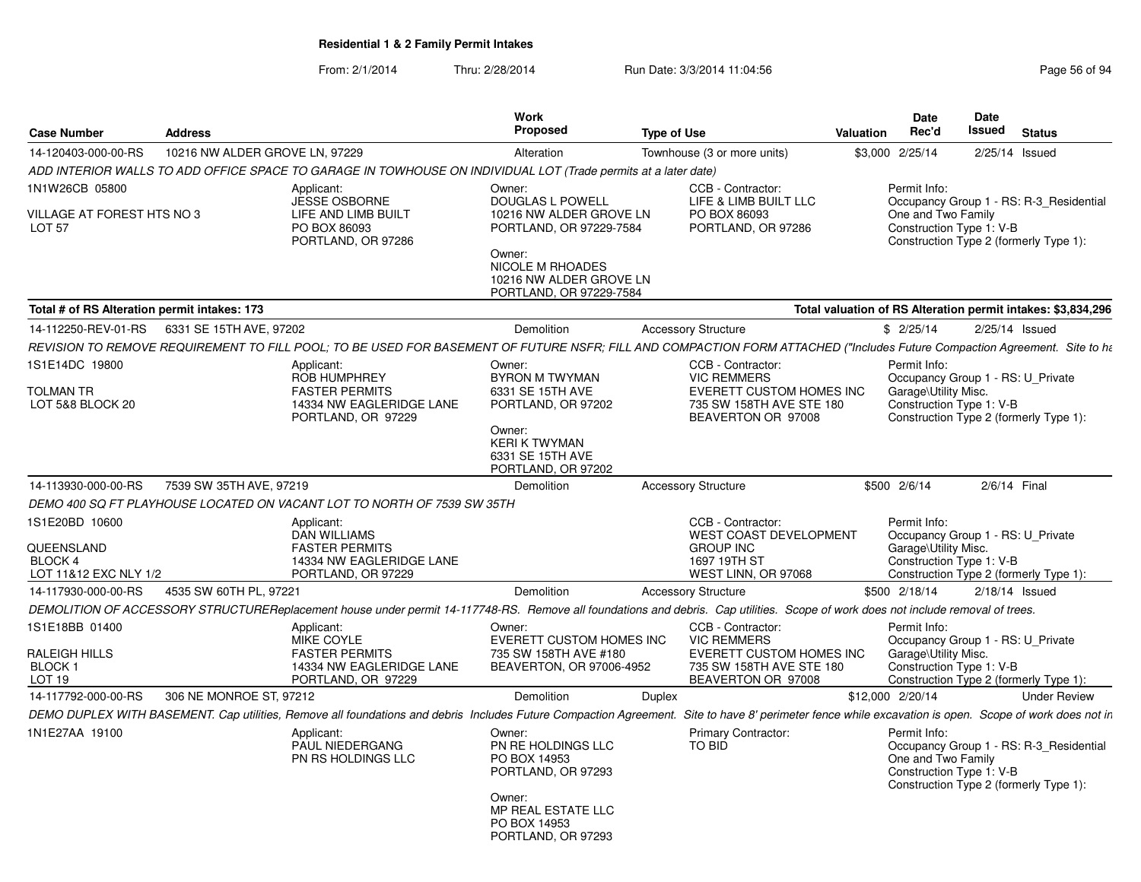From: 2/1/2014Thru: 2/28/2014 Run Date: 3/3/2014 11:04:56 Research 2010 Page 56 of 94

| <b>Case Number</b>                                       | <b>Address</b>                 |                                                                                                                                                                                  | Work<br><b>Proposed</b>                                                                                                                       | <b>Type of Use</b> |                                                                                                  | <b>Valuation</b> | Date<br>Rec'd                                                                         | Date<br>Issued | <b>Status</b>                                                                     |
|----------------------------------------------------------|--------------------------------|----------------------------------------------------------------------------------------------------------------------------------------------------------------------------------|-----------------------------------------------------------------------------------------------------------------------------------------------|--------------------|--------------------------------------------------------------------------------------------------|------------------|---------------------------------------------------------------------------------------|----------------|-----------------------------------------------------------------------------------|
| 14-120403-000-00-RS                                      | 10216 NW ALDER GROVE LN, 97229 |                                                                                                                                                                                  | Alteration                                                                                                                                    |                    | Townhouse (3 or more units)                                                                      |                  | \$3,000 2/25/14                                                                       | 2/25/14        | Issued                                                                            |
|                                                          |                                | ADD INTERIOR WALLS TO ADD OFFICE SPACE TO GARAGE IN TOWHOUSE ON INDIVIDUAL LOT (Trade permits at a later date)                                                                   |                                                                                                                                               |                    |                                                                                                  |                  |                                                                                       |                |                                                                                   |
| 1N1W26CB 05800                                           |                                | Applicant:<br><b>JESSE OSBORNE</b>                                                                                                                                               | Owner:<br>DOUGLAS L POWELL                                                                                                                    |                    | CCB - Contractor:<br>LIFE & LIMB BUILT LLC                                                       |                  | Permit Info:                                                                          |                | Occupancy Group 1 - RS: R-3 Residential                                           |
| VILLAGE AT FOREST HTS NO 3<br>LOT <sub>57</sub>          |                                | LIFE AND LIMB BUILT<br>PO BOX 86093<br>PORTLAND, OR 97286                                                                                                                        | 10216 NW ALDER GROVE LN<br>PORTLAND, OR 97229-7584<br>Owner:<br><b>NICOLE M RHOADES</b><br>10216 NW ALDER GROVE LN<br>PORTLAND, OR 97229-7584 |                    | PO BOX 86093<br>PORTLAND, OR 97286                                                               |                  | One and Two Family<br>Construction Type 1: V-B                                        |                | Construction Type 2 (formerly Type 1):                                            |
| Total # of RS Alteration permit intakes: 173             |                                |                                                                                                                                                                                  |                                                                                                                                               |                    |                                                                                                  |                  |                                                                                       |                | Total valuation of RS Alteration permit intakes: \$3,834,296                      |
| 14-112250-REV-01-RS                                      | 6331 SE 15TH AVE, 97202        |                                                                                                                                                                                  | Demolition                                                                                                                                    |                    | <b>Accessory Structure</b>                                                                       |                  | \$2/25/14                                                                             |                | 2/25/14 Issued                                                                    |
|                                                          |                                | REVISION TO REMOVE REQUIREMENT TO FILL POOL; TO BE USED FOR BASEMENT OF FUTURE NSFR; FILL AND COMPACTION FORM ATTACHED ("Includes Future Compaction Agreement. Site to ht        |                                                                                                                                               |                    |                                                                                                  |                  |                                                                                       |                |                                                                                   |
| 1S1E14DC 19800<br>TOLMAN TR                              |                                | Applicant:<br><b>ROB HUMPHREY</b><br><b>FASTER PERMITS</b>                                                                                                                       | Owner:<br><b>BYRON M TWYMAN</b><br>6331 SE 15TH AVE                                                                                           |                    | CCB - Contractor:<br><b>VIC REMMERS</b><br>EVERETT CUSTOM HOMES INC                              |                  | Permit Info:<br>Occupancy Group 1 - RS: U_Private<br>Garage\Utility Misc.             |                |                                                                                   |
| LOT 5&8 BLOCK 20                                         |                                | 14334 NW EAGLERIDGE LANE<br>PORTLAND, OR 97229                                                                                                                                   | PORTLAND, OR 97202<br>Owner:<br><b>KERI K TWYMAN</b><br>6331 SE 15TH AVE<br>PORTLAND, OR 97202                                                |                    | 735 SW 158TH AVE STE 180<br>BEAVERTON OR 97008                                                   |                  | Construction Type 1: V-B                                                              |                | Construction Type 2 (formerly Type 1):                                            |
| 14-113930-000-00-RS                                      | 7539 SW 35TH AVE, 97219        |                                                                                                                                                                                  | Demolition                                                                                                                                    |                    | <b>Accessory Structure</b>                                                                       |                  | \$500 2/6/14                                                                          | 2/6/14 Final   |                                                                                   |
|                                                          |                                | DEMO 400 SQ FT PLAYHOUSE LOCATED ON VACANT LOT TO NORTH OF 7539 SW 35TH                                                                                                          |                                                                                                                                               |                    |                                                                                                  |                  |                                                                                       |                |                                                                                   |
| 1S1E20BD 10600                                           |                                | Applicant:<br><b>DAN WILLIAMS</b>                                                                                                                                                |                                                                                                                                               |                    | CCB - Contractor:<br><b>WEST COAST DEVELOPMENT</b>                                               |                  | Permit Info:<br>Occupancy Group 1 - RS: U_Private                                     |                |                                                                                   |
| QUEENSLAND<br>BLOCK 4<br>LOT 11&12 EXC NLY 1/2           |                                | <b>FASTER PERMITS</b><br>14334 NW EAGLERIDGE LANE<br>PORTLAND, OR 97229                                                                                                          |                                                                                                                                               |                    | <b>GROUP INC</b><br>1697 19TH ST<br>WEST LINN, OR 97068                                          |                  | Garage\Utility Misc.<br>Construction Type 1: V-B                                      |                | Construction Type 2 (formerly Type 1):                                            |
| 14-117930-000-00-RS                                      | 4535 SW 60TH PL, 97221         |                                                                                                                                                                                  | Demolition                                                                                                                                    |                    | <b>Accessory Structure</b>                                                                       |                  | \$500 2/18/14                                                                         |                | $2/18/14$ Issued                                                                  |
|                                                          |                                | DEMOLITION OF ACCESSORY STRUCTUREReplacement house under permit 14-117748-RS. Remove all foundations and debris. Cap utilities. Scope of work does not include removal of trees. |                                                                                                                                               |                    |                                                                                                  |                  |                                                                                       |                |                                                                                   |
| 1S1E18BB 01400                                           |                                | Applicant:                                                                                                                                                                       | Owner:                                                                                                                                        |                    | CCB - Contractor:                                                                                |                  | Permit Info:                                                                          |                |                                                                                   |
| RALEIGH HILLS<br>BLOCK <sub>1</sub><br>LOT <sub>19</sub> |                                | MIKE COYLE<br><b>FASTER PERMITS</b><br>14334 NW EAGLERIDGE LANE<br>PORTLAND, OR 97229                                                                                            | EVERETT CUSTOM HOMES INC<br>735 SW 158TH AVE #180<br>BEAVERTON, OR 97006-4952                                                                 |                    | <b>VIC REMMERS</b><br>EVERETT CUSTOM HOMES INC<br>735 SW 158TH AVE STE 180<br>BEAVERTON OR 97008 |                  | Occupancy Group 1 - RS: U_Private<br>Garage\Utility Misc.<br>Construction Type 1: V-B |                | Construction Type 2 (formerly Type 1):                                            |
| 14-117792-000-00-RS                                      | 306 NE MONROE ST, 97212        |                                                                                                                                                                                  | Demolition                                                                                                                                    | Duplex             |                                                                                                  |                  | \$12,000 2/20/14                                                                      |                | <b>Under Review</b>                                                               |
|                                                          |                                | DEMO DUPLEX WITH BASEMENT. Cap utilities, Remove all foundations and debris Includes Future Compaction Agreement.                                                                |                                                                                                                                               |                    | Site to have 8' perimeter fence while excavation is open. Scope of work does not in              |                  |                                                                                       |                |                                                                                   |
| 1N1E27AA 19100                                           |                                | Applicant:<br><b>PAUL NIEDERGANG</b><br>PN RS HOLDINGS LLC                                                                                                                       | Owner:<br>PN RE HOLDINGS LLC<br>PO BOX 14953<br>PORTLAND, OR 97293<br>Owner:                                                                  |                    | <b>Primary Contractor:</b><br>TO BID                                                             |                  | Permit Info:<br>One and Two Family<br>Construction Type 1: V-B                        |                | Occupancy Group 1 - RS: R-3 Residential<br>Construction Type 2 (formerly Type 1): |
|                                                          |                                |                                                                                                                                                                                  | MP REAL ESTATE LLC<br>PO BOX 14953<br>PORTLAND, OR 97293                                                                                      |                    |                                                                                                  |                  |                                                                                       |                |                                                                                   |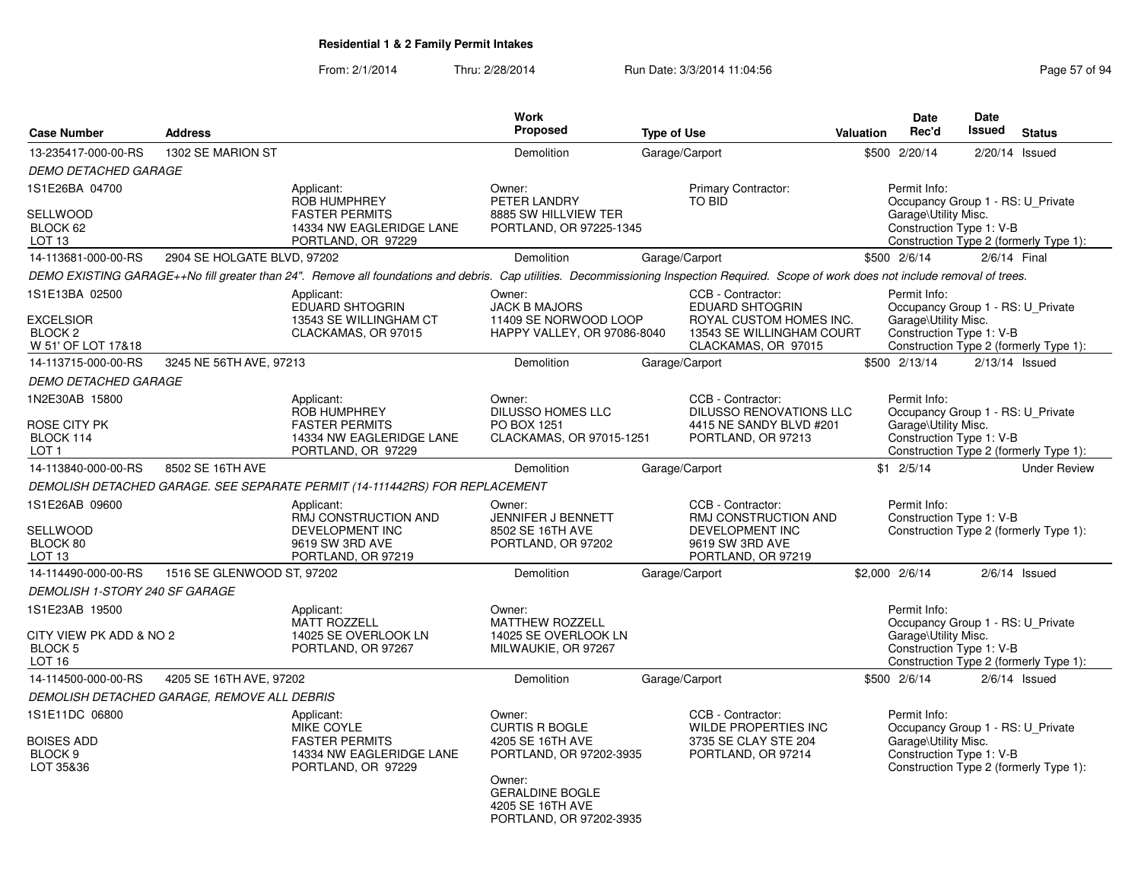| <b>Case Number</b>                                                        | <b>Address</b>                              |                                                                                                                                                                                         | Work<br>Proposed                                                                                                   | <b>Type of Use</b> |                                                                                                                            | Valuation | Date<br>Rec'd                                                                                         | <b>Date</b><br><b>Issued</b> | <b>Status</b>                          |
|---------------------------------------------------------------------------|---------------------------------------------|-----------------------------------------------------------------------------------------------------------------------------------------------------------------------------------------|--------------------------------------------------------------------------------------------------------------------|--------------------|----------------------------------------------------------------------------------------------------------------------------|-----------|-------------------------------------------------------------------------------------------------------|------------------------------|----------------------------------------|
| 13-235417-000-00-RS                                                       | 1302 SE MARION ST                           |                                                                                                                                                                                         | Demolition                                                                                                         | Garage/Carport     |                                                                                                                            | \$500     | 2/20/14                                                                                               |                              | $2/20/14$ Issued                       |
| <b>DEMO DETACHED GARAGE</b>                                               |                                             |                                                                                                                                                                                         |                                                                                                                    |                    |                                                                                                                            |           |                                                                                                       |                              |                                        |
| 1S1E26BA 04700                                                            |                                             | Applicant:<br>ROB HUMPHREY                                                                                                                                                              | Owner:<br>PETER LANDRY                                                                                             |                    | <b>Primary Contractor:</b><br><b>TO BID</b>                                                                                |           | Permit Info:<br>Occupancy Group 1 - RS: U_Private                                                     |                              |                                        |
| <b>SELLWOOD</b><br>BLOCK 62<br>LOT <sub>13</sub>                          |                                             | <b>FASTER PERMITS</b><br>14334 NW EAGLERIDGE LANE<br>PORTLAND, OR 97229                                                                                                                 | 8885 SW HILLVIEW TER<br>PORTLAND, OR 97225-1345                                                                    |                    |                                                                                                                            |           | Garage\Utility Misc.<br>Construction Type 1: V-B                                                      |                              | Construction Type 2 (formerly Type 1): |
| 14-113681-000-00-RS                                                       | 2904 SE HOLGATE BLVD, 97202                 |                                                                                                                                                                                         | Demolition                                                                                                         | Garage/Carport     |                                                                                                                            |           | \$500 2/6/14                                                                                          |                              | 2/6/14 Final                           |
|                                                                           |                                             | DEMO EXISTING GARAGE++No fill greater than 24". Remove all foundations and debris. Cap utilities. Decommissioning Inspection Required. Scope of work does not include removal of trees. |                                                                                                                    |                    |                                                                                                                            |           |                                                                                                       |                              |                                        |
| 1S1E13BA 02500<br>EXCELSIOR<br>BLOCK <sub>2</sub><br>W 51' OF LOT 17&18   |                                             | Applicant:<br>EDUARD SHTOGRIN<br>13543 SE WILLINGHAM CT<br>CLACKAMAS, OR 97015                                                                                                          | Owner:<br><b>JACK B MAJORS</b><br>11409 SE NORWOOD LOOP<br>HAPPY VALLEY, OR 97086-8040                             |                    | CCB - Contractor:<br><b>EDUARD SHTOGRIN</b><br>ROYAL CUSTOM HOMES INC.<br>13543 SE WILLINGHAM COURT<br>CLACKAMAS, OR 97015 |           | Permit Info:<br>Occupancy Group 1 - RS: U_Private<br>Garage\Utility Misc.<br>Construction Type 1: V-B |                              | Construction Type 2 (formerly Type 1): |
| 14-113715-000-00-RS                                                       | 3245 NE 56TH AVE, 97213                     |                                                                                                                                                                                         | Demolition                                                                                                         | Garage/Carport     |                                                                                                                            |           | \$500 2/13/14                                                                                         |                              | $2/13/14$ Issued                       |
| <b>DEMO DETACHED GARAGE</b>                                               |                                             |                                                                                                                                                                                         |                                                                                                                    |                    |                                                                                                                            |           |                                                                                                       |                              |                                        |
| 1N2E30AB 15800                                                            |                                             | Applicant:<br>ROB HUMPHREY                                                                                                                                                              | Owner:<br><b>DILUSSO HOMES LLC</b>                                                                                 |                    | CCB - Contractor:<br><b>DILUSSO RENOVATIONS LLC</b>                                                                        |           | Permit Info:<br>Occupancy Group 1 - RS: U_Private                                                     |                              |                                        |
| ROSE CITY PK<br>BLOCK 114<br>LOT 1                                        |                                             | <b>FASTER PERMITS</b><br>14334 NW EAGLERIDGE LANE<br>PORTLAND, OR 97229                                                                                                                 | PO BOX 1251<br>CLACKAMAS, OR 97015-1251                                                                            |                    | 4415 NE SANDY BLVD #201<br>PORTLAND, OR 97213                                                                              |           | Garage\Utility Misc.<br>Construction Type 1: V-B                                                      |                              | Construction Type 2 (formerly Type 1): |
| 14-113840-000-00-RS                                                       | 8502 SE 16TH AVE                            |                                                                                                                                                                                         | <b>Demolition</b>                                                                                                  | Garage/Carport     |                                                                                                                            |           | $$1 \t2/5/14$                                                                                         |                              | <b>Under Review</b>                    |
|                                                                           |                                             | DEMOLISH DETACHED GARAGE. SEE SEPARATE PERMIT (14-111442RS) FOR REPLACEMENT                                                                                                             |                                                                                                                    |                    |                                                                                                                            |           |                                                                                                       |                              |                                        |
| 1S1E26AB 09600<br>SELLWOOD<br>BLOCK 80<br>LOT <sub>13</sub>               |                                             | Applicant:<br>RMJ CONSTRUCTION AND<br>DEVELOPMENT INC<br>9619 SW 3RD AVE<br>PORTLAND, OR 97219                                                                                          | Owner:<br><b>JENNIFER J BENNETT</b><br>8502 SE 16TH AVE<br>PORTLAND, OR 97202                                      |                    | CCB - Contractor:<br><b>RMJ CONSTRUCTION AND</b><br>DEVELOPMENT INC<br>9619 SW 3RD AVE<br>PORTLAND, OR 97219               |           | Permit Info:<br>Construction Type 1: V-B                                                              |                              | Construction Type 2 (formerly Type 1): |
| 14-114490-000-00-RS                                                       | 1516 SE GLENWOOD ST, 97202                  |                                                                                                                                                                                         | Demolition                                                                                                         | Garage/Carport     |                                                                                                                            |           | \$2,000 2/6/14                                                                                        |                              | $2/6/14$ Issued                        |
| DEMOLISH 1-STORY 240 SF GARAGE                                            |                                             |                                                                                                                                                                                         |                                                                                                                    |                    |                                                                                                                            |           |                                                                                                       |                              |                                        |
| 1S1E23AB 19500<br>CITY VIEW PK ADD & NO 2<br>BLOCK <sub>5</sub><br>LOT 16 |                                             | Applicant:<br><b>MATT ROZZELL</b><br>14025 SE OVERLOOK LN<br>PORTLAND, OR 97267                                                                                                         | Owner:<br><b>MATTHEW ROZZELL</b><br>14025 SE OVERLOOK LN<br>MILWAUKIE, OR 97267                                    |                    |                                                                                                                            |           | Permit Info:<br>Occupancy Group 1 - RS: U_Private<br>Garage\Utility Misc.<br>Construction Type 1: V-B |                              | Construction Type 2 (formerly Type 1): |
| 14-114500-000-00-RS                                                       | 4205 SE 16TH AVE, 97202                     |                                                                                                                                                                                         | Demolition                                                                                                         | Garage/Carport     |                                                                                                                            |           | \$500 2/6/14                                                                                          |                              | $2/6/14$ Issued                        |
|                                                                           | DEMOLISH DETACHED GARAGE, REMOVE ALL DEBRIS |                                                                                                                                                                                         |                                                                                                                    |                    |                                                                                                                            |           |                                                                                                       |                              |                                        |
| 1S1E11DC 06800<br><b>BOISES ADD</b><br>BLOCK <sub>9</sub><br>LOT 35&36    |                                             | Applicant:<br>MIKE COYLE<br><b>FASTER PERMITS</b><br>14334 NW EAGLERIDGE LANE<br>PORTLAND, OR 97229                                                                                     | Owner:<br><b>CURTIS R BOGLE</b><br>4205 SE 16TH AVE<br>PORTLAND, OR 97202-3935<br>Owner:<br><b>GERALDINE BOGLE</b> |                    | CCB - Contractor:<br>WILDE PROPERTIES INC<br>3735 SE CLAY STE 204<br>PORTLAND, OR 97214                                    |           | Permit Info:<br>Occupancy Group 1 - RS: U_Private<br>Garage\Utility Misc.<br>Construction Type 1: V-B |                              | Construction Type 2 (formerly Type 1): |
|                                                                           |                                             |                                                                                                                                                                                         | 4205 SE 16TH AVE<br>PORTLAND, OR 97202-3935                                                                        |                    |                                                                                                                            |           |                                                                                                       |                              |                                        |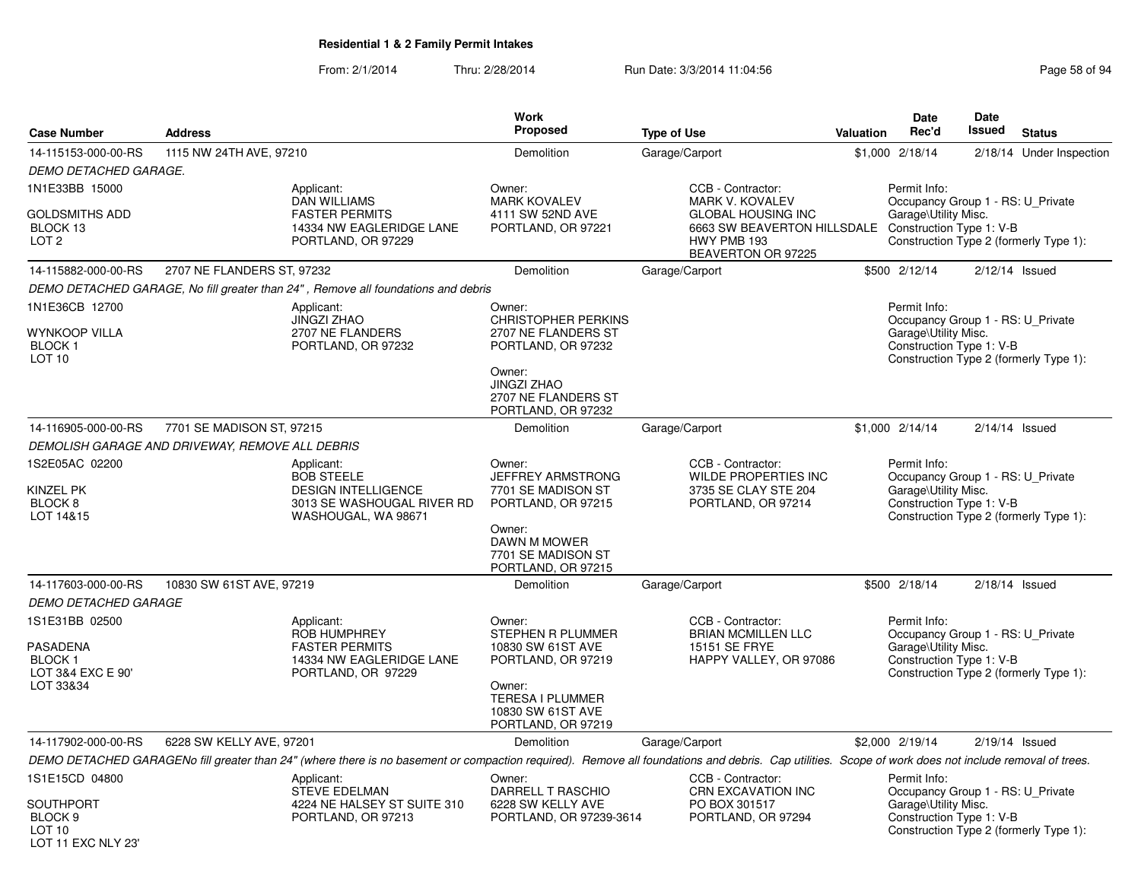LOT 11 EXC NLY 23'

### From: 2/1/2014Thru: 2/28/2014 Run Date: 3/3/2014 11:04:56 Research 2010 12:04:56

| <b>Case Number</b>                                             | <b>Address</b>                                  |                                                                                                                                                                                                      | <b>Work</b><br><b>Proposed</b>                                                                                                                       | <b>Type of Use</b>                                                                            | Valuation | Date<br>Rec'd                                                                                         | Date<br>Issued   | <b>Status</b>                          |
|----------------------------------------------------------------|-------------------------------------------------|------------------------------------------------------------------------------------------------------------------------------------------------------------------------------------------------------|------------------------------------------------------------------------------------------------------------------------------------------------------|-----------------------------------------------------------------------------------------------|-----------|-------------------------------------------------------------------------------------------------------|------------------|----------------------------------------|
| 14-115153-000-00-RS                                            | 1115 NW 24TH AVE, 97210                         |                                                                                                                                                                                                      | Demolition                                                                                                                                           | Garage/Carport                                                                                |           | \$1,000 2/18/14                                                                                       |                  | 2/18/14 Under Inspection               |
| DEMO DETACHED GARAGE.                                          |                                                 |                                                                                                                                                                                                      |                                                                                                                                                      |                                                                                               |           |                                                                                                       |                  |                                        |
| 1N1E33BB 15000                                                 |                                                 | Applicant:<br>DAN WILLIAMS                                                                                                                                                                           | Owner:<br><b>MARK KOVALEV</b>                                                                                                                        | CCB - Contractor:<br>MARK V. KOVALEV                                                          |           | Permit Info:<br>Occupancy Group 1 - RS: U Private                                                     |                  |                                        |
| GOLDSMITHS ADD<br>BLOCK 13<br>LOT <sub>2</sub>                 |                                                 | <b>FASTER PERMITS</b><br>14334 NW EAGLERIDGE LANE<br>PORTLAND, OR 97229                                                                                                                              | 4111 SW 52ND AVE<br>PORTLAND, OR 97221                                                                                                               | <b>GLOBAL HOUSING INC</b><br>6663 SW BEAVERTON HILLSDALE<br>HWY PMB 193<br>BEAVERTON OR 97225 |           | Garage\Utility Misc.<br>Construction Type 1: V-B                                                      |                  | Construction Type 2 (formerly Type 1): |
| 14-115882-000-00-RS                                            | 2707 NE FLANDERS ST, 97232                      |                                                                                                                                                                                                      | Demolition                                                                                                                                           | Garage/Carport                                                                                |           | \$500 2/12/14                                                                                         | $2/12/14$ Issued |                                        |
|                                                                |                                                 | DEMO DETACHED GARAGE, No fill greater than 24", Remove all foundations and debris                                                                                                                    |                                                                                                                                                      |                                                                                               |           |                                                                                                       |                  |                                        |
| 1N1E36CB 12700                                                 |                                                 | Applicant:                                                                                                                                                                                           | Owner:                                                                                                                                               |                                                                                               |           | Permit Info:                                                                                          |                  |                                        |
| <b>WYNKOOP VILLA</b><br><b>BLOCK1</b><br>LOT <sub>10</sub>     |                                                 | <b>JINGZI ZHAO</b><br>2707 NE FLANDERS<br>PORTLAND, OR 97232                                                                                                                                         | <b>CHRISTOPHER PERKINS</b><br>2707 NE FLANDERS ST<br>PORTLAND, OR 97232<br>Owner:<br><b>JINGZI ZHAO</b><br>2707 NE FLANDERS ST<br>PORTLAND, OR 97232 |                                                                                               |           | Occupancy Group 1 - RS: U_Private<br>Garage\Utility Misc.<br>Construction Type 1: V-B                 |                  | Construction Type 2 (formerly Type 1): |
| 14-116905-000-00-RS                                            | 7701 SE MADISON ST, 97215                       |                                                                                                                                                                                                      | Demolition                                                                                                                                           | Garage/Carport                                                                                |           | \$1,000 2/14/14                                                                                       | $2/14/14$ Issued |                                        |
|                                                                | DEMOLISH GARAGE AND DRIVEWAY, REMOVE ALL DEBRIS |                                                                                                                                                                                                      |                                                                                                                                                      |                                                                                               |           |                                                                                                       |                  |                                        |
| 1S2E05AC 02200<br>KINZEL PK<br>BLOCK <sub>8</sub><br>LOT 14&15 |                                                 | Applicant:<br><b>BOB STEELE</b><br><b>DESIGN INTELLIGENCE</b><br>3013 SE WASHOUGAL RIVER RD<br>WASHOUGAL, WA 98671                                                                                   | Owner:<br>JEFFREY ARMSTRONG<br>7701 SE MADISON ST<br>PORTLAND, OR 97215<br>Owner:                                                                    | CCB - Contractor:<br>WILDE PROPERTIES INC<br>3735 SE CLAY STE 204<br>PORTLAND, OR 97214       |           | Permit Info:<br>Occupancy Group 1 - RS: U Private<br>Garage\Utility Misc.<br>Construction Type 1: V-B |                  | Construction Type 2 (formerly Type 1): |
|                                                                |                                                 |                                                                                                                                                                                                      | DAWN M MOWER<br>7701 SE MADISON ST<br>PORTLAND, OR 97215                                                                                             |                                                                                               |           |                                                                                                       |                  |                                        |
| 14-117603-000-00-RS                                            | 10830 SW 61ST AVE, 97219                        |                                                                                                                                                                                                      | Demolition                                                                                                                                           | Garage/Carport                                                                                |           | \$500 2/18/14                                                                                         | $2/18/14$ Issued |                                        |
| <b>DEMO DETACHED GARAGE</b>                                    |                                                 |                                                                                                                                                                                                      |                                                                                                                                                      |                                                                                               |           |                                                                                                       |                  |                                        |
| 1S1E31BB 02500<br><b>PASADENA</b>                              |                                                 | Applicant:<br><b>ROB HUMPHREY</b><br><b>FASTER PERMITS</b>                                                                                                                                           | Owner:<br>STEPHEN R PLUMMER<br>10830 SW 61ST AVE                                                                                                     | CCB - Contractor:<br><b>BRIAN MCMILLEN LLC</b><br>15151 SE FRYE                               |           | Permit Info:<br>Occupancy Group 1 - RS: U Private<br>Garage\Utility Misc.                             |                  |                                        |
| BLOCK 1<br>LOT 3&4 EXC E 90'<br>LOT 33&34                      |                                                 | 14334 NW EAGLERIDGE LANE<br>PORTLAND, OR 97229                                                                                                                                                       | PORTLAND, OR 97219<br>Owner:<br><b>TERESA I PLUMMER</b><br>10830 SW 61ST AVE<br>PORTLAND, OR 97219                                                   | HAPPY VALLEY, OR 97086                                                                        |           | Construction Type 1: V-B                                                                              |                  | Construction Type 2 (formerly Type 1): |
| 14-117902-000-00-RS                                            | 6228 SW KELLY AVE, 97201                        |                                                                                                                                                                                                      | Demolition                                                                                                                                           | Garage/Carport                                                                                |           | \$2,000 2/19/14                                                                                       | $2/19/14$ Issued |                                        |
|                                                                |                                                 | DEMO DETACHED GARAGENo fill greater than 24" (where there is no basement or compaction required). Remove all foundations and debris. Cap utilities. Scope of work does not include removal of trees. |                                                                                                                                                      |                                                                                               |           |                                                                                                       |                  |                                        |
| 1S1E15CD 04800                                                 |                                                 | Applicant:<br><b>STEVE EDELMAN</b>                                                                                                                                                                   | Owner:<br>DARRELL T RASCHIO                                                                                                                          | CCB - Contractor:<br><b>CRN EXCAVATION INC</b>                                                |           | Permit Info:<br>Occupancy Group 1 - RS: U_Private                                                     |                  |                                        |
| <b>SOUTHPORT</b><br>BLOCK <sub>9</sub><br>LOT <sub>10</sub>    |                                                 | 4224 NE HALSEY ST SUITE 310<br>PORTLAND, OR 97213                                                                                                                                                    | 6228 SW KELLY AVE<br>PORTLAND, OR 97239-3614                                                                                                         | PO BOX 301517<br>PORTLAND, OR 97294                                                           |           | Garage\Utility Misc.<br>Construction Type 1: V-B                                                      |                  | Construction Type 2 (formerly Type 1): |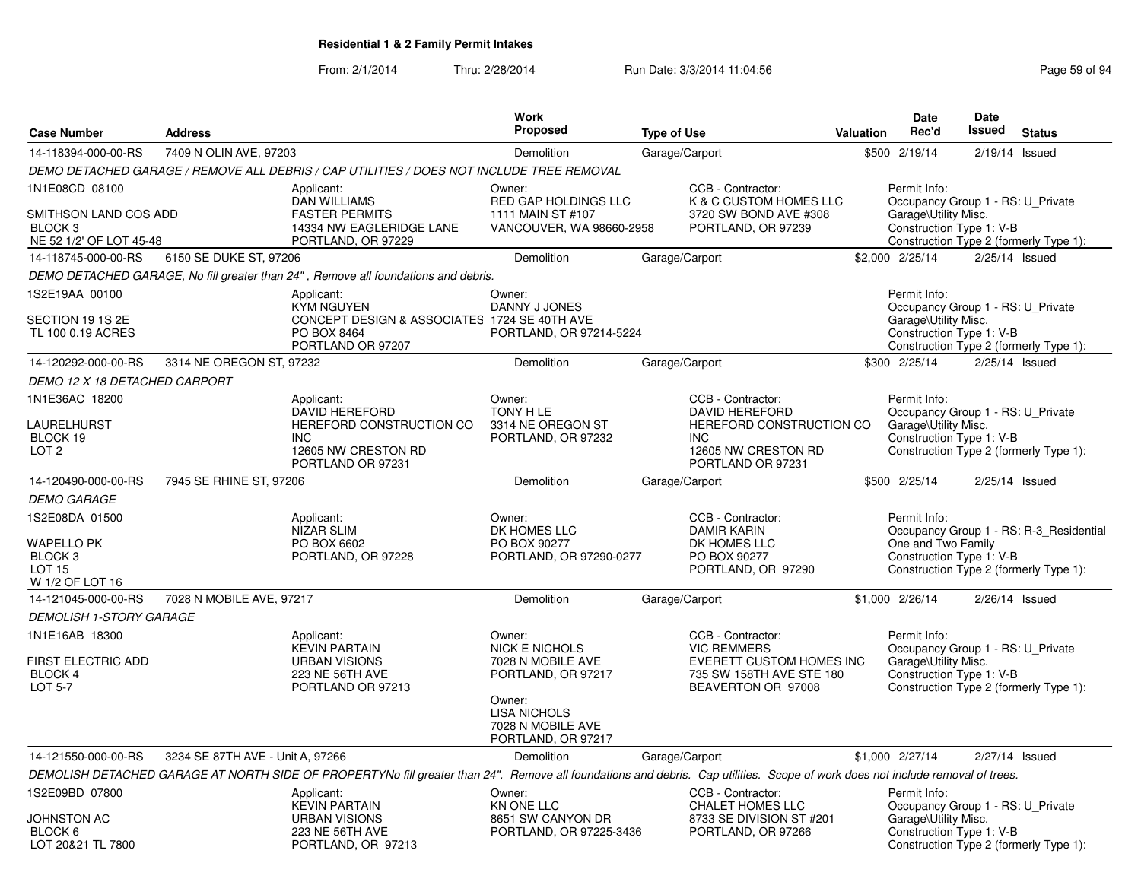|                                                                                        |                                  |                                                                                                                                                                                | Work                                                                                                                                                   |                    |                                                                                                                           |           | <b>Date</b>                                                                                           | Date   |                                                                                   |
|----------------------------------------------------------------------------------------|----------------------------------|--------------------------------------------------------------------------------------------------------------------------------------------------------------------------------|--------------------------------------------------------------------------------------------------------------------------------------------------------|--------------------|---------------------------------------------------------------------------------------------------------------------------|-----------|-------------------------------------------------------------------------------------------------------|--------|-----------------------------------------------------------------------------------|
| <b>Case Number</b>                                                                     | <b>Address</b>                   |                                                                                                                                                                                | <b>Proposed</b>                                                                                                                                        | <b>Type of Use</b> |                                                                                                                           | Valuation | Rec'd                                                                                                 | Issued | <b>Status</b>                                                                     |
| 14-118394-000-00-RS                                                                    | 7409 N OLIN AVE, 97203           |                                                                                                                                                                                | Demolition                                                                                                                                             | Garage/Carport     |                                                                                                                           |           | \$500 2/19/14                                                                                         |        | $2/19/14$ Issued                                                                  |
|                                                                                        |                                  | DEMO DETACHED GARAGE / REMOVE ALL DEBRIS / CAP UTILITIES / DOES NOT INCLUDE TREE REMOVAL                                                                                       |                                                                                                                                                        |                    |                                                                                                                           |           |                                                                                                       |        |                                                                                   |
| 1N1E08CD 08100<br>SMITHSON LAND COS ADD<br>BLOCK 3                                     |                                  | Applicant:<br><b>DAN WILLIAMS</b><br><b>FASTER PERMITS</b><br>14334 NW EAGLERIDGE LANE                                                                                         | Owner:<br>RED GAP HOLDINGS LLC<br>1111 MAIN ST #107<br>VANCOUVER, WA 98660-2958                                                                        |                    | CCB - Contractor:<br>K & C CUSTOM HOMES LLC<br>3720 SW BOND AVE #308<br>PORTLAND, OR 97239                                |           | Permit Info:<br>Occupancy Group 1 - RS: U Private<br>Garage\Utility Misc.<br>Construction Type 1: V-B |        |                                                                                   |
| NE 52 1/2' OF LOT 45-48                                                                |                                  | PORTLAND, OR 97229                                                                                                                                                             |                                                                                                                                                        |                    |                                                                                                                           |           |                                                                                                       |        | Construction Type 2 (formerly Type 1):                                            |
| 14-118745-000-00-RS                                                                    | 6150 SE DUKE ST, 97206           |                                                                                                                                                                                | Demolition                                                                                                                                             | Garage/Carport     |                                                                                                                           |           | \$2,000 2/25/14                                                                                       |        | $2/25/14$ Issued                                                                  |
|                                                                                        |                                  | DEMO DETACHED GARAGE, No fill greater than 24", Remove all foundations and debris.                                                                                             |                                                                                                                                                        |                    |                                                                                                                           |           |                                                                                                       |        |                                                                                   |
| 1S2E19AA 00100<br>SECTION 19 1S 2E<br>TL 100 0.19 ACRES                                |                                  | Applicant:<br><b>KYM NGUYEN</b><br>CONCEPT DESIGN & ASSOCIATES 1724 SE 40TH AVE<br>PO BOX 8464<br>PORTLAND OR 97207                                                            | Owner:<br>DANNY J JONES<br>PORTLAND, OR 97214-5224                                                                                                     |                    |                                                                                                                           |           | Permit Info:<br>Occupancy Group 1 - RS: U_Private<br>Garage\Utility Misc.<br>Construction Type 1: V-B |        | Construction Type 2 (formerly Type 1):                                            |
| 14-120292-000-00-RS                                                                    | 3314 NE OREGON ST, 97232         |                                                                                                                                                                                | Demolition                                                                                                                                             | Garage/Carport     |                                                                                                                           |           | \$300 2/25/14                                                                                         |        | $2/25/14$ Issued                                                                  |
| DEMO 12 X 18 DETACHED CARPORT                                                          |                                  |                                                                                                                                                                                |                                                                                                                                                        |                    |                                                                                                                           |           |                                                                                                       |        |                                                                                   |
| 1N1E36AC 18200<br>LAURELHURST<br>BLOCK 19<br>LOT <sub>2</sub>                          |                                  | Applicant:<br>DAVID HEREFORD<br>HEREFORD CONSTRUCTION CO<br><b>INC</b><br>12605 NW CRESTON RD<br>PORTLAND OR 97231                                                             | Owner:<br>TONY H LE<br>3314 NE OREGON ST<br>PORTLAND, OR 97232                                                                                         |                    | CCB - Contractor:<br>DAVID HEREFORD<br>HEREFORD CONSTRUCTION CO<br><b>INC</b><br>12605 NW CRESTON RD<br>PORTLAND OR 97231 |           | Permit Info:<br>Occupancy Group 1 - RS: U Private<br>Garage\Utility Misc.<br>Construction Type 1: V-B |        | Construction Type 2 (formerly Type 1):                                            |
| 14-120490-000-00-RS                                                                    | 7945 SE RHINE ST, 97206          |                                                                                                                                                                                | Demolition                                                                                                                                             | Garage/Carport     |                                                                                                                           |           | \$500 2/25/14                                                                                         |        | $2/25/14$ Issued                                                                  |
| <b>DEMO GARAGE</b>                                                                     |                                  |                                                                                                                                                                                |                                                                                                                                                        |                    |                                                                                                                           |           |                                                                                                       |        |                                                                                   |
| 1S2E08DA 01500<br><b>WAPELLO PK</b><br>BLOCK <sub>3</sub><br>LOT 15<br>W 1/2 OF LOT 16 |                                  | Applicant:<br><b>NIZAR SLIM</b><br>PO BOX 6602<br>PORTLAND, OR 97228                                                                                                           | Owner:<br>DK HOMES LLC<br>PO BOX 90277<br>PORTLAND, OR 97290-0277                                                                                      |                    | CCB - Contractor:<br><b>DAMIR KARIN</b><br>DK HOMES LLC<br>PO BOX 90277<br>PORTLAND, OR 97290                             |           | Permit Info:<br>One and Two Family<br>Construction Type 1: V-B                                        |        | Occupancy Group 1 - RS: R-3_Residential<br>Construction Type 2 (formerly Type 1): |
| 14-121045-000-00-RS                                                                    | 7028 N MOBILE AVE, 97217         |                                                                                                                                                                                | Demolition                                                                                                                                             | Garage/Carport     |                                                                                                                           |           | \$1,000 2/26/14                                                                                       |        | $2/26/14$ Issued                                                                  |
| <b>DEMOLISH 1-STORY GARAGE</b>                                                         |                                  |                                                                                                                                                                                |                                                                                                                                                        |                    |                                                                                                                           |           |                                                                                                       |        |                                                                                   |
| 1N1E16AB 18300<br>FIRST ELECTRIC ADD<br><b>BLOCK 4</b><br>LOT 5-7                      |                                  | Applicant:<br><b>KEVIN PARTAIN</b><br><b>URBAN VISIONS</b><br>223 NE 56TH AVE<br>PORTLAND OR 97213                                                                             | Owner:<br><b>NICK E NICHOLS</b><br>7028 N MOBILE AVE<br>PORTLAND, OR 97217<br>Owner:<br><b>LISA NICHOLS</b><br>7028 N MOBILE AVE<br>PORTLAND, OR 97217 |                    | CCB - Contractor:<br><b>VIC REMMERS</b><br>EVERETT CUSTOM HOMES INC<br>735 SW 158TH AVE STE 180<br>BEAVERTON OR 97008     |           | Permit Info:<br>Occupancy Group 1 - RS: U_Private<br>Garage\Utility Misc.<br>Construction Type 1: V-B |        | Construction Type 2 (formerly Type 1):                                            |
| 14-121550-000-00-RS                                                                    | 3234 SE 87TH AVE - Unit A, 97266 |                                                                                                                                                                                | Demolition                                                                                                                                             | Garage/Carport     |                                                                                                                           |           | \$1,000 2/27/14                                                                                       |        | 2/27/14 Issued                                                                    |
|                                                                                        |                                  | DEMOLISH DETACHED GARAGE AT NORTH SIDE OF PROPERTYNo fill greater than 24". Remove all foundations and debris. Cap utilities. Scope of work does not include removal of trees. |                                                                                                                                                        |                    |                                                                                                                           |           |                                                                                                       |        |                                                                                   |
| 1S2E09BD 07800<br>JOHNSTON AC                                                          |                                  | Applicant:<br><b>KEVIN PARTAIN</b><br><b>URBAN VISIONS</b>                                                                                                                     | Owner:<br><b>KN ONE LLC</b><br>8651 SW CANYON DR                                                                                                       |                    | CCB - Contractor:<br><b>CHALET HOMES LLC</b><br>8733 SE DIVISION ST #201                                                  |           | Permit Info:<br>Occupancy Group 1 - RS: U_Private<br>Garage\Utility Misc.                             |        |                                                                                   |
| BLOCK 6<br>LOT 20&21 TL 7800                                                           |                                  | 223 NE 56TH AVE<br>PORTLAND, OR 97213                                                                                                                                          | PORTLAND, OR 97225-3436                                                                                                                                |                    | PORTLAND, OR 97266                                                                                                        |           | Construction Type 1: V-B                                                                              |        | Construction Type 2 (formerly Type 1):                                            |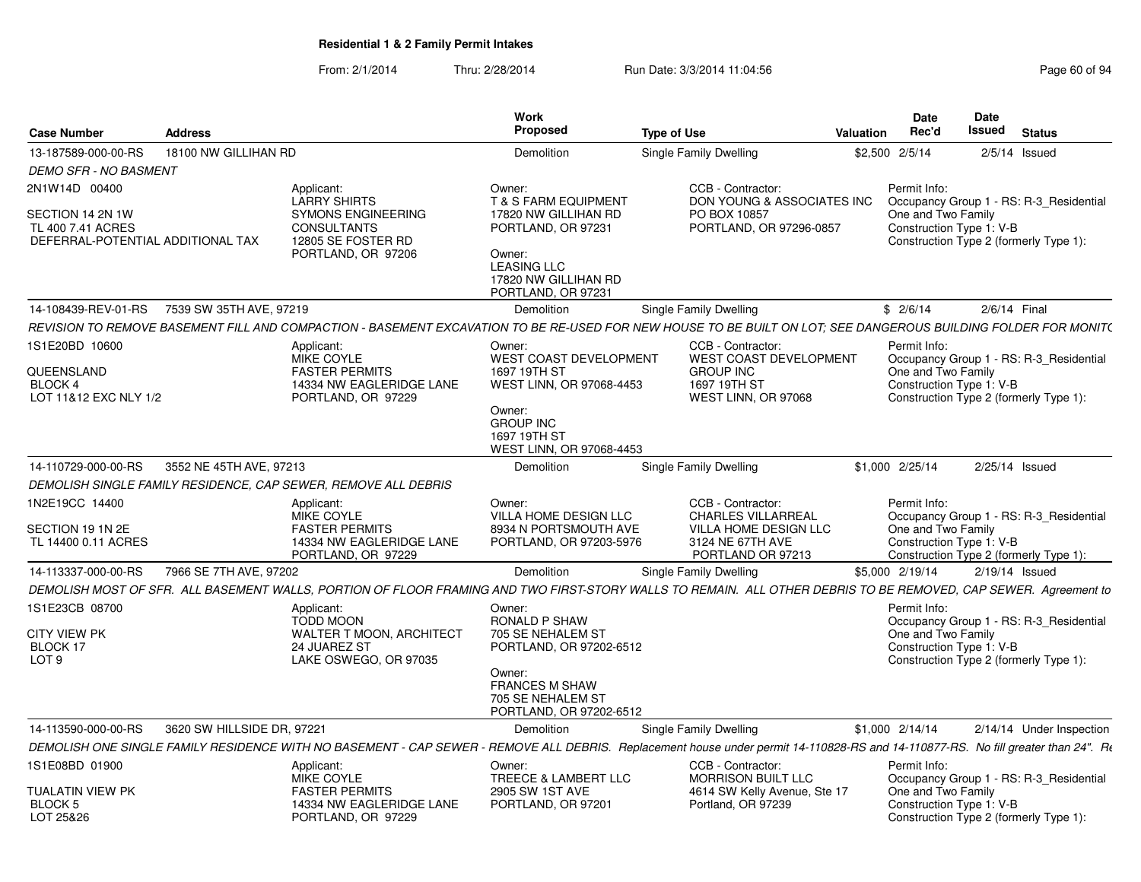| <b>Case Number</b>                                                         | <b>Address</b>             |                                                                                                                                                                                   | <b>Work</b><br>Proposed                                                                                                                      | <b>Type of Use</b>                                                                       | Valuation | Date<br>Rec'd                                                                            | Date<br>Issued   | <b>Status</b>                                                                     |
|----------------------------------------------------------------------------|----------------------------|-----------------------------------------------------------------------------------------------------------------------------------------------------------------------------------|----------------------------------------------------------------------------------------------------------------------------------------------|------------------------------------------------------------------------------------------|-----------|------------------------------------------------------------------------------------------|------------------|-----------------------------------------------------------------------------------|
| 13-187589-000-00-RS                                                        | 18100 NW GILLIHAN RD       |                                                                                                                                                                                   | Demolition                                                                                                                                   | Single Family Dwelling                                                                   |           | \$2,500 2/5/14                                                                           |                  | $2/5/14$ Issued                                                                   |
| <b>DEMO SFR - NO BASMENT</b>                                               |                            |                                                                                                                                                                                   |                                                                                                                                              |                                                                                          |           |                                                                                          |                  |                                                                                   |
| 2N1W14D 00400                                                              |                            | Applicant:<br><b>LARRY SHIRTS</b>                                                                                                                                                 | Owner:<br><b>T &amp; S FARM EQUIPMENT</b>                                                                                                    | CCB - Contractor:<br>DON YOUNG & ASSOCIATES INC                                          |           | Permit Info:                                                                             |                  | Occupancy Group 1 - RS: R-3_Residential                                           |
| SECTION 14 2N 1W<br>TL 400 7.41 ACRES<br>DEFERRAL-POTENTIAL ADDITIONAL TAX |                            | <b>SYMONS ENGINEERING</b><br><b>CONSULTANTS</b><br>12805 SE FOSTER RD<br>PORTLAND, OR 97206                                                                                       | 17820 NW GILLIHAN RD<br>PORTLAND, OR 97231<br>Owner:<br><b>LEASING LLC</b><br>17820 NW GILLIHAN RD<br>PORTLAND, OR 97231                     | PO BOX 10857<br>PORTLAND, OR 97296-0857                                                  |           | One and Two Family<br>Construction Type 1: V-B<br>Construction Type 2 (formerly Type 1): |                  |                                                                                   |
| 14-108439-REV-01-RS                                                        | 7539 SW 35TH AVE, 97219    |                                                                                                                                                                                   | <b>Demolition</b>                                                                                                                            | Single Family Dwelling                                                                   |           | \$2/6/14                                                                                 | 2/6/14 Final     |                                                                                   |
|                                                                            |                            | REVISION TO REMOVE BASEMENT FILL AND COMPACTION - BASEMENT EXCAVATION TO BE RE-USED FOR NEW HOUSE TO BE BUILT ON LOT; SEE DANGEROUS BUILDING FOLDER FOR MONIT(                    |                                                                                                                                              |                                                                                          |           |                                                                                          |                  |                                                                                   |
| 1S1E20BD 10600                                                             |                            | Applicant:                                                                                                                                                                        | Owner:                                                                                                                                       | CCB - Contractor:                                                                        |           | Permit Info:                                                                             |                  |                                                                                   |
| QUEENSLAND<br>BLOCK 4<br>LOT 11&12 EXC NLY 1/2                             |                            | MIKE COYLE<br><b>FASTER PERMITS</b><br>14334 NW EAGLERIDGE LANE<br>PORTLAND, OR 97229                                                                                             | WEST COAST DEVELOPMENT<br>1697 19TH ST<br>WEST LINN, OR 97068-4453<br>Owner:<br><b>GROUP INC</b><br>1697 19TH ST<br>WEST LINN, OR 97068-4453 | <b>WEST COAST DEVELOPMENT</b><br><b>GROUP INC</b><br>1697 19TH ST<br>WEST LINN, OR 97068 |           | One and Two Family<br>Construction Type 1: V-B<br>Construction Type 2 (formerly Type 1): |                  | Occupancy Group 1 - RS: R-3_Residential                                           |
| 14-110729-000-00-RS                                                        | 3552 NE 45TH AVE, 97213    |                                                                                                                                                                                   | Demolition                                                                                                                                   | Single Family Dwelling                                                                   |           | \$1,000 2/25/14                                                                          | $2/25/14$ Issued |                                                                                   |
|                                                                            |                            | DEMOLISH SINGLE FAMILY RESIDENCE. CAP SEWER. REMOVE ALL DEBRIS                                                                                                                    |                                                                                                                                              |                                                                                          |           |                                                                                          |                  |                                                                                   |
| 1N2E19CC 14400<br>SECTION 19 1N 2E                                         |                            | Applicant:<br><b>MIKE COYLE</b><br><b>FASTER PERMITS</b>                                                                                                                          | Owner:<br>VILLA HOME DESIGN LLC<br>8934 N PORTSMOUTH AVE                                                                                     | CCB - Contractor:<br><b>CHARLES VILLARREAL</b><br>VILLA HOME DESIGN LLC                  |           | Permit Info:<br>One and Two Family                                                       |                  | Occupancy Group 1 - RS: R-3 Residential                                           |
| TL 14400 0.11 ACRES                                                        |                            | 14334 NW EAGLERIDGE LANE<br>PORTLAND, OR 97229                                                                                                                                    | PORTLAND, OR 97203-5976                                                                                                                      | 3124 NE 67TH AVE<br>PORTLAND OR 97213                                                    |           | Construction Type 1: V-B                                                                 |                  | Construction Type 2 (formerly Type 1):                                            |
| 14-113337-000-00-RS                                                        | 7966 SE 7TH AVE, 97202     |                                                                                                                                                                                   | Demolition                                                                                                                                   | Single Family Dwelling                                                                   |           | \$5,000 2/19/14                                                                          | 2/19/14 Issued   |                                                                                   |
|                                                                            |                            | DEMOLISH MOST OF SFR. ALL BASEMENT WALLS, PORTION OF FLOOR FRAMING AND TWO FIRST-STORY WALLS TO REMAIN. ALL OTHER DEBRIS TO BE REMOVED, CAP SEWER. Agreement to                   |                                                                                                                                              |                                                                                          |           |                                                                                          |                  |                                                                                   |
| 1S1E23CB 08700<br><b>CITY VIEW PK</b><br>BLOCK 17                          |                            | Applicant:<br><b>TODD MOON</b><br><b>WALTER T MOON, ARCHITECT</b><br>24 JUAREZ ST                                                                                                 | Owner:<br><b>RONALD P SHAW</b><br>705 SE NEHALEM ST<br>PORTLAND, OR 97202-6512                                                               |                                                                                          |           | Permit Info:<br>One and Two Family<br>Construction Type 1: V-B                           |                  | Occupancy Group 1 - RS: R-3_Residential                                           |
| LOT <sub>9</sub>                                                           |                            | LAKE OSWEGO, OR 97035                                                                                                                                                             | Owner:<br><b>FRANCES M SHAW</b><br>705 SE NEHALEM ST<br>PORTLAND, OR 97202-6512                                                              |                                                                                          |           |                                                                                          |                  | Construction Type 2 (formerly Type 1):                                            |
| 14-113590-000-00-RS                                                        | 3620 SW HILLSIDE DR, 97221 |                                                                                                                                                                                   | Demolition                                                                                                                                   | Single Family Dwelling                                                                   |           | \$1,000 2/14/14                                                                          |                  | 2/14/14 Under Inspection                                                          |
|                                                                            |                            | DEMOLISH ONE SINGLE FAMILY RESIDENCE WITH NO BASEMENT - CAP SEWER - REMOVE ALL DEBRIS. Replacement house under permit 14-110828-RS and 14-110877-RS. No fill greater than 24". Re |                                                                                                                                              |                                                                                          |           |                                                                                          |                  |                                                                                   |
| 1S1E08BD 01900                                                             |                            | Applicant:                                                                                                                                                                        | Owner:                                                                                                                                       | CCB - Contractor:                                                                        |           | Permit Info:                                                                             |                  |                                                                                   |
| TUALATIN VIEW PK<br>BLOCK <sub>5</sub><br>LOT 25&26                        |                            | MIKE COYLE<br><b>FASTER PERMITS</b><br>14334 NW EAGLERIDGE LANE<br>PORTLAND, OR 97229                                                                                             | TREECE & LAMBERT LLC<br>2905 SW 1ST AVE<br>PORTLAND, OR 97201                                                                                | <b>MORRISON BUILT LLC</b><br>4614 SW Kelly Avenue, Ste 17<br>Portland, OR 97239          |           | One and Two Family<br>Construction Type 1: V-B                                           |                  | Occupancy Group 1 - RS: R-3 Residential<br>Construction Type 2 (formerly Type 1): |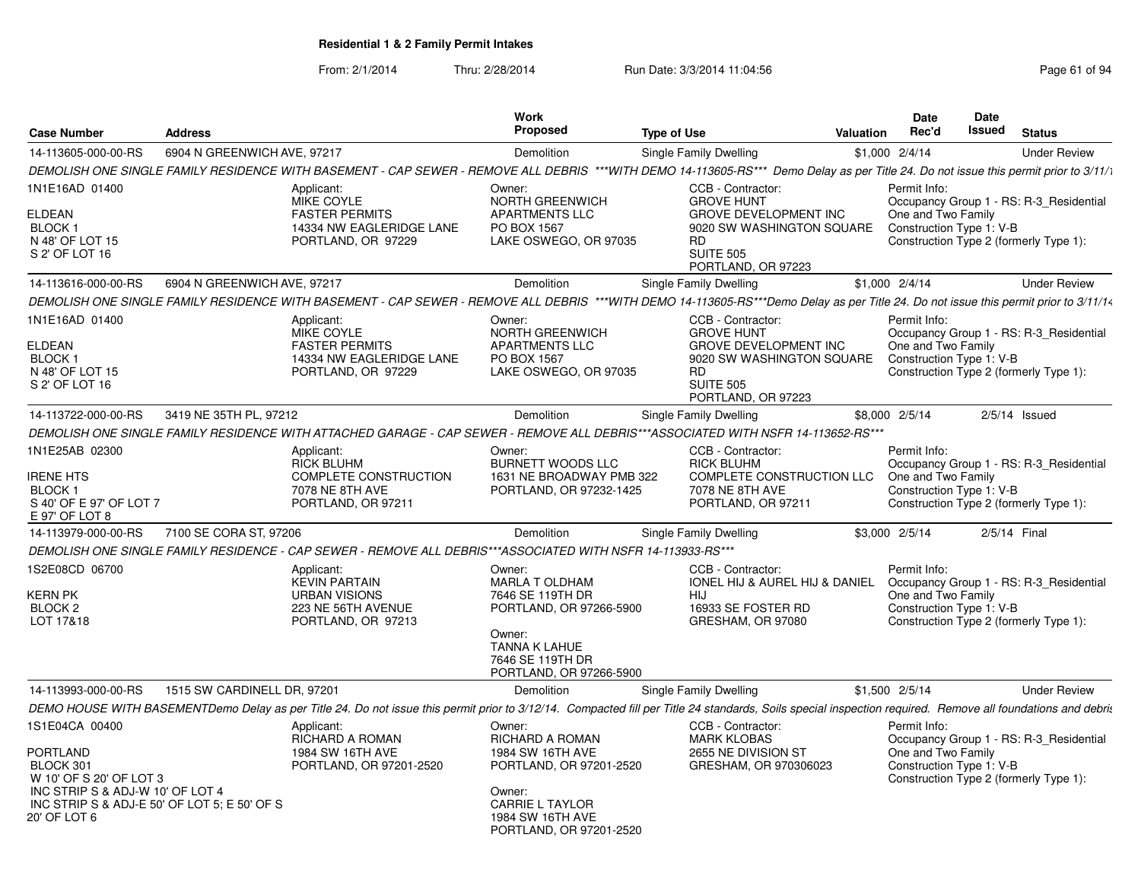From: 2/1/2014Thru: 2/28/2014 Run Date: 3/3/2014 11:04:56 Research 2010 12:56 Page 61 of 94

|                                                                                                                               |                                              |                                                                                                                                                                                                            | <b>Work</b>                                                                                                                                                        |                                                                                               |                                                           | <b>Date</b>     | Date                                                                                                                                |                     |  |
|-------------------------------------------------------------------------------------------------------------------------------|----------------------------------------------|------------------------------------------------------------------------------------------------------------------------------------------------------------------------------------------------------------|--------------------------------------------------------------------------------------------------------------------------------------------------------------------|-----------------------------------------------------------------------------------------------|-----------------------------------------------------------|-----------------|-------------------------------------------------------------------------------------------------------------------------------------|---------------------|--|
| Case Number                                                                                                                   | Address                                      |                                                                                                                                                                                                            | <b>Proposed</b>                                                                                                                                                    | <b>Type of Use</b>                                                                            | <b>Valuation</b>                                          | Rec'd           | Issued                                                                                                                              | <b>Status</b>       |  |
| 14-113605-000-00-RS                                                                                                           | 6904 N GREENWICH AVE, 97217                  |                                                                                                                                                                                                            | Demolition                                                                                                                                                         | <b>Single Family Dwelling</b>                                                                 |                                                           | $$1,000$ 2/4/14 |                                                                                                                                     | <b>Under Review</b> |  |
|                                                                                                                               |                                              | DEMOLISH ONE SINGLE FAMILY RESIDENCE WITH BASEMENT - CAP SEWER - REMOVE ALL DEBRIS ***WITH DEMO 14-113605-RS*** Demo Delay as per Title 24. Do not issue this permit prior to 3/11/1                       |                                                                                                                                                                    |                                                                                               |                                                           |                 |                                                                                                                                     |                     |  |
| 1N1E16AD 01400<br>ELDEAN<br>BLOCK <sub>1</sub><br>N 48' OF LOT 15<br>S 2' OF LOT 16                                           |                                              | Applicant:<br>MIKE COYLE<br><b>FASTER PERMITS</b><br>14334 NW EAGLERIDGE LANE<br>PORTLAND, OR 97229                                                                                                        | Owner:<br>NORTH GREENWICH<br><b>APARTMENTS LLC</b><br>PO BOX 1567<br>LAKE OSWEGO, OR 97035                                                                         | CCB - Contractor:<br><b>GROVE HUNT</b><br><b>RD</b><br><b>SUITE 505</b><br>PORTLAND, OR 97223 | <b>GROVE DEVELOPMENT INC</b><br>9020 SW WASHINGTON SQUARE | Permit Info:    | Occupancy Group 1 - RS: R-3_Residential<br>One and Two Family<br>Construction Type 1: V-B<br>Construction Type 2 (formerly Type 1): |                     |  |
| 14-113616-000-00-RS                                                                                                           | 6904 N GREENWICH AVE, 97217                  |                                                                                                                                                                                                            | Demolition                                                                                                                                                         | Single Family Dwelling                                                                        |                                                           | \$1,000 2/4/14  |                                                                                                                                     | <b>Under Review</b> |  |
|                                                                                                                               |                                              | DEMOLISH ONE SINGLE FAMILY RESIDENCE WITH BASEMENT - CAP SEWER - REMOVE ALL DEBRIS ***WITH DEMO 14-113605-RS***Demo Delay as per Title 24. Do not issue this permit prior to 3/11/14                       |                                                                                                                                                                    |                                                                                               |                                                           |                 |                                                                                                                                     |                     |  |
| 1N1E16AD 01400<br>ELDEAN<br>BLOCK <sub>1</sub><br>N 48' OF LOT 15<br>S 2' OF LOT 16                                           |                                              | Applicant:<br>MIKE COYLE<br><b>FASTER PERMITS</b><br>14334 NW EAGLERIDGE LANE<br>PORTLAND, OR 97229                                                                                                        | Owner:<br>NORTH GREENWICH<br><b>APARTMENTS LLC</b><br>PO BOX 1567<br>LAKE OSWEGO, OR 97035                                                                         | CCB - Contractor:<br><b>GROVE HUNT</b><br><b>RD</b><br><b>SUITE 505</b><br>PORTLAND, OR 97223 | <b>GROVE DEVELOPMENT INC</b><br>9020 SW WASHINGTON SQUARE | Permit Info:    | Occupancy Group 1 - RS: R-3 Residential<br>One and Two Family<br>Construction Type 1: V-B<br>Construction Type 2 (formerly Type 1): |                     |  |
| 14-113722-000-00-RS                                                                                                           | 3419 NE 35TH PL, 97212                       |                                                                                                                                                                                                            | Demolition                                                                                                                                                         | Single Family Dwelling                                                                        |                                                           | \$8,000 2/5/14  |                                                                                                                                     | $2/5/14$ Issued     |  |
|                                                                                                                               |                                              | DEMOLISH ONE SINGLE FAMILY RESIDENCE WITH ATTACHED GARAGE - CAP SEWER - REMOVE ALL DEBRIS***ASSOCIATED WITH NSFR 14-113652-RS***                                                                           |                                                                                                                                                                    |                                                                                               |                                                           |                 |                                                                                                                                     |                     |  |
| 1N1E25AB 02300<br><b>IRENE HTS</b><br>BLOCK <sub>1</sub><br>S 40' OF E 97' OF LOT 7<br>E 97' OF LOT 8                         |                                              | Applicant:<br><b>RICK BLUHM</b><br>COMPLETE CONSTRUCTION<br>7078 NE 8TH AVE<br>PORTLAND, OR 97211                                                                                                          | Owner:<br><b>BURNETT WOODS LLC</b><br>1631 NE BROADWAY PMB 322<br>PORTLAND, OR 97232-1425                                                                          | CCB - Contractor:<br><b>RICK BLUHM</b><br>7078 NE 8TH AVE<br>PORTLAND, OR 97211               | COMPLETE CONSTRUCTION LLC                                 | Permit Info:    | Occupancy Group 1 - RS: R-3_Residential<br>One and Two Family<br>Construction Type 1: V-B<br>Construction Type 2 (formerly Type 1): |                     |  |
| 14-113979-000-00-RS                                                                                                           | 7100 SE CORA ST, 97206                       |                                                                                                                                                                                                            | Demolition                                                                                                                                                         | Single Family Dwelling                                                                        |                                                           | \$3,000 2/5/14  |                                                                                                                                     | 2/5/14 Final        |  |
|                                                                                                                               |                                              | DEMOLISH ONE SINGLE FAMILY RESIDENCE - CAP SEWER - REMOVE ALL DEBRIS***ASSOCIATED WITH NSFR 14-113933-RS***                                                                                                |                                                                                                                                                                    |                                                                                               |                                                           |                 |                                                                                                                                     |                     |  |
| 1S2E08CD 06700<br>KERN PK<br>BLOCK <sub>2</sub><br>LOT 17&18                                                                  |                                              | Applicant:<br><b>KEVIN PARTAIN</b><br><b>URBAN VISIONS</b><br>223 NE 56TH AVENUE<br>PORTLAND, OR 97213                                                                                                     | Owner:<br>MARLA T OLDHAM<br>7646 SE 119TH DR<br>PORTLAND, OR 97266-5900<br>Owner:<br>TANNA K LAHUE<br>7646 SE 119TH DR<br>PORTLAND, OR 97266-5900                  | CCB - Contractor:<br>HIJ<br>16933 SE FOSTER RD<br>GRESHAM, OR 97080                           | <b>IONEL HIJ &amp; AUREL HIJ &amp; DANIEL</b>             | Permit Info:    | Occupancy Group 1 - RS: R-3 Residential<br>One and Two Family<br>Construction Type 1: V-B<br>Construction Type 2 (formerly Type 1): |                     |  |
| 14-113993-000-00-RS                                                                                                           | 1515 SW CARDINELL DR. 97201                  |                                                                                                                                                                                                            | Demolition                                                                                                                                                         | Single Family Dwelling                                                                        |                                                           | \$1,500 2/5/14  |                                                                                                                                     | <b>Under Review</b> |  |
|                                                                                                                               |                                              | DEMO HOUSE WITH BASEMENTDemo Delay as per Title 24. Do not issue this permit prior to 3/12/14. Compacted fill per Title 24 standards, Soils special inspection required. Remove all foundations and debris |                                                                                                                                                                    |                                                                                               |                                                           |                 |                                                                                                                                     |                     |  |
| 1S1E04CA 00400<br><b>PORTLAND</b><br>BLOCK 301<br>W 10' OF S 20' OF LOT 3<br>INC STRIP S & ADJ-W 10' OF LOT 4<br>20' OF LOT 6 | INC STRIP S & ADJ-E 50' OF LOT 5: E 50' OF S | Applicant:<br><b>RICHARD A ROMAN</b><br>1984 SW 16TH AVE<br>PORTLAND, OR 97201-2520                                                                                                                        | Owner:<br><b>RICHARD A ROMAN</b><br>1984 SW 16TH AVE<br>PORTLAND, OR 97201-2520<br>Owner:<br><b>CARRIE L TAYLOR</b><br>1984 SW 16TH AVE<br>PORTLAND, OR 97201-2520 | CCB - Contractor:<br><b>MARK KLOBAS</b><br>2655 NE DIVISION ST                                | GRESHAM, OR 970306023                                     | Permit Info:    | Occupancy Group 1 - RS: R-3 Residential<br>One and Two Family<br>Construction Type 1: V-B<br>Construction Type 2 (formerly Type 1): |                     |  |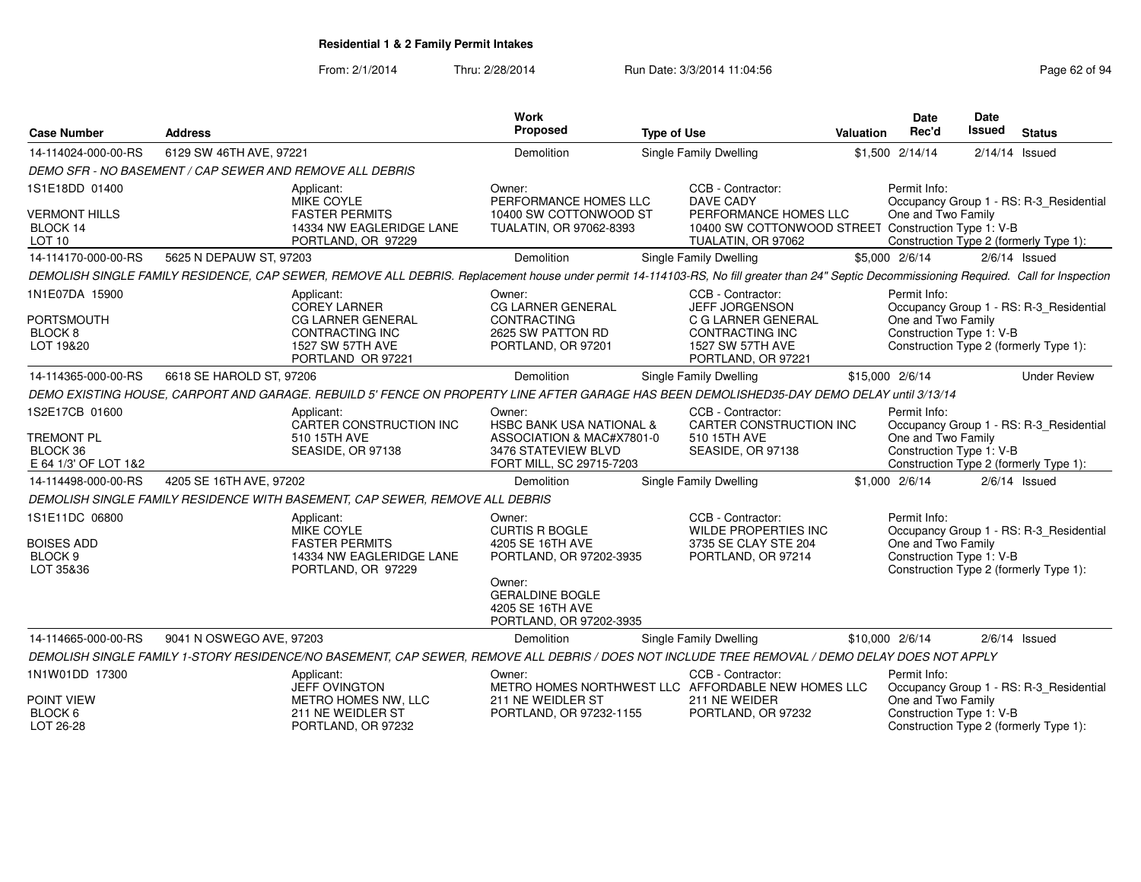| <b>Case Number</b>                                                      | <b>Address</b>           |                                                                                                                                                                                            | <b>Work</b><br>Proposed                                                                                                                                           | <b>Type of Use</b> |                                                                                                                                             | Valuation       | <b>Date</b><br>Rec'd                                           | Date<br>Issued   | <b>Status</b>                                                                     |
|-------------------------------------------------------------------------|--------------------------|--------------------------------------------------------------------------------------------------------------------------------------------------------------------------------------------|-------------------------------------------------------------------------------------------------------------------------------------------------------------------|--------------------|---------------------------------------------------------------------------------------------------------------------------------------------|-----------------|----------------------------------------------------------------|------------------|-----------------------------------------------------------------------------------|
| 14-114024-000-00-RS                                                     | 6129 SW 46TH AVE, 97221  |                                                                                                                                                                                            | Demolition                                                                                                                                                        |                    | Single Family Dwelling                                                                                                                      |                 | \$1,500 2/14/14                                                | $2/14/14$ Issued |                                                                                   |
|                                                                         |                          | DEMO SFR - NO BASEMENT / CAP SEWER AND REMOVE ALL DEBRIS                                                                                                                                   |                                                                                                                                                                   |                    |                                                                                                                                             |                 |                                                                |                  |                                                                                   |
| 1S1E18DD 01400<br><b>VERMONT HILLS</b><br>BLOCK 14<br>LOT <sub>10</sub> |                          | Applicant:<br>MIKE COYLE<br><b>FASTER PERMITS</b><br>14334 NW EAGLERIDGE LANE<br>PORTLAND, OR 97229                                                                                        | Owner:<br>PERFORMANCE HOMES LLC<br>10400 SW COTTONWOOD ST<br>TUALATIN, OR 97062-8393                                                                              |                    | CCB - Contractor:<br><b>DAVE CADY</b><br>PERFORMANCE HOMES LLC<br>10400 SW COTTONWOOD STREET Construction Type 1: V-B<br>TUALATIN, OR 97062 |                 | Permit Info:<br>One and Two Family                             |                  | Occupancy Group 1 - RS: R-3_Residential<br>Construction Type 2 (formerly Type 1): |
| 14-114170-000-00-RS                                                     | 5625 N DEPAUW ST, 97203  |                                                                                                                                                                                            | Demolition                                                                                                                                                        |                    | Single Family Dwelling                                                                                                                      |                 | \$5,000 2/6/14                                                 |                  | $2/6/14$ Issued                                                                   |
|                                                                         |                          | DEMOLISH SINGLE FAMILY RESIDENCE, CAP SEWER, REMOVE ALL DEBRIS. Replacement house under permit 14-114103-RS, No fill greater than 24" Septic Decommissioning Required. Call for Inspection |                                                                                                                                                                   |                    |                                                                                                                                             |                 |                                                                |                  |                                                                                   |
| 1N1E07DA 15900<br><b>PORTSMOUTH</b><br>BLOCK 8<br>LOT 19&20             |                          | Applicant:<br><b>COREY LARNER</b><br><b>CG LARNER GENERAL</b><br><b>CONTRACTING INC</b><br>1527 SW 57TH AVE<br>PORTLAND OR 97221                                                           | Owner:<br>CG LARNER GENERAL<br><b>CONTRACTING</b><br>2625 SW PATTON RD<br>PORTLAND, OR 97201                                                                      |                    | CCB - Contractor:<br>JEFF JORGENSON<br>C G LARNER GENERAL<br><b>CONTRACTING INC</b><br>1527 SW 57TH AVE<br>PORTLAND, OR 97221               |                 | Permit Info:<br>One and Two Family<br>Construction Type 1: V-B |                  | Occupancy Group 1 - RS: R-3 Residential<br>Construction Type 2 (formerly Type 1): |
| 14-114365-000-00-RS                                                     | 6618 SE HAROLD ST, 97206 |                                                                                                                                                                                            | Demolition                                                                                                                                                        |                    | <b>Single Family Dwelling</b>                                                                                                               | \$15,000 2/6/14 |                                                                |                  | <b>Under Review</b>                                                               |
|                                                                         |                          | DEMO EXISTING HOUSE, CARPORT AND GARAGE. REBUILD 5' FENCE ON PROPERTY LINE AFTER GARAGE HAS BEEN DEMOLISHED35-DAY DEMO DELAY until 3/13/14                                                 |                                                                                                                                                                   |                    |                                                                                                                                             |                 |                                                                |                  |                                                                                   |
| 1S2E17CB 01600<br><b>TREMONT PL</b><br>BLOCK 36<br>E 64 1/3' OF LOT 1&2 |                          | Applicant:<br>CARTER CONSTRUCTION INC<br>510 15TH AVE<br>SEASIDE, OR 97138                                                                                                                 | Owner:<br><b>HSBC BANK USA NATIONAL &amp;</b><br>ASSOCIATION & MAC#X7801-0<br>3476 STATEVIEW BLVD<br>FORT MILL, SC 29715-7203                                     |                    | CCB - Contractor:<br>CARTER CONSTRUCTION INC<br>510 15TH AVE<br>SEASIDE, OR 97138                                                           |                 | Permit Info:<br>One and Two Family<br>Construction Type 1: V-B |                  | Occupancy Group 1 - RS: R-3 Residential<br>Construction Type 2 (formerly Type 1): |
| 14-114498-000-00-RS                                                     | 4205 SE 16TH AVE, 97202  |                                                                                                                                                                                            | Demolition                                                                                                                                                        |                    | Single Family Dwelling                                                                                                                      |                 | \$1,000 2/6/14                                                 |                  | $2/6/14$ Issued                                                                   |
|                                                                         |                          | DEMOLISH SINGLE FAMILY RESIDENCE WITH BASEMENT, CAP SEWER, REMOVE ALL DEBRIS                                                                                                               |                                                                                                                                                                   |                    |                                                                                                                                             |                 |                                                                |                  |                                                                                   |
| 1S1E11DC 06800<br><b>BOISES ADD</b><br>BLOCK <sub>9</sub><br>LOT 35&36  |                          | Applicant:<br><b>MIKE COYLE</b><br><b>FASTER PERMITS</b><br>14334 NW EAGLERIDGE LANE<br>PORTLAND, OR 97229                                                                                 | Owner:<br><b>CURTIS R BOGLE</b><br>4205 SE 16TH AVE<br>PORTLAND, OR 97202-3935<br>Owner:<br><b>GERALDINE BOGLE</b><br>4205 SE 16TH AVE<br>PORTLAND, OR 97202-3935 |                    | CCB - Contractor:<br>WILDE PROPERTIES INC<br>3735 SE CLAY STE 204<br>PORTLAND, OR 97214                                                     |                 | Permit Info:<br>One and Two Family<br>Construction Type 1: V-B |                  | Occupancy Group 1 - RS: R-3 Residential<br>Construction Type 2 (formerly Type 1): |
| 14-114665-000-00-RS                                                     | 9041 N OSWEGO AVE, 97203 |                                                                                                                                                                                            | Demolition                                                                                                                                                        |                    | Single Family Dwelling                                                                                                                      | \$10,000 2/6/14 |                                                                |                  | $2/6/14$ Issued                                                                   |
|                                                                         |                          | DEMOLISH SINGLE FAMILY 1-STORY RESIDENCE/NO BASEMENT, CAP SEWER, REMOVE ALL DEBRIS / DOES NOT INCLUDE TREE REMOVAL / DEMO DELAY DOES NOT APPLY                                             |                                                                                                                                                                   |                    |                                                                                                                                             |                 |                                                                |                  |                                                                                   |
| 1N1W01DD 17300                                                          |                          | Applicant:<br><b>JEFF OVINGTON</b>                                                                                                                                                         | Owner:                                                                                                                                                            |                    | CCB - Contractor:<br>METRO HOMES NORTHWEST LLC AFFORDABLE NEW HOMES LLC                                                                     |                 | Permit Info:                                                   |                  | Occupancy Group 1 - RS: R-3_Residential                                           |
| POINT VIEW<br>BLOCK 6<br>LOT 26-28                                      |                          | METRO HOMES NW, LLC<br>211 NE WEIDLER ST<br>PORTLAND, OR 97232                                                                                                                             | 211 NE WEIDLER ST<br>PORTLAND, OR 97232-1155                                                                                                                      |                    | 211 NE WEIDER<br>PORTLAND, OR 97232                                                                                                         |                 | One and Two Family<br>Construction Type 1: V-B                 |                  | Construction Type 2 (formerly Type 1):                                            |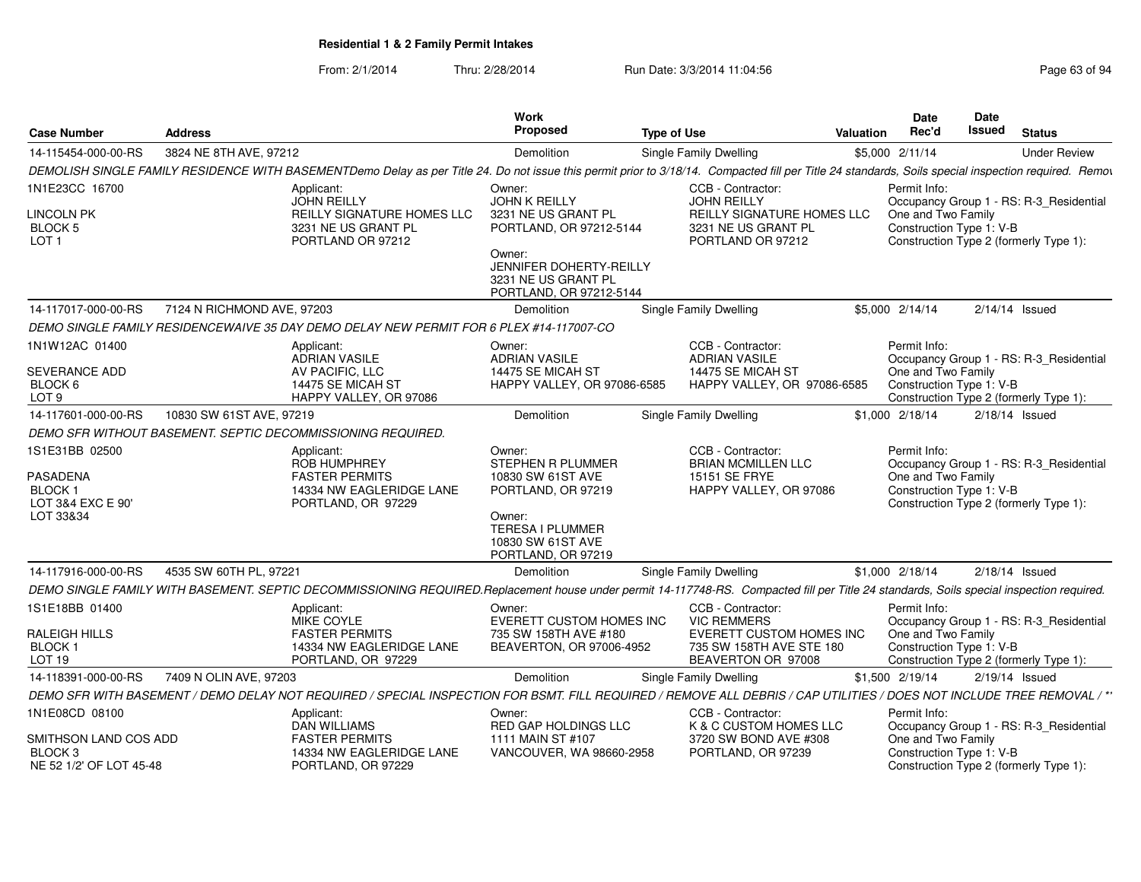From: 2/1/2014Thru: 2/28/2014 Run Date: 3/3/2014 11:04:56 Research 2010 12:04:56

| 3824 NE 8TH AVE, 97212<br>\$5,000 2/11/14<br><b>Under Review</b><br>Demolition<br><b>Single Family Dwelling</b><br>DEMOLISH SINGLE FAMILY RESIDENCE WITH BASEMENTDemo Delay as per Title 24. Do not issue this permit prior to 3/18/14. Compacted fill per Title 24 standards, Soils special inspection required. Remov<br>CCB - Contractor:<br>Permit Info:<br>Applicant:<br>Owner:<br><b>JOHN REILLY</b><br><b>JOHN K REILLY</b><br><b>JOHN REILLY</b><br>Occupancy Group 1 - RS: R-3_Residential<br><b>LINCOLN PK</b><br><b>REILLY SIGNATURE HOMES LLC</b><br>3231 NE US GRANT PL<br><b>REILLY SIGNATURE HOMES LLC</b><br>One and Two Family<br>3231 NE US GRANT PL<br>Construction Type 1: V-B<br>PORTLAND, OR 97212-5144<br>3231 NE US GRANT PL<br>PORTLAND OR 97212<br>PORTLAND OR 97212<br>Construction Type 2 (formerly Type 1):<br>Owner:<br>JENNIFER DOHERTY-REILLY<br>3231 NE US GRANT PL<br>PORTLAND, OR 97212-5144<br>7124 N RICHMOND AVE, 97203<br>Demolition<br>Single Family Dwelling<br>\$5,000 2/14/14<br>$2/14/14$ Issued<br>DEMO SINGLE FAMILY RESIDENCEWAIVE 35 DAY DEMO DELAY NEW PERMIT FOR 6 PLEX #14-117007-CO<br>CCB - Contractor:<br>Permit Info:<br>Applicant:<br>Owner:<br><b>ADRIAN VASILE</b><br><b>ADRIAN VASILE</b><br><b>ADRIAN VASILE</b><br>Occupancy Group 1 - RS: R-3_Residential<br>AV PACIFIC, LLC<br>14475 SE MICAH ST<br>14475 SE MICAH ST<br>One and Two Family<br>HAPPY VALLEY, OR 97086-6585<br>14475 SE MICAH ST<br>HAPPY VALLEY, OR 97086-6585<br>Construction Type 1: V-B<br>HAPPY VALLEY, OR 97086<br>Construction Type 2 (formerly Type 1):<br>10830 SW 61ST AVE, 97219<br>Single Family Dwelling<br>Demolition<br>\$1,000 2/18/14<br>$2/18/14$ Issued<br>DEMO SFR WITHOUT BASEMENT. SEPTIC DECOMMISSIONING REQUIRED.<br>CCB - Contractor:<br>Permit Info:<br>Applicant:<br>Owner:<br><b>STEPHEN R PLUMMER</b><br><b>ROB HUMPHREY</b><br><b>BRIAN MCMILLEN LLC</b><br>Occupancy Group 1 - RS: R-3 Residential<br>One and Two Family<br><b>FASTER PERMITS</b><br>10830 SW 61ST AVE<br>15151 SE FRYE<br>Construction Type 1: V-B<br>14334 NW EAGLERIDGE LANE<br>PORTLAND, OR 97219<br>HAPPY VALLEY, OR 97086<br>LOT 3&4 EXC E 90'<br>Construction Type 2 (formerly Type 1):<br>PORTLAND, OR 97229<br>Owner:<br><b>TERESA I PLUMMER</b><br>10830 SW 61ST AVE<br>PORTLAND, OR 97219<br>4535 SW 60TH PL, 97221<br><b>Single Family Dwelling</b><br>\$1,000 2/18/14<br>$2/18/14$ Issued<br>Demolition<br>DEMO SINGLE FAMILY WITH BASEMENT. SEPTIC DECOMMISSIONING REQUIRED.Replacement house under permit 14-117748-RS. Compacted fill per Title 24 standards, Soils special inspection required.<br>CCB - Contractor:<br>Permit Info:<br>Applicant:<br>Owner:<br><b>VIC REMMERS</b><br><b>MIKE COYLE</b><br>EVERETT CUSTOM HOMES INC<br>Occupancy Group 1 - RS: R-3_Residential<br>One and Two Family<br><b>FASTER PERMITS</b><br>735 SW 158TH AVE #180<br><b>EVERETT CUSTOM HOMES INC</b><br>14334 NW EAGLERIDGE LANE<br>BEAVERTON, OR 97006-4952<br>Construction Type 1: V-B<br>735 SW 158TH AVE STE 180<br>PORTLAND, OR 97229<br>BEAVERTON OR 97008<br>Construction Type 2 (formerly Type 1):<br>7409 N OLIN AVE, 97203<br>14-118391-000-00-RS<br>\$1,500 2/19/14<br>$2/19/14$ Issued<br>Demolition<br>Single Family Dwelling<br>DEMO SFR WITH BASEMENT / DEMO DELAY NOT REQUIRED / SPECIAL INSPECTION FOR BSMT. FILL REQUIRED / REMOVE ALL DEBRIS / CAP UTILITIES / DOES NOT INCLUDE TREE REMOVAL / **<br>1N1E08CD 08100<br>Applicant:<br>CCB - Contractor:<br>Permit Info:<br>Owner:<br>K & C CUSTOM HOMES LLC<br>DAN WILLIAMS<br>RED GAP HOLDINGS LLC<br>Occupancy Group 1 - RS: R-3_Residential<br>SMITHSON LAND COS ADD<br><b>FASTER PERMITS</b><br>1111 MAIN ST #107<br>3720 SW BOND AVE #308<br>One and Two Family<br>VANCOUVER, WA 98660-2958<br>Construction Type 1: V-B<br>14334 NW EAGLERIDGE LANE<br>PORTLAND, OR 97239<br>PORTLAND, OR 97229<br>Construction Type 2 (formerly Type 1): | <b>Case Number</b>                              | <b>Address</b> | Work<br>Proposed | <b>Type of Use</b> | <b>Valuation</b> | <b>Date</b><br>Rec'd | Date<br>Issued | <b>Status</b> |  |
|-----------------------------------------------------------------------------------------------------------------------------------------------------------------------------------------------------------------------------------------------------------------------------------------------------------------------------------------------------------------------------------------------------------------------------------------------------------------------------------------------------------------------------------------------------------------------------------------------------------------------------------------------------------------------------------------------------------------------------------------------------------------------------------------------------------------------------------------------------------------------------------------------------------------------------------------------------------------------------------------------------------------------------------------------------------------------------------------------------------------------------------------------------------------------------------------------------------------------------------------------------------------------------------------------------------------------------------------------------------------------------------------------------------------------------------------------------------------------------------------------------------------------------------------------------------------------------------------------------------------------------------------------------------------------------------------------------------------------------------------------------------------------------------------------------------------------------------------------------------------------------------------------------------------------------------------------------------------------------------------------------------------------------------------------------------------------------------------------------------------------------------------------------------------------------------------------------------------------------------------------------------------------------------------------------------------------------------------------------------------------------------------------------------------------------------------------------------------------------------------------------------------------------------------------------------------------------------------------------------------------------------------------------------------------------------------------------------------------------------------------------------------------------------------------------------------------------------------------------------------------------------------------------------------------------------------------------------------------------------------------------------------------------------------------------------------------------------------------------------------------------------------------------------------------------------------------------------------------------------------------------------------------------------------------------------------------------------------------------------------------------------------------------------------------------------------------------------------------------------------------------------------------------------------------------------------------------------------------------------------------------------------------------------------------------------------------------------------------------------------------------------------------------------------------------------------------------------------------------------------------------------------------------------------------------------------------------|-------------------------------------------------|----------------|------------------|--------------------|------------------|----------------------|----------------|---------------|--|
|                                                                                                                                                                                                                                                                                                                                                                                                                                                                                                                                                                                                                                                                                                                                                                                                                                                                                                                                                                                                                                                                                                                                                                                                                                                                                                                                                                                                                                                                                                                                                                                                                                                                                                                                                                                                                                                                                                                                                                                                                                                                                                                                                                                                                                                                                                                                                                                                                                                                                                                                                                                                                                                                                                                                                                                                                                                                                                                                                                                                                                                                                                                                                                                                                                                                                                                                                                                                                                                                                                                                                                                                                                                                                                                                                                                                                                                                                                                                                     | 14-115454-000-00-RS                             |                |                  |                    |                  |                      |                |               |  |
|                                                                                                                                                                                                                                                                                                                                                                                                                                                                                                                                                                                                                                                                                                                                                                                                                                                                                                                                                                                                                                                                                                                                                                                                                                                                                                                                                                                                                                                                                                                                                                                                                                                                                                                                                                                                                                                                                                                                                                                                                                                                                                                                                                                                                                                                                                                                                                                                                                                                                                                                                                                                                                                                                                                                                                                                                                                                                                                                                                                                                                                                                                                                                                                                                                                                                                                                                                                                                                                                                                                                                                                                                                                                                                                                                                                                                                                                                                                                                     |                                                 |                |                  |                    |                  |                      |                |               |  |
|                                                                                                                                                                                                                                                                                                                                                                                                                                                                                                                                                                                                                                                                                                                                                                                                                                                                                                                                                                                                                                                                                                                                                                                                                                                                                                                                                                                                                                                                                                                                                                                                                                                                                                                                                                                                                                                                                                                                                                                                                                                                                                                                                                                                                                                                                                                                                                                                                                                                                                                                                                                                                                                                                                                                                                                                                                                                                                                                                                                                                                                                                                                                                                                                                                                                                                                                                                                                                                                                                                                                                                                                                                                                                                                                                                                                                                                                                                                                                     | 1N1E23CC 16700                                  |                |                  |                    |                  |                      |                |               |  |
|                                                                                                                                                                                                                                                                                                                                                                                                                                                                                                                                                                                                                                                                                                                                                                                                                                                                                                                                                                                                                                                                                                                                                                                                                                                                                                                                                                                                                                                                                                                                                                                                                                                                                                                                                                                                                                                                                                                                                                                                                                                                                                                                                                                                                                                                                                                                                                                                                                                                                                                                                                                                                                                                                                                                                                                                                                                                                                                                                                                                                                                                                                                                                                                                                                                                                                                                                                                                                                                                                                                                                                                                                                                                                                                                                                                                                                                                                                                                                     | BLOCK 5<br>LOT <sub>1</sub>                     |                |                  |                    |                  |                      |                |               |  |
|                                                                                                                                                                                                                                                                                                                                                                                                                                                                                                                                                                                                                                                                                                                                                                                                                                                                                                                                                                                                                                                                                                                                                                                                                                                                                                                                                                                                                                                                                                                                                                                                                                                                                                                                                                                                                                                                                                                                                                                                                                                                                                                                                                                                                                                                                                                                                                                                                                                                                                                                                                                                                                                                                                                                                                                                                                                                                                                                                                                                                                                                                                                                                                                                                                                                                                                                                                                                                                                                                                                                                                                                                                                                                                                                                                                                                                                                                                                                                     |                                                 |                |                  |                    |                  |                      |                |               |  |
|                                                                                                                                                                                                                                                                                                                                                                                                                                                                                                                                                                                                                                                                                                                                                                                                                                                                                                                                                                                                                                                                                                                                                                                                                                                                                                                                                                                                                                                                                                                                                                                                                                                                                                                                                                                                                                                                                                                                                                                                                                                                                                                                                                                                                                                                                                                                                                                                                                                                                                                                                                                                                                                                                                                                                                                                                                                                                                                                                                                                                                                                                                                                                                                                                                                                                                                                                                                                                                                                                                                                                                                                                                                                                                                                                                                                                                                                                                                                                     | 14-117017-000-00-RS                             |                |                  |                    |                  |                      |                |               |  |
|                                                                                                                                                                                                                                                                                                                                                                                                                                                                                                                                                                                                                                                                                                                                                                                                                                                                                                                                                                                                                                                                                                                                                                                                                                                                                                                                                                                                                                                                                                                                                                                                                                                                                                                                                                                                                                                                                                                                                                                                                                                                                                                                                                                                                                                                                                                                                                                                                                                                                                                                                                                                                                                                                                                                                                                                                                                                                                                                                                                                                                                                                                                                                                                                                                                                                                                                                                                                                                                                                                                                                                                                                                                                                                                                                                                                                                                                                                                                                     |                                                 |                |                  |                    |                  |                      |                |               |  |
|                                                                                                                                                                                                                                                                                                                                                                                                                                                                                                                                                                                                                                                                                                                                                                                                                                                                                                                                                                                                                                                                                                                                                                                                                                                                                                                                                                                                                                                                                                                                                                                                                                                                                                                                                                                                                                                                                                                                                                                                                                                                                                                                                                                                                                                                                                                                                                                                                                                                                                                                                                                                                                                                                                                                                                                                                                                                                                                                                                                                                                                                                                                                                                                                                                                                                                                                                                                                                                                                                                                                                                                                                                                                                                                                                                                                                                                                                                                                                     | 1N1W12AC 01400                                  |                |                  |                    |                  |                      |                |               |  |
|                                                                                                                                                                                                                                                                                                                                                                                                                                                                                                                                                                                                                                                                                                                                                                                                                                                                                                                                                                                                                                                                                                                                                                                                                                                                                                                                                                                                                                                                                                                                                                                                                                                                                                                                                                                                                                                                                                                                                                                                                                                                                                                                                                                                                                                                                                                                                                                                                                                                                                                                                                                                                                                                                                                                                                                                                                                                                                                                                                                                                                                                                                                                                                                                                                                                                                                                                                                                                                                                                                                                                                                                                                                                                                                                                                                                                                                                                                                                                     | SEVERANCE ADD<br>BLOCK 6<br>LOT <sub>9</sub>    |                |                  |                    |                  |                      |                |               |  |
|                                                                                                                                                                                                                                                                                                                                                                                                                                                                                                                                                                                                                                                                                                                                                                                                                                                                                                                                                                                                                                                                                                                                                                                                                                                                                                                                                                                                                                                                                                                                                                                                                                                                                                                                                                                                                                                                                                                                                                                                                                                                                                                                                                                                                                                                                                                                                                                                                                                                                                                                                                                                                                                                                                                                                                                                                                                                                                                                                                                                                                                                                                                                                                                                                                                                                                                                                                                                                                                                                                                                                                                                                                                                                                                                                                                                                                                                                                                                                     | 14-117601-000-00-RS                             |                |                  |                    |                  |                      |                |               |  |
|                                                                                                                                                                                                                                                                                                                                                                                                                                                                                                                                                                                                                                                                                                                                                                                                                                                                                                                                                                                                                                                                                                                                                                                                                                                                                                                                                                                                                                                                                                                                                                                                                                                                                                                                                                                                                                                                                                                                                                                                                                                                                                                                                                                                                                                                                                                                                                                                                                                                                                                                                                                                                                                                                                                                                                                                                                                                                                                                                                                                                                                                                                                                                                                                                                                                                                                                                                                                                                                                                                                                                                                                                                                                                                                                                                                                                                                                                                                                                     |                                                 |                |                  |                    |                  |                      |                |               |  |
|                                                                                                                                                                                                                                                                                                                                                                                                                                                                                                                                                                                                                                                                                                                                                                                                                                                                                                                                                                                                                                                                                                                                                                                                                                                                                                                                                                                                                                                                                                                                                                                                                                                                                                                                                                                                                                                                                                                                                                                                                                                                                                                                                                                                                                                                                                                                                                                                                                                                                                                                                                                                                                                                                                                                                                                                                                                                                                                                                                                                                                                                                                                                                                                                                                                                                                                                                                                                                                                                                                                                                                                                                                                                                                                                                                                                                                                                                                                                                     | 1S1E31BB 02500                                  |                |                  |                    |                  |                      |                |               |  |
|                                                                                                                                                                                                                                                                                                                                                                                                                                                                                                                                                                                                                                                                                                                                                                                                                                                                                                                                                                                                                                                                                                                                                                                                                                                                                                                                                                                                                                                                                                                                                                                                                                                                                                                                                                                                                                                                                                                                                                                                                                                                                                                                                                                                                                                                                                                                                                                                                                                                                                                                                                                                                                                                                                                                                                                                                                                                                                                                                                                                                                                                                                                                                                                                                                                                                                                                                                                                                                                                                                                                                                                                                                                                                                                                                                                                                                                                                                                                                     | PASADENA<br>BLOCK 1                             |                |                  |                    |                  |                      |                |               |  |
|                                                                                                                                                                                                                                                                                                                                                                                                                                                                                                                                                                                                                                                                                                                                                                                                                                                                                                                                                                                                                                                                                                                                                                                                                                                                                                                                                                                                                                                                                                                                                                                                                                                                                                                                                                                                                                                                                                                                                                                                                                                                                                                                                                                                                                                                                                                                                                                                                                                                                                                                                                                                                                                                                                                                                                                                                                                                                                                                                                                                                                                                                                                                                                                                                                                                                                                                                                                                                                                                                                                                                                                                                                                                                                                                                                                                                                                                                                                                                     | LOT 33&34                                       |                |                  |                    |                  |                      |                |               |  |
|                                                                                                                                                                                                                                                                                                                                                                                                                                                                                                                                                                                                                                                                                                                                                                                                                                                                                                                                                                                                                                                                                                                                                                                                                                                                                                                                                                                                                                                                                                                                                                                                                                                                                                                                                                                                                                                                                                                                                                                                                                                                                                                                                                                                                                                                                                                                                                                                                                                                                                                                                                                                                                                                                                                                                                                                                                                                                                                                                                                                                                                                                                                                                                                                                                                                                                                                                                                                                                                                                                                                                                                                                                                                                                                                                                                                                                                                                                                                                     | 14-117916-000-00-RS                             |                |                  |                    |                  |                      |                |               |  |
|                                                                                                                                                                                                                                                                                                                                                                                                                                                                                                                                                                                                                                                                                                                                                                                                                                                                                                                                                                                                                                                                                                                                                                                                                                                                                                                                                                                                                                                                                                                                                                                                                                                                                                                                                                                                                                                                                                                                                                                                                                                                                                                                                                                                                                                                                                                                                                                                                                                                                                                                                                                                                                                                                                                                                                                                                                                                                                                                                                                                                                                                                                                                                                                                                                                                                                                                                                                                                                                                                                                                                                                                                                                                                                                                                                                                                                                                                                                                                     |                                                 |                |                  |                    |                  |                      |                |               |  |
|                                                                                                                                                                                                                                                                                                                                                                                                                                                                                                                                                                                                                                                                                                                                                                                                                                                                                                                                                                                                                                                                                                                                                                                                                                                                                                                                                                                                                                                                                                                                                                                                                                                                                                                                                                                                                                                                                                                                                                                                                                                                                                                                                                                                                                                                                                                                                                                                                                                                                                                                                                                                                                                                                                                                                                                                                                                                                                                                                                                                                                                                                                                                                                                                                                                                                                                                                                                                                                                                                                                                                                                                                                                                                                                                                                                                                                                                                                                                                     | 1S1E18BB 01400                                  |                |                  |                    |                  |                      |                |               |  |
|                                                                                                                                                                                                                                                                                                                                                                                                                                                                                                                                                                                                                                                                                                                                                                                                                                                                                                                                                                                                                                                                                                                                                                                                                                                                                                                                                                                                                                                                                                                                                                                                                                                                                                                                                                                                                                                                                                                                                                                                                                                                                                                                                                                                                                                                                                                                                                                                                                                                                                                                                                                                                                                                                                                                                                                                                                                                                                                                                                                                                                                                                                                                                                                                                                                                                                                                                                                                                                                                                                                                                                                                                                                                                                                                                                                                                                                                                                                                                     | RALEIGH HILLS<br><b>BLOCK1</b><br><b>LOT 19</b> |                |                  |                    |                  |                      |                |               |  |
|                                                                                                                                                                                                                                                                                                                                                                                                                                                                                                                                                                                                                                                                                                                                                                                                                                                                                                                                                                                                                                                                                                                                                                                                                                                                                                                                                                                                                                                                                                                                                                                                                                                                                                                                                                                                                                                                                                                                                                                                                                                                                                                                                                                                                                                                                                                                                                                                                                                                                                                                                                                                                                                                                                                                                                                                                                                                                                                                                                                                                                                                                                                                                                                                                                                                                                                                                                                                                                                                                                                                                                                                                                                                                                                                                                                                                                                                                                                                                     |                                                 |                |                  |                    |                  |                      |                |               |  |
|                                                                                                                                                                                                                                                                                                                                                                                                                                                                                                                                                                                                                                                                                                                                                                                                                                                                                                                                                                                                                                                                                                                                                                                                                                                                                                                                                                                                                                                                                                                                                                                                                                                                                                                                                                                                                                                                                                                                                                                                                                                                                                                                                                                                                                                                                                                                                                                                                                                                                                                                                                                                                                                                                                                                                                                                                                                                                                                                                                                                                                                                                                                                                                                                                                                                                                                                                                                                                                                                                                                                                                                                                                                                                                                                                                                                                                                                                                                                                     |                                                 |                |                  |                    |                  |                      |                |               |  |
|                                                                                                                                                                                                                                                                                                                                                                                                                                                                                                                                                                                                                                                                                                                                                                                                                                                                                                                                                                                                                                                                                                                                                                                                                                                                                                                                                                                                                                                                                                                                                                                                                                                                                                                                                                                                                                                                                                                                                                                                                                                                                                                                                                                                                                                                                                                                                                                                                                                                                                                                                                                                                                                                                                                                                                                                                                                                                                                                                                                                                                                                                                                                                                                                                                                                                                                                                                                                                                                                                                                                                                                                                                                                                                                                                                                                                                                                                                                                                     |                                                 |                |                  |                    |                  |                      |                |               |  |
|                                                                                                                                                                                                                                                                                                                                                                                                                                                                                                                                                                                                                                                                                                                                                                                                                                                                                                                                                                                                                                                                                                                                                                                                                                                                                                                                                                                                                                                                                                                                                                                                                                                                                                                                                                                                                                                                                                                                                                                                                                                                                                                                                                                                                                                                                                                                                                                                                                                                                                                                                                                                                                                                                                                                                                                                                                                                                                                                                                                                                                                                                                                                                                                                                                                                                                                                                                                                                                                                                                                                                                                                                                                                                                                                                                                                                                                                                                                                                     |                                                 |                |                  |                    |                  |                      |                |               |  |
|                                                                                                                                                                                                                                                                                                                                                                                                                                                                                                                                                                                                                                                                                                                                                                                                                                                                                                                                                                                                                                                                                                                                                                                                                                                                                                                                                                                                                                                                                                                                                                                                                                                                                                                                                                                                                                                                                                                                                                                                                                                                                                                                                                                                                                                                                                                                                                                                                                                                                                                                                                                                                                                                                                                                                                                                                                                                                                                                                                                                                                                                                                                                                                                                                                                                                                                                                                                                                                                                                                                                                                                                                                                                                                                                                                                                                                                                                                                                                     | BLOCK 3<br>NE 52 1/2' OF LOT 45-48              |                |                  |                    |                  |                      |                |               |  |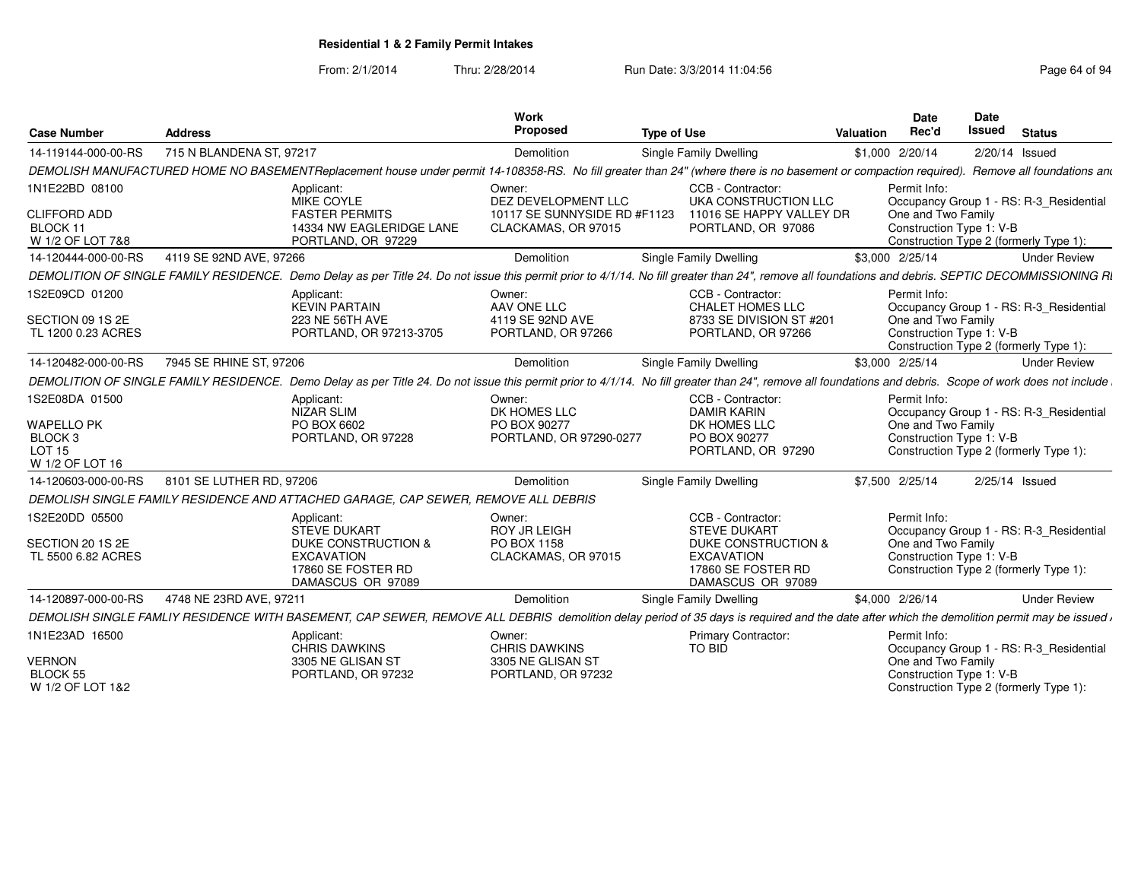From: 2/1/2014Thru: 2/28/2014 Run Date: 3/3/2014 11:04:56 Research 2010 Rage 64 of 94

| <b>Case Number</b>                                                                     | <b>Address</b>           |                                                                                     | <b>Work</b><br>Proposed                                           | <b>Type of Use</b>                                                                                                                                                                                       | Valuation | Date<br>Rec'd                                                  | Date<br><b>Issued</b> | <b>Status</b>                                                                     |
|----------------------------------------------------------------------------------------|--------------------------|-------------------------------------------------------------------------------------|-------------------------------------------------------------------|----------------------------------------------------------------------------------------------------------------------------------------------------------------------------------------------------------|-----------|----------------------------------------------------------------|-----------------------|-----------------------------------------------------------------------------------|
| 14-119144-000-00-RS                                                                    | 715 N BLANDENA ST, 97217 |                                                                                     | Demolition                                                        | Single Family Dwelling                                                                                                                                                                                   |           | \$1,000 2/20/14                                                |                       | $2/20/14$ Issued                                                                  |
|                                                                                        |                          |                                                                                     |                                                                   | DEMOLISH MANUFACTURED HOME NO BASEMENTReplacement house under permit 14-108358-RS. No fill greater than 24" (where there is no basement or compaction required). Remove all foundations and              |           |                                                                |                       |                                                                                   |
| 1N1E22BD 08100                                                                         |                          | Applicant:<br>MIKE COYLE                                                            | Owner:<br>DEZ DEVELOPMENT LLC                                     | CCB - Contractor:<br>UKA CONSTRUCTION LLC                                                                                                                                                                |           | Permit Info:                                                   |                       | Occupancy Group 1 - RS: R-3_Residential                                           |
| <b>CLIFFORD ADD</b><br>BLOCK 11<br>W 1/2 OF LOT 7&8                                    |                          | <b>FASTER PERMITS</b><br>14334 NW EAGLERIDGE LANE<br>PORTLAND, OR 97229             | 10117 SE SUNNYSIDE RD #F1123<br>CLACKAMAS, OR 97015               | 11016 SE HAPPY VALLEY DR<br>PORTLAND, OR 97086                                                                                                                                                           |           | One and Two Family<br>Construction Type 1: V-B                 |                       | Construction Type 2 (formerly Type 1):                                            |
| 14-120444-000-00-RS                                                                    | 4119 SE 92ND AVE, 97266  |                                                                                     | Demolition                                                        | <b>Single Family Dwelling</b>                                                                                                                                                                            |           | \$3,000 2/25/14                                                |                       | <b>Under Review</b>                                                               |
|                                                                                        |                          |                                                                                     |                                                                   | DEMOLITION OF SINGLE FAMILY RESIDENCE. Demo Delay as per Title 24. Do not issue this permit prior to 4/1/14. No fill greater than 24", remove all foundations and debris. SEPTIC DECOMMISSIONING RI      |           |                                                                |                       |                                                                                   |
| 1S2E09CD 01200<br>SECTION 09 1S 2E<br>TL 1200 0.23 ACRES                               |                          | Applicant:<br><b>KEVIN PARTAIN</b><br>223 NE 56TH AVE<br>PORTLAND, OR 97213-3705    | Owner:<br>AAV ONE LLC<br>4119 SE 92ND AVE<br>PORTLAND, OR 97266   | CCB - Contractor:<br>CHALET HOMES LLC<br>8733 SE DIVISION ST #201<br>PORTLAND, OR 97266                                                                                                                  |           | Permit Info:<br>One and Two Family<br>Construction Type 1: V-B |                       | Occupancy Group 1 - RS: R-3_Residential<br>Construction Type 2 (formerly Type 1): |
| 14-120482-000-00-RS                                                                    | 7945 SE RHINE ST, 97206  |                                                                                     | Demolition                                                        | Single Family Dwelling                                                                                                                                                                                   |           | \$3,000 2/25/14                                                |                       | <b>Under Review</b>                                                               |
|                                                                                        |                          |                                                                                     |                                                                   | DEMOLITION OF SINGLE FAMILY RESIDENCE. Demo Delay as per Title 24. Do not issue this permit prior to 4/1/14. No fill greater than 24", remove all foundations and debris. Scope of work does not include |           |                                                                |                       |                                                                                   |
| 1S2E08DA 01500<br><b>WAPELLO PK</b><br>BLOCK 3<br>LOT <sub>15</sub><br>W 1/2 OF LOT 16 |                          | Applicant:<br>NIZAR SLIM<br>PO BOX 6602<br>PORTLAND, OR 97228                       | Owner:<br>DK HOMES LLC<br>PO BOX 90277<br>PORTLAND, OR 97290-0277 | CCB - Contractor:<br><b>DAMIR KARIN</b><br>DK HOMES LLC<br>PO BOX 90277<br>PORTLAND, OR 97290                                                                                                            |           | Permit Info:<br>One and Two Family<br>Construction Type 1: V-B |                       | Occupancy Group 1 - RS: R-3_Residential<br>Construction Type 2 (formerly Type 1): |
| 14-120603-000-00-RS                                                                    | 8101 SE LUTHER RD, 97206 |                                                                                     | Demolition                                                        | Single Family Dwelling                                                                                                                                                                                   |           | \$7,500 2/25/14                                                |                       | 2/25/14 Issued                                                                    |
|                                                                                        |                          | DEMOLISH SINGLE FAMILY RESIDENCE AND ATTACHED GARAGE, CAP SEWER, REMOVE ALL DEBRIS  |                                                                   |                                                                                                                                                                                                          |           |                                                                |                       |                                                                                   |
| 1S2E20DD 05500                                                                         |                          | Applicant:<br><b>STEVE DUKART</b>                                                   | Owner:<br><b>ROY JR LEIGH</b>                                     | CCB - Contractor:<br><b>STEVE DUKART</b>                                                                                                                                                                 |           | Permit Info:                                                   |                       | Occupancy Group 1 - RS: R-3_Residential                                           |
| SECTION 20 1S 2E<br>TL 5500 6.82 ACRES                                                 |                          | DUKE CONSTRUCTION &<br><b>EXCAVATION</b><br>17860 SE FOSTER RD<br>DAMASCUS OR 97089 | PO BOX 1158<br>CLACKAMAS, OR 97015                                | DUKE CONSTRUCTION &<br><b>EXCAVATION</b><br>17860 SE FOSTER RD<br>DAMASCUS OR 97089                                                                                                                      |           | One and Two Family<br>Construction Type 1: V-B                 |                       | Construction Type 2 (formerly Type 1):                                            |
| 14-120897-000-00-RS                                                                    | 4748 NE 23RD AVE, 97211  |                                                                                     | Demolition                                                        | Single Family Dwelling                                                                                                                                                                                   |           | \$4,000 2/26/14                                                |                       | <b>Under Review</b>                                                               |
|                                                                                        |                          |                                                                                     |                                                                   | DEMOLISH SINGLE FAMLIY RESIDENCE WITH BASEMENT, CAP SEWER, REMOVE ALL DEBRIS demolition delay period of 35 days is required and the date after which the demolition permit may be issued r               |           |                                                                |                       |                                                                                   |
| 1N1E23AD 16500                                                                         |                          | Applicant:<br><b>CHRIS DAWKINS</b>                                                  | Owner:<br><b>CHRIS DAWKINS</b>                                    | Primary Contractor:<br><b>TO BID</b>                                                                                                                                                                     |           | Permit Info:                                                   |                       | Occupancy Group 1 - RS: R-3 Residential                                           |
| <b>VERNON</b><br><b>BLOCK 55</b><br>W 1/2 OF LOT 1&2                                   |                          | 3305 NE GLISAN ST<br>PORTLAND, OR 97232                                             | 3305 NE GLISAN ST<br>PORTLAND, OR 97232                           |                                                                                                                                                                                                          |           | One and Two Family<br>Construction Type 1: V-B                 |                       | Construction Type 2 (formerly Type 1):                                            |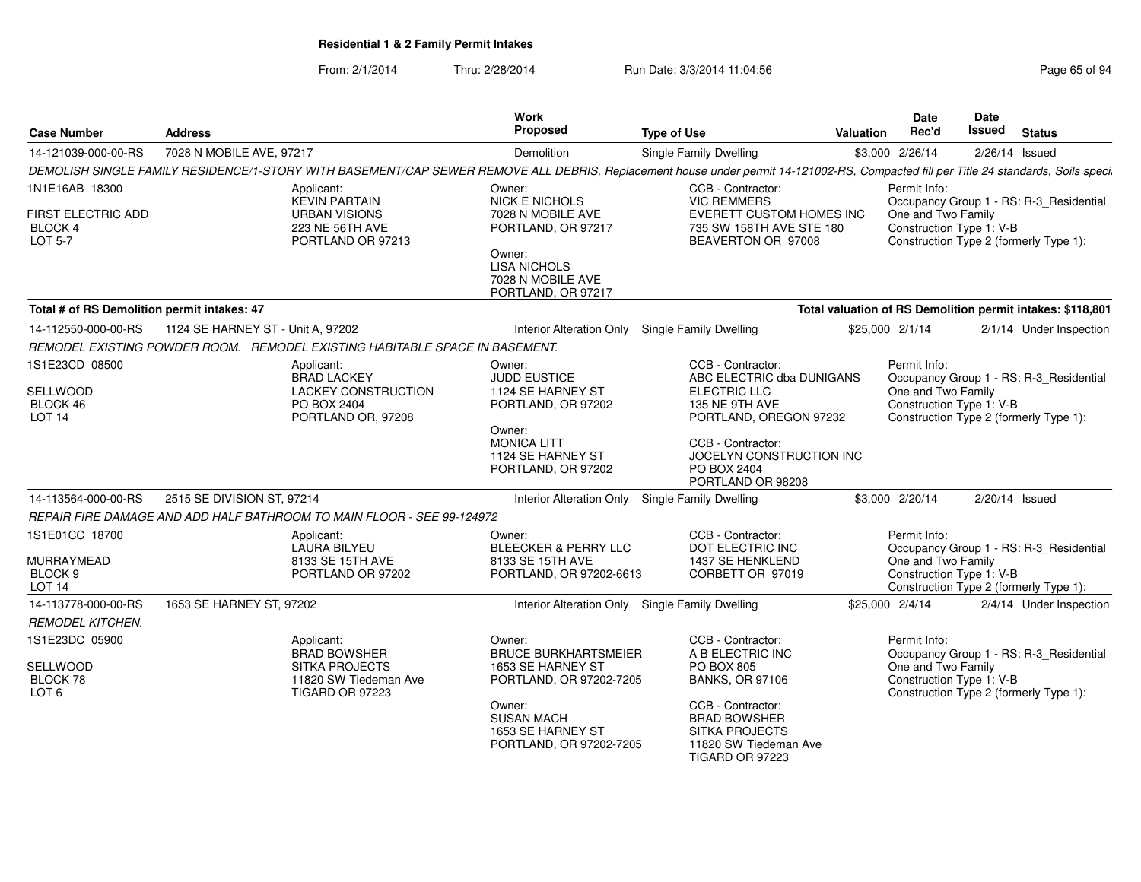From: 2/1/2014Thru: 2/28/2014 Run Date: 3/3/2014 11:04:56 Research 2010 Page 65 of 94

| <b>Case Number</b>                                                      | <b>Address</b>                    |                                                                                                     | Work<br>Proposed                                                                                                                                                     | <b>Type of Use</b>                                                                                                                                                                                           | Valuation       | <b>Date</b><br>Rec'd                                           | <b>Date</b><br>Issued | <b>Status</b>                                                                     |
|-------------------------------------------------------------------------|-----------------------------------|-----------------------------------------------------------------------------------------------------|----------------------------------------------------------------------------------------------------------------------------------------------------------------------|--------------------------------------------------------------------------------------------------------------------------------------------------------------------------------------------------------------|-----------------|----------------------------------------------------------------|-----------------------|-----------------------------------------------------------------------------------|
| 14-121039-000-00-RS                                                     | 7028 N MOBILE AVE, 97217          |                                                                                                     | Demolition                                                                                                                                                           | <b>Single Family Dwelling</b>                                                                                                                                                                                |                 | \$3,000 2/26/14                                                | $2/26/14$ Issued      |                                                                                   |
|                                                                         |                                   |                                                                                                     |                                                                                                                                                                      | DEMOLISH SINGLE FAMILY RESIDENCE/1-STORY WITH BASEMENT/CAP SEWER REMOVE ALL DEBRIS, Replacement house under permit 14-121002-RS, Compacted fill per Title 24 standards, Soils speci.                         |                 |                                                                |                       |                                                                                   |
| 1N1E16AB 18300<br>FIRST ELECTRIC ADD<br><b>BLOCK 4</b><br>LOT 5-7       |                                   | Applicant:<br><b>KEVIN PARTAIN</b><br><b>URBAN VISIONS</b><br>223 NE 56TH AVE<br>PORTLAND OR 97213  | Owner:<br><b>NICK E NICHOLS</b><br>7028 N MOBILE AVE<br>PORTLAND, OR 97217<br>Owner:<br><b>LISA NICHOLS</b><br>7028 N MOBILE AVE<br>PORTLAND, OR 97217               | CCB - Contractor:<br><b>VIC REMMERS</b><br>EVERETT CUSTOM HOMES INC<br>735 SW 158TH AVE STE 180<br>BEAVERTON OR 97008                                                                                        |                 | Permit Info:<br>One and Two Family<br>Construction Type 1: V-B |                       | Occupancy Group 1 - RS: R-3 Residential<br>Construction Type 2 (formerly Type 1): |
| Total # of RS Demolition permit intakes: 47                             |                                   |                                                                                                     |                                                                                                                                                                      |                                                                                                                                                                                                              |                 |                                                                |                       | Total valuation of RS Demolition permit intakes: \$118,801                        |
| 14-112550-000-00-RS                                                     | 1124 SE HARNEY ST - Unit A, 97202 |                                                                                                     | <b>Interior Alteration Only</b>                                                                                                                                      | Single Family Dwelling                                                                                                                                                                                       | \$25,000 2/1/14 |                                                                |                       | 2/1/14 Under Inspection                                                           |
|                                                                         |                                   | REMODEL EXISTING POWDER ROOM. REMODEL EXISTING HABITABLE SPACE IN BASEMENT.                         |                                                                                                                                                                      |                                                                                                                                                                                                              |                 |                                                                |                       |                                                                                   |
| 1S1E23CD 08500<br>SELLWOOD<br>BLOCK 46<br>LOT <sub>14</sub>             |                                   | Applicant:<br><b>BRAD LACKEY</b><br><b>LACKEY CONSTRUCTION</b><br>PO BOX 2404<br>PORTLAND OR, 97208 | Owner:<br><b>JUDD EUSTICE</b><br>1124 SE HARNEY ST<br>PORTLAND, OR 97202<br>Owner:<br><b>MONICA LITT</b><br>1124 SE HARNEY ST<br>PORTLAND, OR 97202                  | CCB - Contractor:<br>ABC ELECTRIC dba DUNIGANS<br><b>ELECTRIC LLC</b><br>135 NE 9TH AVE<br>PORTLAND, OREGON 97232<br>CCB - Contractor:<br>JOCELYN CONSTRUCTION INC<br>PO BOX 2404<br>PORTLAND OR 98208       |                 | Permit Info:<br>One and Two Family<br>Construction Type 1: V-B |                       | Occupancy Group 1 - RS: R-3 Residential<br>Construction Type 2 (formerly Type 1): |
| 14-113564-000-00-RS                                                     | 2515 SE DIVISION ST, 97214        |                                                                                                     | <b>Interior Alteration Only</b>                                                                                                                                      | Single Family Dwelling                                                                                                                                                                                       |                 | \$3,000 2/20/14                                                | 2/20/14 Issued        |                                                                                   |
|                                                                         |                                   | REPAIR FIRE DAMAGE AND ADD HALF BATHROOM TO MAIN FLOOR - SEE 99-124972                              |                                                                                                                                                                      |                                                                                                                                                                                                              |                 |                                                                |                       |                                                                                   |
| 1S1E01CC 18700<br>MURRAYMEAD<br>BLOCK <sub>9</sub><br>LOT <sub>14</sub> |                                   | Applicant:<br>LAURA BILYEU<br>8133 SE 15TH AVE<br>PORTLAND OR 97202                                 | Owner:<br><b>BLEECKER &amp; PERRY LLC</b><br>8133 SE 15TH AVE<br>PORTLAND, OR 97202-6613                                                                             | CCB - Contractor:<br>DOT ELECTRIC INC<br>1437 SE HENKLEND<br>CORBETT OR 97019                                                                                                                                |                 | Permit Info:<br>One and Two Family<br>Construction Type 1: V-B |                       | Occupancy Group 1 - RS: R-3 Residential<br>Construction Type 2 (formerly Type 1): |
| 14-113778-000-00-RS                                                     | 1653 SE HARNEY ST. 97202          |                                                                                                     | Interior Alteration Only Single Family Dwelling                                                                                                                      |                                                                                                                                                                                                              | \$25,000 2/4/14 |                                                                |                       | 2/4/14 Under Inspection                                                           |
| <b>REMODEL KITCHEN.</b>                                                 |                                   |                                                                                                     |                                                                                                                                                                      |                                                                                                                                                                                                              |                 |                                                                |                       |                                                                                   |
| 1S1E23DC 05900<br>SELLWOOD<br>BLOCK 78<br>LOT <sub>6</sub>              |                                   | Applicant:<br><b>BRAD BOWSHER</b><br>SITKA PROJECTS<br>11820 SW Tiedeman Ave<br>TIGARD OR 97223     | Owner:<br><b>BRUCE BURKHARTSMEIER</b><br>1653 SE HARNEY ST<br>PORTLAND, OR 97202-7205<br>Owner:<br><b>SUSAN MACH</b><br>1653 SE HARNEY ST<br>PORTLAND, OR 97202-7205 | CCB - Contractor:<br>A B ELECTRIC INC<br><b>PO BOX 805</b><br><b>BANKS, OR 97106</b><br>CCB - Contractor:<br><b>BRAD BOWSHER</b><br><b>SITKA PROJECTS</b><br>11820 SW Tiedeman Ave<br><b>TIGARD OR 97223</b> |                 | Permit Info:<br>One and Two Family<br>Construction Type 1: V-B |                       | Occupancy Group 1 - RS: R-3 Residential<br>Construction Type 2 (formerly Type 1): |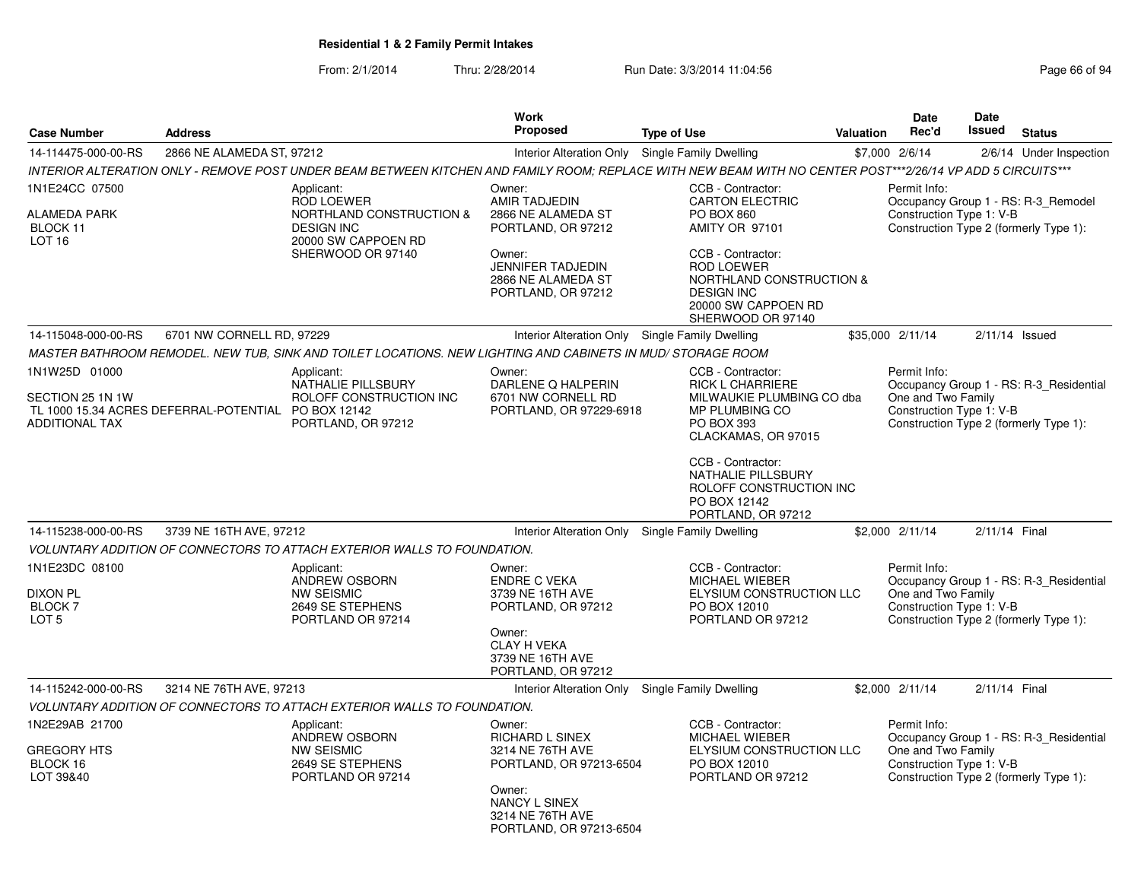|                                                                                                                              | <b>Work</b>                                                                                                                                                         |                                                                                                                                                                                                     |                                                                                                                                                                                                                                                                                                                                                                                                                                                     | <b>Date</b>                                                                                                                              | <b>Date</b>                                                                                    | <b>Status</b>                                                                                                                                                                                                                                                                                                                                                                                                                                                                                                                                                                                                                                                                                                                             |
|------------------------------------------------------------------------------------------------------------------------------|---------------------------------------------------------------------------------------------------------------------------------------------------------------------|-----------------------------------------------------------------------------------------------------------------------------------------------------------------------------------------------------|-----------------------------------------------------------------------------------------------------------------------------------------------------------------------------------------------------------------------------------------------------------------------------------------------------------------------------------------------------------------------------------------------------------------------------------------------------|------------------------------------------------------------------------------------------------------------------------------------------|------------------------------------------------------------------------------------------------|-------------------------------------------------------------------------------------------------------------------------------------------------------------------------------------------------------------------------------------------------------------------------------------------------------------------------------------------------------------------------------------------------------------------------------------------------------------------------------------------------------------------------------------------------------------------------------------------------------------------------------------------------------------------------------------------------------------------------------------------|
|                                                                                                                              |                                                                                                                                                                     |                                                                                                                                                                                                     |                                                                                                                                                                                                                                                                                                                                                                                                                                                     |                                                                                                                                          |                                                                                                |                                                                                                                                                                                                                                                                                                                                                                                                                                                                                                                                                                                                                                                                                                                                           |
|                                                                                                                              |                                                                                                                                                                     |                                                                                                                                                                                                     |                                                                                                                                                                                                                                                                                                                                                                                                                                                     |                                                                                                                                          |                                                                                                | 2/6/14 Under Inspection                                                                                                                                                                                                                                                                                                                                                                                                                                                                                                                                                                                                                                                                                                                   |
| Applicant:<br><b>ROD LOEWER</b><br>NORTHLAND CONSTRUCTION &<br><b>DESIGN INC</b><br>20000 SW CAPPOEN RD<br>SHERWOOD OR 97140 | Owner:<br>AMIR TADJEDIN<br>2866 NE ALAMEDA ST<br>PORTLAND, OR 97212<br>Owner:                                                                                       | CCB - Contractor:<br><b>CARTON ELECTRIC</b><br>PO BOX 860<br>AMITY OR 97101<br>CCB - Contractor:                                                                                                    |                                                                                                                                                                                                                                                                                                                                                                                                                                                     | Permit Info:                                                                                                                             |                                                                                                |                                                                                                                                                                                                                                                                                                                                                                                                                                                                                                                                                                                                                                                                                                                                           |
|                                                                                                                              | 2866 NE ALAMEDA ST<br>PORTLAND, OR 97212                                                                                                                            | <b>DESIGN INC</b><br>20000 SW CAPPOEN RD<br>SHERWOOD OR 97140                                                                                                                                       |                                                                                                                                                                                                                                                                                                                                                                                                                                                     |                                                                                                                                          |                                                                                                |                                                                                                                                                                                                                                                                                                                                                                                                                                                                                                                                                                                                                                                                                                                                           |
|                                                                                                                              |                                                                                                                                                                     |                                                                                                                                                                                                     |                                                                                                                                                                                                                                                                                                                                                                                                                                                     |                                                                                                                                          |                                                                                                | $2/11/14$ Issued                                                                                                                                                                                                                                                                                                                                                                                                                                                                                                                                                                                                                                                                                                                          |
|                                                                                                                              |                                                                                                                                                                     |                                                                                                                                                                                                     |                                                                                                                                                                                                                                                                                                                                                                                                                                                     |                                                                                                                                          |                                                                                                |                                                                                                                                                                                                                                                                                                                                                                                                                                                                                                                                                                                                                                                                                                                                           |
| Applicant:<br>NATHALIE PILLSBURY<br>ROLOFF CONSTRUCTION INC<br>PORTLAND, OR 97212                                            | Owner:<br>DARLENE Q HALPERIN<br>6701 NW CORNELL RD                                                                                                                  | CCB - Contractor:<br><b>RICK L CHARRIERE</b><br>MP PLUMBING CO<br><b>PO BOX 393</b><br>CLACKAMAS, OR 97015                                                                                          |                                                                                                                                                                                                                                                                                                                                                                                                                                                     | Permit Info:                                                                                                                             |                                                                                                |                                                                                                                                                                                                                                                                                                                                                                                                                                                                                                                                                                                                                                                                                                                                           |
|                                                                                                                              |                                                                                                                                                                     | CCB - Contractor:<br>NATHALIE PILLSBURY<br>PO BOX 12142<br>PORTLAND, OR 97212                                                                                                                       |                                                                                                                                                                                                                                                                                                                                                                                                                                                     |                                                                                                                                          |                                                                                                |                                                                                                                                                                                                                                                                                                                                                                                                                                                                                                                                                                                                                                                                                                                                           |
|                                                                                                                              |                                                                                                                                                                     |                                                                                                                                                                                                     |                                                                                                                                                                                                                                                                                                                                                                                                                                                     |                                                                                                                                          |                                                                                                |                                                                                                                                                                                                                                                                                                                                                                                                                                                                                                                                                                                                                                                                                                                                           |
|                                                                                                                              |                                                                                                                                                                     |                                                                                                                                                                                                     |                                                                                                                                                                                                                                                                                                                                                                                                                                                     |                                                                                                                                          |                                                                                                |                                                                                                                                                                                                                                                                                                                                                                                                                                                                                                                                                                                                                                                                                                                                           |
| Applicant:<br>ANDREW OSBORN<br><b>NW SEISMIC</b><br>2649 SE STEPHENS<br>PORTLAND OR 97214                                    | Owner:<br><b>ENDRE C VEKA</b><br>3739 NE 16TH AVE<br>PORTLAND, OR 97212<br>Owner:<br><b>CLAY H VEKA</b><br>3739 NE 16TH AVE<br>PORTLAND, OR 97212                   | CCB - Contractor:<br>MICHAEL WIEBER<br>PO BOX 12010<br>PORTLAND OR 97212                                                                                                                            |                                                                                                                                                                                                                                                                                                                                                                                                                                                     | Permit Info:                                                                                                                             |                                                                                                |                                                                                                                                                                                                                                                                                                                                                                                                                                                                                                                                                                                                                                                                                                                                           |
|                                                                                                                              |                                                                                                                                                                     |                                                                                                                                                                                                     |                                                                                                                                                                                                                                                                                                                                                                                                                                                     |                                                                                                                                          |                                                                                                |                                                                                                                                                                                                                                                                                                                                                                                                                                                                                                                                                                                                                                                                                                                                           |
|                                                                                                                              |                                                                                                                                                                     |                                                                                                                                                                                                     |                                                                                                                                                                                                                                                                                                                                                                                                                                                     |                                                                                                                                          |                                                                                                |                                                                                                                                                                                                                                                                                                                                                                                                                                                                                                                                                                                                                                                                                                                                           |
| Applicant:<br>ANDREW OSBORN<br><b>NW SEISMIC</b><br>2649 SE STEPHENS<br>PORTLAND OR 97214                                    | Owner:<br><b>RICHARD L SINEX</b><br>3214 NE 76TH AVE<br>Owner:<br>NANCY L SINEX<br>3214 NE 76TH AVE                                                                 | CCB - Contractor:<br><b>MICHAEL WIEBER</b><br>PO BOX 12010<br>PORTLAND OR 97212                                                                                                                     |                                                                                                                                                                                                                                                                                                                                                                                                                                                     | Permit Info:                                                                                                                             |                                                                                                |                                                                                                                                                                                                                                                                                                                                                                                                                                                                                                                                                                                                                                                                                                                                           |
| <b>Address</b>                                                                                                               | 2866 NE ALAMEDA ST, 97212<br>6701 NW CORNELL RD, 97229<br>TL 1000 15.34 ACRES DEFERRAL-POTENTIAL PO BOX 12142<br>3739 NE 16TH AVE, 97212<br>3214 NE 76TH AVE, 97213 | <b>Proposed</b><br><b>JENNIFER TADJEDIN</b><br>VOLUNTARY ADDITION OF CONNECTORS TO ATTACH EXTERIOR WALLS TO FOUNDATION.<br>VOLUNTARY ADDITION OF CONNECTORS TO ATTACH EXTERIOR WALLS TO FOUNDATION. | <b>Type of Use</b><br>Interior Alteration Only Single Family Dwelling<br><b>ROD LOEWER</b><br>Interior Alteration Only Single Family Dwelling<br>MASTER BATHROOM REMODEL. NEW TUB, SINK AND TOILET LOCATIONS. NEW LIGHTING AND CABINETS IN MUD/ STORAGE ROOM<br>PORTLAND, OR 97229-6918<br>Interior Alteration Only Single Family Dwelling<br>Interior Alteration Only Single Family Dwelling<br>PORTLAND, OR 97213-6504<br>PORTLAND, OR 97213-6504 | NORTHLAND CONSTRUCTION &<br>MILWAUKIE PLUMBING CO dba<br>ROLOFF CONSTRUCTION INC<br>ELYSIUM CONSTRUCTION LLC<br>ELYSIUM CONSTRUCTION LLC | Rec'd<br>Valuation<br>\$7,000 2/6/14<br>\$35,000 2/11/14<br>\$2,000 2/11/14<br>\$2,000 2/11/14 | Issued<br>INTERIOR ALTERATION ONLY - REMOVE POST UNDER BEAM BETWEEN KITCHEN AND FAMILY ROOM; REPLACE WITH NEW BEAM WITH NO CENTER POST***2/26/14 VP ADD 5 CIRCUITS***<br>Occupancy Group 1 - RS: R-3_Remodel<br>Construction Type 1: V-B<br>Construction Type 2 (formerly Type 1):<br>Occupancy Group 1 - RS: R-3_Residential<br>One and Two Family<br>Construction Type 1: V-B<br>Construction Type 2 (formerly Type 1):<br>2/11/14 Final<br>Occupancy Group 1 - RS: R-3 Residential<br>One and Two Family<br>Construction Type 1: V-B<br>Construction Type 2 (formerly Type 1):<br>2/11/14 Final<br>Occupancy Group 1 - RS: R-3 Residential<br>One and Two Family<br>Construction Type 1: V-B<br>Construction Type 2 (formerly Type 1): |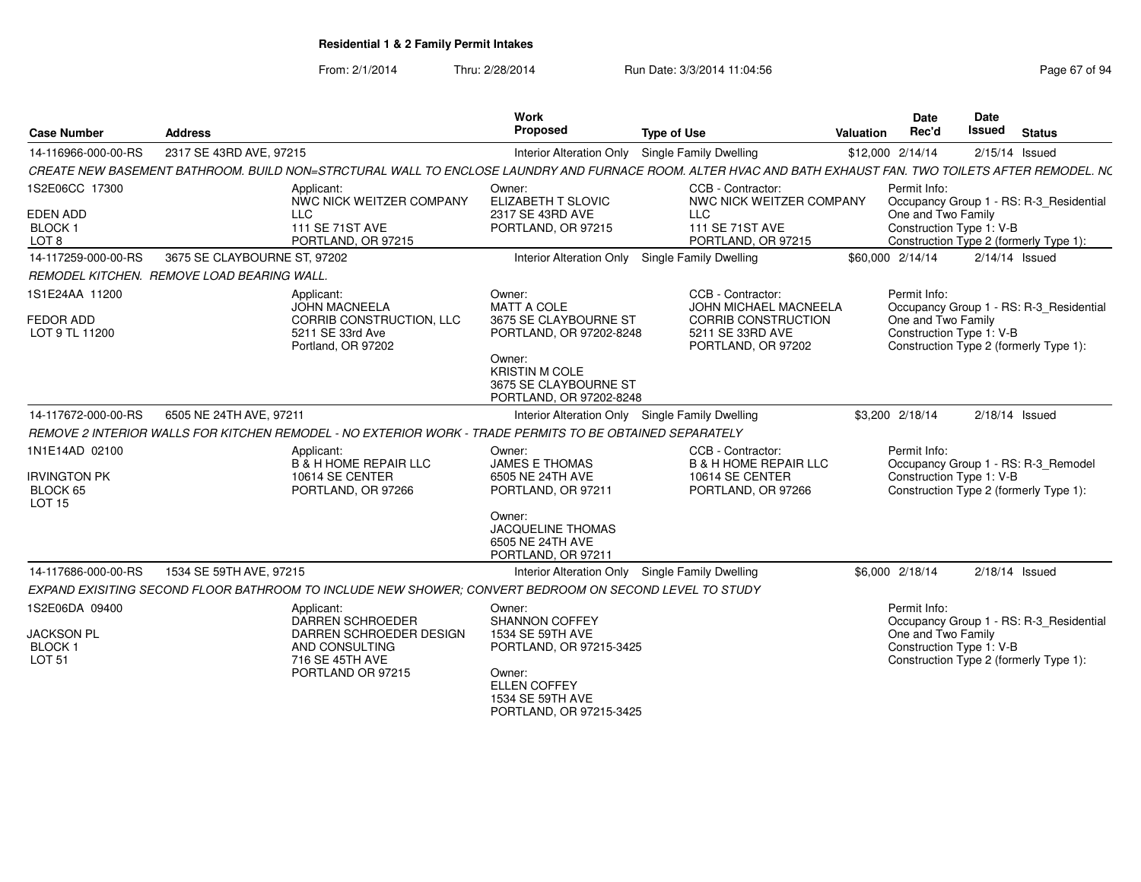| <b>Case Number</b>                                                         | <b>Address</b>                                                                                                                                             | Work<br>Proposed                                                                                                                                                        | <b>Type of Use</b>                                                                                          | Valuation | Date<br>Rec'd                                                  | Date<br><b>Issued</b> | <b>Status</b>                                                                     |
|----------------------------------------------------------------------------|------------------------------------------------------------------------------------------------------------------------------------------------------------|-------------------------------------------------------------------------------------------------------------------------------------------------------------------------|-------------------------------------------------------------------------------------------------------------|-----------|----------------------------------------------------------------|-----------------------|-----------------------------------------------------------------------------------|
| 14-116966-000-00-RS                                                        | 2317 SE 43RD AVE, 97215                                                                                                                                    | <b>Interior Alteration Only</b>                                                                                                                                         | <b>Single Family Dwelling</b>                                                                               |           | \$12,000 2/14/14                                               |                       | $2/15/14$ Issued                                                                  |
|                                                                            | CREATE NEW BASEMENT BATHROOM. BUILD NON=STRCTURAL WALL TO ENCLOSE LAUNDRY AND FURNACE ROOM. ALTER HVAC AND BATH EXHAUST FAN. TWO TOILETS AFTER REMODEL. NC |                                                                                                                                                                         |                                                                                                             |           |                                                                |                       |                                                                                   |
| 1S2E06CC 17300<br><b>EDEN ADD</b><br><b>BLOCK1</b>                         | Applicant:<br>NWC NICK WEITZER COMPANY<br><b>LLC</b><br><b>111 SE 71ST AVE</b>                                                                             | Owner:<br>ELIZABETH T SLOVIC<br>2317 SE 43RD AVE<br>PORTLAND, OR 97215                                                                                                  | CCB - Contractor:<br>NWC NICK WEITZER COMPANY<br><b>LLC</b><br>111 SE 71ST AVE                              |           | Permit Info:<br>One and Two Family<br>Construction Type 1: V-B |                       | Occupancy Group 1 - RS: R-3_Residential                                           |
| LOT <sub>8</sub>                                                           | PORTLAND, OR 97215                                                                                                                                         |                                                                                                                                                                         | PORTLAND, OR 97215                                                                                          |           |                                                                |                       | Construction Type 2 (formerly Type 1):                                            |
| 14-117259-000-00-RS                                                        | 3675 SE CLAYBOURNE ST, 97202                                                                                                                               | <b>Interior Alteration Only</b>                                                                                                                                         | Single Family Dwelling                                                                                      |           | \$60,000 2/14/14                                               |                       | $2/14/14$ Issued                                                                  |
|                                                                            | REMODEL KITCHEN. REMOVE LOAD BEARING WALL.                                                                                                                 |                                                                                                                                                                         |                                                                                                             |           |                                                                |                       |                                                                                   |
| 1S1E24AA 11200<br><b>FEDOR ADD</b><br>LOT 9 TL 11200                       | Applicant:<br><b>JOHN MACNEELA</b><br>CORRIB CONSTRUCTION, LLC<br>5211 SE 33rd Ave<br>Portland, OR 97202                                                   | Owner:<br><b>MATT A COLE</b><br>3675 SE CLAYBOURNE ST<br>PORTLAND, OR 97202-8248<br>Owner:<br><b>KRISTIN M COLE</b><br>3675 SE CLAYBOURNE ST<br>PORTLAND, OR 97202-8248 | CCB - Contractor:<br>JOHN MICHAEL MACNEELA<br>CORRIB CONSTRUCTION<br>5211 SE 33RD AVE<br>PORTLAND, OR 97202 |           | Permit Info:<br>One and Two Family<br>Construction Type 1: V-B |                       | Occupancy Group 1 - RS: R-3_Residential<br>Construction Type 2 (formerly Type 1): |
| 14-117672-000-00-RS                                                        | 6505 NE 24TH AVE, 97211                                                                                                                                    | Interior Alteration Only Single Family Dwelling                                                                                                                         |                                                                                                             |           | \$3,200 2/18/14                                                |                       | $2/18/14$ Issued                                                                  |
|                                                                            | REMOVE 2 INTERIOR WALLS FOR KITCHEN REMODEL - NO EXTERIOR WORK - TRADE PERMITS TO BE OBTAINED SEPARATELY                                                   |                                                                                                                                                                         |                                                                                                             |           |                                                                |                       |                                                                                   |
| 1N1E14AD 02100<br><b>IRVINGTON PK</b><br>BLOCK 65<br><b>LOT 15</b>         | Applicant:<br><b>B &amp; H HOME REPAIR LLC</b><br>10614 SE CENTER<br>PORTLAND, OR 97266                                                                    | Owner:<br><b>JAMES E THOMAS</b><br>6505 NE 24TH AVE<br>PORTLAND, OR 97211<br>Owner:<br><b>JACQUELINE THOMAS</b>                                                         | CCB - Contractor:<br><b>B &amp; H HOME REPAIR LLC</b><br>10614 SE CENTER<br>PORTLAND, OR 97266              |           | Permit Info:<br>Construction Type 1: V-B                       |                       | Occupancy Group 1 - RS: R-3_Remodel<br>Construction Type 2 (formerly Type 1):     |
|                                                                            |                                                                                                                                                            | 6505 NE 24TH AVE                                                                                                                                                        |                                                                                                             |           |                                                                |                       |                                                                                   |
|                                                                            |                                                                                                                                                            | PORTLAND, OR 97211                                                                                                                                                      |                                                                                                             |           |                                                                |                       |                                                                                   |
| 14-117686-000-00-RS                                                        | 1534 SE 59TH AVE, 97215                                                                                                                                    | Interior Alteration Only Single Family Dwelling                                                                                                                         |                                                                                                             |           | \$6,000 2/18/14                                                |                       | $2/18/14$ Issued                                                                  |
|                                                                            | EXPAND EXISITING SECOND FLOOR BATHROOM TO INCLUDE NEW SHOWER; CONVERT BEDROOM ON SECOND LEVEL TO STUDY                                                     |                                                                                                                                                                         |                                                                                                             |           |                                                                |                       |                                                                                   |
| 1S2E06DA 09400<br><b>JACKSON PL</b><br>BLOCK <sub>1</sub><br><b>LOT 51</b> | Applicant:<br><b>DARREN SCHROEDER</b><br>DARREN SCHROEDER DESIGN<br>AND CONSULTING<br>716 SE 45TH AVE<br>PORTLAND OR 97215                                 | Owner:<br><b>SHANNON COFFEY</b><br>1534 SE 59TH AVE<br>PORTLAND, OR 97215-3425<br>Owner:<br><b>ELLEN COFFEY</b><br>1534 SE 59TH AVE                                     |                                                                                                             |           | Permit Info:<br>One and Two Family<br>Construction Type 1: V-B |                       | Occupancy Group 1 - RS: R-3 Residential<br>Construction Type 2 (formerly Type 1): |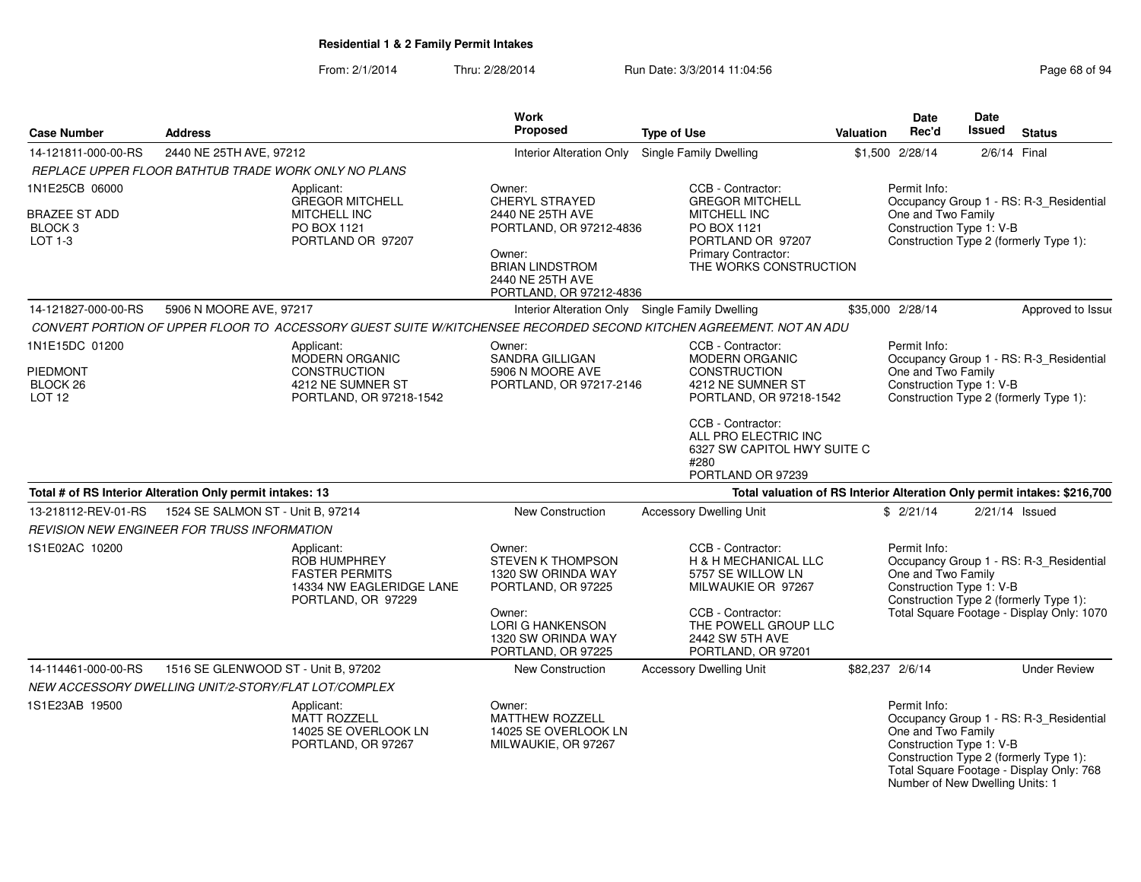| <b>Case Number</b>                                    | <b>Address</b>                                                                   |                                                                                                       | <b>Work</b><br>Proposed                                                                                                                                         | <b>Type of Use</b>                                                                                                                                                                    | Valuation | <b>Date</b><br>Rec'd                                                                              | <b>Date</b><br><b>Issued</b> | <b>Status</b>                                                                                                                  |
|-------------------------------------------------------|----------------------------------------------------------------------------------|-------------------------------------------------------------------------------------------------------|-----------------------------------------------------------------------------------------------------------------------------------------------------------------|---------------------------------------------------------------------------------------------------------------------------------------------------------------------------------------|-----------|---------------------------------------------------------------------------------------------------|------------------------------|--------------------------------------------------------------------------------------------------------------------------------|
| 14-121811-000-00-RS                                   | 2440 NE 25TH AVE, 97212                                                          |                                                                                                       | <b>Interior Alteration Only</b>                                                                                                                                 | <b>Single Family Dwelling</b>                                                                                                                                                         |           | \$1,500 2/28/14                                                                                   | 2/6/14 Final                 |                                                                                                                                |
|                                                       | REPLACE UPPER FLOOR BATHTUB TRADE WORK ONLY NO PLANS                             |                                                                                                       |                                                                                                                                                                 |                                                                                                                                                                                       |           |                                                                                                   |                              |                                                                                                                                |
| 1N1E25CB 06000                                        |                                                                                  | Applicant:                                                                                            | Owner:                                                                                                                                                          | CCB - Contractor:                                                                                                                                                                     |           | Permit Info:                                                                                      |                              |                                                                                                                                |
| <b>BRAZEE ST ADD</b><br>BLOCK <sub>3</sub><br>LOT 1-3 |                                                                                  | <b>GREGOR MITCHELL</b><br>MITCHELL INC<br>PO BOX 1121<br>PORTLAND OR 97207                            | CHERYL STRAYED<br>2440 NE 25TH AVE<br>PORTLAND, OR 97212-4836<br>Owner:<br><b>BRIAN LINDSTROM</b><br>2440 NE 25TH AVE<br>PORTLAND, OR 97212-4836                | <b>GREGOR MITCHELL</b><br><b>MITCHELL INC</b><br>PO BOX 1121<br>PORTLAND OR 97207<br>Primary Contractor:<br>THE WORKS CONSTRUCTION                                                    |           | One and Two Family<br>Construction Type 1: V-B                                                    |                              | Occupancy Group 1 - RS: R-3_Residential<br>Construction Type 2 (formerly Type 1):                                              |
| 14-121827-000-00-RS                                   | 5906 N MOORE AVE, 97217                                                          |                                                                                                       |                                                                                                                                                                 | Interior Alteration Only Single Family Dwelling                                                                                                                                       |           | \$35,000 2/28/14                                                                                  |                              | Approved to Issue                                                                                                              |
|                                                       |                                                                                  |                                                                                                       |                                                                                                                                                                 | CONVERT PORTION OF UPPER FLOOR TO ACCESSORY GUEST SUITE W/KITCHENSEE RECORDED SECOND KITCHEN AGREEMENT. NOT AN ADU                                                                    |           |                                                                                                   |                              |                                                                                                                                |
| 1N1E15DC 01200                                        |                                                                                  | Applicant:<br>MODERN ORGANIC                                                                          | Owner:<br>SANDRA GILLIGAN                                                                                                                                       | CCB - Contractor:<br>MODERN ORGANIC                                                                                                                                                   |           | Permit Info:                                                                                      |                              | Occupancy Group 1 - RS: R-3_Residential                                                                                        |
| <b>PIEDMONT</b><br>BLOCK 26<br>LOT <sub>12</sub>      |                                                                                  | <b>CONSTRUCTION</b><br>4212 NE SUMNER ST<br>PORTLAND, OR 97218-1542                                   | 5906 N MOORE AVE<br>PORTLAND, OR 97217-2146                                                                                                                     | <b>CONSTRUCTION</b><br>4212 NE SUMNER ST<br>PORTLAND, OR 97218-1542                                                                                                                   |           | One and Two Family<br>Construction Type 1: V-B                                                    |                              | Construction Type 2 (formerly Type 1):                                                                                         |
|                                                       |                                                                                  |                                                                                                       |                                                                                                                                                                 | CCB - Contractor:<br>ALL PRO ELECTRIC INC<br>6327 SW CAPITOL HWY SUITE C<br>#280<br>PORTLAND OR 97239                                                                                 |           |                                                                                                   |                              |                                                                                                                                |
|                                                       | Total # of RS Interior Alteration Only permit intakes: 13                        |                                                                                                       |                                                                                                                                                                 | Total valuation of RS Interior Alteration Only permit intakes: \$216,700                                                                                                              |           |                                                                                                   |                              |                                                                                                                                |
| 13-218112-REV-01-RS                                   | 1524 SE SALMON ST - Unit B, 97214<br>REVISION NEW ENGINEER FOR TRUSS INFORMATION |                                                                                                       | New Construction                                                                                                                                                | <b>Accessory Dwelling Unit</b>                                                                                                                                                        |           | \$2/21/14                                                                                         |                              | $2/21/14$ Issued                                                                                                               |
| 1S1E02AC 10200                                        |                                                                                  | Applicant:<br>ROB HUMPHREY<br><b>FASTER PERMITS</b><br>14334 NW EAGLERIDGE LANE<br>PORTLAND, OR 97229 | Owner:<br><b>STEVEN K THOMPSON</b><br>1320 SW ORINDA WAY<br>PORTLAND, OR 97225<br>Owner:<br><b>LORI G HANKENSON</b><br>1320 SW ORINDA WAY<br>PORTLAND, OR 97225 | CCB - Contractor:<br><b>H &amp; H MECHANICAL LLC</b><br>5757 SE WILLOW LN<br>MILWAUKIE OR 97267<br>CCB - Contractor:<br>THE POWELL GROUP LLC<br>2442 SW 5TH AVE<br>PORTLAND, OR 97201 |           | Permit Info:<br>One and Two Family<br>Construction Type 1: V-B                                    |                              | Occupancy Group 1 - RS: R-3_Residential<br>Construction Type 2 (formerly Type 1):<br>Total Square Footage - Display Only: 1070 |
| 14-114461-000-00-RS                                   | 1516 SE GLENWOOD ST - Unit B, 97202                                              |                                                                                                       | New Construction                                                                                                                                                | <b>Accessory Dwelling Unit</b>                                                                                                                                                        |           | \$82,237 2/6/14                                                                                   |                              | <b>Under Review</b>                                                                                                            |
|                                                       | NEW ACCESSORY DWELLING UNIT/2-STORY/FLAT LOT/COMPLEX                             |                                                                                                       |                                                                                                                                                                 |                                                                                                                                                                                       |           |                                                                                                   |                              |                                                                                                                                |
| 1S1E23AB 19500                                        |                                                                                  | Applicant:<br>MATT ROZZELL<br>14025 SE OVERLOOK LN<br>PORTLAND, OR 97267                              | Owner:<br><b>MATTHEW ROZZELL</b><br>14025 SE OVERLOOK LN<br>MILWAUKIE, OR 97267                                                                                 |                                                                                                                                                                                       |           | Permit Info:<br>One and Two Family<br>Construction Type 1: V-B<br>Number of New Dwelling Units: 1 |                              | Occupancy Group 1 - RS: R-3_Residential<br>Construction Type 2 (formerly Type 1):<br>Total Square Footage - Display Only: 768  |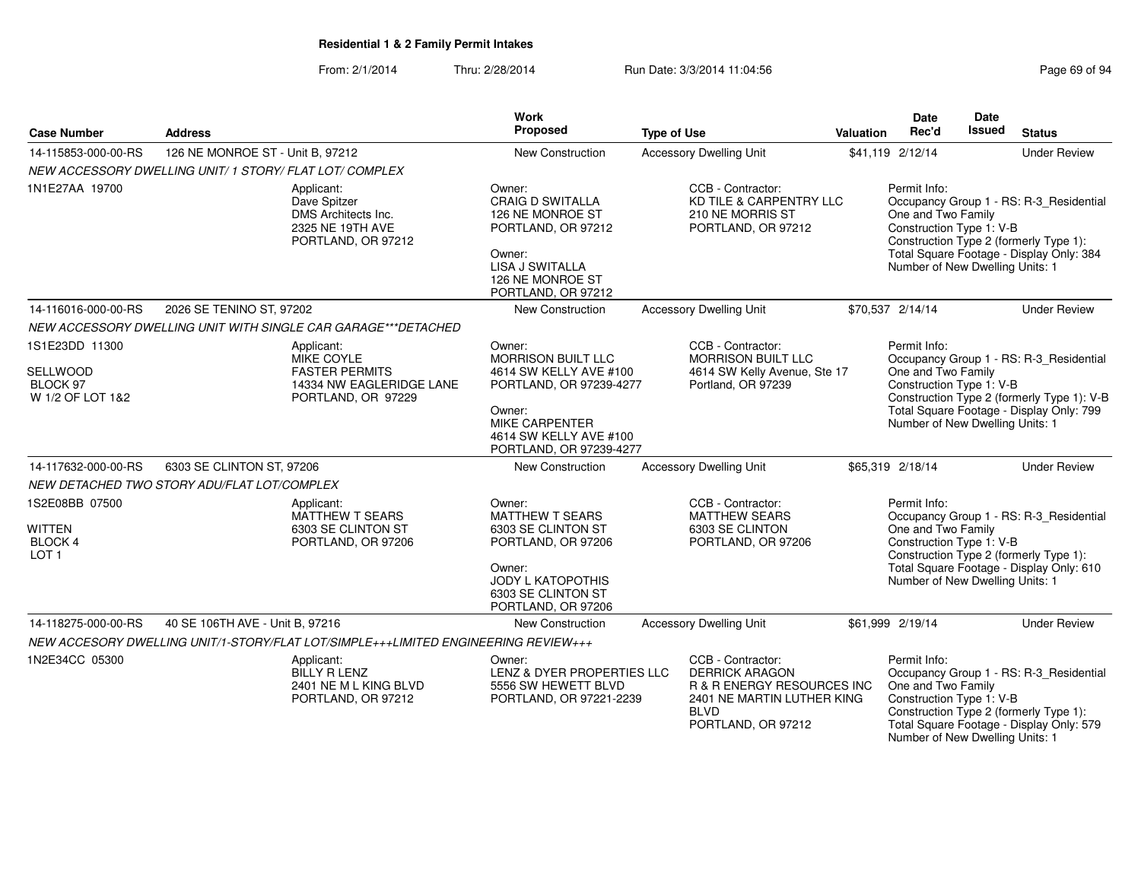From: 2/1/2014Thru: 2/28/2014 Run Date: 3/3/2014 11:04:56 Research 2010 12:04:56

| <b>Case Number</b>                                             | <b>Address</b>                                                                              | Work<br>Proposed                                                                                                                                   | <b>Type of Use</b>                                                                                                                          | Valuation | <b>Date</b><br>Rec'd                                                                              | Date<br><b>Issued</b> | <b>Status</b>                                                                                                                 |
|----------------------------------------------------------------|---------------------------------------------------------------------------------------------|----------------------------------------------------------------------------------------------------------------------------------------------------|---------------------------------------------------------------------------------------------------------------------------------------------|-----------|---------------------------------------------------------------------------------------------------|-----------------------|-------------------------------------------------------------------------------------------------------------------------------|
| 14-115853-000-00-RS                                            | 126 NE MONROE ST - Unit B, 97212                                                            | New Construction                                                                                                                                   | <b>Accessory Dwelling Unit</b>                                                                                                              |           | \$41,119 2/12/14                                                                                  |                       | <b>Under Review</b>                                                                                                           |
|                                                                | NEW ACCESSORY DWELLING UNIT/ 1 STORY/ FLAT LOT/ COMPLEX                                     |                                                                                                                                                    |                                                                                                                                             |           |                                                                                                   |                       |                                                                                                                               |
| 1N1E27AA 19700                                                 | Applicant:<br>Dave Spitzer<br>DMS Architects Inc.<br>2325 NE 19TH AVE<br>PORTLAND, OR 97212 | Owner:<br><b>CRAIG D SWITALLA</b><br>126 NE MONROE ST<br>PORTLAND, OR 97212<br>Owner:<br>LISA J SWITALLA<br>126 NE MONROE ST<br>PORTLAND, OR 97212 | CCB - Contractor:<br>KD TILE & CARPENTRY LLC<br>210 NE MORRIS ST<br>PORTLAND, OR 97212                                                      |           | Permit Info:<br>One and Two Family<br>Construction Type 1: V-B<br>Number of New Dwelling Units: 1 |                       | Occupancy Group 1 - RS: R-3_Residential<br>Construction Type 2 (formerly Type 1):<br>Total Square Footage - Display Only: 384 |
| 14-116016-000-00-RS                                            | 2026 SE TENINO ST, 97202                                                                    | New Construction                                                                                                                                   | <b>Accessory Dwelling Unit</b>                                                                                                              |           | \$70,537 2/14/14                                                                                  |                       | <b>Under Review</b>                                                                                                           |
|                                                                | NEW ACCESSORY DWELLING UNIT WITH SINGLE CAR GARAGE***DETACHED                               |                                                                                                                                                    |                                                                                                                                             |           |                                                                                                   |                       |                                                                                                                               |
| 1S1E23DD 11300                                                 | Applicant:<br>MIKE COYLE                                                                    | Owner:<br><b>MORRISON BUILT LLC</b>                                                                                                                | CCB - Contractor:<br><b>MORRISON BUILT LLC</b>                                                                                              |           | Permit Info:                                                                                      |                       | Occupancy Group 1 - RS: R-3_Residential                                                                                       |
| SELLWOOD<br>BLOCK 97<br>W 1/2 OF LOT 1&2                       | <b>FASTER PERMITS</b><br>14334 NW EAGLERIDGE LANE<br>PORTLAND, OR 97229                     | 4614 SW KELLY AVE #100<br>PORTLAND, OR 97239-4277<br>Owner:<br>MIKE CARPENTER<br>4614 SW KELLY AVE #100<br>PORTLAND, OR 97239-4277                 | 4614 SW Kelly Avenue, Ste 17<br>Portland, OR 97239                                                                                          |           | One and Two Family<br>Construction Type 1: V-B<br>Number of New Dwelling Units: 1                 |                       | Construction Type 2 (formerly Type 1): V-B<br>Total Square Footage - Display Only: 799                                        |
| 14-117632-000-00-RS                                            | 6303 SE CLINTON ST, 97206                                                                   | New Construction                                                                                                                                   | <b>Accessory Dwelling Unit</b>                                                                                                              |           | \$65,319 2/18/14                                                                                  |                       | <b>Under Review</b>                                                                                                           |
|                                                                | NEW DETACHED TWO STORY ADU/FLAT LOT/COMPLEX                                                 |                                                                                                                                                    |                                                                                                                                             |           |                                                                                                   |                       |                                                                                                                               |
| 1S2E08BB 07500<br>WITTEN<br><b>BLOCK 4</b><br>LOT <sub>1</sub> | Applicant:<br><b>MATTHEW T SEARS</b><br>6303 SE CLINTON ST<br>PORTLAND, OR 97206            | Owner:<br><b>MATTHEW T SEARS</b><br>6303 SE CLINTON ST<br>PORTLAND, OR 97206<br>Owner:<br>JODY L KATOPOTHIS                                        | CCB - Contractor:<br><b>MATTHEW SEARS</b><br>6303 SE CLINTON<br>PORTLAND, OR 97206                                                          |           | Permit Info:<br>One and Two Family<br>Construction Type 1: V-B<br>Number of New Dwelling Units: 1 |                       | Occupancy Group 1 - RS: R-3_Residential<br>Construction Type 2 (formerly Type 1):<br>Total Square Footage - Display Only: 610 |
|                                                                |                                                                                             | 6303 SE CLINTON ST<br>PORTLAND, OR 97206                                                                                                           |                                                                                                                                             |           |                                                                                                   |                       |                                                                                                                               |
| 14-118275-000-00-RS                                            | 40 SE 106TH AVE - Unit B. 97216                                                             | New Construction                                                                                                                                   | <b>Accessory Dwelling Unit</b>                                                                                                              |           | \$61,999 2/19/14                                                                                  |                       | <b>Under Review</b>                                                                                                           |
|                                                                | NEW ACCESORY DWELLING UNIT/1-STORY/FLAT LOT/SIMPLE+++LIMITED ENGINEERING REVIEW+++          |                                                                                                                                                    |                                                                                                                                             |           |                                                                                                   |                       |                                                                                                                               |
| 1N2E34CC 05300                                                 | Applicant:<br><b>BILLY R LENZ</b><br>2401 NE M L KING BLVD<br>PORTLAND, OR 97212            | Owner:<br>LENZ & DYER PROPERTIES LLC<br>5556 SW HEWETT BLVD<br>PORTLAND, OR 97221-2239                                                             | CCB - Contractor:<br><b>DERRICK ARAGON</b><br>R & R ENERGY RESOURCES INC<br>2401 NE MARTIN LUTHER KING<br><b>BLVD</b><br>PORTLAND, OR 97212 |           | Permit Info:<br>One and Two Family<br>Construction Type 1: V-B<br>Number of New Dwelling Units: 1 |                       | Occupancy Group 1 - RS: R-3_Residential<br>Construction Type 2 (formerly Type 1):<br>Total Square Footage - Display Only: 579 |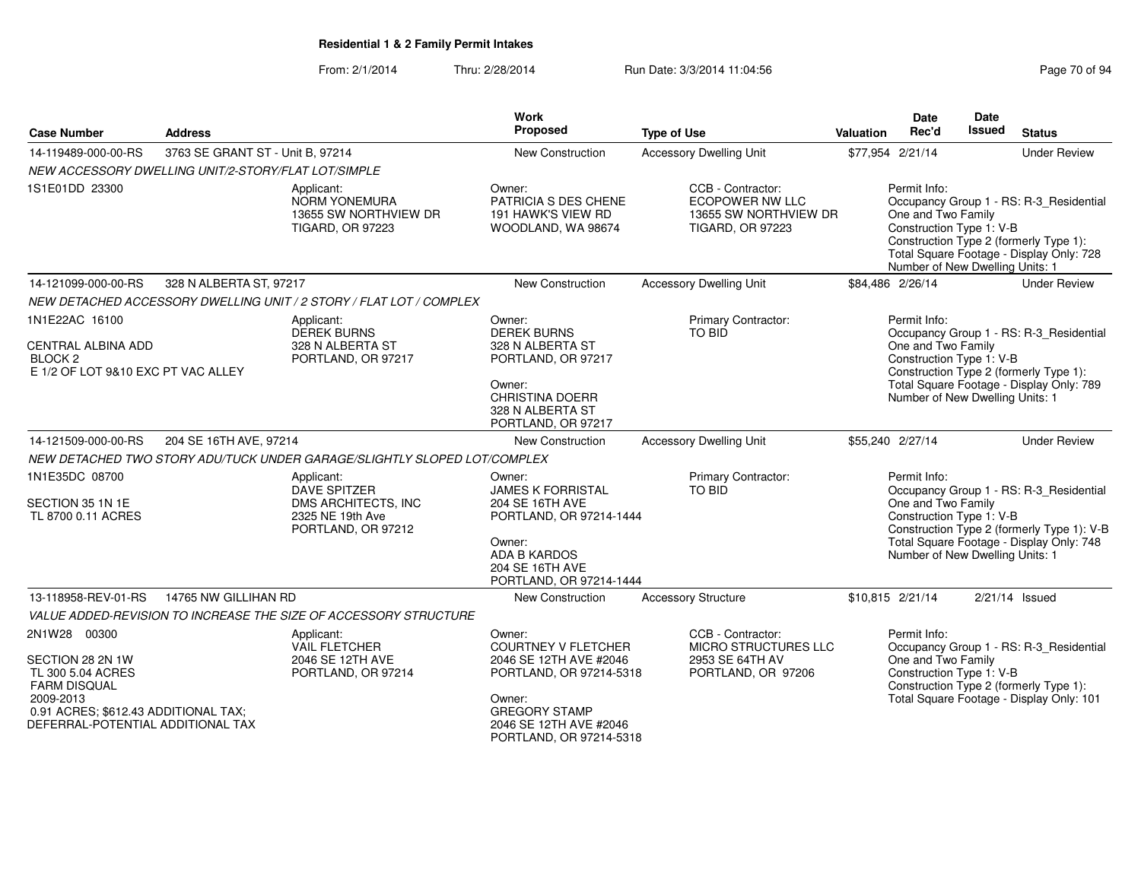### From: 2/1/2014Thru: 2/28/2014 Run Date: 3/3/2014 11:04:56 Research 2010 12:04:56

| <b>Case Number</b>                                                                                                                                                     | <b>Address</b>                   |                                                                                                    | <b>Work</b><br>Proposed                                                                                                                                                          | <b>Type of Use</b>                                                                              | <b>Valuation</b> | Date<br>Rec'd                                                                                     | Date<br>Issued | <b>Status</b>                                                                                                                     |
|------------------------------------------------------------------------------------------------------------------------------------------------------------------------|----------------------------------|----------------------------------------------------------------------------------------------------|----------------------------------------------------------------------------------------------------------------------------------------------------------------------------------|-------------------------------------------------------------------------------------------------|------------------|---------------------------------------------------------------------------------------------------|----------------|-----------------------------------------------------------------------------------------------------------------------------------|
| 14-119489-000-00-RS                                                                                                                                                    | 3763 SE GRANT ST - Unit B, 97214 |                                                                                                    | New Construction                                                                                                                                                                 | <b>Accessory Dwelling Unit</b>                                                                  |                  | \$77,954 2/21/14                                                                                  |                | <b>Under Review</b>                                                                                                               |
| NEW ACCESSORY DWELLING UNIT/2-STORY/FLAT LOT/SIMPLE                                                                                                                    |                                  |                                                                                                    |                                                                                                                                                                                  |                                                                                                 |                  |                                                                                                   |                |                                                                                                                                   |
| 1S1E01DD 23300                                                                                                                                                         |                                  | Applicant:<br>NORM YONEMURA<br>13655 SW NORTHVIEW DR<br><b>TIGARD, OR 97223</b>                    | Owner:<br>PATRICIA S DES CHENE<br>191 HAWK'S VIEW RD<br>WOODLAND, WA 98674                                                                                                       | CCB - Contractor:<br><b>ECOPOWER NW LLC</b><br>13655 SW NORTHVIEW DR<br><b>TIGARD, OR 97223</b> |                  | Permit Info:<br>One and Two Family<br>Construction Type 1: V-B<br>Number of New Dwelling Units: 1 |                | Occupancy Group 1 - RS: R-3_Residential<br>Construction Type 2 (formerly Type 1):<br>Total Square Footage - Display Only: 728     |
| 14-121099-000-00-RS                                                                                                                                                    | 328 N ALBERTA ST, 97217          |                                                                                                    | <b>New Construction</b>                                                                                                                                                          | <b>Accessory Dwelling Unit</b>                                                                  |                  | \$84,486 2/26/14                                                                                  |                | <b>Under Review</b>                                                                                                               |
|                                                                                                                                                                        |                                  | NEW DETACHED ACCESSORY DWELLING UNIT / 2 STORY / FLAT LOT / COMPLEX                                |                                                                                                                                                                                  |                                                                                                 |                  |                                                                                                   |                |                                                                                                                                   |
| 1N1E22AC 16100<br>CENTRAL ALBINA ADD<br>BLOCK <sub>2</sub><br>E 1/2 OF LOT 9&10 EXC PT VAC ALLEY                                                                       |                                  | Applicant:<br><b>DEREK BURNS</b><br>328 N ALBERTA ST<br>PORTLAND, OR 97217                         | Owner:<br><b>DEREK BURNS</b><br>328 N ALBERTA ST<br>PORTLAND, OR 97217<br>Owner:<br><b>CHRISTINA DOERR</b><br>328 N ALBERTA ST<br>PORTLAND, OR 97217                             | Primary Contractor:<br>TO BID                                                                   |                  | Permit Info:<br>One and Two Family<br>Construction Type 1: V-B<br>Number of New Dwelling Units: 1 |                | Occupancy Group 1 - RS: R-3_Residential<br>Construction Type 2 (formerly Type 1):<br>Total Square Footage - Display Only: 789     |
| 14-121509-000-00-RS                                                                                                                                                    | 204 SE 16TH AVE, 97214           |                                                                                                    | <b>New Construction</b>                                                                                                                                                          | <b>Accessory Dwelling Unit</b>                                                                  |                  | \$55,240 2/27/14                                                                                  |                | <b>Under Review</b>                                                                                                               |
|                                                                                                                                                                        |                                  | NEW DETACHED TWO STORY ADU/TUCK UNDER GARAGE/SLIGHTLY SLOPED LOT/COMPLEX                           |                                                                                                                                                                                  |                                                                                                 |                  |                                                                                                   |                |                                                                                                                                   |
| 1N1E35DC 08700<br>SECTION 35 1N 1E<br>TL 8700 0.11 ACRES                                                                                                               |                                  | Applicant:<br><b>DAVE SPITZER</b><br>DMS ARCHITECTS, INC<br>2325 NE 19th Ave<br>PORTLAND, OR 97212 | Owner:<br><b>JAMES K FORRISTAL</b><br>204 SE 16TH AVE<br>PORTLAND, OR 97214-1444<br>Owner:<br><b>ADA B KARDOS</b><br>204 SE 16TH AVE<br>PORTLAND, OR 97214-1444                  | Primary Contractor:<br>TO BID                                                                   |                  | Permit Info:<br>One and Two Family<br>Construction Type 1: V-B<br>Number of New Dwelling Units: 1 |                | Occupancy Group 1 - RS: R-3_Residential<br>Construction Type 2 (formerly Type 1): V-B<br>Total Square Footage - Display Only: 748 |
| 13-118958-REV-01-RS                                                                                                                                                    | 14765 NW GILLIHAN RD             |                                                                                                    | <b>New Construction</b>                                                                                                                                                          | <b>Accessory Structure</b>                                                                      |                  | \$10,815 2/21/14                                                                                  |                | $2/21/14$ Issued                                                                                                                  |
|                                                                                                                                                                        |                                  | VALUE ADDED-REVISION TO INCREASE THE SIZE OF ACCESSORY STRUCTURE                                   |                                                                                                                                                                                  |                                                                                                 |                  |                                                                                                   |                |                                                                                                                                   |
| 2N1W28 00300<br>SECTION 28 2N 1W<br>TL 300 5.04 ACRES<br><b>FARM DISQUAL</b><br>2009-2013<br>0.91 ACRES; \$612.43 ADDITIONAL TAX;<br>DEFERRAL-POTENTIAL ADDITIONAL TAX |                                  | Applicant:<br><b>VAIL FLETCHER</b><br>2046 SE 12TH AVE<br>PORTLAND, OR 97214                       | Owner:<br><b>COURTNEY V FLETCHER</b><br>2046 SE 12TH AVE #2046<br>PORTLAND, OR 97214-5318<br>Owner:<br><b>GREGORY STAMP</b><br>2046 SE 12TH AVE #2046<br>PORTLAND, OR 97214-5318 | CCB - Contractor:<br><b>MICRO STRUCTURES LLC</b><br>2953 SE 64TH AV<br>PORTLAND, OR 97206       |                  | Permit Info:<br>One and Two Family<br>Construction Type 1: V-B                                    |                | Occupancy Group 1 - RS: R-3 Residential<br>Construction Type 2 (formerly Type 1):<br>Total Square Footage - Display Only: 101     |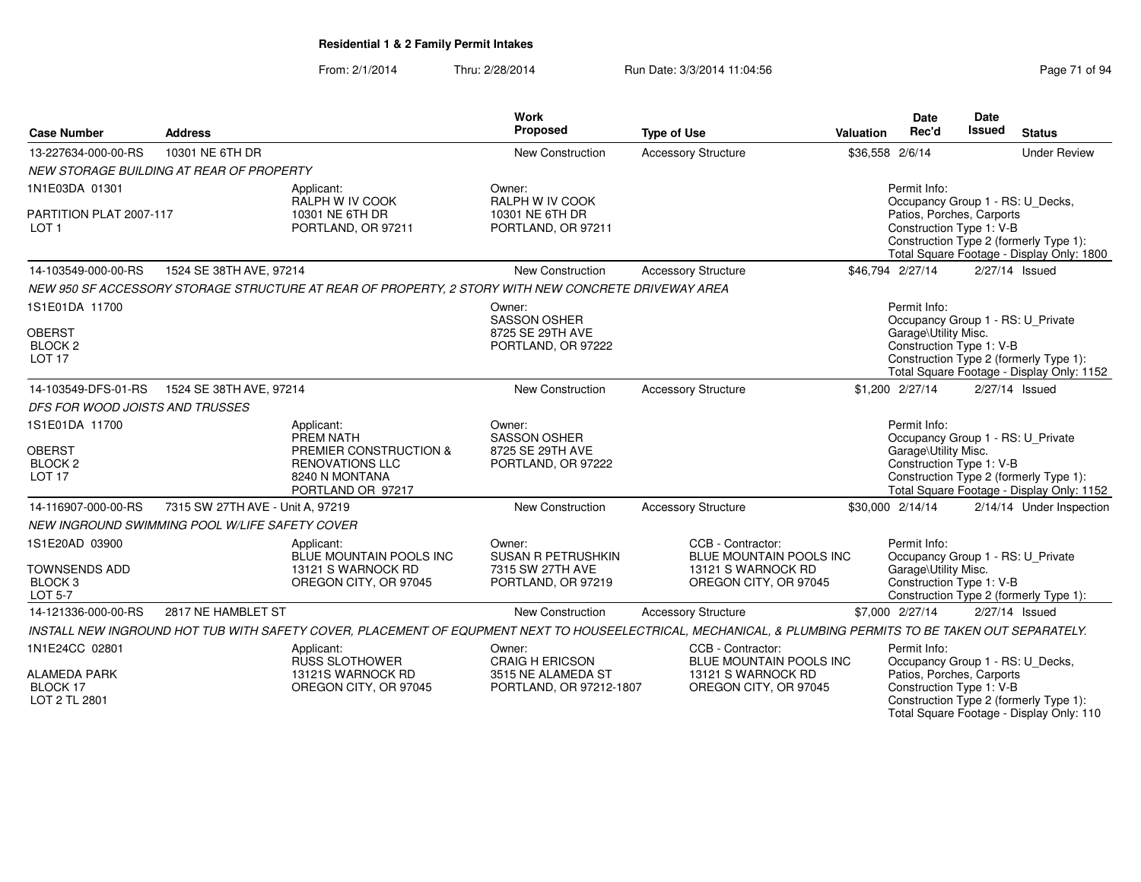| 10301 NE 6TH DR<br>New Construction<br><b>Accessory Structure</b><br>\$36,558 2/6/14<br><b>Under Review</b><br>NEW STORAGE BUILDING AT REAR OF PROPERTY<br>Permit Info:<br>Owner:<br>Applicant:<br>RALPH W IV COOK<br>RALPH W IV COOK<br>Occupancy Group 1 - RS: U_Decks,<br>10301 NE 6TH DR<br>Patios, Porches, Carports<br>PARTITION PLAT 2007-117<br>10301 NE 6TH DR<br>Construction Type 1: V-B<br>LOT <sub>1</sub><br>PORTLAND, OR 97211<br>PORTLAND, OR 97211<br>Construction Type 2 (formerly Type 1):<br>Total Square Footage - Display Only: 1800<br>\$46,794 2/27/14<br>1524 SE 38TH AVE, 97214<br>New Construction<br>2/27/14 Issued<br><b>Accessory Structure</b><br>NEW 950 SF ACCESSORY STORAGE STRUCTURE AT REAR OF PROPERTY, 2 STORY WITH NEW CONCRETE DRIVEWAY AREA<br>Permit Info:<br>Owner:<br><b>SASSON OSHER</b><br>Occupancy Group 1 - RS: U_Private<br><b>OBERST</b><br>8725 SE 29TH AVE<br>Garage\Utility Misc.<br>Construction Type 1: V-B<br>BLOCK <sub>2</sub><br>PORTLAND, OR 97222<br>Construction Type 2 (formerly Type 1):<br>Total Square Footage - Display Only: 1152<br>1524 SE 38TH AVE, 97214<br>New Construction<br><b>Accessory Structure</b><br>\$1,200 2/27/14<br>2/27/14 Issued<br>DFS FOR WOOD JOISTS AND TRUSSES<br>Permit Info:<br>Applicant:<br>Owner:<br>PREM NATH<br><b>SASSON OSHER</b><br>Occupancy Group 1 - RS: U_Private<br><b>OBERST</b><br>PREMIER CONSTRUCTION &<br>8725 SE 29TH AVE<br>Garage\Utility Misc.<br>BLOCK <sub>2</sub><br><b>RENOVATIONS LLC</b><br>PORTLAND, OR 97222<br>Construction Type 1: V-B<br>Construction Type 2 (formerly Type 1):<br><b>LOT 17</b><br>8240 N MONTANA<br>PORTLAND OR 97217<br>Total Square Footage - Display Only: 1152<br>7315 SW 27TH AVE - Unit A, 97219<br>New Construction<br>\$30,000 2/14/14<br><b>Accessory Structure</b><br>2/14/14 Under Inspection<br>NEW INGROUND SWIMMING POOL W/LIFE SAFETY COVER<br>CCB - Contractor:<br>Permit Info:<br>Applicant:<br>Owner:<br>BLUE MOUNTAIN POOLS INC<br><b>SUSAN R PETRUSHKIN</b><br>Occupancy Group 1 - RS: U Private<br>BLUE MOUNTAIN POOLS INC<br><b>TOWNSENDS ADD</b><br>13121 S WARNOCK RD<br>7315 SW 27TH AVE<br>13121 S WARNOCK RD<br>Garage\Utility Misc.<br>Construction Type 1: V-B<br>BLOCK <sub>3</sub><br>OREGON CITY, OR 97045<br>PORTLAND, OR 97219<br>OREGON CITY, OR 97045<br><b>LOT 5-7</b><br>Construction Type 2 (formerly Type 1):<br>2817 NE HAMBLET ST<br>New Construction<br>\$7,000 2/27/14<br>2/27/14 Issued<br>14-121336-000-00-RS<br><b>Accessory Structure</b><br>INSTALL NEW INGROUND HOT TUB WITH SAFETY COVER, PLACEMENT OF EQUPMENT NEXT TO HOUSEELECTRICAL, MECHANICAL, & PLUMBING PERMITS TO BE TAKEN OUT SEPARATELY.<br>1N1E24CC 02801<br>CCB - Contractor:<br>Permit Info:<br>Applicant:<br>Owner:<br><b>RUSS SLOTHOWER</b><br><b>CRAIG H ERICSON</b><br>Occupancy Group 1 - RS: U_Decks,<br>BLUE MOUNTAIN POOLS INC<br>Patios, Porches, Carports<br>13121S WARNOCK RD<br>3515 NE ALAMEDA ST<br>13121 S WARNOCK RD<br>Construction Type 1: V-B<br>OREGON CITY, OR 97045<br>PORTLAND, OR 97212-1807<br>OREGON CITY, OR 97045<br>Construction Type 2 (formerly Type 1):<br>LOT 2 TL 2801<br>Total Square Footage - Display Only: 110 |                     |                | Work     |                    |                  | <b>Date</b> | <b>Date</b> |               |
|-------------------------------------------------------------------------------------------------------------------------------------------------------------------------------------------------------------------------------------------------------------------------------------------------------------------------------------------------------------------------------------------------------------------------------------------------------------------------------------------------------------------------------------------------------------------------------------------------------------------------------------------------------------------------------------------------------------------------------------------------------------------------------------------------------------------------------------------------------------------------------------------------------------------------------------------------------------------------------------------------------------------------------------------------------------------------------------------------------------------------------------------------------------------------------------------------------------------------------------------------------------------------------------------------------------------------------------------------------------------------------------------------------------------------------------------------------------------------------------------------------------------------------------------------------------------------------------------------------------------------------------------------------------------------------------------------------------------------------------------------------------------------------------------------------------------------------------------------------------------------------------------------------------------------------------------------------------------------------------------------------------------------------------------------------------------------------------------------------------------------------------------------------------------------------------------------------------------------------------------------------------------------------------------------------------------------------------------------------------------------------------------------------------------------------------------------------------------------------------------------------------------------------------------------------------------------------------------------------------------------------------------------------------------------------------------------------------------------------------------------------------------------------------------------------------------------------------------------------------------------------------------------------------------------------------------------------------------------------------------------------------------------------------------------------------------------------------------------------------------------------------------------------------------------------------------------------------------------|---------------------|----------------|----------|--------------------|------------------|-------------|-------------|---------------|
|                                                                                                                                                                                                                                                                                                                                                                                                                                                                                                                                                                                                                                                                                                                                                                                                                                                                                                                                                                                                                                                                                                                                                                                                                                                                                                                                                                                                                                                                                                                                                                                                                                                                                                                                                                                                                                                                                                                                                                                                                                                                                                                                                                                                                                                                                                                                                                                                                                                                                                                                                                                                                                                                                                                                                                                                                                                                                                                                                                                                                                                                                                                                                                                                                         | <b>Case Number</b>  | <b>Address</b> | Proposed | <b>Type of Use</b> | <b>Valuation</b> | Rec'd       | Issued      | <b>Status</b> |
|                                                                                                                                                                                                                                                                                                                                                                                                                                                                                                                                                                                                                                                                                                                                                                                                                                                                                                                                                                                                                                                                                                                                                                                                                                                                                                                                                                                                                                                                                                                                                                                                                                                                                                                                                                                                                                                                                                                                                                                                                                                                                                                                                                                                                                                                                                                                                                                                                                                                                                                                                                                                                                                                                                                                                                                                                                                                                                                                                                                                                                                                                                                                                                                                                         | 13-227634-000-00-RS |                |          |                    |                  |             |             |               |
|                                                                                                                                                                                                                                                                                                                                                                                                                                                                                                                                                                                                                                                                                                                                                                                                                                                                                                                                                                                                                                                                                                                                                                                                                                                                                                                                                                                                                                                                                                                                                                                                                                                                                                                                                                                                                                                                                                                                                                                                                                                                                                                                                                                                                                                                                                                                                                                                                                                                                                                                                                                                                                                                                                                                                                                                                                                                                                                                                                                                                                                                                                                                                                                                                         |                     |                |          |                    |                  |             |             |               |
|                                                                                                                                                                                                                                                                                                                                                                                                                                                                                                                                                                                                                                                                                                                                                                                                                                                                                                                                                                                                                                                                                                                                                                                                                                                                                                                                                                                                                                                                                                                                                                                                                                                                                                                                                                                                                                                                                                                                                                                                                                                                                                                                                                                                                                                                                                                                                                                                                                                                                                                                                                                                                                                                                                                                                                                                                                                                                                                                                                                                                                                                                                                                                                                                                         | 1N1E03DA 01301      |                |          |                    |                  |             |             |               |
|                                                                                                                                                                                                                                                                                                                                                                                                                                                                                                                                                                                                                                                                                                                                                                                                                                                                                                                                                                                                                                                                                                                                                                                                                                                                                                                                                                                                                                                                                                                                                                                                                                                                                                                                                                                                                                                                                                                                                                                                                                                                                                                                                                                                                                                                                                                                                                                                                                                                                                                                                                                                                                                                                                                                                                                                                                                                                                                                                                                                                                                                                                                                                                                                                         |                     |                |          |                    |                  |             |             |               |
|                                                                                                                                                                                                                                                                                                                                                                                                                                                                                                                                                                                                                                                                                                                                                                                                                                                                                                                                                                                                                                                                                                                                                                                                                                                                                                                                                                                                                                                                                                                                                                                                                                                                                                                                                                                                                                                                                                                                                                                                                                                                                                                                                                                                                                                                                                                                                                                                                                                                                                                                                                                                                                                                                                                                                                                                                                                                                                                                                                                                                                                                                                                                                                                                                         |                     |                |          |                    |                  |             |             |               |
|                                                                                                                                                                                                                                                                                                                                                                                                                                                                                                                                                                                                                                                                                                                                                                                                                                                                                                                                                                                                                                                                                                                                                                                                                                                                                                                                                                                                                                                                                                                                                                                                                                                                                                                                                                                                                                                                                                                                                                                                                                                                                                                                                                                                                                                                                                                                                                                                                                                                                                                                                                                                                                                                                                                                                                                                                                                                                                                                                                                                                                                                                                                                                                                                                         |                     |                |          |                    |                  |             |             |               |
|                                                                                                                                                                                                                                                                                                                                                                                                                                                                                                                                                                                                                                                                                                                                                                                                                                                                                                                                                                                                                                                                                                                                                                                                                                                                                                                                                                                                                                                                                                                                                                                                                                                                                                                                                                                                                                                                                                                                                                                                                                                                                                                                                                                                                                                                                                                                                                                                                                                                                                                                                                                                                                                                                                                                                                                                                                                                                                                                                                                                                                                                                                                                                                                                                         |                     |                |          |                    |                  |             |             |               |
|                                                                                                                                                                                                                                                                                                                                                                                                                                                                                                                                                                                                                                                                                                                                                                                                                                                                                                                                                                                                                                                                                                                                                                                                                                                                                                                                                                                                                                                                                                                                                                                                                                                                                                                                                                                                                                                                                                                                                                                                                                                                                                                                                                                                                                                                                                                                                                                                                                                                                                                                                                                                                                                                                                                                                                                                                                                                                                                                                                                                                                                                                                                                                                                                                         | 14-103549-000-00-RS |                |          |                    |                  |             |             |               |
|                                                                                                                                                                                                                                                                                                                                                                                                                                                                                                                                                                                                                                                                                                                                                                                                                                                                                                                                                                                                                                                                                                                                                                                                                                                                                                                                                                                                                                                                                                                                                                                                                                                                                                                                                                                                                                                                                                                                                                                                                                                                                                                                                                                                                                                                                                                                                                                                                                                                                                                                                                                                                                                                                                                                                                                                                                                                                                                                                                                                                                                                                                                                                                                                                         |                     |                |          |                    |                  |             |             |               |
|                                                                                                                                                                                                                                                                                                                                                                                                                                                                                                                                                                                                                                                                                                                                                                                                                                                                                                                                                                                                                                                                                                                                                                                                                                                                                                                                                                                                                                                                                                                                                                                                                                                                                                                                                                                                                                                                                                                                                                                                                                                                                                                                                                                                                                                                                                                                                                                                                                                                                                                                                                                                                                                                                                                                                                                                                                                                                                                                                                                                                                                                                                                                                                                                                         | 1S1E01DA 11700      |                |          |                    |                  |             |             |               |
|                                                                                                                                                                                                                                                                                                                                                                                                                                                                                                                                                                                                                                                                                                                                                                                                                                                                                                                                                                                                                                                                                                                                                                                                                                                                                                                                                                                                                                                                                                                                                                                                                                                                                                                                                                                                                                                                                                                                                                                                                                                                                                                                                                                                                                                                                                                                                                                                                                                                                                                                                                                                                                                                                                                                                                                                                                                                                                                                                                                                                                                                                                                                                                                                                         |                     |                |          |                    |                  |             |             |               |
|                                                                                                                                                                                                                                                                                                                                                                                                                                                                                                                                                                                                                                                                                                                                                                                                                                                                                                                                                                                                                                                                                                                                                                                                                                                                                                                                                                                                                                                                                                                                                                                                                                                                                                                                                                                                                                                                                                                                                                                                                                                                                                                                                                                                                                                                                                                                                                                                                                                                                                                                                                                                                                                                                                                                                                                                                                                                                                                                                                                                                                                                                                                                                                                                                         |                     |                |          |                    |                  |             |             |               |
|                                                                                                                                                                                                                                                                                                                                                                                                                                                                                                                                                                                                                                                                                                                                                                                                                                                                                                                                                                                                                                                                                                                                                                                                                                                                                                                                                                                                                                                                                                                                                                                                                                                                                                                                                                                                                                                                                                                                                                                                                                                                                                                                                                                                                                                                                                                                                                                                                                                                                                                                                                                                                                                                                                                                                                                                                                                                                                                                                                                                                                                                                                                                                                                                                         | <b>LOT 17</b>       |                |          |                    |                  |             |             |               |
|                                                                                                                                                                                                                                                                                                                                                                                                                                                                                                                                                                                                                                                                                                                                                                                                                                                                                                                                                                                                                                                                                                                                                                                                                                                                                                                                                                                                                                                                                                                                                                                                                                                                                                                                                                                                                                                                                                                                                                                                                                                                                                                                                                                                                                                                                                                                                                                                                                                                                                                                                                                                                                                                                                                                                                                                                                                                                                                                                                                                                                                                                                                                                                                                                         |                     |                |          |                    |                  |             |             |               |
|                                                                                                                                                                                                                                                                                                                                                                                                                                                                                                                                                                                                                                                                                                                                                                                                                                                                                                                                                                                                                                                                                                                                                                                                                                                                                                                                                                                                                                                                                                                                                                                                                                                                                                                                                                                                                                                                                                                                                                                                                                                                                                                                                                                                                                                                                                                                                                                                                                                                                                                                                                                                                                                                                                                                                                                                                                                                                                                                                                                                                                                                                                                                                                                                                         | 14-103549-DFS-01-RS |                |          |                    |                  |             |             |               |
|                                                                                                                                                                                                                                                                                                                                                                                                                                                                                                                                                                                                                                                                                                                                                                                                                                                                                                                                                                                                                                                                                                                                                                                                                                                                                                                                                                                                                                                                                                                                                                                                                                                                                                                                                                                                                                                                                                                                                                                                                                                                                                                                                                                                                                                                                                                                                                                                                                                                                                                                                                                                                                                                                                                                                                                                                                                                                                                                                                                                                                                                                                                                                                                                                         |                     |                |          |                    |                  |             |             |               |
|                                                                                                                                                                                                                                                                                                                                                                                                                                                                                                                                                                                                                                                                                                                                                                                                                                                                                                                                                                                                                                                                                                                                                                                                                                                                                                                                                                                                                                                                                                                                                                                                                                                                                                                                                                                                                                                                                                                                                                                                                                                                                                                                                                                                                                                                                                                                                                                                                                                                                                                                                                                                                                                                                                                                                                                                                                                                                                                                                                                                                                                                                                                                                                                                                         | 1S1E01DA 11700      |                |          |                    |                  |             |             |               |
|                                                                                                                                                                                                                                                                                                                                                                                                                                                                                                                                                                                                                                                                                                                                                                                                                                                                                                                                                                                                                                                                                                                                                                                                                                                                                                                                                                                                                                                                                                                                                                                                                                                                                                                                                                                                                                                                                                                                                                                                                                                                                                                                                                                                                                                                                                                                                                                                                                                                                                                                                                                                                                                                                                                                                                                                                                                                                                                                                                                                                                                                                                                                                                                                                         |                     |                |          |                    |                  |             |             |               |
|                                                                                                                                                                                                                                                                                                                                                                                                                                                                                                                                                                                                                                                                                                                                                                                                                                                                                                                                                                                                                                                                                                                                                                                                                                                                                                                                                                                                                                                                                                                                                                                                                                                                                                                                                                                                                                                                                                                                                                                                                                                                                                                                                                                                                                                                                                                                                                                                                                                                                                                                                                                                                                                                                                                                                                                                                                                                                                                                                                                                                                                                                                                                                                                                                         |                     |                |          |                    |                  |             |             |               |
|                                                                                                                                                                                                                                                                                                                                                                                                                                                                                                                                                                                                                                                                                                                                                                                                                                                                                                                                                                                                                                                                                                                                                                                                                                                                                                                                                                                                                                                                                                                                                                                                                                                                                                                                                                                                                                                                                                                                                                                                                                                                                                                                                                                                                                                                                                                                                                                                                                                                                                                                                                                                                                                                                                                                                                                                                                                                                                                                                                                                                                                                                                                                                                                                                         |                     |                |          |                    |                  |             |             |               |
|                                                                                                                                                                                                                                                                                                                                                                                                                                                                                                                                                                                                                                                                                                                                                                                                                                                                                                                                                                                                                                                                                                                                                                                                                                                                                                                                                                                                                                                                                                                                                                                                                                                                                                                                                                                                                                                                                                                                                                                                                                                                                                                                                                                                                                                                                                                                                                                                                                                                                                                                                                                                                                                                                                                                                                                                                                                                                                                                                                                                                                                                                                                                                                                                                         |                     |                |          |                    |                  |             |             |               |
|                                                                                                                                                                                                                                                                                                                                                                                                                                                                                                                                                                                                                                                                                                                                                                                                                                                                                                                                                                                                                                                                                                                                                                                                                                                                                                                                                                                                                                                                                                                                                                                                                                                                                                                                                                                                                                                                                                                                                                                                                                                                                                                                                                                                                                                                                                                                                                                                                                                                                                                                                                                                                                                                                                                                                                                                                                                                                                                                                                                                                                                                                                                                                                                                                         | 14-116907-000-00-RS |                |          |                    |                  |             |             |               |
|                                                                                                                                                                                                                                                                                                                                                                                                                                                                                                                                                                                                                                                                                                                                                                                                                                                                                                                                                                                                                                                                                                                                                                                                                                                                                                                                                                                                                                                                                                                                                                                                                                                                                                                                                                                                                                                                                                                                                                                                                                                                                                                                                                                                                                                                                                                                                                                                                                                                                                                                                                                                                                                                                                                                                                                                                                                                                                                                                                                                                                                                                                                                                                                                                         |                     |                |          |                    |                  |             |             |               |
|                                                                                                                                                                                                                                                                                                                                                                                                                                                                                                                                                                                                                                                                                                                                                                                                                                                                                                                                                                                                                                                                                                                                                                                                                                                                                                                                                                                                                                                                                                                                                                                                                                                                                                                                                                                                                                                                                                                                                                                                                                                                                                                                                                                                                                                                                                                                                                                                                                                                                                                                                                                                                                                                                                                                                                                                                                                                                                                                                                                                                                                                                                                                                                                                                         | 1S1E20AD 03900      |                |          |                    |                  |             |             |               |
|                                                                                                                                                                                                                                                                                                                                                                                                                                                                                                                                                                                                                                                                                                                                                                                                                                                                                                                                                                                                                                                                                                                                                                                                                                                                                                                                                                                                                                                                                                                                                                                                                                                                                                                                                                                                                                                                                                                                                                                                                                                                                                                                                                                                                                                                                                                                                                                                                                                                                                                                                                                                                                                                                                                                                                                                                                                                                                                                                                                                                                                                                                                                                                                                                         |                     |                |          |                    |                  |             |             |               |
|                                                                                                                                                                                                                                                                                                                                                                                                                                                                                                                                                                                                                                                                                                                                                                                                                                                                                                                                                                                                                                                                                                                                                                                                                                                                                                                                                                                                                                                                                                                                                                                                                                                                                                                                                                                                                                                                                                                                                                                                                                                                                                                                                                                                                                                                                                                                                                                                                                                                                                                                                                                                                                                                                                                                                                                                                                                                                                                                                                                                                                                                                                                                                                                                                         |                     |                |          |                    |                  |             |             |               |
|                                                                                                                                                                                                                                                                                                                                                                                                                                                                                                                                                                                                                                                                                                                                                                                                                                                                                                                                                                                                                                                                                                                                                                                                                                                                                                                                                                                                                                                                                                                                                                                                                                                                                                                                                                                                                                                                                                                                                                                                                                                                                                                                                                                                                                                                                                                                                                                                                                                                                                                                                                                                                                                                                                                                                                                                                                                                                                                                                                                                                                                                                                                                                                                                                         |                     |                |          |                    |                  |             |             |               |
|                                                                                                                                                                                                                                                                                                                                                                                                                                                                                                                                                                                                                                                                                                                                                                                                                                                                                                                                                                                                                                                                                                                                                                                                                                                                                                                                                                                                                                                                                                                                                                                                                                                                                                                                                                                                                                                                                                                                                                                                                                                                                                                                                                                                                                                                                                                                                                                                                                                                                                                                                                                                                                                                                                                                                                                                                                                                                                                                                                                                                                                                                                                                                                                                                         |                     |                |          |                    |                  |             |             |               |
|                                                                                                                                                                                                                                                                                                                                                                                                                                                                                                                                                                                                                                                                                                                                                                                                                                                                                                                                                                                                                                                                                                                                                                                                                                                                                                                                                                                                                                                                                                                                                                                                                                                                                                                                                                                                                                                                                                                                                                                                                                                                                                                                                                                                                                                                                                                                                                                                                                                                                                                                                                                                                                                                                                                                                                                                                                                                                                                                                                                                                                                                                                                                                                                                                         |                     |                |          |                    |                  |             |             |               |
|                                                                                                                                                                                                                                                                                                                                                                                                                                                                                                                                                                                                                                                                                                                                                                                                                                                                                                                                                                                                                                                                                                                                                                                                                                                                                                                                                                                                                                                                                                                                                                                                                                                                                                                                                                                                                                                                                                                                                                                                                                                                                                                                                                                                                                                                                                                                                                                                                                                                                                                                                                                                                                                                                                                                                                                                                                                                                                                                                                                                                                                                                                                                                                                                                         |                     |                |          |                    |                  |             |             |               |
|                                                                                                                                                                                                                                                                                                                                                                                                                                                                                                                                                                                                                                                                                                                                                                                                                                                                                                                                                                                                                                                                                                                                                                                                                                                                                                                                                                                                                                                                                                                                                                                                                                                                                                                                                                                                                                                                                                                                                                                                                                                                                                                                                                                                                                                                                                                                                                                                                                                                                                                                                                                                                                                                                                                                                                                                                                                                                                                                                                                                                                                                                                                                                                                                                         |                     |                |          |                    |                  |             |             |               |
|                                                                                                                                                                                                                                                                                                                                                                                                                                                                                                                                                                                                                                                                                                                                                                                                                                                                                                                                                                                                                                                                                                                                                                                                                                                                                                                                                                                                                                                                                                                                                                                                                                                                                                                                                                                                                                                                                                                                                                                                                                                                                                                                                                                                                                                                                                                                                                                                                                                                                                                                                                                                                                                                                                                                                                                                                                                                                                                                                                                                                                                                                                                                                                                                                         | <b>ALAMEDA PARK</b> |                |          |                    |                  |             |             |               |
|                                                                                                                                                                                                                                                                                                                                                                                                                                                                                                                                                                                                                                                                                                                                                                                                                                                                                                                                                                                                                                                                                                                                                                                                                                                                                                                                                                                                                                                                                                                                                                                                                                                                                                                                                                                                                                                                                                                                                                                                                                                                                                                                                                                                                                                                                                                                                                                                                                                                                                                                                                                                                                                                                                                                                                                                                                                                                                                                                                                                                                                                                                                                                                                                                         | BLOCK 17            |                |          |                    |                  |             |             |               |
|                                                                                                                                                                                                                                                                                                                                                                                                                                                                                                                                                                                                                                                                                                                                                                                                                                                                                                                                                                                                                                                                                                                                                                                                                                                                                                                                                                                                                                                                                                                                                                                                                                                                                                                                                                                                                                                                                                                                                                                                                                                                                                                                                                                                                                                                                                                                                                                                                                                                                                                                                                                                                                                                                                                                                                                                                                                                                                                                                                                                                                                                                                                                                                                                                         |                     |                |          |                    |                  |             |             |               |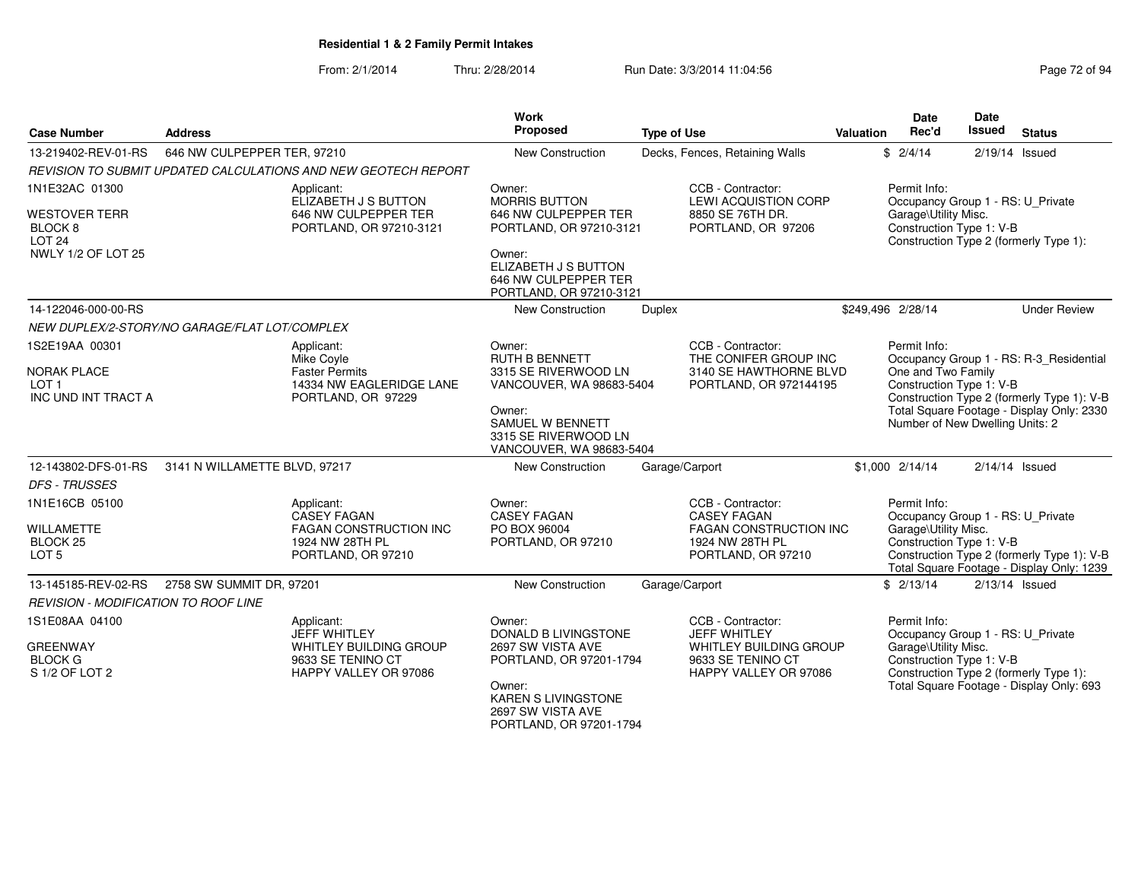From: 2/1/2014Thru: 2/28/2014 Run Date: 3/3/2014 11:04:56 Run Date: 3/3/2014 11:04:56

| <b>Case Number</b>                                                             | <b>Address</b>                                |                                                                                                            | Work<br>Proposed                                                                                                  | <b>Type of Use</b>                                                                                                | Valuation | <b>Date</b><br>Rec'd                                                                                                                                                         | <b>Date</b><br><b>Issued</b><br><b>Status</b>                                                                                |
|--------------------------------------------------------------------------------|-----------------------------------------------|------------------------------------------------------------------------------------------------------------|-------------------------------------------------------------------------------------------------------------------|-------------------------------------------------------------------------------------------------------------------|-----------|------------------------------------------------------------------------------------------------------------------------------------------------------------------------------|------------------------------------------------------------------------------------------------------------------------------|
| 13-219402-REV-01-RS                                                            | 646 NW CULPEPPER TER, 97210                   |                                                                                                            | New Construction                                                                                                  | Decks, Fences, Retaining Walls                                                                                    |           | \$2/4/14                                                                                                                                                                     | 2/19/14 Issued                                                                                                               |
|                                                                                |                                               | REVISION TO SUBMIT UPDATED CALCULATIONS AND NEW GEOTECH REPORT                                             |                                                                                                                   |                                                                                                                   |           |                                                                                                                                                                              |                                                                                                                              |
| 1N1E32AC 01300<br><b>WESTOVER TERR</b><br>BLOCK <sub>8</sub><br><b>LOT 24</b>  |                                               | Applicant:<br>ELIZABETH J S BUTTON<br>646 NW CULPEPPER TER<br>PORTLAND, OR 97210-3121                      | Owner:<br><b>MORRIS BUTTON</b><br>646 NW CULPEPPER TER<br>PORTLAND, OR 97210-3121                                 | CCB - Contractor:<br><b>LEWI ACQUISTION CORP</b><br>8850 SE 76TH DR.<br>PORTLAND, OR 97206                        |           | Permit Info:<br>Garage\Utility Misc.<br>Construction Type 1: V-B                                                                                                             | Occupancy Group 1 - RS: U_Private<br>Construction Type 2 (formerly Type 1):                                                  |
| NWLY 1/2 OF LOT 25                                                             |                                               |                                                                                                            | Owner:<br>ELIZABETH J S BUTTON<br>646 NW CULPEPPER TER<br>PORTLAND, OR 97210-3121                                 |                                                                                                                   |           |                                                                                                                                                                              |                                                                                                                              |
| 14-122046-000-00-RS                                                            |                                               |                                                                                                            | New Construction                                                                                                  | Duplex                                                                                                            |           | \$249,496 2/28/14                                                                                                                                                            | <b>Under Review</b>                                                                                                          |
|                                                                                | NEW DUPLEX/2-STORY/NO GARAGE/FLAT LOT/COMPLEX |                                                                                                            |                                                                                                                   |                                                                                                                   |           |                                                                                                                                                                              |                                                                                                                              |
| 1S2E19AA 00301<br><b>NORAK PLACE</b>                                           |                                               | Applicant:<br>Mike Covle<br><b>Faster Permits</b>                                                          | Owner:<br><b>RUTH B BENNETT</b><br>3315 SE RIVERWOOD LN                                                           | CCB - Contractor:<br>THE CONIFER GROUP INC<br>3140 SE HAWTHORNE BLVD                                              |           | Permit Info:                                                                                                                                                                 | Occupancy Group 1 - RS: R-3 Residential                                                                                      |
| LOT <sub>1</sub><br>INC UND INT TRACT A                                        |                                               | 14334 NW EAGLERIDGE LANE<br>PORTLAND, OR 97229                                                             | VANCOUVER, WA 98683-5404<br>Owner:<br><b>SAMUEL W BENNETT</b><br>3315 SE RIVERWOOD LN<br>VANCOUVER, WA 98683-5404 | PORTLAND, OR 972144195                                                                                            |           | One and Two Family<br>Construction Type 1: V-B<br>Construction Type 2 (formerly Type 1): V-B<br>Total Square Footage - Display Only: 2330<br>Number of New Dwelling Units: 2 |                                                                                                                              |
| 12-143802-DFS-01-RS                                                            | 3141 N WILLAMETTE BLVD, 97217                 |                                                                                                            | New Construction                                                                                                  | Garage/Carport                                                                                                    |           | \$1,000 2/14/14                                                                                                                                                              | $2/14/14$ Issued                                                                                                             |
| <b>DFS - TRUSSES</b>                                                           |                                               |                                                                                                            |                                                                                                                   |                                                                                                                   |           |                                                                                                                                                                              |                                                                                                                              |
| 1N1E16CB 05100<br><b>WILLAMETTE</b><br>BLOCK <sub>25</sub><br>LOT <sub>5</sub> |                                               | Applicant:<br><b>CASEY FAGAN</b><br><b>FAGAN CONSTRUCTION INC</b><br>1924 NW 28TH PL<br>PORTLAND, OR 97210 | Owner:<br><b>CASEY FAGAN</b><br>PO BOX 96004<br>PORTLAND, OR 97210                                                | CCB - Contractor:<br><b>CASEY FAGAN</b><br><b>FAGAN CONSTRUCTION INC</b><br>1924 NW 28TH PL<br>PORTLAND, OR 97210 |           | Permit Info:<br>Garage\Utility Misc.<br>Construction Type 1: V-B                                                                                                             | Occupancy Group 1 - RS: U_Private<br>Construction Type 2 (formerly Type 1): V-B<br>Total Square Footage - Display Only: 1239 |
| 13-145185-REV-02-RS                                                            | 2758 SW SUMMIT DR, 97201                      |                                                                                                            | <b>New Construction</b>                                                                                           | Garage/Carport                                                                                                    |           | \$2/13/14                                                                                                                                                                    | $2/13/14$ Issued                                                                                                             |
| <b>REVISION - MODIFICATION TO ROOF LINE</b>                                    |                                               |                                                                                                            |                                                                                                                   |                                                                                                                   |           |                                                                                                                                                                              |                                                                                                                              |
| 1S1E08AA 04100<br><b>GREENWAY</b>                                              |                                               | Applicant:<br><b>JEFF WHITLEY</b><br>WHITLEY BUILDING GROUP                                                | Owner:<br><b>DONALD B LIVINGSTONE</b><br>2697 SW VISTA AVE                                                        | CCB - Contractor:<br><b>JEFF WHITLEY</b><br>WHITLEY BUILDING GROUP                                                |           | Permit Info:<br>Garage\Utility Misc.                                                                                                                                         | Occupancy Group 1 - RS: U_Private                                                                                            |
| <b>BLOCK G</b><br>S 1/2 OF LOT 2                                               |                                               | 9633 SE TENINO CT<br>HAPPY VALLEY OR 97086                                                                 | PORTLAND, OR 97201-1794<br>Owner:<br><b>KAREN S LIVINGSTONE</b><br>2697 SW VISTA AVE                              | 9633 SE TENINO CT<br>HAPPY VALLEY OR 97086                                                                        |           | Construction Type 1: V-B                                                                                                                                                     | Construction Type 2 (formerly Type 1):<br>Total Square Footage - Display Only: 693                                           |

PORTLAND, OR 97201-1794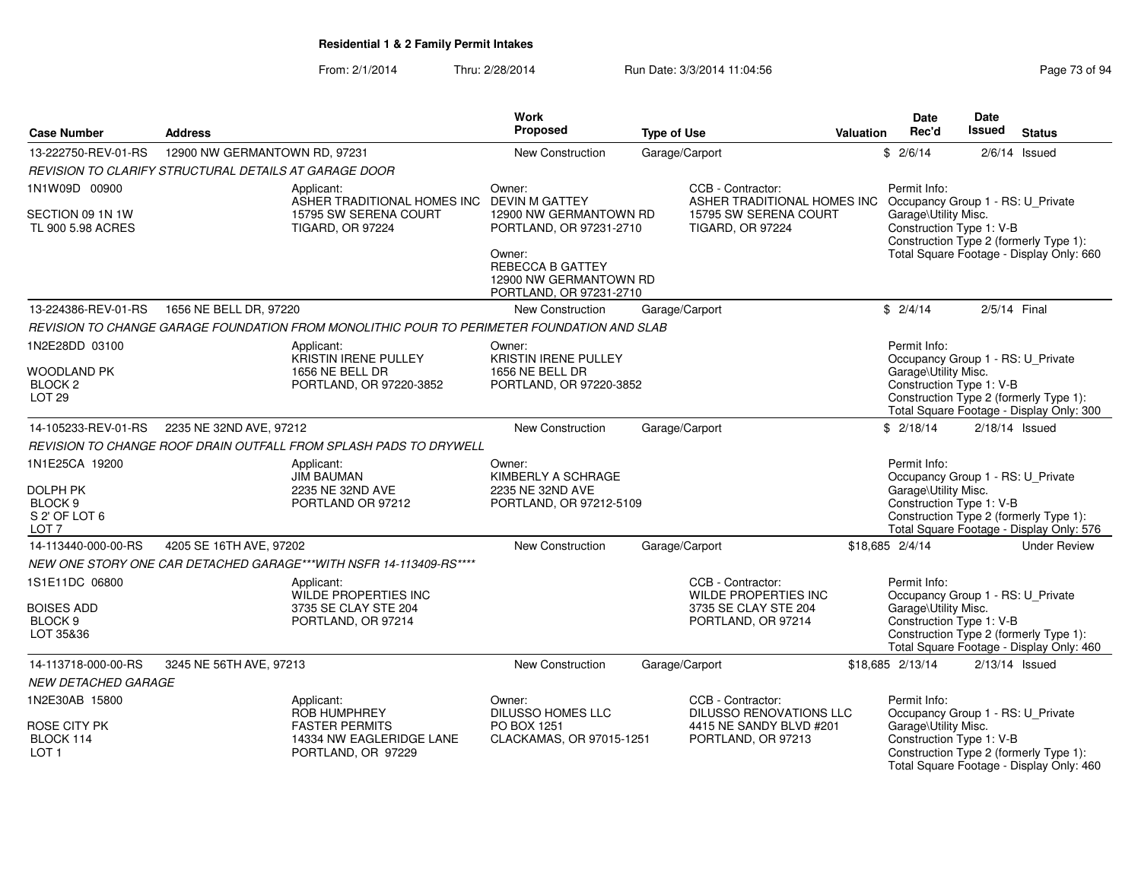From: 2/1/2014Thru: 2/28/2014 Run Date: 3/3/2014 11:04:56 Research 2010 12:04:56

|                                                                                 |                               |                                                                                            | Work                                                                                |                    |                                                                                                |                  | <b>Date</b>                                                                                           | Date             |                                                                                    |
|---------------------------------------------------------------------------------|-------------------------------|--------------------------------------------------------------------------------------------|-------------------------------------------------------------------------------------|--------------------|------------------------------------------------------------------------------------------------|------------------|-------------------------------------------------------------------------------------------------------|------------------|------------------------------------------------------------------------------------|
| <b>Case Number</b>                                                              | <b>Address</b>                |                                                                                            | Proposed                                                                            | <b>Type of Use</b> |                                                                                                | <b>Valuation</b> | Rec'd                                                                                                 | Issued           | <b>Status</b>                                                                      |
| 13-222750-REV-01-RS                                                             | 12900 NW GERMANTOWN RD, 97231 |                                                                                            | New Construction                                                                    | Garage/Carport     |                                                                                                |                  | \$2/6/14                                                                                              |                  | $2/6/14$ Issued                                                                    |
| REVISION TO CLARIFY STRUCTURAL DETAILS AT GARAGE DOOR                           |                               |                                                                                            |                                                                                     |                    |                                                                                                |                  |                                                                                                       |                  |                                                                                    |
| 1N1W09D 00900                                                                   |                               | Applicant:<br>ASHER TRADITIONAL HOMES INC                                                  | Owner:<br><b>DEVIN M GATTEY</b>                                                     |                    | CCB - Contractor:<br>ASHER TRADITIONAL HOMES INC                                               |                  | Permit Info:<br>Occupancy Group 1 - RS: U Private                                                     |                  |                                                                                    |
| SECTION 09 1N 1W<br>TL 900 5.98 ACRES                                           |                               | 15795 SW SERENA COURT<br><b>TIGARD, OR 97224</b>                                           | 12900 NW GERMANTOWN RD<br>PORTLAND, OR 97231-2710<br>Owner:                         |                    | 15795 SW SERENA COURT<br><b>TIGARD, OR 97224</b>                                               |                  | Garage\Utility Misc.<br>Construction Type 1: V-B                                                      |                  | Construction Type 2 (formerly Type 1):<br>Total Square Footage - Display Only: 660 |
|                                                                                 |                               |                                                                                            | REBECCA B GATTEY<br>12900 NW GERMANTOWN RD<br>PORTLAND, OR 97231-2710               |                    |                                                                                                |                  |                                                                                                       |                  |                                                                                    |
| 13-224386-REV-01-RS                                                             | 1656 NE BELL DR, 97220        |                                                                                            | New Construction                                                                    | Garage/Carport     |                                                                                                |                  | \$2/4/14                                                                                              | 2/5/14 Final     |                                                                                    |
|                                                                                 |                               | REVISION TO CHANGE GARAGE FOUNDATION FROM MONOLITHIC POUR TO PERIMETER FOUNDATION AND SLAB |                                                                                     |                    |                                                                                                |                  |                                                                                                       |                  |                                                                                    |
| 1N2E28DD 03100<br><b>WOODLAND PK</b><br>BLOCK <sub>2</sub><br>LOT <sub>29</sub> |                               | Applicant:<br>KRISTIN IRENE PULLEY<br>1656 NE BELL DR<br>PORTLAND, OR 97220-3852           | Owner:<br><b>KRISTIN IRENE PULLEY</b><br>1656 NE BELL DR<br>PORTLAND, OR 97220-3852 |                    |                                                                                                |                  | Permit Info:<br>Occupancy Group 1 - RS: U_Private<br>Garage\Utility Misc.<br>Construction Type 1: V-B |                  | Construction Type 2 (formerly Type 1):<br>Total Square Footage - Display Only: 300 |
| 14-105233-REV-01-RS                                                             | 2235 NE 32ND AVE, 97212       |                                                                                            | New Construction                                                                    | Garage/Carport     |                                                                                                |                  | \$2/18/14                                                                                             | $2/18/14$ Issued |                                                                                    |
|                                                                                 |                               | REVISION TO CHANGE ROOF DRAIN OUTFALL FROM SPLASH PADS TO DRYWELL                          |                                                                                     |                    |                                                                                                |                  |                                                                                                       |                  |                                                                                    |
| 1N1E25CA 19200                                                                  |                               | Applicant:<br><b>JIM BAUMAN</b>                                                            | Owner:<br>KIMBERLY A SCHRAGE                                                        |                    |                                                                                                |                  | Permit Info:<br>Occupancy Group 1 - RS: U_Private                                                     |                  |                                                                                    |
| <b>DOLPH PK</b><br>BLOCK 9<br>S 2' OF LOT 6<br>LOT <sub>7</sub>                 |                               | 2235 NE 32ND AVE<br>PORTLAND OR 97212                                                      | 2235 NE 32ND AVE<br>PORTLAND, OR 97212-5109                                         |                    |                                                                                                |                  | Garage\Utility Misc.<br>Construction Type 1: V-B                                                      |                  | Construction Type 2 (formerly Type 1):<br>Total Square Footage - Display Only: 576 |
| 14-113440-000-00-RS                                                             | 4205 SE 16TH AVE, 97202       |                                                                                            | New Construction                                                                    | Garage/Carport     |                                                                                                |                  | \$18,685 2/4/14                                                                                       |                  | <b>Under Review</b>                                                                |
|                                                                                 |                               | NEW ONE STORY ONE CAR DETACHED GARAGE***WITH NSFR 14-113409-RS****                         |                                                                                     |                    |                                                                                                |                  |                                                                                                       |                  |                                                                                    |
| 1S1E11DC 06800<br><b>BOISES ADD</b><br>BLOCK <sub>9</sub><br>LOT 35&36          |                               | Applicant:<br>WILDE PROPERTIES INC<br>3735 SE CLAY STE 204<br>PORTLAND, OR 97214           |                                                                                     |                    | CCB - Contractor:<br><b>WILDE PROPERTIES INC</b><br>3735 SE CLAY STE 204<br>PORTLAND, OR 97214 |                  | Permit Info:<br>Occupancy Group 1 - RS: U Private<br>Garage\Utility Misc.<br>Construction Type 1: V-B |                  | Construction Type 2 (formerly Type 1):<br>Total Square Footage - Display Only: 460 |
| 14-113718-000-00-RS                                                             | 3245 NE 56TH AVE, 97213       |                                                                                            | New Construction                                                                    | Garage/Carport     |                                                                                                |                  | \$18,685 2/13/14                                                                                      | $2/13/14$ Issued |                                                                                    |
| <b>NEW DETACHED GARAGE</b>                                                      |                               |                                                                                            |                                                                                     |                    |                                                                                                |                  |                                                                                                       |                  |                                                                                    |
| 1N2E30AB 15800                                                                  |                               | Applicant:<br>ROB HUMPHREY                                                                 | Owner:<br>DILUSSO HOMES LLC                                                         |                    | CCB - Contractor:<br>DILUSSO RENOVATIONS LLC                                                   |                  | Permit Info:<br>Occupancy Group 1 - RS: U_Private                                                     |                  |                                                                                    |
| <b>ROSE CITY PK</b><br>BLOCK 114<br>LOT <sub>1</sub>                            |                               | <b>FASTER PERMITS</b><br>14334 NW EAGLERIDGE LANE<br>PORTLAND, OR 97229                    | PO BOX 1251<br>CLACKAMAS, OR 97015-1251                                             |                    | 4415 NE SANDY BLVD #201<br>PORTLAND, OR 97213                                                  |                  | Garage\Utility Misc.<br>Construction Type 1: V-B                                                      |                  | Construction Type 2 (formerly Type 1):<br>Total Square Footage - Display Only: 460 |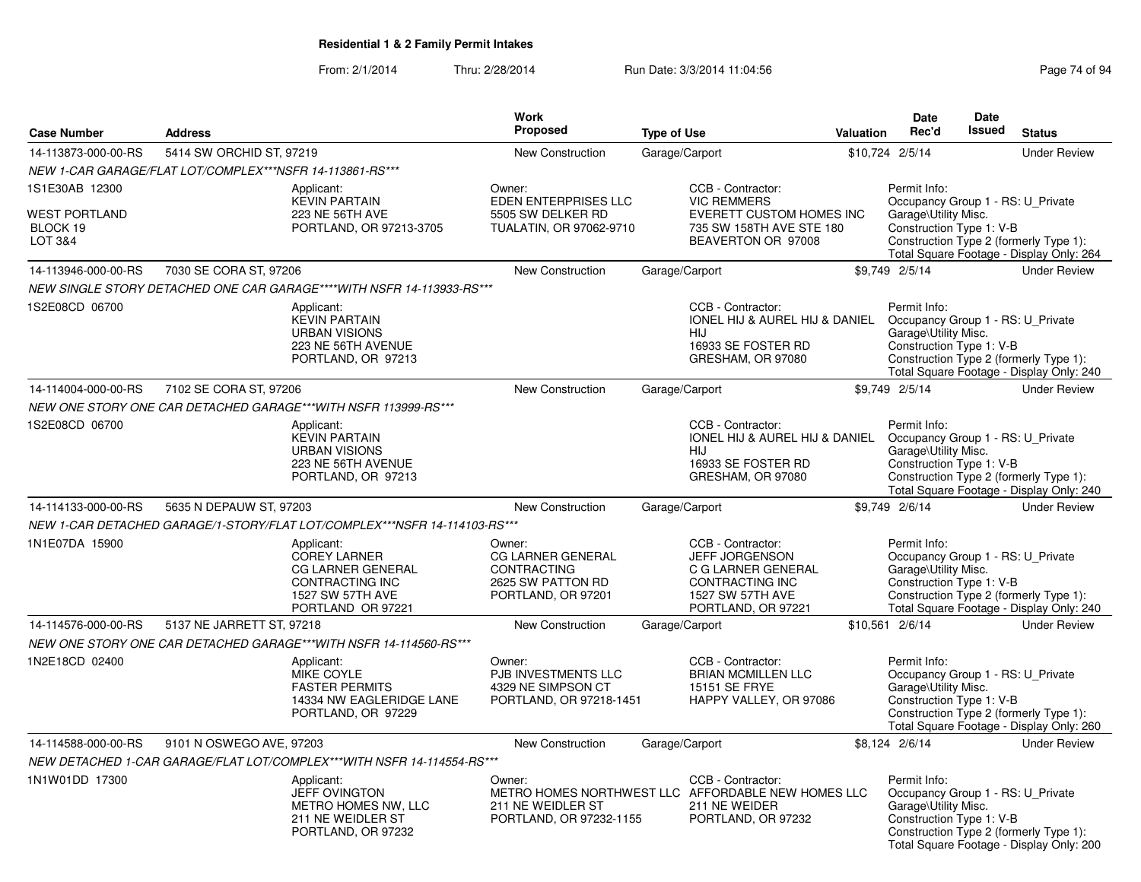### From: 2/1/2014Thru: 2/28/2014 **Run Date: 3/3/2014 11:04:56** Page 74 of 94 of 94 of 94 of 94 of 94 of 94 of 94 of 94 of 94 of 94 of 94 of 94 of 94 of 94 of 94 of 94 of 94 of 94 of 94 of 94 of 94 of 94 of 94 of 94 of 94 of 94 of 94 of 94

| Page 74 of 94 |  |
|---------------|--|
|---------------|--|

|                                                               |                                                                                                                           | Work                                                                                                |                                                                                                                                         |                  | <b>Date</b>                                                                                           | Date          |                                                                                    |
|---------------------------------------------------------------|---------------------------------------------------------------------------------------------------------------------------|-----------------------------------------------------------------------------------------------------|-----------------------------------------------------------------------------------------------------------------------------------------|------------------|-------------------------------------------------------------------------------------------------------|---------------|------------------------------------------------------------------------------------|
| <b>Case Number</b>                                            | <b>Address</b>                                                                                                            | <b>Proposed</b>                                                                                     | <b>Type of Use</b>                                                                                                                      | <b>Valuation</b> | Rec'd                                                                                                 | <b>Issued</b> | <b>Status</b>                                                                      |
| 14-113873-000-00-RS                                           | 5414 SW ORCHID ST, 97219                                                                                                  | <b>New Construction</b>                                                                             | Garage/Carport                                                                                                                          |                  | \$10,724 2/5/14                                                                                       |               | <b>Under Review</b>                                                                |
|                                                               | NEW 1-CAR GARAGE/FLAT LOT/COMPLEX***NSFR 14-113861-RS***                                                                  |                                                                                                     |                                                                                                                                         |                  |                                                                                                       |               |                                                                                    |
| 1S1E30AB 12300<br><b>WEST PORTLAND</b><br>BLOCK 19<br>LOT 3&4 | Applicant:<br><b>KEVIN PARTAIN</b><br>223 NE 56TH AVE<br>PORTLAND, OR 97213-3705                                          | Owner:<br>EDEN ENTERPRISES LLC<br>5505 SW DELKER RD<br>TUALATIN, OR 97062-9710                      | CCB - Contractor:<br><b>VIC REMMERS</b><br>EVERETT CUSTOM HOMES INC<br>735 SW 158TH AVE STE 180<br>BEAVERTON OR 97008                   |                  | Permit Info:<br>Occupancy Group 1 - RS: U_Private<br>Garage\Utility Misc.<br>Construction Type 1: V-B |               | Construction Type 2 (formerly Type 1):<br>Total Square Footage - Display Only: 264 |
| 14-113946-000-00-RS                                           | 7030 SE CORA ST, 97206                                                                                                    | <b>New Construction</b>                                                                             | Garage/Carport                                                                                                                          |                  | \$9,749 2/5/14                                                                                        |               | <b>Under Review</b>                                                                |
|                                                               | NEW SINGLE STORY DETACHED ONE CAR GARAGE****WITH NSFR 14-113933-RS***                                                     |                                                                                                     |                                                                                                                                         |                  |                                                                                                       |               |                                                                                    |
| 1S2E08CD 06700                                                | Applicant:<br><b>KEVIN PARTAIN</b><br><b>URBAN VISIONS</b><br>223 NE 56TH AVENUE<br>PORTLAND, OR 97213                    |                                                                                                     | CCB - Contractor:<br>IONEL HIJ & AUREL HIJ & DANIEL Occupancy Group 1 - RS: U_Private<br>HIJ<br>16933 SE FOSTER RD<br>GRESHAM, OR 97080 |                  | Permit Info:<br>Garage\Utility Misc.<br>Construction Type 1: V-B                                      |               | Construction Type 2 (formerly Type 1):<br>Total Square Footage - Display Only: 240 |
| 14-114004-000-00-RS                                           | 7102 SE CORA ST, 97206                                                                                                    | New Construction                                                                                    | Garage/Carport                                                                                                                          |                  | \$9,749 2/5/14                                                                                        |               | <b>Under Review</b>                                                                |
|                                                               | NEW ONE STORY ONE CAR DETACHED GARAGE***WITH NSFR 113999-RS***                                                            |                                                                                                     |                                                                                                                                         |                  |                                                                                                       |               |                                                                                    |
| 1S2E08CD 06700                                                | Applicant:<br><b>KEVIN PARTAIN</b><br><b>URBAN VISIONS</b><br>223 NE 56TH AVENUE<br>PORTLAND, OR 97213                    |                                                                                                     | CCB - Contractor:<br>IONEL HIJ & AUREL HIJ & DANIEL Occupancy Group 1 - RS: U_Private<br>HIJ<br>16933 SE FOSTER RD<br>GRESHAM, OR 97080 |                  | Permit Info:<br>Garage\Utility Misc.<br>Construction Type 1: V-B                                      |               | Construction Type 2 (formerly Type 1):<br>Total Square Footage - Display Only: 240 |
| 14-114133-000-00-RS                                           | 5635 N DEPAUW ST, 97203                                                                                                   | New Construction                                                                                    | Garage/Carport                                                                                                                          |                  | \$9,749 2/6/14                                                                                        |               | <b>Under Review</b>                                                                |
|                                                               | NEW 1-CAR DETACHED GARAGE/1-STORY/FLAT LOT/COMPLEX***NSFR 14-114103-RS***                                                 |                                                                                                     |                                                                                                                                         |                  |                                                                                                       |               |                                                                                    |
| 1N1E07DA 15900                                                | Applicant:<br><b>COREY LARNER</b><br><b>CG LARNER GENERAL</b><br>CONTRACTING INC<br>1527 SW 57TH AVE<br>PORTLAND OR 97221 | Owner:<br><b>CG LARNER GENERAL</b><br><b>CONTRACTING</b><br>2625 SW PATTON RD<br>PORTLAND, OR 97201 | CCB - Contractor:<br><b>JEFF JORGENSON</b><br>C G LARNER GENERAL<br>CONTRACTING INC<br>1527 SW 57TH AVE<br>PORTLAND, OR 97221           |                  | Permit Info:<br>Occupancy Group 1 - RS: U_Private<br>Garage\Utility Misc.<br>Construction Type 1: V-B |               | Construction Type 2 (formerly Type 1):<br>Total Square Footage - Display Only: 240 |
| 14-114576-000-00-RS                                           | 5137 NE JARRETT ST, 97218                                                                                                 | <b>New Construction</b>                                                                             | Garage/Carport                                                                                                                          |                  | \$10,561 2/6/14                                                                                       |               | <b>Under Review</b>                                                                |
|                                                               | NEW ONE STORY ONE CAR DETACHED GARAGE***WITH NSFR 14-114560-RS***                                                         |                                                                                                     |                                                                                                                                         |                  |                                                                                                       |               |                                                                                    |
| 1N2E18CD 02400                                                | Applicant:<br><b>MIKE COYLE</b><br><b>FASTER PERMITS</b><br>14334 NW EAGLERIDGE LANE<br>PORTLAND, OR 97229                | Owner:<br>PJB INVESTMENTS LLC<br>4329 NE SIMPSON CT<br>PORTLAND, OR 97218-1451                      | CCB - Contractor:<br><b>BRIAN MCMILLEN LLC</b><br><b>15151 SE FRYE</b><br>HAPPY VALLEY, OR 97086                                        |                  | Permit Info:<br>Occupancy Group 1 - RS: U Private<br>Garage\Utility Misc.<br>Construction Type 1: V-B |               | Construction Type 2 (formerly Type 1):<br>Total Square Footage - Display Only: 260 |
| 14-114588-000-00-RS                                           | 9101 N OSWEGO AVE, 97203                                                                                                  | New Construction                                                                                    | Garage/Carport                                                                                                                          |                  | \$8,124 2/6/14                                                                                        |               | <b>Under Review</b>                                                                |
|                                                               | NEW DETACHED 1-CAR GARAGE/FLAT LOT/COMPLEX***WITH NSFR 14-114554-RS***                                                    |                                                                                                     |                                                                                                                                         |                  |                                                                                                       |               |                                                                                    |
| 1N1W01DD 17300                                                | Applicant:<br>JEFF OVINGTON<br>METRO HOMES NW, LLC<br>211 NE WEIDLER ST<br>PORTLAND, OR 97232                             | Owner:<br>211 NE WEIDLER ST<br>PORTLAND, OR 97232-1155                                              | CCB - Contractor:<br>METRO HOMES NORTHWEST LLC AFFORDABLE NEW HOMES LLC<br>211 NE WEIDER<br>PORTLAND, OR 97232                          |                  | Permit Info:<br>Occupancy Group 1 - RS: U_Private<br>Garage\Utility Misc.<br>Construction Type 1: V-B |               | Construction Type 2 (formerly Type 1):<br>Total Square Footage - Display Only: 200 |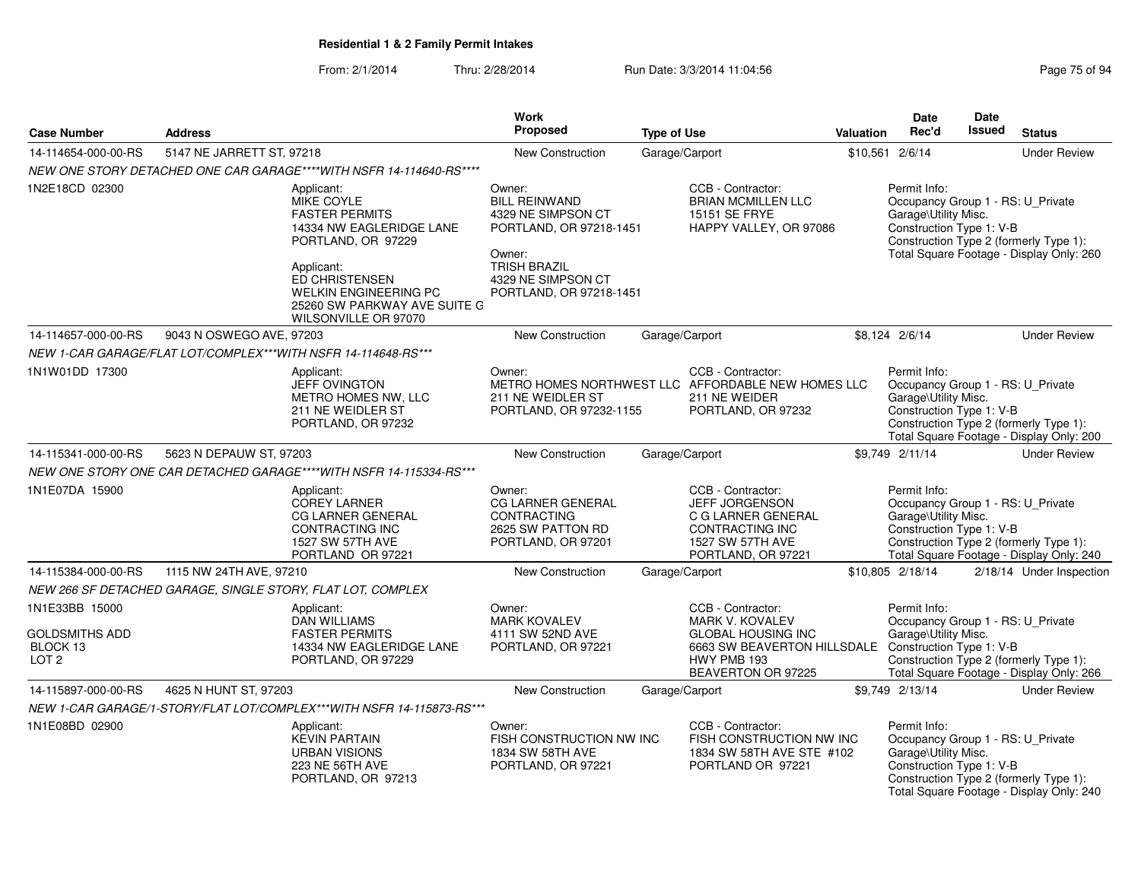From: 2/1/2014Thru: 2/28/2014 **Run Date: 3/3/2014 11:04:56** Page 75 of 949

|                                                                         |                                                                                                                                                                            | <b>Work</b>                                                                                                                                                       |                                                                                                                                                                       |                  | Date                                                                                                  | Date   |                                                                                    |
|-------------------------------------------------------------------------|----------------------------------------------------------------------------------------------------------------------------------------------------------------------------|-------------------------------------------------------------------------------------------------------------------------------------------------------------------|-----------------------------------------------------------------------------------------------------------------------------------------------------------------------|------------------|-------------------------------------------------------------------------------------------------------|--------|------------------------------------------------------------------------------------|
| <b>Case Number</b>                                                      | <b>Address</b>                                                                                                                                                             | Proposed                                                                                                                                                          | <b>Type of Use</b>                                                                                                                                                    | <b>Valuation</b> | Rec'd                                                                                                 | Issued | <b>Status</b>                                                                      |
| 14-114654-000-00-RS                                                     | 5147 NE JARRETT ST, 97218                                                                                                                                                  | <b>New Construction</b>                                                                                                                                           | Garage/Carport                                                                                                                                                        |                  | \$10,561 2/6/14                                                                                       |        | <b>Under Review</b>                                                                |
|                                                                         | NEW ONE STORY DETACHED ONE CAR GARAGE****WITH NSFR 14-114640-RS****                                                                                                        |                                                                                                                                                                   |                                                                                                                                                                       |                  |                                                                                                       |        |                                                                                    |
| 1N2E18CD 02300                                                          | Applicant:<br><b>MIKE COYLE</b><br><b>FASTER PERMITS</b><br>14334 NW EAGLERIDGE LANE<br>PORTLAND, OR 97229<br>Applicant:<br>ED CHRISTENSEN<br><b>WELKIN ENGINEERING PC</b> | Owner:<br><b>BILL REINWAND</b><br>4329 NE SIMPSON CT<br>PORTLAND, OR 97218-1451<br>Owner:<br><b>TRISH BRAZIL</b><br>4329 NE SIMPSON CT<br>PORTLAND, OR 97218-1451 | CCB - Contractor:<br><b>BRIAN MCMILLEN LLC</b><br>15151 SE FRYE<br>HAPPY VALLEY, OR 97086                                                                             |                  | Permit Info:<br>Occupancy Group 1 - RS: U_Private<br>Garage\Utility Misc.<br>Construction Type 1: V-B |        | Construction Type 2 (formerly Type 1):<br>Total Square Footage - Display Only: 260 |
|                                                                         | 25260 SW PARKWAY AVE SUITE G<br>WILSONVILLE OR 97070                                                                                                                       |                                                                                                                                                                   |                                                                                                                                                                       |                  |                                                                                                       |        |                                                                                    |
| 14-114657-000-00-RS                                                     | 9043 N OSWEGO AVE, 97203                                                                                                                                                   | <b>New Construction</b>                                                                                                                                           | Garage/Carport                                                                                                                                                        |                  | \$8,124 2/6/14                                                                                        |        | <b>Under Review</b>                                                                |
|                                                                         | NEW 1-CAR GARAGE/FLAT LOT/COMPLEX***WITH NSFR 14-114648-RS***                                                                                                              |                                                                                                                                                                   |                                                                                                                                                                       |                  |                                                                                                       |        |                                                                                    |
| 1N1W01DD 17300                                                          | Applicant:<br><b>JEFF OVINGTON</b><br>METRO HOMES NW, LLC<br>211 NE WEIDLER ST<br>PORTLAND, OR 97232                                                                       | Owner:<br>211 NE WEIDLER ST<br>PORTLAND, OR 97232-1155                                                                                                            | CCB - Contractor:<br>METRO HOMES NORTHWEST LLC AFFORDABLE NEW HOMES LLC<br>211 NE WEIDER<br>PORTLAND, OR 97232                                                        |                  | Permit Info:<br>Occupancy Group 1 - RS: U_Private<br>Garage\Utility Misc.<br>Construction Type 1: V-B |        | Construction Type 2 (formerly Type 1):<br>Total Square Footage - Display Only: 200 |
| 14-115341-000-00-RS                                                     | 5623 N DEPAUW ST, 97203                                                                                                                                                    | <b>New Construction</b>                                                                                                                                           | Garage/Carport                                                                                                                                                        |                  | \$9,749 2/11/14                                                                                       |        | <b>Under Review</b>                                                                |
|                                                                         | NEW ONE STORY ONE CAR DETACHED GARAGE****WITH NSFR 14-115334-RS***                                                                                                         |                                                                                                                                                                   |                                                                                                                                                                       |                  |                                                                                                       |        |                                                                                    |
| 1N1E07DA 15900                                                          | Applicant:<br><b>COREY LARNER</b><br><b>CG LARNER GENERAL</b><br>CONTRACTING INC<br><b>1527 SW 57TH AVE</b><br>PORTLAND OR 97221                                           | Owner:<br><b>CG LARNER GENERAL</b><br><b>CONTRACTING</b><br>2625 SW PATTON RD<br>PORTLAND, OR 97201                                                               | CCB - Contractor:<br><b>JEFF JORGENSON</b><br>C G LARNER GENERAL<br>CONTRACTING INC<br>1527 SW 57TH AVE<br>PORTLAND, OR 97221                                         |                  | Permit Info:<br>Occupancy Group 1 - RS: U_Private<br>Garage\Utility Misc.<br>Construction Type 1: V-B |        | Construction Type 2 (formerly Type 1):<br>Total Square Footage - Display Only: 240 |
| 14-115384-000-00-RS                                                     | 1115 NW 24TH AVE, 97210                                                                                                                                                    | <b>New Construction</b>                                                                                                                                           | Garage/Carport                                                                                                                                                        |                  | \$10,805 2/18/14                                                                                      |        | 2/18/14 Under Inspection                                                           |
|                                                                         | NEW 266 SF DETACHED GARAGE, SINGLE STORY, FLAT LOT, COMPLEX                                                                                                                |                                                                                                                                                                   |                                                                                                                                                                       |                  |                                                                                                       |        |                                                                                    |
| 1N1E33BB 15000<br><b>GOLDSMITHS ADD</b><br>BLOCK 13<br>LOT <sub>2</sub> | Applicant:<br><b>DAN WILLIAMS</b><br><b>FASTER PERMITS</b><br>14334 NW EAGLERIDGE LANE<br>PORTLAND, OR 97229                                                               | Owner:<br><b>MARK KOVALEV</b><br>4111 SW 52ND AVE<br>PORTLAND, OR 97221                                                                                           | CCB - Contractor:<br><b>MARK V. KOVALEV</b><br><b>GLOBAL HOUSING INC</b><br>6663 SW BEAVERTON HILLSDALE Construction Type 1: V-B<br>HWY PMB 193<br>BEAVERTON OR 97225 |                  | Permit Info:<br>Occupancy Group 1 - RS: U_Private<br>Garage\Utility Misc.                             |        | Construction Type 2 (formerly Type 1):<br>Total Square Footage - Display Only: 266 |
| 14-115897-000-00-RS                                                     | 4625 N HUNT ST, 97203                                                                                                                                                      | New Construction                                                                                                                                                  | Garage/Carport                                                                                                                                                        |                  | \$9,749 2/13/14                                                                                       |        | <b>Under Review</b>                                                                |
|                                                                         | NEW 1-CAR GARAGE/1-STORY/FLAT LOT/COMPLEX***WITH NSFR 14-115873-RS***                                                                                                      |                                                                                                                                                                   |                                                                                                                                                                       |                  |                                                                                                       |        |                                                                                    |
| 1N1E08BD 02900                                                          | Applicant:<br><b>KEVIN PARTAIN</b><br><b>URBAN VISIONS</b><br>223 NE 56TH AVE<br>PORTLAND, OR 97213                                                                        | Owner:<br>FISH CONSTRUCTION NW INC<br>1834 SW 58TH AVE<br>PORTLAND, OR 97221                                                                                      | CCB - Contractor:<br>FISH CONSTRUCTION NW INC<br>1834 SW 58TH AVE STE #102<br>PORTLAND OR 97221                                                                       |                  | Permit Info:<br>Occupancy Group 1 - RS: U_Private<br>Garage\Utility Misc.<br>Construction Type 1: V-B |        | Construction Type 2 (formerly Type 1):<br>Total Square Footage - Display Only: 240 |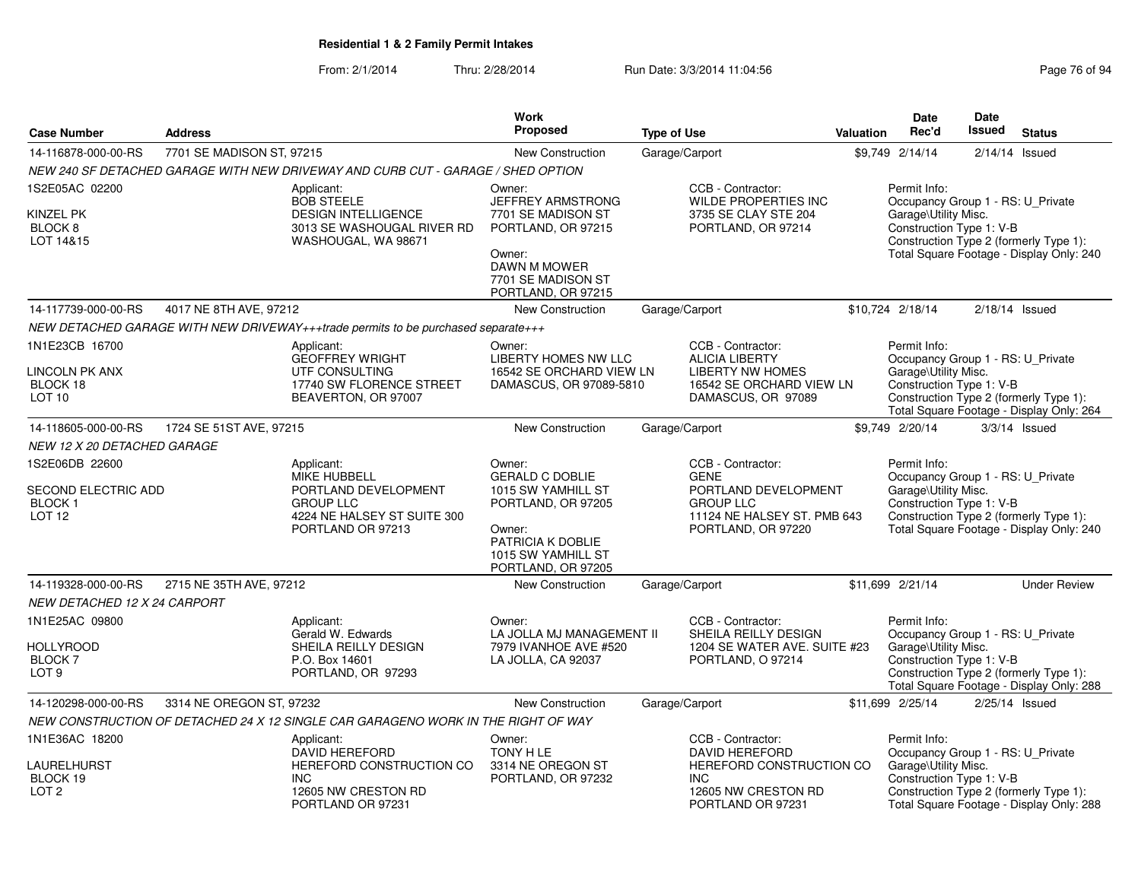|                                                                              |                                                                                                                                   |                                                                                                           | <b>Work</b>                                                                                                                                             |                                                                                                                         |                                                                                                                                                                                             | <b>Date</b>                                                                                           | <b>Date</b>                            |                                                                                    |
|------------------------------------------------------------------------------|-----------------------------------------------------------------------------------------------------------------------------------|-----------------------------------------------------------------------------------------------------------|---------------------------------------------------------------------------------------------------------------------------------------------------------|-------------------------------------------------------------------------------------------------------------------------|---------------------------------------------------------------------------------------------------------------------------------------------------------------------------------------------|-------------------------------------------------------------------------------------------------------|----------------------------------------|------------------------------------------------------------------------------------|
| <b>Case Number</b>                                                           | <b>Address</b>                                                                                                                    |                                                                                                           | Proposed                                                                                                                                                | <b>Type of Use</b>                                                                                                      | Valuation                                                                                                                                                                                   | Rec'd                                                                                                 | <b>Issued</b>                          | <b>Status</b>                                                                      |
| 14-116878-000-00-RS                                                          | 7701 SE MADISON ST, 97215                                                                                                         |                                                                                                           | New Construction                                                                                                                                        | Garage/Carport                                                                                                          |                                                                                                                                                                                             | \$9,749 2/14/14                                                                                       |                                        | $2/14/14$ Issued                                                                   |
|                                                                              |                                                                                                                                   | NEW 240 SF DETACHED GARAGE WITH NEW DRIVEWAY AND CURB CUT - GARAGE / SHED OPTION                          |                                                                                                                                                         |                                                                                                                         |                                                                                                                                                                                             |                                                                                                       |                                        |                                                                                    |
| 1S2E05AC 02200<br><b>KINZEL PK</b>                                           |                                                                                                                                   | Applicant:<br><b>BOB STEELE</b><br><b>DESIGN INTELLIGENCE</b>                                             | Owner:<br><b>JEFFREY ARMSTRONG</b><br>7701 SE MADISON ST                                                                                                | CCB - Contractor:<br>WILDE PROPERTIES INC<br>3735 SE CLAY STE 204                                                       |                                                                                                                                                                                             | Permit Info:<br>Occupancy Group 1 - RS: U_Private<br>Garage\Utility Misc.                             |                                        |                                                                                    |
| BLOCK 8<br>LOT 14&15                                                         |                                                                                                                                   | 3013 SE WASHOUGAL RIVER RD<br>WASHOUGAL, WA 98671                                                         | PORTLAND, OR 97215                                                                                                                                      | PORTLAND, OR 97214                                                                                                      |                                                                                                                                                                                             | Construction Type 1: V-B                                                                              | Construction Type 2 (formerly Type 1): |                                                                                    |
|                                                                              |                                                                                                                                   |                                                                                                           | Owner:<br><b>DAWN M MOWER</b><br>7701 SE MADISON ST<br>PORTLAND, OR 97215                                                                               |                                                                                                                         |                                                                                                                                                                                             |                                                                                                       |                                        | Total Square Footage - Display Only: 240                                           |
| 14-117739-000-00-RS                                                          | 4017 NE 8TH AVE, 97212                                                                                                            |                                                                                                           | New Construction                                                                                                                                        | Garage/Carport                                                                                                          |                                                                                                                                                                                             | \$10,724 2/18/14                                                                                      |                                        | $2/18/14$ Issued                                                                   |
|                                                                              |                                                                                                                                   | NEW DETACHED GARAGE WITH NEW DRIVEWAY+++trade permits to be purchased separate+++                         |                                                                                                                                                         |                                                                                                                         |                                                                                                                                                                                             |                                                                                                       |                                        |                                                                                    |
| 1N1E23CB 16700<br>LINCOLN PK ANX<br>BLOCK 18<br>LOT <sub>10</sub>            |                                                                                                                                   | Applicant:<br><b>GEOFFREY WRIGHT</b><br>UTF CONSULTING<br>17740 SW FLORENCE STREET<br>BEAVERTON, OR 97007 | Owner:<br>LIBERTY HOMES NW LLC<br>16542 SE ORCHARD VIEW LN<br>DAMASCUS, OR 97089-5810                                                                   | CCB - Contractor:<br><b>ALICIA LIBERTY</b><br><b>LIBERTY NW HOMES</b><br>16542 SE ORCHARD VIEW LN<br>DAMASCUS, OR 97089 |                                                                                                                                                                                             | Permit Info:<br>Occupancy Group 1 - RS: U_Private<br>Garage\Utility Misc.<br>Construction Type 1: V-B |                                        | Construction Type 2 (formerly Type 1):<br>Total Square Footage - Display Only: 264 |
| 14-118605-000-00-RS                                                          | 1724 SE 51ST AVE, 97215                                                                                                           |                                                                                                           | <b>New Construction</b>                                                                                                                                 | Garage/Carport                                                                                                          |                                                                                                                                                                                             | \$9,749 2/20/14                                                                                       |                                        | $3/3/14$ Issued                                                                    |
| <i>NEW 12 X 20 DETACHED GARAGE</i>                                           |                                                                                                                                   |                                                                                                           |                                                                                                                                                         |                                                                                                                         |                                                                                                                                                                                             |                                                                                                       |                                        |                                                                                    |
| 1S2E06DB 22600<br><b>SECOND ELECTRIC ADD</b><br>BLOCK 1<br>LOT <sub>12</sub> | Applicant:<br><b>MIKE HUBBELL</b><br>PORTLAND DEVELOPMENT<br><b>GROUP LLC</b><br>4224 NE HALSEY ST SUITE 300<br>PORTLAND OR 97213 |                                                                                                           | Owner:<br><b>GERALD C DOBLIE</b><br>1015 SW YAMHILL ST<br>PORTLAND, OR 97205<br>Owner:<br>PATRICIA K DOBLIE<br>1015 SW YAMHILL ST<br>PORTLAND, OR 97205 | CCB - Contractor:<br>PORTLAND DEVELOPMENT<br>11124 NE HALSEY ST. PMB 643<br>PORTLAND, OR 97220                          | Permit Info:<br>Occupancy Group 1 - RS: U_Private<br>Garage\Utility Misc.<br>Construction Type 1: V-B<br>Construction Type 2 (formerly Type 1):<br>Total Square Footage - Display Only: 240 |                                                                                                       |                                        |                                                                                    |
| 14-119328-000-00-RS                                                          | 2715 NE 35TH AVE, 97212                                                                                                           |                                                                                                           | New Construction                                                                                                                                        | Garage/Carport                                                                                                          |                                                                                                                                                                                             | \$11,699 2/21/14                                                                                      |                                        | <b>Under Review</b>                                                                |
| <i>NEW DETACHED 12 X 24 CARPORT</i>                                          |                                                                                                                                   |                                                                                                           |                                                                                                                                                         |                                                                                                                         |                                                                                                                                                                                             |                                                                                                       |                                        |                                                                                    |
| 1N1E25AC 09800<br><b>HOLLYROOD</b><br><b>BLOCK7</b>                          |                                                                                                                                   | Applicant:<br>Gerald W. Edwards<br>SHEILA REILLY DESIGN<br>P.O. Box 14601                                 | Owner:<br>LA JOLLA MJ MANAGEMENT II<br>7979 IVANHOE AVE #520<br>LA JOLLA, CA 92037                                                                      | CCB - Contractor:<br>SHEILA REILLY DESIGN<br>PORTLAND, O 97214                                                          | 1204 SE WATER AVE. SUITE #23                                                                                                                                                                | Permit Info:<br>Occupancy Group 1 - RS: U_Private<br>Garage\Utility Misc.<br>Construction Type 1: V-B |                                        |                                                                                    |
| LOT <sub>9</sub>                                                             |                                                                                                                                   | PORTLAND, OR 97293                                                                                        |                                                                                                                                                         |                                                                                                                         |                                                                                                                                                                                             |                                                                                                       |                                        | Construction Type 2 (formerly Type 1):<br>Total Square Footage - Display Only: 288 |
| 14-120298-000-00-RS                                                          | 3314 NE OREGON ST, 97232                                                                                                          |                                                                                                           | <b>New Construction</b>                                                                                                                                 | Garage/Carport                                                                                                          |                                                                                                                                                                                             | \$11,699 2/25/14                                                                                      |                                        | $2/25/14$ Issued                                                                   |
|                                                                              |                                                                                                                                   | NEW CONSTRUCTION OF DETACHED 24 X 12 SINGLE CAR GARAGENO WORK IN THE RIGHT OF WAY                         |                                                                                                                                                         |                                                                                                                         |                                                                                                                                                                                             |                                                                                                       |                                        |                                                                                    |
| 1N1E36AC 18200<br>LAURELHURST<br>BLOCK 19                                    |                                                                                                                                   | Applicant:<br><b>DAVID HEREFORD</b><br>HEREFORD CONSTRUCTION CO<br><b>INC</b>                             | Owner:<br>TONY H LE<br>3314 NE OREGON ST<br>PORTLAND, OR 97232                                                                                          | CCB - Contractor:<br><b>DAVID HEREFORD</b><br><b>INC</b>                                                                | HEREFORD CONSTRUCTION CO                                                                                                                                                                    | Permit Info:<br>Occupancy Group 1 - RS: U_Private<br>Garage\Utility Misc.<br>Construction Type 1: V-B |                                        |                                                                                    |
| LOT <sub>2</sub>                                                             |                                                                                                                                   | 12605 NW CRESTON RD<br>PORTLAND OR 97231                                                                  |                                                                                                                                                         | 12605 NW CRESTON RD<br>PORTLAND OR 97231                                                                                |                                                                                                                                                                                             |                                                                                                       |                                        | Construction Type 2 (formerly Type 1):<br>Total Square Footage - Display Only: 288 |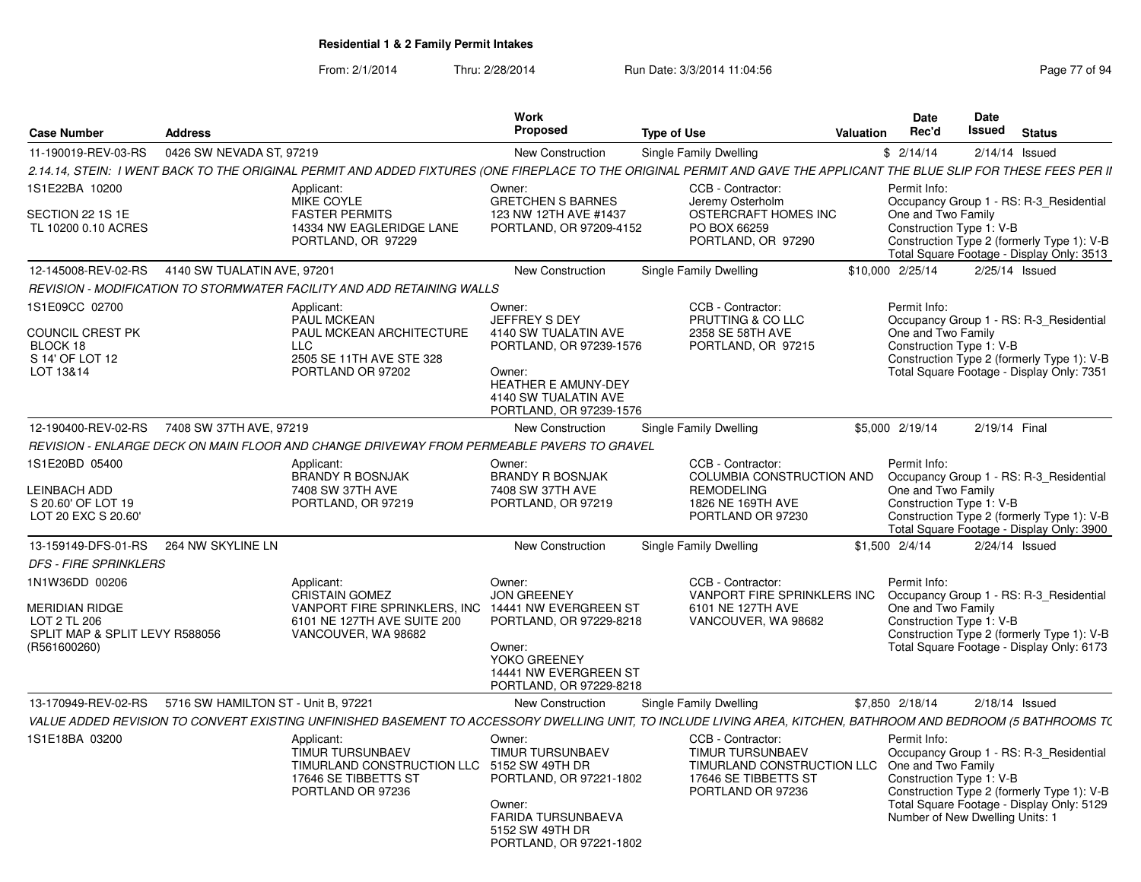From: 2/1/2014Thru: 2/28/2014 Run Date: 3/3/2014 11:04:56 Research 2010 Page 77 of 94

| <b>Case Number</b>                                                                                        | <b>Address</b>                      |                                                                                                                                                                        | <b>Work</b><br><b>Proposed</b>                                                                                                                                        | <b>Type of Use</b> |                                                                                                                         | Valuation | <b>Date</b><br>Rec'd                                                                              | <b>Date</b><br>Issued | <b>Status</b>                                                                                                                      |
|-----------------------------------------------------------------------------------------------------------|-------------------------------------|------------------------------------------------------------------------------------------------------------------------------------------------------------------------|-----------------------------------------------------------------------------------------------------------------------------------------------------------------------|--------------------|-------------------------------------------------------------------------------------------------------------------------|-----------|---------------------------------------------------------------------------------------------------|-----------------------|------------------------------------------------------------------------------------------------------------------------------------|
| 11-190019-REV-03-RS                                                                                       | 0426 SW NEVADA ST, 97219            |                                                                                                                                                                        | New Construction                                                                                                                                                      |                    | Single Family Dwelling                                                                                                  |           | \$2/14/14                                                                                         | $2/14/14$ Issued      |                                                                                                                                    |
|                                                                                                           |                                     | 2.14.14, STEIN: I WENT BACK TO THE ORIGINAL PERMIT AND ADDED FIXTURES (ONE FIREPLACE TO THE ORIGINAL PERMIT AND GAVE THE APPLICANT THE BLUE SLIP FOR THESE FEES PER II |                                                                                                                                                                       |                    |                                                                                                                         |           |                                                                                                   |                       |                                                                                                                                    |
| 1S1E22BA 10200<br>SECTION 22 1S 1E<br>TL 10200 0.10 ACRES                                                 |                                     | Applicant:<br>MIKE COYLE<br><b>FASTER PERMITS</b><br>14334 NW EAGLERIDGE LANE<br>PORTLAND, OR 97229                                                                    | Owner:<br><b>GRETCHEN S BARNES</b><br>123 NW 12TH AVE #1437<br>PORTLAND, OR 97209-4152                                                                                |                    | CCB - Contractor:<br>Jeremy Osterholm<br>OSTERCRAFT HOMES INC<br>PO BOX 66259<br>PORTLAND, OR 97290                     |           | Permit Info:<br>One and Two Family<br>Construction Type 1: V-B                                    |                       | Occupancy Group 1 - RS: R-3_Residential<br>Construction Type 2 (formerly Type 1): V-B<br>Total Square Footage - Display Only: 3513 |
| 12-145008-REV-02-RS                                                                                       | 4140 SW TUALATIN AVE, 97201         |                                                                                                                                                                        | <b>New Construction</b>                                                                                                                                               |                    | Single Family Dwelling                                                                                                  |           | \$10,000 2/25/14                                                                                  | $2/25/14$ Issued      |                                                                                                                                    |
|                                                                                                           |                                     | REVISION - MODIFICATION TO STORMWATER FACILITY AND ADD RETAINING WALLS                                                                                                 |                                                                                                                                                                       |                    |                                                                                                                         |           |                                                                                                   |                       |                                                                                                                                    |
| 1S1E09CC 02700<br>COUNCIL CREST PK<br>BLOCK 18<br>S 14' OF LOT 12<br>LOT 13&14                            |                                     | Applicant:<br><b>PAUL MCKEAN</b><br>PAUL MCKEAN ARCHITECTURE<br><b>LLC</b><br>2505 SE 11TH AVE STE 328<br>PORTLAND OR 97202                                            | Owner:<br>JEFFREY S DEY<br>4140 SW TUALATIN AVE<br>PORTLAND, OR 97239-1576<br>Owner:<br><b>HEATHER E AMUNY-DEY</b><br>4140 SW TUALATIN AVE<br>PORTLAND, OR 97239-1576 |                    | CCB - Contractor:<br>PRUTTING & CO LLC<br>2358 SE 58TH AVE<br>PORTLAND, OR 97215                                        |           | Permit Info:<br>One and Two Family<br>Construction Type 1: V-B                                    |                       | Occupancy Group 1 - RS: R-3_Residential<br>Construction Type 2 (formerly Type 1): V-B<br>Total Square Footage - Display Only: 7351 |
| 12-190400-REV-02-RS                                                                                       | 7408 SW 37TH AVE, 97219             |                                                                                                                                                                        | New Construction                                                                                                                                                      |                    | Single Family Dwelling                                                                                                  |           | \$5,000 2/19/14                                                                                   | 2/19/14 Final         |                                                                                                                                    |
|                                                                                                           |                                     | REVISION - ENLARGE DECK ON MAIN FLOOR AND CHANGE DRIVEWAY FROM PERMEABLE PAVERS TO GRAVEL                                                                              |                                                                                                                                                                       |                    |                                                                                                                         |           |                                                                                                   |                       |                                                                                                                                    |
| 1S1E20BD 05400<br><b>LEINBACH ADD</b><br>S 20.60' OF LOT 19<br>LOT 20 EXC S 20.60'                        |                                     | Applicant:<br><b>BRANDY R BOSNJAK</b><br>7408 SW 37TH AVE<br>PORTLAND, OR 97219                                                                                        | Owner:<br><b>BRANDY R BOSNJAK</b><br>7408 SW 37TH AVE<br>PORTLAND, OR 97219                                                                                           |                    | CCB - Contractor:<br>COLUMBIA CONSTRUCTION AND<br><b>REMODELING</b><br>1826 NE 169TH AVE<br>PORTLAND OR 97230           |           | Permit Info:<br>One and Two Family<br>Construction Type 1: V-B                                    |                       | Occupancy Group 1 - RS: R-3_Residential<br>Construction Type 2 (formerly Type 1): V-B<br>Total Square Footage - Display Only: 3900 |
| 13-159149-DFS-01-RS                                                                                       | 264 NW SKYLINE LN                   |                                                                                                                                                                        | New Construction                                                                                                                                                      |                    | Single Family Dwelling                                                                                                  |           | \$1,500 2/4/14                                                                                    | $2/24/14$ Issued      |                                                                                                                                    |
| <b>DFS - FIRE SPRINKLERS</b>                                                                              |                                     |                                                                                                                                                                        |                                                                                                                                                                       |                    |                                                                                                                         |           |                                                                                                   |                       |                                                                                                                                    |
| 1N1W36DD 00206<br><b>MERIDIAN RIDGE</b><br>LOT 2 TL 206<br>SPLIT MAP & SPLIT LEVY R588056<br>(R561600260) |                                     | Applicant:<br><b>CRISTAIN GOMEZ</b><br>VANPORT FIRE SPRINKLERS, INC<br>6101 NE 127TH AVE SUITE 200<br>VANCOUVER, WA 98682                                              | Owner:<br><b>JON GREENEY</b><br>14441 NW EVERGREEN ST<br>PORTLAND, OR 97229-8218<br>Owner:<br>YOKO GREENEY<br>14441 NW EVERGREEN ST<br>PORTLAND, OR 97229-8218        |                    | CCB - Contractor:<br>VANPORT FIRE SPRINKLERS INC<br>6101 NE 127TH AVE<br>VANCOUVER, WA 98682                            |           | Permit Info:<br>One and Two Family<br>Construction Type 1: V-B                                    |                       | Occupancy Group 1 - RS: R-3_Residential<br>Construction Type 2 (formerly Type 1): V-B<br>Total Square Footage - Display Only: 6173 |
| 13-170949-REV-02-RS                                                                                       | 5716 SW HAMILTON ST - Unit B, 97221 |                                                                                                                                                                        | New Construction                                                                                                                                                      |                    | <b>Single Family Dwelling</b>                                                                                           |           | \$7,850 2/18/14                                                                                   | $2/18/14$ Issued      |                                                                                                                                    |
|                                                                                                           |                                     | VALUE ADDED REVISION TO CONVERT EXISTING UNFINISHED BASEMENT TO ACCESSORY DWELLING UNIT, TO INCLUDE LIVING AREA, KITCHEN, BATHROOM AND BEDROOM (5 BATHROOMS T(         |                                                                                                                                                                       |                    |                                                                                                                         |           |                                                                                                   |                       |                                                                                                                                    |
| 1S1E18BA 03200                                                                                            |                                     | Applicant:<br><b>TIMUR TURSUNBAEV</b><br>TIMURLAND CONSTRUCTION LLC 5152 SW 49TH DR<br>17646 SE TIBBETTS ST<br>PORTLAND OR 97236                                       | Owner:<br><b>TIMUR TURSUNBAEV</b><br>PORTLAND, OR 97221-1802<br>Owner:<br><b>FARIDA TURSUNBAEVA</b><br>5152 SW 49TH DR<br>PORTLAND, OR 97221-1802                     |                    | CCB - Contractor:<br><b>TIMUR TURSUNBAEV</b><br>TIMURLAND CONSTRUCTION LLC<br>17646 SE TIBBETTS ST<br>PORTLAND OR 97236 |           | Permit Info:<br>One and Two Family<br>Construction Type 1: V-B<br>Number of New Dwelling Units: 1 |                       | Occupancy Group 1 - RS: R-3_Residential<br>Construction Type 2 (formerly Type 1): V-B<br>Total Square Footage - Display Only: 5129 |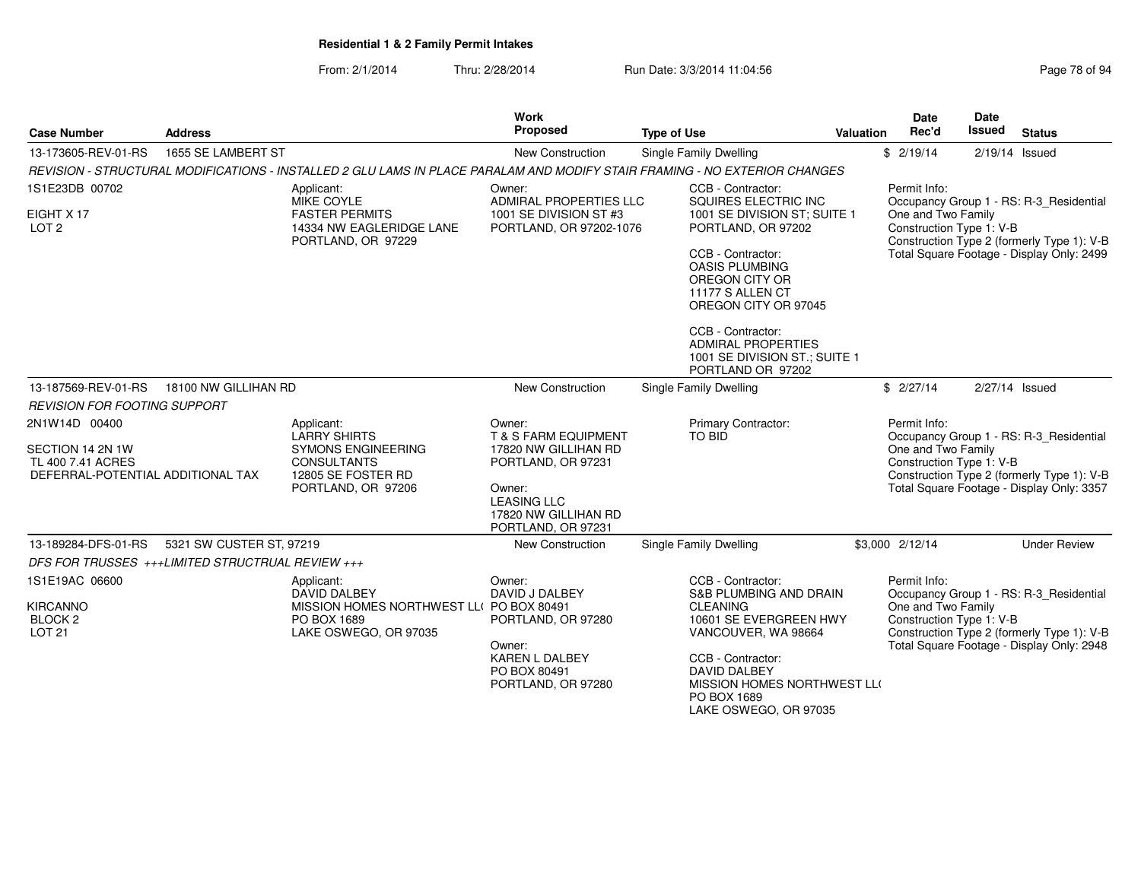#### From: 2/1/2014Thru: 2/28/2014 Run Date: 3/3/2014 11:04:56 Research 2010 Rage 78 of 94

| <b>Case Number</b>                                                                          | <b>Address</b>                                   |                                                                                                                            | <b>Work</b><br>Proposed                                                                                                                                               | <b>Type of Use</b>                                                                                              | Valuation | Date<br>Rec'd                                                                                | <b>Date</b><br><b>Issued</b> | <b>Status</b>                                                                                                                      |
|---------------------------------------------------------------------------------------------|--------------------------------------------------|----------------------------------------------------------------------------------------------------------------------------|-----------------------------------------------------------------------------------------------------------------------------------------------------------------------|-----------------------------------------------------------------------------------------------------------------|-----------|----------------------------------------------------------------------------------------------|------------------------------|------------------------------------------------------------------------------------------------------------------------------------|
| 13-173605-REV-01-RS                                                                         | 1655 SE LAMBERT ST                               |                                                                                                                            | <b>New Construction</b>                                                                                                                                               | Single Family Dwelling                                                                                          |           | \$2/19/14                                                                                    |                              | $2/19/14$ Issued                                                                                                                   |
|                                                                                             |                                                  | REVISION - STRUCTURAL MODIFICATIONS - INSTALLED 2 GLU LAMS IN PLACE PARALAM AND MODIFY STAIR FRAMING - NO EXTERIOR CHANGES |                                                                                                                                                                       |                                                                                                                 |           |                                                                                              |                              |                                                                                                                                    |
| 1S1E23DB 00702                                                                              |                                                  | Applicant:<br><b>MIKE COYLE</b>                                                                                            | Owner:<br>ADMIRAL PROPERTIES LLC                                                                                                                                      | CCB - Contractor:<br>SQUIRES ELECTRIC INC                                                                       |           | Permit Info:                                                                                 |                              | Occupancy Group 1 - RS: R-3 Residential                                                                                            |
| EIGHT X 17<br>LOT <sub>2</sub>                                                              |                                                  | <b>FASTER PERMITS</b><br>14334 NW EAGLERIDGE LANE<br>PORTLAND, OR 97229                                                    | 1001 SE DIVISION ST #3<br>PORTLAND, OR 97202-1076                                                                                                                     | 1001 SE DIVISION ST; SUITE 1<br>PORTLAND, OR 97202                                                              |           | One and Two Family<br>Construction Type 1: V-B<br>Construction Type 2 (formerly Type 1): V-B |                              |                                                                                                                                    |
|                                                                                             |                                                  |                                                                                                                            |                                                                                                                                                                       | CCB - Contractor:<br><b>OASIS PLUMBING</b><br>OREGON CITY OR<br>11177 S ALLEN CT<br>OREGON CITY OR 97045        |           | Total Square Footage - Display Only: 2499                                                    |                              |                                                                                                                                    |
|                                                                                             |                                                  |                                                                                                                            |                                                                                                                                                                       | CCB - Contractor:<br><b>ADMIRAL PROPERTIES</b><br>1001 SE DIVISION ST.; SUITE 1<br>PORTLAND OR 97202            |           |                                                                                              |                              |                                                                                                                                    |
| 13-187569-REV-01-RS                                                                         | 18100 NW GILLIHAN RD                             |                                                                                                                            | New Construction                                                                                                                                                      | Single Family Dwelling                                                                                          |           | \$2/27/14                                                                                    |                              | 2/27/14 Issued                                                                                                                     |
| <b>REVISION FOR FOOTING SUPPORT</b>                                                         |                                                  |                                                                                                                            |                                                                                                                                                                       |                                                                                                                 |           |                                                                                              |                              |                                                                                                                                    |
| 2N1W14D 00400<br>SECTION 14 2N 1W<br>TL 400 7.41 ACRES<br>DEFERRAL-POTENTIAL ADDITIONAL TAX |                                                  | Applicant:<br><b>LARRY SHIRTS</b><br>SYMONS ENGINEERING<br><b>CONSULTANTS</b><br>12805 SE FOSTER RD<br>PORTLAND, OR 97206  | Owner:<br><b>T &amp; S FARM EQUIPMENT</b><br>17820 NW GILLIHAN RD<br>PORTLAND, OR 97231<br>Owner:<br><b>LEASING LLC</b><br>17820 NW GILLIHAN RD<br>PORTLAND, OR 97231 | Primary Contractor:<br><b>TO BID</b>                                                                            |           | Permit Info:<br>One and Two Family<br>Construction Type 1: V-B                               |                              | Occupancy Group 1 - RS: R-3 Residential<br>Construction Type 2 (formerly Type 1): V-B<br>Total Square Footage - Display Only: 3357 |
| 13-189284-DFS-01-RS                                                                         | 5321 SW CUSTER ST, 97219                         |                                                                                                                            | <b>New Construction</b>                                                                                                                                               | <b>Single Family Dwelling</b>                                                                                   |           | \$3,000 2/12/14                                                                              |                              | <b>Under Review</b>                                                                                                                |
|                                                                                             | DFS FOR TRUSSES +++LIMITED STRUCTRUAL REVIEW +++ |                                                                                                                            |                                                                                                                                                                       |                                                                                                                 |           |                                                                                              |                              |                                                                                                                                    |
| 1S1E19AC 06600                                                                              |                                                  | Applicant:<br><b>DAVID DALBEY</b>                                                                                          | Owner:<br>DAVID J DALBEY                                                                                                                                              | CCB - Contractor:<br><b>S&amp;B PLUMBING AND DRAIN</b>                                                          |           | Permit Info:                                                                                 |                              | Occupancy Group 1 - RS: R-3_Residential                                                                                            |
| <b>KIRCANNO</b><br>BLOCK <sub>2</sub><br><b>LOT 21</b>                                      |                                                  | MISSION HOMES NORTHWEST LL( PO BOX 80491<br>PO BOX 1689<br>LAKE OSWEGO, OR 97035                                           | PORTLAND, OR 97280<br>Owner:                                                                                                                                          | <b>CLEANING</b><br>10601 SE EVERGREEN HWY<br>VANCOUVER, WA 98664                                                |           | One and Two Family<br>Construction Type 1: V-B                                               |                              | Construction Type 2 (formerly Type 1): V-B<br>Total Square Footage - Display Only: 2948                                            |
|                                                                                             |                                                  |                                                                                                                            | <b>KAREN L DALBEY</b><br>PO BOX 80491<br>PORTLAND, OR 97280                                                                                                           | CCB - Contractor:<br><b>DAVID DALBEY</b><br>MISSION HOMES NORTHWEST LLO<br>PO BOX 1689<br>LAKE OSWEGO, OR 97035 |           |                                                                                              |                              |                                                                                                                                    |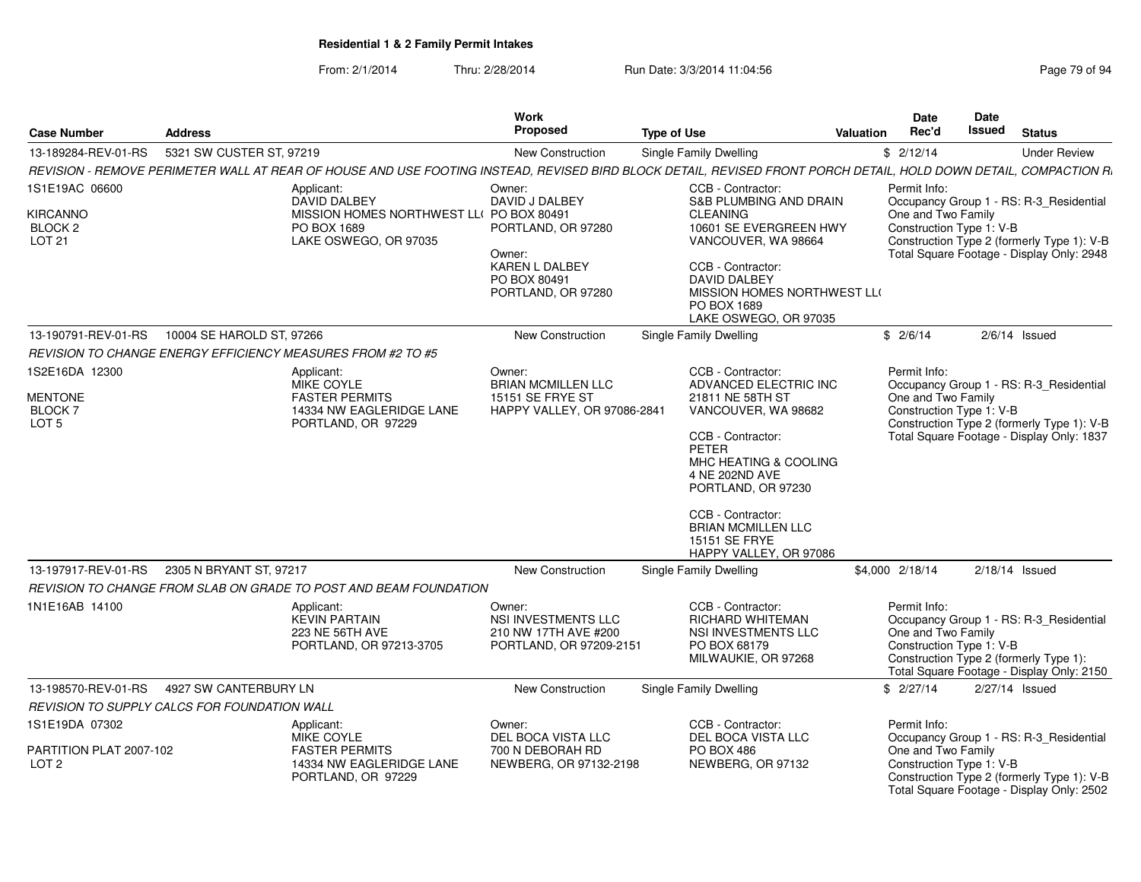From: 2/1/2014Thru: 2/28/2014 Run Date: 3/3/2014 11:04:56 Research 2010 12:04:56

|                                                                   |                                              |                                                                                                                                                                   | <b>Work</b>                                                                                                             |                                                                                                                                                                                                                                                                                   |           | <b>Date</b>                        | Date                     |                                                                                                                                    |
|-------------------------------------------------------------------|----------------------------------------------|-------------------------------------------------------------------------------------------------------------------------------------------------------------------|-------------------------------------------------------------------------------------------------------------------------|-----------------------------------------------------------------------------------------------------------------------------------------------------------------------------------------------------------------------------------------------------------------------------------|-----------|------------------------------------|--------------------------|------------------------------------------------------------------------------------------------------------------------------------|
| <b>Case Number</b>                                                | <b>Address</b>                               |                                                                                                                                                                   | Proposed                                                                                                                | <b>Type of Use</b>                                                                                                                                                                                                                                                                | Valuation | Rec'd                              | Issued                   | <b>Status</b>                                                                                                                      |
| 13-189284-REV-01-RS                                               | 5321 SW CUSTER ST, 97219                     |                                                                                                                                                                   | <b>New Construction</b>                                                                                                 | Single Family Dwelling                                                                                                                                                                                                                                                            |           | \$2/12/14                          |                          | <b>Under Review</b>                                                                                                                |
|                                                                   |                                              | REVISION - REMOVE PERIMETER WALL AT REAR OF HOUSE AND USE FOOTING INSTEAD, REVISED BIRD BLOCK DETAIL, REVISED FRONT PORCH DETAIL, HOLD DOWN DETAIL, COMPACTION R. |                                                                                                                         |                                                                                                                                                                                                                                                                                   |           |                                    |                          |                                                                                                                                    |
| 1S1E19AC 06600<br>KIRCANNO<br>BLOCK <sub>2</sub><br><b>LOT 21</b> |                                              | Applicant:<br><b>DAVID DALBEY</b><br>MISSION HOMES NORTHWEST LL( PO BOX 80491<br>PO BOX 1689<br>LAKE OSWEGO, OR 97035                                             | Owner:<br>DAVID J DALBEY<br>PORTLAND, OR 97280<br>Owner:<br><b>KAREN L DALBEY</b><br>PO BOX 80491<br>PORTLAND, OR 97280 | CCB - Contractor:<br><b>S&amp;B PLUMBING AND DRAIN</b><br><b>CLEANING</b><br>10601 SE EVERGREEN HWY<br>VANCOUVER, WA 98664<br>CCB - Contractor:<br><b>DAVID DALBEY</b><br>MISSION HOMES NORTHWEST LLO<br>PO BOX 1689<br>LAKE OSWEGO, OR 97035                                     |           | Permit Info:<br>One and Two Family | Construction Type 1: V-B | Occupancy Group 1 - RS: R-3 Residential<br>Construction Type 2 (formerly Type 1): V-B<br>Total Square Footage - Display Only: 2948 |
| 13-190791-REV-01-RS                                               | 10004 SE HAROLD ST, 97266                    |                                                                                                                                                                   | <b>New Construction</b>                                                                                                 | Single Family Dwelling                                                                                                                                                                                                                                                            |           | \$2/6/14                           |                          | $2/6/14$ Issued                                                                                                                    |
|                                                                   |                                              | <b>REVISION TO CHANGE ENERGY EFFICIENCY MEASURES FROM #2 TO #5</b>                                                                                                |                                                                                                                         |                                                                                                                                                                                                                                                                                   |           |                                    |                          |                                                                                                                                    |
| 1S2E16DA 12300<br>MENTONE<br><b>BLOCK7</b><br>LOT <sub>5</sub>    |                                              | Applicant:<br><b>MIKE COYLE</b><br><b>FASTER PERMITS</b><br>14334 NW EAGLERIDGE LANE<br>PORTLAND, OR 97229                                                        | Owner:<br><b>BRIAN MCMILLEN LLC</b><br><b>15151 SE FRYE ST</b><br>HAPPY VALLEY, OR 97086-2841                           | CCB - Contractor:<br>ADVANCED ELECTRIC INC<br>21811 NE 58TH ST<br>VANCOUVER, WA 98682<br>CCB - Contractor:<br>PETER<br>MHC HEATING & COOLING<br>4 NE 202ND AVE<br>PORTLAND, OR 97230<br>CCB - Contractor:<br><b>BRIAN MCMILLEN LLC</b><br>15151 SE FRYE<br>HAPPY VALLEY, OR 97086 |           | Permit Info:<br>One and Two Family | Construction Type 1: V-B | Occupancy Group 1 - RS: R-3 Residential<br>Construction Type 2 (formerly Type 1): V-B<br>Total Square Footage - Display Only: 1837 |
| 13-197917-REV-01-RS                                               | 2305 N BRYANT ST, 97217                      |                                                                                                                                                                   | <b>New Construction</b>                                                                                                 | Single Family Dwelling                                                                                                                                                                                                                                                            |           | \$4,000 2/18/14                    |                          | $2/18/14$ Issued                                                                                                                   |
|                                                                   |                                              | REVISION TO CHANGE FROM SLAB ON GRADE TO POST AND BEAM FOUNDATION                                                                                                 |                                                                                                                         |                                                                                                                                                                                                                                                                                   |           |                                    |                          |                                                                                                                                    |
| 1N1E16AB 14100                                                    |                                              | Applicant:<br><b>KEVIN PARTAIN</b><br>223 NE 56TH AVE<br>PORTLAND, OR 97213-3705                                                                                  | Owner:<br>NSI INVESTMENTS LLC<br>210 NW 17TH AVE #200<br>PORTLAND, OR 97209-2151                                        | CCB - Contractor:<br><b>RICHARD WHITEMAN</b><br>NSI INVESTMENTS LLC<br>PO BOX 68179<br>MILWAUKIE, OR 97268                                                                                                                                                                        |           | Permit Info:<br>One and Two Family | Construction Type 1: V-B | Occupancy Group 1 - RS: R-3_Residential<br>Construction Type 2 (formerly Type 1):<br>Total Square Footage - Display Only: 2150     |
|                                                                   | 13-198570-REV-01-RS   4927 SW CANTERBURY LN  |                                                                                                                                                                   | <b>New Construction</b>                                                                                                 | <b>Single Family Dwelling</b>                                                                                                                                                                                                                                                     |           | \$2/27/14                          |                          | 2/27/14 Issued                                                                                                                     |
|                                                                   | REVISION TO SUPPLY CALCS FOR FOUNDATION WALL |                                                                                                                                                                   |                                                                                                                         |                                                                                                                                                                                                                                                                                   |           |                                    |                          |                                                                                                                                    |
| 1S1E19DA 07302                                                    |                                              | Applicant:<br>MIKE COYLE                                                                                                                                          | Owner:<br>DEL BOCA VISTA LLC                                                                                            | CCB - Contractor:<br>DEL BOCA VISTA LLC                                                                                                                                                                                                                                           |           | Permit Info:                       |                          | Occupancy Group 1 - RS: R-3 Residential                                                                                            |
| PARTITION PLAT 2007-102<br>LOT <sub>2</sub>                       |                                              | <b>FASTER PERMITS</b><br>14334 NW EAGLERIDGE LANE<br>PORTLAND, OR 97229                                                                                           | 700 N DEBORAH RD<br>NEWBERG, OR 97132-2198                                                                              | PO BOX 486<br>NEWBERG, OR 97132                                                                                                                                                                                                                                                   |           | One and Two Family                 | Construction Type 1: V-B | Construction Type 2 (formerly Type 1): V-B<br>Total Square Footage - Display Only: 2502                                            |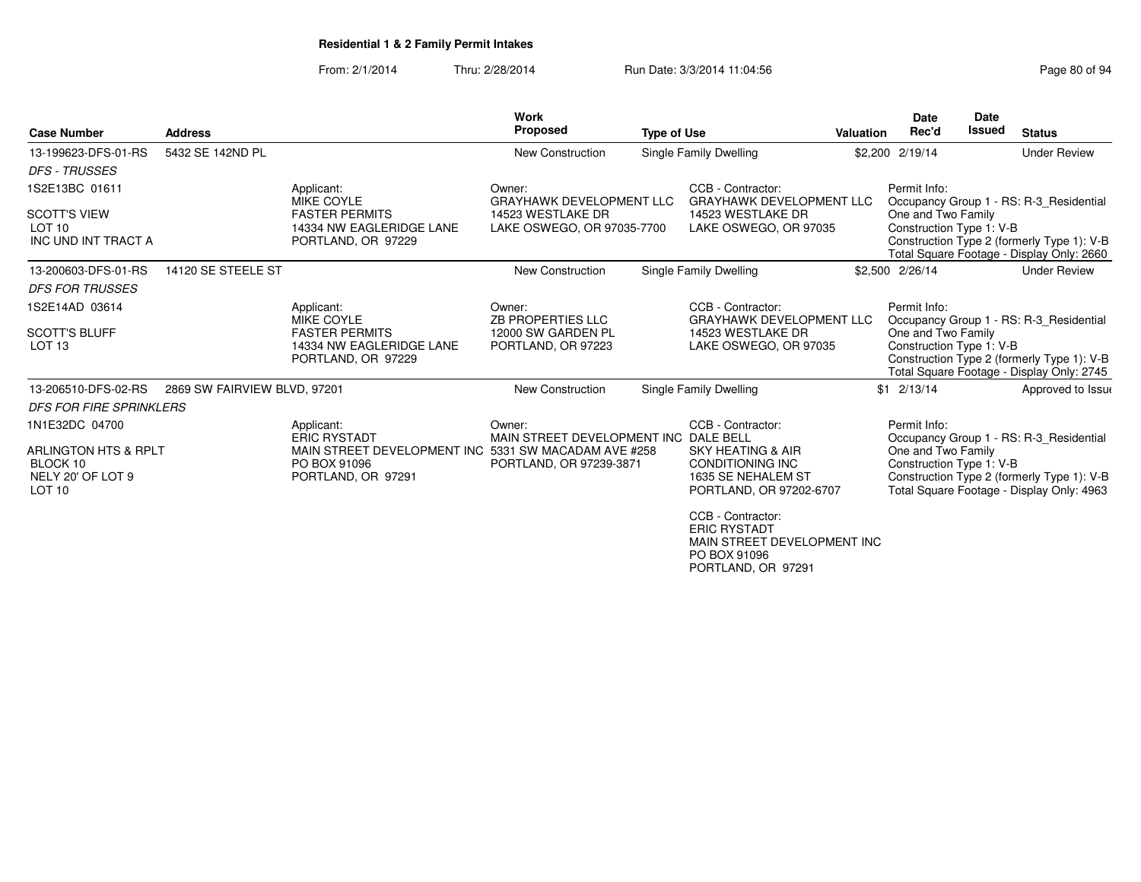From: 2/1/2014Thru: 2/28/2014 Run Date: 3/3/2014 11:04:56 Research 2010 12:56 Page 80 of 94

|                                                                 |                              |                                                                                            | <b>Work</b>                                     |                    |                                                                                                   |                  | Date                                           | <b>Date</b> |                                                                                         |
|-----------------------------------------------------------------|------------------------------|--------------------------------------------------------------------------------------------|-------------------------------------------------|--------------------|---------------------------------------------------------------------------------------------------|------------------|------------------------------------------------|-------------|-----------------------------------------------------------------------------------------|
| <b>Case Number</b>                                              | <b>Address</b>               |                                                                                            | <b>Proposed</b>                                 | <b>Type of Use</b> |                                                                                                   | <b>Valuation</b> | Rec'd                                          | Issued      | <b>Status</b>                                                                           |
| 13-199623-DFS-01-RS                                             | 5432 SE 142ND PL             |                                                                                            | New Construction                                |                    | Single Family Dwelling                                                                            |                  | \$2,200 2/19/14                                |             | <b>Under Review</b>                                                                     |
| <b>DFS - TRUSSES</b>                                            |                              |                                                                                            |                                                 |                    |                                                                                                   |                  |                                                |             |                                                                                         |
| 1S2E13BC 01611                                                  |                              | Applicant:<br><b>MIKE COYLE</b>                                                            | Owner:<br><b>GRAYHAWK DEVELOPMENT LLC</b>       |                    | CCB - Contractor:<br><b>GRAYHAWK DEVELOPMENT LLC</b>                                              |                  | Permit Info:                                   |             | Occupancy Group 1 - RS: R-3 Residential                                                 |
| <b>SCOTT'S VIEW</b><br>LOT <sub>10</sub><br>INC UND INT TRACT A |                              | <b>FASTER PERMITS</b><br>14334 NW EAGLERIDGE LANE<br>PORTLAND, OR 97229                    | 14523 WESTLAKE DR<br>LAKE OSWEGO, OR 97035-7700 |                    | 14523 WESTLAKE DR<br>LAKE OSWEGO, OR 97035                                                        |                  | One and Two Family<br>Construction Type 1: V-B |             | Construction Type 2 (formerly Type 1): V-B<br>Total Square Footage - Display Only: 2660 |
| 13-200603-DFS-01-RS                                             | 14120 SE STEELE ST           |                                                                                            | <b>New Construction</b>                         |                    | Single Family Dwelling                                                                            |                  | \$2,500 2/26/14                                |             | <b>Under Review</b>                                                                     |
| <b>DFS FOR TRUSSES</b>                                          |                              |                                                                                            |                                                 |                    |                                                                                                   |                  |                                                |             |                                                                                         |
| 1S2E14AD 03614                                                  |                              | Applicant:<br><b>MIKE COYLE</b>                                                            | Owner:<br><b>ZB PROPERTIES LLC</b>              |                    | CCB - Contractor:<br><b>GRAYHAWK DEVELOPMENT LLC</b>                                              |                  | Permit Info:                                   |             | Occupancy Group 1 - RS: R-3_Residential                                                 |
| <b>SCOTT'S BLUFF</b><br>LOT <sub>13</sub>                       |                              | <b>FASTER PERMITS</b><br>14334 NW EAGLERIDGE LANE<br>PORTLAND, OR 97229                    | 12000 SW GARDEN PL<br>PORTLAND, OR 97223        |                    | 14523 WESTLAKE DR<br>LAKE OSWEGO, OR 97035                                                        |                  | One and Two Family<br>Construction Type 1: V-B |             | Construction Type 2 (formerly Type 1): V-B<br>Total Square Footage - Display Only: 2745 |
| 13-206510-DFS-02-RS                                             | 2869 SW FAIRVIEW BLVD, 97201 |                                                                                            | <b>New Construction</b>                         |                    | Single Family Dwelling                                                                            |                  | $$1 \t2/13/14$                                 |             | Approved to Issue                                                                       |
| <b>DFS FOR FIRE SPRINKLERS</b>                                  |                              |                                                                                            |                                                 |                    |                                                                                                   |                  |                                                |             |                                                                                         |
| 1N1E32DC 04700                                                  |                              | Applicant:<br><b>ERIC RYSTADT</b>                                                          | Owner:<br>MAIN STREET DEVELOPMENT INC DALE BELL |                    | CCB - Contractor:                                                                                 |                  | Permit Info:                                   |             | Occupancy Group 1 - RS: R-3 Residential                                                 |
| ARLINGTON HTS & RPLT<br>BLOCK 10<br>NELY 20' OF LOT 9<br>LOT 10 |                              | MAIN STREET DEVELOPMENT INC 5331 SW MACADAM AVE #258<br>PO BOX 91096<br>PORTLAND, OR 97291 | PORTLAND, OR 97239-3871                         |                    | <b>SKY HEATING &amp; AIR</b><br>CONDITIONING INC<br>1635 SE NEHALEM ST<br>PORTLAND, OR 97202-6707 |                  | One and Two Family<br>Construction Type 1: V-B |             | Construction Type 2 (formerly Type 1): V-B<br>Total Square Footage - Display Only: 4963 |
|                                                                 |                              |                                                                                            |                                                 |                    | CCB - Contractor:<br><b>ERIC RYSTADT</b><br>MAIN STREET DEVELOPMENT INC                           |                  |                                                |             |                                                                                         |

PO BOX 91096 PORTLAND, OR 97291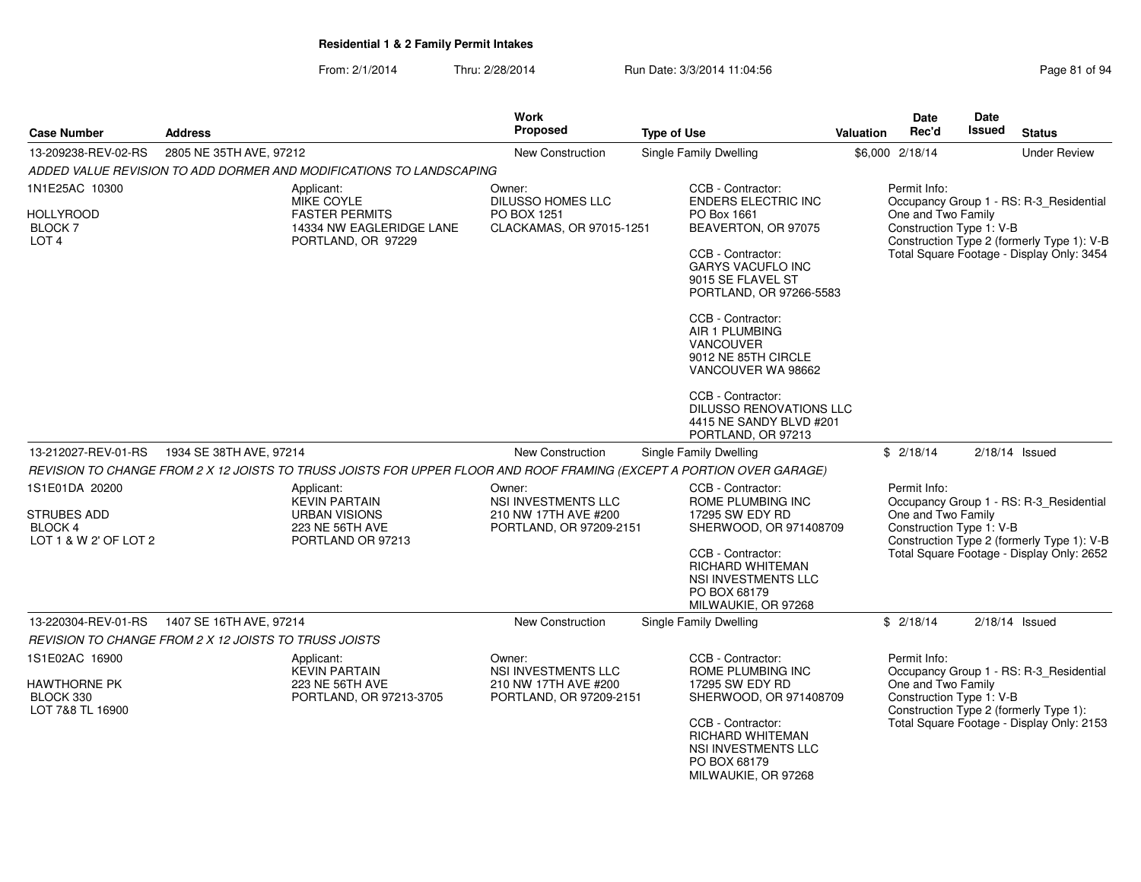| <b>Case Number</b>                                                      | <b>Address</b>                                                                                                        | <b>Work</b><br><b>Proposed</b>                                                          | <b>Type of Use</b>                                                                                                                                                                                                                                                                                                  | <b>Valuation</b> | Date<br>Rec'd                                                  | Date<br><b>Issued</b> | <b>Status</b>                                                                                                                      |
|-------------------------------------------------------------------------|-----------------------------------------------------------------------------------------------------------------------|-----------------------------------------------------------------------------------------|---------------------------------------------------------------------------------------------------------------------------------------------------------------------------------------------------------------------------------------------------------------------------------------------------------------------|------------------|----------------------------------------------------------------|-----------------------|------------------------------------------------------------------------------------------------------------------------------------|
| 13-209238-REV-02-RS                                                     | 2805 NE 35TH AVE, 97212                                                                                               | <b>New Construction</b>                                                                 | <b>Single Family Dwelling</b>                                                                                                                                                                                                                                                                                       |                  | \$6,000 2/18/14                                                |                       | <b>Under Review</b>                                                                                                                |
|                                                                         | ADDED VALUE REVISION TO ADD DORMER AND MODIFICATIONS TO LANDSCAPING                                                   |                                                                                         |                                                                                                                                                                                                                                                                                                                     |                  |                                                                |                       |                                                                                                                                    |
| 1N1E25AC 10300<br><b>HOLLYROOD</b><br><b>BLOCK7</b><br>LOT <sub>4</sub> | Applicant:<br><b>MIKE COYLE</b><br><b>FASTER PERMITS</b><br>14334 NW EAGLERIDGE LANE<br>PORTLAND, OR 97229            | Owner:<br><b>DILUSSO HOMES LLC</b><br>PO BOX 1251<br>CLACKAMAS, OR 97015-1251           | CCB - Contractor:<br><b>ENDERS ELECTRIC INC</b><br>PO Box 1661<br>BEAVERTON, OR 97075<br>CCB - Contractor:<br><b>GARYS VACUFLO INC</b><br>9015 SE FLAVEL ST<br>PORTLAND, OR 97266-5583<br>CCB - Contractor:<br>AIR 1 PLUMBING<br><b>VANCOUVER</b><br>9012 NE 85TH CIRCLE<br>VANCOUVER WA 98662<br>CCB - Contractor: |                  | Permit Info:<br>One and Two Family<br>Construction Type 1: V-B |                       | Occupancy Group 1 - RS: R-3_Residential<br>Construction Type 2 (formerly Type 1): V-B<br>Total Square Footage - Display Only: 3454 |
|                                                                         |                                                                                                                       |                                                                                         | DILUSSO RENOVATIONS LLC<br>4415 NE SANDY BLVD #201<br>PORTLAND, OR 97213                                                                                                                                                                                                                                            |                  |                                                                |                       |                                                                                                                                    |
| 13-212027-REV-01-RS                                                     | 1934 SE 38TH AVE, 97214                                                                                               | <b>New Construction</b>                                                                 | <b>Single Family Dwelling</b>                                                                                                                                                                                                                                                                                       |                  | \$2/18/14                                                      |                       | $2/18/14$ Issued                                                                                                                   |
|                                                                         | REVISION TO CHANGE FROM 2 X 12 JOISTS TO TRUSS JOISTS FOR UPPER FLOOR AND ROOF FRAMING (EXCEPT A PORTION OVER GARAGE) |                                                                                         |                                                                                                                                                                                                                                                                                                                     |                  |                                                                |                       |                                                                                                                                    |
| 1S1E01DA 20200<br>STRUBES ADD<br>BLOCK 4<br>LOT 1 & W 2' OF LOT 2       | Applicant:<br><b>KEVIN PARTAIN</b><br><b>URBAN VISIONS</b><br>223 NE 56TH AVE<br>PORTLAND OR 97213                    | Owner:<br><b>NSI INVESTMENTS LLC</b><br>210 NW 17TH AVE #200<br>PORTLAND, OR 97209-2151 | CCB - Contractor:<br>ROME PLUMBING INC<br>17295 SW EDY RD<br>SHERWOOD, OR 971408709<br>CCB - Contractor:<br><b>RICHARD WHITEMAN</b><br>NSI INVESTMENTS LLC<br>PO BOX 68179<br>MILWAUKIE, OR 97268                                                                                                                   |                  | Permit Info:<br>One and Two Family<br>Construction Type 1: V-B |                       | Occupancy Group 1 - RS: R-3_Residential<br>Construction Type 2 (formerly Type 1): V-B<br>Total Square Footage - Display Only: 2652 |
| 13-220304-REV-01-RS                                                     | 1407 SE 16TH AVE, 97214                                                                                               | New Construction                                                                        | <b>Single Family Dwelling</b>                                                                                                                                                                                                                                                                                       |                  | \$2/18/14                                                      |                       | $2/18/14$ Issued                                                                                                                   |
|                                                                         | REVISION TO CHANGE FROM 2 X 12 JOISTS TO TRUSS JOISTS                                                                 |                                                                                         |                                                                                                                                                                                                                                                                                                                     |                  |                                                                |                       |                                                                                                                                    |
| 1S1E02AC 16900<br><b>HAWTHORNE PK</b><br>BLOCK 330<br>LOT 7&8 TL 16900  | Applicant:<br><b>KEVIN PARTAIN</b><br>223 NE 56TH AVE<br>PORTLAND, OR 97213-3705                                      | Owner:<br><b>NSI INVESTMENTS LLC</b><br>210 NW 17TH AVE #200<br>PORTLAND, OR 97209-2151 | CCB - Contractor:<br>ROME PLUMBING INC<br>17295 SW EDY RD<br>SHERWOOD, OR 971408709<br>CCB - Contractor:<br>RICHARD WHITEMAN<br>NSI INVESTMENTS LLC<br>PO BOX 68179<br>MILWAUKIE, OR 97268                                                                                                                          |                  | Permit Info:<br>One and Two Family<br>Construction Type 1: V-B |                       | Occupancy Group 1 - RS: R-3_Residential<br>Construction Type 2 (formerly Type 1):<br>Total Square Footage - Display Only: 2153     |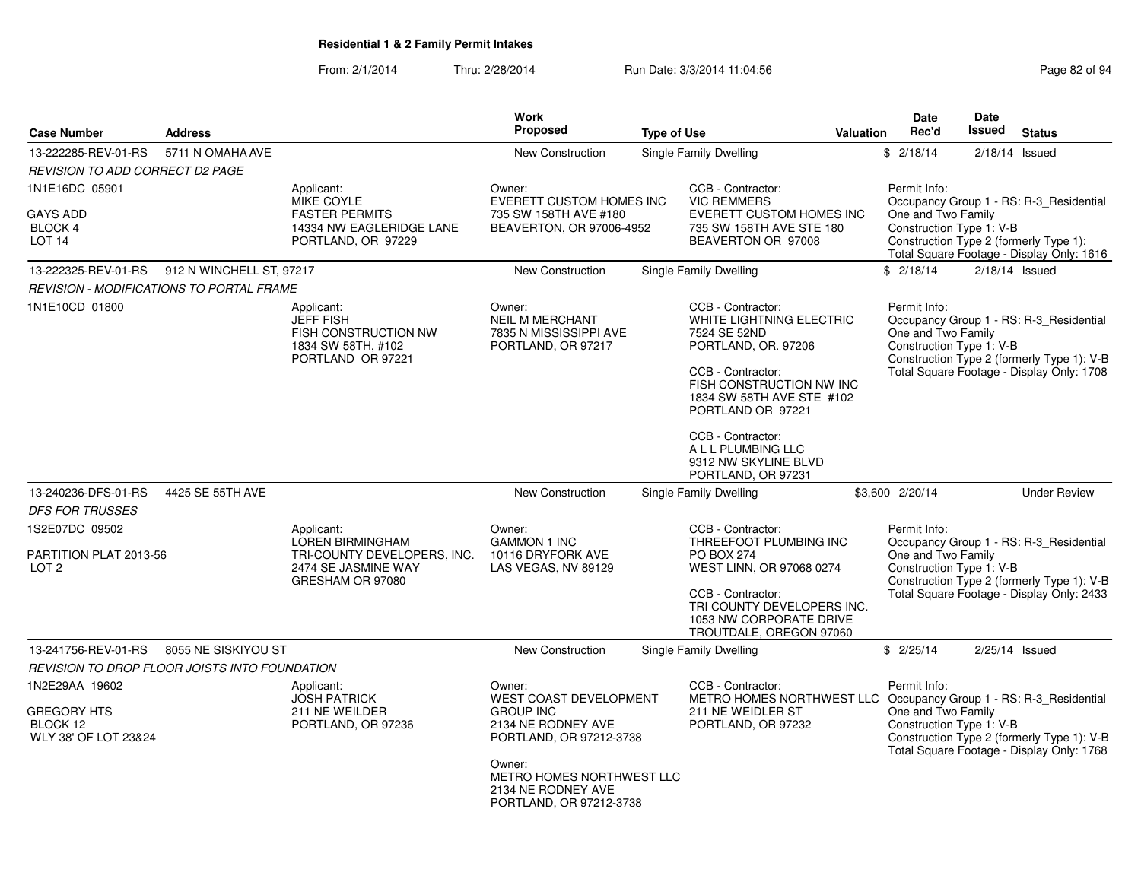| <b>Case Number</b>                                                       | <b>Address</b>      |                                                                                                                 | <b>Work</b><br>Proposed                                                                                                                                                                              | <b>Type of Use</b> |                                                                                                                                                                                                       | Valuation | <b>Date</b><br>Rec'd                                           | <b>Date</b><br><b>Issued</b> | <b>Status</b>                                                                                                                      |
|--------------------------------------------------------------------------|---------------------|-----------------------------------------------------------------------------------------------------------------|------------------------------------------------------------------------------------------------------------------------------------------------------------------------------------------------------|--------------------|-------------------------------------------------------------------------------------------------------------------------------------------------------------------------------------------------------|-----------|----------------------------------------------------------------|------------------------------|------------------------------------------------------------------------------------------------------------------------------------|
| 13-222285-REV-01-RS                                                      | 5711 N OMAHA AVE    |                                                                                                                 | New Construction                                                                                                                                                                                     |                    | Single Family Dwelling                                                                                                                                                                                |           | \$2/18/14                                                      |                              | $2/18/14$ Issued                                                                                                                   |
| <i>REVISION TO ADD CORRECT D2 PAGE</i>                                   |                     |                                                                                                                 |                                                                                                                                                                                                      |                    |                                                                                                                                                                                                       |           |                                                                |                              |                                                                                                                                    |
| 1N1E16DC 05901<br><b>GAYS ADD</b><br>BLOCK 4<br>LOT 14                   |                     | Applicant:<br><b>MIKE COYLE</b><br><b>FASTER PERMITS</b><br>14334 NW EAGLERIDGE LANE<br>PORTLAND, OR 97229      | Owner:<br>EVERETT CUSTOM HOMES INC<br>735 SW 158TH AVE #180<br>BEAVERTON, OR 97006-4952                                                                                                              |                    | CCB - Contractor:<br><b>VIC REMMERS</b><br>EVERETT CUSTOM HOMES INC<br>735 SW 158TH AVE STE 180<br>BEAVERTON OR 97008                                                                                 |           | Permit Info:<br>One and Two Family<br>Construction Type 1: V-B |                              | Occupancy Group 1 - RS: R-3_Residential<br>Construction Type 2 (formerly Type 1):                                                  |
|                                                                          |                     |                                                                                                                 |                                                                                                                                                                                                      |                    |                                                                                                                                                                                                       |           |                                                                |                              | Total Square Footage - Display Only: 1616                                                                                          |
| 13-222325-REV-01-RS 912 N WINCHELL ST, 97217                             |                     |                                                                                                                 | New Construction                                                                                                                                                                                     |                    | Single Family Dwelling                                                                                                                                                                                |           | \$2/18/14                                                      |                              | $2/18/14$ Issued                                                                                                                   |
| REVISION - MODIFICATIONS TO PORTAL FRAME                                 |                     |                                                                                                                 |                                                                                                                                                                                                      |                    |                                                                                                                                                                                                       |           |                                                                |                              |                                                                                                                                    |
| 1N1E10CD 01800                                                           |                     | Applicant:<br><b>JEFF FISH</b><br>FISH CONSTRUCTION NW<br>1834 SW 58TH, #102<br>PORTLAND OR 97221               | Owner:<br><b>NEIL M MERCHANT</b><br>7835 N MISSISSIPPI AVE<br>PORTLAND, OR 97217                                                                                                                     |                    | CCB - Contractor:<br>WHITE LIGHTNING ELECTRIC<br>7524 SE 52ND<br>PORTLAND, OR. 97206<br>CCB - Contractor:<br>FISH CONSTRUCTION NW INC<br>1834 SW 58TH AVE STE #102<br>PORTLAND OR 97221               |           | Permit Info:<br>One and Two Family<br>Construction Type 1: V-B |                              | Occupancy Group 1 - RS: R-3_Residential<br>Construction Type 2 (formerly Type 1): V-B<br>Total Square Footage - Display Only: 1708 |
|                                                                          |                     |                                                                                                                 |                                                                                                                                                                                                      |                    | CCB - Contractor:<br>A L L PLUMBING LLC<br>9312 NW SKYLINE BLVD<br>PORTLAND, OR 97231                                                                                                                 |           |                                                                |                              |                                                                                                                                    |
| 13-240236-DFS-01-RS<br><b>DFS FOR TRUSSES</b>                            | 4425 SE 55TH AVE    |                                                                                                                 | New Construction                                                                                                                                                                                     |                    | Single Family Dwelling                                                                                                                                                                                |           | \$3,600 2/20/14                                                |                              | <b>Under Review</b>                                                                                                                |
| 1S2E07DC 09502<br>PARTITION PLAT 2013-56<br>LOT <sub>2</sub>             |                     | Applicant:<br><b>LOREN BIRMINGHAM</b><br>TRI-COUNTY DEVELOPERS, INC.<br>2474 SE JASMINE WAY<br>GRESHAM OR 97080 | Owner:<br><b>GAMMON 1 INC</b><br>10116 DRYFORK AVE<br>LAS VEGAS, NV 89129                                                                                                                            |                    | CCB - Contractor:<br>THREEFOOT PLUMBING INC<br><b>PO BOX 274</b><br>WEST LINN, OR 97068 0274<br>CCB - Contractor:<br>TRI COUNTY DEVELOPERS INC.<br>1053 NW CORPORATE DRIVE<br>TROUTDALE, OREGON 97060 |           | Permit Info:<br>One and Two Family<br>Construction Type 1: V-B |                              | Occupancy Group 1 - RS: R-3_Residential<br>Construction Type 2 (formerly Type 1): V-B<br>Total Square Footage - Display Only: 2433 |
| 13-241756-REV-01-RS                                                      | 8055 NE SISKIYOU ST |                                                                                                                 | New Construction                                                                                                                                                                                     |                    | Single Family Dwelling                                                                                                                                                                                |           | \$2/25/14                                                      |                              | $2/25/14$ Issued                                                                                                                   |
| REVISION TO DROP FLOOR JOISTS INTO FOUNDATION                            |                     |                                                                                                                 |                                                                                                                                                                                                      |                    |                                                                                                                                                                                                       |           |                                                                |                              |                                                                                                                                    |
| 1N2E29AA 19602<br><b>GREGORY HTS</b><br>BLOCK 12<br>WLY 38' OF LOT 23&24 |                     | Applicant:<br><b>JOSH PATRICK</b><br>211 NE WEILDER<br>PORTLAND, OR 97236                                       | Owner:<br><b>WEST COAST DEVELOPMENT</b><br><b>GROUP INC</b><br>2134 NE RODNEY AVE<br>PORTLAND, OR 97212-3738<br>Owner:<br>METRO HOMES NORTHWEST LLC<br>2134 NE RODNEY AVE<br>PORTLAND, OR 97212-3738 |                    | CCB - Contractor:<br>METRO HOMES NORTHWEST LLC Occupancy Group 1 - RS: R-3_Residential<br>211 NE WEIDLER ST<br>PORTLAND, OR 97232                                                                     |           | Permit Info:<br>One and Two Family<br>Construction Type 1: V-B |                              | Construction Type 2 (formerly Type 1): V-B<br>Total Square Footage - Display Only: 1768                                            |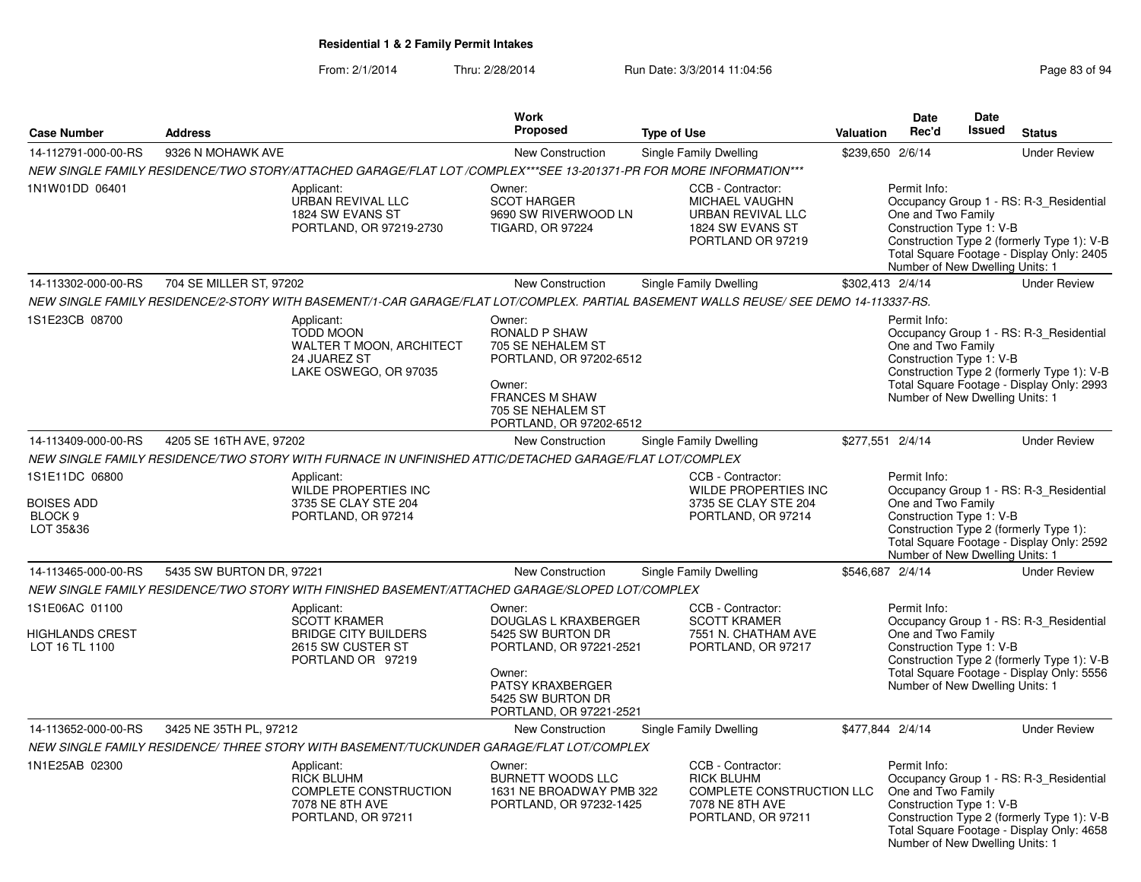#### From: 2/1/2014Thru: 2/28/2014 Run Date: 3/3/2014 11:04:56

| <b>Case Number</b>                                                     | <b>Address</b>           |                                                                                                                    | Work<br>Proposed                                                                                                                                                    | <b>Type of Use</b>                                                                                                                    | <b>Valuation</b> | Date<br>Rec'd                                                                                     | Date<br><b>Issued</b> | <b>Status</b>                                                                                                                      |
|------------------------------------------------------------------------|--------------------------|--------------------------------------------------------------------------------------------------------------------|---------------------------------------------------------------------------------------------------------------------------------------------------------------------|---------------------------------------------------------------------------------------------------------------------------------------|------------------|---------------------------------------------------------------------------------------------------|-----------------------|------------------------------------------------------------------------------------------------------------------------------------|
| 14-112791-000-00-RS                                                    | 9326 N MOHAWK AVE        |                                                                                                                    | New Construction                                                                                                                                                    | <b>Single Family Dwelling</b>                                                                                                         | \$239,650 2/6/14 |                                                                                                   |                       | <b>Under Review</b>                                                                                                                |
|                                                                        |                          | NEW SINGLE FAMILY RESIDENCE/TWO STORY/ATTACHED GARAGE/FLAT LOT /COMPLEX***SEE 13-201371-PR FOR MORE INFORMATION*** |                                                                                                                                                                     |                                                                                                                                       |                  |                                                                                                   |                       |                                                                                                                                    |
| 1N1W01DD 06401                                                         |                          | Applicant:<br>URBAN REVIVAL LLC<br>1824 SW EVANS ST<br>PORTLAND, OR 97219-2730                                     | Owner:<br><b>SCOT HARGER</b><br>9690 SW RIVERWOOD LN<br><b>TIGARD, OR 97224</b>                                                                                     | CCB - Contractor:<br>MICHAEL VAUGHN<br>URBAN REVIVAL LLC<br>1824 SW EVANS ST<br>PORTLAND OR 97219                                     |                  | Permit Info:<br>One and Two Family<br>Construction Type 1: V-B<br>Number of New Dwelling Units: 1 |                       | Occupancy Group 1 - RS: R-3_Residential<br>Construction Type 2 (formerly Type 1): V-B<br>Total Square Footage - Display Only: 2405 |
| 14-113302-000-00-RS                                                    | 704 SE MILLER ST, 97202  |                                                                                                                    | <b>New Construction</b>                                                                                                                                             | <b>Single Family Dwelling</b>                                                                                                         | \$302,413 2/4/14 |                                                                                                   |                       | <b>Under Review</b>                                                                                                                |
|                                                                        |                          |                                                                                                                    |                                                                                                                                                                     | NEW SINGLE FAMILY RESIDENCE/2-STORY WITH BASEMENT/1-CAR GARAGE/FLAT LOT/COMPLEX. PARTIAL BASEMENT WALLS REUSE/ SEE DEMO 14-113337-RS. |                  |                                                                                                   |                       |                                                                                                                                    |
| 1S1E23CB 08700                                                         |                          | Applicant:<br>TODD MOON<br>WALTER T MOON, ARCHITECT<br>24 JUAREZ ST<br>LAKE OSWEGO, OR 97035                       | Owner:<br>RONALD P SHAW<br>705 SE NEHALEM ST<br>PORTLAND, OR 97202-6512<br>Owner:<br><b>FRANCES M SHAW</b><br>705 SE NEHALEM ST<br>PORTLAND, OR 97202-6512          |                                                                                                                                       |                  | Permit Info:<br>One and Two Family<br>Construction Type 1: V-B<br>Number of New Dwelling Units: 1 |                       | Occupancy Group 1 - RS: R-3 Residential<br>Construction Type 2 (formerly Type 1): V-B<br>Total Square Footage - Display Only: 2993 |
| 14-113409-000-00-RS                                                    | 4205 SE 16TH AVE, 97202  |                                                                                                                    | New Construction                                                                                                                                                    | Single Family Dwelling                                                                                                                | \$277,551 2/4/14 |                                                                                                   |                       | <b>Under Review</b>                                                                                                                |
|                                                                        |                          | NEW SINGLE FAMILY RESIDENCE/TWO STORY WITH FURNACE IN UNFINISHED ATTIC/DETACHED GARAGE/FLAT LOT/COMPLEX            |                                                                                                                                                                     |                                                                                                                                       |                  |                                                                                                   |                       |                                                                                                                                    |
| 1S1E11DC 06800<br><b>BOISES ADD</b><br>BLOCK <sub>9</sub><br>LOT 35&36 |                          | Applicant:<br>WILDE PROPERTIES INC<br>3735 SE CLAY STE 204<br>PORTLAND, OR 97214                                   |                                                                                                                                                                     | CCB - Contractor:<br>WILDE PROPERTIES INC<br>3735 SE CLAY STE 204<br>PORTLAND, OR 97214                                               |                  | Permit Info:<br>One and Two Family<br>Construction Type 1: V-B<br>Number of New Dwelling Units: 1 |                       | Occupancy Group 1 - RS: R-3_Residential<br>Construction Type 2 (formerly Type 1):<br>Total Square Footage - Display Only: 2592     |
| 14-113465-000-00-RS                                                    | 5435 SW BURTON DR, 97221 |                                                                                                                    | New Construction                                                                                                                                                    | <b>Single Family Dwelling</b>                                                                                                         | \$546,687 2/4/14 |                                                                                                   |                       | <b>Under Review</b>                                                                                                                |
|                                                                        |                          | NEW SINGLE FAMILY RESIDENCE/TWO STORY WITH FINISHED BASEMENT/ATTACHED GARAGE/SLOPED LOT/COMPLEX                    |                                                                                                                                                                     |                                                                                                                                       |                  |                                                                                                   |                       |                                                                                                                                    |
| 1S1E06AC 01100<br><b>HIGHLANDS CREST</b><br>LOT 16 TL 1100             |                          | Applicant:<br>SCOTT KRAMER<br><b>BRIDGE CITY BUILDERS</b><br>2615 SW CUSTER ST<br>PORTLAND OR 97219                | Owner:<br>DOUGLAS L KRAXBERGER<br>5425 SW BURTON DR<br>PORTLAND, OR 97221-2521<br>Owner:<br><b>PATSY KRAXBERGER</b><br>5425 SW BURTON DR<br>PORTLAND, OR 97221-2521 | CCB - Contractor:<br><b>SCOTT KRAMER</b><br>7551 N. CHATHAM AVE<br>PORTLAND, OR 97217                                                 |                  | Permit Info:<br>One and Two Family<br>Construction Type 1: V-B<br>Number of New Dwelling Units: 1 |                       | Occupancy Group 1 - RS: R-3 Residential<br>Construction Type 2 (formerly Type 1): V-B<br>Total Square Footage - Display Only: 5556 |
| 14-113652-000-00-RS                                                    | 3425 NE 35TH PL, 97212   |                                                                                                                    | New Construction                                                                                                                                                    | Single Family Dwelling                                                                                                                | \$477,844 2/4/14 |                                                                                                   |                       | <b>Under Review</b>                                                                                                                |
|                                                                        |                          | NEW SINGLE FAMILY RESIDENCE/ THREE STORY WITH BASEMENT/TUCKUNDER GARAGE/FLAT LOT/COMPLEX                           |                                                                                                                                                                     |                                                                                                                                       |                  |                                                                                                   |                       |                                                                                                                                    |
| 1N1E25AB 02300                                                         |                          | Applicant:<br><b>RICK BLUHM</b><br>COMPLETE CONSTRUCTION<br>7078 NE 8TH AVE<br>PORTLAND, OR 97211                  | Owner:<br>BURNETT WOODS LLC<br>1631 NE BROADWAY PMB 322<br>PORTLAND, OR 97232-1425                                                                                  | CCB - Contractor:<br><b>RICK BLUHM</b><br>COMPLETE CONSTRUCTION LLC<br>7078 NE 8TH AVE<br>PORTLAND, OR 97211                          |                  | Permit Info:<br>One and Two Family<br>Construction Type 1: V-B<br>Number of New Dwelling Units: 1 |                       | Occupancy Group 1 - RS: R-3_Residential<br>Construction Type 2 (formerly Type 1): V-B<br>Total Square Footage - Display Only: 4658 |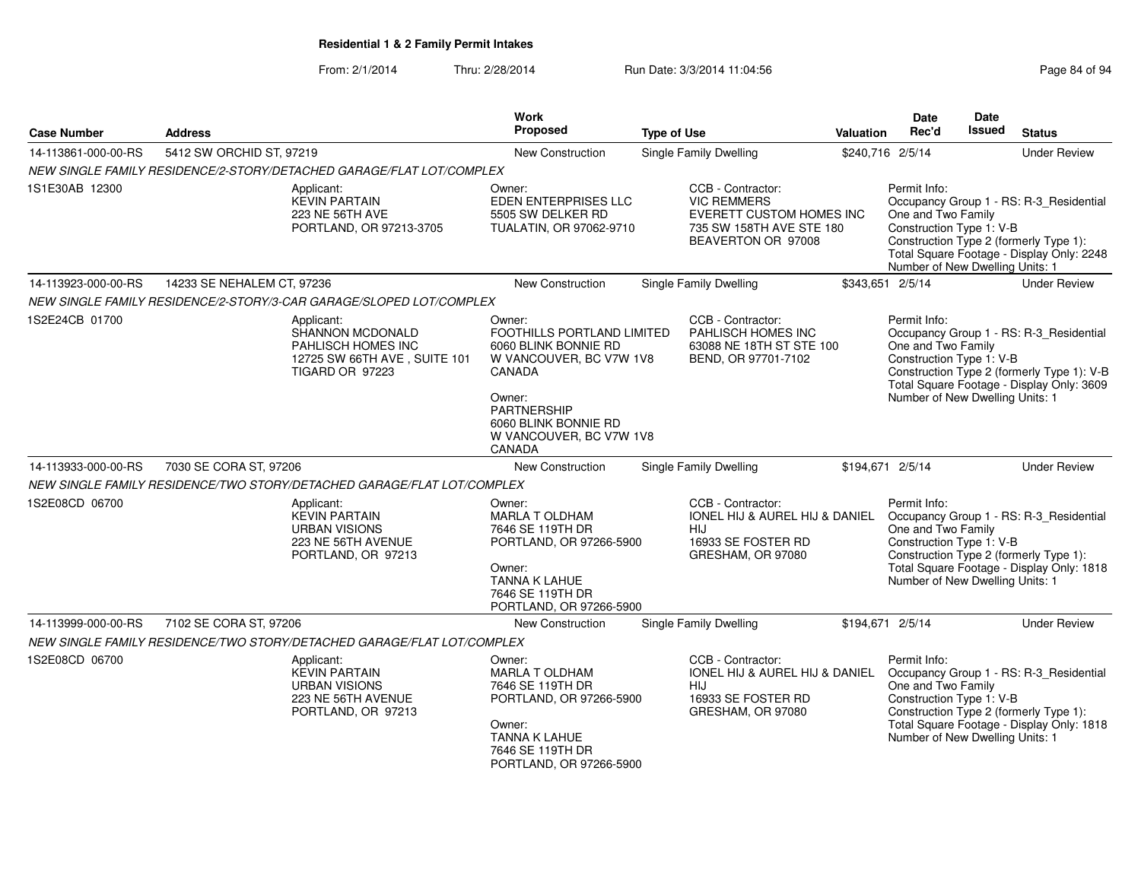| <b>Case Number</b>  | <b>Address</b>                                                         |                                                                                                  | <b>Work</b><br><b>Proposed</b>                                                                                                                                                          | <b>Type of Use</b> |                                                                                                                       | <b>Valuation</b> | <b>Date</b><br>Rec'd                                                                              | <b>Date</b><br>Issued | <b>Status</b>                                                                                                                      |
|---------------------|------------------------------------------------------------------------|--------------------------------------------------------------------------------------------------|-----------------------------------------------------------------------------------------------------------------------------------------------------------------------------------------|--------------------|-----------------------------------------------------------------------------------------------------------------------|------------------|---------------------------------------------------------------------------------------------------|-----------------------|------------------------------------------------------------------------------------------------------------------------------------|
| 14-113861-000-00-RS | 5412 SW ORCHID ST, 97219                                               |                                                                                                  | <b>New Construction</b>                                                                                                                                                                 |                    | <b>Single Family Dwelling</b>                                                                                         | \$240,716 2/5/14 |                                                                                                   |                       | <b>Under Review</b>                                                                                                                |
|                     | NEW SINGLE FAMILY RESIDENCE/2-STORY/DETACHED GARAGE/FLAT LOT/COMPLEX   |                                                                                                  |                                                                                                                                                                                         |                    |                                                                                                                       |                  |                                                                                                   |                       |                                                                                                                                    |
| 1S1E30AB 12300      | Applicant:                                                             | <b>KEVIN PARTAIN</b><br>223 NE 56TH AVE<br>PORTLAND, OR 97213-3705                               | Owner:<br>EDEN ENTERPRISES LLC<br>5505 SW DELKER RD<br>TUALATIN, OR 97062-9710                                                                                                          |                    | CCB - Contractor:<br><b>VIC REMMERS</b><br>EVERETT CUSTOM HOMES INC<br>735 SW 158TH AVE STE 180<br>BEAVERTON OR 97008 |                  | Permit Info:<br>One and Two Family<br>Construction Type 1: V-B<br>Number of New Dwelling Units: 1 |                       | Occupancy Group 1 - RS: R-3_Residential<br>Construction Type 2 (formerly Type 1):<br>Total Square Footage - Display Only: 2248     |
| 14-113923-000-00-RS | 14233 SE NEHALEM CT, 97236                                             |                                                                                                  | New Construction                                                                                                                                                                        |                    | Single Family Dwelling                                                                                                | \$343,651 2/5/14 |                                                                                                   |                       | <b>Under Review</b>                                                                                                                |
|                     | NEW SINGLE FAMILY RESIDENCE/2-STORY/3-CAR GARAGE/SLOPED LOT/COMPLEX    |                                                                                                  |                                                                                                                                                                                         |                    |                                                                                                                       |                  |                                                                                                   |                       |                                                                                                                                    |
| 1S2E24CB 01700      | Applicant:                                                             | SHANNON MCDONALD<br>PAHLISCH HOMES INC<br>12725 SW 66TH AVE, SUITE 101<br><b>TIGARD OR 97223</b> | Owner:<br>FOOTHILLS PORTLAND LIMITED<br>6060 BLINK BONNIE RD<br>W VANCOUVER, BC V7W 1V8<br>CANADA<br>Owner:<br>PARTNERSHIP<br>6060 BLINK BONNIE RD<br>W VANCOUVER, BC V7W 1V8<br>CANADA |                    | CCB - Contractor:<br>PAHLISCH HOMES INC<br>63088 NE 18TH ST STE 100<br>BEND, OR 97701-7102                            |                  | Permit Info:<br>One and Two Family<br>Construction Type 1: V-B<br>Number of New Dwelling Units: 1 |                       | Occupancy Group 1 - RS: R-3 Residential<br>Construction Type 2 (formerly Type 1): V-B<br>Total Square Footage - Display Only: 3609 |
| 14-113933-000-00-RS | 7030 SE CORA ST, 97206                                                 |                                                                                                  | New Construction                                                                                                                                                                        |                    | Single Family Dwelling                                                                                                | \$194,671 2/5/14 |                                                                                                   |                       | <b>Under Review</b>                                                                                                                |
|                     | NEW SINGLE FAMILY RESIDENCE/TWO STORY/DETACHED GARAGE/FLAT LOT/COMPLEX |                                                                                                  |                                                                                                                                                                                         |                    |                                                                                                                       |                  |                                                                                                   |                       |                                                                                                                                    |
| 1S2E08CD 06700      | Applicant:                                                             | <b>KEVIN PARTAIN</b><br><b>URBAN VISIONS</b><br>223 NE 56TH AVENUE<br>PORTLAND, OR 97213         | Owner:<br><b>MARLA T OLDHAM</b><br>7646 SE 119TH DR<br>PORTLAND, OR 97266-5900<br>Owner:<br><b>TANNA K LAHUE</b><br>7646 SE 119TH DR<br>PORTLAND, OR 97266-5900                         |                    | CCB - Contractor:<br><b>IONEL HIJ &amp; AUREL HIJ &amp; DANIEL</b><br>HIJ<br>16933 SE FOSTER RD<br>GRESHAM, OR 97080  |                  | Permit Info:<br>One and Two Family<br>Construction Type 1: V-B<br>Number of New Dwelling Units: 1 |                       | Occupancy Group 1 - RS: R-3_Residential<br>Construction Type 2 (formerly Type 1):<br>Total Square Footage - Display Only: 1818     |
| 14-113999-000-00-RS | 7102 SE CORA ST, 97206                                                 |                                                                                                  | New Construction                                                                                                                                                                        |                    | <b>Single Family Dwelling</b>                                                                                         | \$194,671 2/5/14 |                                                                                                   |                       | <b>Under Review</b>                                                                                                                |
|                     | NEW SINGLE FAMILY RESIDENCE/TWO STORY/DETACHED GARAGE/FLAT LOT/COMPLEX |                                                                                                  |                                                                                                                                                                                         |                    |                                                                                                                       |                  |                                                                                                   |                       |                                                                                                                                    |
| 1S2E08CD 06700      | Applicant:                                                             | <b>KEVIN PARTAIN</b><br><b>URBAN VISIONS</b><br>223 NE 56TH AVENUE<br>PORTLAND, OR 97213         | Owner:<br><b>MARLA T OLDHAM</b><br>7646 SE 119TH DR<br>PORTLAND, OR 97266-5900<br>Owner:<br><b>TANNA K LAHUE</b><br>7646 SE 119TH DR<br>PORTLAND, OR 97266-5900                         |                    | CCB - Contractor:<br>IONEL HIJ & AUREL HIJ & DANIEL<br>HIJ<br>16933 SE FOSTER RD<br>GRESHAM, OR 97080                 |                  | Permit Info:<br>One and Two Family<br>Construction Type 1: V-B<br>Number of New Dwelling Units: 1 |                       | Occupancy Group 1 - RS: R-3_Residential<br>Construction Type 2 (formerly Type 1):<br>Total Square Footage - Display Only: 1818     |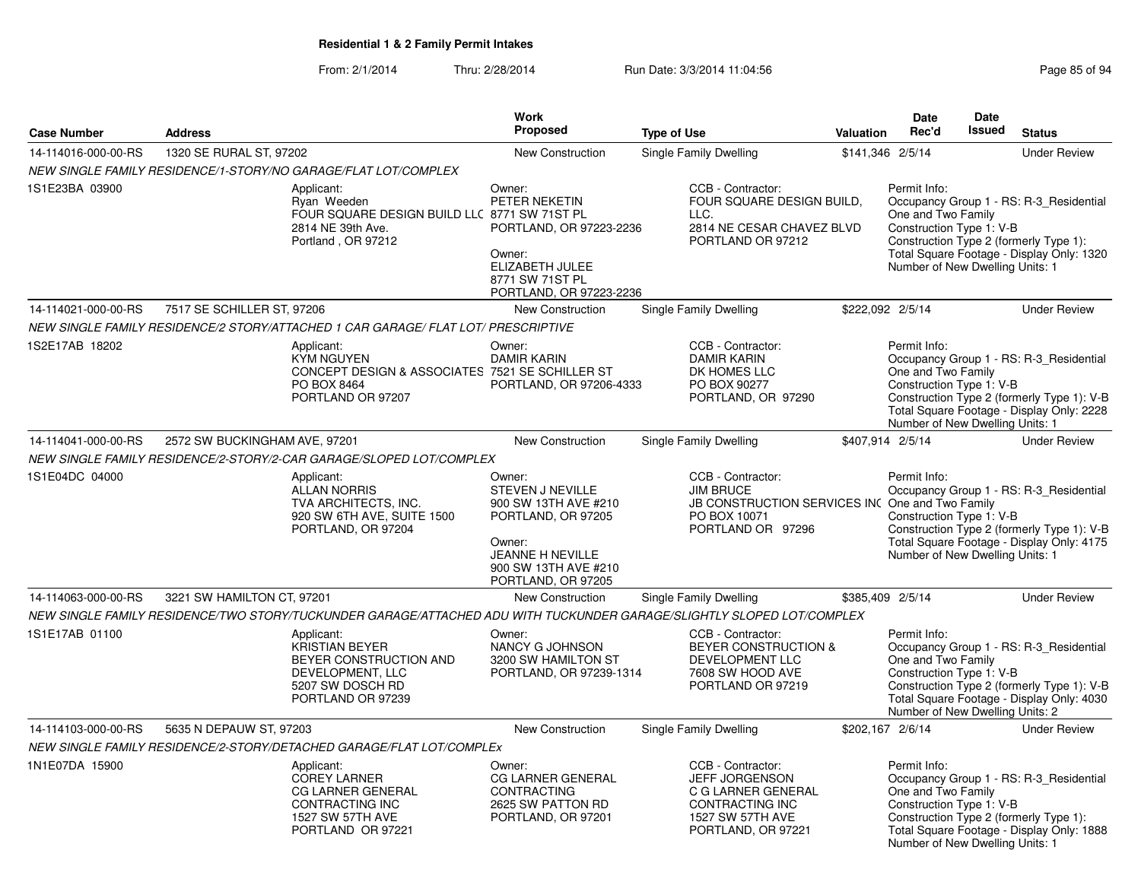|                     |                               |                                                                                                                           | Work                                                                                                                                                        |                               |                                                                                                                               | <b>Date</b>                                                                                       | <b>Date</b> |                                                                                                                                    |
|---------------------|-------------------------------|---------------------------------------------------------------------------------------------------------------------------|-------------------------------------------------------------------------------------------------------------------------------------------------------------|-------------------------------|-------------------------------------------------------------------------------------------------------------------------------|---------------------------------------------------------------------------------------------------|-------------|------------------------------------------------------------------------------------------------------------------------------------|
| <b>Case Number</b>  | <b>Address</b>                |                                                                                                                           | Proposed                                                                                                                                                    | <b>Type of Use</b>            | Valuation                                                                                                                     | Rec'd                                                                                             | Issued      | <b>Status</b>                                                                                                                      |
| 14-114016-000-00-RS | 1320 SE RURAL ST, 97202       |                                                                                                                           | New Construction                                                                                                                                            | Single Family Dwelling        |                                                                                                                               | \$141,346 2/5/14                                                                                  |             | <b>Under Review</b>                                                                                                                |
|                     |                               | NEW SINGLE FAMILY RESIDENCE/1-STORY/NO GARAGE/FLAT LOT/COMPLEX                                                            |                                                                                                                                                             |                               |                                                                                                                               |                                                                                                   |             |                                                                                                                                    |
| 1S1E23BA 03900      |                               | Applicant:<br>Ryan Weeden<br>FOUR SQUARE DESIGN BUILD LLC 8771 SW 71ST PL<br>2814 NE 39th Ave.<br>Portland, OR 97212      | Owner:<br>PETER NEKETIN<br>PORTLAND, OR 97223-2236<br>Owner:<br>ELIZABETH JULEE<br>8771 SW 71ST PL<br>PORTLAND, OR 97223-2236                               | LLC.                          | CCB - Contractor:<br>FOUR SQUARE DESIGN BUILD,<br>2814 NE CESAR CHAVEZ BLVD<br>PORTLAND OR 97212                              | Permit Info:<br>One and Two Family<br>Construction Type 1: V-B<br>Number of New Dwelling Units: 1 |             | Occupancy Group 1 - RS: R-3 Residential<br>Construction Type 2 (formerly Type 1):<br>Total Square Footage - Display Only: 1320     |
| 14-114021-000-00-RS | 7517 SE SCHILLER ST, 97206    |                                                                                                                           | New Construction                                                                                                                                            | Single Family Dwelling        |                                                                                                                               | \$222,092 2/5/14                                                                                  |             | <b>Under Review</b>                                                                                                                |
|                     |                               | NEW SINGLE FAMILY RESIDENCE/2 STORY/ATTACHED 1 CAR GARAGE/ FLAT LOT/ PRESCRIPTIVE                                         |                                                                                                                                                             |                               |                                                                                                                               |                                                                                                   |             |                                                                                                                                    |
| 1S2E17AB 18202      |                               | Applicant:<br><b>KYM NGUYEN</b><br>CONCEPT DESIGN & ASSOCIATES 7521 SE SCHILLER ST<br>PO BOX 8464<br>PORTLAND OR 97207    | Owner:<br><b>DAMIR KARIN</b><br>PORTLAND, OR 97206-4333                                                                                                     |                               | CCB - Contractor:<br><b>DAMIR KARIN</b><br>DK HOMES LLC<br>PO BOX 90277<br>PORTLAND, OR 97290                                 | Permit Info:<br>One and Two Family<br>Construction Type 1: V-B<br>Number of New Dwelling Units: 1 |             | Occupancy Group 1 - RS: R-3_Residential<br>Construction Type 2 (formerly Type 1): V-B<br>Total Square Footage - Display Only: 2228 |
| 14-114041-000-00-RS | 2572 SW BUCKINGHAM AVE, 97201 |                                                                                                                           | New Construction                                                                                                                                            | <b>Single Family Dwelling</b> |                                                                                                                               | \$407,914 2/5/14                                                                                  |             | <b>Under Review</b>                                                                                                                |
|                     |                               | NEW SINGLE FAMILY RESIDENCE/2-STORY/2-CAR GARAGE/SLOPED LOT/COMPLEX                                                       |                                                                                                                                                             |                               |                                                                                                                               |                                                                                                   |             |                                                                                                                                    |
| 1S1E04DC 04000      |                               | Applicant:<br><b>ALLAN NORRIS</b><br>TVA ARCHITECTS, INC.<br>920 SW 6TH AVE, SUITE 1500<br>PORTLAND, OR 97204             | Owner:<br><b>STEVEN J NEVILLE</b><br>900 SW 13TH AVE #210<br>PORTLAND, OR 97205<br>Owner:<br>JEANNE H NEVILLE<br>900 SW 13TH AVE #210<br>PORTLAND, OR 97205 | <b>JIM BRUCE</b>              | CCB - Contractor:<br>JB CONSTRUCTION SERVICES INC One and Two Family<br>PO BOX 10071<br>PORTLAND OR 97296                     | Permit Info:<br>Construction Type 1: V-B<br>Number of New Dwelling Units: 1                       |             | Occupancy Group 1 - RS: R-3_Residential<br>Construction Type 2 (formerly Type 1): V-B<br>Total Square Footage - Display Only: 4175 |
| 14-114063-000-00-RS | 3221 SW HAMILTON CT, 97201    |                                                                                                                           | <b>New Construction</b>                                                                                                                                     | Single Family Dwelling        |                                                                                                                               | \$385,409 2/5/14                                                                                  |             | <b>Under Review</b>                                                                                                                |
|                     |                               | NEW SINGLE FAMILY RESIDENCE/TWO STORY/TUCKUNDER GARAGE/ATTACHED ADU WITH TUCKUNDER GARAGE/SLIGHTLY SLOPED LOT/COMPLEX     |                                                                                                                                                             |                               |                                                                                                                               |                                                                                                   |             |                                                                                                                                    |
| 1S1E17AB 01100      |                               | Applicant:<br>KRISTIAN BEYER<br>BEYER CONSTRUCTION AND<br>DEVELOPMENT, LLC<br>5207 SW DOSCH RD<br>PORTLAND OR 97239       | Owner:<br>NANCY G JOHNSON<br>3200 SW HAMILTON ST<br>PORTLAND, OR 97239-1314                                                                                 |                               | CCB - Contractor:<br>BEYER CONSTRUCTION &<br>DEVELOPMENT LLC<br>7608 SW HOOD AVE<br>PORTLAND OR 97219                         | Permit Info:<br>One and Two Family<br>Construction Type 1: V-B<br>Number of New Dwelling Units: 2 |             | Occupancy Group 1 - RS: R-3_Residential<br>Construction Type 2 (formerly Type 1): V-B<br>Total Square Footage - Display Only: 4030 |
| 14-114103-000-00-RS | 5635 N DEPAUW ST, 97203       |                                                                                                                           | <b>New Construction</b>                                                                                                                                     | Single Family Dwelling        |                                                                                                                               | \$202,167 2/6/14                                                                                  |             | <b>Under Review</b>                                                                                                                |
|                     |                               | NEW SINGLE FAMILY RESIDENCE/2-STORY/DETACHED GARAGE/FLAT LOT/COMPLEx                                                      |                                                                                                                                                             |                               |                                                                                                                               |                                                                                                   |             |                                                                                                                                    |
| 1N1E07DA 15900      |                               | Applicant:<br><b>COREY LARNER</b><br><b>CG LARNER GENERAL</b><br>CONTRACTING INC<br>1527 SW 57TH AVE<br>PORTLAND OR 97221 | Owner:<br><b>CG LARNER GENERAL</b><br><b>CONTRACTING</b><br>2625 SW PATTON RD<br>PORTLAND, OR 97201                                                         |                               | CCB - Contractor:<br><b>JEFF JORGENSON</b><br>C G LARNER GENERAL<br>CONTRACTING INC<br>1527 SW 57TH AVE<br>PORTLAND, OR 97221 | Permit Info:<br>One and Two Family<br>Construction Type 1: V-B<br>Number of New Dwelling Units: 1 |             | Occupancy Group 1 - RS: R-3_Residential<br>Construction Type 2 (formerly Type 1):<br>Total Square Footage - Display Only: 1888     |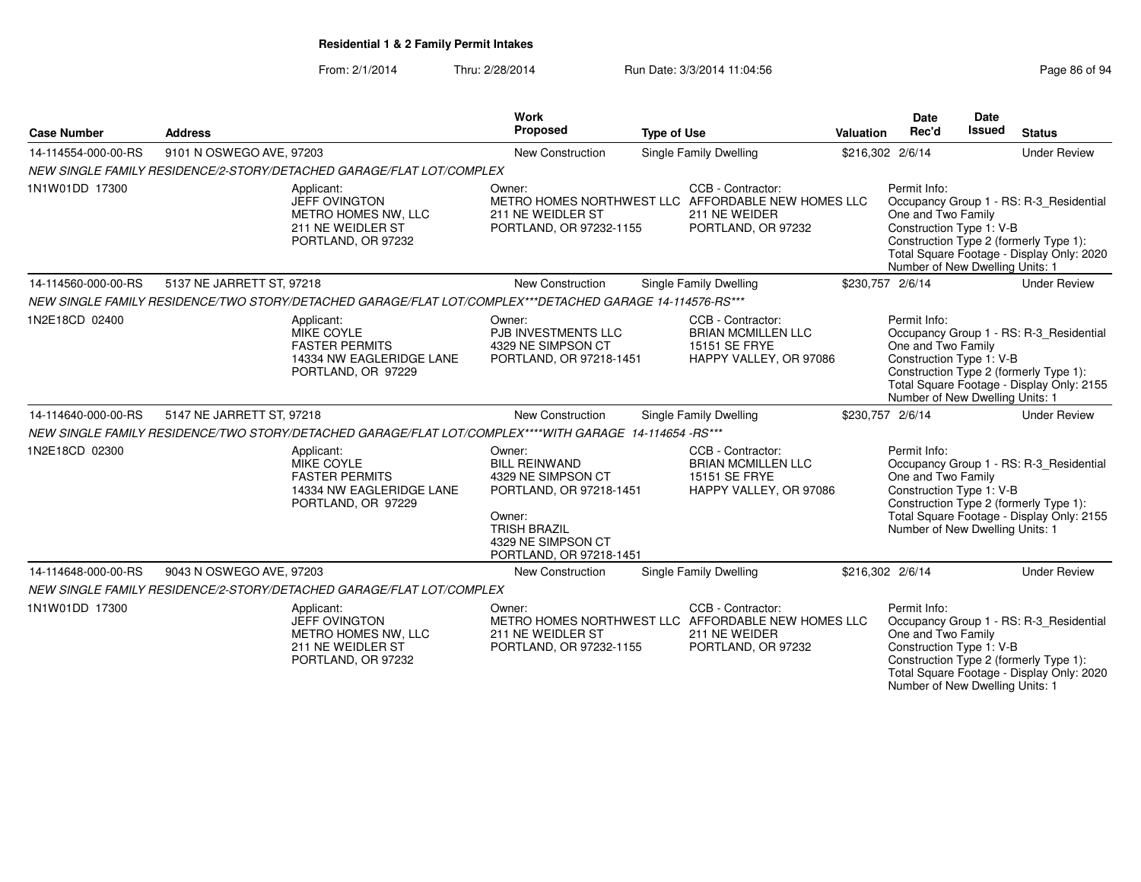#### From: 2/1/2014Thru: 2/28/2014 Run Date: 3/3/2014 11:04:56 Research 2010 Rage 86 of 94

| <b>Case Number</b>  | <b>Address</b>                                                                                           |                                                                | Work<br>Proposed                                                                                                                                                  | <b>Type of Use</b> |                                                                                                                | Valuation        | <b>Date</b><br>Rec'd                                                                              | Date<br>Issued | <b>Status</b>                                                                                                                  |
|---------------------|----------------------------------------------------------------------------------------------------------|----------------------------------------------------------------|-------------------------------------------------------------------------------------------------------------------------------------------------------------------|--------------------|----------------------------------------------------------------------------------------------------------------|------------------|---------------------------------------------------------------------------------------------------|----------------|--------------------------------------------------------------------------------------------------------------------------------|
| 14-114554-000-00-RS | 9101 N OSWEGO AVE, 97203                                                                                 |                                                                | New Construction                                                                                                                                                  |                    | Single Family Dwelling                                                                                         | \$216,302 2/6/14 |                                                                                                   |                | <b>Under Review</b>                                                                                                            |
|                     | NEW SINGLE FAMILY RESIDENCE/2-STORY/DETACHED GARAGE/FLAT LOT/COMPLEX                                     |                                                                |                                                                                                                                                                   |                    |                                                                                                                |                  |                                                                                                   |                |                                                                                                                                |
| 1N1W01DD 17300      | Applicant:<br><b>JEFF OVINGTON</b>                                                                       | METRO HOMES NW, LLC<br>211 NE WEIDLER ST<br>PORTLAND, OR 97232 | Owner:<br>211 NE WEIDLER ST<br>PORTLAND, OR 97232-1155                                                                                                            |                    | CCB - Contractor:<br>METRO HOMES NORTHWEST LLC AFFORDABLE NEW HOMES LLC<br>211 NE WEIDER<br>PORTLAND, OR 97232 |                  | Permit Info:<br>One and Two Family<br>Construction Type 1: V-B<br>Number of New Dwelling Units: 1 |                | Occupancy Group 1 - RS: R-3 Residential<br>Construction Type 2 (formerly Type 1):<br>Total Square Footage - Display Only: 2020 |
| 14-114560-000-00-RS | 5137 NE JARRETT ST, 97218                                                                                |                                                                | New Construction                                                                                                                                                  |                    | Single Family Dwelling                                                                                         | \$230,757 2/6/14 |                                                                                                   |                | <b>Under Review</b>                                                                                                            |
|                     | NEW SINGLE FAMILY RESIDENCE/TWO STORY/DETACHED GARAGE/FLAT LOT/COMPLEX***DETACHED GARAGE 14-114576-RS*** |                                                                |                                                                                                                                                                   |                    |                                                                                                                |                  |                                                                                                   |                |                                                                                                                                |
| 1N2E18CD 02400      | Applicant:<br><b>MIKE COYLE</b><br><b>FASTER PERMITS</b>                                                 | 14334 NW EAGLERIDGE LANE<br>PORTLAND, OR 97229                 | Owner:<br>PJB INVESTMENTS LLC<br>4329 NE SIMPSON CT<br>PORTLAND, OR 97218-1451                                                                                    |                    | CCB - Contractor:<br><b>BRIAN MCMILLEN LLC</b><br>15151 SE FRYE<br>HAPPY VALLEY, OR 97086                      |                  | Permit Info:<br>One and Two Family<br>Construction Type 1: V-B<br>Number of New Dwelling Units: 1 |                | Occupancy Group 1 - RS: R-3 Residential<br>Construction Type 2 (formerly Type 1):<br>Total Square Footage - Display Only: 2155 |
| 14-114640-000-00-RS | 5147 NE JARRETT ST, 97218                                                                                |                                                                | <b>New Construction</b>                                                                                                                                           |                    | Single Family Dwelling                                                                                         | \$230,757 2/6/14 |                                                                                                   |                | <b>Under Review</b>                                                                                                            |
|                     | NEW SINGLE FAMILY RESIDENCE/TWO STORY/DETACHED GARAGE/FLAT LOT/COMPLEX****WITH GARAGE 14-114654 -RS***   |                                                                |                                                                                                                                                                   |                    |                                                                                                                |                  |                                                                                                   |                |                                                                                                                                |
| 1N2E18CD 02300      | Applicant:<br>MIKE COYLE<br><b>FASTER PERMITS</b>                                                        | 14334 NW EAGLERIDGE LANE<br>PORTLAND, OR 97229                 | Owner:<br><b>BILL REINWAND</b><br>4329 NE SIMPSON CT<br>PORTLAND, OR 97218-1451<br>Owner:<br><b>TRISH BRAZIL</b><br>4329 NE SIMPSON CT<br>PORTLAND, OR 97218-1451 |                    | CCB - Contractor:<br><b>BRIAN MCMILLEN LLC</b><br>15151 SE FRYE<br>HAPPY VALLEY, OR 97086                      |                  | Permit Info:<br>One and Two Family<br>Construction Type 1: V-B<br>Number of New Dwelling Units: 1 |                | Occupancy Group 1 - RS: R-3 Residential<br>Construction Type 2 (formerly Type 1):<br>Total Square Footage - Display Only: 2155 |
| 14-114648-000-00-RS | 9043 N OSWEGO AVE, 97203                                                                                 |                                                                | <b>New Construction</b>                                                                                                                                           |                    | Single Family Dwelling                                                                                         | \$216,302 2/6/14 |                                                                                                   |                | <b>Under Review</b>                                                                                                            |
|                     | NEW SINGLE FAMILY RESIDENCE/2-STORY/DETACHED GARAGE/FLAT LOT/COMPLEX                                     |                                                                |                                                                                                                                                                   |                    |                                                                                                                |                  |                                                                                                   |                |                                                                                                                                |
| 1N1W01DD 17300      | Applicant:<br>JEFF OVINGTON                                                                              | METRO HOMES NW, LLC<br>211 NE WEIDLER ST<br>PORTLAND, OR 97232 | Owner:<br>211 NE WEIDLER ST<br>PORTLAND, OR 97232-1155                                                                                                            |                    | CCB - Contractor:<br>METRO HOMES NORTHWEST LLC AFFORDABLE NEW HOMES LLC<br>211 NE WEIDER<br>PORTLAND, OR 97232 |                  | Permit Info:<br>One and Two Family<br>Construction Type 1: V-B<br>Number of New Dwelling Units: 1 |                | Occupancy Group 1 - RS: R-3_Residential<br>Construction Type 2 (formerly Type 1):<br>Total Square Footage - Display Only: 2020 |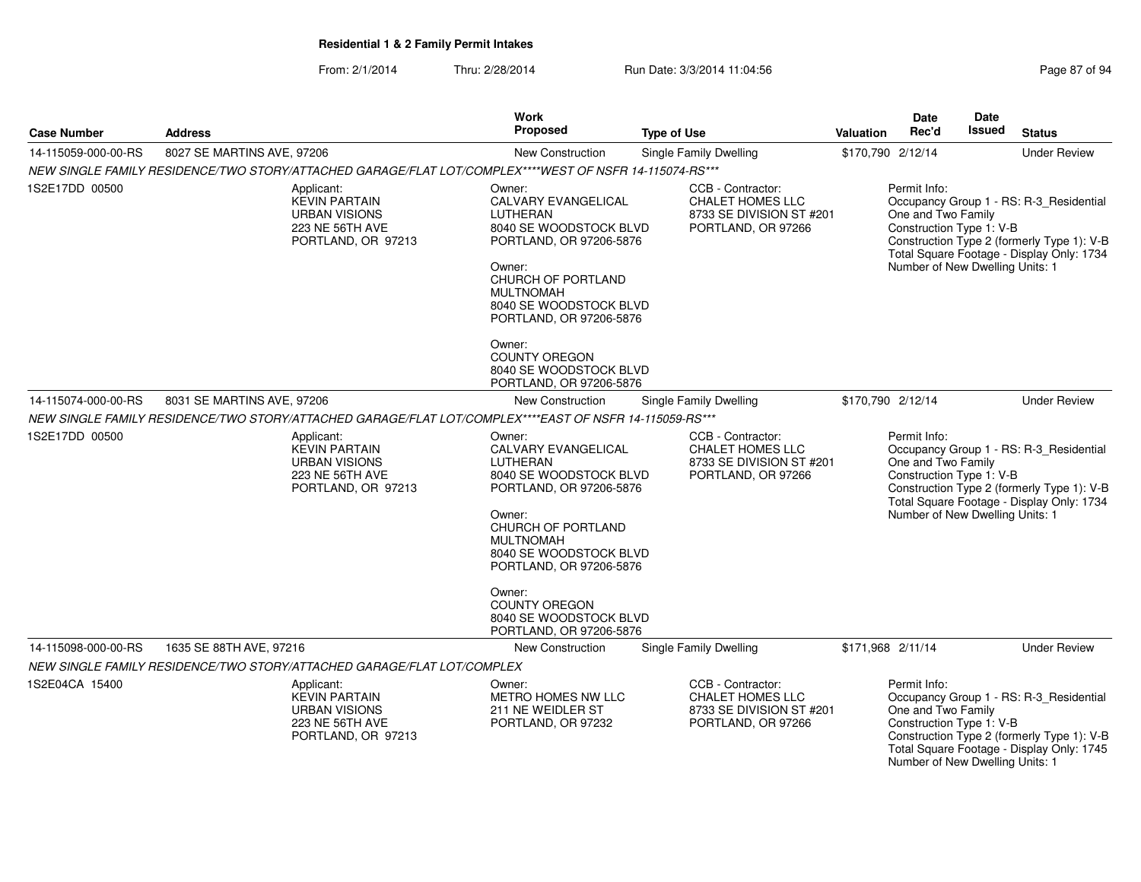From: 2/1/2014Thru: 2/28/2014 Run Date: 3/3/2014 11:04:56 Research 2010 Rage 87 of 94

| <b>Case Number</b>  | <b>Address</b>                                                                                         | <b>Work</b><br>Proposed                                                                                                                                                                                                                                                                        | <b>Type of Use</b>                                                                             | <b>Valuation</b>  | <b>Date</b><br>Rec'd                                                                              | <b>Date</b><br><b>Issued</b> | <b>Status</b>                                                                                                                      |
|---------------------|--------------------------------------------------------------------------------------------------------|------------------------------------------------------------------------------------------------------------------------------------------------------------------------------------------------------------------------------------------------------------------------------------------------|------------------------------------------------------------------------------------------------|-------------------|---------------------------------------------------------------------------------------------------|------------------------------|------------------------------------------------------------------------------------------------------------------------------------|
| 14-115059-000-00-RS | 8027 SE MARTINS AVE, 97206                                                                             | <b>New Construction</b>                                                                                                                                                                                                                                                                        | Single Family Dwelling                                                                         | \$170,790 2/12/14 |                                                                                                   |                              | <b>Under Review</b>                                                                                                                |
|                     | NEW SINGLE FAMILY RESIDENCE/TWO STORY/ATTACHED GARAGE/FLAT LOT/COMPLEX****WEST OF NSFR 14-115074-RS*** |                                                                                                                                                                                                                                                                                                |                                                                                                |                   |                                                                                                   |                              |                                                                                                                                    |
| 1S2E17DD 00500      | Applicant:<br><b>KEVIN PARTAIN</b><br><b>URBAN VISIONS</b><br>223 NE 56TH AVE<br>PORTLAND, OR 97213    | Owner:<br>CALVARY EVANGELICAL<br>LUTHERAN<br>8040 SE WOODSTOCK BLVD<br>PORTLAND, OR 97206-5876<br>Owner:<br>CHURCH OF PORTLAND<br><b>MULTNOMAH</b><br>8040 SE WOODSTOCK BLVD<br>PORTLAND, OR 97206-5876                                                                                        | CCB - Contractor:<br><b>CHALET HOMES LLC</b><br>8733 SE DIVISION ST #201<br>PORTLAND, OR 97266 |                   | Permit Info:<br>One and Two Family<br>Construction Type 1: V-B<br>Number of New Dwelling Units: 1 |                              | Occupancy Group 1 - RS: R-3_Residential<br>Construction Type 2 (formerly Type 1): V-B<br>Total Square Footage - Display Only: 1734 |
|                     |                                                                                                        | Owner:<br><b>COUNTY OREGON</b><br>8040 SE WOODSTOCK BLVD<br>PORTLAND, OR 97206-5876                                                                                                                                                                                                            |                                                                                                |                   |                                                                                                   |                              |                                                                                                                                    |
| 14-115074-000-00-RS | 8031 SE MARTINS AVE, 97206                                                                             | New Construction                                                                                                                                                                                                                                                                               | Single Family Dwelling                                                                         | \$170,790 2/12/14 |                                                                                                   |                              | <b>Under Review</b>                                                                                                                |
|                     | NEW SINGLE FAMILY RESIDENCE/TWO STORY/ATTACHED GARAGE/FLAT LOT/COMPLEX****EAST OF NSFR 14-115059-RS*** |                                                                                                                                                                                                                                                                                                |                                                                                                |                   |                                                                                                   |                              |                                                                                                                                    |
| 1S2E17DD 00500      | Applicant:<br><b>KEVIN PARTAIN</b><br><b>URBAN VISIONS</b><br>223 NE 56TH AVE<br>PORTLAND, OR 97213    | Owner:<br>CALVARY EVANGELICAL<br>LUTHERAN<br>8040 SE WOODSTOCK BLVD<br>PORTLAND, OR 97206-5876<br>Owner:<br>CHURCH OF PORTLAND<br><b>MULTNOMAH</b><br>8040 SE WOODSTOCK BLVD<br>PORTLAND, OR 97206-5876<br>Owner:<br><b>COUNTY OREGON</b><br>8040 SE WOODSTOCK BLVD<br>PORTLAND, OR 97206-5876 | CCB - Contractor:<br><b>CHALET HOMES LLC</b><br>8733 SE DIVISION ST #201<br>PORTLAND, OR 97266 |                   | Permit Info:<br>One and Two Family<br>Construction Type 1: V-B<br>Number of New Dwelling Units: 1 |                              | Occupancy Group 1 - RS: R-3_Residential<br>Construction Type 2 (formerly Type 1): V-B<br>Total Square Footage - Display Only: 1734 |
| 14-115098-000-00-RS | 1635 SE 88TH AVE, 97216                                                                                | New Construction                                                                                                                                                                                                                                                                               | <b>Single Family Dwelling</b>                                                                  | \$171,968 2/11/14 |                                                                                                   |                              | <b>Under Review</b>                                                                                                                |
|                     | NEW SINGLE FAMILY RESIDENCE/TWO STORY/ATTACHED GARAGE/FLAT LOT/COMPLEX                                 |                                                                                                                                                                                                                                                                                                |                                                                                                |                   |                                                                                                   |                              |                                                                                                                                    |
| 1S2E04CA 15400      | Applicant:<br><b>KEVIN PARTAIN</b><br><b>URBAN VISIONS</b><br>223 NE 56TH AVE<br>PORTLAND, OR 97213    | Owner:<br>METRO HOMES NW LLC<br>211 NE WEIDLER ST<br>PORTLAND, OR 97232                                                                                                                                                                                                                        | CCB - Contractor:<br>CHALET HOMES LLC<br>8733 SE DIVISION ST #201<br>PORTLAND, OR 97266        |                   | Permit Info:<br>One and Two Family<br>Construction Type 1: V-B<br>Number of New Dwelling Units: 1 |                              | Occupancy Group 1 - RS: R-3_Residential<br>Construction Type 2 (formerly Type 1): V-B<br>Total Square Footage - Display Only: 1745 |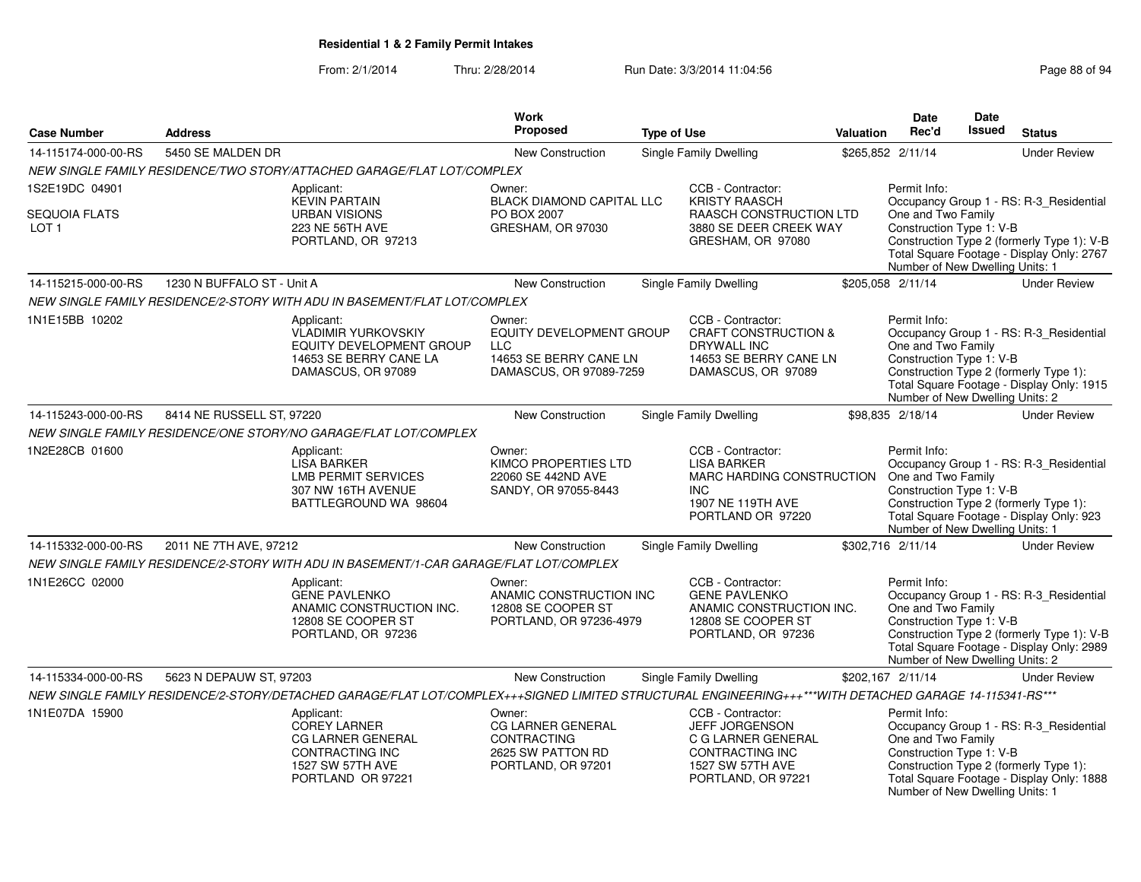|                                          |                            |                                                                                                                                                        | <b>Work</b>                                                                                           |                    |                                                                                                                                      |           | <b>Date</b>                                                                                       | Date          |                                                                                                                                    |
|------------------------------------------|----------------------------|--------------------------------------------------------------------------------------------------------------------------------------------------------|-------------------------------------------------------------------------------------------------------|--------------------|--------------------------------------------------------------------------------------------------------------------------------------|-----------|---------------------------------------------------------------------------------------------------|---------------|------------------------------------------------------------------------------------------------------------------------------------|
| <b>Case Number</b>                       | <b>Address</b>             |                                                                                                                                                        | Proposed                                                                                              | <b>Type of Use</b> |                                                                                                                                      | Valuation | Rec'd                                                                                             | <b>Issued</b> | <b>Status</b>                                                                                                                      |
| 14-115174-000-00-RS                      | 5450 SE MALDEN DR          |                                                                                                                                                        | New Construction                                                                                      |                    | Single Family Dwelling                                                                                                               |           | \$265,852 2/11/14                                                                                 |               | <b>Under Review</b>                                                                                                                |
|                                          |                            | NEW SINGLE FAMILY RESIDENCE/TWO STORY/ATTACHED GARAGE/FLAT LOT/COMPLEX                                                                                 |                                                                                                       |                    |                                                                                                                                      |           |                                                                                                   |               |                                                                                                                                    |
| 1S2E19DC 04901                           |                            | Applicant:<br><b>KEVIN PARTAIN</b>                                                                                                                     | Owner:<br>BLACK DIAMOND CAPITAL LLC                                                                   |                    | CCB - Contractor:<br><b>KRISTY RAASCH</b>                                                                                            |           | Permit Info:                                                                                      |               | Occupancy Group 1 - RS: R-3_Residential                                                                                            |
| <b>SEQUOIA FLATS</b><br>LOT <sub>1</sub> |                            | <b>URBAN VISIONS</b><br>223 NE 56TH AVE<br>PORTLAND, OR 97213                                                                                          | PO BOX 2007<br>GRESHAM, OR 97030                                                                      |                    | RAASCH CONSTRUCTION LTD<br>3880 SE DEER CREEK WAY<br>GRESHAM, OR 97080                                                               |           | One and Two Family<br>Construction Type 1: V-B<br>Number of New Dwelling Units: 1                 |               | Construction Type 2 (formerly Type 1): V-B<br>Total Square Footage - Display Only: 2767                                            |
| 14-115215-000-00-RS                      | 1230 N BUFFALO ST - Unit A |                                                                                                                                                        | <b>New Construction</b>                                                                               |                    | <b>Single Family Dwelling</b>                                                                                                        |           | \$205,058 2/11/14                                                                                 |               | <b>Under Review</b>                                                                                                                |
|                                          |                            | NEW SINGLE FAMILY RESIDENCE/2-STORY WITH ADU IN BASEMENT/FLAT LOT/COMPLEX                                                                              |                                                                                                       |                    |                                                                                                                                      |           |                                                                                                   |               |                                                                                                                                    |
| 1N1E15BB 10202                           |                            | Applicant:<br><b>VLADIMIR YURKOVSKIY</b><br><b>EQUITY DEVELOPMENT GROUP</b><br>14653 SE BERRY CANE LA<br>DAMASCUS, OR 97089                            | Owner:<br>EQUITY DEVELOPMENT GROUP<br><b>LLC</b><br>14653 SE BERRY CANE LN<br>DAMASCUS, OR 97089-7259 |                    | CCB - Contractor:<br><b>CRAFT CONSTRUCTION &amp;</b><br><b>DRYWALL INC</b><br>14653 SE BERRY CANE LN<br>DAMASCUS, OR 97089           |           | Permit Info:<br>One and Two Family<br>Construction Type 1: V-B<br>Number of New Dwelling Units: 2 |               | Occupancy Group 1 - RS: R-3_Residential<br>Construction Type 2 (formerly Type 1):<br>Total Square Footage - Display Only: 1915     |
| 14-115243-000-00-RS                      | 8414 NE RUSSELL ST, 97220  |                                                                                                                                                        | New Construction                                                                                      |                    | Single Family Dwelling                                                                                                               |           | \$98,835 2/18/14                                                                                  |               | <b>Under Review</b>                                                                                                                |
|                                          |                            | NEW SINGLE FAMILY RESIDENCE/ONE STORY/NO GARAGE/FLAT LOT/COMPLEX                                                                                       |                                                                                                       |                    |                                                                                                                                      |           |                                                                                                   |               |                                                                                                                                    |
| 1N2E28CB 01600                           |                            | Applicant:<br><b>LISA BARKER</b><br><b>LMB PERMIT SERVICES</b><br>307 NW 16TH AVENUE<br>BATTLEGROUND WA 98604                                          | Owner:<br>KIMCO PROPERTIES LTD<br>22060 SE 442ND AVE<br>SANDY, OR 97055-8443                          |                    | CCB - Contractor:<br><b>LISA BARKER</b><br>MARC HARDING CONSTRUCTION<br><b>INC</b><br>1907 NE 119TH AVE<br>PORTLAND OR 97220         |           | Permit Info:<br>One and Two Family<br>Construction Type 1: V-B<br>Number of New Dwelling Units: 1 |               | Occupancy Group 1 - RS: R-3 Residential<br>Construction Type 2 (formerly Type 1):<br>Total Square Footage - Display Only: 923      |
| 14-115332-000-00-RS                      | 2011 NE 7TH AVE, 97212     |                                                                                                                                                        | New Construction                                                                                      |                    | <b>Single Family Dwelling</b>                                                                                                        |           | \$302,716 2/11/14                                                                                 |               | <b>Under Review</b>                                                                                                                |
|                                          |                            | NEW SINGLE FAMILY RESIDENCE/2-STORY WITH ADU IN BASEMENT/1-CAR GARAGE/FLAT LOT/COMPLEX                                                                 |                                                                                                       |                    |                                                                                                                                      |           |                                                                                                   |               |                                                                                                                                    |
| 1N1E26CC 02000                           |                            | Applicant:<br><b>GENE PAVLENKO</b><br>ANAMIC CONSTRUCTION INC.<br>12808 SE COOPER ST<br>PORTLAND, OR 97236                                             | Owner:<br>ANAMIC CONSTRUCTION INC<br>12808 SE COOPER ST<br>PORTLAND, OR 97236-4979                    |                    | CCB - Contractor:<br><b>GENE PAVLENKO</b><br>ANAMIC CONSTRUCTION INC.<br>12808 SE COOPER ST<br>PORTLAND, OR 97236                    |           | Permit Info:<br>One and Two Family<br>Construction Type 1: V-B<br>Number of New Dwelling Units: 2 |               | Occupancy Group 1 - RS: R-3_Residential<br>Construction Type 2 (formerly Type 1): V-B<br>Total Square Footage - Display Only: 2989 |
| 14-115334-000-00-RS                      | 5623 N DEPAUW ST, 97203    |                                                                                                                                                        | <b>New Construction</b>                                                                               |                    | Single Family Dwelling                                                                                                               |           | \$202,167 2/11/14                                                                                 |               | <b>Under Review</b>                                                                                                                |
|                                          |                            | NEW SINGLE FAMILY RESIDENCE/2-STORY/DETACHED GARAGE/FLAT LOT/COMPLEX+++SIGNED LIMITED STRUCTURAL ENGINEERING+++***WITH DETACHED GARAGE 14-115341-RS*** |                                                                                                       |                    |                                                                                                                                      |           |                                                                                                   |               |                                                                                                                                    |
| 1N1E07DA 15900                           |                            | Applicant:<br><b>COREY LARNER</b><br>CG LARNER GENERAL<br>CONTRACTING INC<br>1527 SW 57TH AVE<br>PORTLAND OR 97221                                     | Owner:<br>CG LARNER GENERAL<br><b>CONTRACTING</b><br>2625 SW PATTON RD<br>PORTLAND, OR 97201          |                    | CCB - Contractor:<br><b>JEFF JORGENSON</b><br>C G LARNER GENERAL<br><b>CONTRACTING INC</b><br>1527 SW 57TH AVE<br>PORTLAND, OR 97221 |           | Permit Info:<br>One and Two Family<br>Construction Type 1: V-B<br>Number of New Dwelling Units: 1 |               | Occupancy Group 1 - RS: R-3_Residential<br>Construction Type 2 (formerly Type 1):<br>Total Square Footage - Display Only: 1888     |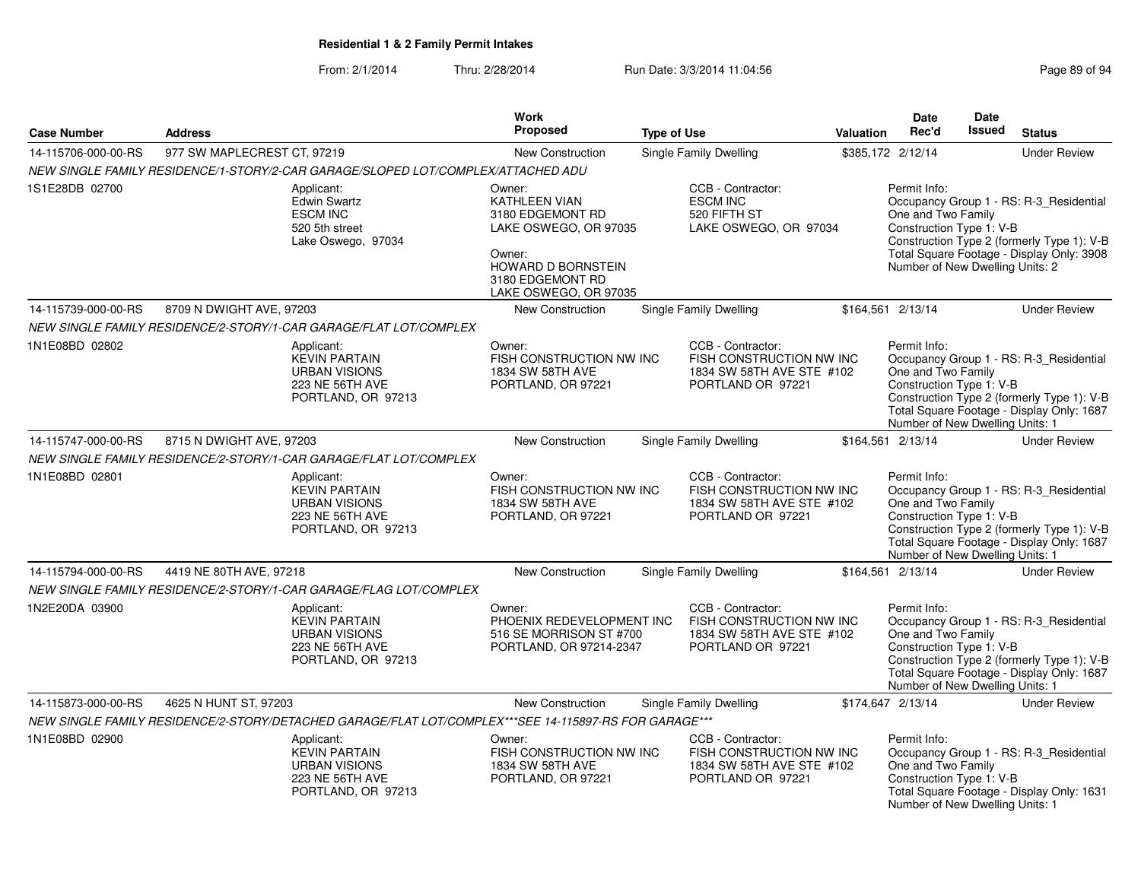|                     |                             |                                                                                                       | Work                                                                                                                                                            |                                                                                                 |                  | <b>Date</b>                                                                                       | <b>Date</b> |                                                                                                                                    |
|---------------------|-----------------------------|-------------------------------------------------------------------------------------------------------|-----------------------------------------------------------------------------------------------------------------------------------------------------------------|-------------------------------------------------------------------------------------------------|------------------|---------------------------------------------------------------------------------------------------|-------------|------------------------------------------------------------------------------------------------------------------------------------|
| <b>Case Number</b>  | <b>Address</b>              |                                                                                                       | <b>Proposed</b>                                                                                                                                                 | <b>Type of Use</b>                                                                              | <b>Valuation</b> | Rec'd                                                                                             | Issued      | <b>Status</b>                                                                                                                      |
| 14-115706-000-00-RS | 977 SW MAPLECREST CT, 97219 |                                                                                                       | New Construction                                                                                                                                                | Single Family Dwelling                                                                          |                  | \$385,172 2/12/14                                                                                 |             | <b>Under Review</b>                                                                                                                |
|                     |                             | NEW SINGLE FAMILY RESIDENCE/1-STORY/2-CAR GARAGE/SLOPED LOT/COMPLEX/ATTACHED ADU                      |                                                                                                                                                                 |                                                                                                 |                  |                                                                                                   |             |                                                                                                                                    |
| 1S1E28DB 02700      |                             | Applicant:<br><b>Edwin Swartz</b><br><b>ESCM INC</b><br>520 5th street<br>Lake Oswego, 97034          | Owner:<br><b>KATHLEEN VIAN</b><br>3180 EDGEMONT RD<br>LAKE OSWEGO, OR 97035<br>Owner:<br><b>HOWARD D BORNSTEIN</b><br>3180 EDGEMONT RD<br>LAKE OSWEGO, OR 97035 | CCB - Contractor:<br><b>ESCM INC</b><br>520 FIFTH ST<br>LAKE OSWEGO, OR 97034                   |                  | Permit Info:<br>One and Two Family<br>Construction Type 1: V-B<br>Number of New Dwelling Units: 2 |             | Occupancy Group 1 - RS: R-3_Residential<br>Construction Type 2 (formerly Type 1): V-B<br>Total Square Footage - Display Only: 3908 |
| 14-115739-000-00-RS | 8709 N DWIGHT AVE, 97203    |                                                                                                       | New Construction                                                                                                                                                | Single Family Dwelling                                                                          |                  | \$164,561 2/13/14                                                                                 |             | <b>Under Review</b>                                                                                                                |
|                     |                             | NEW SINGLE FAMILY RESIDENCE/2-STORY/1-CAR GARAGE/FLAT LOT/COMPLEX                                     |                                                                                                                                                                 |                                                                                                 |                  |                                                                                                   |             |                                                                                                                                    |
| 1N1E08BD 02802      |                             | Applicant:<br><b>KEVIN PARTAIN</b><br><b>URBAN VISIONS</b><br>223 NE 56TH AVE<br>PORTLAND, OR 97213   | Owner:<br>FISH CONSTRUCTION NW INC<br>1834 SW 58TH AVE<br>PORTLAND, OR 97221                                                                                    | CCB - Contractor:<br>FISH CONSTRUCTION NW INC<br>1834 SW 58TH AVE STE #102<br>PORTLAND OR 97221 |                  | Permit Info:<br>One and Two Family<br>Construction Type 1: V-B<br>Number of New Dwelling Units: 1 |             | Occupancy Group 1 - RS: R-3_Residential<br>Construction Type 2 (formerly Type 1): V-B<br>Total Square Footage - Display Only: 1687 |
| 14-115747-000-00-RS | 8715 N DWIGHT AVE, 97203    |                                                                                                       | New Construction                                                                                                                                                | Single Family Dwelling                                                                          |                  | \$164,561 2/13/14                                                                                 |             | <b>Under Review</b>                                                                                                                |
|                     |                             | NEW SINGLE FAMILY RESIDENCE/2-STORY/1-CAR GARAGE/FLAT LOT/COMPLEX                                     |                                                                                                                                                                 |                                                                                                 |                  |                                                                                                   |             |                                                                                                                                    |
| 1N1E08BD 02801      |                             | Applicant:<br><b>KEVIN PARTAIN</b><br><b>URBAN VISIONS</b><br>223 NE 56TH AVE<br>PORTLAND, OR 97213   | Owner:<br>FISH CONSTRUCTION NW INC<br>1834 SW 58TH AVE<br>PORTLAND, OR 97221                                                                                    | CCB - Contractor:<br>FISH CONSTRUCTION NW INC<br>1834 SW 58TH AVE STE #102<br>PORTLAND OR 97221 |                  | Permit Info:<br>One and Two Family<br>Construction Type 1: V-B<br>Number of New Dwelling Units: 1 |             | Occupancy Group 1 - RS: R-3 Residential<br>Construction Type 2 (formerly Type 1): V-B<br>Total Square Footage - Display Only: 1687 |
| 14-115794-000-00-RS | 4419 NE 80TH AVE, 97218     |                                                                                                       | New Construction                                                                                                                                                | Single Family Dwelling                                                                          |                  | \$164,561 2/13/14                                                                                 |             | <b>Under Review</b>                                                                                                                |
|                     |                             | NEW SINGLE FAMILY RESIDENCE/2-STORY/1-CAR GARAGE/FLAG LOT/COMPLEX                                     |                                                                                                                                                                 |                                                                                                 |                  |                                                                                                   |             |                                                                                                                                    |
| 1N2E20DA 03900      |                             | Applicant:<br><b>KEVIN PARTAIN</b><br><b>URBAN VISIONS</b><br>223 NE 56TH AVE<br>PORTLAND, OR 97213   | Owner:<br>PHOENIX REDEVELOPMENT INC<br>516 SE MORRISON ST #700<br>PORTLAND, OR 97214-2347                                                                       | CCB - Contractor:<br>FISH CONSTRUCTION NW INC<br>1834 SW 58TH AVE STE #102<br>PORTLAND OR 97221 |                  | Permit Info:<br>One and Two Family<br>Construction Type 1: V-B<br>Number of New Dwelling Units: 1 |             | Occupancy Group 1 - RS: R-3_Residential<br>Construction Type 2 (formerly Type 1): V-B<br>Total Square Footage - Display Only: 1687 |
| 14-115873-000-00-RS | 4625 N HUNT ST, 97203       |                                                                                                       | New Construction                                                                                                                                                | Single Family Dwelling                                                                          |                  | \$174,647 2/13/14                                                                                 |             | <b>Under Review</b>                                                                                                                |
|                     |                             | NEW SINGLE FAMILY RESIDENCE/2-STORY/DETACHED GARAGE/FLAT LOT/COMPLEX***SEE 14-115897-RS FOR GARAGE*** |                                                                                                                                                                 |                                                                                                 |                  |                                                                                                   |             |                                                                                                                                    |
| 1N1E08BD 02900      |                             | Applicant:<br><b>KEVIN PARTAIN</b><br><b>URBAN VISIONS</b><br>223 NE 56TH AVE<br>PORTLAND, OR 97213   | Owner:<br>FISH CONSTRUCTION NW INC<br>1834 SW 58TH AVE<br>PORTLAND, OR 97221                                                                                    | CCB - Contractor:<br>FISH CONSTRUCTION NW INC<br>1834 SW 58TH AVE STE #102<br>PORTLAND OR 97221 |                  | Permit Info:<br>One and Two Family<br>Construction Type 1: V-B<br>Number of New Dwelling Units: 1 |             | Occupancy Group 1 - RS: R-3_Residential<br>Total Square Footage - Display Only: 1631                                               |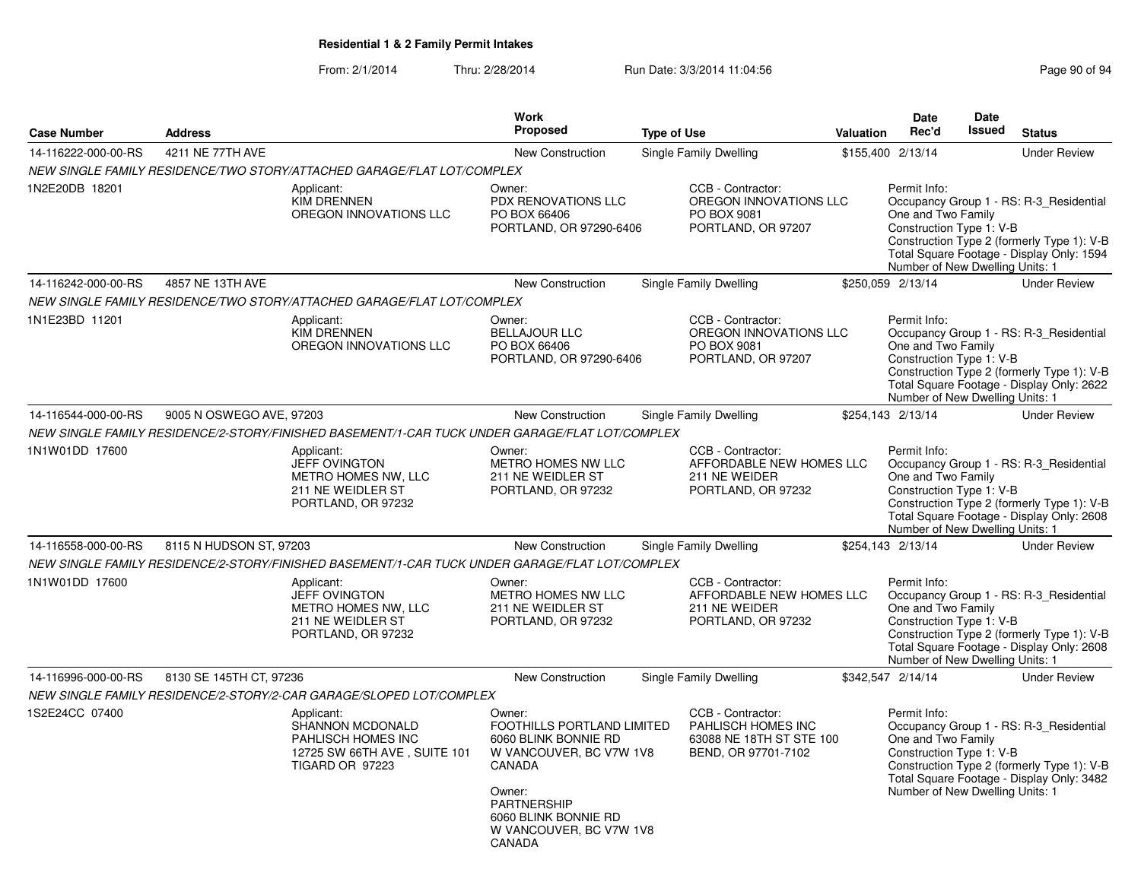| <b>Case Number</b>  | <b>Address</b>           |                                                                                                         | <b>Work</b><br><b>Proposed</b>                                                                                                                                                          | <b>Type of Use</b> |                                                                                            | <b>Valuation</b> | <b>Date</b><br>Rec'd                                                                              | <b>Date</b><br><b>Issued</b> | <b>Status</b>                                                                                                                      |
|---------------------|--------------------------|---------------------------------------------------------------------------------------------------------|-----------------------------------------------------------------------------------------------------------------------------------------------------------------------------------------|--------------------|--------------------------------------------------------------------------------------------|------------------|---------------------------------------------------------------------------------------------------|------------------------------|------------------------------------------------------------------------------------------------------------------------------------|
| 14-116222-000-00-RS | 4211 NE 77TH AVE         |                                                                                                         | New Construction                                                                                                                                                                        |                    | Single Family Dwelling                                                                     |                  | \$155,400 2/13/14                                                                                 |                              | <b>Under Review</b>                                                                                                                |
|                     |                          | NEW SINGLE FAMILY RESIDENCE/TWO STORY/ATTACHED GARAGE/FLAT LOT/COMPLEX                                  |                                                                                                                                                                                         |                    |                                                                                            |                  |                                                                                                   |                              |                                                                                                                                    |
| 1N2E20DB 18201      |                          | Applicant:<br><b>KIM DRENNEN</b><br>OREGON INNOVATIONS LLC                                              | Owner:<br>PDX RENOVATIONS LLC<br>PO BOX 66406<br>PORTLAND, OR 97290-6406                                                                                                                |                    | CCB - Contractor:<br>OREGON INNOVATIONS LLC<br>PO BOX 9081<br>PORTLAND, OR 97207           |                  | Permit Info:<br>One and Two Family<br>Construction Type 1: V-B<br>Number of New Dwelling Units: 1 |                              | Occupancy Group 1 - RS: R-3_Residential<br>Construction Type 2 (formerly Type 1): V-B<br>Total Square Footage - Display Only: 1594 |
| 14-116242-000-00-RS | 4857 NE 13TH AVE         |                                                                                                         | New Construction                                                                                                                                                                        |                    | Single Family Dwelling                                                                     |                  | \$250,059 2/13/14                                                                                 |                              | <b>Under Review</b>                                                                                                                |
|                     |                          | NEW SINGLE FAMILY RESIDENCE/TWO STORY/ATTACHED GARAGE/FLAT LOT/COMPLEX                                  |                                                                                                                                                                                         |                    |                                                                                            |                  |                                                                                                   |                              |                                                                                                                                    |
| 1N1E23BD 11201      |                          | Applicant:<br><b>KIM DRENNEN</b><br>OREGON INNOVATIONS LLC                                              | Owner:<br><b>BELLAJOUR LLC</b><br>PO BOX 66406<br>PORTLAND, OR 97290-6406                                                                                                               |                    | CCB - Contractor:<br>OREGON INNOVATIONS LLC<br>PO BOX 9081<br>PORTLAND, OR 97207           |                  | Permit Info:<br>One and Two Family<br>Construction Type 1: V-B<br>Number of New Dwelling Units: 1 |                              | Occupancy Group 1 - RS: R-3_Residential<br>Construction Type 2 (formerly Type 1): V-B<br>Total Square Footage - Display Only: 2622 |
| 14-116544-000-00-RS | 9005 N OSWEGO AVE, 97203 |                                                                                                         | New Construction                                                                                                                                                                        |                    | Single Family Dwelling                                                                     |                  | \$254,143 2/13/14                                                                                 |                              | <b>Under Review</b>                                                                                                                |
|                     |                          | NEW SINGLE FAMILY RESIDENCE/2-STORY/FINISHED BASEMENT/1-CAR TUCK UNDER GARAGE/FLAT LOT/COMPLEX          |                                                                                                                                                                                         |                    |                                                                                            |                  |                                                                                                   |                              |                                                                                                                                    |
| 1N1W01DD 17600      |                          | Applicant:<br><b>JEFF OVINGTON</b><br>METRO HOMES NW, LLC<br>211 NE WEIDLER ST<br>PORTLAND, OR 97232    | Owner:<br>METRO HOMES NW LLC<br>211 NE WEIDLER ST<br>PORTLAND, OR 97232                                                                                                                 |                    | CCB - Contractor:<br>AFFORDABLE NEW HOMES LLC<br>211 NE WEIDER<br>PORTLAND, OR 97232       |                  | Permit Info:<br>One and Two Family<br>Construction Type 1: V-B<br>Number of New Dwelling Units: 1 |                              | Occupancy Group 1 - RS: R-3_Residential<br>Construction Type 2 (formerly Type 1): V-B<br>Total Square Footage - Display Only: 2608 |
| 14-116558-000-00-RS | 8115 N HUDSON ST, 97203  |                                                                                                         | New Construction                                                                                                                                                                        |                    | Single Family Dwelling                                                                     |                  | \$254,143 2/13/14                                                                                 |                              | <b>Under Review</b>                                                                                                                |
|                     |                          | NEW SINGLE FAMILY RESIDENCE/2-STORY/FINISHED BASEMENT/1-CAR TUCK UNDER GARAGE/FLAT LOT/COMPLEX          |                                                                                                                                                                                         |                    |                                                                                            |                  |                                                                                                   |                              |                                                                                                                                    |
| 1N1W01DD 17600      |                          | Applicant:<br><b>JEFF OVINGTON</b><br>METRO HOMES NW. LLC<br>211 NE WEIDLER ST<br>PORTLAND, OR 97232    | Owner:<br><b>METRO HOMES NW LLC</b><br>211 NE WEIDLER ST<br>PORTLAND, OR 97232                                                                                                          |                    | CCB - Contractor:<br>AFFORDABLE NEW HOMES LLC<br>211 NE WEIDER<br>PORTLAND, OR 97232       |                  | Permit Info:<br>One and Two Family<br>Construction Type 1: V-B<br>Number of New Dwelling Units: 1 |                              | Occupancy Group 1 - RS: R-3_Residential<br>Construction Type 2 (formerly Type 1): V-B<br>Total Square Footage - Display Only: 2608 |
| 14-116996-000-00-RS | 8130 SE 145TH CT, 97236  |                                                                                                         | New Construction                                                                                                                                                                        |                    | Single Family Dwelling                                                                     |                  | \$342,547 2/14/14                                                                                 |                              | <b>Under Review</b>                                                                                                                |
|                     |                          | NEW SINGLE FAMILY RESIDENCE/2-STORY/2-CAR GARAGE/SLOPED LOT/COMPLEX                                     |                                                                                                                                                                                         |                    |                                                                                            |                  |                                                                                                   |                              |                                                                                                                                    |
| 1S2E24CC 07400      |                          | Applicant:<br>SHANNON MCDONALD<br>PAHLISCH HOMES INC<br>12725 SW 66TH AVE, SUITE 101<br>TIGARD OR 97223 | Owner:<br>FOOTHILLS PORTLAND LIMITED<br>6060 BLINK BONNIE RD<br>W VANCOUVER, BC V7W 1V8<br>CANADA<br>Owner:<br>PARTNERSHIP<br>6060 BLINK BONNIE RD<br>W VANCOUVER, BC V7W 1V8<br>CANADA |                    | CCB - Contractor:<br>PAHLISCH HOMES INC<br>63088 NE 18TH ST STE 100<br>BEND, OR 97701-7102 |                  | Permit Info:<br>One and Two Family<br>Construction Type 1: V-B<br>Number of New Dwelling Units: 1 |                              | Occupancy Group 1 - RS: R-3_Residential<br>Construction Type 2 (formerly Type 1): V-B<br>Total Square Footage - Display Only: 3482 |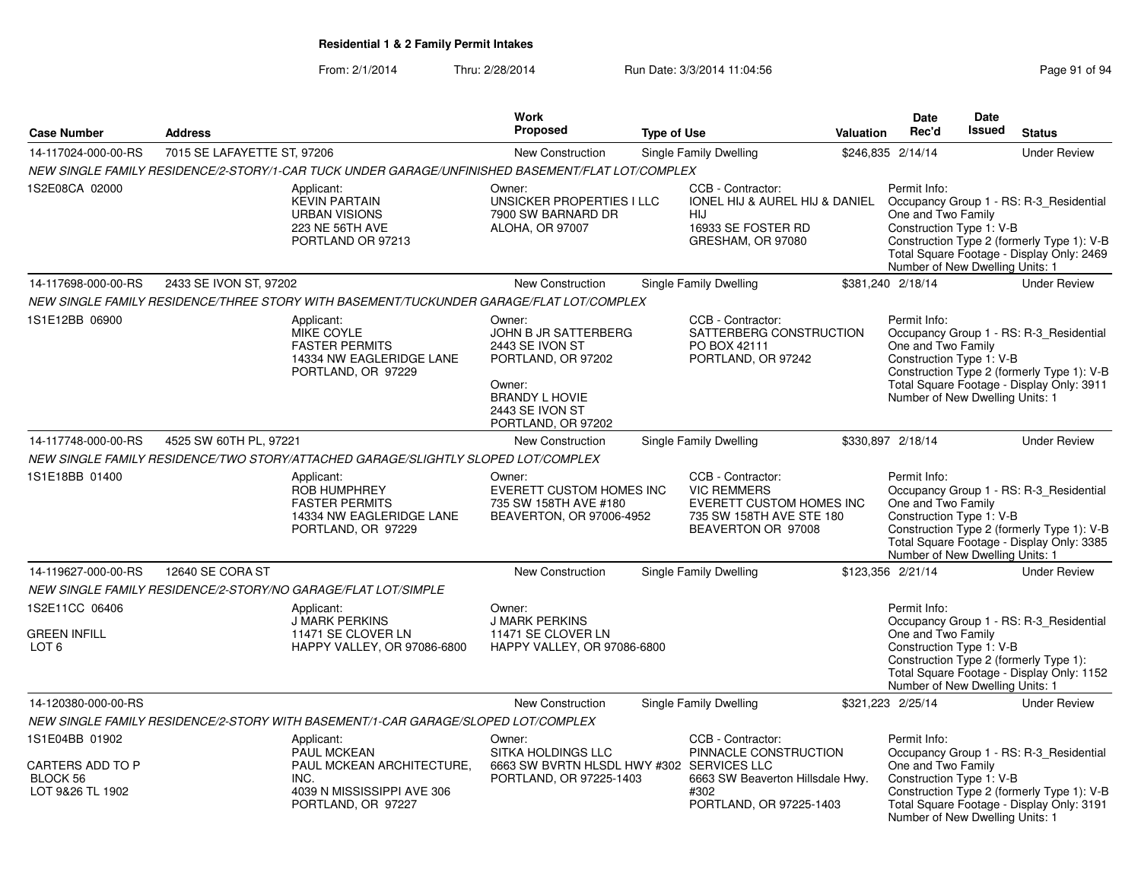|                                                         |                             |                                                                                                             | Work                                                                                                                                                |                    |                                                                                                                                               |           | Date                                                                                              | Date          |                                                                                                                                    |
|---------------------------------------------------------|-----------------------------|-------------------------------------------------------------------------------------------------------------|-----------------------------------------------------------------------------------------------------------------------------------------------------|--------------------|-----------------------------------------------------------------------------------------------------------------------------------------------|-----------|---------------------------------------------------------------------------------------------------|---------------|------------------------------------------------------------------------------------------------------------------------------------|
| <b>Case Number</b>                                      | <b>Address</b>              |                                                                                                             | Proposed                                                                                                                                            | <b>Type of Use</b> |                                                                                                                                               | Valuation | Rec'd                                                                                             | <b>Issued</b> | <b>Status</b>                                                                                                                      |
| 14-117024-000-00-RS                                     | 7015 SE LAFAYETTE ST, 97206 |                                                                                                             | <b>New Construction</b>                                                                                                                             |                    | Single Family Dwelling                                                                                                                        |           | \$246,835 2/14/14                                                                                 |               | <b>Under Review</b>                                                                                                                |
|                                                         |                             | NEW SINGLE FAMILY RESIDENCE/2-STORY/1-CAR TUCK UNDER GARAGE/UNFINISHED BASEMENT/FLAT LOT/COMPLEX            |                                                                                                                                                     |                    |                                                                                                                                               |           |                                                                                                   |               |                                                                                                                                    |
| 1S2E08CA 02000                                          |                             | Applicant:<br><b>KEVIN PARTAIN</b><br><b>URBAN VISIONS</b><br>223 NE 56TH AVE<br>PORTLAND OR 97213          | Owner:<br>UNSICKER PROPERTIES I LLC<br>7900 SW BARNARD DR<br><b>ALOHA, OR 97007</b>                                                                 |                    | CCB - Contractor:<br>IONEL HIJ & AUREL HIJ & DANIEL Occupancy Group 1 - RS: R-3 Residential<br>HIJ<br>16933 SE FOSTER RD<br>GRESHAM, OR 97080 |           | Permit Info:<br>One and Two Family<br>Construction Type 1: V-B<br>Number of New Dwelling Units: 1 |               | Construction Type 2 (formerly Type 1): V-B<br>Total Square Footage - Display Only: 2469                                            |
| 14-117698-000-00-RS                                     | 2433 SE IVON ST, 97202      |                                                                                                             | New Construction                                                                                                                                    |                    | <b>Single Family Dwelling</b>                                                                                                                 |           | \$381,240 2/18/14                                                                                 |               | <b>Under Review</b>                                                                                                                |
|                                                         |                             | NEW SINGLE FAMILY RESIDENCE/THREE STORY WITH BASEMENT/TUCKUNDER GARAGE/FLAT LOT/COMPLEX                     |                                                                                                                                                     |                    |                                                                                                                                               |           |                                                                                                   |               |                                                                                                                                    |
| 1S1E12BB 06900                                          |                             | Applicant:<br><b>MIKE COYLE</b><br><b>FASTER PERMITS</b><br>14334 NW EAGLERIDGE LANE<br>PORTLAND, OR 97229  | Owner:<br>JOHN B JR SATTERBERG<br>2443 SE IVON ST<br>PORTLAND, OR 97202<br>Owner:<br><b>BRANDY L HOVIE</b><br>2443 SE IVON ST<br>PORTLAND, OR 97202 |                    | CCB - Contractor:<br>SATTERBERG CONSTRUCTION<br>PO BOX 42111<br>PORTLAND, OR 97242                                                            |           | Permit Info:<br>One and Two Family<br>Construction Type 1: V-B<br>Number of New Dwelling Units: 1 |               | Occupancy Group 1 - RS: R-3_Residential<br>Construction Type 2 (formerly Type 1): V-B<br>Total Square Footage - Display Only: 3911 |
| 14-117748-000-00-RS                                     | 4525 SW 60TH PL, 97221      |                                                                                                             | New Construction                                                                                                                                    |                    | Single Family Dwelling                                                                                                                        |           | \$330,897 2/18/14                                                                                 |               | <b>Under Review</b>                                                                                                                |
|                                                         |                             | NEW SINGLE FAMILY RESIDENCE/TWO STORY/ATTACHED GARAGE/SLIGHTLY SLOPED LOT/COMPLEX                           |                                                                                                                                                     |                    |                                                                                                                                               |           |                                                                                                   |               |                                                                                                                                    |
| 1S1E18BB 01400                                          |                             | Applicant:<br>ROB HUMPHREY<br><b>FASTER PERMITS</b><br>14334 NW EAGLERIDGE LANE<br>PORTLAND, OR 97229       | Owner:<br>EVERETT CUSTOM HOMES INC<br>735 SW 158TH AVE #180<br>BEAVERTON, OR 97006-4952                                                             |                    | CCB - Contractor:<br><b>VIC REMMERS</b><br>EVERETT CUSTOM HOMES INC<br>735 SW 158TH AVE STE 180<br>BEAVERTON OR 97008                         |           | Permit Info:<br>One and Two Family<br>Construction Type 1: V-B<br>Number of New Dwelling Units: 1 |               | Occupancy Group 1 - RS: R-3_Residential<br>Construction Type 2 (formerly Type 1): V-B<br>Total Square Footage - Display Only: 3385 |
| 14-119627-000-00-RS                                     | 12640 SE CORA ST            |                                                                                                             | <b>New Construction</b>                                                                                                                             |                    | Single Family Dwelling                                                                                                                        |           | \$123,356 2/21/14                                                                                 |               | <b>Under Review</b>                                                                                                                |
|                                                         |                             | NEW SINGLE FAMILY RESIDENCE/2-STORY/NO GARAGE/FLAT LOT/SIMPLE                                               |                                                                                                                                                     |                    |                                                                                                                                               |           |                                                                                                   |               |                                                                                                                                    |
| 1S2E11CC 06406<br><b>GREEN INFILL</b><br>LOT 6          |                             | Applicant:<br><b>J MARK PERKINS</b><br>11471 SE CLOVER LN<br>HAPPY VALLEY, OR 97086-6800                    | Owner:<br><b>J MARK PERKINS</b><br>11471 SE CLOVER LN<br>HAPPY VALLEY, OR 97086-6800                                                                |                    |                                                                                                                                               |           | Permit Info:<br>One and Two Family<br>Construction Type 1: V-B<br>Number of New Dwelling Units: 1 |               | Occupancy Group 1 - RS: R-3_Residential<br>Construction Type 2 (formerly Type 1):<br>Total Square Footage - Display Only: 1152     |
| 14-120380-000-00-RS                                     |                             |                                                                                                             | <b>New Construction</b>                                                                                                                             |                    | <b>Single Family Dwelling</b>                                                                                                                 |           | \$321,223 2/25/14                                                                                 |               | <b>Under Review</b>                                                                                                                |
|                                                         |                             | NEW SINGLE FAMILY RESIDENCE/2-STORY WITH BASEMENT/1-CAR GARAGE/SLOPED LOT/COMPLEX                           |                                                                                                                                                     |                    |                                                                                                                                               |           |                                                                                                   |               |                                                                                                                                    |
| 1S1E04BB 01902                                          |                             | Applicant:                                                                                                  | Owner:                                                                                                                                              |                    | CCB - Contractor:                                                                                                                             |           | Permit Info:                                                                                      |               |                                                                                                                                    |
| <b>CARTERS ADD TO P</b><br>BLOCK 56<br>LOT 9&26 TL 1902 |                             | <b>PAUL MCKEAN</b><br>PAUL MCKEAN ARCHITECTURE,<br>INC.<br>4039 N MISSISSIPPI AVE 306<br>PORTLAND, OR 97227 | SITKA HOLDINGS LLC<br>6663 SW BVRTN HLSDL HWY #302 SERVICES LLC<br>PORTLAND, OR 97225-1403                                                          |                    | PINNACLE CONSTRUCTION<br>6663 SW Beaverton Hillsdale Hwy.<br>#302<br>PORTLAND, OR 97225-1403                                                  |           | One and Two Family<br>Construction Type 1: V-B<br>Number of New Dwelling Units: 1                 |               | Occupancy Group 1 - RS: R-3 Residential<br>Construction Type 2 (formerly Type 1): V-B<br>Total Square Footage - Display Only: 3191 |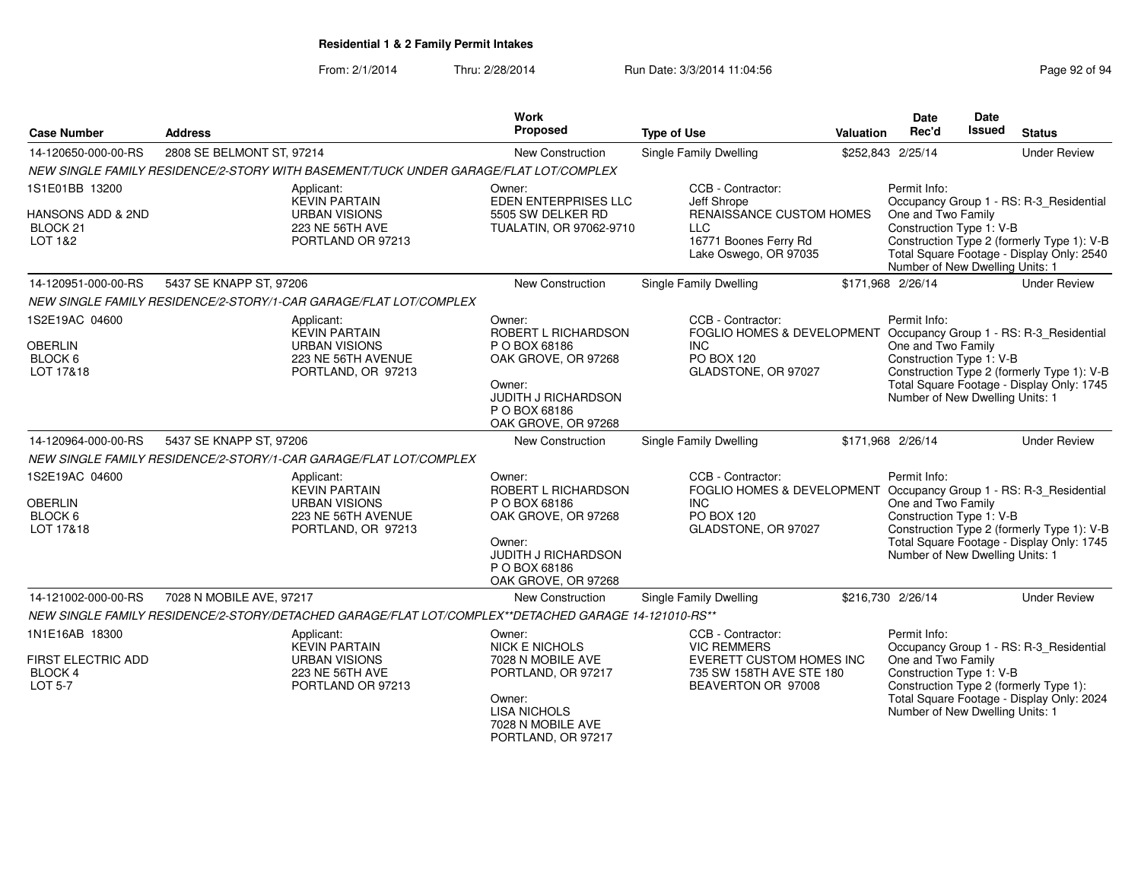| <b>Case Number</b>                                                       | <b>Address</b>                                                                                         | Work<br><b>Proposed</b>                                                                                                                                | <b>Type of Use</b>                                                                                                                                | <b>Valuation</b> | Date<br>Rec'd                                                                                     | Date<br>Issued | <b>Status</b>                                                                                                                      |
|--------------------------------------------------------------------------|--------------------------------------------------------------------------------------------------------|--------------------------------------------------------------------------------------------------------------------------------------------------------|---------------------------------------------------------------------------------------------------------------------------------------------------|------------------|---------------------------------------------------------------------------------------------------|----------------|------------------------------------------------------------------------------------------------------------------------------------|
| 14-120650-000-00-RS                                                      | 2808 SE BELMONT ST, 97214                                                                              | New Construction                                                                                                                                       | Single Family Dwelling                                                                                                                            |                  | \$252,843 2/25/14                                                                                 |                | <b>Under Review</b>                                                                                                                |
|                                                                          | NEW SINGLE FAMILY RESIDENCE/2-STORY WITH BASEMENT/TUCK UNDER GARAGE/FLAT LOT/COMPLEX                   |                                                                                                                                                        |                                                                                                                                                   |                  |                                                                                                   |                |                                                                                                                                    |
| 1S1E01BB 13200<br>HANSONS ADD & 2ND<br>BLOCK <sub>21</sub><br>LOT 1&2    | Applicant:<br><b>KEVIN PARTAIN</b><br><b>URBAN VISIONS</b><br>223 NE 56TH AVE<br>PORTLAND OR 97213     | Owner:<br><b>EDEN ENTERPRISES LLC</b><br>5505 SW DELKER RD<br>TUALATIN, OR 97062-9710                                                                  | CCB - Contractor:<br>Jeff Shrope<br>RENAISSANCE CUSTOM HOMES<br><b>LLC</b><br>16771 Boones Ferry Rd<br>Lake Oswego, OR 97035                      |                  | Permit Info:<br>One and Two Family<br>Construction Type 1: V-B<br>Number of New Dwelling Units: 1 |                | Occupancy Group 1 - RS: R-3_Residential<br>Construction Type 2 (formerly Type 1): V-B<br>Total Square Footage - Display Only: 2540 |
| 14-120951-000-00-RS                                                      | 5437 SE KNAPP ST, 97206                                                                                | New Construction                                                                                                                                       | Single Family Dwelling                                                                                                                            |                  | \$171,968 2/26/14                                                                                 |                | <b>Under Review</b>                                                                                                                |
|                                                                          | NEW SINGLE FAMILY RESIDENCE/2-STORY/1-CAR GARAGE/FLAT LOT/COMPLEX                                      |                                                                                                                                                        |                                                                                                                                                   |                  |                                                                                                   |                |                                                                                                                                    |
| 1S2E19AC 04600<br><b>OBERLIN</b><br>BLOCK 6<br>LOT 17&18                 | Applicant:<br><b>KEVIN PARTAIN</b><br><b>URBAN VISIONS</b><br>223 NE 56TH AVENUE<br>PORTLAND, OR 97213 | Owner:<br>ROBERT L RICHARDSON<br>P O BOX 68186<br>OAK GROVE, OR 97268<br>Owner:<br>JUDITH J RICHARDSON<br>P O BOX 68186<br>OAK GROVE, OR 97268         | CCB - Contractor:<br>FOGLIO HOMES & DEVELOPMENT Occupancy Group 1 - RS: R-3_Residential<br><b>INC</b><br><b>PO BOX 120</b><br>GLADSTONE, OR 97027 |                  | Permit Info:<br>One and Two Family<br>Construction Type 1: V-B<br>Number of New Dwelling Units: 1 |                | Construction Type 2 (formerly Type 1): V-B<br>Total Square Footage - Display Only: 1745                                            |
| 14-120964-000-00-RS                                                      | 5437 SE KNAPP ST, 97206                                                                                | New Construction                                                                                                                                       | Single Family Dwelling                                                                                                                            |                  | \$171.968 2/26/14                                                                                 |                | <b>Under Review</b>                                                                                                                |
|                                                                          | NEW SINGLE FAMILY RESIDENCE/2-STORY/1-CAR GARAGE/FLAT LOT/COMPLEX                                      |                                                                                                                                                        |                                                                                                                                                   |                  |                                                                                                   |                |                                                                                                                                    |
| 1S2E19AC 04600<br><b>OBERLIN</b><br>BLOCK 6<br>LOT 17&18                 | Applicant:<br><b>KEVIN PARTAIN</b><br><b>URBAN VISIONS</b><br>223 NE 56TH AVENUE<br>PORTLAND, OR 97213 | Owner:<br>ROBERT L RICHARDSON<br>P O BOX 68186<br>OAK GROVE, OR 97268<br>Owner:<br><b>JUDITH J RICHARDSON</b><br>P O BOX 68186<br>OAK GROVE, OR 97268  | CCB - Contractor:<br>FOGLIO HOMES & DEVELOPMENT Occupancy Group 1 - RS: R-3_Residential<br><b>INC</b><br>PO BOX 120<br>GLADSTONE, OR 97027        |                  | Permit Info:<br>One and Two Family<br>Construction Type 1: V-B<br>Number of New Dwelling Units: 1 |                | Construction Type 2 (formerly Type 1): V-B<br>Total Square Footage - Display Only: 1745                                            |
| 14-121002-000-00-RS                                                      | 7028 N MOBILE AVE, 97217                                                                               | New Construction                                                                                                                                       | Single Family Dwelling                                                                                                                            |                  | \$216,730 2/26/14                                                                                 |                | <b>Under Review</b>                                                                                                                |
|                                                                          | NEW SINGLE FAMILY RESIDENCE/2-STORY/DETACHED GARAGE/FLAT LOT/COMPLEX**DETACHED GARAGE 14-121010-RS**   |                                                                                                                                                        |                                                                                                                                                   |                  |                                                                                                   |                |                                                                                                                                    |
| 1N1E16AB 18300<br><b>FIRST ELECTRIC ADD</b><br>BLOCK 4<br><b>LOT 5-7</b> | Applicant:<br><b>KEVIN PARTAIN</b><br><b>URBAN VISIONS</b><br>223 NE 56TH AVE<br>PORTLAND OR 97213     | Owner:<br><b>NICK E NICHOLS</b><br>7028 N MOBILE AVE<br>PORTLAND, OR 97217<br>Owner:<br><b>LISA NICHOLS</b><br>7028 N MOBILE AVE<br>PORTLAND, OR 97217 | CCB - Contractor:<br><b>VIC REMMERS</b><br><b>EVERETT CUSTOM HOMES INC</b><br>735 SW 158TH AVE STE 180<br>BEAVERTON OR 97008                      |                  | Permit Info:<br>One and Two Family<br>Construction Type 1: V-B<br>Number of New Dwelling Units: 1 |                | Occupancy Group 1 - RS: R-3_Residential<br>Construction Type 2 (formerly Type 1):<br>Total Square Footage - Display Only: 2024     |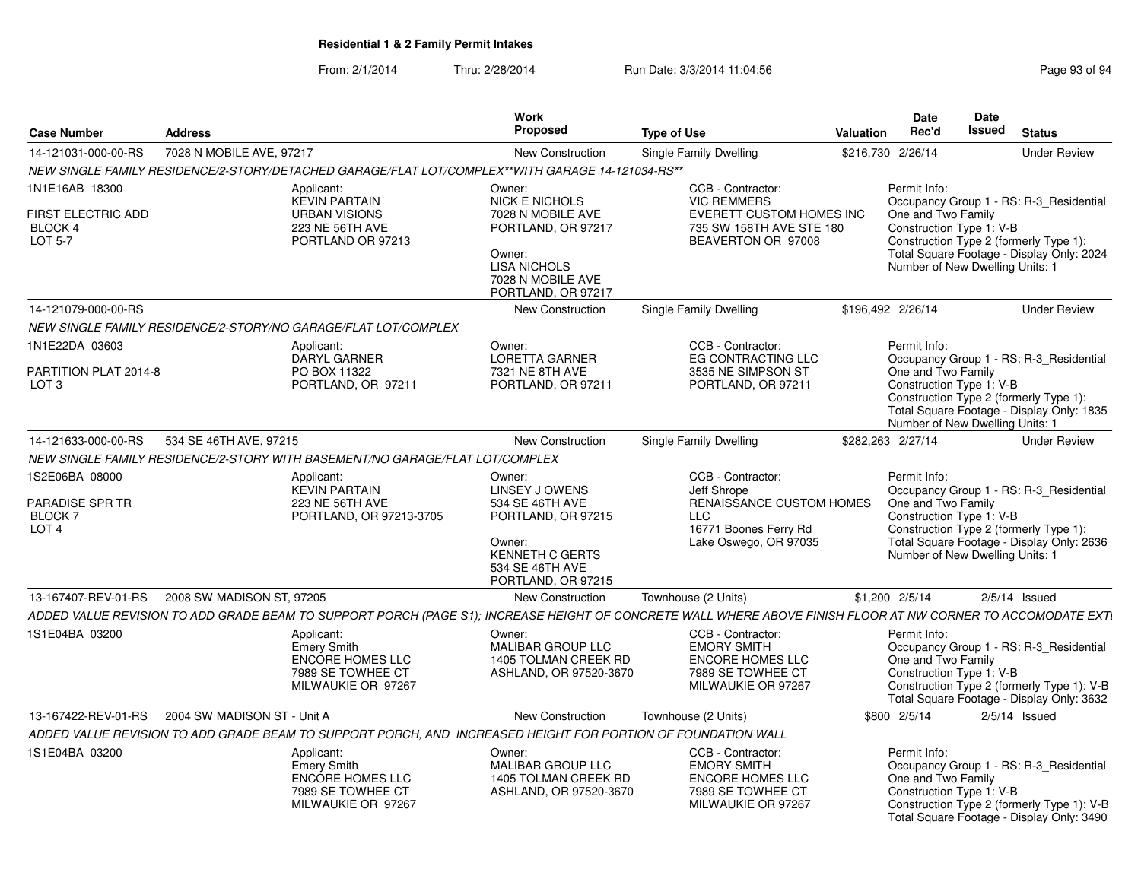| <b>Case Number</b>                                                              | <b>Address</b>              |                                                                                                                                                              | <b>Work</b><br><b>Proposed</b>                                                                                                                        | <b>Type of Use</b>                                                                                                           | Valuation | Date<br>Rec'd                                                                                                                               | Date<br><b>Issued</b> | <b>Status</b>                                                                                                                      |
|---------------------------------------------------------------------------------|-----------------------------|--------------------------------------------------------------------------------------------------------------------------------------------------------------|-------------------------------------------------------------------------------------------------------------------------------------------------------|------------------------------------------------------------------------------------------------------------------------------|-----------|---------------------------------------------------------------------------------------------------------------------------------------------|-----------------------|------------------------------------------------------------------------------------------------------------------------------------|
| 14-121031-000-00-RS                                                             | 7028 N MOBILE AVE, 97217    |                                                                                                                                                              | New Construction                                                                                                                                      | Single Family Dwelling                                                                                                       |           | \$216,730 2/26/14                                                                                                                           |                       | <b>Under Review</b>                                                                                                                |
|                                                                                 |                             | NEW SINGLE FAMILY RESIDENCE/2-STORY/DETACHED GARAGE/FLAT LOT/COMPLEX**WITH GARAGE 14-121034-RS**                                                             |                                                                                                                                                       |                                                                                                                              |           |                                                                                                                                             |                       |                                                                                                                                    |
| 1N1E16AB 18300<br><b>FIRST ELECTRIC ADD</b><br><b>BLOCK 4</b><br><b>LOT 5-7</b> |                             | Applicant:<br><b>KEVIN PARTAIN</b><br><b>URBAN VISIONS</b><br>223 NE 56TH AVE<br>PORTLAND OR 97213                                                           | Owner:<br>NICK E NICHOLS<br>7028 N MOBILE AVE<br>PORTLAND, OR 97217<br>Owner:<br><b>LISA NICHOLS</b><br>7028 N MOBILE AVE<br>PORTLAND, OR 97217       | CCB - Contractor:<br><b>VIC REMMERS</b><br>EVERETT CUSTOM HOMES INC<br>735 SW 158TH AVE STE 180<br>BEAVERTON OR 97008        |           | Permit Info:<br>One and Two Family<br>Construction Type 1: V-B<br>Construction Type 2 (formerly Type 1):<br>Number of New Dwelling Units: 1 |                       | Occupancy Group 1 - RS: R-3_Residential<br>Total Square Footage - Display Only: 2024                                               |
| 14-121079-000-00-RS                                                             |                             |                                                                                                                                                              | New Construction                                                                                                                                      | Single Family Dwelling                                                                                                       |           | \$196,492 2/26/14                                                                                                                           |                       | <b>Under Review</b>                                                                                                                |
|                                                                                 |                             | NEW SINGLE FAMILY RESIDENCE/2-STORY/NO GARAGE/FLAT LOT/COMPLEX                                                                                               |                                                                                                                                                       |                                                                                                                              |           |                                                                                                                                             |                       |                                                                                                                                    |
| 1N1E22DA 03603<br>PARTITION PLAT 2014-8<br>LOT <sub>3</sub>                     |                             | Applicant:<br><b>DARYL GARNER</b><br>PO BOX 11322<br>PORTLAND, OR 97211                                                                                      | Owner:<br><b>LORETTA GARNER</b><br>7321 NE 8TH AVE<br>PORTLAND, OR 97211                                                                              | CCB - Contractor:<br>EG CONTRACTING LLC<br>3535 NE SIMPSON ST<br>PORTLAND, OR 97211                                          |           | Permit Info:<br>One and Two Family<br>Construction Type 1: V-B<br>Construction Type 2 (formerly Type 1):<br>Number of New Dwelling Units: 1 |                       | Occupancy Group 1 - RS: R-3_Residential<br>Total Square Footage - Display Only: 1835                                               |
| 14-121633-000-00-RS                                                             | 534 SE 46TH AVE, 97215      |                                                                                                                                                              | New Construction                                                                                                                                      | Single Family Dwelling                                                                                                       |           | \$282,263 2/27/14                                                                                                                           |                       | <b>Under Review</b>                                                                                                                |
|                                                                                 |                             | NEW SINGLE FAMILY RESIDENCE/2-STORY WITH BASEMENT/NO GARAGE/FLAT LOT/COMPLEX                                                                                 |                                                                                                                                                       |                                                                                                                              |           |                                                                                                                                             |                       |                                                                                                                                    |
| 1S2E06BA 08000<br>PARADISE SPR TR<br><b>BLOCK 7</b><br>LOT <sub>4</sub>         |                             | Applicant:<br><b>KEVIN PARTAIN</b><br>223 NE 56TH AVE<br>PORTLAND, OR 97213-3705                                                                             | Owner:<br><b>LINSEY J OWENS</b><br>534 SE 46TH AVE<br>PORTLAND, OR 97215<br>Owner:<br><b>KENNETH C GERTS</b><br>534 SE 46TH AVE<br>PORTLAND, OR 97215 | CCB - Contractor:<br>Jeff Shrope<br>RENAISSANCE CUSTOM HOMES<br><b>LLC</b><br>16771 Boones Ferry Rd<br>Lake Oswego, OR 97035 |           | Permit Info:<br>One and Two Family<br>Construction Type 1: V-B<br>Construction Type 2 (formerly Type 1):<br>Number of New Dwelling Units: 1 |                       | Occupancy Group 1 - RS: R-3_Residential<br>Total Square Footage - Display Only: 2636                                               |
| 13-167407-REV-01-RS                                                             | 2008 SW MADISON ST, 97205   |                                                                                                                                                              | <b>New Construction</b>                                                                                                                               | Townhouse (2 Units)                                                                                                          |           | $$1,200$ $2/5/14$                                                                                                                           |                       | $2/5/14$ Issued                                                                                                                    |
|                                                                                 |                             | ADDED VALUE REVISION TO ADD GRADE BEAM TO SUPPORT PORCH (PAGE S1); INCREASE HEIGHT OF CONCRETE WALL WHERE ABOVE FINISH FLOOR AT NW CORNER TO ACCOMODATE EXTI |                                                                                                                                                       |                                                                                                                              |           |                                                                                                                                             |                       |                                                                                                                                    |
| 1S1E04BA 03200                                                                  |                             | Applicant:<br><b>Emery Smith</b><br>ENCORE HOMES LLC<br>7989 SE TOWHEE CT<br>MILWAUKIE OR 97267                                                              | Owner:<br><b>MALIBAR GROUP LLC</b><br>1405 TOLMAN CREEK RD<br>ASHLAND, OR 97520-3670                                                                  | CCB - Contractor:<br><b>EMORY SMITH</b><br><b>ENCORE HOMES LLC</b><br>7989 SE TOWHEE CT<br>MILWAUKIE OR 97267                |           | Permit Info:<br>One and Two Family<br>Construction Type 1: V-B                                                                              |                       | Occupancy Group 1 - RS: R-3_Residential<br>Construction Type 2 (formerly Type 1): V-B<br>Total Square Footage - Display Only: 3632 |
| 13-167422-REV-01-RS                                                             | 2004 SW MADISON ST - Unit A |                                                                                                                                                              | <b>New Construction</b>                                                                                                                               | Townhouse (2 Units)                                                                                                          |           | \$800 2/5/14                                                                                                                                |                       | $2/5/14$ Issued                                                                                                                    |
|                                                                                 |                             | ADDED VALUE REVISION TO ADD GRADE BEAM TO SUPPORT PORCH, AND INCREASED HEIGHT FOR PORTION OF FOUNDATION WALL                                                 |                                                                                                                                                       |                                                                                                                              |           |                                                                                                                                             |                       |                                                                                                                                    |
| 1S1E04BA 03200                                                                  |                             | Applicant:<br><b>Emery Smith</b><br><b>ENCORE HOMES LLC</b><br>7989 SE TOWHEE CT<br>MILWAUKIE OR 97267                                                       | Owner:<br>MALIBAR GROUP LLC<br>1405 TOLMAN CREEK RD<br>ASHLAND, OR 97520-3670                                                                         | CCB - Contractor:<br><b>EMORY SMITH</b><br><b>ENCORE HOMES LLC</b><br>7989 SE TOWHEE CT<br>MILWAUKIE OR 97267                |           | Permit Info:<br>One and Two Family<br>Construction Type 1: V-B                                                                              |                       | Occupancy Group 1 - RS: R-3_Residential<br>Construction Type 2 (formerly Type 1): V-B<br>Total Square Footage - Display Only: 3490 |